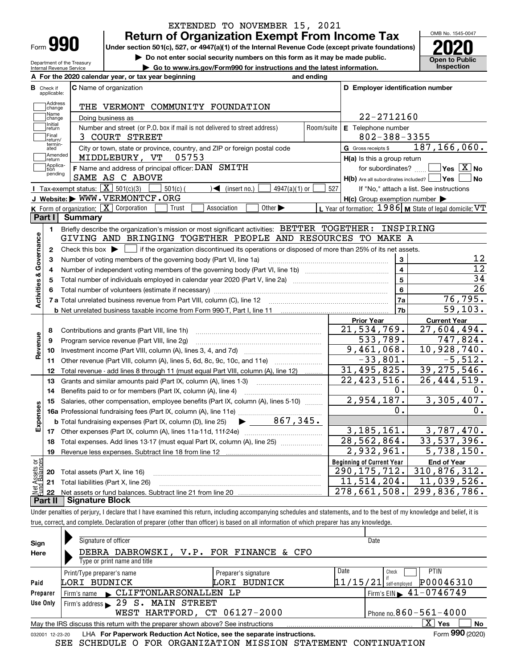| Form |  |
|------|--|

Department of the Treasury Internal Revenue Service

### **Return of Organization Exempt From Income Tax** EXTENDED TO NOVEMBER 15, 2021

**Under section 501(c), 527, or 4947(a)(1) of the Internal Revenue Code (except private foundations) 2020**

**| Do not enter social security numbers on this form as it may be made public.**

**| Go to www.irs.gov/Form990 for instructions and the latest information. Inspection**

OMB No. 1545-0047 **Open to Public** 

|                         |                         | A For the 2020 calendar year, or tax year beginning                                                                                         | and ending |                                                                  |                                                         |
|-------------------------|-------------------------|---------------------------------------------------------------------------------------------------------------------------------------------|------------|------------------------------------------------------------------|---------------------------------------------------------|
| В                       | Check if<br>applicable: | <b>C</b> Name of organization                                                                                                               |            | D Employer identification number                                 |                                                         |
|                         | Address<br>change       | THE VERMONT COMMUNITY FOUNDATION                                                                                                            |            |                                                                  |                                                         |
|                         | Name<br>change          | Doing business as                                                                                                                           |            | 22-2712160                                                       |                                                         |
|                         | Initial<br>return       | Number and street (or P.O. box if mail is not delivered to street address)                                                                  | Room/suite | E Telephone number                                               |                                                         |
|                         | Final<br>return/        | 3 COURT STREET                                                                                                                              |            | $802 - 388 - 3355$                                               |                                                         |
|                         | termin-<br>ated         | City or town, state or province, country, and ZIP or foreign postal code                                                                    |            | G Gross receipts \$                                              | 187, 166, 060.                                          |
|                         | Amended<br>return       | 05753<br>MIDDLEBURY, VT                                                                                                                     |            | H(a) Is this a group return                                      |                                                         |
|                         | Applica-<br>tion        | F Name and address of principal officer: DAN SMITH                                                                                          |            |                                                                  | for subordinates? $\Box$ Yes $\boxed{X}$ No             |
|                         | pending                 | SAME AS C ABOVE                                                                                                                             |            | $H(b)$ Are all subordinates included? $\Box$ Yes $\Box$          | ∣No                                                     |
|                         |                         | Tax-exempt status: $\boxed{\mathbf{X}}$ 501(c)(3)<br>$501(c)$ (<br>$\sqrt{\frac{1}{1}}$ (insert no.)<br>$4947(a)(1)$ or                     | 527        |                                                                  | If "No," attach a list. See instructions                |
|                         |                         | J Website: WWW.VERMONTCF.ORG                                                                                                                |            | $H(c)$ Group exemption number $\blacktriangleright$              |                                                         |
|                         |                         | K Form of organization: X Corporation<br>Association<br>Other $\blacktriangleright$<br>Trust                                                |            |                                                                  | L Year of formation: 1986 M State of legal domicile: VT |
|                         | Part I                  | <b>Summary</b>                                                                                                                              |            |                                                                  |                                                         |
|                         | 1.                      | Briefly describe the organization's mission or most significant activities: BETTER TOGETHER: INSPIRING                                      |            |                                                                  |                                                         |
|                         |                         | GIVING AND BRINGING TOGETHER PEOPLE AND RESOURCES TO MAKE A                                                                                 |            |                                                                  |                                                         |
| Activities & Governance | $\mathbf{2}$            | Check this box $\blacktriangleright$ $\Box$ if the organization discontinued its operations or disposed of more than 25% of its net assets. |            |                                                                  |                                                         |
|                         | 3                       | Number of voting members of the governing body (Part VI, line 1a)                                                                           |            | 3                                                                | 12                                                      |
|                         | 4                       |                                                                                                                                             |            | $\overline{\mathbf{4}}$                                          | $\overline{12}$                                         |
|                         | 5                       |                                                                                                                                             |            | 5                                                                | 34                                                      |
|                         | 6                       |                                                                                                                                             |            | 6                                                                | 26                                                      |
|                         |                         |                                                                                                                                             |            | 7a                                                               | 76, 795.                                                |
|                         |                         |                                                                                                                                             |            | 7b                                                               | 59, 103.                                                |
|                         |                         |                                                                                                                                             |            | <b>Prior Year</b>                                                | <b>Current Year</b>                                     |
|                         | 8                       | Contributions and grants (Part VIII, line 1h)                                                                                               |            | $\overline{21}$ , 534, 769.                                      | 27,604,494.                                             |
| Revenue                 | 9                       | Program service revenue (Part VIII, line 2g)                                                                                                |            | 533,789.                                                         | 747,824.                                                |
|                         | 10                      |                                                                                                                                             |            | 9,461,068.                                                       | 10,928,740.                                             |
|                         | 11                      | Other revenue (Part VIII, column (A), lines 5, 6d, 8c, 9c, 10c, and 11e)                                                                    |            | $-33,801.$                                                       | $-5,512.$                                               |
|                         | 12                      | Total revenue - add lines 8 through 11 (must equal Part VIII, column (A), line 12)                                                          |            | 31, 495, 825.                                                    | 39, 275, 546.                                           |
|                         | 13                      | Grants and similar amounts paid (Part IX, column (A), lines 1-3)                                                                            |            | 22, 423, 516.                                                    | $\overline{26}$ , 444, 519.                             |
|                         | 14                      | Benefits paid to or for members (Part IX, column (A), line 4)                                                                               |            | 0.                                                               | 0.                                                      |
|                         | 15                      | Salaries, other compensation, employee benefits (Part IX, column (A), lines 5-10)                                                           |            | 2,954,187.                                                       | 3,305,407.                                              |
| Expenses                |                         |                                                                                                                                             |            | 0.                                                               | 0.                                                      |
|                         |                         | $\blacktriangleright$ 867,345.<br><b>b</b> Total fundraising expenses (Part IX, column (D), line 25)                                        |            | 3, 185, 161.                                                     | 3,787,470.                                              |
|                         |                         |                                                                                                                                             |            | 28, 562, 864.                                                    | 33, 537, 396.                                           |
|                         | 18                      | Total expenses. Add lines 13-17 (must equal Part IX, column (A), line 25) <i></i>                                                           |            | 2,932,961.                                                       | 5,738,150.                                              |
|                         | 19                      |                                                                                                                                             |            |                                                                  |                                                         |
| äš                      |                         |                                                                                                                                             |            | <b>Beginning of Current Year</b><br>$\overline{290}$ , 175, 712. | <b>End of Year</b><br>310,876,312.                      |
| <b>Ssets</b><br>Ralam   |                         | <b>20</b> Total assets (Part X, line 16)                                                                                                    |            | 11,514,204.                                                      | 11,039,526.                                             |
|                         |                         | 21 Total liabilities (Part X, line 26)                                                                                                      |            | 278, 661, 508.                                                   | 299,836,786.                                            |
|                         | 22                      | <b>Part II   Signature Block</b>                                                                                                            |            |                                                                  |                                                         |
|                         |                         |                                                                                                                                             |            |                                                                  |                                                         |

Under penalties of perjury, I declare that I have examined this return, including accompanying schedules and statements, and to the best of my knowledge and belief, it is true, correct, and complete. Declaration of preparer (other than officer) is based on all information of which preparer has any knowledge.

| Sign            | Signature of officer                                                            |                      | Date                                             |
|-----------------|---------------------------------------------------------------------------------|----------------------|--------------------------------------------------|
| Here            | DEBRA DABROWSKI, V.P. FOR FINANCE & CFO                                         |                      |                                                  |
|                 | Type or print name and title                                                    |                      |                                                  |
|                 | Print/Type preparer's name                                                      | Preparer's signature | Date<br><b>PTIN</b><br>Check                     |
| Paid            | LORI BUDNICK                                                                    | BUDNICK<br>LORI      | P00046310<br> 11/15/21 <br>self-emploved         |
| Preparer        | CLIFTONLARSONALLEN LP<br>Firm's name                                            |                      | $^1$ Firm's EIN $\blacktriangleright$ 41-0746749 |
| Use Only        | Firm's address 29 S. MAIN STREET                                                |                      |                                                  |
|                 | WEST HARTFORD, CT 06127-2000                                                    |                      | Phone no. $860 - 561 - 4000$                     |
|                 | May the IRS discuss this return with the preparer shown above? See instructions |                      | $\mathbf{x}$<br><b>No</b><br>Yes                 |
| 032001 12-23-20 | LHA For Paperwork Reduction Act Notice, see the separate instructions.          |                      | Form 990 (2020)                                  |

SEE SCHEDULE O FOR ORGANIZATION MISSION STATEMENT CONTINUATION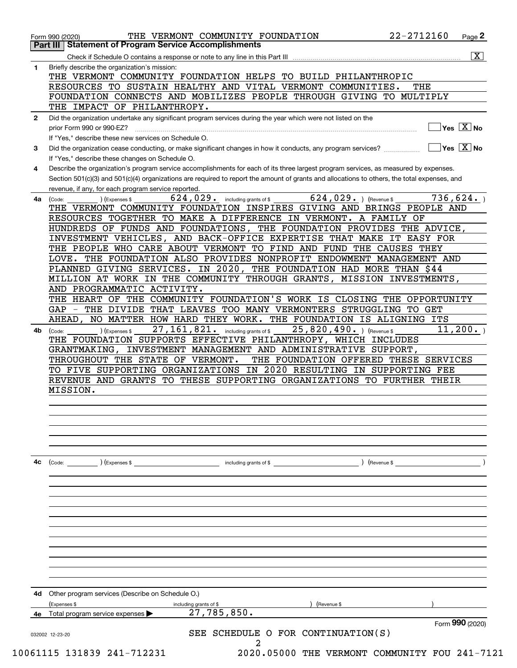| Check if Schedule O contains a response or note to any line in this Part III<br>Briefly describe the organization's mission:<br>1<br>THE VERMONT COMMUNITY FOUNDATION HELPS TO BUILD PHILANTHROPIC<br>RESOURCES TO SUSTAIN HEALTHY AND VITAL VERMONT COMMUNITIES.<br>THE<br>FOUNDATION CONNECTS AND MOBILIZES PEOPLE THROUGH GIVING TO MULTIPLY<br>THE IMPACT OF PHILANTHROPY.<br>Did the organization undertake any significant program services during the year which were not listed on the<br>$\mathbf{2}$<br>prior Form 990 or 990-EZ?<br>If "Yes," describe these new services on Schedule O.<br>Did the organization cease conducting, or make significant changes in how it conducts, any program services?<br>3<br>If "Yes," describe these changes on Schedule O.<br>Describe the organization's program service accomplishments for each of its three largest program services, as measured by expenses.<br>4<br>Section 501(c)(3) and 501(c)(4) organizations are required to report the amount of grants and allocations to others, the total expenses, and<br>revenue, if any, for each program service reported.<br>$624,029.$ (Revenue \$<br>$624, 029$ . including grants of \$<br>4a<br>(Expenses \$<br>(Code:<br>THE VERMONT COMMUNITY FOUNDATION INSPIRES GIVING AND BRINGS PEOPLE AND<br>RESOURCES TOGETHER TO MAKE A DIFFERENCE IN VERMONT. A FAMILY OF<br>HUNDREDS OF FUNDS AND FOUNDATIONS, THE FOUNDATION PROVIDES THE ADVICE,<br>INVESTMENT VEHICLES, AND BACK-OFFICE EXPERTISE THAT MAKE IT EASY FOR<br>THE PEOPLE WHO CARE ABOUT VERMONT TO FIND AND FUND THE CAUSES THEY<br>LOVE. THE FOUNDATION ALSO PROVIDES NONPROFIT ENDOWMENT MANAGEMENT AND<br>PLANNED GIVING SERVICES. IN 2020, THE FOUNDATION HAD MORE THAN \$44<br>MILLION AT WORK IN THE COMMUNITY THROUGH GRANTS, MISSION INVESTMENTS,<br>AND PROGRAMMATIC ACTIVITY.<br>THE HEART OF THE COMMUNITY FOUNDATION'S WORK IS CLOSING THE OPPORTUNITY<br>GAP - THE DIVIDE THAT LEAVES TOO MANY VERMONTERS STRUGGLING TO GET<br>AHEAD, NO MATTER HOW HARD THEY WORK. THE FOUNDATION IS ALIGNING ITS<br>27, 161, 821. including grants of \$<br>25,820,490. ) (Revenue \$<br>(Expenses \$<br>4b.<br>(Code:<br>THE FOUNDATION SUPPORTS EFFECTIVE PHILANTHROPY, WHICH INCLUDES<br>GRANTMAKING, INVESTMENT MANAGEMENT AND ADMINISTRATIVE SUPPORT,<br>THROUGHOUT THE STATE OF VERMONT.<br>THE FOUNDATION OFFERED THESE SERVICES<br>TO FIVE SUPPORTING ORGANIZATIONS IN 2020 RESULTING IN SUPPORTING FEE<br>REVENUE AND GRANTS TO THESE SUPPORTING ORGANIZATIONS TO FURTHER THEIR<br>MISSION.<br>4c<br>$\left(\text{Code:} \right)$ $\left(\text{Expenses $}\right)$<br>including grants of \$<br>) (Revenue \$<br>Other program services (Describe on Schedule O.)<br>4d<br>(Expenses \$<br>Revenue \$<br>including grants of \$<br>27,785,850.<br>Total program service expenses<br>4e |                                                  |
|---------------------------------------------------------------------------------------------------------------------------------------------------------------------------------------------------------------------------------------------------------------------------------------------------------------------------------------------------------------------------------------------------------------------------------------------------------------------------------------------------------------------------------------------------------------------------------------------------------------------------------------------------------------------------------------------------------------------------------------------------------------------------------------------------------------------------------------------------------------------------------------------------------------------------------------------------------------------------------------------------------------------------------------------------------------------------------------------------------------------------------------------------------------------------------------------------------------------------------------------------------------------------------------------------------------------------------------------------------------------------------------------------------------------------------------------------------------------------------------------------------------------------------------------------------------------------------------------------------------------------------------------------------------------------------------------------------------------------------------------------------------------------------------------------------------------------------------------------------------------------------------------------------------------------------------------------------------------------------------------------------------------------------------------------------------------------------------------------------------------------------------------------------------------------------------------------------------------------------------------------------------------------------------------------------------------------------------------------------------------------------------------------------------------------------------------------------------------------------------------------------------------------------------------------------------------------------------------------------------------------------------------------------------------------------------------------------------------------------------------------------------------------------------------------------------------------------------------------------------------|--------------------------------------------------|
|                                                                                                                                                                                                                                                                                                                                                                                                                                                                                                                                                                                                                                                                                                                                                                                                                                                                                                                                                                                                                                                                                                                                                                                                                                                                                                                                                                                                                                                                                                                                                                                                                                                                                                                                                                                                                                                                                                                                                                                                                                                                                                                                                                                                                                                                                                                                                                                                                                                                                                                                                                                                                                                                                                                                                                                                                                                                     | $\overline{\mathbf{x}}$                          |
|                                                                                                                                                                                                                                                                                                                                                                                                                                                                                                                                                                                                                                                                                                                                                                                                                                                                                                                                                                                                                                                                                                                                                                                                                                                                                                                                                                                                                                                                                                                                                                                                                                                                                                                                                                                                                                                                                                                                                                                                                                                                                                                                                                                                                                                                                                                                                                                                                                                                                                                                                                                                                                                                                                                                                                                                                                                                     |                                                  |
|                                                                                                                                                                                                                                                                                                                                                                                                                                                                                                                                                                                                                                                                                                                                                                                                                                                                                                                                                                                                                                                                                                                                                                                                                                                                                                                                                                                                                                                                                                                                                                                                                                                                                                                                                                                                                                                                                                                                                                                                                                                                                                                                                                                                                                                                                                                                                                                                                                                                                                                                                                                                                                                                                                                                                                                                                                                                     |                                                  |
|                                                                                                                                                                                                                                                                                                                                                                                                                                                                                                                                                                                                                                                                                                                                                                                                                                                                                                                                                                                                                                                                                                                                                                                                                                                                                                                                                                                                                                                                                                                                                                                                                                                                                                                                                                                                                                                                                                                                                                                                                                                                                                                                                                                                                                                                                                                                                                                                                                                                                                                                                                                                                                                                                                                                                                                                                                                                     |                                                  |
|                                                                                                                                                                                                                                                                                                                                                                                                                                                                                                                                                                                                                                                                                                                                                                                                                                                                                                                                                                                                                                                                                                                                                                                                                                                                                                                                                                                                                                                                                                                                                                                                                                                                                                                                                                                                                                                                                                                                                                                                                                                                                                                                                                                                                                                                                                                                                                                                                                                                                                                                                                                                                                                                                                                                                                                                                                                                     |                                                  |
|                                                                                                                                                                                                                                                                                                                                                                                                                                                                                                                                                                                                                                                                                                                                                                                                                                                                                                                                                                                                                                                                                                                                                                                                                                                                                                                                                                                                                                                                                                                                                                                                                                                                                                                                                                                                                                                                                                                                                                                                                                                                                                                                                                                                                                                                                                                                                                                                                                                                                                                                                                                                                                                                                                                                                                                                                                                                     |                                                  |
|                                                                                                                                                                                                                                                                                                                                                                                                                                                                                                                                                                                                                                                                                                                                                                                                                                                                                                                                                                                                                                                                                                                                                                                                                                                                                                                                                                                                                                                                                                                                                                                                                                                                                                                                                                                                                                                                                                                                                                                                                                                                                                                                                                                                                                                                                                                                                                                                                                                                                                                                                                                                                                                                                                                                                                                                                                                                     |                                                  |
|                                                                                                                                                                                                                                                                                                                                                                                                                                                                                                                                                                                                                                                                                                                                                                                                                                                                                                                                                                                                                                                                                                                                                                                                                                                                                                                                                                                                                                                                                                                                                                                                                                                                                                                                                                                                                                                                                                                                                                                                                                                                                                                                                                                                                                                                                                                                                                                                                                                                                                                                                                                                                                                                                                                                                                                                                                                                     | $\overline{\ }$ Yes $\overline{\phantom{a}X}$ No |
|                                                                                                                                                                                                                                                                                                                                                                                                                                                                                                                                                                                                                                                                                                                                                                                                                                                                                                                                                                                                                                                                                                                                                                                                                                                                                                                                                                                                                                                                                                                                                                                                                                                                                                                                                                                                                                                                                                                                                                                                                                                                                                                                                                                                                                                                                                                                                                                                                                                                                                                                                                                                                                                                                                                                                                                                                                                                     |                                                  |
|                                                                                                                                                                                                                                                                                                                                                                                                                                                                                                                                                                                                                                                                                                                                                                                                                                                                                                                                                                                                                                                                                                                                                                                                                                                                                                                                                                                                                                                                                                                                                                                                                                                                                                                                                                                                                                                                                                                                                                                                                                                                                                                                                                                                                                                                                                                                                                                                                                                                                                                                                                                                                                                                                                                                                                                                                                                                     | $\overline{\ }$ Yes $\overline{\ \ X}$ No        |
|                                                                                                                                                                                                                                                                                                                                                                                                                                                                                                                                                                                                                                                                                                                                                                                                                                                                                                                                                                                                                                                                                                                                                                                                                                                                                                                                                                                                                                                                                                                                                                                                                                                                                                                                                                                                                                                                                                                                                                                                                                                                                                                                                                                                                                                                                                                                                                                                                                                                                                                                                                                                                                                                                                                                                                                                                                                                     |                                                  |
|                                                                                                                                                                                                                                                                                                                                                                                                                                                                                                                                                                                                                                                                                                                                                                                                                                                                                                                                                                                                                                                                                                                                                                                                                                                                                                                                                                                                                                                                                                                                                                                                                                                                                                                                                                                                                                                                                                                                                                                                                                                                                                                                                                                                                                                                                                                                                                                                                                                                                                                                                                                                                                                                                                                                                                                                                                                                     |                                                  |
|                                                                                                                                                                                                                                                                                                                                                                                                                                                                                                                                                                                                                                                                                                                                                                                                                                                                                                                                                                                                                                                                                                                                                                                                                                                                                                                                                                                                                                                                                                                                                                                                                                                                                                                                                                                                                                                                                                                                                                                                                                                                                                                                                                                                                                                                                                                                                                                                                                                                                                                                                                                                                                                                                                                                                                                                                                                                     |                                                  |
|                                                                                                                                                                                                                                                                                                                                                                                                                                                                                                                                                                                                                                                                                                                                                                                                                                                                                                                                                                                                                                                                                                                                                                                                                                                                                                                                                                                                                                                                                                                                                                                                                                                                                                                                                                                                                                                                                                                                                                                                                                                                                                                                                                                                                                                                                                                                                                                                                                                                                                                                                                                                                                                                                                                                                                                                                                                                     |                                                  |
|                                                                                                                                                                                                                                                                                                                                                                                                                                                                                                                                                                                                                                                                                                                                                                                                                                                                                                                                                                                                                                                                                                                                                                                                                                                                                                                                                                                                                                                                                                                                                                                                                                                                                                                                                                                                                                                                                                                                                                                                                                                                                                                                                                                                                                                                                                                                                                                                                                                                                                                                                                                                                                                                                                                                                                                                                                                                     | 736,624.                                         |
|                                                                                                                                                                                                                                                                                                                                                                                                                                                                                                                                                                                                                                                                                                                                                                                                                                                                                                                                                                                                                                                                                                                                                                                                                                                                                                                                                                                                                                                                                                                                                                                                                                                                                                                                                                                                                                                                                                                                                                                                                                                                                                                                                                                                                                                                                                                                                                                                                                                                                                                                                                                                                                                                                                                                                                                                                                                                     |                                                  |
|                                                                                                                                                                                                                                                                                                                                                                                                                                                                                                                                                                                                                                                                                                                                                                                                                                                                                                                                                                                                                                                                                                                                                                                                                                                                                                                                                                                                                                                                                                                                                                                                                                                                                                                                                                                                                                                                                                                                                                                                                                                                                                                                                                                                                                                                                                                                                                                                                                                                                                                                                                                                                                                                                                                                                                                                                                                                     |                                                  |
|                                                                                                                                                                                                                                                                                                                                                                                                                                                                                                                                                                                                                                                                                                                                                                                                                                                                                                                                                                                                                                                                                                                                                                                                                                                                                                                                                                                                                                                                                                                                                                                                                                                                                                                                                                                                                                                                                                                                                                                                                                                                                                                                                                                                                                                                                                                                                                                                                                                                                                                                                                                                                                                                                                                                                                                                                                                                     |                                                  |
|                                                                                                                                                                                                                                                                                                                                                                                                                                                                                                                                                                                                                                                                                                                                                                                                                                                                                                                                                                                                                                                                                                                                                                                                                                                                                                                                                                                                                                                                                                                                                                                                                                                                                                                                                                                                                                                                                                                                                                                                                                                                                                                                                                                                                                                                                                                                                                                                                                                                                                                                                                                                                                                                                                                                                                                                                                                                     |                                                  |
|                                                                                                                                                                                                                                                                                                                                                                                                                                                                                                                                                                                                                                                                                                                                                                                                                                                                                                                                                                                                                                                                                                                                                                                                                                                                                                                                                                                                                                                                                                                                                                                                                                                                                                                                                                                                                                                                                                                                                                                                                                                                                                                                                                                                                                                                                                                                                                                                                                                                                                                                                                                                                                                                                                                                                                                                                                                                     |                                                  |
|                                                                                                                                                                                                                                                                                                                                                                                                                                                                                                                                                                                                                                                                                                                                                                                                                                                                                                                                                                                                                                                                                                                                                                                                                                                                                                                                                                                                                                                                                                                                                                                                                                                                                                                                                                                                                                                                                                                                                                                                                                                                                                                                                                                                                                                                                                                                                                                                                                                                                                                                                                                                                                                                                                                                                                                                                                                                     |                                                  |
|                                                                                                                                                                                                                                                                                                                                                                                                                                                                                                                                                                                                                                                                                                                                                                                                                                                                                                                                                                                                                                                                                                                                                                                                                                                                                                                                                                                                                                                                                                                                                                                                                                                                                                                                                                                                                                                                                                                                                                                                                                                                                                                                                                                                                                                                                                                                                                                                                                                                                                                                                                                                                                                                                                                                                                                                                                                                     |                                                  |
|                                                                                                                                                                                                                                                                                                                                                                                                                                                                                                                                                                                                                                                                                                                                                                                                                                                                                                                                                                                                                                                                                                                                                                                                                                                                                                                                                                                                                                                                                                                                                                                                                                                                                                                                                                                                                                                                                                                                                                                                                                                                                                                                                                                                                                                                                                                                                                                                                                                                                                                                                                                                                                                                                                                                                                                                                                                                     |                                                  |
|                                                                                                                                                                                                                                                                                                                                                                                                                                                                                                                                                                                                                                                                                                                                                                                                                                                                                                                                                                                                                                                                                                                                                                                                                                                                                                                                                                                                                                                                                                                                                                                                                                                                                                                                                                                                                                                                                                                                                                                                                                                                                                                                                                                                                                                                                                                                                                                                                                                                                                                                                                                                                                                                                                                                                                                                                                                                     |                                                  |
|                                                                                                                                                                                                                                                                                                                                                                                                                                                                                                                                                                                                                                                                                                                                                                                                                                                                                                                                                                                                                                                                                                                                                                                                                                                                                                                                                                                                                                                                                                                                                                                                                                                                                                                                                                                                                                                                                                                                                                                                                                                                                                                                                                                                                                                                                                                                                                                                                                                                                                                                                                                                                                                                                                                                                                                                                                                                     |                                                  |
|                                                                                                                                                                                                                                                                                                                                                                                                                                                                                                                                                                                                                                                                                                                                                                                                                                                                                                                                                                                                                                                                                                                                                                                                                                                                                                                                                                                                                                                                                                                                                                                                                                                                                                                                                                                                                                                                                                                                                                                                                                                                                                                                                                                                                                                                                                                                                                                                                                                                                                                                                                                                                                                                                                                                                                                                                                                                     |                                                  |
|                                                                                                                                                                                                                                                                                                                                                                                                                                                                                                                                                                                                                                                                                                                                                                                                                                                                                                                                                                                                                                                                                                                                                                                                                                                                                                                                                                                                                                                                                                                                                                                                                                                                                                                                                                                                                                                                                                                                                                                                                                                                                                                                                                                                                                                                                                                                                                                                                                                                                                                                                                                                                                                                                                                                                                                                                                                                     |                                                  |
|                                                                                                                                                                                                                                                                                                                                                                                                                                                                                                                                                                                                                                                                                                                                                                                                                                                                                                                                                                                                                                                                                                                                                                                                                                                                                                                                                                                                                                                                                                                                                                                                                                                                                                                                                                                                                                                                                                                                                                                                                                                                                                                                                                                                                                                                                                                                                                                                                                                                                                                                                                                                                                                                                                                                                                                                                                                                     | 11, 200.                                         |
|                                                                                                                                                                                                                                                                                                                                                                                                                                                                                                                                                                                                                                                                                                                                                                                                                                                                                                                                                                                                                                                                                                                                                                                                                                                                                                                                                                                                                                                                                                                                                                                                                                                                                                                                                                                                                                                                                                                                                                                                                                                                                                                                                                                                                                                                                                                                                                                                                                                                                                                                                                                                                                                                                                                                                                                                                                                                     |                                                  |
|                                                                                                                                                                                                                                                                                                                                                                                                                                                                                                                                                                                                                                                                                                                                                                                                                                                                                                                                                                                                                                                                                                                                                                                                                                                                                                                                                                                                                                                                                                                                                                                                                                                                                                                                                                                                                                                                                                                                                                                                                                                                                                                                                                                                                                                                                                                                                                                                                                                                                                                                                                                                                                                                                                                                                                                                                                                                     |                                                  |
|                                                                                                                                                                                                                                                                                                                                                                                                                                                                                                                                                                                                                                                                                                                                                                                                                                                                                                                                                                                                                                                                                                                                                                                                                                                                                                                                                                                                                                                                                                                                                                                                                                                                                                                                                                                                                                                                                                                                                                                                                                                                                                                                                                                                                                                                                                                                                                                                                                                                                                                                                                                                                                                                                                                                                                                                                                                                     |                                                  |
|                                                                                                                                                                                                                                                                                                                                                                                                                                                                                                                                                                                                                                                                                                                                                                                                                                                                                                                                                                                                                                                                                                                                                                                                                                                                                                                                                                                                                                                                                                                                                                                                                                                                                                                                                                                                                                                                                                                                                                                                                                                                                                                                                                                                                                                                                                                                                                                                                                                                                                                                                                                                                                                                                                                                                                                                                                                                     |                                                  |
|                                                                                                                                                                                                                                                                                                                                                                                                                                                                                                                                                                                                                                                                                                                                                                                                                                                                                                                                                                                                                                                                                                                                                                                                                                                                                                                                                                                                                                                                                                                                                                                                                                                                                                                                                                                                                                                                                                                                                                                                                                                                                                                                                                                                                                                                                                                                                                                                                                                                                                                                                                                                                                                                                                                                                                                                                                                                     |                                                  |
|                                                                                                                                                                                                                                                                                                                                                                                                                                                                                                                                                                                                                                                                                                                                                                                                                                                                                                                                                                                                                                                                                                                                                                                                                                                                                                                                                                                                                                                                                                                                                                                                                                                                                                                                                                                                                                                                                                                                                                                                                                                                                                                                                                                                                                                                                                                                                                                                                                                                                                                                                                                                                                                                                                                                                                                                                                                                     |                                                  |
|                                                                                                                                                                                                                                                                                                                                                                                                                                                                                                                                                                                                                                                                                                                                                                                                                                                                                                                                                                                                                                                                                                                                                                                                                                                                                                                                                                                                                                                                                                                                                                                                                                                                                                                                                                                                                                                                                                                                                                                                                                                                                                                                                                                                                                                                                                                                                                                                                                                                                                                                                                                                                                                                                                                                                                                                                                                                     |                                                  |
|                                                                                                                                                                                                                                                                                                                                                                                                                                                                                                                                                                                                                                                                                                                                                                                                                                                                                                                                                                                                                                                                                                                                                                                                                                                                                                                                                                                                                                                                                                                                                                                                                                                                                                                                                                                                                                                                                                                                                                                                                                                                                                                                                                                                                                                                                                                                                                                                                                                                                                                                                                                                                                                                                                                                                                                                                                                                     |                                                  |
|                                                                                                                                                                                                                                                                                                                                                                                                                                                                                                                                                                                                                                                                                                                                                                                                                                                                                                                                                                                                                                                                                                                                                                                                                                                                                                                                                                                                                                                                                                                                                                                                                                                                                                                                                                                                                                                                                                                                                                                                                                                                                                                                                                                                                                                                                                                                                                                                                                                                                                                                                                                                                                                                                                                                                                                                                                                                     |                                                  |
|                                                                                                                                                                                                                                                                                                                                                                                                                                                                                                                                                                                                                                                                                                                                                                                                                                                                                                                                                                                                                                                                                                                                                                                                                                                                                                                                                                                                                                                                                                                                                                                                                                                                                                                                                                                                                                                                                                                                                                                                                                                                                                                                                                                                                                                                                                                                                                                                                                                                                                                                                                                                                                                                                                                                                                                                                                                                     |                                                  |
|                                                                                                                                                                                                                                                                                                                                                                                                                                                                                                                                                                                                                                                                                                                                                                                                                                                                                                                                                                                                                                                                                                                                                                                                                                                                                                                                                                                                                                                                                                                                                                                                                                                                                                                                                                                                                                                                                                                                                                                                                                                                                                                                                                                                                                                                                                                                                                                                                                                                                                                                                                                                                                                                                                                                                                                                                                                                     |                                                  |
|                                                                                                                                                                                                                                                                                                                                                                                                                                                                                                                                                                                                                                                                                                                                                                                                                                                                                                                                                                                                                                                                                                                                                                                                                                                                                                                                                                                                                                                                                                                                                                                                                                                                                                                                                                                                                                                                                                                                                                                                                                                                                                                                                                                                                                                                                                                                                                                                                                                                                                                                                                                                                                                                                                                                                                                                                                                                     |                                                  |
|                                                                                                                                                                                                                                                                                                                                                                                                                                                                                                                                                                                                                                                                                                                                                                                                                                                                                                                                                                                                                                                                                                                                                                                                                                                                                                                                                                                                                                                                                                                                                                                                                                                                                                                                                                                                                                                                                                                                                                                                                                                                                                                                                                                                                                                                                                                                                                                                                                                                                                                                                                                                                                                                                                                                                                                                                                                                     |                                                  |
|                                                                                                                                                                                                                                                                                                                                                                                                                                                                                                                                                                                                                                                                                                                                                                                                                                                                                                                                                                                                                                                                                                                                                                                                                                                                                                                                                                                                                                                                                                                                                                                                                                                                                                                                                                                                                                                                                                                                                                                                                                                                                                                                                                                                                                                                                                                                                                                                                                                                                                                                                                                                                                                                                                                                                                                                                                                                     |                                                  |
|                                                                                                                                                                                                                                                                                                                                                                                                                                                                                                                                                                                                                                                                                                                                                                                                                                                                                                                                                                                                                                                                                                                                                                                                                                                                                                                                                                                                                                                                                                                                                                                                                                                                                                                                                                                                                                                                                                                                                                                                                                                                                                                                                                                                                                                                                                                                                                                                                                                                                                                                                                                                                                                                                                                                                                                                                                                                     |                                                  |
|                                                                                                                                                                                                                                                                                                                                                                                                                                                                                                                                                                                                                                                                                                                                                                                                                                                                                                                                                                                                                                                                                                                                                                                                                                                                                                                                                                                                                                                                                                                                                                                                                                                                                                                                                                                                                                                                                                                                                                                                                                                                                                                                                                                                                                                                                                                                                                                                                                                                                                                                                                                                                                                                                                                                                                                                                                                                     |                                                  |
|                                                                                                                                                                                                                                                                                                                                                                                                                                                                                                                                                                                                                                                                                                                                                                                                                                                                                                                                                                                                                                                                                                                                                                                                                                                                                                                                                                                                                                                                                                                                                                                                                                                                                                                                                                                                                                                                                                                                                                                                                                                                                                                                                                                                                                                                                                                                                                                                                                                                                                                                                                                                                                                                                                                                                                                                                                                                     |                                                  |
|                                                                                                                                                                                                                                                                                                                                                                                                                                                                                                                                                                                                                                                                                                                                                                                                                                                                                                                                                                                                                                                                                                                                                                                                                                                                                                                                                                                                                                                                                                                                                                                                                                                                                                                                                                                                                                                                                                                                                                                                                                                                                                                                                                                                                                                                                                                                                                                                                                                                                                                                                                                                                                                                                                                                                                                                                                                                     |                                                  |
|                                                                                                                                                                                                                                                                                                                                                                                                                                                                                                                                                                                                                                                                                                                                                                                                                                                                                                                                                                                                                                                                                                                                                                                                                                                                                                                                                                                                                                                                                                                                                                                                                                                                                                                                                                                                                                                                                                                                                                                                                                                                                                                                                                                                                                                                                                                                                                                                                                                                                                                                                                                                                                                                                                                                                                                                                                                                     |                                                  |
|                                                                                                                                                                                                                                                                                                                                                                                                                                                                                                                                                                                                                                                                                                                                                                                                                                                                                                                                                                                                                                                                                                                                                                                                                                                                                                                                                                                                                                                                                                                                                                                                                                                                                                                                                                                                                                                                                                                                                                                                                                                                                                                                                                                                                                                                                                                                                                                                                                                                                                                                                                                                                                                                                                                                                                                                                                                                     |                                                  |
|                                                                                                                                                                                                                                                                                                                                                                                                                                                                                                                                                                                                                                                                                                                                                                                                                                                                                                                                                                                                                                                                                                                                                                                                                                                                                                                                                                                                                                                                                                                                                                                                                                                                                                                                                                                                                                                                                                                                                                                                                                                                                                                                                                                                                                                                                                                                                                                                                                                                                                                                                                                                                                                                                                                                                                                                                                                                     |                                                  |
|                                                                                                                                                                                                                                                                                                                                                                                                                                                                                                                                                                                                                                                                                                                                                                                                                                                                                                                                                                                                                                                                                                                                                                                                                                                                                                                                                                                                                                                                                                                                                                                                                                                                                                                                                                                                                                                                                                                                                                                                                                                                                                                                                                                                                                                                                                                                                                                                                                                                                                                                                                                                                                                                                                                                                                                                                                                                     |                                                  |
|                                                                                                                                                                                                                                                                                                                                                                                                                                                                                                                                                                                                                                                                                                                                                                                                                                                                                                                                                                                                                                                                                                                                                                                                                                                                                                                                                                                                                                                                                                                                                                                                                                                                                                                                                                                                                                                                                                                                                                                                                                                                                                                                                                                                                                                                                                                                                                                                                                                                                                                                                                                                                                                                                                                                                                                                                                                                     |                                                  |
|                                                                                                                                                                                                                                                                                                                                                                                                                                                                                                                                                                                                                                                                                                                                                                                                                                                                                                                                                                                                                                                                                                                                                                                                                                                                                                                                                                                                                                                                                                                                                                                                                                                                                                                                                                                                                                                                                                                                                                                                                                                                                                                                                                                                                                                                                                                                                                                                                                                                                                                                                                                                                                                                                                                                                                                                                                                                     |                                                  |
|                                                                                                                                                                                                                                                                                                                                                                                                                                                                                                                                                                                                                                                                                                                                                                                                                                                                                                                                                                                                                                                                                                                                                                                                                                                                                                                                                                                                                                                                                                                                                                                                                                                                                                                                                                                                                                                                                                                                                                                                                                                                                                                                                                                                                                                                                                                                                                                                                                                                                                                                                                                                                                                                                                                                                                                                                                                                     |                                                  |
|                                                                                                                                                                                                                                                                                                                                                                                                                                                                                                                                                                                                                                                                                                                                                                                                                                                                                                                                                                                                                                                                                                                                                                                                                                                                                                                                                                                                                                                                                                                                                                                                                                                                                                                                                                                                                                                                                                                                                                                                                                                                                                                                                                                                                                                                                                                                                                                                                                                                                                                                                                                                                                                                                                                                                                                                                                                                     |                                                  |
|                                                                                                                                                                                                                                                                                                                                                                                                                                                                                                                                                                                                                                                                                                                                                                                                                                                                                                                                                                                                                                                                                                                                                                                                                                                                                                                                                                                                                                                                                                                                                                                                                                                                                                                                                                                                                                                                                                                                                                                                                                                                                                                                                                                                                                                                                                                                                                                                                                                                                                                                                                                                                                                                                                                                                                                                                                                                     |                                                  |
|                                                                                                                                                                                                                                                                                                                                                                                                                                                                                                                                                                                                                                                                                                                                                                                                                                                                                                                                                                                                                                                                                                                                                                                                                                                                                                                                                                                                                                                                                                                                                                                                                                                                                                                                                                                                                                                                                                                                                                                                                                                                                                                                                                                                                                                                                                                                                                                                                                                                                                                                                                                                                                                                                                                                                                                                                                                                     |                                                  |
|                                                                                                                                                                                                                                                                                                                                                                                                                                                                                                                                                                                                                                                                                                                                                                                                                                                                                                                                                                                                                                                                                                                                                                                                                                                                                                                                                                                                                                                                                                                                                                                                                                                                                                                                                                                                                                                                                                                                                                                                                                                                                                                                                                                                                                                                                                                                                                                                                                                                                                                                                                                                                                                                                                                                                                                                                                                                     | Form 990 (2020)                                  |
| SEE SCHEDULE O FOR CONTINUATION(S)<br>032002 12-23-20                                                                                                                                                                                                                                                                                                                                                                                                                                                                                                                                                                                                                                                                                                                                                                                                                                                                                                                                                                                                                                                                                                                                                                                                                                                                                                                                                                                                                                                                                                                                                                                                                                                                                                                                                                                                                                                                                                                                                                                                                                                                                                                                                                                                                                                                                                                                                                                                                                                                                                                                                                                                                                                                                                                                                                                                               |                                                  |
| 2                                                                                                                                                                                                                                                                                                                                                                                                                                                                                                                                                                                                                                                                                                                                                                                                                                                                                                                                                                                                                                                                                                                                                                                                                                                                                                                                                                                                                                                                                                                                                                                                                                                                                                                                                                                                                                                                                                                                                                                                                                                                                                                                                                                                                                                                                                                                                                                                                                                                                                                                                                                                                                                                                                                                                                                                                                                                   |                                                  |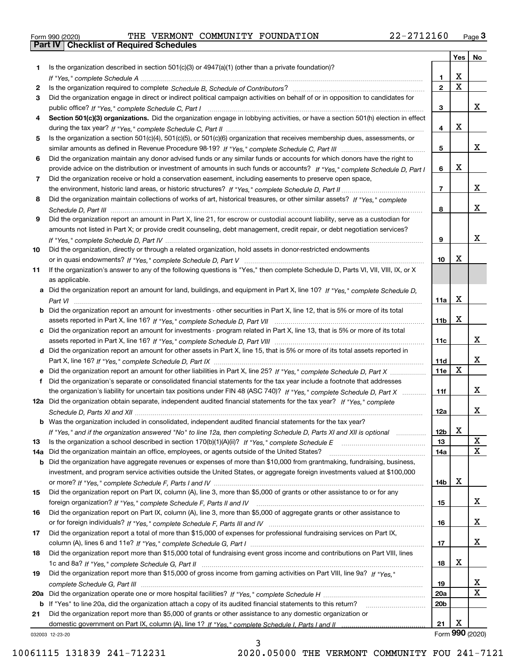|  | Form 990 (2020) |  |
|--|-----------------|--|

Form 990 (2020) THE VERMONT COMMUNITY FOUNDATION 22-2712160 <sub>Page</sub> 3<br>**Part IV | Checklist of Required Schedules** 

|     |                                                                                                                                                                                                                                           |                 | Yes                   | No                      |
|-----|-------------------------------------------------------------------------------------------------------------------------------------------------------------------------------------------------------------------------------------------|-----------------|-----------------------|-------------------------|
| 1.  | Is the organization described in section $501(c)(3)$ or $4947(a)(1)$ (other than a private foundation)?                                                                                                                                   |                 |                       |                         |
|     |                                                                                                                                                                                                                                           | 1.              | х                     |                         |
| 2   |                                                                                                                                                                                                                                           | $\mathbf{2}$    | $\overline{\text{x}}$ |                         |
| 3   | Did the organization engage in direct or indirect political campaign activities on behalf of or in opposition to candidates for                                                                                                           |                 |                       |                         |
|     |                                                                                                                                                                                                                                           | 3               |                       | x                       |
| 4   | Section 501(c)(3) organizations. Did the organization engage in lobbying activities, or have a section 501(h) election in effect                                                                                                          |                 |                       |                         |
|     |                                                                                                                                                                                                                                           | 4               | X                     |                         |
| 5   | Is the organization a section 501(c)(4), 501(c)(5), or 501(c)(6) organization that receives membership dues, assessments, or                                                                                                              |                 |                       |                         |
|     |                                                                                                                                                                                                                                           | 5               |                       | X                       |
| 6   | Did the organization maintain any donor advised funds or any similar funds or accounts for which donors have the right to                                                                                                                 | 6               | X                     |                         |
| 7   | provide advice on the distribution or investment of amounts in such funds or accounts? If "Yes," complete Schedule D, Part I<br>Did the organization receive or hold a conservation easement, including easements to preserve open space, |                 |                       |                         |
|     |                                                                                                                                                                                                                                           | $\overline{7}$  |                       | x                       |
| 8   | Did the organization maintain collections of works of art, historical treasures, or other similar assets? If "Yes," complete                                                                                                              |                 |                       |                         |
|     |                                                                                                                                                                                                                                           | 8               |                       | x                       |
| 9   | Did the organization report an amount in Part X, line 21, for escrow or custodial account liability, serve as a custodian for                                                                                                             |                 |                       |                         |
|     | amounts not listed in Part X; or provide credit counseling, debt management, credit repair, or debt negotiation services?                                                                                                                 |                 |                       |                         |
|     |                                                                                                                                                                                                                                           | 9               |                       | x                       |
| 10  | Did the organization, directly or through a related organization, hold assets in donor-restricted endowments                                                                                                                              |                 |                       |                         |
|     |                                                                                                                                                                                                                                           | 10              | х                     |                         |
| 11  | If the organization's answer to any of the following questions is "Yes," then complete Schedule D, Parts VI, VII, VIII, IX, or X                                                                                                          |                 |                       |                         |
|     | as applicable.                                                                                                                                                                                                                            |                 |                       |                         |
|     | a Did the organization report an amount for land, buildings, and equipment in Part X, line 10? If "Yes," complete Schedule D,                                                                                                             |                 |                       |                         |
|     |                                                                                                                                                                                                                                           | 11a             | X                     |                         |
|     | <b>b</b> Did the organization report an amount for investments - other securities in Part X, line 12, that is 5% or more of its total                                                                                                     |                 |                       |                         |
|     |                                                                                                                                                                                                                                           | 11 <sub>b</sub> | X                     |                         |
|     | c Did the organization report an amount for investments - program related in Part X, line 13, that is 5% or more of its total                                                                                                             |                 |                       | X                       |
|     |                                                                                                                                                                                                                                           | 11c             |                       |                         |
|     | d Did the organization report an amount for other assets in Part X, line 15, that is 5% or more of its total assets reported in                                                                                                           | 11d             |                       | x                       |
|     |                                                                                                                                                                                                                                           | <b>11e</b>      | X                     |                         |
| f   | Did the organization's separate or consolidated financial statements for the tax year include a footnote that addresses                                                                                                                   |                 |                       |                         |
|     | the organization's liability for uncertain tax positions under FIN 48 (ASC 740)? If "Yes," complete Schedule D, Part X                                                                                                                    | 11f             |                       | x                       |
|     | 12a Did the organization obtain separate, independent audited financial statements for the tax year? If "Yes," complete                                                                                                                   |                 |                       |                         |
|     |                                                                                                                                                                                                                                           | 12a             |                       | X                       |
|     | <b>b</b> Was the organization included in consolidated, independent audited financial statements for the tax year?                                                                                                                        |                 |                       |                         |
|     | If "Yes," and if the organization answered "No" to line 12a, then completing Schedule D, Parts XI and XII is optional                                                                                                                     | 12b             | x                     |                         |
| 13  |                                                                                                                                                                                                                                           | 13              |                       | x                       |
| 14a | Did the organization maintain an office, employees, or agents outside of the United States?                                                                                                                                               | 14a             |                       | $\overline{\mathbf{x}}$ |
|     | b Did the organization have aggregate revenues or expenses of more than \$10,000 from grantmaking, fundraising, business,                                                                                                                 |                 |                       |                         |
|     | investment, and program service activities outside the United States, or aggregate foreign investments valued at \$100,000                                                                                                                |                 |                       |                         |
|     |                                                                                                                                                                                                                                           | 14b             | Х                     |                         |
| 15  | Did the organization report on Part IX, column (A), line 3, more than \$5,000 of grants or other assistance to or for any                                                                                                                 |                 |                       |                         |
|     | Did the organization report on Part IX, column (A), line 3, more than \$5,000 of aggregate grants or other assistance to                                                                                                                  | 15              |                       | x                       |
| 16  |                                                                                                                                                                                                                                           |                 |                       | x                       |
|     | Did the organization report a total of more than \$15,000 of expenses for professional fundraising services on Part IX,                                                                                                                   | 16              |                       |                         |
| 17  |                                                                                                                                                                                                                                           | 17              |                       | x                       |
| 18  | Did the organization report more than \$15,000 total of fundraising event gross income and contributions on Part VIII, lines                                                                                                              |                 |                       |                         |
|     |                                                                                                                                                                                                                                           | 18              | х                     |                         |
| 19  | Did the organization report more than \$15,000 of gross income from gaming activities on Part VIII, line 9a? If "Yes."                                                                                                                    |                 |                       |                         |
|     |                                                                                                                                                                                                                                           | 19              |                       | x                       |
|     |                                                                                                                                                                                                                                           | 20a             |                       | $\mathbf X$             |
|     | b If "Yes" to line 20a, did the organization attach a copy of its audited financial statements to this return?                                                                                                                            | 20 <sub>b</sub> |                       |                         |
| 21  | Did the organization report more than \$5,000 of grants or other assistance to any domestic organization or                                                                                                                               |                 |                       |                         |
|     |                                                                                                                                                                                                                                           | 21              | х                     |                         |
|     | 032003 12-23-20                                                                                                                                                                                                                           |                 |                       | Form 990 (2020)         |

032003 12-23-20

3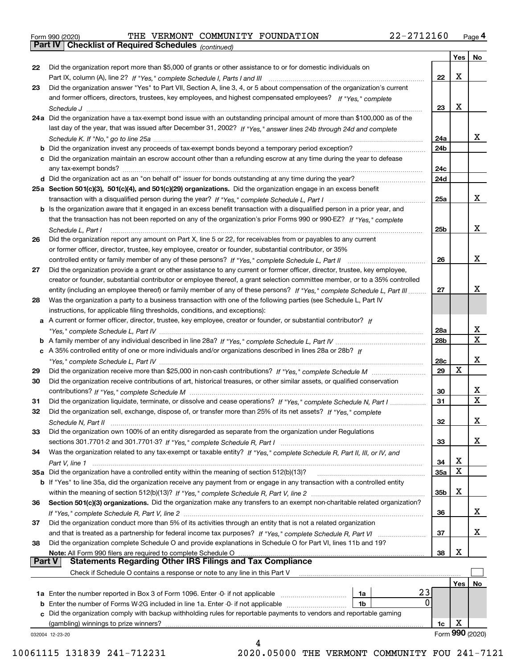|  | Form 990 (2020) |
|--|-----------------|
|  |                 |

Form 990 (2020) THE VERMONT COMMUNITY FOUNDATION 22-2712160 <sub>Page</sub> 4<br>**Part IV | Checklist of Required Schedules** <sub>(continued)</sub>

*(continued)*

|          |                                                                                                                              |                 | Yes | No                      |
|----------|------------------------------------------------------------------------------------------------------------------------------|-----------------|-----|-------------------------|
| 22       | Did the organization report more than \$5,000 of grants or other assistance to or for domestic individuals on                |                 |     |                         |
|          |                                                                                                                              | 22              | х   |                         |
| 23       | Did the organization answer "Yes" to Part VII, Section A, line 3, 4, or 5 about compensation of the organization's current   |                 |     |                         |
|          | and former officers, directors, trustees, key employees, and highest compensated employees? If "Yes," complete               |                 |     |                         |
|          |                                                                                                                              | 23              | х   |                         |
|          | 24a Did the organization have a tax-exempt bond issue with an outstanding principal amount of more than \$100,000 as of the  |                 |     |                         |
|          | last day of the year, that was issued after December 31, 2002? If "Yes," answer lines 24b through 24d and complete           |                 |     |                         |
|          |                                                                                                                              | 24a             |     | x                       |
|          | b Did the organization invest any proceeds of tax-exempt bonds beyond a temporary period exception?                          | 24b             |     |                         |
|          | c Did the organization maintain an escrow account other than a refunding escrow at any time during the year to defease       |                 |     |                         |
|          | any tax-exempt bonds?                                                                                                        | 24c             |     |                         |
|          | d Did the organization act as an "on behalf of" issuer for bonds outstanding at any time during the year?                    | 24d             |     |                         |
|          |                                                                                                                              |                 |     |                         |
|          | 25a Section 501(c)(3), 501(c)(4), and 501(c)(29) organizations. Did the organization engage in an excess benefit             |                 |     | x                       |
|          |                                                                                                                              | 25a             |     |                         |
|          | b Is the organization aware that it engaged in an excess benefit transaction with a disqualified person in a prior year, and |                 |     |                         |
|          | that the transaction has not been reported on any of the organization's prior Forms 990 or 990-EZ? If "Yes." complete        |                 |     |                         |
|          | Schedule L, Part I                                                                                                           | 25 <sub>b</sub> |     | x                       |
| 26       | Did the organization report any amount on Part X, line 5 or 22, for receivables from or payables to any current              |                 |     |                         |
|          | or former officer, director, trustee, key employee, creator or founder, substantial contributor, or 35%                      |                 |     |                         |
|          |                                                                                                                              | 26              |     | х                       |
| 27       | Did the organization provide a grant or other assistance to any current or former officer, director, trustee, key employee,  |                 |     |                         |
|          | creator or founder, substantial contributor or employee thereof, a grant selection committee member, or to a 35% controlled  |                 |     |                         |
|          | entity (including an employee thereof) or family member of any of these persons? If "Yes," complete Schedule L, Part III     | 27              |     | х                       |
| 28       | Was the organization a party to a business transaction with one of the following parties (see Schedule L, Part IV            |                 |     |                         |
|          | instructions, for applicable filing thresholds, conditions, and exceptions):                                                 |                 |     |                         |
|          | a A current or former officer, director, trustee, key employee, creator or founder, or substantial contributor? If           |                 |     |                         |
|          |                                                                                                                              | 28a             |     | x                       |
|          |                                                                                                                              | 28b             |     | $\mathbf X$             |
|          |                                                                                                                              |                 |     |                         |
|          | c A 35% controlled entity of one or more individuals and/or organizations described in lines 28a or 28b? If                  |                 |     | х                       |
|          |                                                                                                                              | 28c             |     |                         |
| 29       |                                                                                                                              | 29              | x   |                         |
| 30       | Did the organization receive contributions of art, historical treasures, or other similar assets, or qualified conservation  |                 |     |                         |
|          |                                                                                                                              | 30              |     | X.                      |
| 31       | Did the organization liquidate, terminate, or dissolve and cease operations? If "Yes," complete Schedule N, Part I           | 31              |     | $\overline{\mathbf{x}}$ |
| 32       | Did the organization sell, exchange, dispose of, or transfer more than 25% of its net assets? If "Yes," complete             |                 |     |                         |
|          |                                                                                                                              | 32              |     | х                       |
| 33       | Did the organization own 100% of an entity disregarded as separate from the organization under Regulations                   |                 |     |                         |
|          |                                                                                                                              | 33              |     | х                       |
| 34       | Was the organization related to any tax-exempt or taxable entity? If "Yes," complete Schedule R, Part II, III, or IV, and    |                 |     |                         |
|          |                                                                                                                              | 34              | х   |                         |
|          | 35a Did the organization have a controlled entity within the meaning of section 512(b)(13)?                                  | <b>35a</b>      | Χ   |                         |
|          | b If "Yes" to line 35a, did the organization receive any payment from or engage in any transaction with a controlled entity  |                 |     |                         |
|          |                                                                                                                              | 35b             | х   |                         |
| 36       | Section 501(c)(3) organizations. Did the organization make any transfers to an exempt non-charitable related organization?   |                 |     |                         |
|          |                                                                                                                              | 36              |     | X.                      |
|          | Did the organization conduct more than 5% of its activities through an entity that is not a related organization             |                 |     |                         |
| 37       |                                                                                                                              |                 |     | x                       |
|          | and that is treated as a partnership for federal income tax purposes? If "Yes," complete Schedule R, Part VI                 | 37              |     |                         |
| 38       | Did the organization complete Schedule O and provide explanations in Schedule O for Part VI, lines 11b and 19?               |                 |     |                         |
|          | Note: All Form 990 filers are required to complete Schedule O                                                                | 38              | х   |                         |
| ∣ Part V | <b>Statements Regarding Other IRS Filings and Tax Compliance</b>                                                             |                 |     |                         |
|          | Check if Schedule O contains a response or note to any line in this Part V                                                   |                 |     |                         |
|          |                                                                                                                              |                 | Yes | No.                     |
|          | 23<br>1a Enter the number reported in Box 3 of Form 1096. Enter -0- if not applicable<br>1a                                  |                 |     |                         |
|          | 0<br><b>b</b> Enter the number of Forms W-2G included in line 1a. Enter -0- if not applicable<br>1b                          |                 |     |                         |
|          | Did the organization comply with backup withholding rules for reportable payments to vendors and reportable gaming           |                 |     |                         |
|          | (gambling) winnings to prize winners?                                                                                        | 1c              | х   |                         |
|          | 032004 12-23-20                                                                                                              |                 |     | Form 990 (2020)         |
|          |                                                                                                                              |                 |     |                         |

10061115 131839 241-712231 2020.05000 THE VERMONT COMMUNITY FOU 241-7121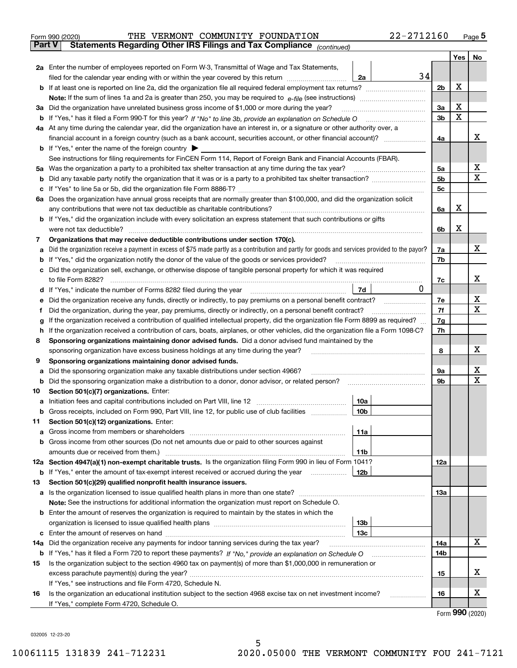| Form 990 (2020) |  | THE VERMONT COMMUNITY FOUNDATION                                                  | 22-2712160 | Page $5$ |
|-----------------|--|-----------------------------------------------------------------------------------|------------|----------|
| Part V          |  | <b>Statements Regarding Other IRS Filings and Tax Compliance</b> $_{(continued)}$ |            |          |

|     |                                                                                                                                                                                                                                     |                 |    |                | Yes | No |
|-----|-------------------------------------------------------------------------------------------------------------------------------------------------------------------------------------------------------------------------------------|-----------------|----|----------------|-----|----|
|     | 2a Enter the number of employees reported on Form W-3, Transmittal of Wage and Tax Statements,                                                                                                                                      |                 |    |                |     |    |
|     | filed for the calendar year ending with or within the year covered by this return                                                                                                                                                   | 2a              | 34 |                |     |    |
|     | <b>b</b> If at least one is reported on line 2a, did the organization file all required federal employment tax returns?                                                                                                             |                 |    | 2 <sub>b</sub> | X   |    |
|     |                                                                                                                                                                                                                                     |                 |    |                |     |    |
|     | 3a Did the organization have unrelated business gross income of \$1,000 or more during the year?                                                                                                                                    |                 |    | 3a             | X   |    |
|     |                                                                                                                                                                                                                                     |                 |    | 3 <sub>b</sub> | X   |    |
|     | 4a At any time during the calendar year, did the organization have an interest in, or a signature or other authority over, a                                                                                                        |                 |    |                |     |    |
|     |                                                                                                                                                                                                                                     |                 |    | 4a             |     | x  |
|     | <b>b</b> If "Yes," enter the name of the foreign country $\blacktriangleright$                                                                                                                                                      |                 |    |                |     |    |
|     | See instructions for filing requirements for FinCEN Form 114, Report of Foreign Bank and Financial Accounts (FBAR).                                                                                                                 |                 |    |                |     |    |
|     | 5a Was the organization a party to a prohibited tax shelter transaction at any time during the tax year?                                                                                                                            |                 |    | 5a             |     | x  |
| b   |                                                                                                                                                                                                                                     |                 |    | 5b             |     | X  |
| с   |                                                                                                                                                                                                                                     |                 |    | 5 <sub>c</sub> |     |    |
|     | 6a Does the organization have annual gross receipts that are normally greater than \$100,000, and did the organization solicit                                                                                                      |                 |    |                |     |    |
|     | any contributions that were not tax deductible as charitable contributions?                                                                                                                                                         |                 |    | 6a             | х   |    |
|     | b If "Yes," did the organization include with every solicitation an express statement that such contributions or gifts                                                                                                              |                 |    |                | х   |    |
|     | were not tax deductible?                                                                                                                                                                                                            |                 |    | 6b             |     |    |
| 7   | Organizations that may receive deductible contributions under section 170(c).                                                                                                                                                       |                 |    |                |     | x  |
| а   | Did the organization receive a payment in excess of \$75 made partly as a contribution and partly for goods and services provided to the payor?                                                                                     |                 |    | 7a<br>7b       |     |    |
| b   | If "Yes," did the organization notify the donor of the value of the goods or services provided?<br>Did the organization sell, exchange, or otherwise dispose of tangible personal property for which it was required                |                 |    |                |     |    |
| c   |                                                                                                                                                                                                                                     |                 |    | 7c             |     | х  |
|     |                                                                                                                                                                                                                                     | 7d              | 0  |                |     |    |
| е   | Did the organization receive any funds, directly or indirectly, to pay premiums on a personal benefit contract?                                                                                                                     |                 |    | 7e             |     | х  |
|     | Did the organization, during the year, pay premiums, directly or indirectly, on a personal benefit contract?                                                                                                                        |                 |    | 7f             |     | х  |
| g   | If the organization received a contribution of qualified intellectual property, did the organization file Form 8899 as required?                                                                                                    |                 |    | 7g             |     |    |
| h   | If the organization received a contribution of cars, boats, airplanes, or other vehicles, did the organization file a Form 1098-C?                                                                                                  |                 |    | 7h             |     |    |
| 8   | Sponsoring organizations maintaining donor advised funds. Did a donor advised fund maintained by the                                                                                                                                |                 |    |                |     |    |
|     | sponsoring organization have excess business holdings at any time during the year?                                                                                                                                                  |                 |    | 8              |     | х  |
| 9   | Sponsoring organizations maintaining donor advised funds.                                                                                                                                                                           |                 |    |                |     |    |
| а   | Did the sponsoring organization make any taxable distributions under section 4966?                                                                                                                                                  |                 |    | 9а             |     | х  |
| b   | Did the sponsoring organization make a distribution to a donor, donor advisor, or related person?                                                                                                                                   |                 |    | 9b             |     | X  |
| 10  | Section 501(c)(7) organizations. Enter:                                                                                                                                                                                             |                 |    |                |     |    |
| а   |                                                                                                                                                                                                                                     | 10a             |    |                |     |    |
| b   | Gross receipts, included on Form 990, Part VIII, line 12, for public use of club facilities                                                                                                                                         | 10 <sub>b</sub> |    |                |     |    |
| 11  | Section 501(c)(12) organizations. Enter:                                                                                                                                                                                            |                 |    |                |     |    |
|     | Gross income from members or shareholders [111] [12] content in the state of shareholders [11] [12] content in the state of the state of the state of the state of the state of the state of the state of the state of the sta      | 11a             |    |                |     |    |
|     | <b>b</b> Gross income from other sources (Do not net amounts due or paid to other sources against                                                                                                                                   |                 |    |                |     |    |
|     | amounts due or received from them.)                                                                                                                                                                                                 | 11b             |    |                |     |    |
|     | 12a Section 4947(a)(1) non-exempt charitable trusts. Is the organization filing Form 990 in lieu of Form 1041?                                                                                                                      |                 |    | 12a            |     |    |
|     | <b>b</b> If "Yes," enter the amount of tax-exempt interest received or accrued during the year <i>manument</i>                                                                                                                      | 12b             |    |                |     |    |
| 13  | Section 501(c)(29) qualified nonprofit health insurance issuers.                                                                                                                                                                    |                 |    |                |     |    |
|     | a Is the organization licensed to issue qualified health plans in more than one state?                                                                                                                                              |                 |    | 13a            |     |    |
|     | Note: See the instructions for additional information the organization must report on Schedule O.                                                                                                                                   |                 |    |                |     |    |
|     | <b>b</b> Enter the amount of reserves the organization is required to maintain by the states in which the                                                                                                                           |                 |    |                |     |    |
|     |                                                                                                                                                                                                                                     | 13 <sub>b</sub> |    |                |     |    |
|     |                                                                                                                                                                                                                                     | 13c             |    |                |     | x  |
| 14a | Did the organization receive any payments for indoor tanning services during the tax year?                                                                                                                                          |                 |    | 14a            |     |    |
|     | <b>b</b> If "Yes," has it filed a Form 720 to report these payments? If "No," provide an explanation on Schedule O<br>Is the organization subject to the section 4960 tax on payment(s) of more than \$1,000,000 in remuneration or |                 |    | 14b            |     |    |
| 15  |                                                                                                                                                                                                                                     |                 |    | 15             |     | х  |
|     | If "Yes," see instructions and file Form 4720, Schedule N.                                                                                                                                                                          |                 |    |                |     |    |
| 16  | Is the organization an educational institution subject to the section 4968 excise tax on net investment income?                                                                                                                     |                 |    | 16             |     | x  |
|     | If "Yes," complete Form 4720, Schedule O.                                                                                                                                                                                           |                 |    |                |     |    |
|     |                                                                                                                                                                                                                                     |                 |    |                |     |    |

5

Form (2020) **990**

032005 12-23-20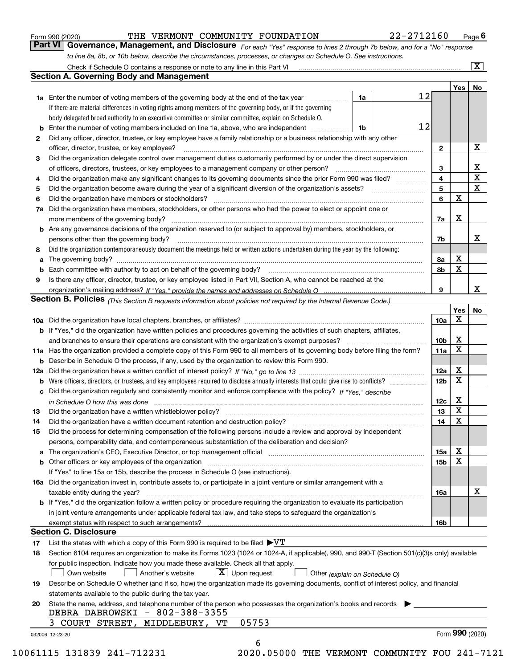|  | Form 990 (2020) |
|--|-----------------|
|  |                 |

#### THE VERMONT COMMUNITY FOUNDATION 22-2712160

*For each "Yes" response to lines 2 through 7b below, and for a "No" response to line 8a, 8b, or 10b below, describe the circumstances, processes, or changes on Schedule O. See instructions.* Form 990 (2020) **Form 990 (2020)** THE VERMONT COMMUNITY FOUNDATION 22-2712160 Page 6<br>**Part VI** | Governance, Management, and Disclosure *For each "Yes" response to lines 2 through 7b below, and for a "No" response* 

|    |                                                                                                                                                                            |    |    |                 | Yes   No    |             |
|----|----------------------------------------------------------------------------------------------------------------------------------------------------------------------------|----|----|-----------------|-------------|-------------|
|    | <b>1a</b> Enter the number of voting members of the governing body at the end of the tax year <i>manumum</i>                                                               | 1a | 12 |                 |             |             |
|    | If there are material differences in voting rights among members of the governing body, or if the governing                                                                |    |    |                 |             |             |
|    | body delegated broad authority to an executive committee or similar committee, explain on Schedule O.                                                                      |    |    |                 |             |             |
|    |                                                                                                                                                                            | 1b | 12 |                 |             |             |
| 2  | Did any officer, director, trustee, or key employee have a family relationship or a business relationship with any other                                                   |    |    |                 |             |             |
|    | officer, director, trustee, or key employee?                                                                                                                               |    |    | $\mathbf{2}$    |             | X           |
| 3  | Did the organization delegate control over management duties customarily performed by or under the direct supervision                                                      |    |    |                 |             |             |
|    |                                                                                                                                                                            |    |    | 3               |             | X           |
| 4  | Did the organization make any significant changes to its governing documents since the prior Form 990 was filed?                                                           |    |    | 4               |             | $\mathbf X$ |
| 5  |                                                                                                                                                                            |    |    | 5               |             | $\mathbf X$ |
| 6  | Did the organization have members or stockholders?                                                                                                                         |    |    | 6               | $\mathbf X$ |             |
|    | 7a Did the organization have members, stockholders, or other persons who had the power to elect or appoint one or                                                          |    |    |                 |             |             |
|    |                                                                                                                                                                            |    |    | 7a              | Х           |             |
|    | <b>b</b> Are any governance decisions of the organization reserved to (or subject to approval by) members, stockholders, or                                                |    |    |                 |             |             |
|    | persons other than the governing body?                                                                                                                                     |    |    | 7b              |             | х           |
| 8  | Did the organization contemporaneously document the meetings held or written actions undertaken during the year by the following:                                          |    |    |                 |             |             |
| a  |                                                                                                                                                                            |    |    | 8a              | X           |             |
|    |                                                                                                                                                                            |    |    | 8b              | $\mathbf X$ |             |
| 9  | Is there any officer, director, trustee, or key employee listed in Part VII, Section A, who cannot be reached at the                                                       |    |    |                 |             |             |
|    |                                                                                                                                                                            |    |    | 9               |             | x           |
|    | Section B. Policies <sub>(This</sub> Section B requests information about policies not required by the Internal Revenue Code.)                                             |    |    |                 |             |             |
|    |                                                                                                                                                                            |    |    |                 | Yes         | No          |
|    |                                                                                                                                                                            |    |    | <b>10a</b>      | $\mathbf X$ |             |
|    | <b>b</b> If "Yes," did the organization have written policies and procedures governing the activities of such chapters, affiliates,                                        |    |    |                 |             |             |
|    |                                                                                                                                                                            |    |    | 10 <sub>b</sub> | X           |             |
|    | 11a Has the organization provided a complete copy of this Form 990 to all members of its governing body before filing the form?                                            |    |    | 11a             | $\mathbf X$ |             |
|    | <b>b</b> Describe in Schedule O the process, if any, used by the organization to review this Form 990.                                                                     |    |    |                 |             |             |
|    |                                                                                                                                                                            |    |    | 12a             | X           |             |
| b  |                                                                                                                                                                            |    |    | 12 <sub>b</sub> | X           |             |
|    | c Did the organization regularly and consistently monitor and enforce compliance with the policy? If "Yes," describe                                                       |    |    |                 |             |             |
|    | in Schedule O how this was done measured and continuum control to the distribution of the state of the state o                                                             |    |    | 12c             | X           |             |
| 13 |                                                                                                                                                                            |    |    | 13              | $\mathbf X$ |             |
| 14 | Did the organization have a written document retention and destruction policy? manufactured and the organization have a written document retention and destruction policy? |    |    | 14              | $\mathbf X$ |             |
| 15 | Did the process for determining compensation of the following persons include a review and approval by independent                                                         |    |    |                 |             |             |
|    | persons, comparability data, and contemporaneous substantiation of the deliberation and decision?                                                                          |    |    |                 |             |             |
|    |                                                                                                                                                                            |    |    | 15a             | X           |             |
|    | <b>b</b> Other officers or key employees of the organization                                                                                                               |    |    | 15b             | X           |             |
|    | If "Yes" to line 15a or 15b, describe the process in Schedule O (see instructions).                                                                                        |    |    |                 |             |             |
|    | 16a Did the organization invest in, contribute assets to, or participate in a joint venture or similar arrangement with a                                                  |    |    |                 |             |             |
|    | taxable entity during the year?                                                                                                                                            |    |    | 16a             |             | х           |
|    | b If "Yes," did the organization follow a written policy or procedure requiring the organization to evaluate its participation                                             |    |    |                 |             |             |
|    | in joint venture arrangements under applicable federal tax law, and take steps to safeguard the organization's                                                             |    |    |                 |             |             |
|    | exempt status with respect to such arrangements?                                                                                                                           |    |    | <b>16b</b>      |             |             |
|    | <b>Section C. Disclosure</b>                                                                                                                                               |    |    |                 |             |             |
| 17 | List the states with which a copy of this Form 990 is required to be filed $\blacktriangleright\!\!\!\!\!\nabla T$                                                         |    |    |                 |             |             |
| 18 | Section 6104 requires an organization to make its Forms 1023 (1024 or 1024-A, if applicable), 990, and 990-T (Section 501(c)(3)s only) available                           |    |    |                 |             |             |
|    | for public inspection. Indicate how you made these available. Check all that apply.                                                                                        |    |    |                 |             |             |
|    | $X$ Upon request<br>Another's website<br>Own website<br>Other (explain on Schedule O)                                                                                      |    |    |                 |             |             |
| 19 | Describe on Schedule O whether (and if so, how) the organization made its governing documents, conflict of interest policy, and financial                                  |    |    |                 |             |             |
|    | statements available to the public during the tax year.                                                                                                                    |    |    |                 |             |             |
| 20 | State the name, address, and telephone number of the person who possesses the organization's books and records                                                             |    |    |                 |             |             |
|    | DEBRA DABROWSKI - 802-388-3355                                                                                                                                             |    |    |                 |             |             |
|    |                                                                                                                                                                            |    |    |                 |             |             |
|    | 05753<br>3 COURT STREET, MIDDLEBURY, VT                                                                                                                                    |    |    |                 |             |             |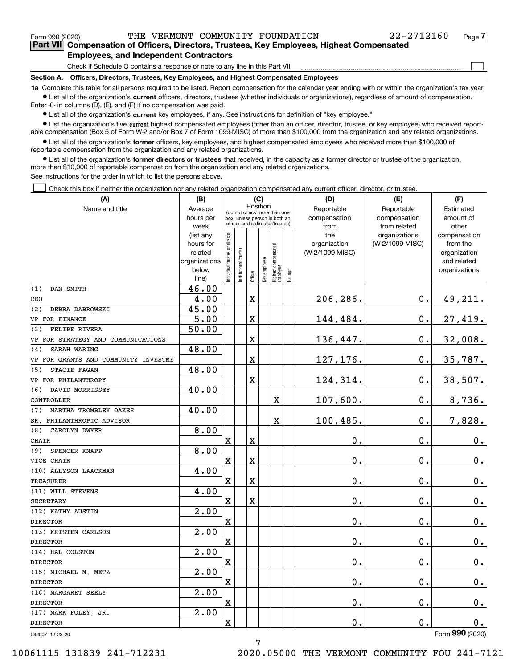$\mathcal{L}^{\text{max}}$ 

**7Part VII Compensation of Officers, Directors, Trustees, Key Employees, Highest Compensated Employees, and Independent Contractors**

Check if Schedule O contains a response or note to any line in this Part VII

**Section A. Officers, Directors, Trustees, Key Employees, and Highest Compensated Employees**

**1a**  Complete this table for all persons required to be listed. Report compensation for the calendar year ending with or within the organization's tax year. **•** List all of the organization's current officers, directors, trustees (whether individuals or organizations), regardless of amount of compensation.

Enter -0- in columns (D), (E), and (F) if no compensation was paid.

 $\bullet$  List all of the organization's  $\,$ current key employees, if any. See instructions for definition of "key employee."

**•** List the organization's five current highest compensated employees (other than an officer, director, trustee, or key employee) who received reportable compensation (Box 5 of Form W-2 and/or Box 7 of Form 1099-MISC) of more than \$100,000 from the organization and any related organizations.

**•** List all of the organization's former officers, key employees, and highest compensated employees who received more than \$100,000 of reportable compensation from the organization and any related organizations.

**former directors or trustees**  ¥ List all of the organization's that received, in the capacity as a former director or trustee of the organization, more than \$10,000 of reportable compensation from the organization and any related organizations.

See instructions for the order in which to list the persons above.

Check this box if neither the organization nor any related organization compensated any current officer, director, or trustee.  $\mathcal{L}^{\text{max}}$ 

| (A)                                  | (B)                    | (C)                           |                                                                  |             |                         |                                 |        | (D)                 | (E)                              | (F)                      |
|--------------------------------------|------------------------|-------------------------------|------------------------------------------------------------------|-------------|-------------------------|---------------------------------|--------|---------------------|----------------------------------|--------------------------|
| Name and title                       | Average                |                               | (do not check more than one                                      | Position    |                         |                                 |        | Reportable          | Reportable                       | Estimated                |
|                                      | hours per              |                               | box, unless person is both an<br>officer and a director/trustee) |             |                         |                                 |        | compensation        | compensation                     | amount of                |
|                                      | week                   |                               |                                                                  |             |                         |                                 |        | from                | from related                     | other                    |
|                                      | (list any<br>hours for |                               |                                                                  |             |                         |                                 |        | the<br>organization | organizations<br>(W-2/1099-MISC) | compensation<br>from the |
|                                      | related                |                               |                                                                  |             |                         |                                 |        | (W-2/1099-MISC)     |                                  | organization             |
|                                      | organizations          |                               |                                                                  |             |                         |                                 |        |                     |                                  | and related              |
|                                      | below                  | ndividual trustee or director | nstitutional trustee                                             |             |                         |                                 |        |                     |                                  | organizations            |
|                                      | line)                  |                               |                                                                  |             | Officer<br>Key employee | Highest compensated<br>employee | Former |                     |                                  |                          |
| DAN SMITH<br>(1)                     | 46.00                  |                               |                                                                  |             |                         |                                 |        |                     |                                  |                          |
| CEO                                  | 4.00                   |                               |                                                                  | $\mathbf X$ |                         |                                 |        | 206,286.            | $\mathbf 0$ .                    | <u>49,211.</u>           |
| (2)<br>DEBRA DABROWSKI               | 45.00                  |                               |                                                                  |             |                         |                                 |        |                     |                                  |                          |
| VP FOR FINANCE                       | 5.00                   |                               |                                                                  | $\mathbf X$ |                         |                                 |        | 144,484.            | $\mathbf 0$ .                    | 27,419.                  |
| <b>FELIPE RIVERA</b><br>(3)          | 50.00                  |                               |                                                                  |             |                         |                                 |        |                     |                                  |                          |
| VP FOR STRATEGY AND COMMUNICATIONS   |                        |                               |                                                                  | $\mathbf X$ |                         |                                 |        | 136,447.            | $\mathbf 0$ .                    | 32,008.                  |
| SARAH WARING<br>(4)                  | 48.00                  |                               |                                                                  |             |                         |                                 |        |                     |                                  |                          |
| VP FOR GRANTS AND COMMUNITY INVESTME |                        |                               |                                                                  | $\mathbf X$ |                         |                                 |        | 127, 176.           | $\mathbf 0$ .                    | 35,787.                  |
| STACIE FAGAN<br>(5)                  | 48.00                  |                               |                                                                  |             |                         |                                 |        |                     |                                  |                          |
| VP FOR PHILANTHROPY                  |                        |                               |                                                                  | $\mathbf X$ |                         |                                 |        | 124,314.            | $\mathbf 0$ .                    | 38,507.                  |
| DAVID MORRISSEY<br>(6)               | 40.00                  |                               |                                                                  |             |                         |                                 |        |                     |                                  |                          |
| CONTROLLER                           |                        |                               |                                                                  |             |                         | X                               |        | 107,600.            | $\mathbf 0$ .                    | 8,736.                   |
| MARTHA TROMBLEY OAKES<br>(7)         | 40.00                  |                               |                                                                  |             |                         |                                 |        |                     |                                  |                          |
| SR. PHILANTHROPIC ADVISOR            |                        |                               |                                                                  |             |                         | X                               |        | 100,485.            | $\mathbf 0$ .                    | 7,828.                   |
| (8)<br>CAROLYN DWYER                 | 8.00                   |                               |                                                                  |             |                         |                                 |        |                     |                                  |                          |
| <b>CHAIR</b>                         |                        | $\mathbf X$                   |                                                                  | $\mathbf X$ |                         |                                 |        | $\mathbf 0$ .       | 0.                               | 0.                       |
| SPENCER KNAPP<br>(9)                 | 8.00                   |                               |                                                                  |             |                         |                                 |        |                     |                                  |                          |
| VICE CHAIR                           |                        | $\mathbf X$                   |                                                                  | $\mathbf X$ |                         |                                 |        | $\mathbf 0$ .       | 0.                               | $0_{.}$                  |
| (10) ALLYSON LAACKMAN                | 4.00                   |                               |                                                                  |             |                         |                                 |        |                     |                                  |                          |
| <b>TREASURER</b>                     |                        | $\mathbf X$                   |                                                                  | $\mathbf X$ |                         |                                 |        | $\mathbf 0$ .       | 0.                               | $0_{.}$                  |
| (11) WILL STEVENS                    | 4.00                   |                               |                                                                  |             |                         |                                 |        |                     |                                  |                          |
| <b>SECRETARY</b>                     |                        | $\mathbf X$                   |                                                                  | $\mathbf X$ |                         |                                 |        | $\mathbf 0$ .       | 0.                               | $0_{.}$                  |
| (12) KATHY AUSTIN                    | $\overline{2.00}$      |                               |                                                                  |             |                         |                                 |        |                     |                                  |                          |
| <b>DIRECTOR</b>                      |                        | $\mathbf X$                   |                                                                  |             |                         |                                 |        | $\mathbf 0$ .       | 0.                               | $0_{.}$                  |
| (13) KRISTEN CARLSON                 | $\overline{2.00}$      |                               |                                                                  |             |                         |                                 |        |                     |                                  |                          |
| <b>DIRECTOR</b>                      |                        | $\mathbf X$                   |                                                                  |             |                         |                                 |        | $\mathbf 0$ .       | $\mathbf 0$ .                    | 0.                       |
| (14) HAL COLSTON                     | $\overline{2.00}$      |                               |                                                                  |             |                         |                                 |        |                     |                                  |                          |
| <b>DIRECTOR</b>                      |                        | $\mathbf X$                   |                                                                  |             |                         |                                 |        | $\mathbf 0$ .       | 0.                               | 0.                       |
| (15) MICHAEL M. METZ                 | $\overline{2.00}$      |                               |                                                                  |             |                         |                                 |        |                     |                                  |                          |
| <b>DIRECTOR</b>                      |                        | $\mathbf X$                   |                                                                  |             |                         |                                 |        | $\mathbf 0$ .       | $\mathbf 0$ .                    | $0_{\bullet}$            |
| (16) MARGARET SEELY                  | 2.00                   |                               |                                                                  |             |                         |                                 |        |                     |                                  |                          |
| DIRECTOR                             |                        | X                             |                                                                  |             |                         |                                 |        | $\mathbf 0$ .       | $\boldsymbol{0}$ .               | $0_{\cdot}$              |
| (17) MARK FOLEY, JR.                 | 2.00                   |                               |                                                                  |             |                         |                                 |        |                     |                                  |                          |
| DIRECTOR                             |                        | X                             |                                                                  |             |                         |                                 |        | $\mathbf 0$ .       | $\mathbf 0$ .                    | 0.                       |
| 032007 12-23-20                      |                        |                               |                                                                  |             |                         |                                 |        |                     |                                  | Form 990 (2020)          |

032007 12-23-20

10061115 131839 241-712231 2020.05000 THE VERMONT COMMUNITY FOU 241-7121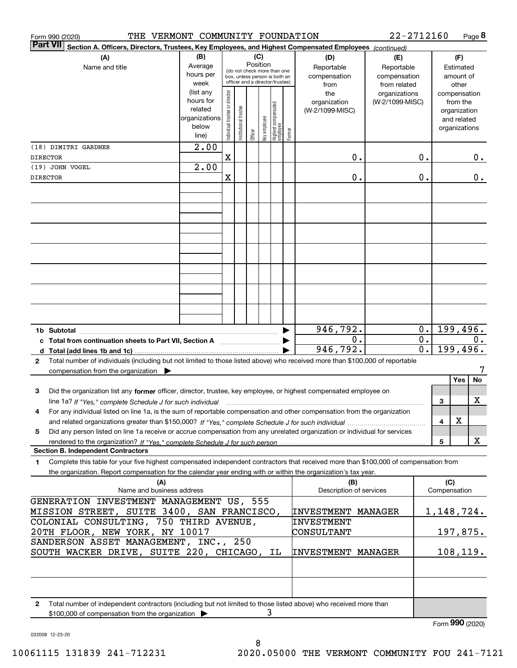| THE VERMONT COMMUNITY FOUNDATION<br>Form 990 (2020)                                                                                                                                                                                                               |                                                                      |                                |                       |          |              |                                                                                                 |        |                                                | 22-2712160                                       |                                                                          |                                        | Page 8         |
|-------------------------------------------------------------------------------------------------------------------------------------------------------------------------------------------------------------------------------------------------------------------|----------------------------------------------------------------------|--------------------------------|-----------------------|----------|--------------|-------------------------------------------------------------------------------------------------|--------|------------------------------------------------|--------------------------------------------------|--------------------------------------------------------------------------|----------------------------------------|----------------|
| <b>Part VII</b><br>Section A. Officers, Directors, Trustees, Key Employees, and Highest Compensated Employees (continued)                                                                                                                                         |                                                                      |                                |                       |          |              |                                                                                                 |        |                                                |                                                  |                                                                          |                                        |                |
| (A)<br>Name and title                                                                                                                                                                                                                                             | (B)<br>Average<br>hours per<br>week                                  |                                |                       | Position | (C)          | (do not check more than one<br>box, unless person is both an<br>officer and a director/trustee) |        | (D)<br>Reportable<br>compensation              | (E)<br>Reportable<br>compensation                |                                                                          | (F)<br>Estimated<br>amount of<br>other |                |
|                                                                                                                                                                                                                                                                   | (list any<br>hours for<br>related<br>organizations<br>below<br>line) | Individual trustee or director | Institutional trustee | Officer  | key employee | Highest compensated<br>employee                                                                 | Former | from<br>the<br>organization<br>(W-2/1099-MISC) | from related<br>organizations<br>(W-2/1099-MISC) | compensation<br>from the<br>organization<br>and related<br>organizations |                                        |                |
| (18) DIMITRI GARDNER                                                                                                                                                                                                                                              | 2.00                                                                 |                                |                       |          |              |                                                                                                 |        |                                                |                                                  |                                                                          |                                        |                |
| <b>DIRECTOR</b>                                                                                                                                                                                                                                                   |                                                                      | $\mathbf X$                    |                       |          |              |                                                                                                 |        | 0.                                             | 0.                                               |                                                                          |                                        | 0.             |
| (19) JOHN VOGEL                                                                                                                                                                                                                                                   | 2.00                                                                 |                                |                       |          |              |                                                                                                 |        |                                                |                                                  |                                                                          |                                        |                |
| <b>DIRECTOR</b>                                                                                                                                                                                                                                                   |                                                                      | $\mathbf X$                    |                       |          |              |                                                                                                 |        | 0.                                             | 0.                                               |                                                                          |                                        | 0.             |
|                                                                                                                                                                                                                                                                   |                                                                      |                                |                       |          |              |                                                                                                 |        |                                                |                                                  |                                                                          |                                        |                |
|                                                                                                                                                                                                                                                                   |                                                                      |                                |                       |          |              |                                                                                                 |        |                                                |                                                  |                                                                          |                                        |                |
|                                                                                                                                                                                                                                                                   |                                                                      |                                |                       |          |              |                                                                                                 |        |                                                |                                                  |                                                                          |                                        |                |
|                                                                                                                                                                                                                                                                   |                                                                      |                                |                       |          |              |                                                                                                 |        |                                                |                                                  |                                                                          |                                        |                |
| 1b Subtotal                                                                                                                                                                                                                                                       |                                                                      |                                |                       |          |              |                                                                                                 |        | 946,792.<br>0.                                 | 0.<br>$\overline{0}$ .                           |                                                                          |                                        | 199,496.<br>0. |
| d Total (add lines 1b and 1c).                                                                                                                                                                                                                                    |                                                                      |                                |                       |          |              |                                                                                                 |        | 946,792.                                       | $\overline{0}$ .                                 |                                                                          |                                        | 199,496.       |
| Total number of individuals (including but not limited to those listed above) who received more than \$100,000 of reportable<br>2<br>compensation from the organization $\blacktriangleright$                                                                     |                                                                      |                                |                       |          |              |                                                                                                 |        |                                                |                                                  |                                                                          |                                        | 7              |
|                                                                                                                                                                                                                                                                   |                                                                      |                                |                       |          |              |                                                                                                 |        |                                                |                                                  |                                                                          | Yes                                    | No             |
| з<br>Did the organization list any former officer, director, trustee, key employee, or highest compensated employee on<br>line 1a? If "Yes," complete Schedule J for such individual manufactured contained and the Ves," complete Schedule J for such individual |                                                                      |                                |                       |          |              |                                                                                                 |        |                                                |                                                  |                                                                          | 3                                      | х              |
| 4<br>For any individual listed on line 1a, is the sum of reportable compensation and other compensation from the organization                                                                                                                                     |                                                                      |                                |                       |          |              |                                                                                                 |        |                                                |                                                  |                                                                          | X<br>4                                 |                |
| Did any person listed on line 1a receive or accrue compensation from any unrelated organization or individual for services<br>5                                                                                                                                   |                                                                      |                                |                       |          |              |                                                                                                 |        |                                                |                                                  |                                                                          | 5                                      | X              |
| <b>Section B. Independent Contractors</b>                                                                                                                                                                                                                         |                                                                      |                                |                       |          |              |                                                                                                 |        |                                                |                                                  |                                                                          |                                        |                |
| Complete this table for your five highest compensated independent contractors that received more than \$100,000 of compensation from<br>1.                                                                                                                        |                                                                      |                                |                       |          |              |                                                                                                 |        |                                                |                                                  |                                                                          |                                        |                |
| the organization. Report compensation for the calendar year ending with or within the organization's tax year.<br>(A)                                                                                                                                             |                                                                      |                                |                       |          |              |                                                                                                 |        | (B)                                            |                                                  |                                                                          | (C)                                    |                |
| Name and business address                                                                                                                                                                                                                                         |                                                                      |                                |                       |          |              |                                                                                                 |        | Description of services                        |                                                  |                                                                          | Compensation                           |                |
| GENERATION INVESTMENT MANAGEMENT US, 555<br>MISSION STREET, SUITE 3400, SAN FRANCISCO,                                                                                                                                                                            |                                                                      |                                |                       |          |              |                                                                                                 |        | <b>INVESTMENT MANAGER</b>                      |                                                  |                                                                          |                                        | 1,148,724.     |
| COLONIAL CONSULTING, 750 THIRD AVENUE,<br>20TH FLOOR, NEW YORK, NY 10017                                                                                                                                                                                          |                                                                      |                                |                       |          |              |                                                                                                 |        | INVESTMENT<br>CONSULTANT                       |                                                  |                                                                          |                                        | 197,875.       |
| SANDERSON ASSET MANAGEMENT, INC., 250                                                                                                                                                                                                                             |                                                                      |                                |                       |          |              |                                                                                                 |        |                                                |                                                  |                                                                          |                                        |                |
| SOUTH WACKER DRIVE, SUITE 220, CHICAGO, IL                                                                                                                                                                                                                        |                                                                      |                                |                       |          |              |                                                                                                 |        | <b>INVESTMENT MANAGER</b>                      |                                                  |                                                                          |                                        | 108, 119.      |
|                                                                                                                                                                                                                                                                   |                                                                      |                                |                       |          |              |                                                                                                 |        |                                                |                                                  |                                                                          |                                        |                |
| Total number of independent contractors (including but not limited to those listed above) who received more than<br>2                                                                                                                                             |                                                                      |                                |                       |          | 3            |                                                                                                 |        |                                                |                                                  |                                                                          |                                        |                |
| \$100,000 of compensation from the organization >                                                                                                                                                                                                                 |                                                                      |                                |                       |          |              |                                                                                                 |        |                                                |                                                  |                                                                          |                                        |                |

032008 12-23-20

Form (2020) **990**

8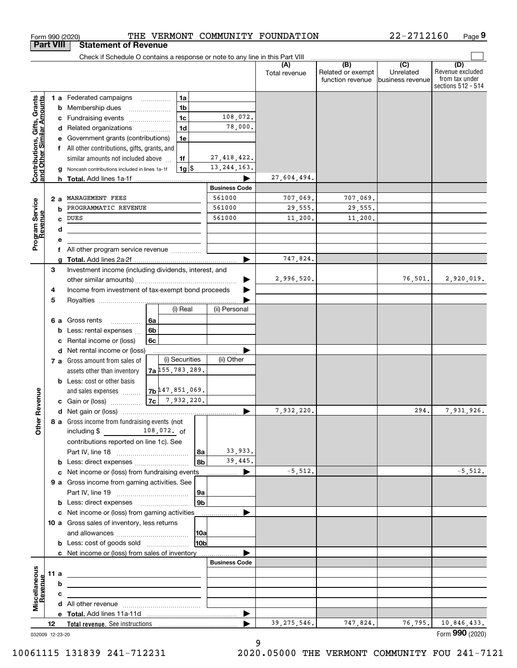|                                                           | <b>Part VIII</b> |    | <b>Statement of Revenue</b>                                                   |    |                                       |                |                      |                      |                                              |                                                 |                                                                 |
|-----------------------------------------------------------|------------------|----|-------------------------------------------------------------------------------|----|---------------------------------------|----------------|----------------------|----------------------|----------------------------------------------|-------------------------------------------------|-----------------------------------------------------------------|
|                                                           |                  |    | Check if Schedule O contains a response or note to any line in this Part VIII |    |                                       |                |                      |                      |                                              |                                                 |                                                                 |
|                                                           |                  |    |                                                                               |    |                                       |                |                      | (A)<br>Total revenue | (B)<br>Related or exempt<br>function revenue | $\overline{C}$<br>Unrelated<br>business revenue | (D)<br>Revenue excluded<br>from tax under<br>sections 512 - 514 |
|                                                           |                  |    | 1 a Federated campaigns                                                       |    | 1a                                    |                |                      |                      |                                              |                                                 |                                                                 |
| Contributions, Gifts, Grants<br>and Other Similar Amounts |                  |    | <b>b</b> Membership dues                                                      |    | 1 <sub>b</sub>                        |                |                      |                      |                                              |                                                 |                                                                 |
|                                                           |                  | c  | Fundraising events                                                            |    | 1 <sub>c</sub>                        |                | 108,072.             |                      |                                              |                                                 |                                                                 |
|                                                           |                  |    | d Related organizations                                                       |    | 1 <sub>d</sub>                        |                | 78,000.              |                      |                                              |                                                 |                                                                 |
|                                                           |                  |    | Government grants (contributions)                                             |    | 1e                                    |                |                      |                      |                                              |                                                 |                                                                 |
|                                                           |                  |    | All other contributions, gifts, grants, and                                   |    |                                       |                |                      |                      |                                              |                                                 |                                                                 |
|                                                           |                  |    | similar amounts not included above                                            |    | 1f                                    |                | 27, 418, 422.        |                      |                                              |                                                 |                                                                 |
|                                                           |                  |    | Noncash contributions included in lines 1a-1f                                 |    | $1g$ $\frac{1}{3}$                    |                | 13, 244, 163.        |                      |                                              |                                                 |                                                                 |
|                                                           |                  |    |                                                                               |    |                                       |                |                      | 27,604,494.          |                                              |                                                 |                                                                 |
|                                                           |                  |    |                                                                               |    |                                       |                | <b>Business Code</b> |                      |                                              |                                                 |                                                                 |
|                                                           | 2a               |    | MANAGEMENT FEES<br>PROGRAMMATIC REVENUE                                       |    |                                       |                | 561000<br>561000     | 707,069.             | 707,069.                                     |                                                 |                                                                 |
|                                                           |                  | b  | <b>DUES</b>                                                                   |    |                                       |                | 561000               | 29,555.<br>11,200.   | 29,555.<br>11,200.                           |                                                 |                                                                 |
|                                                           |                  | C  |                                                                               |    |                                       |                |                      |                      |                                              |                                                 |                                                                 |
| Program Service<br>Revenue                                |                  | d  |                                                                               |    |                                       |                |                      |                      |                                              |                                                 |                                                                 |
|                                                           |                  | f  | All other program service revenue                                             |    |                                       |                |                      |                      |                                              |                                                 |                                                                 |
|                                                           |                  |    |                                                                               |    |                                       |                |                      | 747,824.             |                                              |                                                 |                                                                 |
|                                                           | 3                |    | Investment income (including dividends, interest, and                         |    |                                       |                |                      |                      |                                              |                                                 |                                                                 |
|                                                           |                  |    |                                                                               |    |                                       |                |                      | 2,996,520.           |                                              | 76, 501.                                        | 2,920,019.                                                      |
|                                                           | 4                |    | Income from investment of tax-exempt bond proceeds                            |    |                                       |                |                      |                      |                                              |                                                 |                                                                 |
|                                                           | 5                |    |                                                                               |    |                                       |                |                      |                      |                                              |                                                 |                                                                 |
|                                                           |                  |    |                                                                               |    | (i) Real                              |                | (ii) Personal        |                      |                                              |                                                 |                                                                 |
|                                                           |                  | 6а | Gross rents<br>.                                                              | 6а |                                       |                |                      |                      |                                              |                                                 |                                                                 |
|                                                           |                  | b  | Less: rental expenses                                                         | 6b |                                       |                |                      |                      |                                              |                                                 |                                                                 |
|                                                           |                  | c  | Rental income or (loss)                                                       | 6c |                                       |                |                      |                      |                                              |                                                 |                                                                 |
|                                                           |                  |    | d Net rental income or (loss)                                                 |    |                                       |                |                      |                      |                                              |                                                 |                                                                 |
|                                                           |                  |    | 7 a Gross amount from sales of                                                |    | (i) Securities                        |                | (ii) Other           |                      |                                              |                                                 |                                                                 |
|                                                           |                  |    | assets other than inventory                                                   |    | $7a$ $\updownarrow$ 55, 783, 289.     |                |                      |                      |                                              |                                                 |                                                                 |
|                                                           |                  |    | <b>b</b> Less: cost or other basis                                            |    |                                       |                |                      |                      |                                              |                                                 |                                                                 |
| Revenue                                                   |                  |    | and sales expenses                                                            |    | 7b 47, 851, 069.<br>$ 7c $ 7,932,220. |                |                      |                      |                                              |                                                 |                                                                 |
|                                                           |                  |    | c Gain or (loss)                                                              |    |                                       |                |                      | 7,932,220.           |                                              | 294.                                            | 7,931,926.                                                      |
|                                                           |                  |    | 8 a Gross income from fundraising events (not                                 |    |                                       |                |                      |                      |                                              |                                                 |                                                                 |
| <b>Other</b>                                              |                  |    | including $$$                                                                 |    | 108,072. of                           |                |                      |                      |                                              |                                                 |                                                                 |
|                                                           |                  |    | contributions reported on line 1c). See                                       |    |                                       |                |                      |                      |                                              |                                                 |                                                                 |
|                                                           |                  |    |                                                                               |    |                                       | 8a             | 33,933.              |                      |                                              |                                                 |                                                                 |
|                                                           |                  |    | <b>b</b> Less: direct expenses                                                |    |                                       | 8 <sub>b</sub> | 39,445.              |                      |                                              |                                                 |                                                                 |
|                                                           |                  |    | c Net income or (loss) from fundraising events                                |    |                                       |                | ▶                    | $-5,512.$            |                                              |                                                 | $-5,512.$                                                       |
|                                                           |                  |    | 9 a Gross income from gaming activities. See                                  |    |                                       |                |                      |                      |                                              |                                                 |                                                                 |
|                                                           |                  |    |                                                                               |    |                                       | 9a             |                      |                      |                                              |                                                 |                                                                 |
|                                                           |                  |    |                                                                               |    |                                       | 9 <sub>b</sub> |                      |                      |                                              |                                                 |                                                                 |
|                                                           |                  |    | c Net income or (loss) from gaming activities                                 |    |                                       |                | .                    |                      |                                              |                                                 |                                                                 |
|                                                           |                  |    | 10 a Gross sales of inventory, less returns                                   |    |                                       |                |                      |                      |                                              |                                                 |                                                                 |
|                                                           |                  |    |                                                                               |    |                                       | 10a            |                      |                      |                                              |                                                 |                                                                 |
|                                                           |                  |    | <b>b</b> Less: cost of goods sold                                             |    |                                       | 10b            |                      |                      |                                              |                                                 |                                                                 |
|                                                           |                  |    | c Net income or (loss) from sales of inventory                                |    |                                       |                |                      |                      |                                              |                                                 |                                                                 |
|                                                           |                  |    |                                                                               |    |                                       |                | <b>Business Code</b> |                      |                                              |                                                 |                                                                 |
|                                                           | 11 a             |    | <u> 1989 - Johann Stein, mars an deus Amerikaansk kommunister (</u>           |    |                                       |                |                      |                      |                                              |                                                 |                                                                 |
| Miscellaneous<br>Revenue                                  |                  | b  |                                                                               |    |                                       |                |                      |                      |                                              |                                                 |                                                                 |
|                                                           |                  | с  |                                                                               |    |                                       |                |                      |                      |                                              |                                                 |                                                                 |
|                                                           |                  |    |                                                                               |    |                                       |                | ▶                    |                      |                                              |                                                 |                                                                 |
|                                                           | 12               |    |                                                                               |    |                                       |                |                      | 39, 275, 546.        | 747,824.                                     | 76,795.                                         | 10,846,433.                                                     |
| 032009 12-23-20                                           |                  |    |                                                                               |    |                                       |                |                      |                      |                                              |                                                 | Form 990 (2020)                                                 |

Form 990 (2020) 'I'HE' VERMON'I' COMMUNITY FOUNDATION 22--2712160 Page

THE VERMONT COMMUNITY FOUNDATION

**9**

22-2712160

9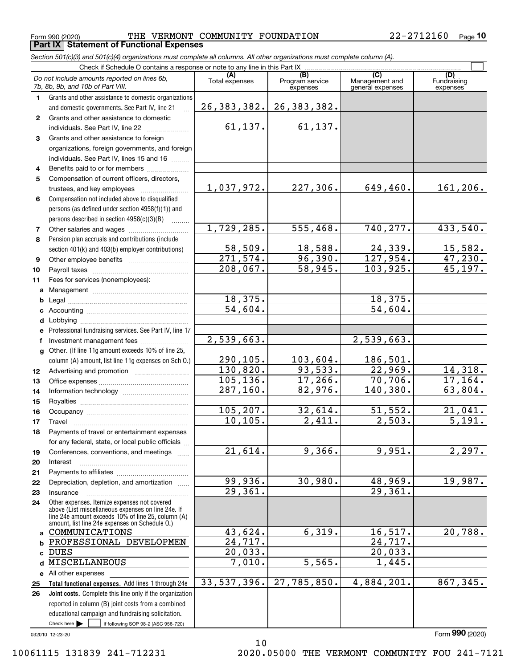$_{\rm Form}$  990 (2020) THE VERMONT COMMUNITY FOUNDATION  $22$ – $2712160$   $_{\rm Page}$ **Part IX Statement of Functional Expenses**

*Section 501(c)(3) and 501(c)(4) organizations must complete all columns. All other organizations must complete column (A).*

|              | Do not include amounts reported on lines 6b,<br>7b, 8b, 9b, and 10b of Part VIII.                        | (A)<br>Total expenses            | $\overline{(B)}$<br>Program service<br>expenses | $\overline{C}$<br>Management and<br>general expenses | (D)<br>Fundraising<br>expenses |  |  |  |  |  |  |  |
|--------------|----------------------------------------------------------------------------------------------------------|----------------------------------|-------------------------------------------------|------------------------------------------------------|--------------------------------|--|--|--|--|--|--|--|
| 1.           | Grants and other assistance to domestic organizations                                                    |                                  |                                                 |                                                      |                                |  |  |  |  |  |  |  |
|              | and domestic governments. See Part IV, line 21                                                           | 26, 383, 382.                    | 26, 383, 382.                                   |                                                      |                                |  |  |  |  |  |  |  |
| $\mathbf{2}$ | Grants and other assistance to domestic                                                                  |                                  |                                                 |                                                      |                                |  |  |  |  |  |  |  |
|              | individuals. See Part IV, line 22                                                                        | 61,137.                          | 61,137.                                         |                                                      |                                |  |  |  |  |  |  |  |
| 3            | Grants and other assistance to foreign                                                                   |                                  |                                                 |                                                      |                                |  |  |  |  |  |  |  |
|              | organizations, foreign governments, and foreign                                                          |                                  |                                                 |                                                      |                                |  |  |  |  |  |  |  |
|              | individuals. See Part IV, lines 15 and 16                                                                |                                  |                                                 |                                                      |                                |  |  |  |  |  |  |  |
| 4            | Benefits paid to or for members                                                                          |                                  |                                                 |                                                      |                                |  |  |  |  |  |  |  |
| 5            | Compensation of current officers, directors,                                                             |                                  |                                                 |                                                      |                                |  |  |  |  |  |  |  |
|              | trustees, and key employees                                                                              | 1,037,972.                       | 227,306.                                        | 649,460.                                             | 161,206.                       |  |  |  |  |  |  |  |
| 6            | Compensation not included above to disqualified                                                          |                                  |                                                 |                                                      |                                |  |  |  |  |  |  |  |
|              | persons (as defined under section 4958(f)(1)) and                                                        |                                  |                                                 |                                                      |                                |  |  |  |  |  |  |  |
|              | persons described in section 4958(c)(3)(B)                                                               |                                  |                                                 |                                                      |                                |  |  |  |  |  |  |  |
| 7            |                                                                                                          | 1,729,285.                       | 555,468.                                        | 740, 277.                                            | 433,540.                       |  |  |  |  |  |  |  |
| 8            | Pension plan accruals and contributions (include                                                         |                                  |                                                 |                                                      |                                |  |  |  |  |  |  |  |
|              | section 401(k) and 403(b) employer contributions)                                                        | 58,509.                          | 18,588.                                         | 24,339.                                              | 15,582.                        |  |  |  |  |  |  |  |
| 9            |                                                                                                          | 271,574.                         | 96,390.                                         | 127,954.                                             | 47,230.                        |  |  |  |  |  |  |  |
| 10           |                                                                                                          | 208,067.                         | 58,945.                                         | 103,925.                                             | 45, 197.                       |  |  |  |  |  |  |  |
| 11           | Fees for services (nonemployees):                                                                        |                                  |                                                 |                                                      |                                |  |  |  |  |  |  |  |
| a            |                                                                                                          |                                  |                                                 |                                                      |                                |  |  |  |  |  |  |  |
| b            |                                                                                                          | 18,375.<br>$\overline{54,604}$ . |                                                 | 18,375.                                              |                                |  |  |  |  |  |  |  |
| c            |                                                                                                          |                                  |                                                 | 54,604.                                              |                                |  |  |  |  |  |  |  |
| d            |                                                                                                          |                                  |                                                 |                                                      |                                |  |  |  |  |  |  |  |
| e            | Professional fundraising services. See Part IV, line 17                                                  | 2,539,663.                       |                                                 | 2,539,663.                                           |                                |  |  |  |  |  |  |  |
| f            | Investment management fees                                                                               |                                  |                                                 |                                                      |                                |  |  |  |  |  |  |  |
| q            | Other. (If line 11g amount exceeds 10% of line 25,                                                       | 290,105.                         | 103,604.                                        | 186,501.                                             |                                |  |  |  |  |  |  |  |
|              | column (A) amount, list line 11g expenses on Sch O.)                                                     | 130,820.                         | 93,533.                                         | 22,969.                                              | 14,318.                        |  |  |  |  |  |  |  |
| 12<br>13     |                                                                                                          | 105, 136.                        | 17,266.                                         | 70,706.                                              | 17, 164.                       |  |  |  |  |  |  |  |
| 14           |                                                                                                          | 287, 160.                        | 82,976.                                         | 140, 380.                                            | 63,804.                        |  |  |  |  |  |  |  |
| 15           |                                                                                                          |                                  |                                                 |                                                      |                                |  |  |  |  |  |  |  |
| 16           |                                                                                                          | 105, 207.                        | 32,614.                                         | 51,552.                                              | 21,041.                        |  |  |  |  |  |  |  |
| 17           | Travel                                                                                                   | 10, 105.                         | 2,411.                                          | 2,503.                                               | $\overline{5,191.}$            |  |  |  |  |  |  |  |
| 18           | Payments of travel or entertainment expenses                                                             |                                  |                                                 |                                                      |                                |  |  |  |  |  |  |  |
|              | for any federal, state, or local public officials                                                        |                                  |                                                 |                                                      |                                |  |  |  |  |  |  |  |
| 19           | Conferences, conventions, and meetings                                                                   | $\overline{21,614}$ .            | 9,366.                                          | 9,951.                                               | 2,297.                         |  |  |  |  |  |  |  |
| 20           | Interest                                                                                                 |                                  |                                                 |                                                      |                                |  |  |  |  |  |  |  |
| 21           |                                                                                                          |                                  |                                                 |                                                      |                                |  |  |  |  |  |  |  |
| 22           | Depreciation, depletion, and amortization                                                                | 99,936.                          | 30,980.                                         | 48,969.                                              | 19,987.                        |  |  |  |  |  |  |  |
| 23           | Insurance                                                                                                | 29,361.                          |                                                 | 29,361.                                              |                                |  |  |  |  |  |  |  |
| 24           | Other expenses. Itemize expenses not covered                                                             |                                  |                                                 |                                                      |                                |  |  |  |  |  |  |  |
|              | above (List miscellaneous expenses on line 24e. If<br>line 24e amount exceeds 10% of line 25, column (A) |                                  |                                                 |                                                      |                                |  |  |  |  |  |  |  |
|              | amount, list line 24e expenses on Schedule O.)                                                           |                                  |                                                 |                                                      |                                |  |  |  |  |  |  |  |
| a            | COMMUNICATIONS                                                                                           | 43,624.                          | 6,319.                                          | 16, 517.                                             | 20,788.                        |  |  |  |  |  |  |  |
| b            | PROFESSIONAL DEVELOPMEN                                                                                  | $\overline{24,717}$ .            |                                                 | 24,717.                                              |                                |  |  |  |  |  |  |  |
| C            | DUES                                                                                                     | 20,033.                          |                                                 | 20,033.                                              |                                |  |  |  |  |  |  |  |
| d            | MISCELLANEOUS                                                                                            | 7,010.                           | $\overline{5,565}$ .                            | 1,445.                                               |                                |  |  |  |  |  |  |  |
| е            | All other expenses                                                                                       | 33, 537, 396.                    | 27,785,850.                                     | 4,884,201.                                           | 867,345.                       |  |  |  |  |  |  |  |
| 25           | Total functional expenses. Add lines 1 through 24e                                                       |                                  |                                                 |                                                      |                                |  |  |  |  |  |  |  |
| 26           | Joint costs. Complete this line only if the organization                                                 |                                  |                                                 |                                                      |                                |  |  |  |  |  |  |  |
|              | reported in column (B) joint costs from a combined<br>educational campaign and fundraising solicitation. |                                  |                                                 |                                                      |                                |  |  |  |  |  |  |  |
|              | Check here $\blacktriangleright$<br>if following SOP 98-2 (ASC 958-720)                                  |                                  |                                                 |                                                      |                                |  |  |  |  |  |  |  |
|              |                                                                                                          |                                  |                                                 |                                                      |                                |  |  |  |  |  |  |  |

10

032010 12-23-20

Form (2020) **990**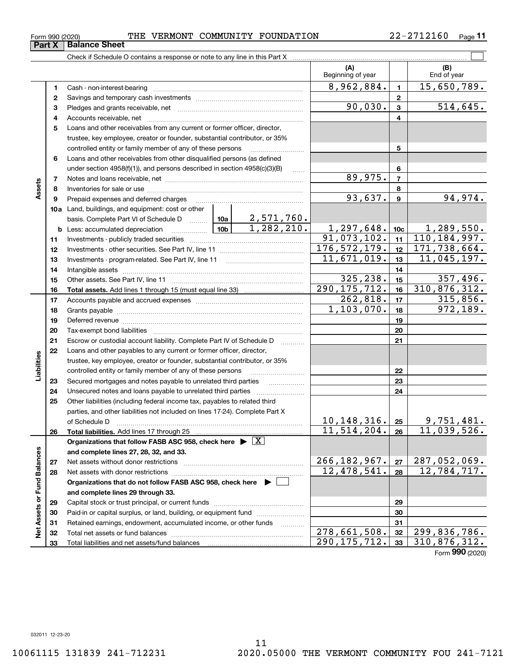Form (2020) **990**

**12**

**Part X** Balance Sheet

**45**

#### trustee, key employee, creator or founder, substantial contributor, or 35% controlled entity or family member of any of these persons ............................ **5**Loans and other receivables from other disqualified persons (as defined **6**under section  $4958(f)(1)$ , and persons described in section  $4958(c)(3)(B)$ **6**89,975. **77**Notes and loans receivable, net ~~~~~~~~~~~~~~~~~~~~~~~**Assets 88**Inventories for sale or use ~~~~~~~~~~~~~~~~~~~~~~~~~~  $93,637.$  94,974. **99**Prepaid expenses and deferred charges ~~~~~~~~~~~~~~~~~~ **10a**Land, buildings, and equipment: cost or other 2,571,760. basis. Complete Part VI of Schedule D will aller  $1,282,210.$  1,297,648. 10c 1,289,550. **10cb** Less: accumulated depreciation  $\ldots$  **10b**  $91,073,102.$  11  $110,184,997.$ **1111**Investments - publicly traded securities ~~~~~~~~~~~~~~~~~~~  $176,572,179.$  12 171,738,664. **1212**Investments - other securities. See Part IV, line 11 ~~~~~~~~~~~~~~  $11,671,019.$  | 13 | 11,045,197. **1313**Investments - program-related. See Part IV, line 11 [2010] [2010] [2010] [2010] [2010] [2010] [2010] [2010] [2 **1414**Intangible assets ~~~~~~~~~~~~~~~~~~~~~~~~~~~~~~  $325,238.$  15  $357,496.$ Other assets. See Part IV, line 11 ~~~~~~~~~~~~~~~~~~~~~~ **1515** $290, 175, 712. | 16 | 310, 876, 312.$ **1616Total assets.**  Add lines 1 through 15 (must equal line 33)  $262,818.$   $17$  | 315,856. **1717**Accounts payable and accrued expenses ~~~~~~~~~~~~~~~~~~ **18**1,103,070. 972,189. **18**Grants payable ~~~~~~~~~~~~~~~~~~~~~~~~~~~~~~~ **1919**Deferred revenue ~~~~~~~~~~~~~~~~~~~~~~~~~~~~~~**2020**Tax-exempt bond liabilities …………………………………………………………… Escrow or custodial account liability. Complete Part IV of Schedule D **212122**Loans and other payables to any current or former officer, director, iabilities **Liabilities** trustee, key employee, creator or founder, substantial contributor, or 35% controlled entity or family member of any of these persons ~~~~~~~~~**2223**Secured mortgages and notes payable to unrelated third parties **23**Unsecured notes and loans payable to unrelated third parties **242425**Other liabilities (including federal income tax, payables to related third parties, and other liabilities not included on lines 17-24). Complete Part X of Schedule D ~~~~~~~~~~~~~~~~~~~~~~~~~~~~~~~ 10,148,316. 9,751,481. **25** $11,514,204. |26 | 11,039,526.$ **2626Total liabilities.**  Add lines 17 through 25 **Organizations that follow FASB ASC 958, check here** | X Assets or Fund Balances **Net Assets or Fund Balances and complete lines 27, 28, 32, and 33.** 266,182,967. 287,052,069. **2727**Net assets without donor restrictions <sub>…………………………………………………</sub>…… 12,478,541. 12,784,717. **2828**Net assets with donor restrictions ~~~~~~~~~~~~~~~~~~~~~~**Organizations that do not follow FASB ASC 958, check here** | **and complete lines 29 through 33. 2929**Capital stock or trust principal, or current funds ~~~~~~~~~~~~~~~ **3030**Paid-in or capital surplus, or land, building, or equipment fund www.commun.com **3131**Retained earnings, endowment, accumulated income, or other funds www.com ξ Total net assets or fund balances ~~~~~~~~~~~~~~~~~~~~~~ 278,661,508. 32 299,836,786. **3232** $290, 175, 712.$  310,876,312. Total liabilities and net assets/fund balances **3333**

 $_{\rm Form}$  990 (2020) THE VERMONT COMMUNITY FOUNDATION  $22$ – $2712160$   $_{\rm Page}$ 

**3** Pledges and grants receivable, net  $\ldots$  **multimes contained and grants receivable**, net **multimes contained and grants receivable**, net **multimes contained and grants receivable** 

Cash - non-interest-bearing ~~~~~~~~~~~~~~~~~~~~~~~~~ Savings and temporary cash investments ~~~~~~~~~~~~~~~~~~

Accounts receivable, net ~~~~~~~~~~~~~~~~~~~~~~~~~~ Loans and other receivables from any current or former officer, director,

Check if Schedule O contains a response or note to any line in this Part X

22-2712160 Page 11

 $\mathcal{L}^{\text{max}}$ 

**(A) (B)**

Beginning of year | | End of year

 $8,962,884.$  1  $15,650,789.$ 

 $90,030$ .  $3$   $514,645$ .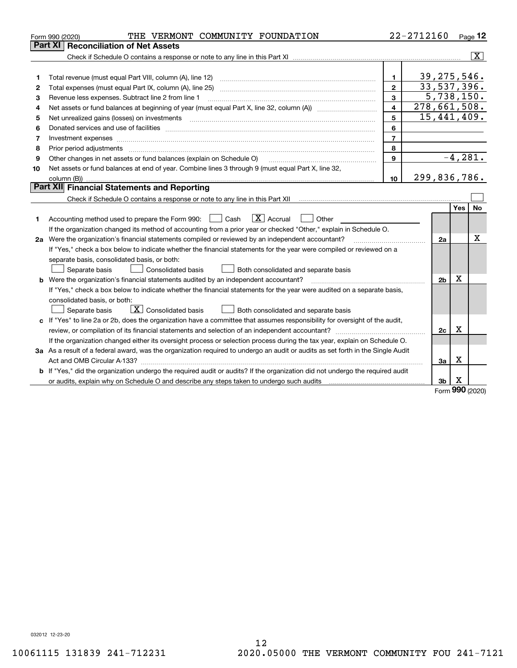|    | THE VERMONT COMMUNITY FOUNDATION<br>Form 990 (2020)                                                                                                                                                                            |                | 22-2712160   |                |                 | $Page$ 12               |
|----|--------------------------------------------------------------------------------------------------------------------------------------------------------------------------------------------------------------------------------|----------------|--------------|----------------|-----------------|-------------------------|
|    | <b>Part XI Reconciliation of Net Assets</b>                                                                                                                                                                                    |                |              |                |                 |                         |
|    |                                                                                                                                                                                                                                |                |              |                |                 | $\overline{\mathtt{x}}$ |
|    |                                                                                                                                                                                                                                |                |              |                |                 |                         |
| 1  |                                                                                                                                                                                                                                | $\mathbf{1}$   |              | 39, 275, 546.  |                 |                         |
| 2  |                                                                                                                                                                                                                                | $\overline{2}$ |              | 33,537,396.    |                 |                         |
| з  | Revenue less expenses. Subtract line 2 from line 1                                                                                                                                                                             | 3              |              | 5,738,150.     |                 |                         |
| 4  |                                                                                                                                                                                                                                | 4              | 278,661,508. |                |                 |                         |
| 5  | Net unrealized gains (losses) on investments                                                                                                                                                                                   | 5              |              | 15,441,409.    |                 |                         |
| 6  |                                                                                                                                                                                                                                | 6              |              |                |                 |                         |
| 7  |                                                                                                                                                                                                                                | $\overline{7}$ |              |                |                 |                         |
| 8  | Prior period adjustments material contents and content of the content of the content of the content of the content of the content of the content of the content of the content of the content of the content of the content of | 8              |              |                |                 |                         |
| 9  | Other changes in net assets or fund balances (explain on Schedule O)                                                                                                                                                           | $\mathbf{9}$   |              |                |                 | $-4,281.$               |
| 10 | Net assets or fund balances at end of year. Combine lines 3 through 9 (must equal Part X, line 32,                                                                                                                             |                |              |                |                 |                         |
|    |                                                                                                                                                                                                                                | 10             | 299,836,786. |                |                 |                         |
|    | Part XII Financial Statements and Reporting                                                                                                                                                                                    |                |              |                |                 |                         |
|    | Check if Schedule O contains a response or note to any line in this Part XII [11] [12] [12] [12] Check if Schedule O contains a response or note to any line in this Part XII                                                  |                |              |                |                 |                         |
|    |                                                                                                                                                                                                                                |                |              |                | Yes             | No                      |
| 1  | $\boxed{\mathbf{X}}$ Accrual<br>Accounting method used to prepare the Form 990: <u>June</u> Cash<br>Other                                                                                                                      |                |              |                |                 |                         |
|    | If the organization changed its method of accounting from a prior year or checked "Other," explain in Schedule O.                                                                                                              |                |              |                |                 |                         |
|    | 2a Were the organization's financial statements compiled or reviewed by an independent accountant?                                                                                                                             |                |              | 2a             |                 | х                       |
|    | If "Yes," check a box below to indicate whether the financial statements for the year were compiled or reviewed on a                                                                                                           |                |              |                |                 |                         |
|    | separate basis, consolidated basis, or both:                                                                                                                                                                                   |                |              |                |                 |                         |
|    | Separate basis<br>Consolidated basis<br>Both consolidated and separate basis                                                                                                                                                   |                |              |                |                 |                         |
|    | <b>b</b> Were the organization's financial statements audited by an independent accountant?                                                                                                                                    |                |              | 2 <sub>b</sub> | X               |                         |
|    | If "Yes," check a box below to indicate whether the financial statements for the year were audited on a separate basis,                                                                                                        |                |              |                |                 |                         |
|    | consolidated basis, or both:                                                                                                                                                                                                   |                |              |                |                 |                         |
|    | $\sqrt{\mathbf{X}}$ Consolidated basis<br>Both consolidated and separate basis<br>Separate basis                                                                                                                               |                |              |                |                 |                         |
|    | c If "Yes" to line 2a or 2b, does the organization have a committee that assumes responsibility for oversight of the audit,                                                                                                    |                |              |                |                 |                         |
|    |                                                                                                                                                                                                                                |                |              | 2c             | X               |                         |
|    | If the organization changed either its oversight process or selection process during the tax year, explain on Schedule O.                                                                                                      |                |              |                |                 |                         |
|    | 3a As a result of a federal award, was the organization required to undergo an audit or audits as set forth in the Single Audit                                                                                                |                |              |                |                 |                         |
|    |                                                                                                                                                                                                                                |                |              | За             | X               |                         |
|    | b If "Yes," did the organization undergo the required audit or audits? If the organization did not undergo the required audit                                                                                                  |                |              |                |                 |                         |
|    | or audits, explain why on Schedule O and describe any steps taken to undergo such audits [11] content to under                                                                                                                 |                |              | 3 <sub>b</sub> | х<br><u>nuu</u> |                         |

Form (2020) **990**

032012 12-23-20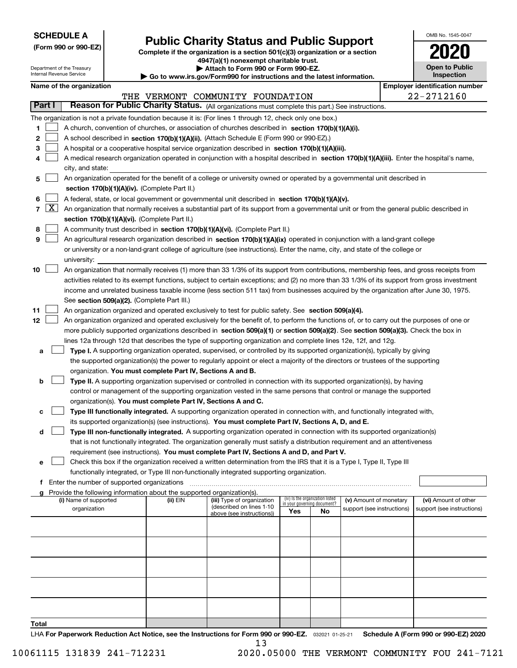| <b>SCHEDULE A</b> |
|-------------------|
|-------------------|

**(Form 990 or 990-EZ)**

# **Public Charity Status and Public Support**

**Complete if the organization is a section 501(c)(3) organization or a section 4947(a)(1) nonexempt charitable trust. | Attach to Form 990 or Form 990-EZ.** 

| U                                   |
|-------------------------------------|
| <b>Open to Public</b><br>Inspection |

OMB No. 1545-0047

| Department of the Treasury<br>Internal Revenue Service |            |                                                                                                                                                                                            |  | Attach to Form 990 or Form 990-EZ.<br>Go to www.irs.gov/Form990 for instructions and the latest information. |                                                                                                                                                                                                | <b>Open to Public</b><br>Inspection |                                                                |                            |  |                                       |  |  |  |
|--------------------------------------------------------|------------|--------------------------------------------------------------------------------------------------------------------------------------------------------------------------------------------|--|--------------------------------------------------------------------------------------------------------------|------------------------------------------------------------------------------------------------------------------------------------------------------------------------------------------------|-------------------------------------|----------------------------------------------------------------|----------------------------|--|---------------------------------------|--|--|--|
|                                                        |            | Name of the organization                                                                                                                                                                   |  |                                                                                                              |                                                                                                                                                                                                |                                     |                                                                |                            |  | <b>Employer identification number</b> |  |  |  |
|                                                        |            |                                                                                                                                                                                            |  |                                                                                                              | THE VERMONT COMMUNITY FOUNDATION                                                                                                                                                               |                                     |                                                                |                            |  | 22-2712160                            |  |  |  |
| Part I                                                 |            |                                                                                                                                                                                            |  |                                                                                                              | Reason for Public Charity Status. (All organizations must complete this part.) See instructions.                                                                                               |                                     |                                                                |                            |  |                                       |  |  |  |
|                                                        |            |                                                                                                                                                                                            |  |                                                                                                              | The organization is not a private foundation because it is: (For lines 1 through 12, check only one box.)                                                                                      |                                     |                                                                |                            |  |                                       |  |  |  |
|                                                        |            |                                                                                                                                                                                            |  |                                                                                                              |                                                                                                                                                                                                |                                     |                                                                |                            |  |                                       |  |  |  |
| 1                                                      |            |                                                                                                                                                                                            |  |                                                                                                              | A church, convention of churches, or association of churches described in section 170(b)(1)(A)(i).                                                                                             |                                     |                                                                |                            |  |                                       |  |  |  |
| 2                                                      |            |                                                                                                                                                                                            |  |                                                                                                              | A school described in section 170(b)(1)(A)(ii). (Attach Schedule E (Form 990 or 990-EZ).)<br>A hospital or a cooperative hospital service organization described in section 170(b)(1)(A)(iii). |                                     |                                                                |                            |  |                                       |  |  |  |
| 3                                                      |            |                                                                                                                                                                                            |  |                                                                                                              | A medical research organization operated in conjunction with a hospital described in section 170(b)(1)(A)(iii). Enter the hospital's name,                                                     |                                     |                                                                |                            |  |                                       |  |  |  |
| 4                                                      |            |                                                                                                                                                                                            |  |                                                                                                              |                                                                                                                                                                                                |                                     |                                                                |                            |  |                                       |  |  |  |
|                                                        |            | city, and state:                                                                                                                                                                           |  |                                                                                                              |                                                                                                                                                                                                |                                     |                                                                |                            |  |                                       |  |  |  |
| 5                                                      |            | An organization operated for the benefit of a college or university owned or operated by a governmental unit described in<br>section 170(b)(1)(A)(iv). (Complete Part II.)                 |  |                                                                                                              |                                                                                                                                                                                                |                                     |                                                                |                            |  |                                       |  |  |  |
|                                                        |            | A federal, state, or local government or governmental unit described in section 170(b)(1)(A)(v).                                                                                           |  |                                                                                                              |                                                                                                                                                                                                |                                     |                                                                |                            |  |                                       |  |  |  |
| 6                                                      | $7 \times$ |                                                                                                                                                                                            |  |                                                                                                              |                                                                                                                                                                                                |                                     |                                                                |                            |  |                                       |  |  |  |
|                                                        |            | An organization that normally receives a substantial part of its support from a governmental unit or from the general public described in<br>section 170(b)(1)(A)(vi). (Complete Part II.) |  |                                                                                                              |                                                                                                                                                                                                |                                     |                                                                |                            |  |                                       |  |  |  |
| 8                                                      |            |                                                                                                                                                                                            |  |                                                                                                              | A community trust described in section 170(b)(1)(A)(vi). (Complete Part II.)                                                                                                                   |                                     |                                                                |                            |  |                                       |  |  |  |
| 9                                                      |            |                                                                                                                                                                                            |  |                                                                                                              | An agricultural research organization described in section 170(b)(1)(A)(ix) operated in conjunction with a land-grant college                                                                  |                                     |                                                                |                            |  |                                       |  |  |  |
|                                                        |            |                                                                                                                                                                                            |  |                                                                                                              |                                                                                                                                                                                                |                                     |                                                                |                            |  |                                       |  |  |  |
|                                                        |            | or university or a non-land-grant college of agriculture (see instructions). Enter the name, city, and state of the college or<br>university:                                              |  |                                                                                                              |                                                                                                                                                                                                |                                     |                                                                |                            |  |                                       |  |  |  |
| 10                                                     |            |                                                                                                                                                                                            |  |                                                                                                              |                                                                                                                                                                                                |                                     |                                                                |                            |  |                                       |  |  |  |
|                                                        |            | An organization that normally receives (1) more than 33 1/3% of its support from contributions, membership fees, and gross receipts from                                                   |  |                                                                                                              |                                                                                                                                                                                                |                                     |                                                                |                            |  |                                       |  |  |  |
|                                                        |            | activities related to its exempt functions, subject to certain exceptions; and (2) no more than 33 1/3% of its support from gross investment                                               |  |                                                                                                              |                                                                                                                                                                                                |                                     |                                                                |                            |  |                                       |  |  |  |
|                                                        |            | income and unrelated business taxable income (less section 511 tax) from businesses acquired by the organization after June 30, 1975.<br>See section 509(a)(2). (Complete Part III.)       |  |                                                                                                              |                                                                                                                                                                                                |                                     |                                                                |                            |  |                                       |  |  |  |
| 11                                                     |            | An organization organized and operated exclusively to test for public safety. See section 509(a)(4).                                                                                       |  |                                                                                                              |                                                                                                                                                                                                |                                     |                                                                |                            |  |                                       |  |  |  |
| $12 \,$                                                |            |                                                                                                                                                                                            |  |                                                                                                              | An organization organized and operated exclusively for the benefit of, to perform the functions of, or to carry out the purposes of one or                                                     |                                     |                                                                |                            |  |                                       |  |  |  |
|                                                        |            |                                                                                                                                                                                            |  |                                                                                                              | more publicly supported organizations described in section 509(a)(1) or section 509(a)(2). See section 509(a)(3). Check the box in                                                             |                                     |                                                                |                            |  |                                       |  |  |  |
|                                                        |            |                                                                                                                                                                                            |  |                                                                                                              | lines 12a through 12d that describes the type of supporting organization and complete lines 12e, 12f, and 12g.                                                                                 |                                     |                                                                |                            |  |                                       |  |  |  |
| а                                                      |            |                                                                                                                                                                                            |  |                                                                                                              | Type I. A supporting organization operated, supervised, or controlled by its supported organization(s), typically by giving                                                                    |                                     |                                                                |                            |  |                                       |  |  |  |
|                                                        |            |                                                                                                                                                                                            |  |                                                                                                              | the supported organization(s) the power to regularly appoint or elect a majority of the directors or trustees of the supporting                                                                |                                     |                                                                |                            |  |                                       |  |  |  |
|                                                        |            |                                                                                                                                                                                            |  | organization. You must complete Part IV, Sections A and B.                                                   |                                                                                                                                                                                                |                                     |                                                                |                            |  |                                       |  |  |  |
| b                                                      |            |                                                                                                                                                                                            |  |                                                                                                              | Type II. A supporting organization supervised or controlled in connection with its supported organization(s), by having                                                                        |                                     |                                                                |                            |  |                                       |  |  |  |
|                                                        |            |                                                                                                                                                                                            |  |                                                                                                              | control or management of the supporting organization vested in the same persons that control or manage the supported                                                                           |                                     |                                                                |                            |  |                                       |  |  |  |
|                                                        |            |                                                                                                                                                                                            |  |                                                                                                              | organization(s). You must complete Part IV, Sections A and C.                                                                                                                                  |                                     |                                                                |                            |  |                                       |  |  |  |
| c                                                      |            |                                                                                                                                                                                            |  |                                                                                                              | Type III functionally integrated. A supporting organization operated in connection with, and functionally integrated with,                                                                     |                                     |                                                                |                            |  |                                       |  |  |  |
|                                                        |            |                                                                                                                                                                                            |  |                                                                                                              | its supported organization(s) (see instructions). You must complete Part IV, Sections A, D, and E.                                                                                             |                                     |                                                                |                            |  |                                       |  |  |  |
| d                                                      |            |                                                                                                                                                                                            |  |                                                                                                              | Type III non-functionally integrated. A supporting organization operated in connection with its supported organization(s)                                                                      |                                     |                                                                |                            |  |                                       |  |  |  |
|                                                        |            |                                                                                                                                                                                            |  |                                                                                                              | that is not functionally integrated. The organization generally must satisfy a distribution requirement and an attentiveness                                                                   |                                     |                                                                |                            |  |                                       |  |  |  |
|                                                        |            |                                                                                                                                                                                            |  |                                                                                                              | requirement (see instructions). You must complete Part IV, Sections A and D, and Part V.                                                                                                       |                                     |                                                                |                            |  |                                       |  |  |  |
| е                                                      |            |                                                                                                                                                                                            |  |                                                                                                              | Check this box if the organization received a written determination from the IRS that it is a Type I, Type II, Type III                                                                        |                                     |                                                                |                            |  |                                       |  |  |  |
|                                                        |            |                                                                                                                                                                                            |  |                                                                                                              | functionally integrated, or Type III non-functionally integrated supporting organization.                                                                                                      |                                     |                                                                |                            |  |                                       |  |  |  |
|                                                        |            | <b>f</b> Enter the number of supported organizations                                                                                                                                       |  |                                                                                                              |                                                                                                                                                                                                |                                     |                                                                |                            |  |                                       |  |  |  |
| a                                                      |            |                                                                                                                                                                                            |  | Provide the following information about the supported organization(s).                                       |                                                                                                                                                                                                |                                     |                                                                |                            |  |                                       |  |  |  |
|                                                        |            | (i) Name of supported                                                                                                                                                                      |  | (ii) EIN                                                                                                     | (iii) Type of organization<br>(described on lines 1-10                                                                                                                                         |                                     | (iv) Is the organization listed<br>in your governing document? | (v) Amount of monetary     |  | (vi) Amount of other                  |  |  |  |
|                                                        |            | organization                                                                                                                                                                               |  |                                                                                                              | above (see instructions))                                                                                                                                                                      | Yes                                 | No                                                             | support (see instructions) |  | support (see instructions)            |  |  |  |
|                                                        |            |                                                                                                                                                                                            |  |                                                                                                              |                                                                                                                                                                                                |                                     |                                                                |                            |  |                                       |  |  |  |
|                                                        |            |                                                                                                                                                                                            |  |                                                                                                              |                                                                                                                                                                                                |                                     |                                                                |                            |  |                                       |  |  |  |
|                                                        |            |                                                                                                                                                                                            |  |                                                                                                              |                                                                                                                                                                                                |                                     |                                                                |                            |  |                                       |  |  |  |
|                                                        |            |                                                                                                                                                                                            |  |                                                                                                              |                                                                                                                                                                                                |                                     |                                                                |                            |  |                                       |  |  |  |
|                                                        |            |                                                                                                                                                                                            |  |                                                                                                              |                                                                                                                                                                                                |                                     |                                                                |                            |  |                                       |  |  |  |
|                                                        |            |                                                                                                                                                                                            |  |                                                                                                              |                                                                                                                                                                                                |                                     |                                                                |                            |  |                                       |  |  |  |
|                                                        |            |                                                                                                                                                                                            |  |                                                                                                              |                                                                                                                                                                                                |                                     |                                                                |                            |  |                                       |  |  |  |
|                                                        |            |                                                                                                                                                                                            |  |                                                                                                              |                                                                                                                                                                                                |                                     |                                                                |                            |  |                                       |  |  |  |
|                                                        |            |                                                                                                                                                                                            |  |                                                                                                              |                                                                                                                                                                                                |                                     |                                                                |                            |  |                                       |  |  |  |
|                                                        |            |                                                                                                                                                                                            |  |                                                                                                              |                                                                                                                                                                                                |                                     |                                                                |                            |  |                                       |  |  |  |

**Total**

LHA For Paperwork Reduction Act Notice, see the Instructions for Form 990 or 990-EZ. <sub>032021</sub> o1-25-21 Schedule A (Form 990 or 990-EZ) 2020 13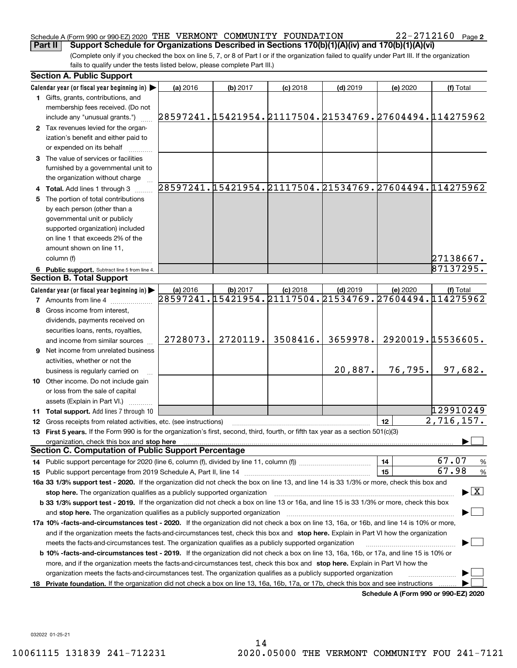#### Schedule A (Form 990 or 990-EZ) 2020 Page THE VERMONT COMMUNITY FOUNDATION 22-2712160 **Part II Support Schedule for Organizations Described in Sections 170(b)(1)(A)(iv) and 170(b)(1)(A)(vi)**

(Complete only if you checked the box on line 5, 7, or 8 of Part I or if the organization failed to qualify under Part III. If the organization fails to qualify under the tests listed below, please complete Part III.)

|     | <b>Section A. Public Support</b>                                                                                                               |          |          |            |            |          |                                                        |
|-----|------------------------------------------------------------------------------------------------------------------------------------------------|----------|----------|------------|------------|----------|--------------------------------------------------------|
|     | Calendar year (or fiscal year beginning in)                                                                                                    | (a) 2016 | (b) 2017 | $(c)$ 2018 | $(d)$ 2019 | (e) 2020 | (f) Total                                              |
|     | 1 Gifts, grants, contributions, and                                                                                                            |          |          |            |            |          |                                                        |
|     | membership fees received. (Do not                                                                                                              |          |          |            |            |          |                                                        |
|     | include any "unusual grants.")                                                                                                                 |          |          |            |            |          | 28597241.15421954.21117504.21534769.27604494.114275962 |
|     | 2 Tax revenues levied for the organ-                                                                                                           |          |          |            |            |          |                                                        |
|     | ization's benefit and either paid to                                                                                                           |          |          |            |            |          |                                                        |
|     | or expended on its behalf                                                                                                                      |          |          |            |            |          |                                                        |
|     | 3 The value of services or facilities                                                                                                          |          |          |            |            |          |                                                        |
|     | furnished by a governmental unit to                                                                                                            |          |          |            |            |          |                                                        |
|     | the organization without charge                                                                                                                |          |          |            |            |          |                                                        |
|     | 4 Total. Add lines 1 through 3                                                                                                                 |          |          |            |            |          | 28597241.15421954.21117504.21534769.27604494.114275962 |
|     | 5 The portion of total contributions                                                                                                           |          |          |            |            |          |                                                        |
|     | by each person (other than a                                                                                                                   |          |          |            |            |          |                                                        |
|     | governmental unit or publicly                                                                                                                  |          |          |            |            |          |                                                        |
|     | supported organization) included                                                                                                               |          |          |            |            |          |                                                        |
|     | on line 1 that exceeds 2% of the                                                                                                               |          |          |            |            |          |                                                        |
|     | amount shown on line 11,                                                                                                                       |          |          |            |            |          |                                                        |
|     | column (f)                                                                                                                                     |          |          |            |            |          | 27138667.                                              |
|     | 6 Public support. Subtract line 5 from line 4.                                                                                                 |          |          |            |            |          | 87137295.                                              |
|     | <b>Section B. Total Support</b>                                                                                                                |          |          |            |            |          |                                                        |
|     | Calendar year (or fiscal year beginning in)                                                                                                    | (a) 2016 | (b) 2017 | $(c)$ 2018 | $(d)$ 2019 | (e) 2020 | (f) Total                                              |
|     | <b>7</b> Amounts from line 4                                                                                                                   |          |          |            |            |          | 28597241.15421954.21117504.21534769.27604494.114275962 |
|     | 8 Gross income from interest,                                                                                                                  |          |          |            |            |          |                                                        |
|     | dividends, payments received on                                                                                                                |          |          |            |            |          |                                                        |
|     | securities loans, rents, royalties,                                                                                                            |          |          |            |            |          |                                                        |
|     | and income from similar sources                                                                                                                | 2728073. | 2720119. | 3508416.   | 3659978.   |          | 2920019.15536605.                                      |
|     | <b>9</b> Net income from unrelated business                                                                                                    |          |          |            |            |          |                                                        |
|     | activities, whether or not the                                                                                                                 |          |          |            |            |          |                                                        |
|     | business is regularly carried on                                                                                                               |          |          |            | 20,887.    | 76, 795. | 97,682.                                                |
|     | 10 Other income. Do not include gain                                                                                                           |          |          |            |            |          |                                                        |
|     | or loss from the sale of capital                                                                                                               |          |          |            |            |          |                                                        |
|     | assets (Explain in Part VI.) <b>Constant</b>                                                                                                   |          |          |            |            |          |                                                        |
|     | <b>11 Total support.</b> Add lines 7 through 10                                                                                                |          |          |            |            |          | 129910249                                              |
|     | 12 Gross receipts from related activities, etc. (see instructions)                                                                             |          |          |            |            | 12       | $\overline{2,716,157}$ .                               |
|     | 13 First 5 years. If the Form 990 is for the organization's first, second, third, fourth, or fifth tax year as a section 501(c)(3)             |          |          |            |            |          |                                                        |
|     | organization, check this box and stop here                                                                                                     |          |          |            |            |          |                                                        |
|     | <b>Section C. Computation of Public Support Percentage</b>                                                                                     |          |          |            |            |          |                                                        |
|     | 14 Public support percentage for 2020 (line 6, column (f), divided by line 11, column (f) <i>mummumumum</i>                                    |          |          |            |            | 14       | 67.07<br>%                                             |
|     |                                                                                                                                                |          |          |            |            | 15       | 67.98<br>%                                             |
|     | 16a 33 1/3% support test - 2020. If the organization did not check the box on line 13, and line 14 is 33 1/3% or more, check this box and      |          |          |            |            |          |                                                        |
|     | stop here. The organization qualifies as a publicly supported organization                                                                     |          |          |            |            |          | $\blacktriangleright$ $\mid$ X                         |
|     | b 33 1/3% support test - 2019. If the organization did not check a box on line 13 or 16a, and line 15 is 33 1/3% or more, check this box       |          |          |            |            |          |                                                        |
|     | and stop here. The organization qualifies as a publicly supported organization                                                                 |          |          |            |            |          |                                                        |
|     | 17a 10% -facts-and-circumstances test - 2020. If the organization did not check a box on line 13, 16a, or 16b, and line 14 is 10% or more,     |          |          |            |            |          |                                                        |
|     | and if the organization meets the facts and circumstances test, check this box and stop here. Explain in Part VI how the organization          |          |          |            |            |          |                                                        |
|     | meets the facts-and-circumstances test. The organization qualifies as a publicly supported organization                                        |          |          |            |            |          |                                                        |
|     | <b>b 10% -facts-and-circumstances test - 2019.</b> If the organization did not check a box on line 13, 16a, 16b, or 17a, and line 15 is 10% or |          |          |            |            |          |                                                        |
|     | more, and if the organization meets the facts-and-circumstances test, check this box and stop here. Explain in Part VI how the                 |          |          |            |            |          |                                                        |
|     | organization meets the facts-and-circumstances test. The organization qualifies as a publicly supported organization                           |          |          |            |            |          |                                                        |
| 18. | Private foundation. If the organization did not check a box on line 13, 16a, 16b, 17a, or 17b, check this box and see instructions             |          |          |            |            |          |                                                        |
|     |                                                                                                                                                |          |          |            |            |          | Schedule A (Form 990 or 990-F7) 2020                   |

**Schedule A (Form 990 or 990-EZ) 2020**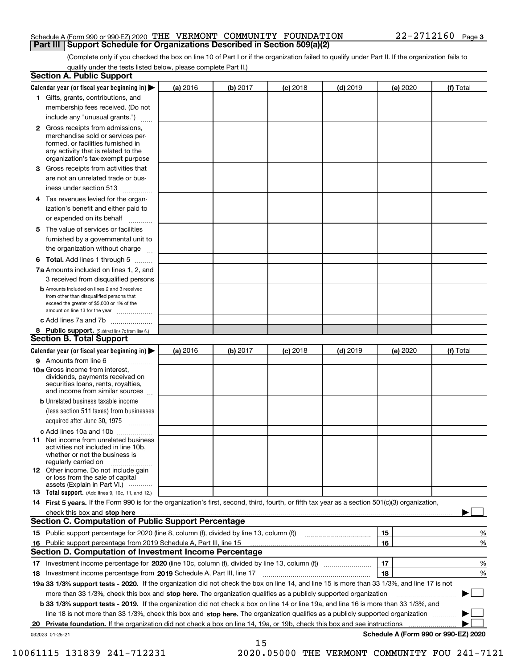#### Schedule A (Form 990 or 990-EZ) 2020 Page THE VERMONT COMMUNITY FOUNDATION 22-2712160 **Part III Support Schedule for Organizations Described in Section 509(a)(2)**

(Complete only if you checked the box on line 10 of Part I or if the organization failed to qualify under Part II. If the organization fails to qualify under the tests listed below, please complete Part II.)

|    | <b>Section A. Public Support</b>                                                                                                                                                                |          |          |            |            |          |                                      |
|----|-------------------------------------------------------------------------------------------------------------------------------------------------------------------------------------------------|----------|----------|------------|------------|----------|--------------------------------------|
|    | Calendar year (or fiscal year beginning in) $\blacktriangleright$                                                                                                                               | (a) 2016 | (b) 2017 | $(c)$ 2018 | $(d)$ 2019 | (e) 2020 | (f) Total                            |
|    | 1 Gifts, grants, contributions, and                                                                                                                                                             |          |          |            |            |          |                                      |
|    | membership fees received. (Do not                                                                                                                                                               |          |          |            |            |          |                                      |
|    | include any "unusual grants.")                                                                                                                                                                  |          |          |            |            |          |                                      |
|    | <b>2</b> Gross receipts from admissions,<br>merchandise sold or services per-<br>formed, or facilities furnished in<br>any activity that is related to the<br>organization's tax-exempt purpose |          |          |            |            |          |                                      |
|    | 3 Gross receipts from activities that<br>are not an unrelated trade or bus-                                                                                                                     |          |          |            |            |          |                                      |
|    | iness under section 513                                                                                                                                                                         |          |          |            |            |          |                                      |
|    | 4 Tax revenues levied for the organ-<br>ization's benefit and either paid to                                                                                                                    |          |          |            |            |          |                                      |
|    | or expended on its behalf                                                                                                                                                                       |          |          |            |            |          |                                      |
|    | 5 The value of services or facilities<br>furnished by a governmental unit to                                                                                                                    |          |          |            |            |          |                                      |
|    | the organization without charge                                                                                                                                                                 |          |          |            |            |          |                                      |
|    | <b>6 Total.</b> Add lines 1 through 5                                                                                                                                                           |          |          |            |            |          |                                      |
|    | 7a Amounts included on lines 1, 2, and<br>3 received from disqualified persons                                                                                                                  |          |          |            |            |          |                                      |
|    | <b>b</b> Amounts included on lines 2 and 3 received<br>from other than disqualified persons that<br>exceed the greater of \$5,000 or 1% of the<br>amount on line 13 for the year                |          |          |            |            |          |                                      |
|    | c Add lines 7a and 7b                                                                                                                                                                           |          |          |            |            |          |                                      |
|    | 8 Public support. (Subtract line 7c from line 6.)<br><b>Section B. Total Support</b>                                                                                                            |          |          |            |            |          |                                      |
|    | Calendar year (or fiscal year beginning in)                                                                                                                                                     | (a) 2016 | (b) 2017 | $(c)$ 2018 | $(d)$ 2019 | (e) 2020 | (f) Total                            |
|    | 9 Amounts from line 6                                                                                                                                                                           |          |          |            |            |          |                                      |
|    | <b>10a</b> Gross income from interest,<br>dividends, payments received on<br>securities loans, rents, royalties,<br>and income from similar sources                                             |          |          |            |            |          |                                      |
|    | <b>b</b> Unrelated business taxable income<br>(less section 511 taxes) from businesses                                                                                                          |          |          |            |            |          |                                      |
|    | acquired after June 30, 1975                                                                                                                                                                    |          |          |            |            |          |                                      |
|    | c Add lines 10a and 10b                                                                                                                                                                         |          |          |            |            |          |                                      |
|    | 11 Net income from unrelated business<br>activities not included in line 10b,<br>whether or not the business is<br>regularly carried on                                                         |          |          |            |            |          |                                      |
|    | 12 Other income. Do not include gain<br>or loss from the sale of capital<br>assets (Explain in Part VI.)                                                                                        |          |          |            |            |          |                                      |
|    | 13 Total support. (Add lines 9, 10c, 11, and 12.)                                                                                                                                               |          |          |            |            |          |                                      |
|    | 14 First 5 years. If the Form 990 is for the organization's first, second, third, fourth, or fifth tax year as a section 501(c)(3) organization,                                                |          |          |            |            |          |                                      |
|    |                                                                                                                                                                                                 |          |          |            |            |          |                                      |
|    | <b>Section C. Computation of Public Support Percentage</b>                                                                                                                                      |          |          |            |            |          |                                      |
|    |                                                                                                                                                                                                 |          |          |            |            | 15       | %                                    |
| 16 | Public support percentage from 2019 Schedule A, Part III, line 15                                                                                                                               |          |          |            |            | 16       | %                                    |
|    | Section D. Computation of Investment Income Percentage                                                                                                                                          |          |          |            |            |          |                                      |
|    | 17 Investment income percentage for 2020 (line 10c, column (f), divided by line 13, column (f))<br>18 Investment income percentage from 2019 Schedule A, Part III, line 17                      |          |          |            |            | 17<br>18 | %<br>%                               |
|    | 19a 33 1/3% support tests - 2020. If the organization did not check the box on line 14, and line 15 is more than 33 1/3%, and line 17 is not                                                    |          |          |            |            |          |                                      |
|    | more than 33 1/3%, check this box and stop here. The organization qualifies as a publicly supported organization                                                                                |          |          |            |            |          |                                      |
|    | b 33 1/3% support tests - 2019. If the organization did not check a box on line 14 or line 19a, and line 16 is more than 33 1/3%, and                                                           |          |          |            |            |          |                                      |
|    | line 18 is not more than 33 1/3%, check this box and stop here. The organization qualifies as a publicly supported organization                                                                 |          |          |            |            |          |                                      |
| 20 | <b>Private foundation.</b> If the organization did not check a box on line 14, 19a, or 19b, check this box and see instructions                                                                 |          |          |            |            |          | .                                    |
|    | 032023 01-25-21                                                                                                                                                                                 |          |          |            |            |          | Schedule A (Form 990 or 990-EZ) 2020 |
|    |                                                                                                                                                                                                 |          | 15       |            |            |          |                                      |

10061115 131839 241-712231 2020.05000 THE VERMONT COMMUNITY FOU 241-7121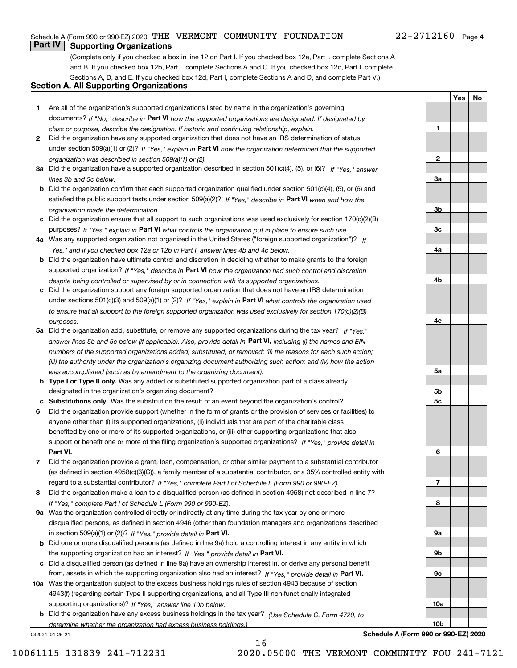#### Schedule A (Form 990 or 990-EZ) 2020 Page THE VERMONT COMMUNITY FOUNDATION 22-2712160

### **Part IV Supporting Organizations**

(Complete only if you checked a box in line 12 on Part I. If you checked box 12a, Part I, complete Sections A and B. If you checked box 12b, Part I, complete Sections A and C. If you checked box 12c, Part I, complete Sections A, D, and E. If you checked box 12d, Part I, complete Sections A and D, and complete Part V.)

#### **Section A. All Supporting Organizations**

- **1** Are all of the organization's supported organizations listed by name in the organization's governing documents? If "No," describe in **Part VI** how the supported organizations are designated. If designated by *class or purpose, describe the designation. If historic and continuing relationship, explain.*
- **2** Did the organization have any supported organization that does not have an IRS determination of status under section 509(a)(1) or (2)? If "Yes," explain in Part VI how the organization determined that the supported *organization was described in section 509(a)(1) or (2).*
- **3a** Did the organization have a supported organization described in section 501(c)(4), (5), or (6)? If "Yes," answer *lines 3b and 3c below.*
- **b** Did the organization confirm that each supported organization qualified under section 501(c)(4), (5), or (6) and satisfied the public support tests under section 509(a)(2)? If "Yes," describe in **Part VI** when and how the *organization made the determination.*
- **c**Did the organization ensure that all support to such organizations was used exclusively for section 170(c)(2)(B) purposes? If "Yes," explain in **Part VI** what controls the organization put in place to ensure such use.
- **4a***If* Was any supported organization not organized in the United States ("foreign supported organization")? *"Yes," and if you checked box 12a or 12b in Part I, answer lines 4b and 4c below.*
- **b** Did the organization have ultimate control and discretion in deciding whether to make grants to the foreign supported organization? If "Yes," describe in **Part VI** how the organization had such control and discretion *despite being controlled or supervised by or in connection with its supported organizations.*
- **c** Did the organization support any foreign supported organization that does not have an IRS determination under sections 501(c)(3) and 509(a)(1) or (2)? If "Yes," explain in **Part VI** what controls the organization used *to ensure that all support to the foreign supported organization was used exclusively for section 170(c)(2)(B) purposes.*
- **5a***If "Yes,"* Did the organization add, substitute, or remove any supported organizations during the tax year? answer lines 5b and 5c below (if applicable). Also, provide detail in **Part VI,** including (i) the names and EIN *numbers of the supported organizations added, substituted, or removed; (ii) the reasons for each such action; (iii) the authority under the organization's organizing document authorizing such action; and (iv) how the action was accomplished (such as by amendment to the organizing document).*
- **b** Type I or Type II only. Was any added or substituted supported organization part of a class already designated in the organization's organizing document?
- **cSubstitutions only.**  Was the substitution the result of an event beyond the organization's control?
- **6** Did the organization provide support (whether in the form of grants or the provision of services or facilities) to **Part VI.** *If "Yes," provide detail in* support or benefit one or more of the filing organization's supported organizations? anyone other than (i) its supported organizations, (ii) individuals that are part of the charitable class benefited by one or more of its supported organizations, or (iii) other supporting organizations that also
- **7**Did the organization provide a grant, loan, compensation, or other similar payment to a substantial contributor *If "Yes," complete Part I of Schedule L (Form 990 or 990-EZ).* regard to a substantial contributor? (as defined in section 4958(c)(3)(C)), a family member of a substantial contributor, or a 35% controlled entity with
- **8** Did the organization make a loan to a disqualified person (as defined in section 4958) not described in line 7? *If "Yes," complete Part I of Schedule L (Form 990 or 990-EZ).*
- **9a** Was the organization controlled directly or indirectly at any time during the tax year by one or more in section 509(a)(1) or (2))? If "Yes," *provide detail in* <code>Part VI.</code> disqualified persons, as defined in section 4946 (other than foundation managers and organizations described
- **b** Did one or more disqualified persons (as defined in line 9a) hold a controlling interest in any entity in which the supporting organization had an interest? If "Yes," provide detail in P**art VI**.
- **c**Did a disqualified person (as defined in line 9a) have an ownership interest in, or derive any personal benefit from, assets in which the supporting organization also had an interest? If "Yes," provide detail in P**art VI.**
- **10a** Was the organization subject to the excess business holdings rules of section 4943 because of section supporting organizations)? If "Yes," answer line 10b below. 4943(f) (regarding certain Type II supporting organizations, and all Type III non-functionally integrated
- **b** Did the organization have any excess business holdings in the tax year? (Use Schedule C, Form 4720, to *determine whether the organization had excess business holdings.)*

032024 01-25-21

| 2160 Page 4    |            |           |  |
|----------------|------------|-----------|--|
|                |            |           |  |
|                |            |           |  |
|                |            |           |  |
|                | <u>Yes</u> | <u>No</u> |  |
|                |            |           |  |
| 1              |            |           |  |
|                |            |           |  |
| $\overline{2}$ |            |           |  |
|                |            |           |  |
|                |            |           |  |
| 3a             |            |           |  |
|                |            |           |  |
| 3 <sub>b</sub> |            |           |  |
|                |            |           |  |
| 3c             |            |           |  |
|                |            |           |  |
| 4a             |            |           |  |

**4b**

**4c**

**5a**

**5b5c**

**6**

**7**

**8**

**9a**

**9b**

**9c**

**10a**

**10b**

**Schedule A (Form 990 or 990-EZ) 2020**

10061115 131839 241-712231 2020.05000 THE VERMONT COMMUNITY FOU 241-7121

16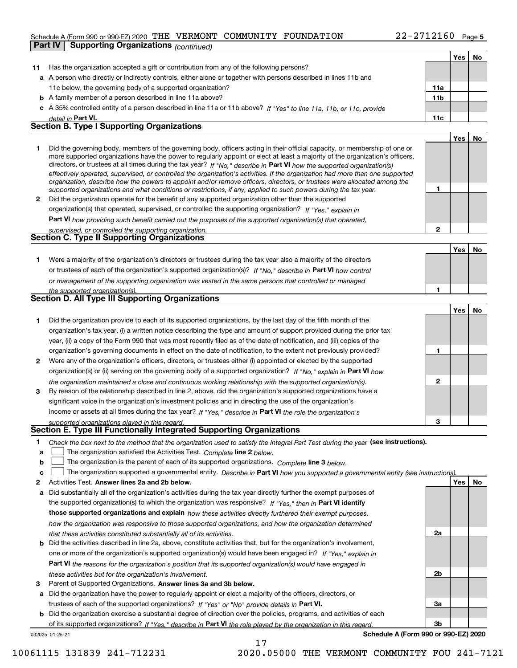#### Schedule A (Form 990 or 990-EZ) 2020 Page THE VERMONT COMMUNITY FOUNDATION 22-2712160

**Part IV Supporting Organizations** *(continued)*

|              |                                                                                                                                                                                                                                                            |              | Yes   No |    |
|--------------|------------------------------------------------------------------------------------------------------------------------------------------------------------------------------------------------------------------------------------------------------------|--------------|----------|----|
| 11           | Has the organization accepted a gift or contribution from any of the following persons?                                                                                                                                                                    |              |          |    |
|              | a A person who directly or indirectly controls, either alone or together with persons described in lines 11b and                                                                                                                                           |              |          |    |
|              | 11c below, the governing body of a supported organization?                                                                                                                                                                                                 | 11a          |          |    |
|              | <b>b</b> A family member of a person described in line 11a above?                                                                                                                                                                                          | 11b          |          |    |
|              | c A 35% controlled entity of a person described in line 11a or 11b above? If "Yes" to line 11a, 11b, or 11c, provide                                                                                                                                       |              |          |    |
|              | detail in Part VI.                                                                                                                                                                                                                                         | 11c          |          |    |
|              | <b>Section B. Type I Supporting Organizations</b>                                                                                                                                                                                                          |              |          |    |
|              |                                                                                                                                                                                                                                                            |              | Yes      | No |
| 1.           | Did the governing body, members of the governing body, officers acting in their official capacity, or membership of one or                                                                                                                                 |              |          |    |
|              | more supported organizations have the power to regularly appoint or elect at least a majority of the organization's officers,                                                                                                                              |              |          |    |
|              | directors, or trustees at all times during the tax year? If "No," describe in Part VI how the supported organization(s)                                                                                                                                    |              |          |    |
|              | effectively operated, supervised, or controlled the organization's activities. If the organization had more than one supported<br>organization, describe how the powers to appoint and/or remove officers, directors, or trustees were allocated among the |              |          |    |
|              | supported organizations and what conditions or restrictions, if any, applied to such powers during the tax year.                                                                                                                                           | 1            |          |    |
| $\mathbf{2}$ | Did the organization operate for the benefit of any supported organization other than the supported                                                                                                                                                        |              |          |    |
|              | organization(s) that operated, supervised, or controlled the supporting organization? If "Yes," explain in                                                                                                                                                 |              |          |    |
|              | Part VI how providing such benefit carried out the purposes of the supported organization(s) that operated,                                                                                                                                                |              |          |    |
|              | supervised, or controlled the supporting organization.                                                                                                                                                                                                     | $\mathbf{2}$ |          |    |
|              | <b>Section C. Type II Supporting Organizations</b>                                                                                                                                                                                                         |              |          |    |
|              |                                                                                                                                                                                                                                                            |              | Yes      | No |
| 1.           | Were a majority of the organization's directors or trustees during the tax year also a majority of the directors                                                                                                                                           |              |          |    |
|              | or trustees of each of the organization's supported organization(s)? If "No." describe in Part VI how control                                                                                                                                              |              |          |    |
|              | or management of the supporting organization was vested in the same persons that controlled or managed                                                                                                                                                     |              |          |    |
|              | the supported organization(s).                                                                                                                                                                                                                             | 1            |          |    |
|              | <b>Section D. All Type III Supporting Organizations</b>                                                                                                                                                                                                    |              |          |    |
|              |                                                                                                                                                                                                                                                            |              | Yes      | No |
| 1            | Did the organization provide to each of its supported organizations, by the last day of the fifth month of the                                                                                                                                             |              |          |    |
|              | organization's tax year, (i) a written notice describing the type and amount of support provided during the prior tax                                                                                                                                      |              |          |    |
|              | year, (ii) a copy of the Form 990 that was most recently filed as of the date of notification, and (iii) copies of the                                                                                                                                     |              |          |    |
|              | organization's governing documents in effect on the date of notification, to the extent not previously provided?                                                                                                                                           | 1            |          |    |
| 2            | Were any of the organization's officers, directors, or trustees either (i) appointed or elected by the supported                                                                                                                                           |              |          |    |
|              | organization(s) or (ii) serving on the governing body of a supported organization? If "No," explain in Part VI how                                                                                                                                         |              |          |    |
|              | the organization maintained a close and continuous working relationship with the supported organization(s).                                                                                                                                                | $\mathbf{2}$ |          |    |
| 3            | By reason of the relationship described in line 2, above, did the organization's supported organizations have a                                                                                                                                            |              |          |    |
|              | significant voice in the organization's investment policies and in directing the use of the organization's                                                                                                                                                 |              |          |    |
|              | income or assets at all times during the tax year? If "Yes," describe in Part VI the role the organization's                                                                                                                                               |              |          |    |
|              | supported organizations played in this regard.                                                                                                                                                                                                             | з            |          |    |
|              | Section E. Type III Functionally Integrated Supporting Organizations                                                                                                                                                                                       |              |          |    |
| 1            | Check the box next to the method that the organization used to satisfy the Integral Part Test during the year (see instructions).                                                                                                                          |              |          |    |
| a            | The organization satisfied the Activities Test. Complete line 2 below.                                                                                                                                                                                     |              |          |    |
| b            | The organization is the parent of each of its supported organizations. Complete line 3 below.                                                                                                                                                              |              |          |    |
| c            | The organization supported a governmental entity. Describe in Part VI how you supported a governmental entity (see instructions)                                                                                                                           |              |          |    |
| 2            | Activities Test. Answer lines 2a and 2b below.                                                                                                                                                                                                             |              | Yes      | No |
| a            | Did substantially all of the organization's activities during the tax year directly further the exempt purposes of                                                                                                                                         |              |          |    |
|              | the supported organization(s) to which the organization was responsive? If "Yes." then in Part VI identify                                                                                                                                                 |              |          |    |
|              | those supported organizations and explain how these activities directly furthered their exempt purposes,                                                                                                                                                   |              |          |    |
|              | how the organization was responsive to those supported organizations, and how the organization determined                                                                                                                                                  |              |          |    |
|              | that these activities constituted substantially all of its activities.                                                                                                                                                                                     | 2a           |          |    |
|              | <b>b</b> Did the activities described in line 2a, above, constitute activities that, but for the organization's involvement,                                                                                                                               |              |          |    |
|              | one or more of the organization's supported organization(s) would have been engaged in? If "Yes," explain in                                                                                                                                               |              |          |    |
|              | Part VI the reasons for the organization's position that its supported organization(s) would have engaged in                                                                                                                                               |              |          |    |
|              | these activities but for the organization's involvement.                                                                                                                                                                                                   | 2b           |          |    |
| 3            | Parent of Supported Organizations. Answer lines 3a and 3b below.                                                                                                                                                                                           |              |          |    |
|              | a Did the organization have the power to regularly appoint or elect a majority of the officers, directors, or                                                                                                                                              |              |          |    |
|              | trustees of each of the supported organizations? If "Yes" or "No" provide details in Part VI.                                                                                                                                                              | За           |          |    |
|              | <b>b</b> Did the organization exercise a substantial degree of direction over the policies, programs, and activities of each                                                                                                                               |              |          |    |
|              | of its supported organizations? If "Yes," describe in Part VI the role played by the organization in this regard.                                                                                                                                          | 3b           |          |    |

17

032025 01-25-21

**Schedule A (Form 990 or 990-EZ) 2020**

10061115 131839 241-712231 2020.05000 THE VERMONT COMMUNITY FOU 241-7121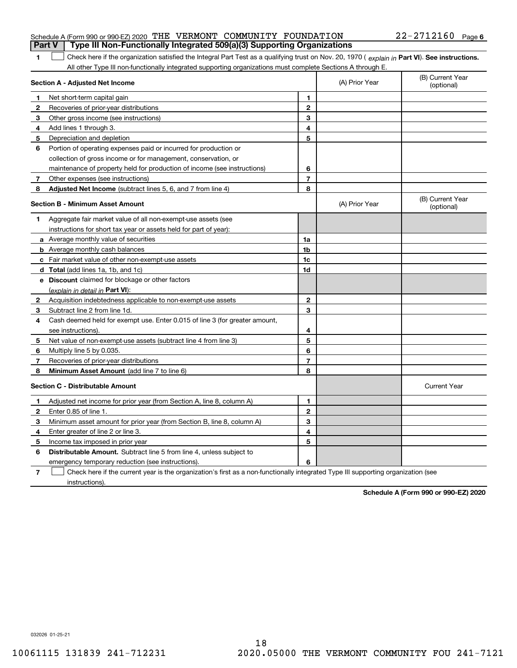| Part V   Type III Non-Functionally Integrated 509(a)(3) Supporting Organizations |  |  |                       |  |
|----------------------------------------------------------------------------------|--|--|-----------------------|--|
| Schedule A (Form 990 or 990-EZ) 2020 THE VERMONT COMMUNITY FOUNDATION            |  |  | $22 - 2712160$ Page 6 |  |

**1**1 Check here if the organization satisfied the Integral Part Test as a qualifying trust on Nov. 20, 1970 (explain in Part VI). See instructions. All other Type III non-functionally integrated supporting organizations must complete Sections A through E.

|              | Section A - Adjusted Net Income                                                                                                   |                         | (A) Prior Year | (B) Current Year<br>(optional) |
|--------------|-----------------------------------------------------------------------------------------------------------------------------------|-------------------------|----------------|--------------------------------|
| 1            | Net short-term capital gain                                                                                                       | 1                       |                |                                |
| 2            | Recoveries of prior-year distributions                                                                                            | $\mathbf{2}$            |                |                                |
| 3            | Other gross income (see instructions)                                                                                             | 3                       |                |                                |
| 4            | Add lines 1 through 3.                                                                                                            | 4                       |                |                                |
| 5            | Depreciation and depletion                                                                                                        | 5                       |                |                                |
| 6            | Portion of operating expenses paid or incurred for production or                                                                  |                         |                |                                |
|              | collection of gross income or for management, conservation, or                                                                    |                         |                |                                |
|              | maintenance of property held for production of income (see instructions)                                                          | 6                       |                |                                |
| 7            | Other expenses (see instructions)                                                                                                 | $\overline{\mathbf{r}}$ |                |                                |
| 8            | Adjusted Net Income (subtract lines 5, 6, and 7 from line 4)                                                                      | 8                       |                |                                |
|              | <b>Section B - Minimum Asset Amount</b>                                                                                           |                         | (A) Prior Year | (B) Current Year<br>(optional) |
| 1.           | Aggregate fair market value of all non-exempt-use assets (see                                                                     |                         |                |                                |
|              | instructions for short tax year or assets held for part of year):                                                                 |                         |                |                                |
|              | a Average monthly value of securities                                                                                             | 1a                      |                |                                |
|              | <b>b</b> Average monthly cash balances                                                                                            | 1 <sub>b</sub>          |                |                                |
|              | c Fair market value of other non-exempt-use assets                                                                                | 1c                      |                |                                |
|              | d Total (add lines 1a, 1b, and 1c)                                                                                                | 1d                      |                |                                |
|              | e Discount claimed for blockage or other factors                                                                                  |                         |                |                                |
|              | (explain in detail in Part VI):                                                                                                   |                         |                |                                |
| $\mathbf{2}$ | Acquisition indebtedness applicable to non-exempt-use assets                                                                      | $\mathbf{2}$            |                |                                |
| 3            | Subtract line 2 from line 1d.                                                                                                     | 3                       |                |                                |
| 4            | Cash deemed held for exempt use. Enter 0.015 of line 3 (for greater amount,                                                       |                         |                |                                |
|              | see instructions).                                                                                                                | 4                       |                |                                |
| 5            | Net value of non-exempt-use assets (subtract line 4 from line 3)                                                                  | 5                       |                |                                |
| 6            | Multiply line 5 by 0.035.                                                                                                         | 6                       |                |                                |
| 7            | Recoveries of prior-year distributions                                                                                            | 7                       |                |                                |
| 8            | Minimum Asset Amount (add line 7 to line 6)                                                                                       | 8                       |                |                                |
|              | <b>Section C - Distributable Amount</b>                                                                                           |                         |                | <b>Current Year</b>            |
| 1            | Adjusted net income for prior year (from Section A, line 8, column A)                                                             | 1                       |                |                                |
| 2            | Enter 0.85 of line 1.                                                                                                             | $\overline{2}$          |                |                                |
| 3            | Minimum asset amount for prior year (from Section B, line 8, column A)                                                            | 3                       |                |                                |
| 4            | Enter greater of line 2 or line 3.                                                                                                | 4                       |                |                                |
| 5            | Income tax imposed in prior year                                                                                                  | 5                       |                |                                |
| 6            | <b>Distributable Amount.</b> Subtract line 5 from line 4, unless subject to                                                       |                         |                |                                |
|              | emergency temporary reduction (see instructions).                                                                                 | 6                       |                |                                |
| 7            | Check here if the current year is the organization's first as a non-functionally integrated Type III supporting organization (see |                         |                |                                |

instructions).

**Schedule A (Form 990 or 990-EZ) 2020**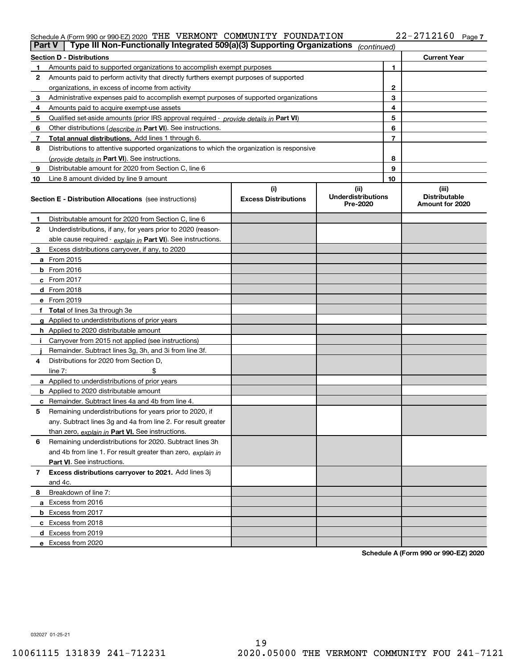### Schedule A (Form 990 or 990-EZ) 2020 Page THE VERMONT COMMUNITY FOUNDATION 22-2712160

| Part V         | Type III Non-Functionally Integrated 509(a)(3) Supporting Organizations                    |                                    | (continued)                                   |    |                                                  |
|----------------|--------------------------------------------------------------------------------------------|------------------------------------|-----------------------------------------------|----|--------------------------------------------------|
|                | <b>Section D - Distributions</b>                                                           |                                    |                                               |    | <b>Current Year</b>                              |
| 1              | Amounts paid to supported organizations to accomplish exempt purposes                      |                                    |                                               | 1  |                                                  |
| 2              | Amounts paid to perform activity that directly furthers exempt purposes of supported       |                                    |                                               |    |                                                  |
|                | organizations, in excess of income from activity                                           | 2                                  |                                               |    |                                                  |
| 3              | Administrative expenses paid to accomplish exempt purposes of supported organizations      |                                    |                                               | 3  |                                                  |
| 4              | Amounts paid to acquire exempt-use assets                                                  |                                    |                                               | 4  |                                                  |
| 5              | Qualified set-aside amounts (prior IRS approval required - provide details in Part VI)     |                                    |                                               | 5  |                                                  |
| 6              | Other distributions ( <i>describe in</i> Part VI). See instructions.                       |                                    |                                               | 6  |                                                  |
| 7              | Total annual distributions. Add lines 1 through 6.                                         |                                    |                                               | 7  |                                                  |
| 8              | Distributions to attentive supported organizations to which the organization is responsive |                                    |                                               |    |                                                  |
|                | (provide details in Part VI). See instructions.                                            |                                    |                                               | 8  |                                                  |
| 9              | Distributable amount for 2020 from Section C, line 6                                       |                                    |                                               | 9  |                                                  |
| 10             | Line 8 amount divided by line 9 amount                                                     |                                    |                                               | 10 |                                                  |
|                | <b>Section E - Distribution Allocations</b> (see instructions)                             | (i)<br><b>Excess Distributions</b> | (ii)<br><b>Underdistributions</b><br>Pre-2020 |    | (iii)<br><b>Distributable</b><br>Amount for 2020 |
| 1              | Distributable amount for 2020 from Section C, line 6                                       |                                    |                                               |    |                                                  |
| 2              | Underdistributions, if any, for years prior to 2020 (reason-                               |                                    |                                               |    |                                                  |
|                | able cause required - explain in Part VI). See instructions.                               |                                    |                                               |    |                                                  |
| 3              | Excess distributions carryover, if any, to 2020                                            |                                    |                                               |    |                                                  |
|                | <b>a</b> From 2015                                                                         |                                    |                                               |    |                                                  |
|                | <b>b</b> From 2016                                                                         |                                    |                                               |    |                                                  |
|                | $c$ From 2017                                                                              |                                    |                                               |    |                                                  |
|                | d From 2018                                                                                |                                    |                                               |    |                                                  |
|                | e From 2019                                                                                |                                    |                                               |    |                                                  |
|                | f Total of lines 3a through 3e                                                             |                                    |                                               |    |                                                  |
|                | g Applied to underdistributions of prior years                                             |                                    |                                               |    |                                                  |
|                | <b>h</b> Applied to 2020 distributable amount                                              |                                    |                                               |    |                                                  |
|                | Carryover from 2015 not applied (see instructions)                                         |                                    |                                               |    |                                                  |
|                | Remainder. Subtract lines 3g, 3h, and 3i from line 3f.                                     |                                    |                                               |    |                                                  |
| 4              | Distributions for 2020 from Section D.                                                     |                                    |                                               |    |                                                  |
|                | line $7:$                                                                                  |                                    |                                               |    |                                                  |
|                | a Applied to underdistributions of prior years                                             |                                    |                                               |    |                                                  |
|                | <b>b</b> Applied to 2020 distributable amount                                              |                                    |                                               |    |                                                  |
|                | c Remainder. Subtract lines 4a and 4b from line 4.                                         |                                    |                                               |    |                                                  |
| 5              | Remaining underdistributions for years prior to 2020, if                                   |                                    |                                               |    |                                                  |
|                | any. Subtract lines 3g and 4a from line 2. For result greater                              |                                    |                                               |    |                                                  |
|                | than zero, explain in Part VI. See instructions.                                           |                                    |                                               |    |                                                  |
| 6              | Remaining underdistributions for 2020. Subtract lines 3h                                   |                                    |                                               |    |                                                  |
|                | and 4b from line 1. For result greater than zero, explain in                               |                                    |                                               |    |                                                  |
|                | <b>Part VI.</b> See instructions.                                                          |                                    |                                               |    |                                                  |
| $\overline{7}$ | Excess distributions carryover to 2021. Add lines 3j                                       |                                    |                                               |    |                                                  |
|                | and 4c.                                                                                    |                                    |                                               |    |                                                  |
| 8              | Breakdown of line 7:                                                                       |                                    |                                               |    |                                                  |
|                | a Excess from 2016                                                                         |                                    |                                               |    |                                                  |
|                | <b>b</b> Excess from 2017                                                                  |                                    |                                               |    |                                                  |
|                | c Excess from 2018                                                                         |                                    |                                               |    |                                                  |
|                | d Excess from 2019                                                                         |                                    |                                               |    |                                                  |
|                | e Excess from 2020                                                                         |                                    |                                               |    |                                                  |

**Schedule A (Form 990 or 990-EZ) 2020**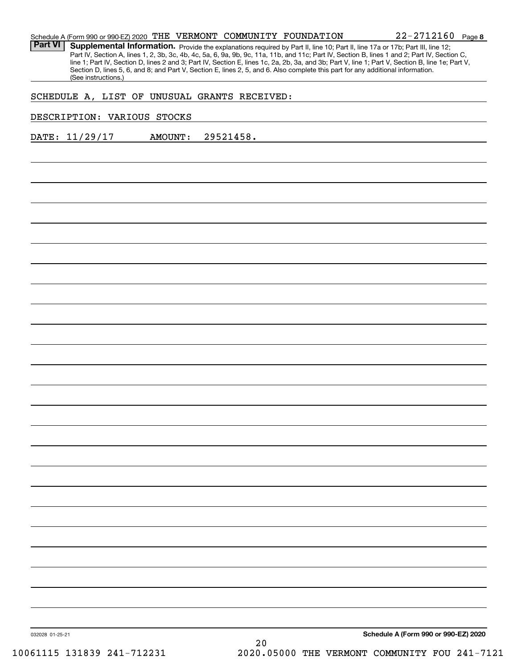| Schedule A (Form 990 or 990-EZ) 2020 THE VERMONT COMMUNITY FOUNDATION |  |  | $22 - 2712160$ Page                                                                                                                              |  |
|-----------------------------------------------------------------------|--|--|--------------------------------------------------------------------------------------------------------------------------------------------------|--|
|                                                                       |  |  | <b>Part VI</b>   Supplemental Information. Provide the explanations required by Part II, line 10; Part II, line 17a or 17b; Part III, line 12;   |  |
|                                                                       |  |  | Part IV, Section A, lines 1, 2, 3b, 3c, 4b, 4c, 5a, 6, 9a, 9b, 9c, 11a, 11b, and 11c; Part IV, Section B, lines 1 and 2; Part IV, Section C,     |  |
|                                                                       |  |  | line 1; Part IV, Section D, lines 2 and 3; Part IV, Section E, lines 1c, 2a, 2b, 3a, and 3b; Part V, line 1; Part V, Section B, line 1e; Part V, |  |

Section D, lines 5, 6, and 8; and Part V, Section E, lines 2, 5, and 6. Also complete this part for any additional information.

SCHEDULE A, LIST OF UNUSUAL GRANTS RECEIVED:

#### DESCRIPTION: VARIOUS STOCKS

(See instructions.)

DATE: 11/29/17 AMOUNT: 29521458.

**Schedule A (Form 990 or 990-EZ) 2020**

**8**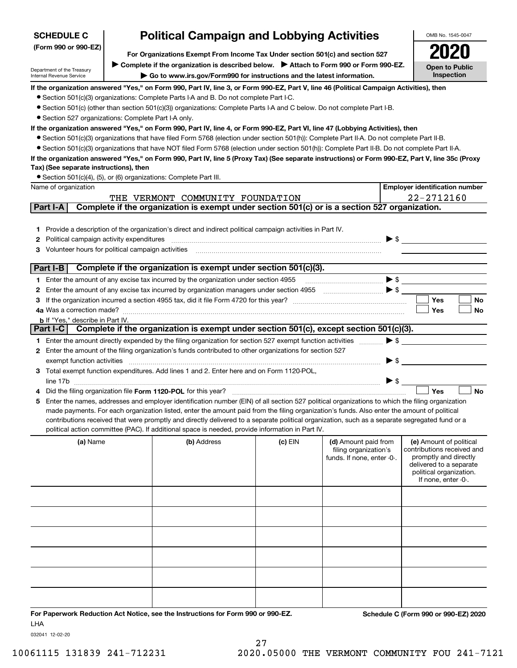| <b>Political Campaign and Lobbying Activities</b><br><b>SCHEDULE C</b> |                                                                               |                                                                                                                                                                                                                                                                                                  |         |                                                                             | OMB No. 1545-0047        |                                                                                                                                                             |
|------------------------------------------------------------------------|-------------------------------------------------------------------------------|--------------------------------------------------------------------------------------------------------------------------------------------------------------------------------------------------------------------------------------------------------------------------------------------------|---------|-----------------------------------------------------------------------------|--------------------------|-------------------------------------------------------------------------------------------------------------------------------------------------------------|
| (Form 990 or 990-EZ)                                                   | For Organizations Exempt From Income Tax Under section 501(c) and section 527 |                                                                                                                                                                                                                                                                                                  |         |                                                                             |                          |                                                                                                                                                             |
|                                                                        |                                                                               | ▶ Complete if the organization is described below. ▶ Attach to Form 990 or Form 990-EZ.                                                                                                                                                                                                          |         |                                                                             |                          | <b>Open to Public</b>                                                                                                                                       |
| Department of the Treasury<br>Internal Revenue Service                 | Go to www.irs.gov/Form990 for instructions and the latest information.        |                                                                                                                                                                                                                                                                                                  |         |                                                                             |                          | Inspection                                                                                                                                                  |
|                                                                        |                                                                               | If the organization answered "Yes," on Form 990, Part IV, line 3, or Form 990-EZ, Part V, line 46 (Political Campaign Activities), then                                                                                                                                                          |         |                                                                             |                          |                                                                                                                                                             |
|                                                                        |                                                                               | • Section 501(c)(3) organizations: Complete Parts I-A and B. Do not complete Part I-C.                                                                                                                                                                                                           |         |                                                                             |                          |                                                                                                                                                             |
|                                                                        |                                                                               | • Section 501(c) (other than section 501(c)(3)) organizations: Complete Parts I-A and C below. Do not complete Part I-B.                                                                                                                                                                         |         |                                                                             |                          |                                                                                                                                                             |
| • Section 527 organizations: Complete Part I-A only.                   |                                                                               |                                                                                                                                                                                                                                                                                                  |         |                                                                             |                          |                                                                                                                                                             |
|                                                                        |                                                                               | If the organization answered "Yes," on Form 990, Part IV, line 4, or Form 990-EZ, Part VI, line 47 (Lobbying Activities), then                                                                                                                                                                   |         |                                                                             |                          |                                                                                                                                                             |
|                                                                        |                                                                               | • Section 501(c)(3) organizations that have filed Form 5768 (election under section 501(h)): Complete Part II-A. Do not complete Part II-B.                                                                                                                                                      |         |                                                                             |                          |                                                                                                                                                             |
|                                                                        |                                                                               | • Section 501(c)(3) organizations that have NOT filed Form 5768 (election under section 501(h)): Complete Part II-B. Do not complete Part II-A.                                                                                                                                                  |         |                                                                             |                          |                                                                                                                                                             |
| Tax) (See separate instructions), then                                 |                                                                               | If the organization answered "Yes," on Form 990, Part IV, line 5 (Proxy Tax) (See separate instructions) or Form 990-EZ, Part V, line 35c (Proxy                                                                                                                                                 |         |                                                                             |                          |                                                                                                                                                             |
|                                                                        |                                                                               | • Section 501(c)(4), (5), or (6) organizations: Complete Part III.                                                                                                                                                                                                                               |         |                                                                             |                          |                                                                                                                                                             |
| Name of organization                                                   |                                                                               |                                                                                                                                                                                                                                                                                                  |         |                                                                             |                          | <b>Employer identification number</b>                                                                                                                       |
|                                                                        |                                                                               | THE VERMONT COMMUNITY FOUNDATION                                                                                                                                                                                                                                                                 |         |                                                                             |                          | 22-2712160                                                                                                                                                  |
| Part I-A                                                               |                                                                               | Complete if the organization is exempt under section 501(c) or is a section 527 organization.                                                                                                                                                                                                    |         |                                                                             |                          |                                                                                                                                                             |
|                                                                        |                                                                               |                                                                                                                                                                                                                                                                                                  |         |                                                                             |                          |                                                                                                                                                             |
|                                                                        |                                                                               | 1 Provide a description of the organization's direct and indirect political campaign activities in Part IV.                                                                                                                                                                                      |         |                                                                             |                          |                                                                                                                                                             |
| Political campaign activity expenditures<br>2                          |                                                                               |                                                                                                                                                                                                                                                                                                  |         |                                                                             |                          | $\blacktriangleright$ \$                                                                                                                                    |
| <b>3</b> Volunteer hours for political campaign activities             |                                                                               |                                                                                                                                                                                                                                                                                                  |         |                                                                             |                          |                                                                                                                                                             |
|                                                                        |                                                                               |                                                                                                                                                                                                                                                                                                  |         |                                                                             |                          |                                                                                                                                                             |
| Part I-B                                                               |                                                                               | Complete if the organization is exempt under section 501(c)(3).                                                                                                                                                                                                                                  |         |                                                                             |                          |                                                                                                                                                             |
|                                                                        |                                                                               | 1 Enter the amount of any excise tax incurred by the organization under section 4955                                                                                                                                                                                                             |         |                                                                             |                          | $\bullet \mathsf{s} \_\_$                                                                                                                                   |
|                                                                        |                                                                               | 2 Enter the amount of any excise tax incurred by organization managers under section 4955                                                                                                                                                                                                        |         |                                                                             |                          | <b>Yes</b><br>No                                                                                                                                            |
| 4a Was a correction made?                                              |                                                                               |                                                                                                                                                                                                                                                                                                  |         |                                                                             |                          | Yes<br>No                                                                                                                                                   |
| <b>b</b> If "Yes," describe in Part IV.                                |                                                                               |                                                                                                                                                                                                                                                                                                  |         |                                                                             |                          |                                                                                                                                                             |
|                                                                        |                                                                               | Part I-C Complete if the organization is exempt under section 501(c), except section 501(c)(3).                                                                                                                                                                                                  |         |                                                                             |                          |                                                                                                                                                             |
|                                                                        |                                                                               | 1 Enter the amount directly expended by the filing organization for section 527 exempt function activities                                                                                                                                                                                       |         |                                                                             | $\blacktriangleright$ \$ |                                                                                                                                                             |
|                                                                        |                                                                               | 2 Enter the amount of the filing organization's funds contributed to other organizations for section 527                                                                                                                                                                                         |         |                                                                             |                          |                                                                                                                                                             |
| exempt function activities                                             |                                                                               |                                                                                                                                                                                                                                                                                                  |         |                                                                             | $\blacktriangleright$ \$ |                                                                                                                                                             |
|                                                                        |                                                                               | 3 Total exempt function expenditures. Add lines 1 and 2. Enter here and on Form 1120-POL,                                                                                                                                                                                                        |         |                                                                             |                          |                                                                                                                                                             |
|                                                                        |                                                                               |                                                                                                                                                                                                                                                                                                  |         |                                                                             | $\triangleright$ \$      |                                                                                                                                                             |
|                                                                        |                                                                               | Did the filing organization file Form 1120-POL for this year?                                                                                                                                                                                                                                    |         |                                                                             |                          | Yes<br><b>No</b>                                                                                                                                            |
|                                                                        |                                                                               | 5 Enter the names, addresses and employer identification number (EIN) of all section 527 political organizations to which the filing organization<br>made payments. For each organization listed, enter the amount paid from the filing organization's funds. Also enter the amount of political |         |                                                                             |                          |                                                                                                                                                             |
|                                                                        |                                                                               | contributions received that were promptly and directly delivered to a separate political organization, such as a separate segregated fund or a                                                                                                                                                   |         |                                                                             |                          |                                                                                                                                                             |
|                                                                        |                                                                               | political action committee (PAC). If additional space is needed, provide information in Part IV.                                                                                                                                                                                                 |         |                                                                             |                          |                                                                                                                                                             |
| (a) Name                                                               |                                                                               | (b) Address                                                                                                                                                                                                                                                                                      | (c) EIN | (d) Amount paid from<br>filing organization's<br>funds. If none, enter -0-. |                          | (e) Amount of political<br>contributions received and<br>promptly and directly<br>delivered to a separate<br>political organization.<br>If none, enter -0-. |
|                                                                        |                                                                               |                                                                                                                                                                                                                                                                                                  |         |                                                                             |                          |                                                                                                                                                             |
|                                                                        |                                                                               |                                                                                                                                                                                                                                                                                                  |         |                                                                             |                          |                                                                                                                                                             |
|                                                                        |                                                                               |                                                                                                                                                                                                                                                                                                  |         |                                                                             |                          |                                                                                                                                                             |
|                                                                        |                                                                               |                                                                                                                                                                                                                                                                                                  |         |                                                                             |                          |                                                                                                                                                             |
|                                                                        |                                                                               |                                                                                                                                                                                                                                                                                                  |         |                                                                             |                          |                                                                                                                                                             |
|                                                                        |                                                                               |                                                                                                                                                                                                                                                                                                  |         |                                                                             |                          |                                                                                                                                                             |
|                                                                        |                                                                               |                                                                                                                                                                                                                                                                                                  |         |                                                                             |                          |                                                                                                                                                             |
|                                                                        |                                                                               |                                                                                                                                                                                                                                                                                                  |         |                                                                             |                          |                                                                                                                                                             |

27

**For Paperwork Reduction Act Notice, see the Instructions for Form 990 or 990-EZ. Schedule C (Form 990 or 990-EZ) 2020** LHA

032041 12-02-20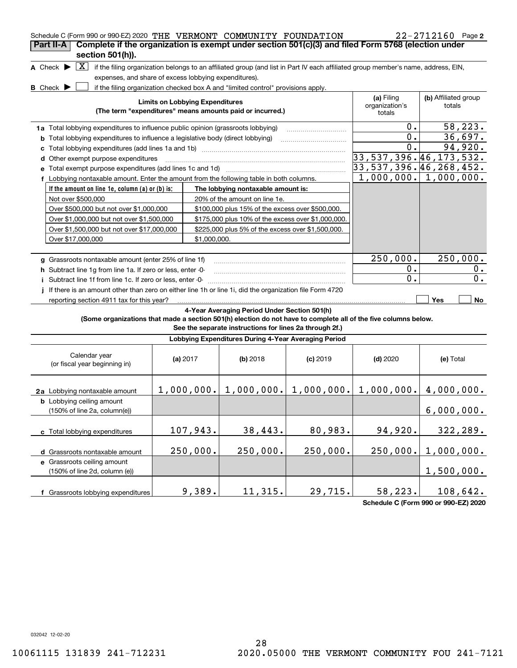| Schedule C (Form 990 or 990-EZ) 2020 THE VERMONT COMMUNITY FOUNDATION                                           |                                        |                                                                                  |                                                                                                                                   |                              | 22-2712160 Page 2                                |
|-----------------------------------------------------------------------------------------------------------------|----------------------------------------|----------------------------------------------------------------------------------|-----------------------------------------------------------------------------------------------------------------------------------|------------------------------|--------------------------------------------------|
| Complete if the organization is exempt under section 501(c)(3) and filed Form 5768 (election under<br>Part II-A |                                        |                                                                                  |                                                                                                                                   |                              |                                                  |
| section 501(h)).                                                                                                |                                        |                                                                                  |                                                                                                                                   |                              |                                                  |
| X <br>A Check $\blacktriangleright$                                                                             |                                        |                                                                                  | if the filing organization belongs to an affiliated group (and list in Part IV each affiliated group member's name, address, EIN, |                              |                                                  |
| expenses, and share of excess lobbying expenditures).                                                           |                                        |                                                                                  |                                                                                                                                   |                              |                                                  |
| <b>B</b> Check $\blacktriangleright$                                                                            |                                        | if the filing organization checked box A and "limited control" provisions apply. |                                                                                                                                   |                              |                                                  |
|                                                                                                                 | <b>Limits on Lobbying Expenditures</b> |                                                                                  |                                                                                                                                   | (a) Filing<br>organization's | (b) Affiliated group<br>totals                   |
|                                                                                                                 |                                        | (The term "expenditures" means amounts paid or incurred.)                        |                                                                                                                                   | totals                       |                                                  |
|                                                                                                                 |                                        |                                                                                  |                                                                                                                                   | 0.                           | 58,223.                                          |
| 1a Total lobbying expenditures to influence public opinion (grassroots lobbying)                                |                                        |                                                                                  |                                                                                                                                   | 0.                           | 36,697.                                          |
| Total lobbying expenditures to influence a legislative body (direct lobbying)<br>b                              |                                        |                                                                                  |                                                                                                                                   | 0.                           | 94,920.                                          |
| Other exempt purpose expenditures                                                                               |                                        |                                                                                  |                                                                                                                                   |                              | 33, 537, 396. 46, 173, 532.                      |
| d                                                                                                               |                                        |                                                                                  |                                                                                                                                   |                              | 33,537,396.46,268,452.                           |
| f Lobbying nontaxable amount. Enter the amount from the following table in both columns.                        |                                        |                                                                                  |                                                                                                                                   |                              | $\overline{1,000,000.}$ $\overline{1,000,000}$ . |
| If the amount on line 1e, column (a) or (b) is:                                                                 |                                        | The lobbying nontaxable amount is:                                               |                                                                                                                                   |                              |                                                  |
| Not over \$500,000                                                                                              |                                        | 20% of the amount on line 1e.                                                    |                                                                                                                                   |                              |                                                  |
| Over \$500,000 but not over \$1,000,000                                                                         |                                        |                                                                                  | \$100,000 plus 15% of the excess over \$500,000.                                                                                  |                              |                                                  |
| Over \$1,000,000 but not over \$1,500,000                                                                       |                                        |                                                                                  | \$175,000 plus 10% of the excess over \$1,000,000.                                                                                |                              |                                                  |
| Over \$1,500,000 but not over \$17,000,000                                                                      |                                        |                                                                                  | \$225,000 plus 5% of the excess over \$1,500,000.                                                                                 |                              |                                                  |
| Over \$17,000,000                                                                                               |                                        | \$1,000,000.                                                                     |                                                                                                                                   |                              |                                                  |
|                                                                                                                 |                                        |                                                                                  |                                                                                                                                   |                              |                                                  |
| g Grassroots nontaxable amount (enter 25% of line 1f)                                                           |                                        |                                                                                  |                                                                                                                                   | 250,000.                     | 250,000.                                         |
| h Subtract line 1g from line 1a. If zero or less, enter -0-                                                     |                                        |                                                                                  |                                                                                                                                   | Ο.                           | 0.                                               |
| i Subtract line 1f from line 1c. If zero or less, enter -0-                                                     |                                        |                                                                                  |                                                                                                                                   | $\overline{0}$ .             | 0.                                               |
| If there is an amount other than zero on either line 1h or line 1i, did the organization file Form 4720         |                                        |                                                                                  |                                                                                                                                   |                              |                                                  |
| reporting section 4911 tax for this year?                                                                       |                                        |                                                                                  |                                                                                                                                   |                              | Yes<br>No                                        |
|                                                                                                                 |                                        | 4-Year Averaging Period Under Section 501(h)                                     |                                                                                                                                   |                              |                                                  |
|                                                                                                                 |                                        |                                                                                  | (Some organizations that made a section 501(h) election do not have to complete all of the five columns below.                    |                              |                                                  |
|                                                                                                                 |                                        |                                                                                  | See the separate instructions for lines 2a through 2f.)                                                                           |                              |                                                  |
|                                                                                                                 |                                        |                                                                                  | Lobbying Expenditures During 4-Year Averaging Period                                                                              |                              |                                                  |
| Calendar year                                                                                                   |                                        |                                                                                  |                                                                                                                                   |                              |                                                  |
| (or fiscal year beginning in)                                                                                   | (a) $2017$                             | $(b)$ 2018                                                                       | $(c)$ 2019                                                                                                                        | $(d)$ 2020                   | (e) Total                                        |
|                                                                                                                 |                                        |                                                                                  |                                                                                                                                   |                              |                                                  |
|                                                                                                                 |                                        |                                                                                  | $1,000,000.$ $  1,000,000.$ $  1,000,000.$                                                                                        |                              | $1,000,000.$ 4,000,000.                          |
| 2a Lobbying nontaxable amount                                                                                   |                                        |                                                                                  |                                                                                                                                   |                              |                                                  |
| <b>b</b> Lobbying ceiling amount<br>(150% of line 2a, column(e))                                                |                                        |                                                                                  |                                                                                                                                   |                              | 6,000,000.                                       |
|                                                                                                                 |                                        |                                                                                  |                                                                                                                                   |                              |                                                  |
| c Total lobbying expenditures                                                                                   | 107,943.                               | 38,443.                                                                          | 80,983.                                                                                                                           | 94,920.                      | 322,289.                                         |
|                                                                                                                 |                                        |                                                                                  |                                                                                                                                   |                              |                                                  |
| d Grassroots nontaxable amount                                                                                  | 250,000.                               | 250,000.                                                                         | 250,000.                                                                                                                          | 250,000.                     | 1,000,000.                                       |
| e Grassroots ceiling amount                                                                                     |                                        |                                                                                  |                                                                                                                                   |                              |                                                  |
| (150% of line 2d, column (e))                                                                                   |                                        |                                                                                  |                                                                                                                                   |                              | 1,500,000.                                       |
|                                                                                                                 |                                        |                                                                                  |                                                                                                                                   |                              |                                                  |
| f Grassroots lobbying expenditures                                                                              | 9,389.                                 | 11,315.                                                                          | 29,715.                                                                                                                           | 58,223.                      | 108,642.                                         |

**Schedule C (Form 990 or 990-EZ) 2020**

032042 12-02-20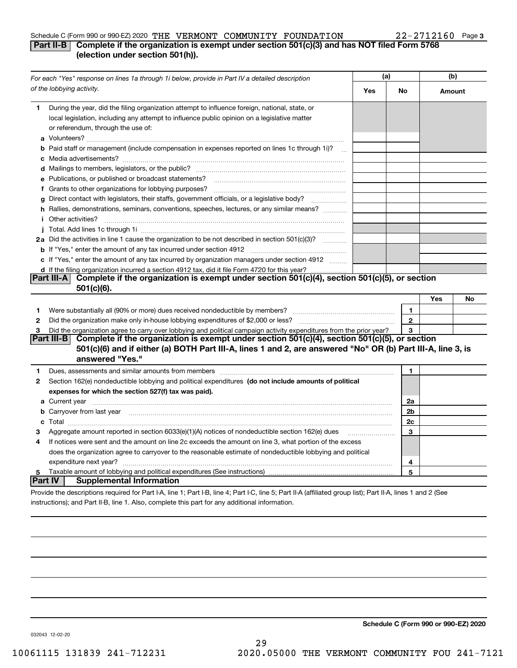#### Schedule C (Form 990 or 990-EZ) 2020 Page THE VERMONT COMMUNITY FOUNDATION 22-2712160

#### **3**

### **Part II-B** Complete if the organization is exempt under section 501(c)(3) and has NOT filed Form 5768 **(election under section 501(h)).**

|                     | For each "Yes" response on lines 1a through 1i below, provide in Part IV a detailed description                                                                                                                                      | (a) |                      | (b)    |    |
|---------------------|--------------------------------------------------------------------------------------------------------------------------------------------------------------------------------------------------------------------------------------|-----|----------------------|--------|----|
|                     | of the lobbying activity.                                                                                                                                                                                                            | Yes | No                   | Amount |    |
| 1.                  | During the year, did the filing organization attempt to influence foreign, national, state, or<br>local legislation, including any attempt to influence public opinion on a legislative matter<br>or referendum, through the use of: |     |                      |        |    |
|                     | b Paid staff or management (include compensation in expenses reported on lines 1c through 1i)?                                                                                                                                       |     |                      |        |    |
|                     |                                                                                                                                                                                                                                      |     |                      |        |    |
|                     | e Publications, or published or broadcast statements?                                                                                                                                                                                |     |                      |        |    |
|                     | f Grants to other organizations for lobbying purposes?                                                                                                                                                                               |     |                      |        |    |
| g                   | Direct contact with legislators, their staffs, government officials, or a legislative body?<br>.                                                                                                                                     |     |                      |        |    |
|                     | h Rallies, demonstrations, seminars, conventions, speeches, lectures, or any similar means?                                                                                                                                          |     |                      |        |    |
|                     | <i>i</i> Other activities?                                                                                                                                                                                                           |     |                      |        |    |
|                     |                                                                                                                                                                                                                                      |     |                      |        |    |
|                     | 2a Did the activities in line 1 cause the organization to be not described in section 501(c)(3)?                                                                                                                                     |     |                      |        |    |
|                     |                                                                                                                                                                                                                                      |     |                      |        |    |
|                     | c If "Yes," enter the amount of any tax incurred by organization managers under section 4912                                                                                                                                         |     |                      |        |    |
|                     | d If the filing organization incurred a section 4912 tax, did it file Form 4720 for this year?                                                                                                                                       |     |                      |        |    |
|                     | Part III-A Complete if the organization is exempt under section 501(c)(4), section 501(c)(5), or section                                                                                                                             |     |                      |        |    |
|                     | 501(c)(6).                                                                                                                                                                                                                           |     |                      |        |    |
|                     |                                                                                                                                                                                                                                      |     |                      | Yes    | No |
| 1                   | Were substantially all (90% or more) dues received nondeductible by members?                                                                                                                                                         |     | 1                    |        |    |
| $\mathbf{2}$        | Did the organization make only in house lobbying expenditures of \$2,000 or less?                                                                                                                                                    |     | $\mathbf{2}$         |        |    |
| 3                   | Did the organization agree to carry over lobbying and political campaign activity expenditures from the prior year?                                                                                                                  |     | 3                    |        |    |
|                     | Complete if the organization is exempt under section 501(c)(4), section 501(c)(5), or section<br>Part III-B                                                                                                                          |     |                      |        |    |
|                     | 501(c)(6) and if either (a) BOTH Part III-A, lines 1 and 2, are answered "No" OR (b) Part III-A, line 3, is<br>answered "Yes."                                                                                                       |     |                      |        |    |
| 1                   | Dues, assessments and similar amounts from members [111] matter continuum matter and similar and similar amounts from members [11] matter continuum matter and similar amounts from members [11] matter and similar and simila       |     | $\mathbf{1}$         |        |    |
| 2                   | Section 162(e) nondeductible lobbying and political expenditures (do not include amounts of political                                                                                                                                |     |                      |        |    |
|                     | expenses for which the section 527(f) tax was paid).                                                                                                                                                                                 |     |                      |        |    |
|                     |                                                                                                                                                                                                                                      |     |                      |        |    |
|                     |                                                                                                                                                                                                                                      |     | 2a<br>2 <sub>b</sub> |        |    |
|                     | <b>b</b> Carryover from last year                                                                                                                                                                                                    |     | 2c                   |        |    |
|                     |                                                                                                                                                                                                                                      |     |                      |        |    |
| з                   | Aggregate amount reported in section 6033(e)(1)(A) notices of nondeductible section 162(e) dues                                                                                                                                      |     | 3                    |        |    |
| 4                   | If notices were sent and the amount on line 2c exceeds the amount on line 3, what portion of the excess                                                                                                                              |     |                      |        |    |
|                     | does the organization agree to carryover to the reasonable estimate of nondeductible lobbying and political                                                                                                                          |     |                      |        |    |
|                     | expenditure next year?                                                                                                                                                                                                               |     | 4<br>5               |        |    |
| 5<br><b>Part IV</b> | <b>Supplemental Information</b>                                                                                                                                                                                                      |     |                      |        |    |
|                     | Provide the descriptions required for Part I-A, line 1; Part I-B, line 4; Part I-C, line 5; Part II-A (affiliated group list); Part II-A, lines 1 and 2 (See                                                                         |     |                      |        |    |
|                     |                                                                                                                                                                                                                                      |     |                      |        |    |

29

instructions); and Part II-B, line 1. Also, complete this part for any additional information.

**Schedule C (Form 990 or 990-EZ) 2020**

032043 12-02-20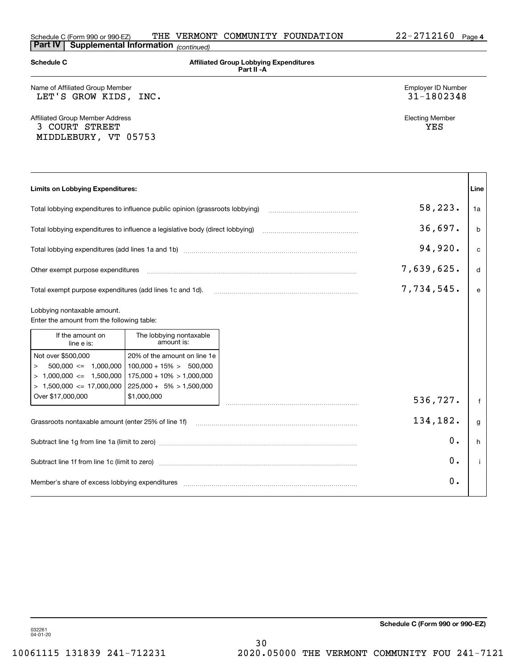| <b>Schedule C</b>                                                                                                      |                                                                                                                           | <b>Affiliated Group Lobbying Expenditures</b><br>Part II - A |                                  |              |
|------------------------------------------------------------------------------------------------------------------------|---------------------------------------------------------------------------------------------------------------------------|--------------------------------------------------------------|----------------------------------|--------------|
| Name of Affiliated Group Member<br>LET'S GROW KIDS, INC.                                                               |                                                                                                                           |                                                              | Employer ID Number<br>31-1802348 |              |
| <b>Affiliated Group Member Address</b><br>3 COURT STREET<br>MIDDLEBURY, VT 05753                                       |                                                                                                                           |                                                              | <b>Electing Member</b><br>YES    |              |
| Limits on Lobbying Expenditures:                                                                                       |                                                                                                                           |                                                              |                                  | Line         |
| Total lobbying expenditures to influence public opinion (grassroots lobbying)                                          |                                                                                                                           |                                                              | 58,223.                          | 1a           |
| Total lobbying expenditures to influence a legislative body (direct lobbying)                                          |                                                                                                                           |                                                              | 36,697.                          | b            |
|                                                                                                                        |                                                                                                                           |                                                              | 94,920.                          | $\mathbf{C}$ |
| Other exempt purpose expenditures                                                                                      |                                                                                                                           |                                                              | 7,639,625.                       | d            |
| Total exempt purpose expenditures (add lines 1c and 1d).                                                               |                                                                                                                           |                                                              | 7,734,545.                       | e            |
| Lobbying nontaxable amount.<br>Enter the amount from the following table:                                              |                                                                                                                           |                                                              |                                  |              |
| If the amount on<br>line e is:                                                                                         | The lobbying nontaxable<br>amount is:                                                                                     |                                                              |                                  |              |
| Not over \$500,000<br>$500,000 \leq 1,000,000$<br>$\,>$<br>$> 1,000,000 \le 1,500,000$<br>$> 1,500,000 \le 17,000,000$ | 20% of the amount on line 1e<br>$100,000 + 15\% > 500,000$<br>$175,000 + 10\% > 1,000,000$<br>$225,000 + 5\% > 1,500,000$ |                                                              |                                  |              |
| Over \$17,000,000                                                                                                      | \$1,000,000                                                                                                               |                                                              | 536,727.                         | f            |
| Grassroots nontaxable amount (enter 25% of line 1f)                                                                    |                                                                                                                           |                                                              | 134,182.                         | g            |
|                                                                                                                        |                                                                                                                           |                                                              | 0.                               | h            |
|                                                                                                                        |                                                                                                                           |                                                              | 0.                               | j.           |
|                                                                                                                        |                                                                                                                           |                                                              | Ο.                               |              |

**Schedule C (Form 990 or 990-EZ)**

032261 04-01-20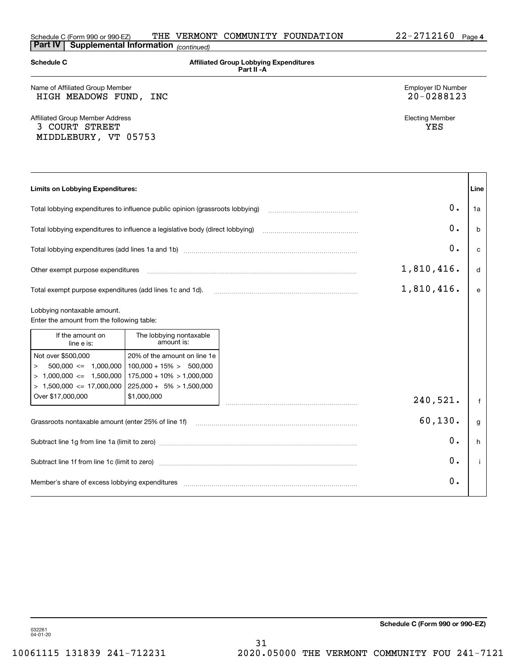| <b>Schedule C</b>                                                                                                       |                                                                                                                           | <b>Affiliated Group Lobbying Expenditures</b><br>Part II - A |                                  |              |
|-------------------------------------------------------------------------------------------------------------------------|---------------------------------------------------------------------------------------------------------------------------|--------------------------------------------------------------|----------------------------------|--------------|
| Name of Affiliated Group Member<br>HIGH MEADOWS FUND,                                                                   | INC                                                                                                                       |                                                              | Employer ID Number<br>20-0288123 |              |
| <b>Affiliated Group Member Address</b><br>3 COURT STREET<br>MIDDLEBURY, VT 05753                                        |                                                                                                                           |                                                              | <b>Electing Member</b><br>YES    |              |
| <b>Limits on Lobbying Expenditures:</b>                                                                                 |                                                                                                                           |                                                              |                                  | Line         |
| Total lobbying expenditures to influence public opinion (grassroots lobbying)                                           |                                                                                                                           |                                                              | 0.                               | 1a           |
| Total lobbying expenditures to influence a legislative body (direct lobbying)                                           |                                                                                                                           |                                                              | 0.                               | $\mathbf b$  |
|                                                                                                                         |                                                                                                                           |                                                              | 0.                               | $\mathbf{C}$ |
| Other exempt purpose expenditures                                                                                       |                                                                                                                           |                                                              | 1,810,416.                       | d            |
| Total exempt purpose expenditures (add lines 1c and 1d).                                                                |                                                                                                                           |                                                              | 1,810,416.                       | e            |
| Lobbying nontaxable amount.<br>Enter the amount from the following table:                                               |                                                                                                                           |                                                              |                                  |              |
| If the amount on<br>line e is:                                                                                          | The lobbying nontaxable<br>amount is:                                                                                     |                                                              |                                  |              |
| Not over \$500,000<br>$500,000 \leq 1,000,000$<br>$\,>$<br>$> 1,000,000 \leq 1,500,000$<br>$> 1,500,000 \le 17,000,000$ | 20% of the amount on line 1e<br>$100,000 + 15\% > 500,000$<br>$175,000 + 10\% > 1,000,000$<br>$225,000 + 5\% > 1,500,000$ |                                                              |                                  |              |
| Over \$17,000,000                                                                                                       | \$1,000,000                                                                                                               |                                                              | 240,521.                         | $\mathsf{f}$ |
| Grassroots nontaxable amount (enter 25% of line 1f)                                                                     |                                                                                                                           |                                                              | 60, 130.                         | g            |
|                                                                                                                         |                                                                                                                           |                                                              | 0.                               | h            |
| Subtract line 1f from line 1c (limit to zero)                                                                           |                                                                                                                           |                                                              | 0.                               | Ť            |
|                                                                                                                         |                                                                                                                           |                                                              | 0.                               |              |

**Schedule C (Form 990 or 990-EZ)**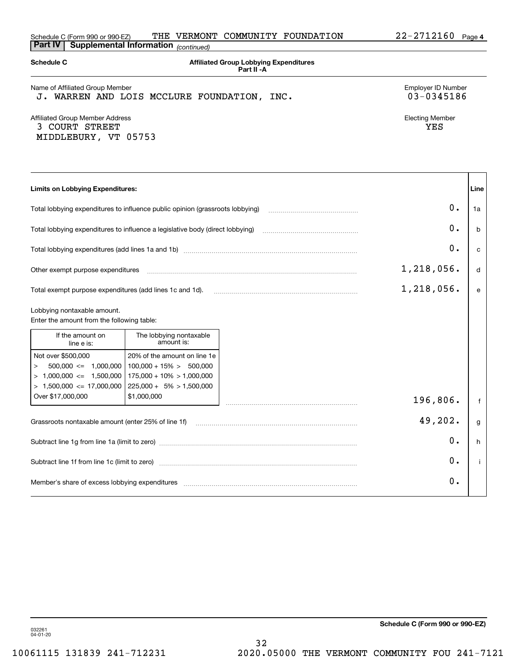| <b>Part IV</b>                                                                                                     | Supplemental Information (continued)                                                                                      |                                                                                                                |                                  |      |
|--------------------------------------------------------------------------------------------------------------------|---------------------------------------------------------------------------------------------------------------------------|----------------------------------------------------------------------------------------------------------------|----------------------------------|------|
| <b>Schedule C</b>                                                                                                  |                                                                                                                           | <b>Affiliated Group Lobbying Expenditures</b><br>Part II - A                                                   |                                  |      |
| Name of Affiliated Group Member                                                                                    | J. WARREN AND LOIS MCCLURE FOUNDATION, INC.                                                                               |                                                                                                                | Employer ID Number<br>03-0345186 |      |
| Affiliated Group Member Address<br>3 COURT STREET<br>MIDDLEBURY, VT 05753                                          |                                                                                                                           |                                                                                                                | <b>Electing Member</b><br>YES    |      |
| <b>Limits on Lobbying Expenditures:</b>                                                                            |                                                                                                                           |                                                                                                                |                                  | Line |
|                                                                                                                    | Total lobbying expenditures to influence public opinion (grassroots lobbying)                                             |                                                                                                                | 0.                               | 1a   |
|                                                                                                                    | Total lobbying expenditures to influence a legislative body (direct lobbying)                                             |                                                                                                                | 0.                               | b    |
|                                                                                                                    |                                                                                                                           | 0.                                                                                                             | c                                |      |
| Other exempt purpose expenditures                                                                                  | 1,218,056.                                                                                                                | d                                                                                                              |                                  |      |
| Total exempt purpose expenditures (add lines 1c and 1d).                                                           |                                                                                                                           |                                                                                                                | 1,218,056.                       | e    |
| Lobbying nontaxable amount.<br>Enter the amount from the following table:                                          |                                                                                                                           |                                                                                                                |                                  |      |
| If the amount on<br>line e is:                                                                                     | The lobbying nontaxable<br>amount is:                                                                                     |                                                                                                                |                                  |      |
| Not over \$500,000<br>$500,000 \leq 1,000,000$<br>><br>$> 1,000,000 \le 1,500,000$<br>$> 1,500,000 \le 17,000,000$ | 20% of the amount on line 1e<br>$100,000 + 15\% > 500,000$<br>$175,000 + 10\% > 1,000,000$<br>$225,000 + 5\% > 1,500,000$ |                                                                                                                |                                  |      |
| Over \$17,000,000                                                                                                  | \$1,000,000                                                                                                               |                                                                                                                | 196,806.                         | f    |
| Grassroots nontaxable amount (enter 25% of line 1f)                                                                |                                                                                                                           |                                                                                                                | 49,202.                          | g    |
|                                                                                                                    |                                                                                                                           |                                                                                                                | 0.                               | h    |
|                                                                                                                    |                                                                                                                           |                                                                                                                | 0.                               | Ť    |
|                                                                                                                    |                                                                                                                           | Member's share of excess lobbying expenditures [11] Member's share of excess lobbying expenditures [11] Member | 0.                               |      |

032261 04-01-20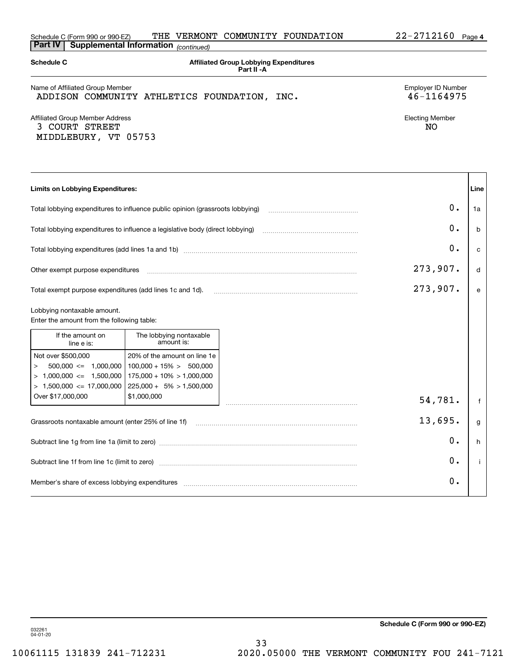| <b>Part IV</b>                                                                                                            | Supplemental Information (continued)                                                                                      |                                                              |                                  |      |
|---------------------------------------------------------------------------------------------------------------------------|---------------------------------------------------------------------------------------------------------------------------|--------------------------------------------------------------|----------------------------------|------|
| <b>Schedule C</b>                                                                                                         |                                                                                                                           | <b>Affiliated Group Lobbying Expenditures</b><br>Part II - A |                                  |      |
| Name of Affiliated Group Member                                                                                           | ADDISON COMMUNITY ATHLETICS FOUNDATION, INC.                                                                              |                                                              | Employer ID Number<br>46-1164975 |      |
| Affiliated Group Member Address<br>3 COURT STREET<br>MIDDLEBURY, VT 05753                                                 |                                                                                                                           |                                                              | <b>Electing Member</b><br>NO.    |      |
| <b>Limits on Lobbying Expenditures:</b>                                                                                   |                                                                                                                           |                                                              |                                  | Line |
|                                                                                                                           | Total lobbying expenditures to influence public opinion (grassroots lobbying)                                             |                                                              | 0.                               | 1a   |
|                                                                                                                           | Total lobbying expenditures to influence a legislative body (direct lobbying)                                             |                                                              | 0.                               | b    |
|                                                                                                                           |                                                                                                                           |                                                              | 0.                               | c    |
| Other exempt purpose expenditures                                                                                         |                                                                                                                           |                                                              | 273,907.                         | d    |
| Total exempt purpose expenditures (add lines 1c and 1d).                                                                  |                                                                                                                           |                                                              | 273,907.                         | e    |
| Lobbying nontaxable amount.<br>Enter the amount from the following table:                                                 |                                                                                                                           |                                                              |                                  |      |
| If the amount on<br>line e is:                                                                                            | The lobbying nontaxable<br>amount is:                                                                                     |                                                              |                                  |      |
| Not over \$500,000<br>$500,000 \leq 1,000,000$<br>$\rm{>}$<br>$> 1,000,000 \le 1,500,000$<br>$> 1,500,000 \le 17,000,000$ | 20% of the amount on line 1e<br>$100,000 + 15\% > 500,000$<br>$175,000 + 10\% > 1,000,000$<br>$225,000 + 5\% > 1,500,000$ |                                                              |                                  |      |
| Over \$17,000,000                                                                                                         | \$1,000,000                                                                                                               |                                                              | 54,781.                          | f    |
| Grassroots nontaxable amount (enter 25% of line 1f)                                                                       |                                                                                                                           |                                                              | 13,695.                          | g    |
|                                                                                                                           |                                                                                                                           |                                                              | 0.                               | h    |
|                                                                                                                           |                                                                                                                           |                                                              | 0.                               | j.   |
|                                                                                                                           |                                                                                                                           |                                                              | 0.                               |      |

032261 04-01-20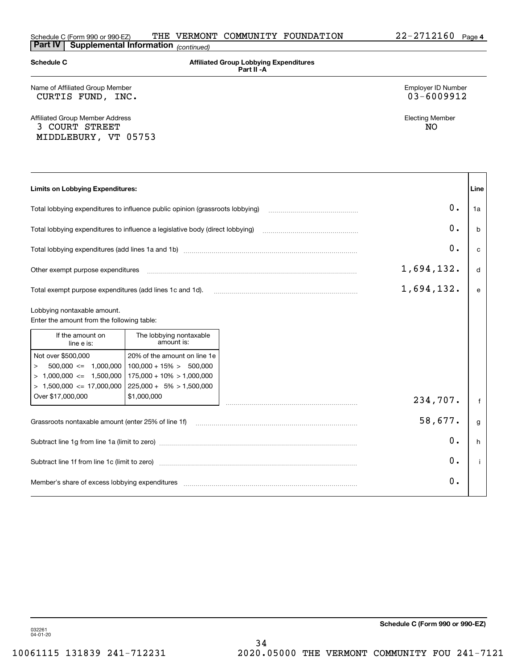| <b>Schedule C</b>                                                                                                          |                                                                                                                           | <b>Affiliated Group Lobbying Expenditures</b><br>Part II - A                                                                                                     |      |
|----------------------------------------------------------------------------------------------------------------------------|---------------------------------------------------------------------------------------------------------------------------|------------------------------------------------------------------------------------------------------------------------------------------------------------------|------|
| Name of Affiliated Group Member<br>CURTIS FUND, INC.                                                                       |                                                                                                                           | Employer ID Number<br>03-6009912                                                                                                                                 |      |
| <b>Affiliated Group Member Address</b><br>3 COURT STREET<br>MIDDLEBURY, VT 05753                                           |                                                                                                                           | <b>Electing Member</b><br>NO.                                                                                                                                    |      |
| <b>Limits on Lobbying Expenditures:</b>                                                                                    |                                                                                                                           |                                                                                                                                                                  | Line |
| Total lobbying expenditures to influence public opinion (grassroots lobbying)                                              |                                                                                                                           | 0.                                                                                                                                                               | 1a   |
| Total lobbying expenditures to influence a legislative body (direct lobbying)                                              |                                                                                                                           | 0.                                                                                                                                                               | b    |
|                                                                                                                            |                                                                                                                           | 0.                                                                                                                                                               | c    |
| Other exempt purpose expenditures                                                                                          |                                                                                                                           | 1,694,132.                                                                                                                                                       | d    |
| Total exempt purpose expenditures (add lines 1c and 1d).                                                                   |                                                                                                                           | 1,694,132.                                                                                                                                                       | e    |
| Lobbying nontaxable amount.<br>Enter the amount from the following table:                                                  |                                                                                                                           |                                                                                                                                                                  |      |
| If the amount on<br>line e is:                                                                                             | The lobbying nontaxable<br>amount is:                                                                                     |                                                                                                                                                                  |      |
| Not over \$500,000<br>$500,000 \leq 1,000,000$<br>$\rm{>}$<br>$> 1,000,000 \leq 1,500,000$<br>$> 1,500,000 \le 17,000,000$ | 20% of the amount on line 1e<br>$100,000 + 15\% > 500,000$<br>$175,000 + 10\% > 1,000,000$<br>$225,000 + 5\% > 1,500,000$ |                                                                                                                                                                  |      |
| Over \$17,000,000                                                                                                          | \$1,000,000                                                                                                               | 234,707.                                                                                                                                                         | f    |
| Grassroots nontaxable amount (enter 25% of line 1f)                                                                        |                                                                                                                           | 58,677.                                                                                                                                                          | g    |
|                                                                                                                            |                                                                                                                           | 0.                                                                                                                                                               | h    |
|                                                                                                                            |                                                                                                                           | 0.<br>Subtract line 1f from line 1c (limit to zero) manufactured content to the subtract line 1f from line 1c (limit to zero)                                    | i.   |
|                                                                                                                            |                                                                                                                           | 0.<br>Member's share of excess lobbying expenditures [11,111] Members (2009) Member's share of excess lobbying expenditures [11,111] Members (2009) Members 2014 |      |

**Schedule C (Form 990 or 990-EZ)**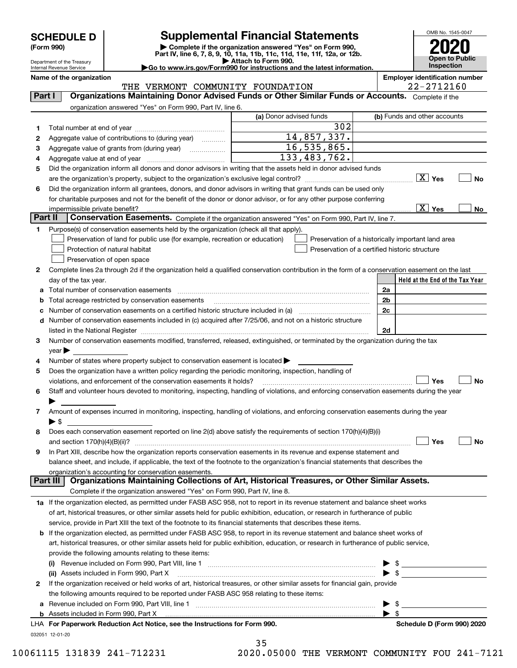Department of the Treasury Internal Revenue Service

## **SCHEDULE D Supplemental Financial Statements**

(Form 990)<br>
Pepartment of the Treasury<br>
Department of the Treasury<br>
Department of the Treasury<br>
Department of the Treasury<br> **Co to www.irs.gov/Form990 for instructions and the latest information.**<br> **Co to www.irs.gov/Form9** 

OMB No. 1545-0047 **Open to Public Inspection2020**

|  | $\blacktriangleright$ Go to www.irs.gov/Form990 for instructions and the latest info |  |  |  |  |  |
|--|--------------------------------------------------------------------------------------|--|--|--|--|--|
|  |                                                                                      |  |  |  |  |  |

|                | Name of the organization<br>THE VERMONT COMMUNITY FOUNDATION                                                                                                      |                         | <b>Employer identification number</b><br>22-2712160                                                                                |
|----------------|-------------------------------------------------------------------------------------------------------------------------------------------------------------------|-------------------------|------------------------------------------------------------------------------------------------------------------------------------|
| <b>Part I</b>  | Organizations Maintaining Donor Advised Funds or Other Similar Funds or Accounts. Complete if the                                                                 |                         |                                                                                                                                    |
|                | organization answered "Yes" on Form 990, Part IV, line 6.                                                                                                         |                         |                                                                                                                                    |
|                |                                                                                                                                                                   | (a) Donor advised funds | (b) Funds and other accounts                                                                                                       |
| 1.             |                                                                                                                                                                   | 302                     |                                                                                                                                    |
| 2              | Aggregate value of contributions to (during year)                                                                                                                 | 14,857,337.             |                                                                                                                                    |
| з              | Aggregate value of grants from (during year)                                                                                                                      | 16, 535, 865.           |                                                                                                                                    |
| 4              |                                                                                                                                                                   | 133, 483, 762.          |                                                                                                                                    |
| 5              | Did the organization inform all donors and donor advisors in writing that the assets held in donor advised funds                                                  |                         |                                                                                                                                    |
|                |                                                                                                                                                                   |                         | $\boxed{\text{X}}$ Yes<br>No                                                                                                       |
| 6              | Did the organization inform all grantees, donors, and donor advisors in writing that grant funds can be used only                                                 |                         |                                                                                                                                    |
|                | for charitable purposes and not for the benefit of the donor or donor advisor, or for any other purpose conferring                                                |                         |                                                                                                                                    |
|                | impermissible private benefit?                                                                                                                                    |                         | $\boxed{\text{X}}$ Yes<br>No                                                                                                       |
| <b>Part II</b> | Conservation Easements. Complete if the organization answered "Yes" on Form 990, Part IV, line 7.                                                                 |                         |                                                                                                                                    |
| 1              | Purpose(s) of conservation easements held by the organization (check all that apply).                                                                             |                         |                                                                                                                                    |
|                | Preservation of land for public use (for example, recreation or education)                                                                                        |                         | Preservation of a historically important land area                                                                                 |
|                | Protection of natural habitat                                                                                                                                     |                         | Preservation of a certified historic structure                                                                                     |
|                | Preservation of open space                                                                                                                                        |                         |                                                                                                                                    |
| 2              | Complete lines 2a through 2d if the organization held a qualified conservation contribution in the form of a conservation easement on the last                    |                         |                                                                                                                                    |
|                | day of the tax year.                                                                                                                                              |                         | Held at the End of the Tax Year                                                                                                    |
|                |                                                                                                                                                                   |                         | 2a                                                                                                                                 |
| b              | Total acreage restricted by conservation easements                                                                                                                |                         | 2b                                                                                                                                 |
| с              | Number of conservation easements on a certified historic structure included in (a) manufacture included in (a)                                                    |                         | 2c                                                                                                                                 |
| d              | Number of conservation easements included in (c) acquired after 7/25/06, and not on a historic structure                                                          |                         |                                                                                                                                    |
|                |                                                                                                                                                                   |                         | 2d                                                                                                                                 |
| 3              | Number of conservation easements modified, transferred, released, extinguished, or terminated by the organization during the tax                                  |                         |                                                                                                                                    |
|                | $year \blacktriangleright$                                                                                                                                        |                         |                                                                                                                                    |
| 4              | Number of states where property subject to conservation easement is located >                                                                                     |                         |                                                                                                                                    |
| 5              | Does the organization have a written policy regarding the periodic monitoring, inspection, handling of                                                            |                         |                                                                                                                                    |
|                | violations, and enforcement of the conservation easements it holds?                                                                                               |                         | Yes<br>No                                                                                                                          |
| 6              | Staff and volunteer hours devoted to monitoring, inspecting, handling of violations, and enforcing conservation easements during the year                         |                         |                                                                                                                                    |
|                |                                                                                                                                                                   |                         |                                                                                                                                    |
| 7              | Amount of expenses incurred in monitoring, inspecting, handling of violations, and enforcing conservation easements during the year                               |                         |                                                                                                                                    |
|                | $\blacktriangleright$ \$                                                                                                                                          |                         |                                                                                                                                    |
| 8              | Does each conservation easement reported on line 2(d) above satisfy the requirements of section 170(h)(4)(B)(i)                                                   |                         |                                                                                                                                    |
|                |                                                                                                                                                                   |                         | Yes<br>No                                                                                                                          |
|                | In Part XIII, describe how the organization reports conservation easements in its revenue and expense statement and                                               |                         |                                                                                                                                    |
|                | balance sheet, and include, if applicable, the text of the footnote to the organization's financial statements that describes the                                 |                         |                                                                                                                                    |
|                | organization's accounting for conservation easements.<br>Organizations Maintaining Collections of Art, Historical Treasures, or Other Similar Assets.<br>Part III |                         |                                                                                                                                    |
|                | Complete if the organization answered "Yes" on Form 990, Part IV, line 8.                                                                                         |                         |                                                                                                                                    |
|                | 1a If the organization elected, as permitted under FASB ASC 958, not to report in its revenue statement and balance sheet works                                   |                         |                                                                                                                                    |
|                | of art, historical treasures, or other similar assets held for public exhibition, education, or research in furtherance of public                                 |                         |                                                                                                                                    |
|                | service, provide in Part XIII the text of the footnote to its financial statements that describes these items.                                                    |                         |                                                                                                                                    |
|                | If the organization elected, as permitted under FASB ASC 958, to report in its revenue statement and balance sheet works of                                       |                         |                                                                                                                                    |
|                | art, historical treasures, or other similar assets held for public exhibition, education, or research in furtherance of public service,                           |                         |                                                                                                                                    |
|                | provide the following amounts relating to these items:                                                                                                            |                         |                                                                                                                                    |
|                | (i)                                                                                                                                                               |                         | $\frac{1}{2}$                                                                                                                      |
|                | (ii) Assets included in Form 990, Part X                                                                                                                          |                         | $\sqrt{3}$<br><u> 1989 - Jan Stein Stein Stein Stein Stein Stein Stein Stein Stein Stein Stein Stein Stein Stein Stein Stein S</u> |
| 2              | If the organization received or held works of art, historical treasures, or other similar assets for financial gain, provide                                      |                         |                                                                                                                                    |
|                | the following amounts required to be reported under FASB ASC 958 relating to these items:                                                                         |                         |                                                                                                                                    |
| а              |                                                                                                                                                                   |                         | \$                                                                                                                                 |
|                | <b>b</b> Assets included in Form 990, Part X                                                                                                                      |                         | $\blacktriangleright$ \$                                                                                                           |
|                | LHA For Paperwork Reduction Act Notice, see the Instructions for Form 990.                                                                                        |                         | Schedule D (Form 990) 2020                                                                                                         |

032051 12-01-20

|   | 35 |   |              |  |
|---|----|---|--------------|--|
| . |    | ^ | <b>- ^ ^</b> |  |

10061115 131839 241-712231 2020.05000 THE VERMONT COMMUNITY FOU 241-7121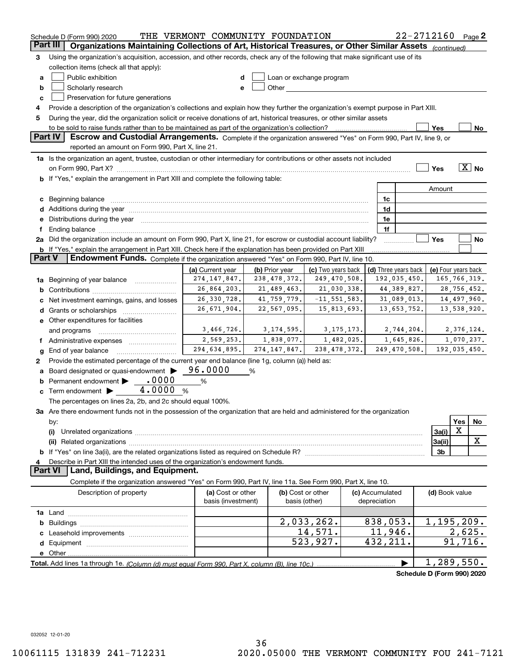|               | Schedule D (Form 990) 2020                                                                                                                                                                                                     | THE VERMONT COMMUNITY FOUNDATION                                               |                |                                                                                                                                                                                                                                |                 |                      | 22-2712160                 |                   | Page $2$ |
|---------------|--------------------------------------------------------------------------------------------------------------------------------------------------------------------------------------------------------------------------------|--------------------------------------------------------------------------------|----------------|--------------------------------------------------------------------------------------------------------------------------------------------------------------------------------------------------------------------------------|-----------------|----------------------|----------------------------|-------------------|----------|
| Part III      | Organizations Maintaining Collections of Art, Historical Treasures, or Other Similar Assets (continued)                                                                                                                        |                                                                                |                |                                                                                                                                                                                                                                |                 |                      |                            |                   |          |
| з             | Using the organization's acquisition, accession, and other records, check any of the following that make significant use of its                                                                                                |                                                                                |                |                                                                                                                                                                                                                                |                 |                      |                            |                   |          |
|               | collection items (check all that apply):                                                                                                                                                                                       |                                                                                |                |                                                                                                                                                                                                                                |                 |                      |                            |                   |          |
| a             | Public exhibition                                                                                                                                                                                                              | d                                                                              |                | Loan or exchange program                                                                                                                                                                                                       |                 |                      |                            |                   |          |
| b             | Scholarly research                                                                                                                                                                                                             | е                                                                              |                | Other the contract of the contract of the contract of the contract of the contract of the contract of the contract of the contract of the contract of the contract of the contract of the contract of the contract of the cont |                 |                      |                            |                   |          |
| c             | Preservation for future generations                                                                                                                                                                                            |                                                                                |                |                                                                                                                                                                                                                                |                 |                      |                            |                   |          |
| 4             | Provide a description of the organization's collections and explain how they further the organization's exempt purpose in Part XIII.                                                                                           |                                                                                |                |                                                                                                                                                                                                                                |                 |                      |                            |                   |          |
| 5             | During the year, did the organization solicit or receive donations of art, historical treasures, or other similar assets                                                                                                       |                                                                                |                |                                                                                                                                                                                                                                |                 |                      |                            |                   |          |
|               |                                                                                                                                                                                                                                |                                                                                |                |                                                                                                                                                                                                                                |                 |                      | Yes                        |                   | No       |
|               | Part IV<br>Escrow and Custodial Arrangements. Complete if the organization answered "Yes" on Form 990, Part IV, line 9, or                                                                                                     |                                                                                |                |                                                                                                                                                                                                                                |                 |                      |                            |                   |          |
|               | reported an amount on Form 990, Part X, line 21.                                                                                                                                                                               |                                                                                |                |                                                                                                                                                                                                                                |                 |                      |                            |                   |          |
|               | 1a Is the organization an agent, trustee, custodian or other intermediary for contributions or other assets not included                                                                                                       |                                                                                |                |                                                                                                                                                                                                                                |                 |                      |                            |                   |          |
|               |                                                                                                                                                                                                                                |                                                                                |                |                                                                                                                                                                                                                                |                 |                      | Yes                        | $\overline{X}$ No |          |
|               | b If "Yes," explain the arrangement in Part XIII and complete the following table:                                                                                                                                             |                                                                                |                |                                                                                                                                                                                                                                |                 |                      |                            |                   |          |
|               |                                                                                                                                                                                                                                |                                                                                |                |                                                                                                                                                                                                                                |                 |                      | Amount                     |                   |          |
|               |                                                                                                                                                                                                                                |                                                                                |                |                                                                                                                                                                                                                                |                 | 1c                   |                            |                   |          |
| c             | Beginning balance entertainment contains and the contract of the contract of the contract of the contract of the contract of the contract of the contract of the contract of the contract of the contract of the contract of t |                                                                                |                |                                                                                                                                                                                                                                |                 | 1d                   |                            |                   |          |
| d             | Additions during the year manufactured and an account of the year and account of the year manufactured and account of the year and account of the year and account of the year and account of the state of the state of the st |                                                                                |                |                                                                                                                                                                                                                                |                 | 1e                   |                            |                   |          |
| е             | Distributions during the year manufactured and continuum and contact the year manufactured and contact the year                                                                                                                |                                                                                |                |                                                                                                                                                                                                                                |                 | 1f                   |                            |                   |          |
| f             | 2a Did the organization include an amount on Form 990, Part X, line 21, for escrow or custodial account liability?                                                                                                             |                                                                                |                |                                                                                                                                                                                                                                |                 |                      | Yes                        |                   |          |
|               |                                                                                                                                                                                                                                |                                                                                |                |                                                                                                                                                                                                                                |                 |                      |                            |                   | No       |
| <b>Part V</b> | b If "Yes," explain the arrangement in Part XIII. Check here if the explanation has been provided on Part XIII<br><b>Endowment Funds.</b> Complete if the organization answered "Yes" on Form 990, Part IV, line 10.           |                                                                                |                |                                                                                                                                                                                                                                |                 |                      |                            |                   |          |
|               |                                                                                                                                                                                                                                |                                                                                |                |                                                                                                                                                                                                                                |                 |                      |                            |                   |          |
|               |                                                                                                                                                                                                                                | (a) Current year                                                               | (b) Prior year | (c) Two years back                                                                                                                                                                                                             |                 | (d) Three years back | (e) Four years back        |                   |          |
| 1a            | 274, 147, 847.<br>238, 478, 372.<br>249,470,508.<br>192,035,450.<br>165,766,319.<br>Beginning of year balance <i>manumman</i>                                                                                                  |                                                                                |                |                                                                                                                                                                                                                                |                 |                      |                            |                   |          |
| b             |                                                                                                                                                                                                                                | 26,864,203.                                                                    | 21,489,463.    | 21,030,338.                                                                                                                                                                                                                    |                 | 44,389,827.          |                            | 28,756,452.       |          |
|               | Net investment earnings, gains, and losses                                                                                                                                                                                     | 26, 330, 728.<br>41,759,779.<br>$-11, 551, 583.$<br>14,497,960.<br>31,089,013. |                |                                                                                                                                                                                                                                |                 |                      |                            |                   |          |
| d             | Grants or scholarships                                                                                                                                                                                                         | 26,671,904.                                                                    | 22,567,095.    | 15,813,693.                                                                                                                                                                                                                    |                 | 13,653,752.          |                            | 13,538,920.       |          |
|               | e Other expenditures for facilities                                                                                                                                                                                            |                                                                                |                |                                                                                                                                                                                                                                |                 |                      |                            |                   |          |
|               | and programs                                                                                                                                                                                                                   | 3,466,726.<br>3, 174, 595.<br>3, 175, 173.<br>2,744,204.                       |                |                                                                                                                                                                                                                                | 2,376,124.      |                      |                            |                   |          |
|               | f Administrative expenses <i></i>                                                                                                                                                                                              | 2,569,253.                                                                     | 1,838,077.     | 1,482,025.                                                                                                                                                                                                                     |                 | 1,645,826.           |                            | 1,070,237.        |          |
| g             | End of year balance                                                                                                                                                                                                            | 294,634,895.                                                                   | 274, 147, 847. | 238, 478, 372.                                                                                                                                                                                                                 |                 | 249,470,508.         | 192,035,450.               |                   |          |
| 2             | Provide the estimated percentage of the current year end balance (line 1g, column (a)) held as:                                                                                                                                |                                                                                |                |                                                                                                                                                                                                                                |                 |                      |                            |                   |          |
|               | Board designated or quasi-endowment >                                                                                                                                                                                          | 96.0000                                                                        | %              |                                                                                                                                                                                                                                |                 |                      |                            |                   |          |
|               | Permanent endowment • 0000                                                                                                                                                                                                     | %                                                                              |                |                                                                                                                                                                                                                                |                 |                      |                            |                   |          |
|               | Term endowment $\blacktriangleright$ 4.0000                                                                                                                                                                                    | %                                                                              |                |                                                                                                                                                                                                                                |                 |                      |                            |                   |          |
|               | The percentages on lines 2a, 2b, and 2c should equal 100%.                                                                                                                                                                     |                                                                                |                |                                                                                                                                                                                                                                |                 |                      |                            |                   |          |
|               | 3a Are there endowment funds not in the possession of the organization that are held and administered for the organization                                                                                                     |                                                                                |                |                                                                                                                                                                                                                                |                 |                      |                            |                   |          |
|               | by:                                                                                                                                                                                                                            |                                                                                |                |                                                                                                                                                                                                                                |                 |                      |                            | Yes               | No       |
|               | (i)                                                                                                                                                                                                                            |                                                                                |                |                                                                                                                                                                                                                                |                 |                      | 3a(i)                      | х                 |          |
|               |                                                                                                                                                                                                                                |                                                                                |                |                                                                                                                                                                                                                                |                 |                      | 3a(ii)                     |                   | X        |
|               |                                                                                                                                                                                                                                |                                                                                |                |                                                                                                                                                                                                                                |                 |                      | 3b                         |                   |          |
|               | Describe in Part XIII the intended uses of the organization's endowment funds.                                                                                                                                                 |                                                                                |                |                                                                                                                                                                                                                                |                 |                      |                            |                   |          |
|               | <b>Part VI</b><br>Land, Buildings, and Equipment.                                                                                                                                                                              |                                                                                |                |                                                                                                                                                                                                                                |                 |                      |                            |                   |          |
|               | Complete if the organization answered "Yes" on Form 990, Part IV, line 11a. See Form 990, Part X, line 10.                                                                                                                     |                                                                                |                |                                                                                                                                                                                                                                |                 |                      |                            |                   |          |
|               | Description of property                                                                                                                                                                                                        | (a) Cost or other                                                              |                | (b) Cost or other                                                                                                                                                                                                              | (c) Accumulated |                      | (d) Book value             |                   |          |
|               |                                                                                                                                                                                                                                | basis (investment)                                                             |                | basis (other)                                                                                                                                                                                                                  | depreciation    |                      |                            |                   |          |
|               |                                                                                                                                                                                                                                |                                                                                |                |                                                                                                                                                                                                                                |                 |                      |                            |                   |          |
| b             |                                                                                                                                                                                                                                |                                                                                |                | 2,033,262.                                                                                                                                                                                                                     |                 | 838,053.             | 1, 195, 209.               |                   |          |
|               |                                                                                                                                                                                                                                |                                                                                |                | 14,571.                                                                                                                                                                                                                        |                 | 11,946.              |                            | 2,625.            |          |
| d             |                                                                                                                                                                                                                                |                                                                                |                | $\overline{523,927}$ .                                                                                                                                                                                                         |                 | 432, 211.            |                            | 91,716.           |          |
|               |                                                                                                                                                                                                                                |                                                                                |                |                                                                                                                                                                                                                                |                 |                      |                            |                   |          |
|               |                                                                                                                                                                                                                                |                                                                                |                |                                                                                                                                                                                                                                |                 |                      | 1,289,550.                 |                   |          |
|               |                                                                                                                                                                                                                                |                                                                                |                |                                                                                                                                                                                                                                |                 |                      | Schedule D (Form 990) 2020 |                   |          |
|               |                                                                                                                                                                                                                                |                                                                                |                |                                                                                                                                                                                                                                |                 |                      |                            |                   |          |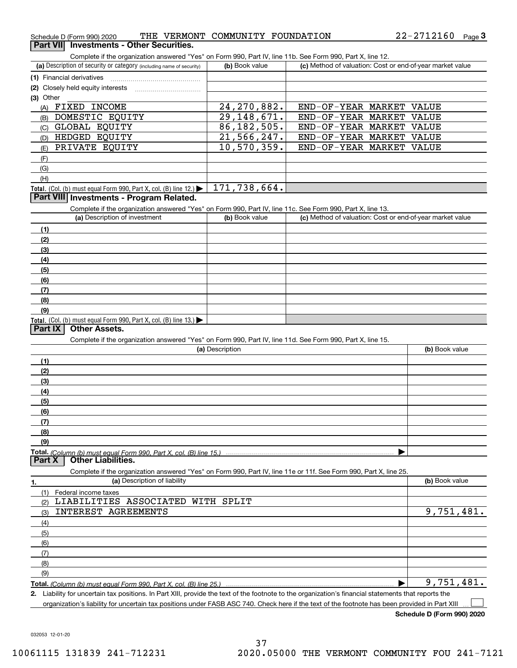| Schedule D (Form 990) 2020               |  | THE VERMONT COMMUNITY FOUNDATION | 22-2712160 | Page 3 |
|------------------------------------------|--|----------------------------------|------------|--------|
| Part VII Investments - Other Securities. |  |                                  |            |        |

Complete if the organization answered "Yes" on Form 990, Part IV, line 11b. See Form 990, Part X, line 12.

| (a) Description of security or category (including name of security)                          | (b) Book value | (c) Method of valuation: Cost or end-of-year market value |  |  |  |
|-----------------------------------------------------------------------------------------------|----------------|-----------------------------------------------------------|--|--|--|
|                                                                                               |                |                                                           |  |  |  |
| (2) Closely held equity interests                                                             |                |                                                           |  |  |  |
| (3) Other                                                                                     |                |                                                           |  |  |  |
| FIXED<br>INCOME<br>(A)                                                                        | 24, 270, 882.  | END-OF-YEAR MARKET VALUE                                  |  |  |  |
| DOMESTIC EQUITY<br>(B)                                                                        | 29, 148, 671.  | END-OF-YEAR MARKET VALUE                                  |  |  |  |
| GLOBAL EQUITY<br>(C)                                                                          | 86, 182, 505.  | END-OF-YEAR MARKET VALUE                                  |  |  |  |
| HEDGED EQUITY<br>(D)                                                                          | 21,566,247.    | END-OF-YEAR MARKET VALUE                                  |  |  |  |
| PRIVATE EQUITY<br>(E)                                                                         | 10,570,359.    | END-OF-YEAR MARKET VALUE                                  |  |  |  |
| (F)                                                                                           |                |                                                           |  |  |  |
| (G)                                                                                           |                |                                                           |  |  |  |
| (H)                                                                                           |                |                                                           |  |  |  |
| <b>Total.</b> (Col. (b) must equal Form 990, Part X, col. (B) line 12.) $\blacktriangleright$ | 171,738,664.   |                                                           |  |  |  |

#### **Part VIII Investments - Program Related.**

Complete if the organization answered "Yes" on Form 990, Part IV, line 11c. See Form 990, Part X, line 13.

| (a) Description of investment                                       | (b) Book value | (c) Method of valuation: Cost or end-of-year market value |
|---------------------------------------------------------------------|----------------|-----------------------------------------------------------|
| (1)                                                                 |                |                                                           |
| (2)                                                                 |                |                                                           |
| $\frac{1}{2}$                                                       |                |                                                           |
| (4)                                                                 |                |                                                           |
| $\frac{1}{2}$                                                       |                |                                                           |
| (6)                                                                 |                |                                                           |
| (7)                                                                 |                |                                                           |
| (8)                                                                 |                |                                                           |
| (9)                                                                 |                |                                                           |
| Total. (Col. (b) must equal Form 990, Part X, col. (B) line $13.$ ) |                |                                                           |

#### **Part IX Other Assets.**

Complete if the organization answered "Yes" on Form 990, Part IV, line 11d. See Form 990, Part X, line 15.

| (a) Description                                                                                                   | (b) Book value |
|-------------------------------------------------------------------------------------------------------------------|----------------|
| (1)                                                                                                               |                |
| (2)                                                                                                               |                |
| (3)                                                                                                               |                |
| (4)                                                                                                               |                |
| $\frac{1}{2}$                                                                                                     |                |
| (6)                                                                                                               |                |
| (7)                                                                                                               |                |
| (8)                                                                                                               |                |
| (9)                                                                                                               |                |
|                                                                                                                   |                |
| <b>Part X   Other Liabilities.</b>                                                                                |                |
| Complete if the organization answered "Yes" on Form 990, Part IV, line 11e or 11f. See Form 990, Part X, line 25. |                |

| 1.  | (a) Description of liability      | (b) Book value |
|-----|-----------------------------------|----------------|
| (1) | Federal income taxes              |                |
| (2) | LIABILITIES ASSOCIATED WITH SPLIT |                |
| (3) | INTEREST AGREEMENTS               | 9,751,481.     |
| (4) |                                   |                |
| (5) |                                   |                |
| (6) |                                   |                |
|     |                                   |                |
| (8) |                                   |                |
| (9) |                                   |                |
|     |                                   | 9,751,481.     |
|     |                                   |                |

**2.** Liability for uncertain tax positions. In Part XIII, provide the text of the footnote to the organization's financial statements that reports the organization's liability for uncertain tax positions under FASB ASC 740. Check here if the text of the footnote has been provided in Part XIII

**Schedule D (Form 990) 2020**

 $\mathcal{L}^{\text{max}}$ 

032053 12-01-20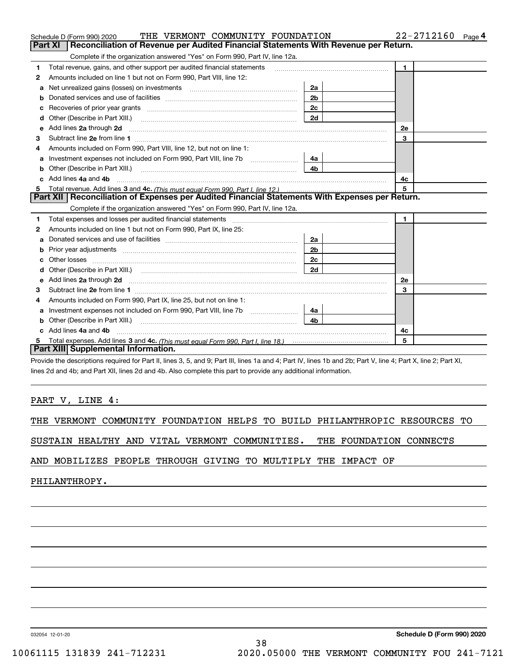|    | THE VERMONT COMMUNITY FOUNDATION<br>Schedule D (Form 990) 2020                                                                                                                                                                      |                | 22-2712160<br>Page 4 |
|----|-------------------------------------------------------------------------------------------------------------------------------------------------------------------------------------------------------------------------------------|----------------|----------------------|
|    | Reconciliation of Revenue per Audited Financial Statements With Revenue per Return.<br>Part XI                                                                                                                                      |                |                      |
|    | Complete if the organization answered "Yes" on Form 990, Part IV, line 12a.                                                                                                                                                         |                |                      |
| 1  | Total revenue, gains, and other support per audited financial statements                                                                                                                                                            |                | $\blacksquare$       |
| 2  | Amounts included on line 1 but not on Form 990, Part VIII, line 12:                                                                                                                                                                 |                |                      |
| а  | Net unrealized gains (losses) on investments [11] matter contracts and the unrealized gains (losses) on investments                                                                                                                 | 2a             |                      |
| b  |                                                                                                                                                                                                                                     | 2 <sub>b</sub> |                      |
|    |                                                                                                                                                                                                                                     | 2c             |                      |
| d  | Other (Describe in Part XIII.) <b>2006</b> 2007 2010 2010 2010 2010 2011 2012 2013 2014 2015 2016 2017 2018 2019 2016 2016 2017 2018 2019 2016 2017 2018 2019 2016 2017 2018 2019 2018 2019 2016 2017 2018 2019 2018 2019 2018 2019 | 2d             |                      |
| е  | Add lines 2a through 2d                                                                                                                                                                                                             |                | 2e                   |
| з  |                                                                                                                                                                                                                                     |                | 3                    |
| 4  | Amounts included on Form 990, Part VIII, line 12, but not on line 1:                                                                                                                                                                |                |                      |
| а  |                                                                                                                                                                                                                                     | 4a             |                      |
|    |                                                                                                                                                                                                                                     | 4 <sub>b</sub> |                      |
| c. | Add lines 4a and 4b                                                                                                                                                                                                                 |                | 4с                   |
| 5  |                                                                                                                                                                                                                                     |                | 5                    |
|    | Part XII   Reconciliation of Expenses per Audited Financial Statements With Expenses per Return.                                                                                                                                    |                |                      |
|    | Complete if the organization answered "Yes" on Form 990, Part IV, line 12a.                                                                                                                                                         |                |                      |
| 1  | Total expenses and losses per audited financial statements [11] [12] manuscription control expenses and losses per audited financial statements [12] manuscription of the statements [12] manuscription of the statements [12]      |                | 1.                   |
| 2  | Amounts included on line 1 but not on Form 990, Part IX, line 25:                                                                                                                                                                   |                |                      |
| a  |                                                                                                                                                                                                                                     | 2a             |                      |
| b  |                                                                                                                                                                                                                                     | 2 <sub>b</sub> |                      |
|    |                                                                                                                                                                                                                                     | 2c             |                      |
| d  |                                                                                                                                                                                                                                     | 2d             |                      |
| е  | Add lines 2a through 2d <b>minimum contracts</b> and the state of the state of the state of the state of the state of the state of the state of the state of the state of the state of the state of the state of the state of the s |                | 2e                   |
| з  | Subtract line 2e from line 1 <b>Manual Community of the Community</b> Subtract line 2e from line 1                                                                                                                                  |                | 3                    |
|    | Amounts included on Form 990, Part IX, line 25, but not on line 1:                                                                                                                                                                  |                |                      |
| a  |                                                                                                                                                                                                                                     | 4a             |                      |
| b  | Other (Describe in Part XIII.)                                                                                                                                                                                                      | 4 <sub>b</sub> |                      |
|    | Add lines 4a and 4b                                                                                                                                                                                                                 |                | 4c                   |
| 5  |                                                                                                                                                                                                                                     |                | 5                    |
|    | Part XIII Supplemental Information.                                                                                                                                                                                                 |                |                      |
|    |                                                                                                                                                                                                                                     |                |                      |

Provide the descriptions required for Part II, lines 3, 5, and 9; Part III, lines 1a and 4; Part IV, lines 1b and 2b; Part V, line 4; Part X, line 2; Part XI, lines 2d and 4b; and Part XII, lines 2d and 4b. Also complete this part to provide any additional information.

#### PART V, LINE 4:

|  |  |  |  |  |  |  | THE VERMONT COMMUNITY FOUNDATION HELPS TO BUILD PHILANTHROPIC RESOURCES TO |  |  |
|--|--|--|--|--|--|--|----------------------------------------------------------------------------|--|--|
|--|--|--|--|--|--|--|----------------------------------------------------------------------------|--|--|

38

SUSTAIN HEALTHY AND VITAL VERMONT COMMUNITIES. THE FOUNDATION CONNECTS

AND MOBILIZES PEOPLE THROUGH GIVING TO MULTIPLY THE IMPACT OF

PHILANTHROPY.

032054 12-01-20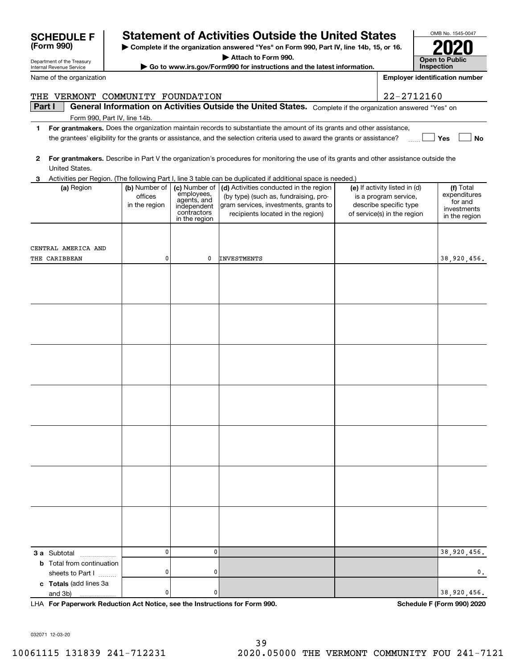|              | Part I                                                                                                                                  |                                           |                                                                          | General Information on Activities Outside the United States. Complete if the organization answered "Yes" on                                                   |                                                                                                                 |                                                     |  |  |  |  |  |
|--------------|-----------------------------------------------------------------------------------------------------------------------------------------|-------------------------------------------|--------------------------------------------------------------------------|---------------------------------------------------------------------------------------------------------------------------------------------------------------|-----------------------------------------------------------------------------------------------------------------|-----------------------------------------------------|--|--|--|--|--|
|              | Form 990, Part IV, line 14b.                                                                                                            |                                           |                                                                          |                                                                                                                                                               |                                                                                                                 |                                                     |  |  |  |  |  |
| 1.           | For grantmakers. Does the organization maintain records to substantiate the amount of its grants and other assistance,                  |                                           |                                                                          |                                                                                                                                                               |                                                                                                                 |                                                     |  |  |  |  |  |
|              | the grantees' eligibility for the grants or assistance, and the selection criteria used to award the grants or assistance?<br>Yes<br>No |                                           |                                                                          |                                                                                                                                                               |                                                                                                                 |                                                     |  |  |  |  |  |
| $\mathbf{2}$ | For grantmakers. Describe in Part V the organization's procedures for monitoring the use of its grants and other assistance outside the |                                           |                                                                          |                                                                                                                                                               |                                                                                                                 |                                                     |  |  |  |  |  |
|              | United States.                                                                                                                          |                                           |                                                                          |                                                                                                                                                               |                                                                                                                 |                                                     |  |  |  |  |  |
| 3            | Activities per Region. (The following Part I, line 3 table can be duplicated if additional space is needed.)                            |                                           |                                                                          |                                                                                                                                                               |                                                                                                                 |                                                     |  |  |  |  |  |
|              | (a) Region                                                                                                                              | (b) Number of<br>offices<br>in the region | (c) Number of<br>employees,<br>agents, and<br>independent<br>contractors | (d) Activities conducted in the region<br>(by type) (such as, fundraising, pro-<br>gram services, investments, grants to<br>recipients located in the region) | (e) If activity listed in (d)<br>is a program service,<br>describe specific type<br>of service(s) in the region | (f) Total<br>expenditures<br>for and<br>investments |  |  |  |  |  |
|              |                                                                                                                                         |                                           | in the region                                                            |                                                                                                                                                               |                                                                                                                 | in the region                                       |  |  |  |  |  |
|              |                                                                                                                                         |                                           |                                                                          |                                                                                                                                                               |                                                                                                                 |                                                     |  |  |  |  |  |
|              | CENTRAL AMERICA AND                                                                                                                     |                                           |                                                                          |                                                                                                                                                               |                                                                                                                 |                                                     |  |  |  |  |  |
|              | THE CARIBBEAN                                                                                                                           | 0                                         | 0                                                                        | <b>INVESTMENTS</b>                                                                                                                                            |                                                                                                                 | 38,920,456.                                         |  |  |  |  |  |
|              |                                                                                                                                         |                                           |                                                                          |                                                                                                                                                               |                                                                                                                 |                                                     |  |  |  |  |  |
|              |                                                                                                                                         |                                           |                                                                          |                                                                                                                                                               |                                                                                                                 |                                                     |  |  |  |  |  |
|              |                                                                                                                                         |                                           |                                                                          |                                                                                                                                                               |                                                                                                                 |                                                     |  |  |  |  |  |
|              |                                                                                                                                         |                                           |                                                                          |                                                                                                                                                               |                                                                                                                 |                                                     |  |  |  |  |  |
|              |                                                                                                                                         |                                           |                                                                          |                                                                                                                                                               |                                                                                                                 |                                                     |  |  |  |  |  |
|              |                                                                                                                                         |                                           |                                                                          |                                                                                                                                                               |                                                                                                                 |                                                     |  |  |  |  |  |
|              |                                                                                                                                         |                                           |                                                                          |                                                                                                                                                               |                                                                                                                 |                                                     |  |  |  |  |  |
|              |                                                                                                                                         |                                           |                                                                          |                                                                                                                                                               |                                                                                                                 |                                                     |  |  |  |  |  |
|              |                                                                                                                                         |                                           |                                                                          |                                                                                                                                                               |                                                                                                                 |                                                     |  |  |  |  |  |
|              |                                                                                                                                         |                                           |                                                                          |                                                                                                                                                               |                                                                                                                 |                                                     |  |  |  |  |  |
|              |                                                                                                                                         |                                           |                                                                          |                                                                                                                                                               |                                                                                                                 |                                                     |  |  |  |  |  |
|              |                                                                                                                                         |                                           |                                                                          |                                                                                                                                                               |                                                                                                                 |                                                     |  |  |  |  |  |
|              |                                                                                                                                         |                                           |                                                                          |                                                                                                                                                               |                                                                                                                 |                                                     |  |  |  |  |  |
|              |                                                                                                                                         |                                           |                                                                          |                                                                                                                                                               |                                                                                                                 |                                                     |  |  |  |  |  |
|              |                                                                                                                                         |                                           |                                                                          |                                                                                                                                                               |                                                                                                                 |                                                     |  |  |  |  |  |
|              |                                                                                                                                         |                                           |                                                                          |                                                                                                                                                               |                                                                                                                 |                                                     |  |  |  |  |  |
|              |                                                                                                                                         |                                           |                                                                          |                                                                                                                                                               |                                                                                                                 |                                                     |  |  |  |  |  |
|              |                                                                                                                                         |                                           |                                                                          |                                                                                                                                                               |                                                                                                                 |                                                     |  |  |  |  |  |
|              |                                                                                                                                         |                                           |                                                                          |                                                                                                                                                               |                                                                                                                 |                                                     |  |  |  |  |  |
|              |                                                                                                                                         |                                           |                                                                          |                                                                                                                                                               |                                                                                                                 |                                                     |  |  |  |  |  |
|              |                                                                                                                                         |                                           |                                                                          |                                                                                                                                                               |                                                                                                                 |                                                     |  |  |  |  |  |
|              |                                                                                                                                         |                                           |                                                                          |                                                                                                                                                               |                                                                                                                 |                                                     |  |  |  |  |  |
|              |                                                                                                                                         |                                           |                                                                          |                                                                                                                                                               |                                                                                                                 |                                                     |  |  |  |  |  |
|              |                                                                                                                                         |                                           |                                                                          |                                                                                                                                                               |                                                                                                                 |                                                     |  |  |  |  |  |
|              |                                                                                                                                         |                                           |                                                                          |                                                                                                                                                               |                                                                                                                 |                                                     |  |  |  |  |  |
|              | <b>3 a</b> Subtotal                                                                                                                     | 0                                         | 0                                                                        |                                                                                                                                                               |                                                                                                                 | 38,920,456.                                         |  |  |  |  |  |
|              | .<br><b>b</b> Total from continuation                                                                                                   |                                           |                                                                          |                                                                                                                                                               |                                                                                                                 |                                                     |  |  |  |  |  |
|              | sheets to Part I                                                                                                                        | 0                                         | 0                                                                        |                                                                                                                                                               |                                                                                                                 | 0.                                                  |  |  |  |  |  |
|              | c Totals (add lines 3a                                                                                                                  |                                           |                                                                          |                                                                                                                                                               |                                                                                                                 |                                                     |  |  |  |  |  |
|              | and 3b)                                                                                                                                 | 0                                         | 0                                                                        |                                                                                                                                                               |                                                                                                                 | 38,920,456.                                         |  |  |  |  |  |
|              | LHA For Paperwork Reduction Act Notice, see the Instructions for Form 990.                                                              |                                           |                                                                          |                                                                                                                                                               |                                                                                                                 | <b>Schedule F (Form 990) 2020</b>                   |  |  |  |  |  |

| Name of the organization |
|--------------------------|
|                          |

**(Form 990)**

Department of the Treasury Internal Revenue Service

# **SCHEDULE F Statement of Activities Outside the United States**

OMB No. 1545-0047

**2020**

**Open to Public InspectionEmployer identification number**

**| Complete if the organization answered "Yes" on Form 990, Part IV, line 14b, 15, or 16.**

**| Attach to Form 990.**

THE VERMONT COMMUNITY FOUNDATION 22-2712160

**| Go to www.irs.gov/Form990 for instructions and the latest information.**

032071 12-03-20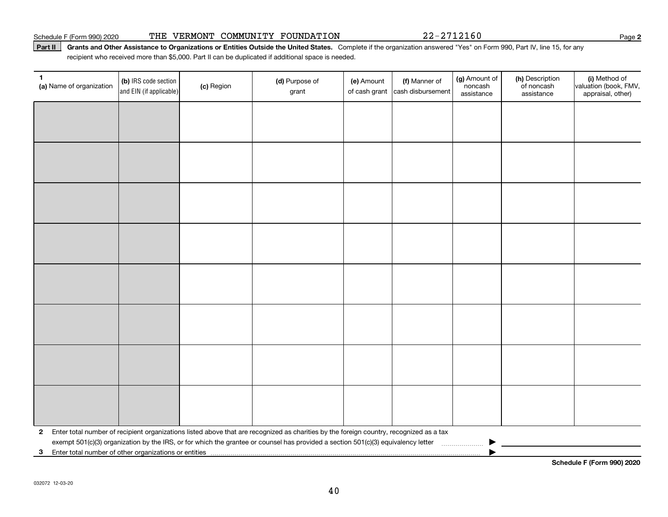#### Schedule F (Form 990) 2020 **THE VERMONT COMMUNITY FOUNDATION** 2 2-2 7 1 2 1 6 0 Page

#### Part II | Grants and Other Assistance to Organizations or Entities Outside the United States. Complete if the organization answered "Yes" on Form 990, Part IV, line 15, for any recipient who received more than \$5,000. Part II can be duplicated if additional space is needed.

| 1<br>(a) Name of organization                                                                                                                           | (b) IRS code section<br>and EIN (if applicable) | (c) Region | (d) Purpose of<br>grant | (e) Amount<br>of cash grant | (f) Manner of<br>cash disbursement | (g) Amount of<br>noncash<br>assistance | (h) Description<br>of noncash<br>assistance | (i) Method of<br>valuation (book, FMV,<br>appraisal, other) |  |
|---------------------------------------------------------------------------------------------------------------------------------------------------------|-------------------------------------------------|------------|-------------------------|-----------------------------|------------------------------------|----------------------------------------|---------------------------------------------|-------------------------------------------------------------|--|
|                                                                                                                                                         |                                                 |            |                         |                             |                                    |                                        |                                             |                                                             |  |
|                                                                                                                                                         |                                                 |            |                         |                             |                                    |                                        |                                             |                                                             |  |
|                                                                                                                                                         |                                                 |            |                         |                             |                                    |                                        |                                             |                                                             |  |
|                                                                                                                                                         |                                                 |            |                         |                             |                                    |                                        |                                             |                                                             |  |
|                                                                                                                                                         |                                                 |            |                         |                             |                                    |                                        |                                             |                                                             |  |
|                                                                                                                                                         |                                                 |            |                         |                             |                                    |                                        |                                             |                                                             |  |
|                                                                                                                                                         |                                                 |            |                         |                             |                                    |                                        |                                             |                                                             |  |
|                                                                                                                                                         |                                                 |            |                         |                             |                                    |                                        |                                             |                                                             |  |
|                                                                                                                                                         |                                                 |            |                         |                             |                                    |                                        |                                             |                                                             |  |
|                                                                                                                                                         |                                                 |            |                         |                             |                                    |                                        |                                             |                                                             |  |
|                                                                                                                                                         |                                                 |            |                         |                             |                                    |                                        |                                             |                                                             |  |
|                                                                                                                                                         |                                                 |            |                         |                             |                                    |                                        |                                             |                                                             |  |
|                                                                                                                                                         |                                                 |            |                         |                             |                                    |                                        |                                             |                                                             |  |
|                                                                                                                                                         |                                                 |            |                         |                             |                                    |                                        |                                             |                                                             |  |
|                                                                                                                                                         |                                                 |            |                         |                             |                                    |                                        |                                             |                                                             |  |
|                                                                                                                                                         |                                                 |            |                         |                             |                                    |                                        |                                             |                                                             |  |
| Enter total number of recipient organizations listed above that are recognized as charities by the foreign country, recognized as a tax<br>$\mathbf{2}$ |                                                 |            |                         |                             |                                    |                                        |                                             |                                                             |  |
|                                                                                                                                                         |                                                 |            |                         |                             |                                    |                                        |                                             |                                                             |  |
| $\mathbf{3}$                                                                                                                                            |                                                 |            |                         |                             |                                    |                                        |                                             |                                                             |  |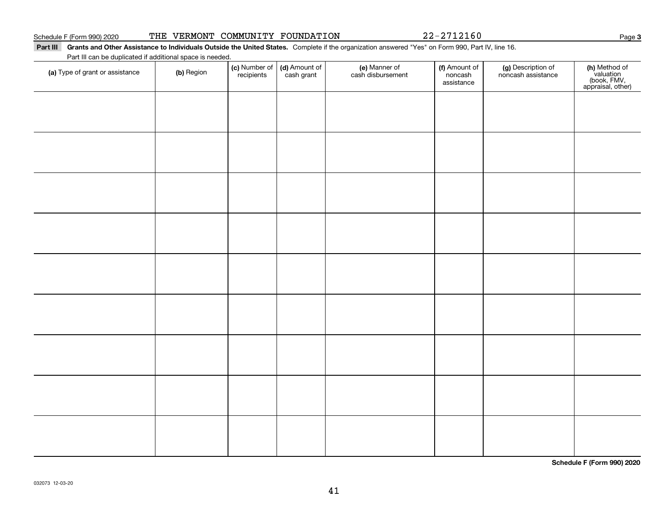|  |  |  | THE VERMONT COMMUNITY FOUNDATION |
|--|--|--|----------------------------------|
|--|--|--|----------------------------------|

22-2712160

Part III Grants and Other Assistance to Individuals Outside the United States. Complete if the organization answered "Yes" on Form 990, Part IV, line 16.

Part III can be duplicated if additional space is needed.

| (a) Type of grant or assistance | (b) Region | (c) Number of<br>recipients | (d) Amount of<br>cash grant | (e) Manner of<br>cash disbursement | (f) Amount of<br>noncash<br>assistance | (g) Description of<br>noncash assistance | (h) Method of<br>valuation<br>(book, FMV,<br>appraisal, other) |
|---------------------------------|------------|-----------------------------|-----------------------------|------------------------------------|----------------------------------------|------------------------------------------|----------------------------------------------------------------|
|                                 |            |                             |                             |                                    |                                        |                                          |                                                                |
|                                 |            |                             |                             |                                    |                                        |                                          |                                                                |
|                                 |            |                             |                             |                                    |                                        |                                          |                                                                |
|                                 |            |                             |                             |                                    |                                        |                                          |                                                                |
|                                 |            |                             |                             |                                    |                                        |                                          |                                                                |
|                                 |            |                             |                             |                                    |                                        |                                          |                                                                |
|                                 |            |                             |                             |                                    |                                        |                                          |                                                                |
|                                 |            |                             |                             |                                    |                                        |                                          |                                                                |
|                                 |            |                             |                             |                                    |                                        |                                          |                                                                |
|                                 |            |                             |                             |                                    |                                        |                                          |                                                                |

**Schedule F (Form 990) 2020**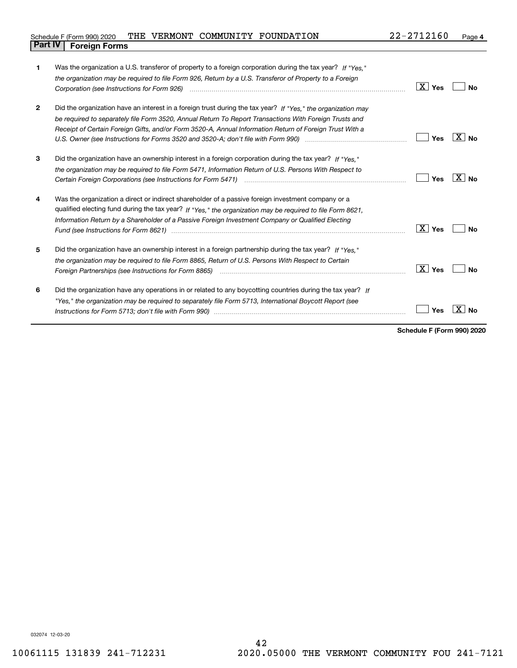| Schedule F (Form 990) 2020     |  | THE VERMONT COMMUNITY FOUNDATION | 22-2712160 | Page |
|--------------------------------|--|----------------------------------|------------|------|
| <b>Part IV   Foreign Forms</b> |  |                                  |            |      |

| 1            | Was the organization a U.S. transferor of property to a foreign corporation during the tax year? If "Yes."   |               |                 |  |  |  |  |  |
|--------------|--------------------------------------------------------------------------------------------------------------|---------------|-----------------|--|--|--|--|--|
|              | the organization may be required to file Form 926, Return by a U.S. Transferor of Property to a Foreign      |               |                 |  |  |  |  |  |
|              |                                                                                                              | $X \mid Y$ es | <b>No</b>       |  |  |  |  |  |
| $\mathbf{2}$ | Did the organization have an interest in a foreign trust during the tax year? If "Yes," the organization may |               |                 |  |  |  |  |  |
|              | be required to separately file Form 3520, Annual Return To Report Transactions With Foreign Trusts and       |               |                 |  |  |  |  |  |
|              | Receipt of Certain Foreign Gifts, and/or Form 3520-A, Annual Information Return of Foreign Trust With a      |               |                 |  |  |  |  |  |
|              |                                                                                                              | Yes           | X.<br>  No      |  |  |  |  |  |
| 3            | Did the organization have an ownership interest in a foreign corporation during the tax year? If "Yes."      |               |                 |  |  |  |  |  |
|              | the organization may be required to file Form 5471, Information Return of U.S. Persons With Respect to       |               |                 |  |  |  |  |  |
|              |                                                                                                              | Yes           | X.<br><b>No</b> |  |  |  |  |  |
| 4            | Was the organization a direct or indirect shareholder of a passive foreign investment company or a           |               |                 |  |  |  |  |  |
|              | qualified electing fund during the tax year? If "Yes," the organization may be required to file Form 8621,   |               |                 |  |  |  |  |  |
|              | Information Return by a Shareholder of a Passive Foreign Investment Company or Qualified Electing            |               |                 |  |  |  |  |  |
|              |                                                                                                              | X <br>Yes     | No              |  |  |  |  |  |
| 5            | Did the organization have an ownership interest in a foreign partnership during the tax year? If "Yes."      |               |                 |  |  |  |  |  |
|              | the organization may be required to file Form 8865, Return of U.S. Persons With Respect to Certain           |               |                 |  |  |  |  |  |
|              |                                                                                                              | $X \mid Y$ es | Nο              |  |  |  |  |  |
| 6            | Did the organization have any operations in or related to any boycotting countries during the tax year? If   |               |                 |  |  |  |  |  |
|              | "Yes," the organization may be required to separately file Form 5713, International Boycott Report (see      |               |                 |  |  |  |  |  |
|              |                                                                                                              | Yes           |                 |  |  |  |  |  |
|              |                                                                                                              |               |                 |  |  |  |  |  |

**Schedule F (Form 990) 2020**

032074 12-03-20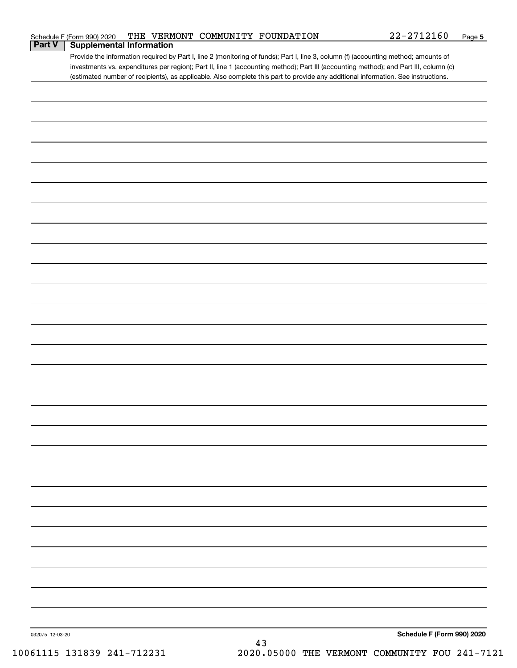|                 | Schedule F (Form 990) 2020      |  | THE VERMONT COMMUNITY FOUNDATION | $22 - 2712160$                                                                                                                                                                                                                                                             | Page 5 |
|-----------------|---------------------------------|--|----------------------------------|----------------------------------------------------------------------------------------------------------------------------------------------------------------------------------------------------------------------------------------------------------------------------|--------|
| <b>Part V</b>   | <b>Supplemental Information</b> |  |                                  |                                                                                                                                                                                                                                                                            |        |
|                 |                                 |  |                                  | Provide the information required by Part I, line 2 (monitoring of funds); Part I, line 3, column (f) (accounting method; amounts of                                                                                                                                        |        |
|                 |                                 |  |                                  | investments vs. expenditures per region); Part II, line 1 (accounting method); Part III (accounting method); and Part III, column (c)<br>(estimated number of recipients), as applicable. Also complete this part to provide any additional information. See instructions. |        |
|                 |                                 |  |                                  |                                                                                                                                                                                                                                                                            |        |
|                 |                                 |  |                                  |                                                                                                                                                                                                                                                                            |        |
|                 |                                 |  |                                  |                                                                                                                                                                                                                                                                            |        |
|                 |                                 |  |                                  |                                                                                                                                                                                                                                                                            |        |
|                 |                                 |  |                                  |                                                                                                                                                                                                                                                                            |        |
|                 |                                 |  |                                  |                                                                                                                                                                                                                                                                            |        |
|                 |                                 |  |                                  |                                                                                                                                                                                                                                                                            |        |
|                 |                                 |  |                                  |                                                                                                                                                                                                                                                                            |        |
|                 |                                 |  |                                  |                                                                                                                                                                                                                                                                            |        |
|                 |                                 |  |                                  |                                                                                                                                                                                                                                                                            |        |
|                 |                                 |  |                                  |                                                                                                                                                                                                                                                                            |        |
|                 |                                 |  |                                  |                                                                                                                                                                                                                                                                            |        |
|                 |                                 |  |                                  |                                                                                                                                                                                                                                                                            |        |
|                 |                                 |  |                                  |                                                                                                                                                                                                                                                                            |        |
|                 |                                 |  |                                  |                                                                                                                                                                                                                                                                            |        |
|                 |                                 |  |                                  |                                                                                                                                                                                                                                                                            |        |
|                 |                                 |  |                                  |                                                                                                                                                                                                                                                                            |        |
|                 |                                 |  |                                  |                                                                                                                                                                                                                                                                            |        |
|                 |                                 |  |                                  |                                                                                                                                                                                                                                                                            |        |
|                 |                                 |  |                                  |                                                                                                                                                                                                                                                                            |        |
|                 |                                 |  |                                  |                                                                                                                                                                                                                                                                            |        |
|                 |                                 |  |                                  |                                                                                                                                                                                                                                                                            |        |
|                 |                                 |  |                                  |                                                                                                                                                                                                                                                                            |        |
|                 |                                 |  |                                  |                                                                                                                                                                                                                                                                            |        |
|                 |                                 |  |                                  |                                                                                                                                                                                                                                                                            |        |
|                 |                                 |  |                                  |                                                                                                                                                                                                                                                                            |        |
|                 |                                 |  |                                  |                                                                                                                                                                                                                                                                            |        |
|                 |                                 |  |                                  |                                                                                                                                                                                                                                                                            |        |
|                 |                                 |  |                                  |                                                                                                                                                                                                                                                                            |        |
|                 |                                 |  |                                  |                                                                                                                                                                                                                                                                            |        |
|                 |                                 |  |                                  |                                                                                                                                                                                                                                                                            |        |
|                 |                                 |  |                                  |                                                                                                                                                                                                                                                                            |        |
|                 |                                 |  |                                  |                                                                                                                                                                                                                                                                            |        |
|                 |                                 |  |                                  |                                                                                                                                                                                                                                                                            |        |
|                 |                                 |  |                                  |                                                                                                                                                                                                                                                                            |        |
|                 |                                 |  |                                  |                                                                                                                                                                                                                                                                            |        |
|                 |                                 |  |                                  |                                                                                                                                                                                                                                                                            |        |
|                 |                                 |  |                                  |                                                                                                                                                                                                                                                                            |        |
|                 |                                 |  |                                  |                                                                                                                                                                                                                                                                            |        |
|                 |                                 |  |                                  |                                                                                                                                                                                                                                                                            |        |
|                 |                                 |  |                                  |                                                                                                                                                                                                                                                                            |        |
|                 |                                 |  |                                  |                                                                                                                                                                                                                                                                            |        |
|                 |                                 |  |                                  |                                                                                                                                                                                                                                                                            |        |
|                 |                                 |  |                                  |                                                                                                                                                                                                                                                                            |        |
|                 |                                 |  |                                  |                                                                                                                                                                                                                                                                            |        |
|                 |                                 |  |                                  |                                                                                                                                                                                                                                                                            |        |
|                 |                                 |  |                                  |                                                                                                                                                                                                                                                                            |        |
| 032075 12-03-20 |                                 |  | 43                               | Schedule F (Form 990) 2020                                                                                                                                                                                                                                                 |        |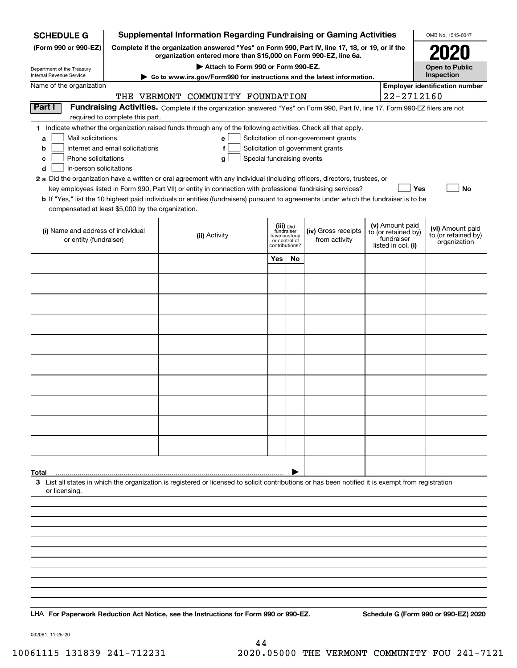| <b>SCHEDULE G</b>                                            |                                  | <b>Supplemental Information Regarding Fundraising or Gaming Activities</b>                                                                                                                                                                                  |                            |                                 |                                       |                    |                                   | OMB No. 1545-0047                                   |
|--------------------------------------------------------------|----------------------------------|-------------------------------------------------------------------------------------------------------------------------------------------------------------------------------------------------------------------------------------------------------------|----------------------------|---------------------------------|---------------------------------------|--------------------|-----------------------------------|-----------------------------------------------------|
| (Form 990 or 990-EZ)                                         |                                  | Complete if the organization answered "Yes" on Form 990, Part IV, line 17, 18, or 19, or if the<br>organization entered more than \$15,000 on Form 990-EZ, line 6a.                                                                                         |                            |                                 |                                       |                    |                                   | 2021                                                |
| Department of the Treasury                                   |                                  | Attach to Form 990 or Form 990-EZ.                                                                                                                                                                                                                          |                            |                                 |                                       |                    |                                   | <b>Open to Public</b>                               |
| Internal Revenue Service<br>Name of the organization         |                                  | Go to www.irs.gov/Form990 for instructions and the latest information.                                                                                                                                                                                      |                            |                                 |                                       |                    |                                   | Inspection<br><b>Employer identification number</b> |
|                                                              |                                  | THE VERMONT COMMUNITY FOUNDATION                                                                                                                                                                                                                            |                            |                                 |                                       |                    | 22-2712160                        |                                                     |
| Part I                                                       |                                  | Fundraising Activities. Complete if the organization answered "Yes" on Form 990, Part IV, line 17. Form 990-EZ filers are not                                                                                                                               |                            |                                 |                                       |                    |                                   |                                                     |
|                                                              | required to complete this part.  |                                                                                                                                                                                                                                                             |                            |                                 |                                       |                    |                                   |                                                     |
| Mail solicitations<br>a                                      |                                  | 1 Indicate whether the organization raised funds through any of the following activities. Check all that apply.<br>e                                                                                                                                        |                            |                                 | Solicitation of non-government grants |                    |                                   |                                                     |
| b                                                            | Internet and email solicitations | f                                                                                                                                                                                                                                                           |                            |                                 | Solicitation of government grants     |                    |                                   |                                                     |
| Phone solicitations<br>c                                     |                                  | Special fundraising events<br>g                                                                                                                                                                                                                             |                            |                                 |                                       |                    |                                   |                                                     |
| In-person solicitations<br>d                                 |                                  |                                                                                                                                                                                                                                                             |                            |                                 |                                       |                    |                                   |                                                     |
|                                                              |                                  | 2 a Did the organization have a written or oral agreement with any individual (including officers, directors, trustees, or                                                                                                                                  |                            |                                 |                                       |                    |                                   |                                                     |
|                                                              |                                  | key employees listed in Form 990, Part VII) or entity in connection with professional fundraising services?<br><b>b</b> If "Yes," list the 10 highest paid individuals or entities (fundraisers) pursuant to agreements under which the fundraiser is to be |                            |                                 |                                       |                    | Yes                               | No                                                  |
| compensated at least \$5,000 by the organization.            |                                  |                                                                                                                                                                                                                                                             |                            |                                 |                                       |                    |                                   |                                                     |
|                                                              |                                  |                                                                                                                                                                                                                                                             | (iii) Did                  |                                 |                                       |                    | (v) Amount paid                   |                                                     |
| (i) Name and address of individual<br>or entity (fundraiser) |                                  | (ii) Activity                                                                                                                                                                                                                                               | fundraiser<br>have custody |                                 | (iv) Gross receipts                   |                    | to (or retained by)<br>fundraiser | (vi) Amount paid<br>to (or retained by)             |
|                                                              |                                  |                                                                                                                                                                                                                                                             |                            | or control of<br>contributions? | from activity                         | listed in col. (i) |                                   | organization                                        |
|                                                              |                                  |                                                                                                                                                                                                                                                             | Yes                        | No                              |                                       |                    |                                   |                                                     |
|                                                              |                                  |                                                                                                                                                                                                                                                             |                            |                                 |                                       |                    |                                   |                                                     |
|                                                              |                                  |                                                                                                                                                                                                                                                             |                            |                                 |                                       |                    |                                   |                                                     |
|                                                              |                                  |                                                                                                                                                                                                                                                             |                            |                                 |                                       |                    |                                   |                                                     |
|                                                              |                                  |                                                                                                                                                                                                                                                             |                            |                                 |                                       |                    |                                   |                                                     |
|                                                              |                                  |                                                                                                                                                                                                                                                             |                            |                                 |                                       |                    |                                   |                                                     |
|                                                              |                                  |                                                                                                                                                                                                                                                             |                            |                                 |                                       |                    |                                   |                                                     |
|                                                              |                                  |                                                                                                                                                                                                                                                             |                            |                                 |                                       |                    |                                   |                                                     |
|                                                              |                                  |                                                                                                                                                                                                                                                             |                            |                                 |                                       |                    |                                   |                                                     |
|                                                              |                                  |                                                                                                                                                                                                                                                             |                            |                                 |                                       |                    |                                   |                                                     |
|                                                              |                                  |                                                                                                                                                                                                                                                             |                            |                                 |                                       |                    |                                   |                                                     |
|                                                              |                                  |                                                                                                                                                                                                                                                             |                            |                                 |                                       |                    |                                   |                                                     |
|                                                              |                                  |                                                                                                                                                                                                                                                             |                            |                                 |                                       |                    |                                   |                                                     |
|                                                              |                                  |                                                                                                                                                                                                                                                             |                            |                                 |                                       |                    |                                   |                                                     |
|                                                              |                                  |                                                                                                                                                                                                                                                             |                            |                                 |                                       |                    |                                   |                                                     |
|                                                              |                                  |                                                                                                                                                                                                                                                             |                            |                                 |                                       |                    |                                   |                                                     |
|                                                              |                                  |                                                                                                                                                                                                                                                             |                            |                                 |                                       |                    |                                   |                                                     |
| Total                                                        |                                  |                                                                                                                                                                                                                                                             |                            |                                 |                                       |                    |                                   |                                                     |
| or licensing.                                                |                                  | 3 List all states in which the organization is registered or licensed to solicit contributions or has been notified it is exempt from registration                                                                                                          |                            |                                 |                                       |                    |                                   |                                                     |
|                                                              |                                  |                                                                                                                                                                                                                                                             |                            |                                 |                                       |                    |                                   |                                                     |
|                                                              |                                  |                                                                                                                                                                                                                                                             |                            |                                 |                                       |                    |                                   |                                                     |
|                                                              |                                  |                                                                                                                                                                                                                                                             |                            |                                 |                                       |                    |                                   |                                                     |
|                                                              |                                  |                                                                                                                                                                                                                                                             |                            |                                 |                                       |                    |                                   |                                                     |
|                                                              |                                  |                                                                                                                                                                                                                                                             |                            |                                 |                                       |                    |                                   |                                                     |
|                                                              |                                  |                                                                                                                                                                                                                                                             |                            |                                 |                                       |                    |                                   |                                                     |
|                                                              |                                  |                                                                                                                                                                                                                                                             |                            |                                 |                                       |                    |                                   |                                                     |
|                                                              |                                  |                                                                                                                                                                                                                                                             |                            |                                 |                                       |                    |                                   |                                                     |
|                                                              |                                  |                                                                                                                                                                                                                                                             |                            |                                 |                                       |                    |                                   |                                                     |
|                                                              |                                  | LHA For Paperwork Reduction Act Notice, see the Instructions for Form 990 or 990-EZ.                                                                                                                                                                        |                            |                                 |                                       |                    |                                   | Schedule G (Form 990 or 990-EZ) 2020                |

032081 11-25-20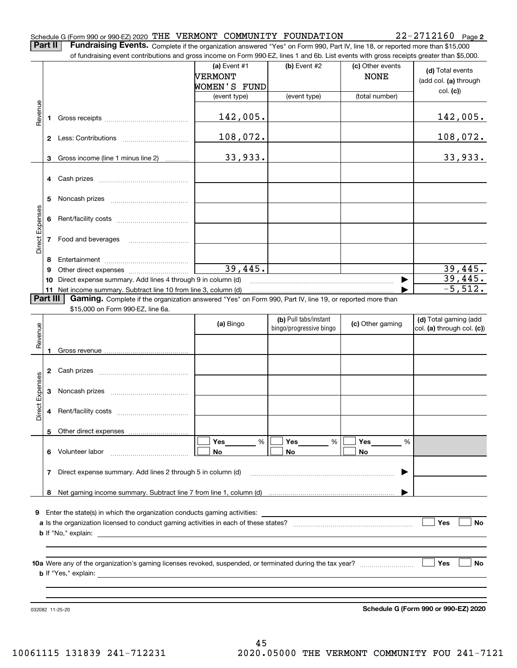| Schedule G (Form 990 or 990-EZ) 2020 THE VERMONT COMMUNITY FOUNDATION |  |  | $22 - 2712160$ Page 2 |  |
|-----------------------------------------------------------------------|--|--|-----------------------|--|
|                                                                       |  |  |                       |  |

**Part II** | Fundraising Events. Complete if the organization answered "Yes" on Form 990, Part IV, line 18, or reported more than \$15,000

|                 |          | of fundraising event contributions and gross income on Form 990-EZ, lines 1 and 6b. List events with gross receipts greater than \$5,000. |                |                         |                  |                            |
|-----------------|----------|-------------------------------------------------------------------------------------------------------------------------------------------|----------------|-------------------------|------------------|----------------------------|
|                 |          |                                                                                                                                           | (a) Event $#1$ | (b) Event #2            | (c) Other events | (d) Total events           |
|                 |          |                                                                                                                                           | <b>NERMONT</b> |                         | <b>NONE</b>      | (add col. (a) through      |
|                 |          |                                                                                                                                           | WOMEN'S FUND   |                         |                  | col. (c)                   |
|                 |          |                                                                                                                                           | (event type)   | (event type)            | (total number)   |                            |
|                 |          |                                                                                                                                           |                |                         |                  |                            |
| Revenue         |          |                                                                                                                                           | 142,005.       |                         |                  | <u>142,005.</u>            |
|                 |          |                                                                                                                                           |                |                         |                  |                            |
|                 |          |                                                                                                                                           | 108,072.       |                         |                  | <u> 108,072.</u>           |
|                 |          |                                                                                                                                           |                |                         |                  |                            |
|                 | 3        | Gross income (line 1 minus line 2)                                                                                                        | 33,933.        |                         |                  | 33,933.                    |
|                 |          |                                                                                                                                           |                |                         |                  |                            |
|                 |          |                                                                                                                                           |                |                         |                  |                            |
|                 |          |                                                                                                                                           |                |                         |                  |                            |
|                 | 5        |                                                                                                                                           |                |                         |                  |                            |
| Direct Expenses |          |                                                                                                                                           |                |                         |                  |                            |
|                 | 6        |                                                                                                                                           |                |                         |                  |                            |
|                 |          | 7 Food and beverages                                                                                                                      |                |                         |                  |                            |
|                 |          |                                                                                                                                           |                |                         |                  |                            |
|                 | 8        |                                                                                                                                           |                |                         |                  |                            |
|                 | 9        |                                                                                                                                           | 39,445.        |                         |                  | 39,445.                    |
|                 | 10       | Direct expense summary. Add lines 4 through 9 in column (d)                                                                               |                |                         |                  | 39,445.                    |
|                 |          | 11 Net income summary. Subtract line 10 from line 3, column (d)                                                                           |                |                         |                  | $-5,512.$                  |
|                 | Part III | Gaming. Complete if the organization answered "Yes" on Form 990, Part IV, line 19, or reported more than                                  |                |                         |                  |                            |
|                 |          | \$15,000 on Form 990-EZ, line 6a.                                                                                                         |                |                         |                  |                            |
|                 |          |                                                                                                                                           | (a) Bingo      | (b) Pull tabs/instant   | (c) Other gaming | (d) Total gaming (add      |
| Revenue         |          |                                                                                                                                           |                | bingo/progressive bingo |                  | col. (a) through col. (c)) |
|                 |          |                                                                                                                                           |                |                         |                  |                            |
|                 |          |                                                                                                                                           |                |                         |                  |                            |
|                 |          |                                                                                                                                           |                |                         |                  |                            |
|                 |          |                                                                                                                                           |                |                         |                  |                            |
|                 |          |                                                                                                                                           |                |                         |                  |                            |
| Expenses        | 3        |                                                                                                                                           |                |                         |                  |                            |
|                 |          |                                                                                                                                           |                |                         |                  |                            |
| Direct          |          |                                                                                                                                           |                |                         |                  |                            |
|                 |          |                                                                                                                                           |                |                         |                  |                            |
|                 |          | 5 Other direct expenses                                                                                                                   | $\%$           | %                       | Yes<br>%         |                            |
|                 |          | 6 Volunteer labor                                                                                                                         | Yes<br>No      | Yes<br>No               | No               |                            |
|                 |          |                                                                                                                                           |                |                         |                  |                            |
|                 | 7        | Direct expense summary. Add lines 2 through 5 in column (d)                                                                               |                |                         |                  |                            |
|                 |          |                                                                                                                                           |                |                         |                  |                            |
|                 |          |                                                                                                                                           |                |                         |                  |                            |
|                 |          |                                                                                                                                           |                |                         |                  |                            |
| 9               |          | Enter the state(s) in which the organization conducts gaming activities:                                                                  |                |                         |                  |                            |
|                 |          |                                                                                                                                           |                |                         |                  | Yes<br>No                  |
|                 |          | <b>b</b> If "No," explain: $\qquad \qquad$                                                                                                |                |                         |                  |                            |
|                 |          |                                                                                                                                           |                |                         |                  |                            |
|                 |          |                                                                                                                                           |                |                         |                  |                            |
|                 |          |                                                                                                                                           |                |                         |                  | Yes<br>No                  |
|                 |          |                                                                                                                                           |                |                         |                  |                            |
|                 |          |                                                                                                                                           |                |                         |                  |                            |
|                 |          |                                                                                                                                           |                |                         |                  |                            |

032082 11-25-20

**Schedule G (Form 990 or 990-EZ) 2020**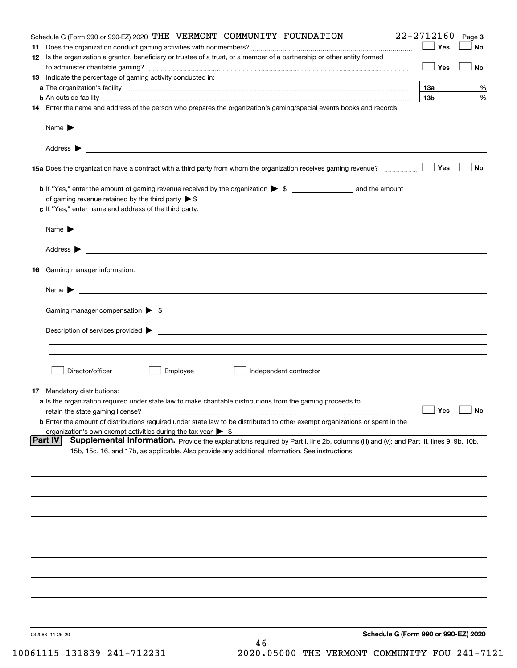| Schedule G (Form 990 or 990-EZ) 2020 THE VERMONT COMMUNITY FOUNDATION                                                                                                                                                                                        | 22-2712160      | Page 3    |
|--------------------------------------------------------------------------------------------------------------------------------------------------------------------------------------------------------------------------------------------------------------|-----------------|-----------|
|                                                                                                                                                                                                                                                              | Yes             | No        |
| 12 Is the organization a grantor, beneficiary or trustee of a trust, or a member of a partnership or other entity formed                                                                                                                                     |                 |           |
|                                                                                                                                                                                                                                                              | Yes             | No        |
| <b>13</b> Indicate the percentage of gaming activity conducted in:                                                                                                                                                                                           |                 |           |
|                                                                                                                                                                                                                                                              | <u>13a</u>      | %         |
| <b>b</b> An outside facility <i>www.communicality www.communicality.communicality www.communicality www.communicality.communicality www.communicality.com</i>                                                                                                | 13 <sub>b</sub> | %         |
| 14 Enter the name and address of the person who prepares the organization's gaming/special events books and records:                                                                                                                                         |                 |           |
|                                                                                                                                                                                                                                                              |                 |           |
|                                                                                                                                                                                                                                                              |                 |           |
|                                                                                                                                                                                                                                                              |                 |           |
|                                                                                                                                                                                                                                                              |                 | <b>No</b> |
|                                                                                                                                                                                                                                                              |                 |           |
|                                                                                                                                                                                                                                                              |                 |           |
| c If "Yes," enter name and address of the third party:                                                                                                                                                                                                       |                 |           |
| Name $\blacktriangleright$ $\bot$                                                                                                                                                                                                                            |                 |           |
|                                                                                                                                                                                                                                                              |                 |           |
|                                                                                                                                                                                                                                                              |                 |           |
|                                                                                                                                                                                                                                                              |                 |           |
| 16 Gaming manager information:                                                                                                                                                                                                                               |                 |           |
| Name $\blacktriangleright$ $\frac{1}{\sqrt{1-\frac{1}{2}}\left(1-\frac{1}{2}\right)}$                                                                                                                                                                        |                 |           |
|                                                                                                                                                                                                                                                              |                 |           |
| Gaming manager compensation > \$                                                                                                                                                                                                                             |                 |           |
|                                                                                                                                                                                                                                                              |                 |           |
|                                                                                                                                                                                                                                                              |                 |           |
|                                                                                                                                                                                                                                                              |                 |           |
|                                                                                                                                                                                                                                                              |                 |           |
| Employee<br>Director/officer<br>Independent contractor                                                                                                                                                                                                       |                 |           |
| 17 Mandatory distributions:                                                                                                                                                                                                                                  |                 |           |
| a Is the organization required under state law to make charitable distributions from the gaming proceeds to                                                                                                                                                  |                 |           |
| $\Box$ Yes $\Box$ No<br>retain the state gaming license?                                                                                                                                                                                                     |                 |           |
| <b>b</b> Enter the amount of distributions required under state law to be distributed to other exempt organizations or spent in the                                                                                                                          |                 |           |
| organization's own exempt activities during the tax year $\triangleright$ \$                                                                                                                                                                                 |                 |           |
| <b>Part IV</b><br>Supplemental Information. Provide the explanations required by Part I, line 2b, columns (iii) and (v); and Part III, lines 9, 9b, 10b,<br>15b, 15c, 16, and 17b, as applicable. Also provide any additional information. See instructions. |                 |           |
|                                                                                                                                                                                                                                                              |                 |           |
|                                                                                                                                                                                                                                                              |                 |           |
|                                                                                                                                                                                                                                                              |                 |           |
|                                                                                                                                                                                                                                                              |                 |           |
|                                                                                                                                                                                                                                                              |                 |           |
|                                                                                                                                                                                                                                                              |                 |           |
|                                                                                                                                                                                                                                                              |                 |           |
|                                                                                                                                                                                                                                                              |                 |           |
|                                                                                                                                                                                                                                                              |                 |           |
|                                                                                                                                                                                                                                                              |                 |           |
|                                                                                                                                                                                                                                                              |                 |           |
|                                                                                                                                                                                                                                                              |                 |           |
| Schedule G (Form 990 or 990-EZ) 2020<br>032083 11-25-20                                                                                                                                                                                                      |                 |           |
| 46                                                                                                                                                                                                                                                           |                 |           |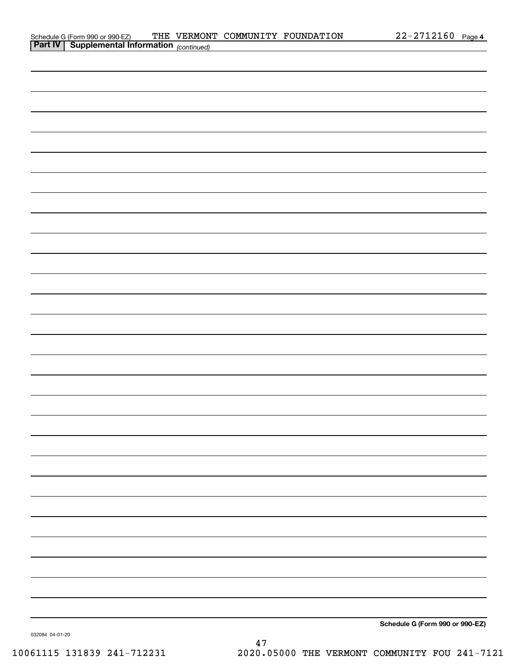| $22 - 2712160$ | Page 4 |
|----------------|--------|
|----------------|--------|

| Schedule G (Form 990 or 990-EZ)                       |  | THE VERMONT COMMUNITY FOUNDATION | $22 - 2712160$ Page |  |
|-------------------------------------------------------|--|----------------------------------|---------------------|--|
| <b>Part IV   Supplemental Information</b> (continued) |  |                                  |                     |  |

|               | — |
|---------------|---|
|               |   |
|               |   |
|               |   |
|               |   |
|               |   |
|               |   |
|               |   |
| $\frac{1}{2}$ |   |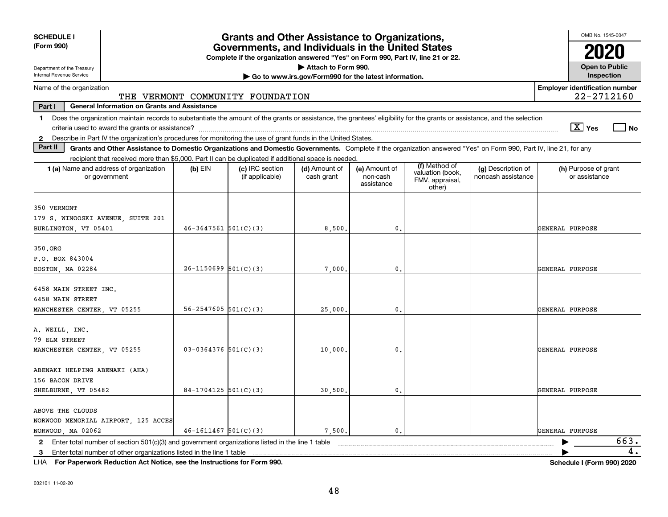| <b>SCHEDULE I</b><br>(Form 990)                                                                                                                                                                                                                                                                            |                            | <b>Grants and Other Assistance to Organizations,</b><br>Governments, and Individuals in the United States<br>Complete if the organization answered "Yes" on Form 990, Part IV, line 21 or 22. |                                                                              |                                         |                                                                |                                          | OMB No. 1545-0047                                   |
|------------------------------------------------------------------------------------------------------------------------------------------------------------------------------------------------------------------------------------------------------------------------------------------------------------|----------------------------|-----------------------------------------------------------------------------------------------------------------------------------------------------------------------------------------------|------------------------------------------------------------------------------|-----------------------------------------|----------------------------------------------------------------|------------------------------------------|-----------------------------------------------------|
| Department of the Treasury<br>Internal Revenue Service                                                                                                                                                                                                                                                     |                            |                                                                                                                                                                                               | Attach to Form 990.<br>Go to www.irs.gov/Form990 for the latest information. |                                         |                                                                |                                          | <b>Open to Public</b><br>Inspection                 |
| Name of the organization                                                                                                                                                                                                                                                                                   |                            | THE VERMONT COMMUNITY FOUNDATION                                                                                                                                                              |                                                                              |                                         |                                                                |                                          | <b>Employer identification number</b><br>22-2712160 |
| Part I<br><b>General Information on Grants and Assistance</b>                                                                                                                                                                                                                                              |                            |                                                                                                                                                                                               |                                                                              |                                         |                                                                |                                          |                                                     |
| Does the organization maintain records to substantiate the amount of the grants or assistance, the grantees' eligibility for the grants or assistance, and the selection<br>$\mathbf 1$<br>2 Describe in Part IV the organization's procedures for monitoring the use of grant funds in the United States. |                            |                                                                                                                                                                                               |                                                                              |                                         |                                                                |                                          | $\boxed{\text{X}}$ Yes<br>No                        |
| Part II<br>Grants and Other Assistance to Domestic Organizations and Domestic Governments. Complete if the organization answered "Yes" on Form 990, Part IV, line 21, for any                                                                                                                              |                            |                                                                                                                                                                                               |                                                                              |                                         |                                                                |                                          |                                                     |
| recipient that received more than \$5,000. Part II can be duplicated if additional space is needed.                                                                                                                                                                                                        |                            |                                                                                                                                                                                               |                                                                              |                                         |                                                                |                                          |                                                     |
| 1 (a) Name and address of organization<br>or government                                                                                                                                                                                                                                                    | $(b)$ EIN                  | (c) IRC section<br>(if applicable)                                                                                                                                                            | (d) Amount of<br>cash grant                                                  | (e) Amount of<br>non-cash<br>assistance | (f) Method of<br>valuation (book,<br>FMV, appraisal,<br>other) | (g) Description of<br>noncash assistance | (h) Purpose of grant<br>or assistance               |
| 350 VERMONT<br>179 S. WINOOSKI AVENUE, SUITE 201<br>BURLINGTON, VT 05401                                                                                                                                                                                                                                   | $46 - 3647561$ $501(C)(3)$ |                                                                                                                                                                                               | 8,500                                                                        | $\mathbf{0}$                            |                                                                |                                          | GENERAL PURPOSE                                     |
| 350.ORG<br>P.O. BOX 843004<br>BOSTON, MA 02284                                                                                                                                                                                                                                                             | $26-1150699$ $501(C)(3)$   |                                                                                                                                                                                               | 7,000                                                                        | $\mathbf{0}$                            |                                                                |                                          | GENERAL PURPOSE                                     |
| 6458 MAIN STREET INC.<br>6458 MAIN STREET<br>MANCHESTER CENTER VT 05255                                                                                                                                                                                                                                    | $56 - 2547605$ 501(C)(3)   |                                                                                                                                                                                               | 25,000                                                                       | $\mathbf{0}$                            |                                                                |                                          | GENERAL PURPOSE                                     |
| A. WEILL, INC.<br>79 ELM STREET<br>MANCHESTER CENTER VT 05255                                                                                                                                                                                                                                              | $03 - 0364376$ 501(C)(3)   |                                                                                                                                                                                               | 10,000                                                                       | $\mathbf 0$ .                           |                                                                |                                          | GENERAL PURPOSE                                     |
| ABENAKI HELPING ABENAKI (AHA)<br>156 BACON DRIVE<br>SHELBURNE, VT 05482                                                                                                                                                                                                                                    | $84-1704125$ 501(C)(3)     |                                                                                                                                                                                               | 30,500.                                                                      | 0.                                      |                                                                |                                          | GENERAL PURPOSE                                     |
| ABOVE THE CLOUDS<br>NORWOOD MEMORIAL AIRPORT, 125 ACCES<br>NORWOOD, MA 02062                                                                                                                                                                                                                               | $46 - 1611467$ 501(C)(3)   |                                                                                                                                                                                               | 7,500.                                                                       | $\mathbf{0}$                            |                                                                |                                          | GENERAL PURPOSE                                     |
| $\mathbf{2}$<br>Enter total number of other organizations listed in the line 1 table<br>3                                                                                                                                                                                                                  |                            |                                                                                                                                                                                               |                                                                              |                                         |                                                                |                                          | 663.<br>4.                                          |

**For Paperwork Reduction Act Notice, see the Instructions for Form 990. Schedule I (Form 990) 2020** LHA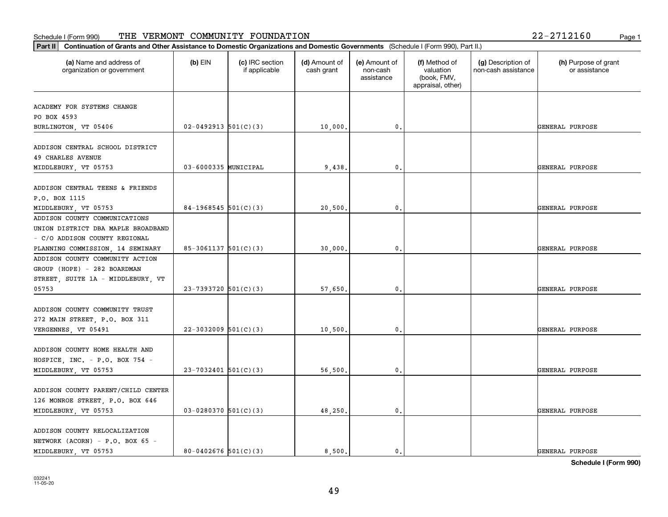### **Part II Continuation of Grants and Other Assistance to Domestic Organizations**<br> **Part II Continuation of Grants and Other Assistance to Domestic Organizations** Schedule I (Form 990) Page 1 THE VERMONT COMMUNITY FOUNDATION 22-2712160

| Continuation of Grants and Other Assistance to Domestic Organizations and Domestic Governments (Schedule I (Form 990), Part II.)<br>Part II |                          |                                  |                             |                                         |                                                                |                                           |                                       |
|---------------------------------------------------------------------------------------------------------------------------------------------|--------------------------|----------------------------------|-----------------------------|-----------------------------------------|----------------------------------------------------------------|-------------------------------------------|---------------------------------------|
| (a) Name and address of<br>organization or government                                                                                       | $(b)$ EIN                | (c) IRC section<br>if applicable | (d) Amount of<br>cash grant | (e) Amount of<br>non-cash<br>assistance | (f) Method of<br>valuation<br>(book, FMV,<br>appraisal, other) | (g) Description of<br>non-cash assistance | (h) Purpose of grant<br>or assistance |
|                                                                                                                                             |                          |                                  |                             |                                         |                                                                |                                           |                                       |
| ACADEMY FOR SYSTEMS CHANGE                                                                                                                  |                          |                                  |                             |                                         |                                                                |                                           |                                       |
| PO BOX 4593<br>BURLINGTON, VT 05406                                                                                                         | $02 - 0492913$ 501(C)(3) |                                  | 10,000.                     | 0.                                      |                                                                |                                           | GENERAL PURPOSE                       |
|                                                                                                                                             |                          |                                  |                             |                                         |                                                                |                                           |                                       |
| ADDISON CENTRAL SCHOOL DISTRICT                                                                                                             |                          |                                  |                             |                                         |                                                                |                                           |                                       |
| <b>49 CHARLES AVENUE</b>                                                                                                                    |                          |                                  |                             |                                         |                                                                |                                           |                                       |
| MIDDLEBURY, VT 05753                                                                                                                        | 03-6000335 MUNICIPAL     |                                  | 9,438.                      | $\mathbf{0}$ .                          |                                                                |                                           | GENERAL PURPOSE                       |
|                                                                                                                                             |                          |                                  |                             |                                         |                                                                |                                           |                                       |
| ADDISON CENTRAL TEENS & FRIENDS                                                                                                             |                          |                                  |                             |                                         |                                                                |                                           |                                       |
| P.O. BOX 1115                                                                                                                               |                          |                                  |                             |                                         |                                                                |                                           |                                       |
| MIDDLEBURY, VT 05753                                                                                                                        | $84-1968545$ 501(C)(3)   |                                  | 20,500                      | $\mathbf{0}$                            |                                                                |                                           | GENERAL PURPOSE                       |
| ADDISON COUNTY COMMUNICATIONS                                                                                                               |                          |                                  |                             |                                         |                                                                |                                           |                                       |
| UNION DISTRICT DBA MAPLE BROADBAND                                                                                                          |                          |                                  |                             |                                         |                                                                |                                           |                                       |
| - C/O ADDISON COUNTY REGIONAL                                                                                                               |                          |                                  |                             |                                         |                                                                |                                           |                                       |
| PLANNING COMMISSION, 14 SEMINARY                                                                                                            | $85-3061137$ 501(C)(3)   |                                  | 30,000.                     | $\mathfrak{o}$ .                        |                                                                |                                           | GENERAL PURPOSE                       |
| ADDISON COUNTY COMMUNITY ACTION                                                                                                             |                          |                                  |                             |                                         |                                                                |                                           |                                       |
| GROUP (HOPE) - 282 BOARDMAN                                                                                                                 |                          |                                  |                             |                                         |                                                                |                                           |                                       |
| STREET, SUITE 1A - MIDDLEBURY, VT                                                                                                           |                          |                                  |                             |                                         |                                                                |                                           |                                       |
| 05753                                                                                                                                       | 23-7393720 $501(C)(3)$   |                                  | 57,650.                     | 0.                                      |                                                                |                                           | GENERAL PURPOSE                       |
|                                                                                                                                             |                          |                                  |                             |                                         |                                                                |                                           |                                       |
| ADDISON COUNTY COMMUNITY TRUST                                                                                                              |                          |                                  |                             |                                         |                                                                |                                           |                                       |
| 272 MAIN STREET, P.O. BOX 311                                                                                                               |                          |                                  |                             |                                         |                                                                |                                           |                                       |
| VERGENNES, VT 05491                                                                                                                         | $22 - 3032009$ 501(C)(3) |                                  | 10,500                      | 0.                                      |                                                                |                                           | <b>GENERAL PURPOSE</b>                |
|                                                                                                                                             |                          |                                  |                             |                                         |                                                                |                                           |                                       |
| ADDISON COUNTY HOME HEALTH AND                                                                                                              |                          |                                  |                             |                                         |                                                                |                                           |                                       |
| HOSPICE, INC. $-$ P.O. BOX 754 $-$                                                                                                          |                          |                                  |                             |                                         |                                                                |                                           |                                       |
| MIDDLEBURY, VT 05753                                                                                                                        | $23 - 7032401$ 501(C)(3) |                                  | 56,500.                     | $^{\circ}$ .                            |                                                                |                                           | GENERAL PURPOSE                       |
|                                                                                                                                             |                          |                                  |                             |                                         |                                                                |                                           |                                       |
| ADDISON COUNTY PARENT/CHILD CENTER                                                                                                          |                          |                                  |                             |                                         |                                                                |                                           |                                       |
| 126 MONROE STREET, P.O. BOX 646                                                                                                             |                          |                                  |                             |                                         |                                                                |                                           |                                       |
| MIDDLEBURY, VT 05753                                                                                                                        | $03-0280370$ 501(C)(3)   |                                  | 48,250.                     | 0.                                      |                                                                |                                           | GENERAL PURPOSE                       |
|                                                                                                                                             |                          |                                  |                             |                                         |                                                                |                                           |                                       |
| ADDISON COUNTY RELOCALIZATION<br>NETWORK (ACORN) - P.O. BOX 65 -                                                                            |                          |                                  |                             |                                         |                                                                |                                           |                                       |
| MIDDLEBURY, VT 05753                                                                                                                        | 80-0402676 $501(C)(3)$   |                                  | 8,500.                      | $\mathfrak{o}$ .                        |                                                                |                                           | GENERAL PURPOSE                       |
|                                                                                                                                             |                          |                                  |                             |                                         |                                                                |                                           |                                       |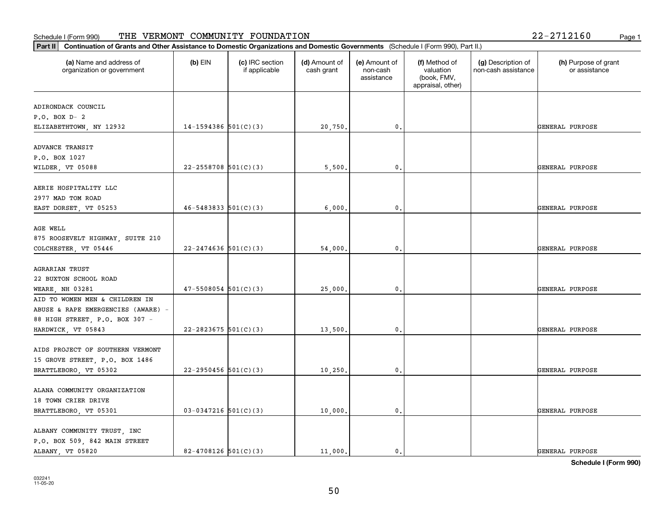#### Schedule I (Form 990) 'I'HE' VERMON'I' COMMUNITY F'OUNDA'I'ION 2Z-Z7IZI6U Page 1 THE VERMONT COMMUNITY FOUNDATION 22-2712160

| (a) Name and address of            | $(b)$ EIN                  | (c) IRC section | (d) Amount of | (e) Amount of          | (f) Method of                                 | (g) Description of  | (h) Purpose of grant |
|------------------------------------|----------------------------|-----------------|---------------|------------------------|-----------------------------------------------|---------------------|----------------------|
| organization or government         |                            | if applicable   | cash grant    | non-cash<br>assistance | valuation<br>(book, FMV,<br>appraisal, other) | non-cash assistance | or assistance        |
| ADIRONDACK COUNCIL                 |                            |                 |               |                        |                                               |                     |                      |
| $P.O. BOX D-2$                     |                            |                 |               |                        |                                               |                     |                      |
| ELIZABETHTOWN, NY 12932            | $14-1594386$ 501(C)(3)     |                 | 20,750.       | 0.                     |                                               |                     | GENERAL PURPOSE      |
| ADVANCE TRANSIT                    |                            |                 |               |                        |                                               |                     |                      |
| P.O. BOX 1027                      |                            |                 |               |                        |                                               |                     |                      |
| WILDER, VT 05088                   | $22 - 2558708$ 501(C)(3)   |                 | 5,500,        | 0.                     |                                               |                     | GENERAL PURPOSE      |
| AERIE HOSPITALITY LLC              |                            |                 |               |                        |                                               |                     |                      |
| 2977 MAD TOM ROAD                  |                            |                 |               |                        |                                               |                     |                      |
| EAST DORSET, VT 05253              | $46 - 5483833$ $501(C)(3)$ |                 | 6,000.        | 0.                     |                                               |                     | GENERAL PURPOSE      |
| AGE WELL                           |                            |                 |               |                        |                                               |                     |                      |
| 875 ROOSEVELT HIGHWAY, SUITE 210   |                            |                 |               |                        |                                               |                     |                      |
| COLCHESTER, VT 05446               | $22 - 2474636$ 501(C)(3)   |                 | 54,000.       | 0.                     |                                               |                     | GENERAL PURPOSE      |
|                                    |                            |                 |               |                        |                                               |                     |                      |
| <b>AGRARIAN TRUST</b>              |                            |                 |               |                        |                                               |                     |                      |
| 22 BUXTON SCHOOL ROAD              |                            |                 |               |                        |                                               |                     |                      |
| WEARE, NH 03281                    | $47 - 5508054$ $501(C)(3)$ |                 | 25,000.       | 0.                     |                                               |                     | GENERAL PURPOSE      |
| AID TO WOMEN MEN & CHILDREN IN     |                            |                 |               |                        |                                               |                     |                      |
| ABUSE & RAPE EMERGENCIES (AWARE) - |                            |                 |               |                        |                                               |                     |                      |
| 88 HIGH STREET, P.O. BOX 307 -     |                            |                 |               |                        |                                               |                     |                      |
| HARDWICK, VT 05843                 | $22 - 2823675$ 501(C)(3)   |                 | 13,500.       | 0.                     |                                               |                     | GENERAL PURPOSE      |
|                                    |                            |                 |               |                        |                                               |                     |                      |
| AIDS PROJECT OF SOUTHERN VERMONT   |                            |                 |               |                        |                                               |                     |                      |
| 15 GROVE STREET, P.O. BOX 1486     |                            |                 |               |                        |                                               |                     |                      |
| BRATTLEBORO, VT 05302              | $22 - 2950456$ 501(C)(3)   |                 | 10, 250.      | $\mathbf{0}$ .         |                                               |                     | GENERAL PURPOSE      |
| ALANA COMMUNITY ORGANIZATION       |                            |                 |               |                        |                                               |                     |                      |
| 18 TOWN CRIER DRIVE                |                            |                 |               |                        |                                               |                     |                      |
| BRATTLEBORO, VT 05301              | $03-0347216$ 501(C)(3)     |                 | 10,000.       | 0.                     |                                               |                     | GENERAL PURPOSE      |
| ALBANY COMMUNITY TRUST, INC        |                            |                 |               |                        |                                               |                     |                      |
| P.O. BOX 509, 842 MAIN STREET      |                            |                 |               |                        |                                               |                     |                      |
| ALBANY, VT 05820                   | $82 - 4708126$ 501(C)(3)   |                 | 11,000.       | $\mathfrak{o}$ .       |                                               |                     | GENERAL PURPOSE      |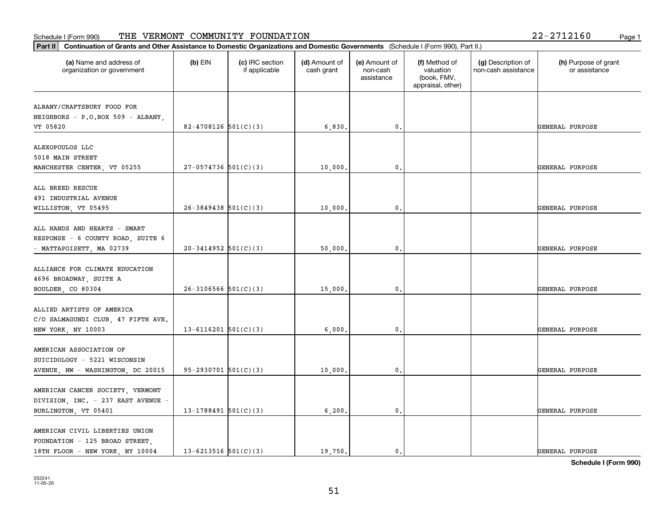| $(b)$ EIN | (c) IRC section<br>if applicable | (d) Amount of<br>cash grant                                                                                                                                                                                                                            | (e) Amount of<br>non-cash<br>assistance  | (f) Method of<br>valuation<br>(book, FMV,<br>appraisal, other) | (g) Description of<br>non-cash assistance | (h) Purpose of grant<br>or assistance |
|-----------|----------------------------------|--------------------------------------------------------------------------------------------------------------------------------------------------------------------------------------------------------------------------------------------------------|------------------------------------------|----------------------------------------------------------------|-------------------------------------------|---------------------------------------|
|           |                                  |                                                                                                                                                                                                                                                        |                                          |                                                                |                                           |                                       |
|           |                                  | 6,830.                                                                                                                                                                                                                                                 | 0.                                       |                                                                |                                           | GENERAL PURPOSE                       |
|           |                                  |                                                                                                                                                                                                                                                        |                                          |                                                                |                                           | GENERAL PURPOSE                       |
|           |                                  |                                                                                                                                                                                                                                                        |                                          |                                                                |                                           |                                       |
|           |                                  | 10,000.                                                                                                                                                                                                                                                | 0.                                       |                                                                |                                           | GENERAL PURPOSE                       |
|           |                                  |                                                                                                                                                                                                                                                        |                                          |                                                                |                                           | GENERAL PURPOSE                       |
|           |                                  |                                                                                                                                                                                                                                                        |                                          |                                                                |                                           |                                       |
|           |                                  | 15,000.                                                                                                                                                                                                                                                | $\mathbf{0}$                             |                                                                |                                           | GENERAL PURPOSE                       |
|           |                                  | 6,000.                                                                                                                                                                                                                                                 | 0.                                       |                                                                |                                           | GENERAL PURPOSE                       |
|           |                                  |                                                                                                                                                                                                                                                        |                                          |                                                                |                                           |                                       |
|           |                                  |                                                                                                                                                                                                                                                        |                                          |                                                                |                                           | GENERAL PURPOSE                       |
|           |                                  | 6,200.                                                                                                                                                                                                                                                 | $\mathbf{0}$ .                           |                                                                |                                           | GENERAL PURPOSE                       |
|           |                                  |                                                                                                                                                                                                                                                        |                                          |                                                                |                                           | GENERAL PURPOSE                       |
|           |                                  | $82 - 4708126$ 501(C)(3)<br>$27-0574736$ 501(C)(3)<br>$26 - 3849438$ 501(C)(3)<br>$20-3414952$ 501(C)(3)<br>$26-3106566$ $501(C)(3)$<br>$13 - 6116201$ $501(C)(3)$<br>$95-2930701$ $501(C)(3)$<br>$13-1788491$ 501(C)(3)<br>$13 - 6213516$ $501(C)(3)$ | 10,000.<br>50,000.<br>10,000.<br>19,750. | 0.<br>0.<br>0.<br>$\mathbf{0}$ .                               |                                           |                                       |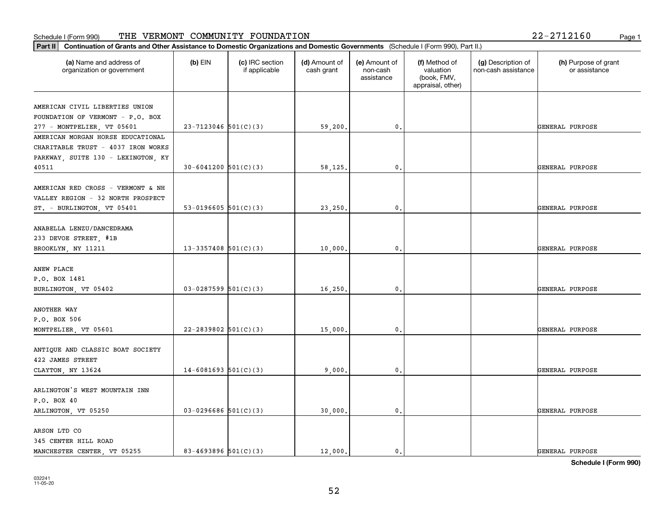|  |  | 22-2712160 |  | Page |
|--|--|------------|--|------|
|--|--|------------|--|------|

| (a) Name and address of<br>organization or government | $(b)$ EIN                  | (c) IRC section<br>if applicable | (d) Amount of<br>cash grant | (e) Amount of<br>non-cash<br>assistance | (f) Method of<br>valuation<br>(book, FMV,<br>appraisal, other) | (g) Description of<br>non-cash assistance | (h) Purpose of grant<br>or assistance |
|-------------------------------------------------------|----------------------------|----------------------------------|-----------------------------|-----------------------------------------|----------------------------------------------------------------|-------------------------------------------|---------------------------------------|
| AMERICAN CIVIL LIBERTIES UNION                        |                            |                                  |                             |                                         |                                                                |                                           |                                       |
| FOUNDATION OF VERMONT - P.O. BOX                      |                            |                                  |                             |                                         |                                                                |                                           |                                       |
| 277 - MONTPELIER, VT 05601                            | $23 - 7123046$ 501(C)(3)   |                                  | 59,200.                     | 0.                                      |                                                                |                                           | GENERAL PURPOSE                       |
| AMERICAN MORGAN HORSE EDUCATIONAL                     |                            |                                  |                             |                                         |                                                                |                                           |                                       |
| CHARITABLE TRUST - 4037 IRON WORKS                    |                            |                                  |                             |                                         |                                                                |                                           |                                       |
| PARKWAY, SUITE 130 - LEXINGTON, KY                    |                            |                                  |                             |                                         |                                                                |                                           |                                       |
| 40511                                                 | $30 - 6041200$ $501(C)(3)$ |                                  | 58,125.                     | $\mathfrak{o}$ .                        |                                                                |                                           | GENERAL PURPOSE                       |
|                                                       |                            |                                  |                             |                                         |                                                                |                                           |                                       |
| AMERICAN RED CROSS - VERMONT & NH                     |                            |                                  |                             |                                         |                                                                |                                           |                                       |
| VALLEY REGION - 32 NORTH PROSPECT                     |                            |                                  |                             |                                         |                                                                |                                           |                                       |
| ST. - BURLINGTON, VT 05401                            | 53-0196605 $501(C)(3)$     |                                  | 23,250.                     | $\mathbf{0}$ .                          |                                                                |                                           | GENERAL PURPOSE                       |
|                                                       |                            |                                  |                             |                                         |                                                                |                                           |                                       |
| ANABELLA LENZU/DANCEDRAMA                             |                            |                                  |                             |                                         |                                                                |                                           |                                       |
| 233 DEVOE STREET, #1B                                 |                            |                                  |                             |                                         |                                                                |                                           |                                       |
| BROOKLYN, NY 11211                                    | $13-3357408$ 501(C)(3)     |                                  | 10,000.                     | 0.                                      |                                                                |                                           | GENERAL PURPOSE                       |
| ANEW PLACE                                            |                            |                                  |                             |                                         |                                                                |                                           |                                       |
| P.O. BOX 1481                                         |                            |                                  |                             |                                         |                                                                |                                           |                                       |
| BURLINGTON, VT 05402                                  | $03-0287599$ 501(C)(3)     |                                  | 16,250.                     | $\mathbf{0}$                            |                                                                |                                           | GENERAL PURPOSE                       |
|                                                       |                            |                                  |                             |                                         |                                                                |                                           |                                       |
| ANOTHER WAY                                           |                            |                                  |                             |                                         |                                                                |                                           |                                       |
| P.O. BOX 506                                          |                            |                                  |                             |                                         |                                                                |                                           |                                       |
| MONTPELIER, VT 05601                                  | $22 - 2839802$ 501(C)(3)   |                                  | 15,000.                     | $\mathfrak{o}$ .                        |                                                                |                                           | GENERAL PURPOSE                       |
|                                                       |                            |                                  |                             |                                         |                                                                |                                           |                                       |
| ANTIQUE AND CLASSIC BOAT SOCIETY                      |                            |                                  |                             |                                         |                                                                |                                           |                                       |
| 422 JAMES STREET                                      |                            |                                  |                             |                                         |                                                                |                                           |                                       |
| CLAYTON, NY 13624                                     | $14 - 6081693$ 501(C)(3)   |                                  | 9,000,                      | $\mathfrak{o}$ .                        |                                                                |                                           | GENERAL PURPOSE                       |
|                                                       |                            |                                  |                             |                                         |                                                                |                                           |                                       |
| ARLINGTON'S WEST MOUNTAIN INN                         |                            |                                  |                             |                                         |                                                                |                                           |                                       |
| P.O. BOX 40                                           |                            |                                  |                             |                                         |                                                                |                                           |                                       |
| ARLINGTON, VT 05250                                   | $03-0296686$ 501(C)(3)     |                                  | 30,000.                     | $\mathfrak o$ .                         |                                                                |                                           | GENERAL PURPOSE                       |
|                                                       |                            |                                  |                             |                                         |                                                                |                                           |                                       |
| ARSON LTD CO                                          |                            |                                  |                             |                                         |                                                                |                                           |                                       |
| 345 CENTER HILL ROAD                                  |                            |                                  |                             |                                         |                                                                |                                           |                                       |
| MANCHESTER CENTER, VT 05255                           | 83-4693896 $501(C)(3)$     |                                  | 12,000.                     | $\mathfrak{o}$ .                        |                                                                |                                           | GENERAL PURPOSE                       |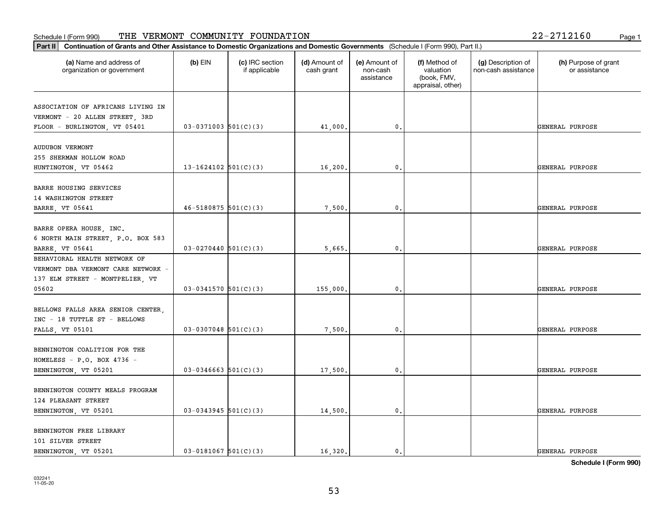| Continuation of Grants and Other Assistance to Domestic Organizations and Domestic Governments (Schedule I (Form 990), Part II.)<br>Part II |                          |                                  |                             |                                         |                                                                |                                           |                                       |
|---------------------------------------------------------------------------------------------------------------------------------------------|--------------------------|----------------------------------|-----------------------------|-----------------------------------------|----------------------------------------------------------------|-------------------------------------------|---------------------------------------|
| (a) Name and address of<br>organization or government                                                                                       | (b) EIN                  | (c) IRC section<br>if applicable | (d) Amount of<br>cash grant | (e) Amount of<br>non-cash<br>assistance | (f) Method of<br>valuation<br>(book, FMV,<br>appraisal, other) | (g) Description of<br>non-cash assistance | (h) Purpose of grant<br>or assistance |
| ASSOCIATION OF AFRICANS LIVING IN<br>VERMONT - 20 ALLEN STREET, 3RD<br>FLOOR - BURLINGTON, VT 05401                                         | $03-0371003$ 501(C)(3)   |                                  | 41,000.                     | 0.                                      |                                                                |                                           | GENERAL PURPOSE                       |
| <b>AUDUBON VERMONT</b><br>255 SHERMAN HOLLOW ROAD<br>HUNTINGTON, VT 05462                                                                   | 13-1624102 $501(C)(3)$   |                                  | 16,200.                     | $\mathbf{0}$ .                          |                                                                |                                           | GENERAL PURPOSE                       |
| BARRE HOUSING SERVICES<br>14 WASHINGTON STREET<br>BARRE, VT 05641                                                                           | $46 - 5180875$ 501(C)(3) |                                  | 7,500.                      | $\mathbf{0}$                            |                                                                |                                           | GENERAL PURPOSE                       |
| BARRE OPERA HOUSE, INC.<br>6 NORTH MAIN STREET, P.O. BOX 583<br>BARRE, VT 05641<br>BEHAVIORAL HEALTH NETWORK OF                             | $03-0270440$ 501(C)(3)   |                                  | 5,665.                      | 0.                                      |                                                                |                                           | GENERAL PURPOSE                       |
| VERMONT DBA VERMONT CARE NETWORK -<br>137 ELM STREET - MONTPELIER, VT<br>05602                                                              | $03 - 0341570$ 501(C)(3) |                                  | 155,000.                    | 0.                                      |                                                                |                                           | GENERAL PURPOSE                       |
| BELLOWS FALLS AREA SENIOR CENTER,<br>INC - 18 TUTTLE ST - BELLOWS<br><b>FALLS, VT 05101</b>                                                 | $03-0307048$ 501(C)(3)   |                                  | 7,500                       | 0.                                      |                                                                |                                           | GENERAL PURPOSE                       |
| BENNINGTON COALITION FOR THE<br>HOMELESS - $P.O.$ BOX 4736 -<br>BENNINGTON, VT 05201                                                        | $03 - 0346663$ 501(C)(3) |                                  | 17,500.                     | 0.                                      |                                                                |                                           | GENERAL PURPOSE                       |
| BENNINGTON COUNTY MEALS PROGRAM<br>124 PLEASANT STREET<br>BENNINGTON, VT 05201                                                              | $03 - 0343945$ 501(C)(3) |                                  | 14,500.                     | $\mathbf{0}$ .                          |                                                                |                                           | GENERAL PURPOSE                       |
| BENNINGTON FREE LIBRARY<br>101 SILVER STREET<br>BENNINGTON, VT 05201                                                                        | $03 - 0181067$ 501(C)(3) |                                  | 16,320.                     | $\mathfrak{o}$ .                        |                                                                |                                           | GENERAL PURPOSE                       |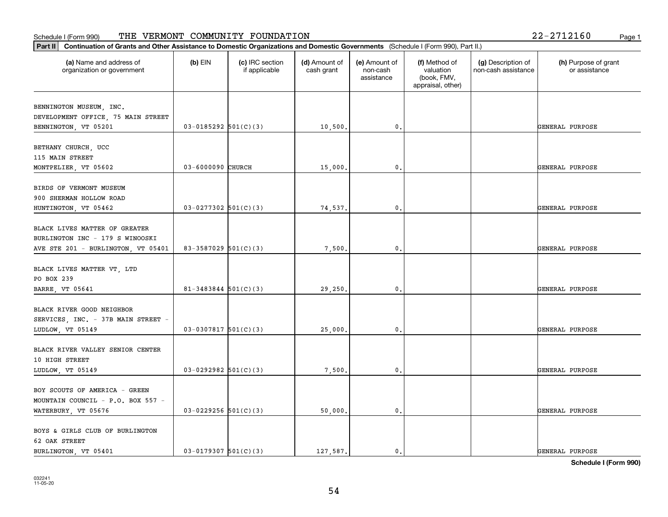|  |  | 2-2712160 | Page 1 |
|--|--|-----------|--------|
|--|--|-----------|--------|

| Part II   Continuation of Grants and Other Assistance to Domestic Organizations and Domestic Governments (Schedule I (Form 990), Part II.) |                            |                                  |                             |                                         |                                                                |                                           |                                       |
|--------------------------------------------------------------------------------------------------------------------------------------------|----------------------------|----------------------------------|-----------------------------|-----------------------------------------|----------------------------------------------------------------|-------------------------------------------|---------------------------------------|
| (a) Name and address of<br>organization or government                                                                                      | $(b)$ EIN                  | (c) IRC section<br>if applicable | (d) Amount of<br>cash grant | (e) Amount of<br>non-cash<br>assistance | (f) Method of<br>valuation<br>(book, FMV,<br>appraisal, other) | (g) Description of<br>non-cash assistance | (h) Purpose of grant<br>or assistance |
| BENNINGTON MUSEUM, INC.                                                                                                                    |                            |                                  |                             |                                         |                                                                |                                           |                                       |
| DEVELOPMENT OFFICE, 75 MAIN STREET                                                                                                         |                            |                                  |                             |                                         |                                                                |                                           |                                       |
| BENNINGTON, VT 05201                                                                                                                       | $03-0185292$ $501(C)(3)$   |                                  | 10,500.                     | 0.                                      |                                                                |                                           | GENERAL PURPOSE                       |
|                                                                                                                                            |                            |                                  |                             |                                         |                                                                |                                           |                                       |
| BETHANY CHURCH, UCC                                                                                                                        |                            |                                  |                             |                                         |                                                                |                                           |                                       |
| 115 MAIN STREET                                                                                                                            |                            |                                  |                             |                                         |                                                                |                                           |                                       |
| MONTPELIER, VT 05602                                                                                                                       | 03-6000090 CHURCH          |                                  | 15,000.                     | 0.                                      |                                                                |                                           | GENERAL PURPOSE                       |
| BIRDS OF VERMONT MUSEUM                                                                                                                    |                            |                                  |                             |                                         |                                                                |                                           |                                       |
| 900 SHERMAN HOLLOW ROAD                                                                                                                    |                            |                                  |                             |                                         |                                                                |                                           |                                       |
| HUNTINGTON, VT 05462                                                                                                                       | $03-0277302$ 501(C)(3)     |                                  | 74,537.                     | 0.                                      |                                                                |                                           | GENERAL PURPOSE                       |
|                                                                                                                                            |                            |                                  |                             |                                         |                                                                |                                           |                                       |
| BLACK LIVES MATTER OF GREATER                                                                                                              |                            |                                  |                             |                                         |                                                                |                                           |                                       |
| BURLINGTON INC - 179 S WINOOSKI                                                                                                            |                            |                                  |                             |                                         |                                                                |                                           |                                       |
| AVE STE 201 - BURLINGTON, VT 05401                                                                                                         | 83-3587029 $501(C)(3)$     |                                  | 7,500.                      | 0.                                      |                                                                |                                           | GENERAL PURPOSE                       |
|                                                                                                                                            |                            |                                  |                             |                                         |                                                                |                                           |                                       |
| BLACK LIVES MATTER VT, LTD                                                                                                                 |                            |                                  |                             |                                         |                                                                |                                           |                                       |
| PO BOX 239                                                                                                                                 | $81 - 3483844$ $501(C)(3)$ |                                  |                             | 0.                                      |                                                                |                                           | GENERAL PURPOSE                       |
| BARRE, VT 05641                                                                                                                            |                            |                                  | 29,250.                     |                                         |                                                                |                                           |                                       |
| BLACK RIVER GOOD NEIGHBOR                                                                                                                  |                            |                                  |                             |                                         |                                                                |                                           |                                       |
| SERVICES, INC. - 37B MAIN STREET -                                                                                                         |                            |                                  |                             |                                         |                                                                |                                           |                                       |
| LUDLOW, VT 05149                                                                                                                           | $03-0307817$ 501(C)(3)     |                                  | 25,000.                     | 0.                                      |                                                                |                                           | GENERAL PURPOSE                       |
|                                                                                                                                            |                            |                                  |                             |                                         |                                                                |                                           |                                       |
| BLACK RIVER VALLEY SENIOR CENTER                                                                                                           |                            |                                  |                             |                                         |                                                                |                                           |                                       |
| 10 HIGH STREET                                                                                                                             |                            |                                  |                             |                                         |                                                                |                                           |                                       |
| LUDLOW, VT 05149                                                                                                                           | $03-0292982$ 501(C)(3)     |                                  | 7,500.                      | $\mathbf{0}$ .                          |                                                                |                                           | GENERAL PURPOSE                       |
|                                                                                                                                            |                            |                                  |                             |                                         |                                                                |                                           |                                       |
| BOY SCOUTS OF AMERICA - GREEN                                                                                                              |                            |                                  |                             |                                         |                                                                |                                           |                                       |
| MOUNTAIN COUNCIL - P.O. BOX 557 -                                                                                                          | $03-0229256$ 501(C)(3)     |                                  |                             | $\mathfrak o$ .                         |                                                                |                                           | GENERAL PURPOSE                       |
| WATERBURY, VT 05676                                                                                                                        |                            |                                  | 50,000.                     |                                         |                                                                |                                           |                                       |
| BOYS & GIRLS CLUB OF BURLINGTON                                                                                                            |                            |                                  |                             |                                         |                                                                |                                           |                                       |
| 62 OAK STREET                                                                                                                              |                            |                                  |                             |                                         |                                                                |                                           |                                       |
| BURLINGTON, VT 05401                                                                                                                       | $03 - 0179307$ $501(C)(3)$ |                                  | 127.587.                    | $\mathbf{0}$ .                          |                                                                |                                           | GENERAL PURPOSE                       |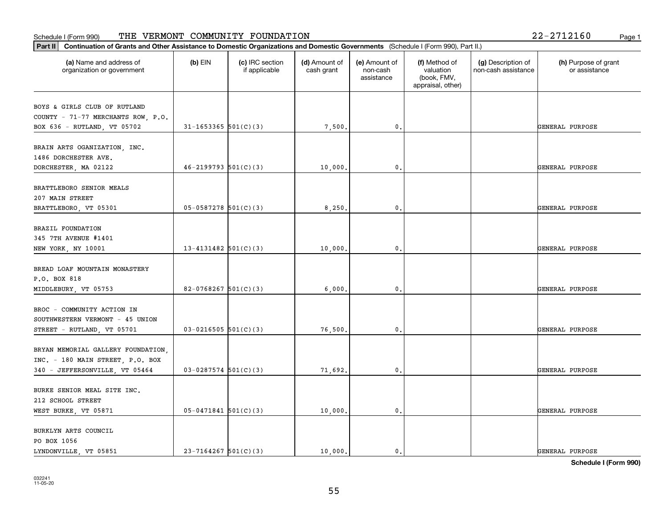| Part II   Continuation of Grants and Other Assistance to Domestic Organizations and Domestic Governments (Schedule I (Form 990), Part II.) |                            |                                  |                             |                                         |                                                                |                                           |                                       |
|--------------------------------------------------------------------------------------------------------------------------------------------|----------------------------|----------------------------------|-----------------------------|-----------------------------------------|----------------------------------------------------------------|-------------------------------------------|---------------------------------------|
| (a) Name and address of<br>organization or government                                                                                      | $(b)$ EIN                  | (c) IRC section<br>if applicable | (d) Amount of<br>cash grant | (e) Amount of<br>non-cash<br>assistance | (f) Method of<br>valuation<br>(book, FMV,<br>appraisal, other) | (g) Description of<br>non-cash assistance | (h) Purpose of grant<br>or assistance |
| BOYS & GIRLS CLUB OF RUTLAND                                                                                                               |                            |                                  |                             |                                         |                                                                |                                           |                                       |
| COUNTY - 71-77 MERCHANTS ROW, P.O.                                                                                                         |                            |                                  |                             |                                         |                                                                |                                           |                                       |
| BOX 636 - RUTLAND, VT 05702                                                                                                                | $31 - 1653365$ $501(C)(3)$ |                                  | 7,500.                      | 0.                                      |                                                                |                                           | GENERAL PURPOSE                       |
|                                                                                                                                            |                            |                                  |                             |                                         |                                                                |                                           |                                       |
| BRAIN ARTS OGANIZATION, INC.                                                                                                               |                            |                                  |                             |                                         |                                                                |                                           |                                       |
| 1486 DORCHESTER AVE.                                                                                                                       |                            |                                  |                             |                                         |                                                                |                                           |                                       |
| DORCHESTER, MA 02122                                                                                                                       | $46 - 2199793$ $501(C)(3)$ |                                  | 10,000                      | 0.                                      |                                                                |                                           | GENERAL PURPOSE                       |
| BRATTLEBORO SENIOR MEALS                                                                                                                   |                            |                                  |                             |                                         |                                                                |                                           |                                       |
| 207 MAIN STREET                                                                                                                            |                            |                                  |                             |                                         |                                                                |                                           |                                       |
| BRATTLEBORO, VT 05301                                                                                                                      | $05-0587278$ 501(C)(3)     |                                  | 8,250.                      | $\mathbf{0}$ .                          |                                                                |                                           | GENERAL PURPOSE                       |
|                                                                                                                                            |                            |                                  |                             |                                         |                                                                |                                           |                                       |
| BRAZIL FOUNDATION                                                                                                                          |                            |                                  |                             |                                         |                                                                |                                           |                                       |
| 345 7TH AVENUE #1401                                                                                                                       |                            |                                  |                             |                                         |                                                                |                                           |                                       |
| NEW YORK, NY 10001                                                                                                                         | 13-4131482 $501(C)(3)$     |                                  | 10,000.                     | $\mathbf{0}$ .                          |                                                                |                                           | GENERAL PURPOSE                       |
|                                                                                                                                            |                            |                                  |                             |                                         |                                                                |                                           |                                       |
| BREAD LOAF MOUNTAIN MONASTERY<br>P.O. BOX 818                                                                                              |                            |                                  |                             |                                         |                                                                |                                           |                                       |
| MIDDLEBURY, VT 05753                                                                                                                       | 82-0768267 $501(C)(3)$     |                                  | 6,000,                      | 0.                                      |                                                                |                                           | GENERAL PURPOSE                       |
|                                                                                                                                            |                            |                                  |                             |                                         |                                                                |                                           |                                       |
| BROC - COMMUNITY ACTION IN                                                                                                                 |                            |                                  |                             |                                         |                                                                |                                           |                                       |
| SOUTHWESTERN VERMONT - 45 UNION                                                                                                            |                            |                                  |                             |                                         |                                                                |                                           |                                       |
| STREET - RUTLAND, VT 05701                                                                                                                 | $03 - 0216505$ 501(C)(3)   |                                  | 76,500.                     | 0.                                      |                                                                |                                           | GENERAL PURPOSE                       |
|                                                                                                                                            |                            |                                  |                             |                                         |                                                                |                                           |                                       |
| BRYAN MEMORIAL GALLERY FOUNDATION,                                                                                                         |                            |                                  |                             |                                         |                                                                |                                           |                                       |
| INC. - 180 MAIN STREET, P.O. BOX                                                                                                           |                            |                                  |                             |                                         |                                                                |                                           |                                       |
| 340 - JEFFERSONVILLE, VT 05464                                                                                                             | $03-0287574$ 501(C)(3)     |                                  | 71,692.                     | $\mathfrak{o}$ .                        |                                                                |                                           | GENERAL PURPOSE                       |
| BURKE SENIOR MEAL SITE INC.                                                                                                                |                            |                                  |                             |                                         |                                                                |                                           |                                       |
| 212 SCHOOL STREET                                                                                                                          |                            |                                  |                             |                                         |                                                                |                                           |                                       |
| WEST BURKE, VT 05871                                                                                                                       | $05 - 0471841$ 501(C)(3)   |                                  | 10,000.                     | $\mathbf{0}$ .                          |                                                                |                                           | GENERAL PURPOSE                       |
|                                                                                                                                            |                            |                                  |                             |                                         |                                                                |                                           |                                       |
| BURKLYN ARTS COUNCIL                                                                                                                       |                            |                                  |                             |                                         |                                                                |                                           |                                       |
| PO BOX 1056                                                                                                                                |                            |                                  |                             |                                         |                                                                |                                           |                                       |
| LYNDONVILLE, VT 05851                                                                                                                      | $23 - 7164267$ 501(C)(3)   |                                  | 10,000.                     | $\mathbf{0}$ .                          |                                                                |                                           | GENERAL PURPOSE                       |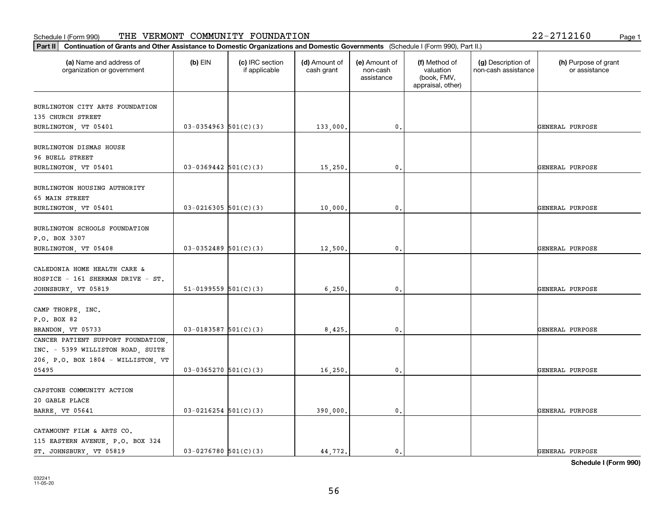### **Part III Continuation of Grants and Other Assistance to Domestic Organization of Grants and Other Assistance to Domestic Organizations** Schedule I (Form 990) Page 1 THE VERMONT COMMUNITY FOUNDATION 22-2712160

| 2-2712160 |  | Page 1 |
|-----------|--|--------|
|           |  |        |

| Continuation of Grants and Other Assistance to Domestic Organizations and Domestic Governments (Schedule I (Form 990), Part II.)<br>Part II |                            |                                  |                             |                                         |                                                                |                                           |                                       |
|---------------------------------------------------------------------------------------------------------------------------------------------|----------------------------|----------------------------------|-----------------------------|-----------------------------------------|----------------------------------------------------------------|-------------------------------------------|---------------------------------------|
| (a) Name and address of<br>organization or government                                                                                       | $(b)$ EIN                  | (c) IRC section<br>if applicable | (d) Amount of<br>cash grant | (e) Amount of<br>non-cash<br>assistance | (f) Method of<br>valuation<br>(book, FMV,<br>appraisal, other) | (g) Description of<br>non-cash assistance | (h) Purpose of grant<br>or assistance |
| BURLINGTON CITY ARTS FOUNDATION                                                                                                             |                            |                                  |                             |                                         |                                                                |                                           |                                       |
| 135 CHURCH STREET                                                                                                                           |                            |                                  |                             |                                         |                                                                |                                           |                                       |
| BURLINGTON, VT 05401                                                                                                                        | $03 - 0354963$ 501(C)(3)   |                                  | 133,000.                    | $\mathbf{0}$ .                          |                                                                |                                           | GENERAL PURPOSE                       |
| BURLINGTON DISMAS HOUSE                                                                                                                     |                            |                                  |                             |                                         |                                                                |                                           |                                       |
| 96 BUELL STREET                                                                                                                             |                            |                                  |                             |                                         |                                                                |                                           |                                       |
| BURLINGTON, VT 05401                                                                                                                        | $03 - 0369442$ 501(C)(3)   |                                  | 15,250.                     | $\mathbf{0}$ .                          |                                                                |                                           | GENERAL PURPOSE                       |
|                                                                                                                                             |                            |                                  |                             |                                         |                                                                |                                           |                                       |
| BURLINGTON HOUSING AUTHORITY<br>65 MAIN STREET                                                                                              |                            |                                  |                             |                                         |                                                                |                                           |                                       |
| BURLINGTON, VT 05401                                                                                                                        | $03 - 0216305$ 501(C)(3)   |                                  | 10,000                      | 0.                                      |                                                                |                                           | GENERAL PURPOSE                       |
|                                                                                                                                             |                            |                                  |                             |                                         |                                                                |                                           |                                       |
| BURLINGTON SCHOOLS FOUNDATION                                                                                                               |                            |                                  |                             |                                         |                                                                |                                           |                                       |
| P.O. BOX 3307                                                                                                                               |                            |                                  |                             |                                         |                                                                |                                           |                                       |
| BURLINGTON, VT 05408                                                                                                                        | $03-0352489$ 501(C)(3)     |                                  | 12,500                      | 0.                                      |                                                                |                                           | GENERAL PURPOSE                       |
|                                                                                                                                             |                            |                                  |                             |                                         |                                                                |                                           |                                       |
| CALEDONIA HOME HEALTH CARE &                                                                                                                |                            |                                  |                             |                                         |                                                                |                                           |                                       |
| HOSPICE - 161 SHERMAN DRIVE - ST.                                                                                                           |                            |                                  |                             |                                         |                                                                |                                           |                                       |
| JOHNSBURY, VT 05819                                                                                                                         | $51-0199559$ $501(C)(3)$   |                                  | 6, 250.                     | $\mathbf{0}$ .                          |                                                                |                                           | GENERAL PURPOSE                       |
| CAMP THORPE, INC.                                                                                                                           |                            |                                  |                             |                                         |                                                                |                                           |                                       |
| P.O. BOX 82                                                                                                                                 |                            |                                  |                             |                                         |                                                                |                                           |                                       |
| BRANDON, VT 05733                                                                                                                           | $03 - 0183587$ $501(C)(3)$ |                                  | 8,425.                      | 0.                                      |                                                                |                                           | GENERAL PURPOSE                       |
| CANCER PATIENT SUPPORT FOUNDATION,                                                                                                          |                            |                                  |                             |                                         |                                                                |                                           |                                       |
| INC. - 5399 WILLISTON ROAD, SUITE                                                                                                           |                            |                                  |                             |                                         |                                                                |                                           |                                       |
| 206, P.O. BOX 1804 - WILLISTON, VT                                                                                                          |                            |                                  |                             |                                         |                                                                |                                           |                                       |
| 05495                                                                                                                                       | $03-0365270$ 501(C)(3)     |                                  | 16,250                      | 0.                                      |                                                                |                                           | GENERAL PURPOSE                       |
|                                                                                                                                             |                            |                                  |                             |                                         |                                                                |                                           |                                       |
| CAPSTONE COMMUNITY ACTION                                                                                                                   |                            |                                  |                             |                                         |                                                                |                                           |                                       |
| 20 GABLE PLACE                                                                                                                              | $03 - 0216254$ 501(C)(3)   |                                  |                             | $\mathbf{0}$ .                          |                                                                |                                           | GENERAL PURPOSE                       |
| <b>BARRE, VT 05641</b>                                                                                                                      |                            |                                  | 390,000.                    |                                         |                                                                |                                           |                                       |
| CATAMOUNT FILM & ARTS CO.                                                                                                                   |                            |                                  |                             |                                         |                                                                |                                           |                                       |
| 115 EASTERN AVENUE, P.O. BOX 324                                                                                                            |                            |                                  |                             |                                         |                                                                |                                           |                                       |
| ST. JOHNSBURY, VT 05819                                                                                                                     | $03 - 0276780$ 501(C)(3)   |                                  | 44.772.                     | $\mathbf{0}$ .                          |                                                                |                                           | GENERAL PURPOSE                       |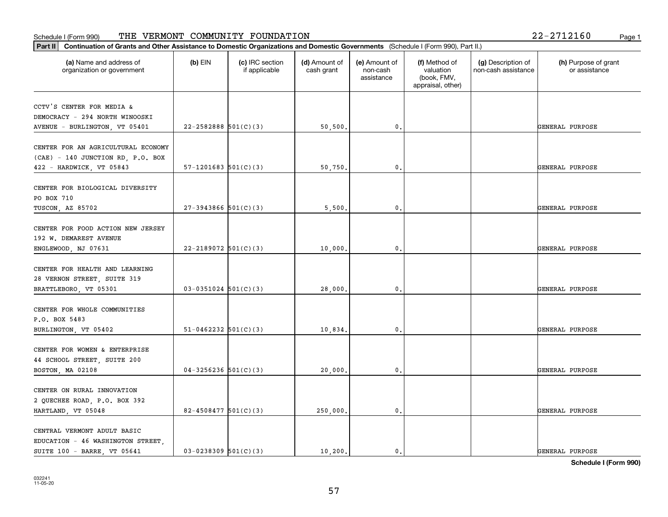| Part II   Continuation of Grants and Other Assistance to Domestic Organizations and Domestic Governments (Schedule I (Form 990), Part II.) |                            |                                  |                             |                                         |                                                                |                                           |                                       |
|--------------------------------------------------------------------------------------------------------------------------------------------|----------------------------|----------------------------------|-----------------------------|-----------------------------------------|----------------------------------------------------------------|-------------------------------------------|---------------------------------------|
| (a) Name and address of<br>organization or government                                                                                      | $(b)$ EIN                  | (c) IRC section<br>if applicable | (d) Amount of<br>cash grant | (e) Amount of<br>non-cash<br>assistance | (f) Method of<br>valuation<br>(book, FMV,<br>appraisal, other) | (g) Description of<br>non-cash assistance | (h) Purpose of grant<br>or assistance |
| CCTV'S CENTER FOR MEDIA &                                                                                                                  |                            |                                  |                             |                                         |                                                                |                                           |                                       |
| DEMOCRACY - 294 NORTH WINOOSKI                                                                                                             |                            |                                  |                             |                                         |                                                                |                                           |                                       |
| AVENUE - BURLINGTON, VT 05401                                                                                                              | $22 - 2582888$ 501(C)(3)   |                                  | 50, 500.                    | 0.                                      |                                                                |                                           | GENERAL PURPOSE                       |
| CENTER FOR AN AGRICULTURAL ECONOMY                                                                                                         |                            |                                  |                             |                                         |                                                                |                                           |                                       |
| (CAE) - 140 JUNCTION RD, P.O. BOX                                                                                                          |                            |                                  |                             |                                         |                                                                |                                           |                                       |
| 422 - HARDWICK, VT 05843                                                                                                                   | $57-1201683$ $501(C)(3)$   |                                  | 50,750.                     | 0.                                      |                                                                |                                           | GENERAL PURPOSE                       |
|                                                                                                                                            |                            |                                  |                             |                                         |                                                                |                                           |                                       |
| CENTER FOR BIOLOGICAL DIVERSITY<br>PO BOX 710                                                                                              |                            |                                  |                             |                                         |                                                                |                                           |                                       |
| TUSCON, AZ 85702                                                                                                                           | $27-3943866$ 501(C)(3)     |                                  | 5,500.                      | 0.                                      |                                                                |                                           | GENERAL PURPOSE                       |
|                                                                                                                                            |                            |                                  |                             |                                         |                                                                |                                           |                                       |
| CENTER FOR FOOD ACTION NEW JERSEY                                                                                                          |                            |                                  |                             |                                         |                                                                |                                           |                                       |
| 192 W. DEMAREST AVENUE                                                                                                                     |                            |                                  |                             |                                         |                                                                |                                           |                                       |
| ENGLEWOOD, NJ 07631                                                                                                                        | 22-2189072 $501(C)(3)$     |                                  | 10,000.                     | 0.                                      |                                                                |                                           | GENERAL PURPOSE                       |
| CENTER FOR HEALTH AND LEARNING                                                                                                             |                            |                                  |                             |                                         |                                                                |                                           |                                       |
| 28 VERNON STREET, SUITE 319                                                                                                                |                            |                                  |                             |                                         |                                                                |                                           |                                       |
| BRATTLEBORO, VT 05301                                                                                                                      | $03-0351024$ $501(C)(3)$   |                                  | 28,000.                     | $\mathbf{0}$                            |                                                                |                                           | GENERAL PURPOSE                       |
|                                                                                                                                            |                            |                                  |                             |                                         |                                                                |                                           |                                       |
| CENTER FOR WHOLE COMMUNITIES                                                                                                               |                            |                                  |                             |                                         |                                                                |                                           |                                       |
| P.O. BOX 5483                                                                                                                              |                            |                                  |                             |                                         |                                                                |                                           |                                       |
| BURLINGTON, VT 05402                                                                                                                       | $51-0462232$ $501(C)(3)$   |                                  | 10,834.                     | 0.                                      |                                                                |                                           | GENERAL PURPOSE                       |
| CENTER FOR WOMEN & ENTERPRISE                                                                                                              |                            |                                  |                             |                                         |                                                                |                                           |                                       |
| 44 SCHOOL STREET, SUITE 200                                                                                                                |                            |                                  |                             |                                         |                                                                |                                           |                                       |
| BOSTON, MA 02108                                                                                                                           | $04 - 3256236$ $501(C)(3)$ |                                  | 20,000.                     | 0.                                      |                                                                |                                           | GENERAL PURPOSE                       |
|                                                                                                                                            |                            |                                  |                             |                                         |                                                                |                                           |                                       |
| CENTER ON RURAL INNOVATION                                                                                                                 |                            |                                  |                             |                                         |                                                                |                                           |                                       |
| 2 QUECHEE ROAD, P.O. BOX 392<br>HARTLAND, VT 05048                                                                                         | $82 - 4508477$ 501(C)(3)   |                                  | 250,000.                    | $\mathbf{0}$ .                          |                                                                |                                           | GENERAL PURPOSE                       |
|                                                                                                                                            |                            |                                  |                             |                                         |                                                                |                                           |                                       |
| CENTRAL VERMONT ADULT BASIC                                                                                                                |                            |                                  |                             |                                         |                                                                |                                           |                                       |
| EDUCATION - 46 WASHINGTON STREET                                                                                                           |                            |                                  |                             |                                         |                                                                |                                           |                                       |
| SUITE 100 - BARRE, VT 05641                                                                                                                | $03-0238309$ $501(C)(3)$   |                                  | 10, 200.                    | $\mathbf{0}$ .                          |                                                                |                                           | GENERAL PURPOSE                       |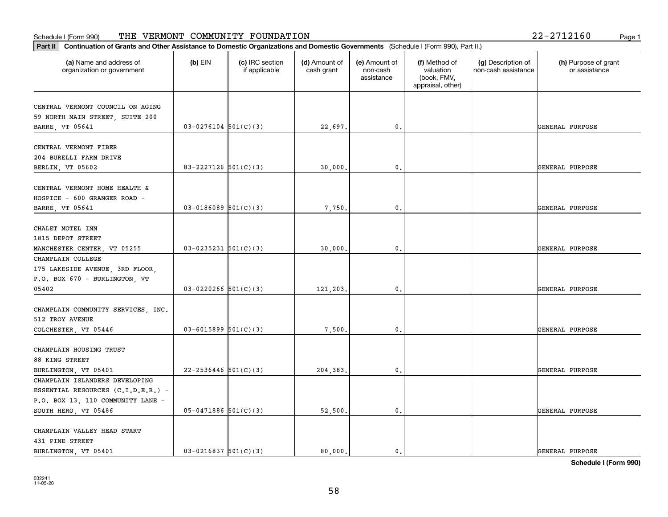#### Schedule I (Form 990) 'I'HE' VERMON'I' COMMUNITY F'OUNDA'I'ION 2Z-Z7IZI6U Page 1 THE VERMONT COMMUNITY FOUNDATION 22-2712160

| (a) Name and address of            | $(b)$ EIN                  | (c) IRC section<br>if applicable | (d) Amount of | (e) Amount of          | (f) Method of                                 | (g) Description of  | (h) Purpose of grant |
|------------------------------------|----------------------------|----------------------------------|---------------|------------------------|-----------------------------------------------|---------------------|----------------------|
| organization or government         |                            |                                  | cash grant    | non-cash<br>assistance | valuation<br>(book, FMV,<br>appraisal, other) | non-cash assistance | or assistance        |
| CENTRAL VERMONT COUNCIL ON AGING   |                            |                                  |               |                        |                                               |                     |                      |
| 59 NORTH MAIN STREET, SUITE 200    |                            |                                  |               |                        |                                               |                     |                      |
| BARRE, VT 05641                    | $03-0276104$ 501(C)(3)     |                                  | 22,697.       | 0.                     |                                               |                     | GENERAL PURPOSE      |
|                                    |                            |                                  |               |                        |                                               |                     |                      |
| CENTRAL VERMONT FIBER              |                            |                                  |               |                        |                                               |                     |                      |
| 204 BURELLI FARM DRIVE             |                            |                                  |               |                        |                                               |                     |                      |
| BERLIN, VT 05602                   | 83-2227126 $501(C)(3)$     |                                  | 30,000.       | 0.                     |                                               |                     | GENERAL PURPOSE      |
| CENTRAL VERMONT HOME HEALTH &      |                            |                                  |               |                        |                                               |                     |                      |
| HOSPICE - 600 GRANGER ROAD -       |                            |                                  |               |                        |                                               |                     |                      |
| BARRE, VT 05641                    | $03 - 0186089$ 501(C)(3)   |                                  | 7,750.        | $\mathbf{0}$ .         |                                               |                     | GENERAL PURPOSE      |
|                                    |                            |                                  |               |                        |                                               |                     |                      |
| CHALET MOTEL INN                   |                            |                                  |               |                        |                                               |                     |                      |
| 1815 DEPOT STREET                  |                            |                                  |               |                        |                                               |                     |                      |
| MANCHESTER CENTER, VT 05255        | $03 - 0235231$ $501(C)(3)$ |                                  | 30,000.       | 0.                     |                                               |                     | GENERAL PURPOSE      |
| CHAMPLAIN COLLEGE                  |                            |                                  |               |                        |                                               |                     |                      |
| 175 LAKESIDE AVENUE, 3RD FLOOR,    |                            |                                  |               |                        |                                               |                     |                      |
| P.O. BOX 670 - BURLINGTON, VT      |                            |                                  |               |                        |                                               |                     |                      |
| 05402                              | $03 - 0220266$ 501(C)(3)   |                                  | 121,203.      | 0.                     |                                               |                     | GENERAL PURPOSE      |
|                                    |                            |                                  |               |                        |                                               |                     |                      |
| CHAMPLAIN COMMUNITY SERVICES, INC. |                            |                                  |               |                        |                                               |                     |                      |
| 512 TROY AVENUE                    |                            |                                  |               |                        |                                               |                     |                      |
| COLCHESTER, VT 05446               | $03 - 6015899$ $501(C)(3)$ |                                  | 7,500.        | 0.                     |                                               |                     | GENERAL PURPOSE      |
| CHAMPLAIN HOUSING TRUST            |                            |                                  |               |                        |                                               |                     |                      |
| 88 KING STREET                     |                            |                                  |               |                        |                                               |                     |                      |
| BURLINGTON, VT 05401               | $22 - 2536446$ 501(C)(3)   |                                  | 204,383.      | 0.                     |                                               |                     | GENERAL PURPOSE      |
| CHAMPLAIN ISLANDERS DEVELOPING     |                            |                                  |               |                        |                                               |                     |                      |
| ESSENTIAL RESOURCES (C.I.D.E.R.) - |                            |                                  |               |                        |                                               |                     |                      |
| P.O. BOX 13, 110 COMMUNITY LANE -  |                            |                                  |               |                        |                                               |                     |                      |
| SOUTH HERO, VT 05486               | $05-0471886$ 501(C)(3)     |                                  | 52,500.       | $\mathbf{0}$ .         |                                               |                     | GENERAL PURPOSE      |
|                                    |                            |                                  |               |                        |                                               |                     |                      |
| CHAMPLAIN VALLEY HEAD START        |                            |                                  |               |                        |                                               |                     |                      |
| 431 PINE STREET                    |                            |                                  |               |                        |                                               |                     |                      |
| BURLINGTON, VT 05401               | $03 - 0216837$ 501(C)(3)   |                                  | 80.000.       | 0.                     |                                               |                     | GENERAL PURPOSE      |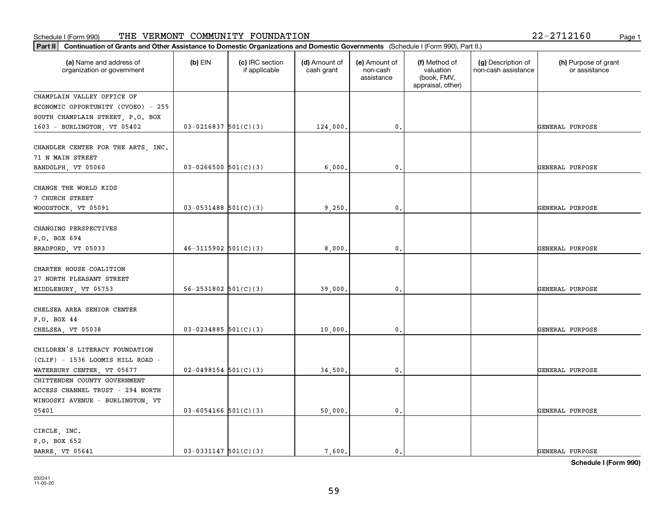#### Schedule I (Form 990) 'I'HE' VERMON'I' COMMUNITY F'OUNDA'I'ION 2Z-Z7IZI6U Page 1 THE VERMONT COMMUNITY FOUNDATION 22-2712160

| Part II   Continuation of Grants and Other Assistance to Domestic Organizations and Domestic Governments (Schedule I (Form 990), Part II.) |                            |                                  |                             |                                         |                                                                |                                           |                                       |
|--------------------------------------------------------------------------------------------------------------------------------------------|----------------------------|----------------------------------|-----------------------------|-----------------------------------------|----------------------------------------------------------------|-------------------------------------------|---------------------------------------|
| (a) Name and address of<br>organization or government                                                                                      | $(b)$ EIN                  | (c) IRC section<br>if applicable | (d) Amount of<br>cash grant | (e) Amount of<br>non-cash<br>assistance | (f) Method of<br>valuation<br>(book, FMV,<br>appraisal, other) | (g) Description of<br>non-cash assistance | (h) Purpose of grant<br>or assistance |
| CHAMPLAIN VALLEY OFFICE OF                                                                                                                 |                            |                                  |                             |                                         |                                                                |                                           |                                       |
| ECONOMIC OPPORTUNITY (CVOEO) - 255                                                                                                         |                            |                                  |                             |                                         |                                                                |                                           |                                       |
| SOUTH CHAMPLAIN STREET, P.O. BOX                                                                                                           |                            |                                  |                             |                                         |                                                                |                                           |                                       |
| 1603 - BURLINGTON, VT 05402                                                                                                                | $03 - 0216837$ 501(C)(3)   |                                  | 124,000.                    | 0.                                      |                                                                |                                           | GENERAL PURPOSE                       |
| CHANDLER CENTER FOR THE ARTS, INC.<br>71 N MAIN STREET                                                                                     |                            |                                  |                             |                                         |                                                                |                                           |                                       |
| RANDOLPH, VT 05060                                                                                                                         | $03 - 0266500$ 501(C)(3)   |                                  | 6,000,                      | 0.                                      |                                                                |                                           | GENERAL PURPOSE                       |
| CHANGE THE WORLD KIDS<br>7 CHURCH STREET                                                                                                   |                            |                                  |                             |                                         |                                                                |                                           |                                       |
| WOODSTOCK, VT 05091                                                                                                                        | $03-0531488$ 501(C)(3)     |                                  | 9,250.                      | $\mathbf{0}$ .                          |                                                                |                                           | GENERAL PURPOSE                       |
| CHANGING PERSPECTIVES<br>P.O. BOX 694<br>BRADFORD, VT 05033                                                                                | $46 - 3115902$ 501(C)(3)   |                                  | 8,000                       | 0.                                      |                                                                |                                           | GENERAL PURPOSE                       |
| CHARTER HOUSE COALITION<br>27 NORTH PLEASANT STREET<br>MIDDLEBURY, VT 05753                                                                | $56 - 2531802$ $501(C)(3)$ |                                  | 39,000.                     | 0.                                      |                                                                |                                           | GENERAL PURPOSE                       |
| CHELSEA AREA SENIOR CENTER<br>P.O. BOX 44                                                                                                  |                            |                                  |                             |                                         |                                                                |                                           |                                       |
| CHELSEA, VT 05038                                                                                                                          | $03 - 0234885$ 501(C)(3)   |                                  | 10,000.                     | 0.                                      |                                                                |                                           | GENERAL PURPOSE                       |
| CHILDREN'S LITERACY FOUNDATION<br>(CLIF) - 1536 LOOMIS HILL ROAD -                                                                         |                            |                                  |                             |                                         |                                                                |                                           |                                       |
| WATERBURY CENTER, VT 05677                                                                                                                 | $02 - 0498154$ 501(C)(3)   |                                  | 34,500.                     | 0.                                      |                                                                |                                           | GENERAL PURPOSE                       |
| CHITTENDEN COUNTY GOVERNMENT                                                                                                               |                            |                                  |                             |                                         |                                                                |                                           |                                       |
| ACCESS CHANNEL TRUST - 294 NORTH                                                                                                           |                            |                                  |                             |                                         |                                                                |                                           |                                       |
| WINOOSKI AVENUE - BURLINGTON, VT                                                                                                           |                            |                                  |                             |                                         |                                                                |                                           |                                       |
| 05401                                                                                                                                      | $03 - 6054166$ 501(C)(3)   |                                  | 50,000.                     | 0.                                      |                                                                |                                           | GENERAL PURPOSE                       |
|                                                                                                                                            |                            |                                  |                             |                                         |                                                                |                                           |                                       |
| CIRCLE, INC.                                                                                                                               |                            |                                  |                             |                                         |                                                                |                                           |                                       |
| P.O. BOX 652                                                                                                                               |                            |                                  |                             |                                         |                                                                |                                           |                                       |
| <b>BARRE</b> , VT 05641                                                                                                                    | $03-0331147$ $501(C)(3)$   |                                  | 7.600.                      | $\mathfrak{o}$ .                        |                                                                |                                           | GENERAL PURPOSE                       |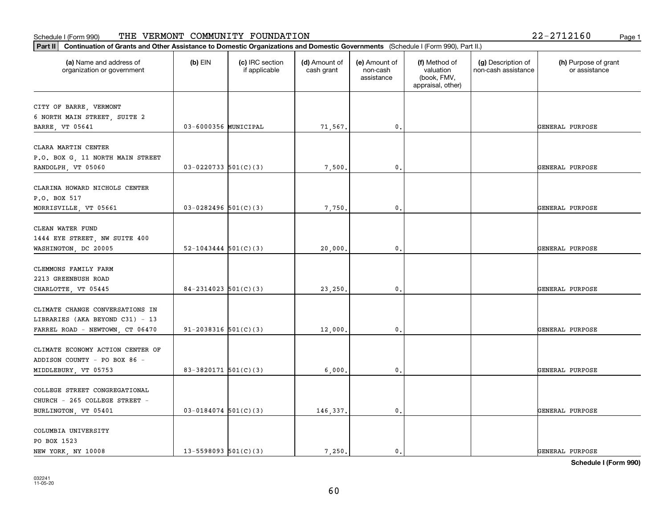# **Part III Continuation of Grants and Other Assistance to Domestic Organization of Grants and Other Assistance to Domestic Organizations** Schedule I (Form 990) Page 1 THE VERMONT COMMUNITY FOUNDATION 22-2712160

| Part II                                                                                               | Continuation of Grants and Other Assistance to Domestic Organizations and Domestic Governments (Schedule I (Form 990), Part II.) |                                  |                             |                                         |                                                                |                                           |                                       |  |  |
|-------------------------------------------------------------------------------------------------------|----------------------------------------------------------------------------------------------------------------------------------|----------------------------------|-----------------------------|-----------------------------------------|----------------------------------------------------------------|-------------------------------------------|---------------------------------------|--|--|
| (a) Name and address of<br>organization or government                                                 | $(b)$ EIN                                                                                                                        | (c) IRC section<br>if applicable | (d) Amount of<br>cash grant | (e) Amount of<br>non-cash<br>assistance | (f) Method of<br>valuation<br>(book, FMV,<br>appraisal, other) | (g) Description of<br>non-cash assistance | (h) Purpose of grant<br>or assistance |  |  |
| CITY OF BARRE, VERMONT<br>6 NORTH MAIN STREET, SUITE 2<br>BARRE, VT 05641                             | 03-6000356 MUNICIPAL                                                                                                             |                                  | 71,567.                     | 0.                                      |                                                                |                                           | GENERAL PURPOSE                       |  |  |
| CLARA MARTIN CENTER<br>P.O. BOX G, 11 NORTH MAIN STREET<br>RANDOLPH, VT 05060                         | $03 - 0220733$ 501(C)(3)                                                                                                         |                                  | 7,500.                      | $\mathbf{0}$ .                          |                                                                |                                           | GENERAL PURPOSE                       |  |  |
| CLARINA HOWARD NICHOLS CENTER<br>P.O. BOX 517<br>MORRISVILLE, VT 05661                                | $03-0282496$ 501(C)(3)                                                                                                           |                                  | 7,750.                      | 0                                       |                                                                |                                           | GENERAL PURPOSE                       |  |  |
| CLEAN WATER FUND<br>1444 EYE STREET, NW SUITE 400<br>WASHINGTON, DC 20005                             | $52 - 1043444$ $501(C)(3)$                                                                                                       |                                  | 20,000,                     | 0.                                      |                                                                |                                           | GENERAL PURPOSE                       |  |  |
| CLEMMONS FAMILY FARM<br>2213 GREENBUSH ROAD<br>CHARLOTTE, VT 05445                                    | $84 - 2314023$ 501(C)(3)                                                                                                         |                                  | 23,250.                     | 0.                                      |                                                                |                                           | GENERAL PURPOSE                       |  |  |
| CLIMATE CHANGE CONVERSATIONS IN<br>LIBRARIES (AKA BEYOND C31) - 13<br>FARREL ROAD - NEWTOWN, CT 06470 | $91 - 2038316$ $501(C)(3)$                                                                                                       |                                  | 12,000.                     | 0.                                      |                                                                |                                           | GENERAL PURPOSE                       |  |  |
| CLIMATE ECONOMY ACTION CENTER OF<br>ADDISON COUNTY - PO BOX 86 -<br>MIDDLEBURY, VT 05753              | 83-3820171 $501(C)(3)$                                                                                                           |                                  | 6,000.                      | 0.                                      |                                                                |                                           | GENERAL PURPOSE                       |  |  |
| COLLEGE STREET CONGREGATIONAL<br>CHURCH - 265 COLLEGE STREET -<br>BURLINGTON, VT 05401                | $03 - 0184074$ 501(C)(3)                                                                                                         |                                  | 146,337.                    | 0.                                      |                                                                |                                           | GENERAL PURPOSE                       |  |  |
| COLUMBIA UNIVERSITY<br>PO BOX 1523<br>NEW YORK, NY 10008                                              | $13 - 5598093$ $501(C)(3)$                                                                                                       |                                  | 7.250.                      | 0.                                      |                                                                |                                           | GENERAL PURPOSE                       |  |  |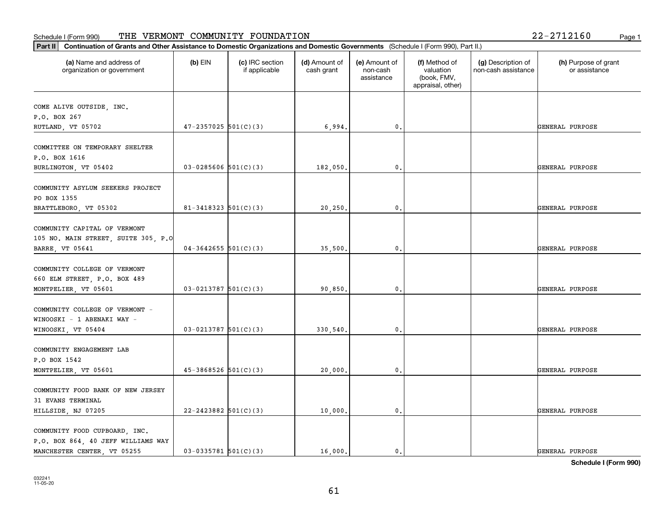### **Part III Continuation of Grants and Other Assistance to Domestic Organizations Part II Continuation of Grants and Other Assistance to Domestic Organizations** Schedule I (Form 990) Page 1 THE VERMONT COMMUNITY FOUNDATION 22-2712160

| Continuation of Grants and Other Assistance to Domestic Organizations and Domestic Governments (Schedule I (Form 990), Part II.)<br> Part II |                            |                                  |                             |                                         |                                                                |                                           |                                       |
|----------------------------------------------------------------------------------------------------------------------------------------------|----------------------------|----------------------------------|-----------------------------|-----------------------------------------|----------------------------------------------------------------|-------------------------------------------|---------------------------------------|
| (a) Name and address of<br>organization or government                                                                                        | $(b)$ EIN                  | (c) IRC section<br>if applicable | (d) Amount of<br>cash grant | (e) Amount of<br>non-cash<br>assistance | (f) Method of<br>valuation<br>(book, FMV,<br>appraisal, other) | (g) Description of<br>non-cash assistance | (h) Purpose of grant<br>or assistance |
| COME ALIVE OUTSIDE, INC.<br>P.O. BOX 267<br>RUTLAND, VT 05702                                                                                | $47 - 2357025$ 501(C)(3)   |                                  | 6,994.                      | 0.                                      |                                                                |                                           | GENERAL PURPOSE                       |
| COMMITTEE ON TEMPORARY SHELTER<br>P.O. BOX 1616<br>BURLINGTON, VT 05402                                                                      | $03 - 0285606$ 501(C)(3)   |                                  | 182,050.                    | 0.                                      |                                                                |                                           | GENERAL PURPOSE                       |
| COMMUNITY ASYLUM SEEKERS PROJECT<br>PO BOX 1355<br>BRATTLEBORO, VT 05302                                                                     | $81 - 3418323$ $501(C)(3)$ |                                  | 20,250.                     | 0.                                      |                                                                |                                           | GENERAL PURPOSE                       |
| COMMUNITY CAPITAL OF VERMONT<br>105 NO. MAIN STREET, SUITE 305, P.O<br>BARRE, VT 05641                                                       | $04 - 3642655$ 501(C)(3)   |                                  | 35,500.                     | $^{\rm 0}$ .                            |                                                                |                                           | GENERAL PURPOSE                       |
| COMMUNITY COLLEGE OF VERMONT<br>660 ELM STREET, P.O. BOX 489<br>MONTPELIER, VT 05601                                                         | $03 - 0213787$ 501(C)(3)   |                                  | 90,850.                     | 0.                                      |                                                                |                                           | GENERAL PURPOSE                       |
| COMMUNITY COLLEGE OF VERMONT -<br>WINOOSKI - 1 ABENAKI WAY -<br>WINOOSKI, VT 05404                                                           | $03-0213787$ 501(C)(3)     |                                  | 330,540.                    | 0.                                      |                                                                |                                           | GENERAL PURPOSE                       |
| COMMUNITY ENGAGEMENT LAB<br>P.O BOX 1542<br>MONTPELIER, VT 05601                                                                             | $45 - 3868526$ $501(C)(3)$ |                                  | 20,000.                     | $^{\rm 0}$ .                            |                                                                |                                           | GENERAL PURPOSE                       |
| COMMUNITY FOOD BANK OF NEW JERSEY<br>31 EVANS TERMINAL<br>HILLSIDE, NJ 07205                                                                 | $22 - 2423882$ 501(C)(3)   |                                  | 10,000.                     | 0.                                      |                                                                |                                           | GENERAL PURPOSE                       |
| COMMUNITY FOOD CUPBOARD, INC.<br>P.O. BOX 864, 40 JEFF WILLIAMS WAY<br>MANCHESTER CENTER, VT 05255                                           | $03-0335781$ 501(C)(3)     |                                  | 16,000.                     | 0.                                      |                                                                |                                           | GENERAL PURPOSE                       |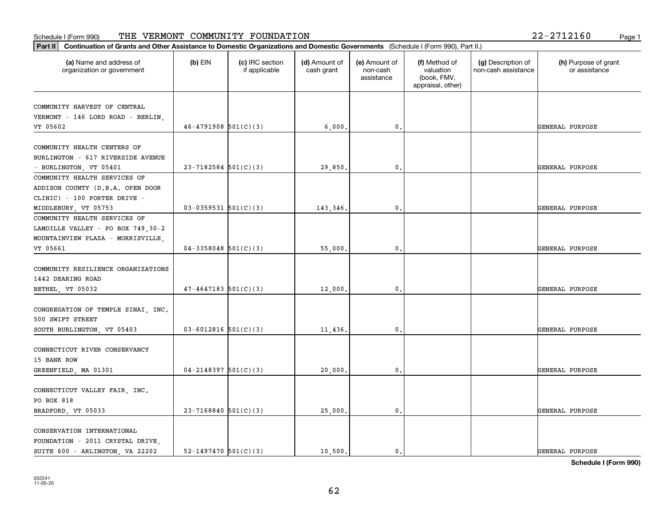### **Part II Continuation of Grants and Other Assistance to Domestic Organization of Grants and Other Assistance to Domestic** Schedule I (Form 990) Page 1 THE VERMONT COMMUNITY FOUNDATION 22-2712160

|  | 22-2712160 |  |  | Page |
|--|------------|--|--|------|
|--|------------|--|--|------|

| Continuation of Grants and Other Assistance to Domestic Organizations and Domestic Governments (Schedule I (Form 990), Part II.)<br>Part II |                            |                                  |                             |                                         |                                                                |                                           |                                       |
|---------------------------------------------------------------------------------------------------------------------------------------------|----------------------------|----------------------------------|-----------------------------|-----------------------------------------|----------------------------------------------------------------|-------------------------------------------|---------------------------------------|
| (a) Name and address of<br>organization or government                                                                                       | $(b)$ EIN                  | (c) IRC section<br>if applicable | (d) Amount of<br>cash grant | (e) Amount of<br>non-cash<br>assistance | (f) Method of<br>valuation<br>(book, FMV,<br>appraisal, other) | (g) Description of<br>non-cash assistance | (h) Purpose of grant<br>or assistance |
| COMMUNITY HARVEST OF CENTRAL<br>VERMONT - 146 LORD ROAD - BERLIN,<br>VT 05602                                                               | $46 - 4791908$ $501(C)(3)$ |                                  | 6,000,                      | $\mathfrak{o}$ .                        |                                                                |                                           | GENERAL PURPOSE                       |
|                                                                                                                                             |                            |                                  |                             |                                         |                                                                |                                           |                                       |
| COMMUNITY HEALTH CENTERS OF<br>BURLINGTON - 617 RIVERSIDE AVENUE<br>- BURLINGTON, VT 05401                                                  | $23 - 7182584$ 501(C)(3)   |                                  | 29,850.                     | $\mathbf{0}$ .                          |                                                                |                                           | GENERAL PURPOSE                       |
| COMMUNITY HEALTH SERVICES OF<br>ADDISON COUNTY (D.B.A. OPEN DOOR<br>CLINIC) - 100 PORTER DRIVE -                                            |                            |                                  |                             |                                         |                                                                |                                           |                                       |
| MIDDLEBURY, VT 05753                                                                                                                        | $03-0359531$ $501(C)(3)$   |                                  | 143,346.                    | $\mathbf{0}$                            |                                                                |                                           | GENERAL PURPOSE                       |
| COMMUNITY HEALTH SERVICES OF<br>LAMOILLE VALLEY - PO BOX 749, 30-2<br>MOUNTAINVIEW PLAZA - MORRISVILLE,<br>VT 05661                         | $04-3358048$ 501(C)(3)     |                                  | 55,000.                     | $\mathfrak{o}$ .                        |                                                                |                                           | GENERAL PURPOSE                       |
| COMMUNITY RESILIENCE ORGANIZATIONS<br>1442 DEARING ROAD<br>BETHEL, VT 05032                                                                 | $47 - 4647183$ 501(C)(3)   |                                  | 12,000.                     | $\mathbf{0}$ .                          |                                                                |                                           | GENERAL PURPOSE                       |
| CONGREGATION OF TEMPLE SINAI, INC.<br>500 SWIFT STREET<br>SOUTH BURLINGTON, VT 05403                                                        | $03 - 6012816$ 501(C)(3)   |                                  | 11,436.                     | 0.                                      |                                                                |                                           | GENERAL PURPOSE                       |
| CONNECTICUT RIVER CONSERVANCY<br>15 BANK ROW                                                                                                | $04 - 2148397$ 501(C)(3)   |                                  | 20,000                      | $\mathfrak{o}$ .                        |                                                                |                                           | GENERAL PURPOSE                       |
| GREENFIELD, MA 01301<br>CONNECTICUT VALLEY FAIR, INC.<br>PO BOX 818<br>BRADFORD, VT 05033                                                   | $23 - 7168840$ 501(C)(3)   |                                  | 25,000.                     | $\mathfrak o$ .                         |                                                                |                                           | GENERAL PURPOSE                       |
| CONSERVATION INTERNATIONAL<br>FOUNDATION - 2011 CRYSTAL DRIVE,<br>SUITE 600 - ARLINGTON, VA 22202                                           | 52-1497470 $501(C)(3)$     |                                  | 10.500.                     | $\mathfrak{o}$ .                        |                                                                |                                           | GENERAL PURPOSE                       |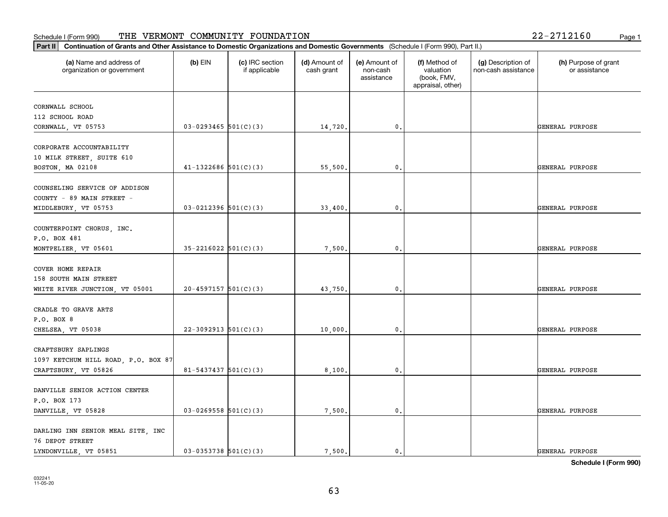| (a) Name and address of<br>$(b)$ EIN<br>(c) IRC section<br>(d) Amount of<br>(e) Amount of<br>(f) Method of<br>(g) Description of<br>cash grant<br>valuation<br>non-cash assistance<br>organization or government<br>if applicable<br>non-cash<br>assistance<br>(book, FMV,<br>appraisal, other)<br>CORNWALL SCHOOL<br>112 SCHOOL ROAD<br>$03-0293465$ 501(C)(3)<br>$\mathbf{0}$ .<br>14,720.<br>$41 - 1322686$ $501(C)(3)$<br>55,500.<br>0.<br>$03-0212396$ 501(C)(3)<br>0.<br>33,400.<br>$35 - 2216022$ $501(C)(3)$<br>7,500.<br>$\mathbf 0$ .<br>$20 - 4597157$ 501(C)(3)<br>43,750.<br>0.<br>$22-3092913$ 501(C)(3)<br>10,000.<br>0. | (h) Purpose of grant<br>or assistance |
|-----------------------------------------------------------------------------------------------------------------------------------------------------------------------------------------------------------------------------------------------------------------------------------------------------------------------------------------------------------------------------------------------------------------------------------------------------------------------------------------------------------------------------------------------------------------------------------------------------------------------------------------|---------------------------------------|
|                                                                                                                                                                                                                                                                                                                                                                                                                                                                                                                                                                                                                                         |                                       |
|                                                                                                                                                                                                                                                                                                                                                                                                                                                                                                                                                                                                                                         |                                       |
| CORNWALL, VT 05753<br>CORPORATE ACCOUNTABILITY                                                                                                                                                                                                                                                                                                                                                                                                                                                                                                                                                                                          |                                       |
|                                                                                                                                                                                                                                                                                                                                                                                                                                                                                                                                                                                                                                         | GENERAL PURPOSE                       |
| 10 MILK STREET, SUITE 610<br>BOSTON, MA 02108<br>COUNSELING SERVICE OF ADDISON                                                                                                                                                                                                                                                                                                                                                                                                                                                                                                                                                          |                                       |
|                                                                                                                                                                                                                                                                                                                                                                                                                                                                                                                                                                                                                                         |                                       |
|                                                                                                                                                                                                                                                                                                                                                                                                                                                                                                                                                                                                                                         |                                       |
|                                                                                                                                                                                                                                                                                                                                                                                                                                                                                                                                                                                                                                         | GENERAL PURPOSE                       |
| COUNTY - 89 MAIN STREET -<br>MIDDLEBURY, VT 05753<br>COUNTERPOINT CHORUS, INC.<br>P.O. BOX 481<br>MONTPELIER, VT 05601<br>COVER HOME REPAIR<br>158 SOUTH MAIN STREET<br>WHITE RIVER JUNCTION, VT 05001<br>CRADLE TO GRAVE ARTS<br>P.O. BOX 8<br>CHELSEA, VT 05038<br>CRAFTSBURY SAPLINGS<br>1097 KETCHUM HILL ROAD, P.O. BOX 87                                                                                                                                                                                                                                                                                                         |                                       |
|                                                                                                                                                                                                                                                                                                                                                                                                                                                                                                                                                                                                                                         |                                       |
|                                                                                                                                                                                                                                                                                                                                                                                                                                                                                                                                                                                                                                         | GENERAL PURPOSE                       |
|                                                                                                                                                                                                                                                                                                                                                                                                                                                                                                                                                                                                                                         |                                       |
|                                                                                                                                                                                                                                                                                                                                                                                                                                                                                                                                                                                                                                         |                                       |
|                                                                                                                                                                                                                                                                                                                                                                                                                                                                                                                                                                                                                                         |                                       |
|                                                                                                                                                                                                                                                                                                                                                                                                                                                                                                                                                                                                                                         | GENERAL PURPOSE                       |
|                                                                                                                                                                                                                                                                                                                                                                                                                                                                                                                                                                                                                                         |                                       |
|                                                                                                                                                                                                                                                                                                                                                                                                                                                                                                                                                                                                                                         |                                       |
|                                                                                                                                                                                                                                                                                                                                                                                                                                                                                                                                                                                                                                         |                                       |
|                                                                                                                                                                                                                                                                                                                                                                                                                                                                                                                                                                                                                                         | GENERAL PURPOSE                       |
|                                                                                                                                                                                                                                                                                                                                                                                                                                                                                                                                                                                                                                         |                                       |
|                                                                                                                                                                                                                                                                                                                                                                                                                                                                                                                                                                                                                                         |                                       |
|                                                                                                                                                                                                                                                                                                                                                                                                                                                                                                                                                                                                                                         | GENERAL PURPOSE                       |
|                                                                                                                                                                                                                                                                                                                                                                                                                                                                                                                                                                                                                                         |                                       |
|                                                                                                                                                                                                                                                                                                                                                                                                                                                                                                                                                                                                                                         |                                       |
|                                                                                                                                                                                                                                                                                                                                                                                                                                                                                                                                                                                                                                         |                                       |
| $81 - 5437437$ $501(C)(3)$<br>0.<br>CRAFTSBURY, VT 05826<br>8,100.                                                                                                                                                                                                                                                                                                                                                                                                                                                                                                                                                                      | GENERAL PURPOSE                       |
|                                                                                                                                                                                                                                                                                                                                                                                                                                                                                                                                                                                                                                         |                                       |
| DANVILLE SENIOR ACTION CENTER                                                                                                                                                                                                                                                                                                                                                                                                                                                                                                                                                                                                           |                                       |
| P.O. BOX 173                                                                                                                                                                                                                                                                                                                                                                                                                                                                                                                                                                                                                            |                                       |
| $03-0269558$ $501(C)(3)$<br>7,500.<br>DANVILLE, VT 05828<br>$\mathbf 0$ .                                                                                                                                                                                                                                                                                                                                                                                                                                                                                                                                                               | GENERAL PURPOSE                       |
| DARLING INN SENIOR MEAL SITE, INC                                                                                                                                                                                                                                                                                                                                                                                                                                                                                                                                                                                                       |                                       |
| 76 DEPOT STREET                                                                                                                                                                                                                                                                                                                                                                                                                                                                                                                                                                                                                         |                                       |
| $03-0353738$ 501(C)(3)<br>LYNDONVILLE, VT 05851<br>7,500.<br>$\mathbf{0}$ .                                                                                                                                                                                                                                                                                                                                                                                                                                                                                                                                                             | GENERAL PURPOSE                       |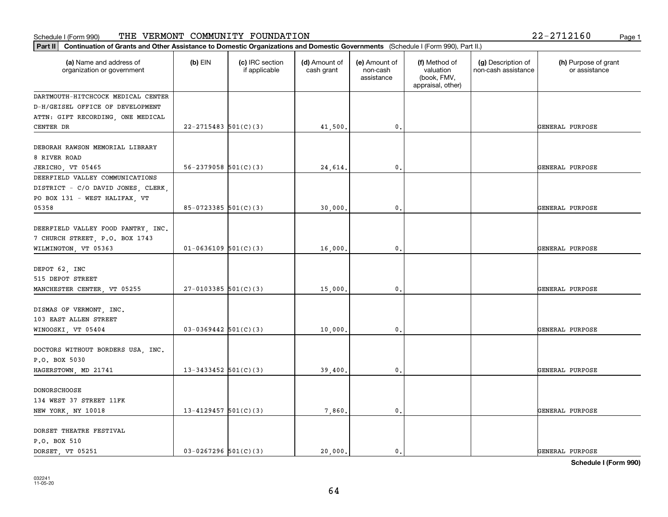| $2 - 2712160$ |  | Page 1 |
|---------------|--|--------|
|               |  |        |

| Continuation of Grants and Other Assistance to Domestic Organizations and Domestic Governments (Schedule I (Form 990), Part II.)<br>Part II |                            |                                  |                             |                                         |                                                                |                                           |                                       |
|---------------------------------------------------------------------------------------------------------------------------------------------|----------------------------|----------------------------------|-----------------------------|-----------------------------------------|----------------------------------------------------------------|-------------------------------------------|---------------------------------------|
| (a) Name and address of<br>organization or government                                                                                       | $(b)$ EIN                  | (c) IRC section<br>if applicable | (d) Amount of<br>cash grant | (e) Amount of<br>non-cash<br>assistance | (f) Method of<br>valuation<br>(book, FMV,<br>appraisal, other) | (g) Description of<br>non-cash assistance | (h) Purpose of grant<br>or assistance |
| DARTMOUTH-HITCHCOCK MEDICAL CENTER                                                                                                          |                            |                                  |                             |                                         |                                                                |                                           |                                       |
| D-H/GEISEL OFFICE OF DEVELOPMENT                                                                                                            |                            |                                  |                             |                                         |                                                                |                                           |                                       |
| ATTN: GIFT RECORDING, ONE MEDICAL                                                                                                           |                            |                                  |                             |                                         |                                                                |                                           |                                       |
| CENTER DR                                                                                                                                   | $22 - 2715483$ 501(C)(3)   |                                  | 41,500.                     | 0.                                      |                                                                |                                           | GENERAL PURPOSE                       |
| DEBORAH RAWSON MEMORIAL LIBRARY<br>8 RIVER ROAD                                                                                             |                            |                                  |                             |                                         |                                                                |                                           |                                       |
| JERICHO, VT 05465                                                                                                                           | $56 - 2379058$ $501(C)(3)$ |                                  | 24,614.                     | $\mathbf{0}$ .                          |                                                                |                                           | GENERAL PURPOSE                       |
| DEERFIELD VALLEY COMMUNICATIONS<br>DISTRICT - C/O DAVID JONES, CLERK,<br>PO BOX 131 - WEST HALIFAX, VT                                      |                            |                                  |                             |                                         |                                                                |                                           |                                       |
| 05358                                                                                                                                       | $85-0723385$ 501(C)(3)     |                                  | 30,000.                     | $\mathbf{0}$                            |                                                                |                                           | GENERAL PURPOSE                       |
| DEERFIELD VALLEY FOOD PANTRY, INC.<br>7 CHURCH STREET, P.O. BOX 1743<br>WILMINGTON, VT 05363                                                | $01 - 0636109$ 501(C)(3)   |                                  | 16,000.                     | $\mathbf{0}$ .                          |                                                                |                                           | GENERAL PURPOSE                       |
| DEPOT 62, INC<br>515 DEPOT STREET<br>MANCHESTER CENTER, VT 05255                                                                            | $27-0103385$ 501(C)(3)     |                                  | 15,000.                     | $\mathbf 0$ .                           |                                                                |                                           | GENERAL PURPOSE                       |
| DISMAS OF VERMONT, INC.<br>103 EAST ALLEN STREET<br>WINOOSKI, VT 05404                                                                      | $03-0369442$ 501(C)(3)     |                                  | 10,000                      | 0.                                      |                                                                |                                           | GENERAL PURPOSE                       |
| DOCTORS WITHOUT BORDERS USA, INC.<br>P.O. BOX 5030                                                                                          |                            |                                  |                             |                                         |                                                                |                                           |                                       |
| HAGERSTOWN, MD 21741                                                                                                                        | $13 - 3433452$ 501(C)(3)   |                                  | 39,400                      | $\mathfrak o$ .                         |                                                                |                                           | GENERAL PURPOSE                       |
| <b>DONORSCHOOSE</b><br>134 WEST 37 STREET 11FK<br>NEW YORK, NY 10018                                                                        | 13-4129457 $501(C)(3)$     |                                  | 7,860.                      | $\mathbf{0}$ .                          |                                                                |                                           | GENERAL PURPOSE                       |
| DORSET THEATRE FESTIVAL<br>P.O. BOX 510<br>DORSET, VT 05251                                                                                 | $03 - 0267296$ 501(C)(3)   |                                  | 20,000.                     | $\mathbf{0}$                            |                                                                |                                           | GENERAL PURPOSE                       |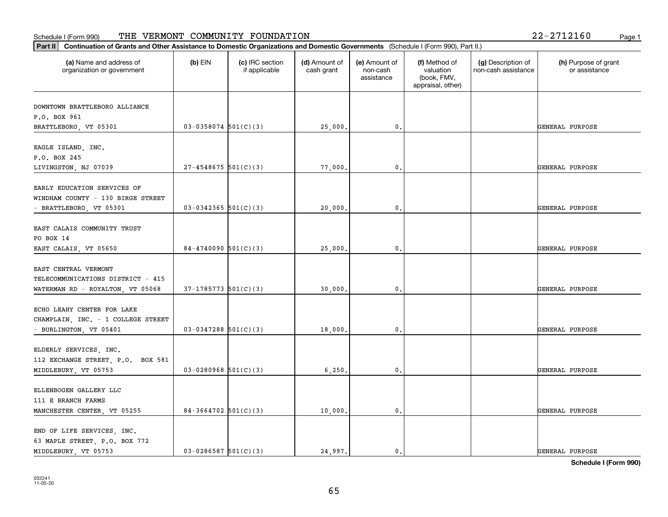### **Part III Continuation of Grants and Other Assistance to Domestic Organization of Grants and Other Assistance to Domestic Organizations** Schedule I (Form 990) Page 1 THE VERMONT COMMUNITY FOUNDATION 22-2712160

| Continuation of Grants and Other Assistance to Domestic Organizations and Domestic Governments (Schedule I (Form 990), Part II.)<br>Part II |                          |                                  |                             |                                         |                                                                |                                           |                                       |
|---------------------------------------------------------------------------------------------------------------------------------------------|--------------------------|----------------------------------|-----------------------------|-----------------------------------------|----------------------------------------------------------------|-------------------------------------------|---------------------------------------|
| (a) Name and address of<br>organization or government                                                                                       | $(b)$ EIN                | (c) IRC section<br>if applicable | (d) Amount of<br>cash grant | (e) Amount of<br>non-cash<br>assistance | (f) Method of<br>valuation<br>(book, FMV,<br>appraisal, other) | (g) Description of<br>non-cash assistance | (h) Purpose of grant<br>or assistance |
| DOWNTOWN BRATTLEBORO ALLIANCE<br>P.O. BOX 961<br>BRATTLEBORO, VT 05301                                                                      | $03-0358074$ 501(C)(3)   |                                  | 25,000.                     | 0.                                      |                                                                |                                           | GENERAL PURPOSE                       |
| EAGLE ISLAND, INC.<br>P.O. BOX 245<br>LIVINGSTON, NJ 07039                                                                                  | $27 - 4548675$ 501(C)(3) |                                  | 77,000.                     | $\mathfrak{o}$ .                        |                                                                |                                           | GENERAL PURPOSE                       |
| EARLY EDUCATION SERVICES OF<br>WINDHAM COUNTY - 130 BIRGE STREET<br>- BRATTLEBORO, VT 05301                                                 | $03-0342365$ 501(C)(3)   |                                  | 20,000                      | $\mathbf{0}$                            |                                                                |                                           | GENERAL PURPOSE                       |
| EAST CALAIS COMMUNITY TRUST<br>PO BOX 14<br>EAST CALAIS, VT 05650                                                                           | $84 - 4740090$ 501(C)(3) |                                  | 25,000.                     | $\mathfrak o$ .                         |                                                                |                                           | GENERAL PURPOSE                       |
| EAST CENTRAL VERMONT<br>TELECOMMUNICATIONS DISTRICT - 415<br>WATERMAN RD - ROYALTON, VT 05068                                               | $37-1785773$ 501(C)(3)   |                                  | 30,000,                     | $\mathfrak{o}$ .                        |                                                                |                                           | GENERAL PURPOSE                       |
| ECHO LEAHY CENTER FOR LAKE<br>CHAMPLAIN, INC. - 1 COLLEGE STREET<br>- BURLINGTON, VT 05401                                                  | $03-0347288$ 501(C)(3)   |                                  | 18,000                      | $\mathbf{0}$                            |                                                                |                                           | GENERAL PURPOSE                       |
| ELDERLY SERVICES, INC.<br>112 EXCHANGE STREET, P.O. BOX 581<br>MIDDLEBURY, VT 05753                                                         | $03-0280968$ 501(C)(3)   |                                  | 6,250.                      | 0.                                      |                                                                |                                           | GENERAL PURPOSE                       |
| ELLENBOGEN GALLERY LLC<br>111 E BRANCH FARMS<br>MANCHESTER CENTER, VT 05255                                                                 | $84-3664702$ 501(C)(3)   |                                  | 10,000.                     | $\mathbf{0}$ .                          |                                                                |                                           | GENERAL PURPOSE                       |
| END OF LIFE SERVICES, INC.<br>63 MAPLE STREET, P.O. BOX 772<br>MIDDLEBURY, VT 05753                                                         | $03-0286587$ 501(C)(3)   |                                  | 24.997.                     | $\mathbf{0}$                            |                                                                |                                           | GENERAL PURPOSE                       |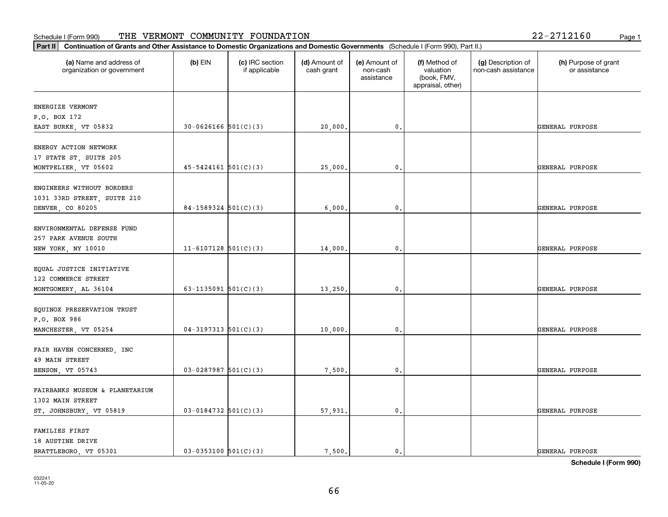# **Part III Continuation of Grants and Other Assistance to Domestic Organization of Grants and Other Assistance to Domestic Organizations** Schedule I (Form 990) Page 1 THE VERMONT COMMUNITY FOUNDATION 22-2712160

| Continuation of Grants and Other Assistance to Domestic Organizations and Domestic Governments (Schedule I (Form 990), Part II.)<br>$ $ Part II |                            |                                  |                             |                                         |                                                                |                                           |                                       |
|-------------------------------------------------------------------------------------------------------------------------------------------------|----------------------------|----------------------------------|-----------------------------|-----------------------------------------|----------------------------------------------------------------|-------------------------------------------|---------------------------------------|
| (a) Name and address of<br>organization or government                                                                                           | $(b)$ EIN                  | (c) IRC section<br>if applicable | (d) Amount of<br>cash grant | (e) Amount of<br>non-cash<br>assistance | (f) Method of<br>valuation<br>(book, FMV,<br>appraisal, other) | (g) Description of<br>non-cash assistance | (h) Purpose of grant<br>or assistance |
| ENERGIZE VERMONT<br>P.O. BOX 172                                                                                                                |                            |                                  |                             |                                         |                                                                |                                           |                                       |
| EAST BURKE, VT 05832                                                                                                                            | $30 - 0626166$ $501(C)(3)$ |                                  | 20,000.                     | 0.                                      |                                                                |                                           | GENERAL PURPOSE                       |
| ENERGY ACTION NETWORK<br>17 STATE ST, SUITE 205<br>MONTPELIER, VT 05602                                                                         | $45 - 5424161$ $501(C)(3)$ |                                  | 25,000.                     | 0.                                      |                                                                |                                           | GENERAL PURPOSE                       |
| ENGINEERS WITHOUT BORDERS<br>1031 33RD STREET, SUITE 210<br>DENVER, CO 80205                                                                    | $84-1589324$ $501(C)(3)$   |                                  | 6,000                       | 0.                                      |                                                                |                                           | GENERAL PURPOSE                       |
| ENVIRONMENTAL DEFENSE FUND<br>257 PARK AVENUE SOUTH<br>NEW YORK, NY 10010                                                                       | $11 - 6107128$ 501(C)(3)   |                                  | 14,000                      | 0.                                      |                                                                |                                           | GENERAL PURPOSE                       |
| EQUAL JUSTICE INITIATIVE<br>122 COMMERCE STREET<br>MONTGOMERY, AL 36104                                                                         | 63-1135091 $501(C)(3)$     |                                  | 13,250.                     | 0.                                      |                                                                |                                           | GENERAL PURPOSE                       |
| EQUINOX PRESERVATION TRUST<br>P.O. BOX 986<br>MANCHESTER, VT 05254                                                                              | $04-3197313$ $501(C)(3)$   |                                  | 10,000.                     | 0.                                      |                                                                |                                           | GENERAL PURPOSE                       |
| FAIR HAVEN CONCERNED, INC<br>49 MAIN STREET<br>BENSON, VT 05743                                                                                 | $03 - 0287987$ 501(C)(3)   |                                  | 7,500.                      | 0.                                      |                                                                |                                           | GENERAL PURPOSE                       |
| FAIRBANKS MUSEUM & PLANETARIUM<br>1302 MAIN STREET<br>ST. JOHNSBURY, VT 05819                                                                   | $03-0184732$ 501(C)(3)     |                                  | 57,931.                     | 0.                                      |                                                                |                                           | GENERAL PURPOSE                       |
| FAMILIES FIRST<br>18 AUSTINE DRIVE<br>BRATTLEBORO, VT 05301                                                                                     | $03-0353100$ $501(C)(3)$   |                                  | 7.500.                      | $\mathfrak{o}$ .                        |                                                                |                                           | GENERAL PURPOSE                       |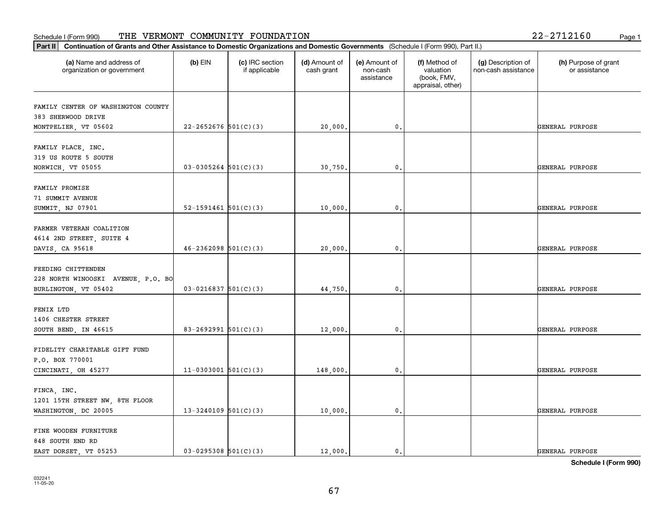| Part II   Continuation of Grants and Other Assistance to Domestic Organizations and Domestic Governments (Schedule I (Form 990), Part II.) |                          |                                  |                             |                                         |                                                                |                                           |                                       |
|--------------------------------------------------------------------------------------------------------------------------------------------|--------------------------|----------------------------------|-----------------------------|-----------------------------------------|----------------------------------------------------------------|-------------------------------------------|---------------------------------------|
| (a) Name and address of<br>organization or government                                                                                      | $(b)$ EIN                | (c) IRC section<br>if applicable | (d) Amount of<br>cash grant | (e) Amount of<br>non-cash<br>assistance | (f) Method of<br>valuation<br>(book, FMV,<br>appraisal, other) | (g) Description of<br>non-cash assistance | (h) Purpose of grant<br>or assistance |
| FAMILY CENTER OF WASHINGTON COUNTY                                                                                                         |                          |                                  |                             |                                         |                                                                |                                           |                                       |
| 383 SHERWOOD DRIVE                                                                                                                         |                          |                                  |                             |                                         |                                                                |                                           |                                       |
| MONTPELIER, VT 05602                                                                                                                       | $22 - 2652676$ 501(C)(3) |                                  | 20,000.                     | $\mathbf{0}$ .                          |                                                                |                                           | GENERAL PURPOSE                       |
|                                                                                                                                            |                          |                                  |                             |                                         |                                                                |                                           |                                       |
| FAMILY PLACE, INC.                                                                                                                         |                          |                                  |                             |                                         |                                                                |                                           |                                       |
| 319 US ROUTE 5 SOUTH                                                                                                                       |                          |                                  |                             |                                         |                                                                |                                           |                                       |
| NORWICH, VT 05055                                                                                                                          | $03-0305264$ 501(C)(3)   |                                  | 30,750.                     | $\mathbf{0}$                            |                                                                |                                           | GENERAL PURPOSE                       |
| FAMILY PROMISE                                                                                                                             |                          |                                  |                             |                                         |                                                                |                                           |                                       |
| 71 SUMMIT AVENUE                                                                                                                           |                          |                                  |                             |                                         |                                                                |                                           |                                       |
| SUMMIT, NJ 07901                                                                                                                           | 52-1591461 $501(C)(3)$   |                                  | 10,000.                     | $\mathbf{0}$ .                          |                                                                |                                           | GENERAL PURPOSE                       |
|                                                                                                                                            |                          |                                  |                             |                                         |                                                                |                                           |                                       |
| FARMER VETERAN COALITION                                                                                                                   |                          |                                  |                             |                                         |                                                                |                                           |                                       |
| 4614 2ND STREET, SUITE 4                                                                                                                   |                          |                                  |                             |                                         |                                                                |                                           |                                       |
| DAVIS, CA 95618                                                                                                                            | $46 - 2362098$ 501(C)(3) |                                  | 20,000                      | $\mathbf{0}$                            |                                                                |                                           | GENERAL PURPOSE                       |
|                                                                                                                                            |                          |                                  |                             |                                         |                                                                |                                           |                                       |
| FEEDING CHITTENDEN                                                                                                                         |                          |                                  |                             |                                         |                                                                |                                           |                                       |
| 228 NORTH WINOOSKI AVENUE, P.O. BO<br>BURLINGTON, VT 05402                                                                                 | $03 - 0216837$ 501(C)(3) |                                  | 44,750                      | $\mathbf{0}$                            |                                                                |                                           | GENERAL PURPOSE                       |
|                                                                                                                                            |                          |                                  |                             |                                         |                                                                |                                           |                                       |
| FENIX LTD                                                                                                                                  |                          |                                  |                             |                                         |                                                                |                                           |                                       |
| 1406 CHESTER STREET                                                                                                                        |                          |                                  |                             |                                         |                                                                |                                           |                                       |
| SOUTH BEND, IN 46615                                                                                                                       | 83-2692991 $501(C)(3)$   |                                  | 12,000.                     | $\mathbf{0}$                            |                                                                |                                           | GENERAL PURPOSE                       |
|                                                                                                                                            |                          |                                  |                             |                                         |                                                                |                                           |                                       |
| FIDELITY CHARITABLE GIFT FUND                                                                                                              |                          |                                  |                             |                                         |                                                                |                                           |                                       |
| P.O. BOX 770001                                                                                                                            |                          |                                  |                             |                                         |                                                                |                                           |                                       |
| CINCINATI, OH 45277                                                                                                                        | $11-0303001$ 501(C)(3)   |                                  | 148,000.                    | 0.                                      |                                                                |                                           | GENERAL PURPOSE                       |
| FINCA, INC.                                                                                                                                |                          |                                  |                             |                                         |                                                                |                                           |                                       |
| 1201 15TH STREET NW, 8TH FLOOR                                                                                                             |                          |                                  |                             |                                         |                                                                |                                           |                                       |
| WASHINGTON, DC 20005                                                                                                                       | $13 - 3240109$ 501(C)(3) |                                  | 10,000.                     | $\mathfrak o$ .                         |                                                                |                                           | GENERAL PURPOSE                       |
|                                                                                                                                            |                          |                                  |                             |                                         |                                                                |                                           |                                       |
| FINE WOODEN FURNITURE                                                                                                                      |                          |                                  |                             |                                         |                                                                |                                           |                                       |
| 848 SOUTH END RD                                                                                                                           |                          |                                  |                             |                                         |                                                                |                                           |                                       |
| EAST DORSET, VT 05253                                                                                                                      | $03-0295308$ $501(C)(3)$ |                                  | 12,000.                     | $\mathbf{0}$                            |                                                                |                                           | GENERAL PURPOSE                       |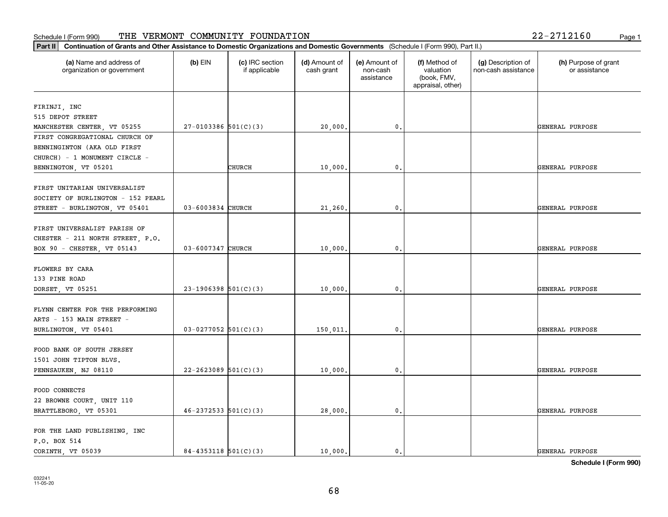### **Part II Continuation of Grants and Other Assistance to Domestic Organizations**<br> **Part II Continuation of Grants and Other Assistance to Domestic Organizations** Schedule I (Form 990) Page 1 THE VERMONT COMMUNITY FOUNDATION 22-2712160

| Continuation of Grants and Other Assistance to Domestic Organizations and Domestic Governments (Schedule I (Form 990), Part II.)<br>Part II |                            |                                  |                             |                                         |                                                                |                                           |                                       |
|---------------------------------------------------------------------------------------------------------------------------------------------|----------------------------|----------------------------------|-----------------------------|-----------------------------------------|----------------------------------------------------------------|-------------------------------------------|---------------------------------------|
| (a) Name and address of<br>organization or government                                                                                       | $(b)$ EIN                  | (c) IRC section<br>if applicable | (d) Amount of<br>cash grant | (e) Amount of<br>non-cash<br>assistance | (f) Method of<br>valuation<br>(book, FMV,<br>appraisal, other) | (g) Description of<br>non-cash assistance | (h) Purpose of grant<br>or assistance |
| FIRINJI, INC                                                                                                                                |                            |                                  |                             |                                         |                                                                |                                           |                                       |
| 515 DEPOT STREET                                                                                                                            |                            |                                  |                             |                                         |                                                                |                                           |                                       |
| MANCHESTER CENTER, VT 05255                                                                                                                 | $27-0103386$ 501(C)(3)     |                                  | 20,000.                     | 0.                                      |                                                                |                                           | GENERAL PURPOSE                       |
| FIRST CONGREGATIONAL CHURCH OF                                                                                                              |                            |                                  |                             |                                         |                                                                |                                           |                                       |
| BENNINGINTON (AKA OLD FIRST                                                                                                                 |                            |                                  |                             |                                         |                                                                |                                           |                                       |
| CHURCH) - 1 MONUMENT CIRCLE -                                                                                                               |                            |                                  |                             |                                         |                                                                |                                           |                                       |
| BENNINGTON, VT 05201                                                                                                                        |                            | CHURCH                           | 10,000.                     | 0.                                      |                                                                |                                           | GENERAL PURPOSE                       |
|                                                                                                                                             |                            |                                  |                             |                                         |                                                                |                                           |                                       |
| FIRST UNITARIAN UNIVERSALIST<br>SOCIETY OF BURLINGTON - 152 PEARL                                                                           |                            |                                  |                             |                                         |                                                                |                                           |                                       |
| STREET - BURLINGTON, VT 05401                                                                                                               | 03-6003834 CHURCH          |                                  | 21,260.                     | $\mathbf{0}$                            |                                                                |                                           | GENERAL PURPOSE                       |
|                                                                                                                                             |                            |                                  |                             |                                         |                                                                |                                           |                                       |
| FIRST UNIVERSALIST PARISH OF                                                                                                                |                            |                                  |                             |                                         |                                                                |                                           |                                       |
| CHESTER - 211 NORTH STREET, P.O.                                                                                                            |                            |                                  |                             |                                         |                                                                |                                           |                                       |
| BOX 90 - CHESTER, VT 05143                                                                                                                  | 03-6007347 CHURCH          |                                  | 10,000.                     | 0.                                      |                                                                |                                           | GENERAL PURPOSE                       |
|                                                                                                                                             |                            |                                  |                             |                                         |                                                                |                                           |                                       |
| FLOWERS BY CARA<br>133 PINE ROAD                                                                                                            |                            |                                  |                             |                                         |                                                                |                                           |                                       |
| DORSET, VT 05251                                                                                                                            | $23-1906398$ $501(C)(3)$   |                                  | 10,000.                     | 0.                                      |                                                                |                                           | GENERAL PURPOSE                       |
|                                                                                                                                             |                            |                                  |                             |                                         |                                                                |                                           |                                       |
| FLYNN CENTER FOR THE PERFORMING                                                                                                             |                            |                                  |                             |                                         |                                                                |                                           |                                       |
| ARTS - 153 MAIN STREET -                                                                                                                    |                            |                                  |                             |                                         |                                                                |                                           |                                       |
| BURLINGTON, VT 05401                                                                                                                        | $03-0277052$ 501(C)(3)     |                                  | 150,011                     | $\mathbf{0}$                            |                                                                |                                           | GENERAL PURPOSE                       |
|                                                                                                                                             |                            |                                  |                             |                                         |                                                                |                                           |                                       |
| FOOD BANK OF SOUTH JERSEY                                                                                                                   |                            |                                  |                             |                                         |                                                                |                                           |                                       |
| 1501 JOHN TIPTON BLVS.                                                                                                                      | $22 - 2623089$ 501(C)(3)   |                                  | 10,000.                     | 0.                                      |                                                                |                                           | GENERAL PURPOSE                       |
| PENNSAUKEN, NJ 08110                                                                                                                        |                            |                                  |                             |                                         |                                                                |                                           |                                       |
| FOOD CONNECTS                                                                                                                               |                            |                                  |                             |                                         |                                                                |                                           |                                       |
| 22 BROWNE COURT, UNIT 110                                                                                                                   |                            |                                  |                             |                                         |                                                                |                                           |                                       |
| BRATTLEBORO, VT 05301                                                                                                                       | $46 - 2372533$ $501(C)(3)$ |                                  | 28,000.                     | 0.                                      |                                                                |                                           | GENERAL PURPOSE                       |
|                                                                                                                                             |                            |                                  |                             |                                         |                                                                |                                           |                                       |
| FOR THE LAND PUBLISHING, INC                                                                                                                |                            |                                  |                             |                                         |                                                                |                                           |                                       |
| P.O. BOX 514<br>CORINTH VT 05039                                                                                                            | $84 - 4353118$ $501(C)(3)$ |                                  | 10,000.                     | 0.                                      |                                                                |                                           | <b>GENERAL PURPOSE</b>                |
|                                                                                                                                             |                            |                                  |                             |                                         |                                                                |                                           |                                       |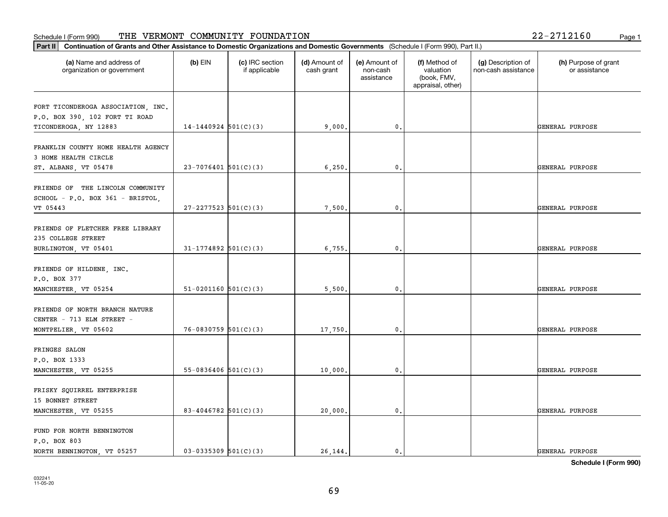| Continuation of Grants and Other Assistance to Domestic Organizations and Domestic Governments (Schedule I (Form 990), Part II.)<br>Part II |                            |                                  |                             |                                         |                                                                |                                           |                                       |
|---------------------------------------------------------------------------------------------------------------------------------------------|----------------------------|----------------------------------|-----------------------------|-----------------------------------------|----------------------------------------------------------------|-------------------------------------------|---------------------------------------|
| (a) Name and address of<br>organization or government                                                                                       | $(b)$ EIN                  | (c) IRC section<br>if applicable | (d) Amount of<br>cash grant | (e) Amount of<br>non-cash<br>assistance | (f) Method of<br>valuation<br>(book, FMV,<br>appraisal, other) | (g) Description of<br>non-cash assistance | (h) Purpose of grant<br>or assistance |
| FORT TICONDEROGA ASSOCIATION, INC.<br>P.O. BOX 390, 102 FORT TI ROAD<br>TICONDEROGA, NY 12883                                               | $14-1440924$ 501(C)(3)     |                                  | 9,000,                      | 0.                                      |                                                                |                                           | GENERAL PURPOSE                       |
| FRANKLIN COUNTY HOME HEALTH AGENCY<br>3 HOME HEALTH CIRCLE<br>ST. ALBANS, VT 05478                                                          | $23 - 7076401$ 501(C)(3)   |                                  | 6, 250.                     | 0.                                      |                                                                |                                           | GENERAL PURPOSE                       |
| FRIENDS OF THE LINCOLN COMMUNITY<br>SCHOOL - P.O. BOX 361 - BRISTOL,<br>VT 05443                                                            | $27 - 2277523$ 501(C)(3)   |                                  | 7,500,                      | 0.                                      |                                                                |                                           | GENERAL PURPOSE                       |
| FRIENDS OF FLETCHER FREE LIBRARY<br>235 COLLEGE STREET<br>BURLINGTON, VT 05401                                                              | $31 - 1774892$ 501(C)(3)   |                                  | 6,755.                      | 0.                                      |                                                                |                                           | GENERAL PURPOSE                       |
| FRIENDS OF HILDENE, INC.<br>P.O. BOX 377<br>MANCHESTER, VT 05254                                                                            | $51-0201160$ $501(C)(3)$   |                                  | 5,500.                      | 0.                                      |                                                                |                                           | GENERAL PURPOSE                       |
| FRIENDS OF NORTH BRANCH NATURE<br>CENTER - 713 ELM STREET -<br>MONTPELIER, VT 05602                                                         | $76 - 0830759$ $501(C)(3)$ |                                  | 17,750.                     | 0.                                      |                                                                |                                           | GENERAL PURPOSE                       |
| FRINGES SALON<br>P.O. BOX 1333<br>MANCHESTER, VT 05255                                                                                      | $55-0836406$ $501(C)(3)$   |                                  | 10,000.                     | 0.                                      |                                                                |                                           | GENERAL PURPOSE                       |
| FRISKY SQUIRREL ENTERPRISE<br>15 BONNET STREET<br>MANCHESTER, VT 05255                                                                      | 83-4046782 $501(C)(3)$     |                                  | 20,000.                     | 0.                                      |                                                                |                                           | GENERAL PURPOSE                       |
| FUND FOR NORTH BENNINGTON<br>P.O. BOX 803<br>NORTH BENNINGTON, VT 05257                                                                     | $03 - 0335309$ $501(C)(3)$ |                                  | 26.144.                     | $\mathfrak{o}$ .                        |                                                                |                                           | <b>GENERAL PURPOSE</b>                |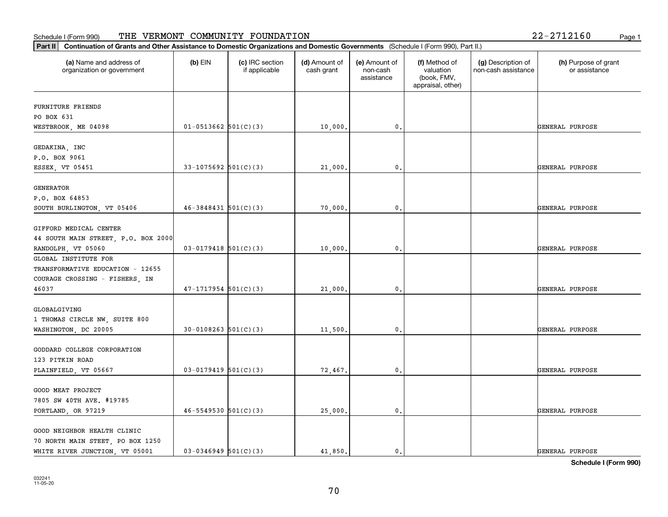#### Schedule I (Form 990) 'I'HE' VERMON'I' COMMUNITY F'OUNDA'I'ION 2Z-Z7IZI6U Page 1 THE VERMONT COMMUNITY FOUNDATION 22-2712160

| (a) Name and address of             | $(b)$ EIN                  | (c) IRC section | (d) Amount of | (e) Amount of          | (f) Method of                                 | (g) Description of  | (h) Purpose of grant |
|-------------------------------------|----------------------------|-----------------|---------------|------------------------|-----------------------------------------------|---------------------|----------------------|
| organization or government          |                            | if applicable   | cash grant    | non-cash<br>assistance | valuation<br>(book, FMV,<br>appraisal, other) | non-cash assistance | or assistance        |
| <b>FURNITURE FRIENDS</b>            |                            |                 |               |                        |                                               |                     |                      |
| PO BOX 631                          |                            |                 |               |                        |                                               |                     |                      |
| WESTBROOK, ME 04098                 | $01-0513662$ 501(C)(3)     |                 | 10,000.       | 0.                     |                                               |                     | GENERAL PURPOSE      |
| GEDAKINA, INC                       |                            |                 |               |                        |                                               |                     |                      |
| P.O. BOX 9061                       |                            |                 |               |                        |                                               |                     |                      |
| ESSEX, VT 05451                     | $33-1075692$ 501(C)(3)     |                 | 21,000.       | 0.                     |                                               |                     | GENERAL PURPOSE      |
| GENERATOR                           |                            |                 |               |                        |                                               |                     |                      |
| P.O. BOX 64853                      |                            |                 |               |                        |                                               |                     |                      |
| SOUTH BURLINGTON, VT 05406          | $46 - 3848431$ $501(C)(3)$ |                 | 70,000.       | 0.                     |                                               |                     | GENERAL PURPOSE      |
| GIFFORD MEDICAL CENTER              |                            |                 |               |                        |                                               |                     |                      |
| 44 SOUTH MAIN STREET, P.O. BOX 2000 |                            |                 |               |                        |                                               |                     |                      |
| RANDOLPH, VT 05060                  | $03-0179418$ 501(C)(3)     |                 | 10,000.       | 0.                     |                                               |                     | GENERAL PURPOSE      |
| GLOBAL INSTITUTE FOR                |                            |                 |               |                        |                                               |                     |                      |
| TRANSFORMATIVE EDUCATION - 12655    |                            |                 |               |                        |                                               |                     |                      |
| COURAGE CROSSING - FISHERS, IN      |                            |                 |               |                        |                                               |                     |                      |
| 46037                               | $47-1717954$ 501(C)(3)     |                 | 21,000.       | 0.                     |                                               |                     | GENERAL PURPOSE      |
| GLOBALGIVING                        |                            |                 |               |                        |                                               |                     |                      |
| 1 THOMAS CIRCLE NW, SUITE 800       |                            |                 |               |                        |                                               |                     |                      |
| WASHINGTON, DC 20005                | $30-0108263$ $501(C)(3)$   |                 | 11,500.       | 0.                     |                                               |                     | GENERAL PURPOSE      |
| GODDARD COLLEGE CORPORATION         |                            |                 |               |                        |                                               |                     |                      |
| 123 PITKIN ROAD                     |                            |                 |               |                        |                                               |                     |                      |
| PLAINFIELD, VT 05667                | $03 - 0179419$ 501(C)(3)   |                 | 72,467.       | $\mathbf{0}$ .         |                                               |                     | GENERAL PURPOSE      |
| <b>GOOD MEAT PROJECT</b>            |                            |                 |               |                        |                                               |                     |                      |
| 7805 SW 40TH AVE. #19785            |                            |                 |               |                        |                                               |                     |                      |
| PORTLAND, OR 97219                  | $46 - 5549530$ $501(C)(3)$ |                 | 25,000.       | 0.                     |                                               |                     | GENERAL PURPOSE      |
| GOOD NEIGHBOR HEALTH CLINIC         |                            |                 |               |                        |                                               |                     |                      |
| 70 NORTH MAIN STEET, PO BOX 1250    |                            |                 |               |                        |                                               |                     |                      |
| WHITE RIVER JUNCTION, VT 05001      | $03-0346949$ 501(C)(3)     |                 | 41,850.       | $\mathbf{0}$ .         |                                               |                     | GENERAL PURPOSE      |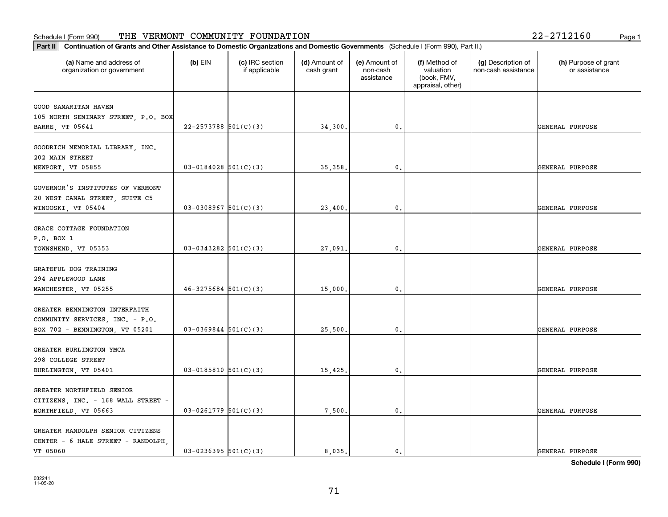|  | 2-2712160 | Page 1 |  |
|--|-----------|--------|--|
|  |           |        |  |

| Part II<br>Continuation of Grants and Other Assistance to Domestic Organizations and Domestic Governments (Schedule I (Form 990), Part II.) |                          |                                  |                             |                                         |                                                                |                                           |                                       |
|---------------------------------------------------------------------------------------------------------------------------------------------|--------------------------|----------------------------------|-----------------------------|-----------------------------------------|----------------------------------------------------------------|-------------------------------------------|---------------------------------------|
| (a) Name and address of<br>organization or government                                                                                       | $(b)$ EIN                | (c) IRC section<br>if applicable | (d) Amount of<br>cash grant | (e) Amount of<br>non-cash<br>assistance | (f) Method of<br>valuation<br>(book, FMV,<br>appraisal, other) | (g) Description of<br>non-cash assistance | (h) Purpose of grant<br>or assistance |
| GOOD SAMARITAN HAVEN<br>105 NORTH SEMINARY STREET, P.O. BOX<br>BARRE, VT 05641                                                              | $22 - 2573788$ 501(C)(3) |                                  | 34,300.                     | $\mathbf{0}$ .                          |                                                                |                                           | GENERAL PURPOSE                       |
| GOODRICH MEMORIAL LIBRARY, INC.<br>202 MAIN STREET<br>NEWPORT, VT 05855                                                                     | $03 - 0184028$ 501(C)(3) |                                  | 35, 358.                    | $\mathbf{0}$ .                          |                                                                |                                           | GENERAL PURPOSE                       |
| GOVERNOR'S INSTITUTES OF VERMONT<br>20 WEST CANAL STREET, SUITE C5<br>WINOOSKI, VT 05404                                                    | $03-0308967$ 501(C)(3)   |                                  | 23,400.                     | $\mathbf 0$ .                           |                                                                |                                           | GENERAL PURPOSE                       |
| GRACE COTTAGE FOUNDATION<br>P.O. BOX 1<br>TOWNSHEND, VT 05353                                                                               | $03-0343282$ 501(C)(3)   |                                  | 27,091.                     | $\mathbf{0}$ .                          |                                                                |                                           | GENERAL PURPOSE                       |
| GRATEFUL DOG TRAINING<br>294 APPLEWOOD LANE<br>MANCHESTER, VT 05255                                                                         | $46 - 3275684$ 501(C)(3) |                                  | 15,000.                     | $\mathbf{0}$ .                          |                                                                |                                           | GENERAL PURPOSE                       |
| GREATER BENNINGTON INTERFAITH<br>COMMUNITY SERVICES, INC. - P.O.<br>BOX 702 - BENNINGTON, VT 05201                                          | $03-0369844$ 501(C)(3)   |                                  | 25,500.                     | $\mathbf 0$ .                           |                                                                |                                           | GENERAL PURPOSE                       |
| GREATER BURLINGTON YMCA<br>298 COLLEGE STREET<br>BURLINGTON, VT 05401                                                                       | $03 - 0185810$ 501(C)(3) |                                  | 15,425.                     | $\mathbf{0}$ .                          |                                                                |                                           | GENERAL PURPOSE                       |
| GREATER NORTHFIELD SENIOR<br>CITIZENS, INC. - 168 WALL STREET -<br>NORTHFIELD, VT 05663                                                     | $03-0261779$ 501(C)(3)   |                                  | 7,500.                      | $\mathbf{0}$ .                          |                                                                |                                           | GENERAL PURPOSE                       |
| GREATER RANDOLPH SENIOR CITIZENS<br>CENTER - 6 HALE STREET - RANDOLPH,<br>VT 05060                                                          | $03 - 0236395$ 501(C)(3) |                                  | 8,035.                      | $\mathbf{0}$ .                          |                                                                |                                           | GENERAL PURPOSE                       |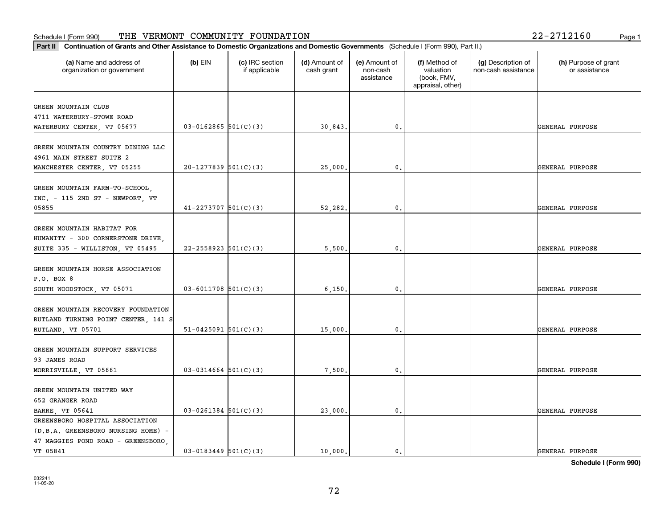| Continuation of Grants and Other Assistance to Domestic Organizations and Domestic Governments (Schedule I (Form 990), Part II.)<br>Part II |                            |                                  |                             |                                         |                                                                |                                           |                                       |
|---------------------------------------------------------------------------------------------------------------------------------------------|----------------------------|----------------------------------|-----------------------------|-----------------------------------------|----------------------------------------------------------------|-------------------------------------------|---------------------------------------|
| (a) Name and address of<br>organization or government                                                                                       | $(b)$ EIN                  | (c) IRC section<br>if applicable | (d) Amount of<br>cash grant | (e) Amount of<br>non-cash<br>assistance | (f) Method of<br>valuation<br>(book, FMV,<br>appraisal, other) | (g) Description of<br>non-cash assistance | (h) Purpose of grant<br>or assistance |
| GREEN MOUNTAIN CLUB                                                                                                                         |                            |                                  |                             |                                         |                                                                |                                           |                                       |
| 4711 WATERBURY-STOWE ROAD                                                                                                                   |                            |                                  |                             |                                         |                                                                |                                           |                                       |
| WATERBURY CENTER, VT 05677                                                                                                                  | $03 - 0162865$ 501(C)(3)   |                                  | 30,843                      | 0.                                      |                                                                |                                           | GENERAL PURPOSE                       |
| GREEN MOUNTAIN COUNTRY DINING LLC                                                                                                           |                            |                                  |                             |                                         |                                                                |                                           |                                       |
| 4961 MAIN STREET SUITE 2                                                                                                                    |                            |                                  |                             |                                         |                                                                |                                           |                                       |
| MANCHESTER CENTER, VT 05255                                                                                                                 | $20-1277839$ 501(C)(3)     |                                  | 25,000.                     | 0.                                      |                                                                |                                           | GENERAL PURPOSE                       |
|                                                                                                                                             |                            |                                  |                             |                                         |                                                                |                                           |                                       |
| GREEN MOUNTAIN FARM-TO-SCHOOL,<br>INC. - 115 2ND ST - NEWPORT, VT                                                                           |                            |                                  |                             |                                         |                                                                |                                           |                                       |
| 05855                                                                                                                                       | $41 - 2273707$ 501(C)(3)   |                                  | 52,282.                     | $\mathbf{0}$                            |                                                                |                                           | GENERAL PURPOSE                       |
|                                                                                                                                             |                            |                                  |                             |                                         |                                                                |                                           |                                       |
| GREEN MOUNTAIN HABITAT FOR                                                                                                                  |                            |                                  |                             |                                         |                                                                |                                           |                                       |
| HUMANITY - 300 CORNERSTONE DRIVE,                                                                                                           |                            |                                  |                             |                                         |                                                                |                                           |                                       |
| SUITE 335 - WILLISTON, VT 05495                                                                                                             | $22 - 2558923$ $501(C)(3)$ |                                  | 5,500                       | 0.                                      |                                                                |                                           | GENERAL PURPOSE                       |
| GREEN MOUNTAIN HORSE ASSOCIATION                                                                                                            |                            |                                  |                             |                                         |                                                                |                                           |                                       |
| P.O. BOX 8                                                                                                                                  |                            |                                  |                             |                                         |                                                                |                                           |                                       |
| SOUTH WOODSTOCK, VT 05071                                                                                                                   | $03 - 6011708$ 501(C)(3)   |                                  | 6,150.                      | 0.                                      |                                                                |                                           | GENERAL PURPOSE                       |
|                                                                                                                                             |                            |                                  |                             |                                         |                                                                |                                           |                                       |
| GREEN MOUNTAIN RECOVERY FOUNDATION                                                                                                          |                            |                                  |                             |                                         |                                                                |                                           |                                       |
| RUTLAND TURNING POINT CENTER, 141 S                                                                                                         |                            |                                  |                             |                                         |                                                                |                                           |                                       |
| RUTLAND, VT 05701                                                                                                                           | $51-0425091$ $501(C)(3)$   |                                  | 15,000                      | 0.                                      |                                                                |                                           | GENERAL PURPOSE                       |
| GREEN MOUNTAIN SUPPORT SERVICES                                                                                                             |                            |                                  |                             |                                         |                                                                |                                           |                                       |
| 93 JAMES ROAD                                                                                                                               |                            |                                  |                             |                                         |                                                                |                                           |                                       |
| MORRISVILLE, VT 05661                                                                                                                       | $03-0314664$ 501(C)(3)     |                                  | 7,500.                      | 0.                                      |                                                                |                                           | GENERAL PURPOSE                       |
|                                                                                                                                             |                            |                                  |                             |                                         |                                                                |                                           |                                       |
| GREEN MOUNTAIN UNITED WAY                                                                                                                   |                            |                                  |                             |                                         |                                                                |                                           |                                       |
| 652 GRANGER ROAD                                                                                                                            | $03 - 0261384$ 501(C)(3)   |                                  | 23,000.                     | 0.                                      |                                                                |                                           | GENERAL PURPOSE                       |
| BARRE, VT 05641<br>GREENSBORO HOSPITAL ASSOCIATION                                                                                          |                            |                                  |                             |                                         |                                                                |                                           |                                       |
| (D.B.A. GREENSBORO NURSING HOME) -                                                                                                          |                            |                                  |                             |                                         |                                                                |                                           |                                       |
| 47 MAGGIES POND ROAD - GREENSBORO,                                                                                                          |                            |                                  |                             |                                         |                                                                |                                           |                                       |
| VT 05841                                                                                                                                    | $03 - 0183449$ 501(C)(3)   |                                  | 10.000.                     | $\mathfrak{o}$ .                        |                                                                |                                           | GENERAL PURPOSE                       |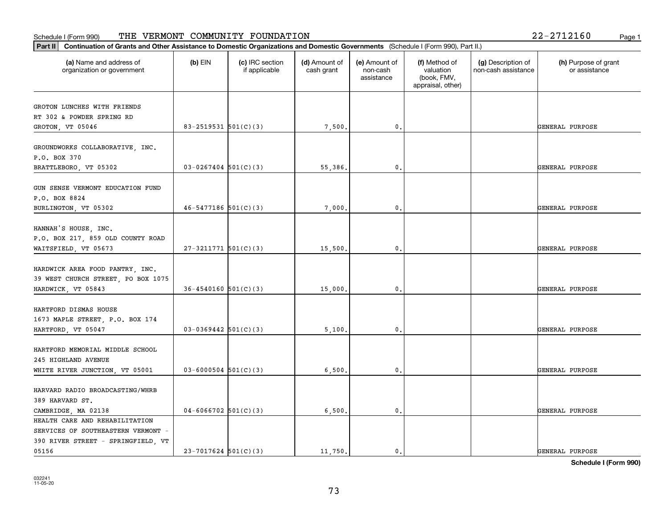| Part II   Continuation of Grants and Other Assistance to Domestic Organizations and Domestic Governments (Schedule I (Form 990), Part II.) |                            |                                  |                             |                                         |                                                                |                                           |                                       |
|--------------------------------------------------------------------------------------------------------------------------------------------|----------------------------|----------------------------------|-----------------------------|-----------------------------------------|----------------------------------------------------------------|-------------------------------------------|---------------------------------------|
| (a) Name and address of<br>organization or government                                                                                      | $(b)$ EIN                  | (c) IRC section<br>if applicable | (d) Amount of<br>cash grant | (e) Amount of<br>non-cash<br>assistance | (f) Method of<br>valuation<br>(book, FMV,<br>appraisal, other) | (g) Description of<br>non-cash assistance | (h) Purpose of grant<br>or assistance |
|                                                                                                                                            |                            |                                  |                             |                                         |                                                                |                                           |                                       |
| GROTON LUNCHES WITH FRIENDS<br>RT 302 & POWDER SPRING RD                                                                                   |                            |                                  |                             |                                         |                                                                |                                           |                                       |
| GROTON, VT 05046                                                                                                                           | 83-2519531 $501(C)(3)$     |                                  | 7,500.                      | 0.                                      |                                                                |                                           | GENERAL PURPOSE                       |
|                                                                                                                                            |                            |                                  |                             |                                         |                                                                |                                           |                                       |
| GROUNDWORKS COLLABORATIVE, INC.<br>P.O. BOX 370                                                                                            |                            |                                  |                             |                                         |                                                                |                                           |                                       |
| BRATTLEBORO, VT 05302                                                                                                                      | $03 - 0267404$ 501(C)(3)   |                                  | 55,386.                     | 0.                                      |                                                                |                                           | GENERAL PURPOSE                       |
|                                                                                                                                            |                            |                                  |                             |                                         |                                                                |                                           |                                       |
| GUN SENSE VERMONT EDUCATION FUND                                                                                                           |                            |                                  |                             |                                         |                                                                |                                           |                                       |
| P.O. BOX 8824                                                                                                                              |                            |                                  |                             |                                         |                                                                |                                           |                                       |
| BURLINGTON, VT 05302                                                                                                                       | $46 - 5477186$ 501(C)(3)   |                                  | 7,000.                      | $\mathbf{0}$ .                          |                                                                |                                           | GENERAL PURPOSE                       |
|                                                                                                                                            |                            |                                  |                             |                                         |                                                                |                                           |                                       |
| HANNAH'S HOUSE, INC.                                                                                                                       |                            |                                  |                             |                                         |                                                                |                                           |                                       |
| P.O. BOX 217, 859 OLD COUNTY ROAD                                                                                                          |                            |                                  |                             |                                         |                                                                |                                           |                                       |
| WAITSFIELD, VT 05673                                                                                                                       | $27-3211771$ 501(C)(3)     |                                  | 15,500.                     | 0.                                      |                                                                |                                           | GENERAL PURPOSE                       |
|                                                                                                                                            |                            |                                  |                             |                                         |                                                                |                                           |                                       |
| HARDWICK AREA FOOD PANTRY, INC.                                                                                                            |                            |                                  |                             |                                         |                                                                |                                           |                                       |
| 39 WEST CHURCH STREET, PO BOX 1075                                                                                                         |                            |                                  |                             |                                         |                                                                |                                           |                                       |
| HARDWICK, VT 05843                                                                                                                         | $36 - 4540160$ $501(C)(3)$ |                                  | 15,000.                     | 0.                                      |                                                                |                                           | GENERAL PURPOSE                       |
|                                                                                                                                            |                            |                                  |                             |                                         |                                                                |                                           |                                       |
| HARTFORD DISMAS HOUSE                                                                                                                      |                            |                                  |                             |                                         |                                                                |                                           |                                       |
| 1673 MAPLE STREET, P.O. BOX 174                                                                                                            |                            |                                  |                             |                                         |                                                                |                                           |                                       |
| HARTFORD, VT 05047                                                                                                                         | $03-0369442$ 501(C)(3)     |                                  | 5,100.                      | 0.                                      |                                                                |                                           | GENERAL PURPOSE                       |
| HARTFORD MEMORIAL MIDDLE SCHOOL                                                                                                            |                            |                                  |                             |                                         |                                                                |                                           |                                       |
| 245 HIGHLAND AVENUE                                                                                                                        |                            |                                  |                             |                                         |                                                                |                                           |                                       |
| WHITE RIVER JUNCTION, VT 05001                                                                                                             | $03 - 6000504$ 501(C)(3)   |                                  | 6,500.                      | 0.                                      |                                                                |                                           | GENERAL PURPOSE                       |
|                                                                                                                                            |                            |                                  |                             |                                         |                                                                |                                           |                                       |
| HARVARD RADIO BROADCASTING/WHRB                                                                                                            |                            |                                  |                             |                                         |                                                                |                                           |                                       |
| 389 HARVARD ST.                                                                                                                            |                            |                                  |                             |                                         |                                                                |                                           |                                       |
| CAMBRIDGE, MA 02138                                                                                                                        | $04-6066702$ 501(C)(3)     |                                  | 6,500.                      | $\mathbf{0}$ .                          |                                                                |                                           | GENERAL PURPOSE                       |
| HEALTH CARE AND REHABILITATION                                                                                                             |                            |                                  |                             |                                         |                                                                |                                           |                                       |
| SERVICES OF SOUTHEASTERN VERMONT -                                                                                                         |                            |                                  |                             |                                         |                                                                |                                           |                                       |
| 390 RIVER STREET - SPRINGFIELD, VT                                                                                                         |                            |                                  |                             |                                         |                                                                |                                           |                                       |
| 05156                                                                                                                                      | $23 - 7017624$ 501(C)(3)   |                                  | 11.750.                     | 0.                                      |                                                                |                                           | GENERAL PURPOSE                       |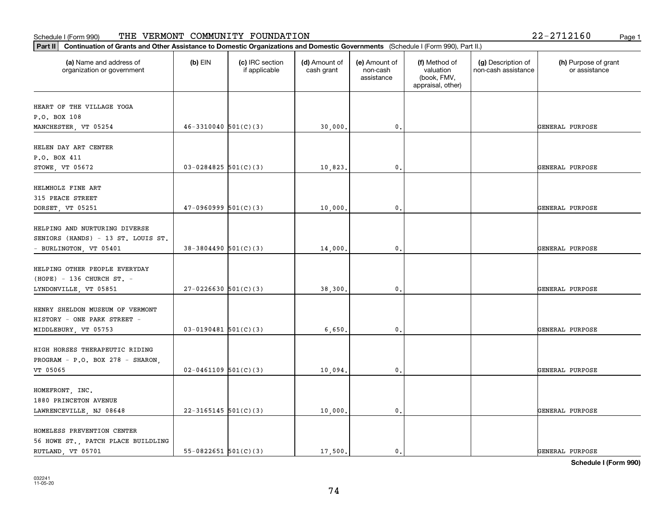### **Part III Continuation of Grants and Other Assistance to Domestic Organization of Grants and Other Assistance to Domestic Organizations** Schedule I (Form 990) Page 1 THE VERMONT COMMUNITY FOUNDATION 22-2712160

| $2 - 2712160$<br>Page 1 |  |
|-------------------------|--|
|-------------------------|--|

| Continuation of Grants and Other Assistance to Domestic Organizations and Domestic Governments (Schedule I (Form 990), Part II.)<br> Part II |                            |                                  |                             |                                         |                                                                |                                           |                                       |
|----------------------------------------------------------------------------------------------------------------------------------------------|----------------------------|----------------------------------|-----------------------------|-----------------------------------------|----------------------------------------------------------------|-------------------------------------------|---------------------------------------|
| (a) Name and address of<br>organization or government                                                                                        | $(b)$ EIN                  | (c) IRC section<br>if applicable | (d) Amount of<br>cash grant | (e) Amount of<br>non-cash<br>assistance | (f) Method of<br>valuation<br>(book, FMV,<br>appraisal, other) | (g) Description of<br>non-cash assistance | (h) Purpose of grant<br>or assistance |
| HEART OF THE VILLAGE YOGA<br>P.O. BOX 108                                                                                                    |                            |                                  |                             |                                         |                                                                |                                           |                                       |
| MANCHESTER, VT 05254                                                                                                                         | $46-3310040$ 501(C)(3)     |                                  | 30,000.                     | $\mathfrak{o}$ .                        |                                                                |                                           | GENERAL PURPOSE                       |
| HELEN DAY ART CENTER<br>P.O. BOX 411<br>STOWE, VT 05672                                                                                      | $03 - 0284825$ 501(C)(3)   |                                  | 10,823.                     | $\mathbf{0}$ .                          |                                                                |                                           | GENERAL PURPOSE                       |
|                                                                                                                                              |                            |                                  |                             |                                         |                                                                |                                           |                                       |
| HELMHOLZ FINE ART<br>315 PEACE STREET<br>DORSET, VT 05251                                                                                    | $47-0960999$ 501(C)(3)     |                                  | 10,000.                     | $\mathbf 0$ .                           |                                                                |                                           | GENERAL PURPOSE                       |
|                                                                                                                                              |                            |                                  |                             |                                         |                                                                |                                           |                                       |
| HELPING AND NURTURING DIVERSE<br>SENIORS (HANDS) - 13 ST. LOUIS ST.<br>- BURLINGTON, VT 05401                                                | $38-3804490$ 501(C)(3)     |                                  | 14,000.                     | $\mathfrak{o}$ .                        |                                                                |                                           | GENERAL PURPOSE                       |
| HELPING OTHER PEOPLE EVERYDAY<br>$(HOPE) - 136$ CHURCH ST. -                                                                                 |                            |                                  |                             |                                         |                                                                |                                           |                                       |
| LYNDONVILLE, VT 05851                                                                                                                        | $27-0226630$ 501(C)(3)     |                                  | 38,300.                     | $\mathfrak{o}$ .                        |                                                                |                                           | GENERAL PURPOSE                       |
| HENRY SHELDON MUSEUM OF VERMONT<br>HISTORY - ONE PARK STREET -<br>MIDDLEBURY, VT 05753                                                       | $03 - 0190481$ 501(C)(3)   |                                  | 6,650.                      | $\mathbf 0$ .                           |                                                                |                                           | GENERAL PURPOSE                       |
| HIGH HORSES THERAPEUTIC RIDING<br>PROGRAM - P.O. BOX 278 - SHARON,                                                                           |                            |                                  |                             |                                         |                                                                |                                           |                                       |
| VT 05065                                                                                                                                     | $02 - 0461109$ 501(C)(3)   |                                  | 10,094.                     | 0.                                      |                                                                |                                           | GENERAL PURPOSE                       |
| HOMEFRONT, INC.<br>1880 PRINCETON AVENUE                                                                                                     |                            |                                  |                             | $\mathbf{0}$ .                          |                                                                |                                           | GENERAL PURPOSE                       |
| LAWRENCEVILLE, NJ 08648                                                                                                                      | $22-3165145$ 501(C)(3)     |                                  | 10,000.                     |                                         |                                                                |                                           |                                       |
| HOMELESS PREVENTION CENTER<br>56 HOWE ST., PATCH PLACE BUILDLING<br>RUTLAND, VT 05701                                                        | $55 - 0822651$ $501(C)(3)$ |                                  | 17,500.                     | $\mathbf{0}$ .                          |                                                                |                                           | GENERAL PURPOSE                       |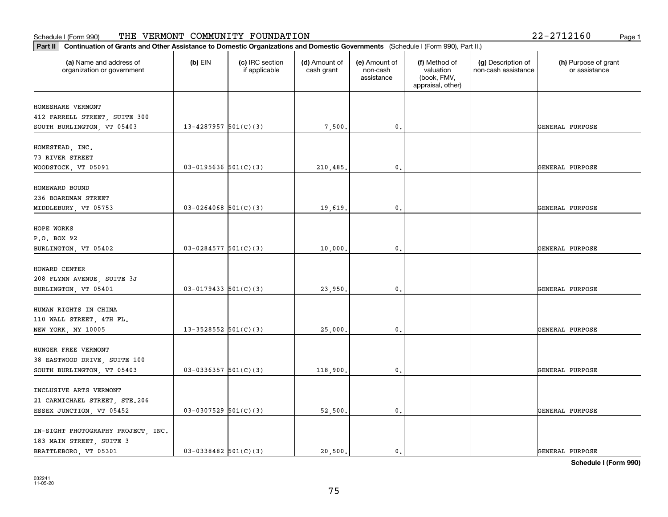| Part II   Continuation of Grants and Other Assistance to Domestic Organizations and Domestic Governments (Schedule I (Form 990), Part II.) |                          |                                  |                             |                                         |                                                                |                                           |                                       |
|--------------------------------------------------------------------------------------------------------------------------------------------|--------------------------|----------------------------------|-----------------------------|-----------------------------------------|----------------------------------------------------------------|-------------------------------------------|---------------------------------------|
| (a) Name and address of<br>organization or government                                                                                      | $(b)$ EIN                | (c) IRC section<br>if applicable | (d) Amount of<br>cash grant | (e) Amount of<br>non-cash<br>assistance | (f) Method of<br>valuation<br>(book, FMV,<br>appraisal, other) | (g) Description of<br>non-cash assistance | (h) Purpose of grant<br>or assistance |
| HOMESHARE VERMONT                                                                                                                          |                          |                                  |                             |                                         |                                                                |                                           |                                       |
| 412 FARRELL STREET, SUITE 300                                                                                                              |                          |                                  |                             |                                         |                                                                |                                           |                                       |
| SOUTH BURLINGTON, VT 05403                                                                                                                 | 13-4287957 $501(C)(3)$   |                                  | 7,500.                      | $\mathbf{0}$ .                          |                                                                |                                           | GENERAL PURPOSE                       |
|                                                                                                                                            |                          |                                  |                             |                                         |                                                                |                                           |                                       |
| HOMESTEAD, INC.                                                                                                                            |                          |                                  |                             |                                         |                                                                |                                           |                                       |
| 73 RIVER STREET                                                                                                                            |                          |                                  |                             |                                         |                                                                |                                           |                                       |
| WOODSTOCK, VT 05091                                                                                                                        | $03-0195636$ $501(C)(3)$ |                                  | 210,485.                    | 0.                                      |                                                                |                                           | GENERAL PURPOSE                       |
|                                                                                                                                            |                          |                                  |                             |                                         |                                                                |                                           |                                       |
| HOMEWARD BOUND                                                                                                                             |                          |                                  |                             |                                         |                                                                |                                           |                                       |
| 236 BOARDMAN STREET                                                                                                                        |                          |                                  |                             |                                         |                                                                |                                           |                                       |
| MIDDLEBURY, VT 05753                                                                                                                       | $03 - 0264068$ 501(C)(3) |                                  | 19,619.                     | 0.                                      |                                                                |                                           | GENERAL PURPOSE                       |
|                                                                                                                                            |                          |                                  |                             |                                         |                                                                |                                           |                                       |
| HOPE WORKS                                                                                                                                 |                          |                                  |                             |                                         |                                                                |                                           |                                       |
| P.O. BOX 92                                                                                                                                |                          |                                  |                             |                                         |                                                                |                                           |                                       |
| BURLINGTON, VT 05402                                                                                                                       | $03-0284577$ $501(C)(3)$ |                                  | 10,000.                     | $\mathbf 0$ .                           |                                                                |                                           | GENERAL PURPOSE                       |
|                                                                                                                                            |                          |                                  |                             |                                         |                                                                |                                           |                                       |
| HOWARD CENTER                                                                                                                              |                          |                                  |                             |                                         |                                                                |                                           |                                       |
| 208 FLYNN AVENUE, SUITE 3J                                                                                                                 |                          |                                  |                             |                                         |                                                                |                                           |                                       |
| BURLINGTON, VT 05401                                                                                                                       | $03 - 0179433$ 501(C)(3) |                                  | 23,950.                     | 0.                                      |                                                                |                                           | GENERAL PURPOSE                       |
| HUMAN RIGHTS IN CHINA                                                                                                                      |                          |                                  |                             |                                         |                                                                |                                           |                                       |
|                                                                                                                                            |                          |                                  |                             |                                         |                                                                |                                           |                                       |
| 110 WALL STREET, 4TH FL.<br>NEW YORK, NY 10005                                                                                             | 13-3528552 $ 501(C)(3) $ |                                  | 25,000.                     | 0.                                      |                                                                |                                           | GENERAL PURPOSE                       |
|                                                                                                                                            |                          |                                  |                             |                                         |                                                                |                                           |                                       |
| HUNGER FREE VERMONT                                                                                                                        |                          |                                  |                             |                                         |                                                                |                                           |                                       |
| 38 EASTWOOD DRIVE, SUITE 100                                                                                                               |                          |                                  |                             |                                         |                                                                |                                           |                                       |
| SOUTH BURLINGTON, VT 05403                                                                                                                 | $03-0336357$ $501(C)(3)$ |                                  | 118,900.                    | 0.                                      |                                                                |                                           | GENERAL PURPOSE                       |
|                                                                                                                                            |                          |                                  |                             |                                         |                                                                |                                           |                                       |
| INCLUSIVE ARTS VERMONT                                                                                                                     |                          |                                  |                             |                                         |                                                                |                                           |                                       |
| 21 CARMICHAEL STREET, STE.206                                                                                                              |                          |                                  |                             |                                         |                                                                |                                           |                                       |
| ESSEX JUNCTION, VT 05452                                                                                                                   | $03-0307529$ 501(C)(3)   |                                  | 52,500.                     | 0.                                      |                                                                |                                           | GENERAL PURPOSE                       |
|                                                                                                                                            |                          |                                  |                             |                                         |                                                                |                                           |                                       |
| IN-SIGHT PHOTOGRAPHY PROJECT, INC.                                                                                                         |                          |                                  |                             |                                         |                                                                |                                           |                                       |
| 183 MAIN STREET, SUITE 3                                                                                                                   |                          |                                  |                             |                                         |                                                                |                                           |                                       |
| BRATTLEBORO, VT 05301                                                                                                                      | $03-0338482$ 501(C)(3)   |                                  | 20,500.                     | 0.                                      |                                                                |                                           | GENERAL PURPOSE                       |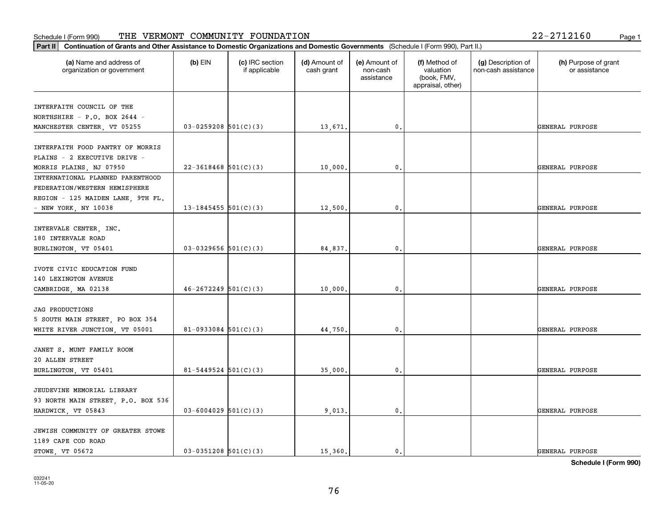#### Schedule I (Form 990) 'I'HE' VERMON'I' COMMUNITY F'OUNDA'I'ION 2Z-Z7IZI6U Page 1 THE VERMONT COMMUNITY FOUNDATION 22-2712160

| 22-2712160<br>Page 1 |  |
|----------------------|--|
|----------------------|--|

| (a) Name and address of<br>organization or government | $(b)$ EIN                  | (c) IRC section<br>if applicable | (d) Amount of<br>cash grant | (e) Amount of<br>non-cash<br>assistance | (f) Method of<br>valuation<br>(book, FMV,<br>appraisal, other) | (g) Description of<br>non-cash assistance | (h) Purpose of grant<br>or assistance |
|-------------------------------------------------------|----------------------------|----------------------------------|-----------------------------|-----------------------------------------|----------------------------------------------------------------|-------------------------------------------|---------------------------------------|
| INTERFAITH COUNCIL OF THE                             |                            |                                  |                             |                                         |                                                                |                                           |                                       |
| NORTHSHIRE - P.O. BOX 2644 -                          |                            |                                  |                             |                                         |                                                                |                                           |                                       |
| MANCHESTER CENTER, VT 05255                           | $03-0259208$ 501(C)(3)     |                                  | 13,671.                     | $\mathfrak{o}$ .                        |                                                                |                                           | GENERAL PURPOSE                       |
|                                                       |                            |                                  |                             |                                         |                                                                |                                           |                                       |
| INTERFAITH FOOD PANTRY OF MORRIS                      |                            |                                  |                             |                                         |                                                                |                                           |                                       |
| PLAINS - 2 EXECUTIVE DRIVE -                          |                            |                                  |                             |                                         |                                                                |                                           |                                       |
| MORRIS PLAINS, NJ 07950                               | $22 - 3618468$ 501(C)(3)   |                                  | 10,000,                     | 0.                                      |                                                                |                                           | GENERAL PURPOSE                       |
| INTERNATIONAL PLANNED PARENTHOOD                      |                            |                                  |                             |                                         |                                                                |                                           |                                       |
| FEDERATION/WESTERN HEMISPHERE                         |                            |                                  |                             |                                         |                                                                |                                           |                                       |
| REGION - 125 MAIDEN LANE, 9TH FL.                     |                            |                                  |                             |                                         |                                                                |                                           |                                       |
| - NEW YORK, NY 10038                                  | 13-1845455 $501(C)(3)$     |                                  | 12,500.                     | $\mathbf{0}$ .                          |                                                                |                                           | GENERAL PURPOSE                       |
|                                                       |                            |                                  |                             |                                         |                                                                |                                           |                                       |
| INTERVALE CENTER, INC.                                |                            |                                  |                             |                                         |                                                                |                                           |                                       |
| 180 INTERVALE ROAD                                    |                            |                                  |                             | 0.                                      |                                                                |                                           | GENERAL PURPOSE                       |
| BURLINGTON, VT 05401                                  | $03-0329656$ $501(C)(3)$   |                                  | 84,837.                     |                                         |                                                                |                                           |                                       |
| IVOTE CIVIC EDUCATION FUND                            |                            |                                  |                             |                                         |                                                                |                                           |                                       |
| 140 LEXINGTON AVENUE                                  |                            |                                  |                             |                                         |                                                                |                                           |                                       |
| CAMBRIDGE, MA 02138                                   | $46 - 2672249$ 501(C)(3)   |                                  | 10,000.                     | $\mathbf{0}$                            |                                                                |                                           | GENERAL PURPOSE                       |
|                                                       |                            |                                  |                             |                                         |                                                                |                                           |                                       |
| <b>JAG PRODUCTIONS</b>                                |                            |                                  |                             |                                         |                                                                |                                           |                                       |
| 5 SOUTH MAIN STREET, PO BOX 354                       |                            |                                  |                             |                                         |                                                                |                                           |                                       |
| WHITE RIVER JUNCTION, VT 05001                        | $81-0933084$ 501(C)(3)     |                                  | 44,750.                     | $\mathfrak{o}$ .                        |                                                                |                                           | GENERAL PURPOSE                       |
|                                                       |                            |                                  |                             |                                         |                                                                |                                           |                                       |
| JANET S. MUNT FAMILY ROOM                             |                            |                                  |                             |                                         |                                                                |                                           |                                       |
| 20 ALLEN STREET                                       |                            |                                  |                             |                                         |                                                                |                                           |                                       |
| BURLINGTON, VT 05401                                  | $81 - 5449524$ $501(C)(3)$ |                                  | 35,000.                     | $\mathfrak{o}$ .                        |                                                                |                                           | GENERAL PURPOSE                       |
|                                                       |                            |                                  |                             |                                         |                                                                |                                           |                                       |
| JEUDEVINE MEMORIAL LIBRARY                            |                            |                                  |                             |                                         |                                                                |                                           |                                       |
| 93 NORTH MAIN STREET, P.O. BOX 536                    |                            |                                  |                             |                                         |                                                                |                                           |                                       |
| HARDWICK, VT 05843                                    | $03 - 6004029$ 501(C)(3)   |                                  | 9,013.                      | $\mathfrak o$ .                         |                                                                |                                           | GENERAL PURPOSE                       |
|                                                       |                            |                                  |                             |                                         |                                                                |                                           |                                       |
| JEWISH COMMUNITY OF GREATER STOWE                     |                            |                                  |                             |                                         |                                                                |                                           |                                       |
| 1189 CAPE COD ROAD                                    |                            |                                  |                             |                                         |                                                                |                                           |                                       |
| STOWE, VT 05672                                       | $03-0351208$ 501(C)(3)     |                                  | 15,360.                     | $\mathfrak{o}$ .                        |                                                                |                                           | GENERAL PURPOSE                       |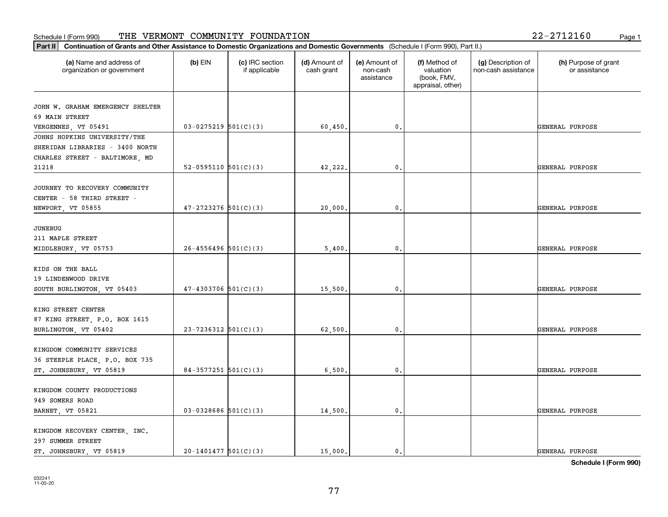#### Schedule I (Form 990) 'I'HE' VERMON'I' COMMUNITY F'OUNDA'I'ION 2Z-Z7IZI6U Page 1 THE VERMONT COMMUNITY FOUNDATION 22-2712160

| Part II   Continuation of Grants and Other Assistance to Domestic Organizations and Domestic Governments (Schedule I (Form 990), Part II.) |                          |                                  |                             |                                         |                                                                |                                           |                                       |
|--------------------------------------------------------------------------------------------------------------------------------------------|--------------------------|----------------------------------|-----------------------------|-----------------------------------------|----------------------------------------------------------------|-------------------------------------------|---------------------------------------|
| (a) Name and address of<br>organization or government                                                                                      | $(b)$ EIN                | (c) IRC section<br>if applicable | (d) Amount of<br>cash grant | (e) Amount of<br>non-cash<br>assistance | (f) Method of<br>valuation<br>(book, FMV,<br>appraisal, other) | (g) Description of<br>non-cash assistance | (h) Purpose of grant<br>or assistance |
| JOHN W. GRAHAM EMERGENCY SHELTER                                                                                                           |                          |                                  |                             |                                         |                                                                |                                           |                                       |
| 69 MAIN STREET                                                                                                                             |                          |                                  |                             |                                         |                                                                |                                           |                                       |
| VERGENNES, VT 05491                                                                                                                        | $03-0275219$ 501(C)(3)   |                                  | 60,450.                     | 0.                                      |                                                                |                                           | GENERAL PURPOSE                       |
| JOHNS HOPKINS UNIVERSITY/THE                                                                                                               |                          |                                  |                             |                                         |                                                                |                                           |                                       |
| SHERIDAN LIBRARIES - 3400 NORTH                                                                                                            |                          |                                  |                             |                                         |                                                                |                                           |                                       |
| CHARLES STREET - BALTIMORE, MD                                                                                                             |                          |                                  |                             |                                         |                                                                |                                           |                                       |
| 21218                                                                                                                                      | $52-0595110$ $501(C)(3)$ |                                  | 42,222.                     | 0.                                      |                                                                |                                           | GENERAL PURPOSE                       |
| JOURNEY TO RECOVERY COMMUNITY                                                                                                              |                          |                                  |                             |                                         |                                                                |                                           |                                       |
| CENTER - 58 THIRD STREET -                                                                                                                 |                          |                                  |                             |                                         |                                                                |                                           |                                       |
| NEWPORT, VT 05855                                                                                                                          | $47 - 2723276$ 501(C)(3) |                                  | 20,000.                     | $\mathbf{0}$ .                          |                                                                |                                           | GENERAL PURPOSE                       |
|                                                                                                                                            |                          |                                  |                             |                                         |                                                                |                                           |                                       |
| <b>JUNEBUG</b>                                                                                                                             |                          |                                  |                             |                                         |                                                                |                                           |                                       |
| 211 MAPLE STREET                                                                                                                           |                          |                                  |                             |                                         |                                                                |                                           |                                       |
| MIDDLEBURY, VT 05753                                                                                                                       | $26 - 4556496$ 501(C)(3) |                                  | 5,400                       | 0.                                      |                                                                |                                           | GENERAL PURPOSE                       |
|                                                                                                                                            |                          |                                  |                             |                                         |                                                                |                                           |                                       |
| KIDS ON THE BALL                                                                                                                           |                          |                                  |                             |                                         |                                                                |                                           |                                       |
| 19 LINDENWOOD DRIVE                                                                                                                        | $47 - 4303706$ 501(C)(3) |                                  |                             |                                         |                                                                |                                           |                                       |
| SOUTH BURLINGTON, VT 05403                                                                                                                 |                          |                                  | 15,500.                     | 0.                                      |                                                                |                                           | GENERAL PURPOSE                       |
| KING STREET CENTER                                                                                                                         |                          |                                  |                             |                                         |                                                                |                                           |                                       |
| 87 KING STREET, P.O. BOX 1615                                                                                                              |                          |                                  |                             |                                         |                                                                |                                           |                                       |
| BURLINGTON, VT 05402                                                                                                                       | $23 - 7236312$ 501(C)(3) |                                  | 62,500.                     | 0.                                      |                                                                |                                           | GENERAL PURPOSE                       |
|                                                                                                                                            |                          |                                  |                             |                                         |                                                                |                                           |                                       |
| KINGDOM COMMUNITY SERVICES                                                                                                                 |                          |                                  |                             |                                         |                                                                |                                           |                                       |
| 36 STEEPLE PLACE, P.O. BOX 735                                                                                                             |                          |                                  |                             |                                         |                                                                |                                           |                                       |
| ST. JOHNSBURY, VT 05819                                                                                                                    | $84-3577251$ 501(C)(3)   |                                  | 6,500,                      | $\mathbf{0}$ .                          |                                                                |                                           | GENERAL PURPOSE                       |
| KINGDOM COUNTY PRODUCTIONS                                                                                                                 |                          |                                  |                             |                                         |                                                                |                                           |                                       |
| 949 SOMERS ROAD                                                                                                                            |                          |                                  |                             |                                         |                                                                |                                           |                                       |
| BARNET, VT 05821                                                                                                                           | $03-0328686$ 501(C)(3)   |                                  | 14,500.                     | $\mathbf 0$ .                           |                                                                |                                           | GENERAL PURPOSE                       |
|                                                                                                                                            |                          |                                  |                             |                                         |                                                                |                                           |                                       |
| KINGDOM RECOVERY CENTER, INC.                                                                                                              |                          |                                  |                             |                                         |                                                                |                                           |                                       |
| 297 SUMMER STREET                                                                                                                          |                          |                                  |                             |                                         |                                                                |                                           |                                       |
| ST. JOHNSBURY VT 05819                                                                                                                     | $20-1401477$ 501(C)(3)   |                                  | 15,000.                     | $\mathfrak{o}$ .                        |                                                                |                                           | GENERAL PURPOSE                       |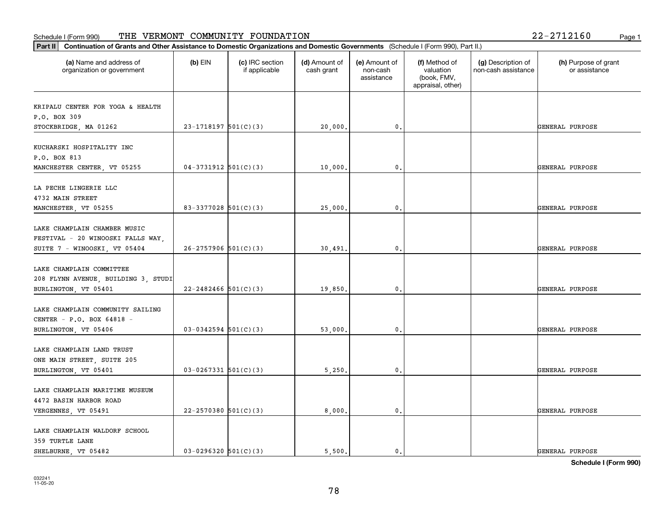| Part II   Continuation of Grants and Other Assistance to Domestic Organizations and Domestic Governments (Schedule I (Form 990), Part II.) |                            |                                  |                             |                                         |                                                                |                                           |                                       |
|--------------------------------------------------------------------------------------------------------------------------------------------|----------------------------|----------------------------------|-----------------------------|-----------------------------------------|----------------------------------------------------------------|-------------------------------------------|---------------------------------------|
| (a) Name and address of<br>organization or government                                                                                      | $(b)$ EIN                  | (c) IRC section<br>if applicable | (d) Amount of<br>cash grant | (e) Amount of<br>non-cash<br>assistance | (f) Method of<br>valuation<br>(book, FMV,<br>appraisal, other) | (g) Description of<br>non-cash assistance | (h) Purpose of grant<br>or assistance |
|                                                                                                                                            |                            |                                  |                             |                                         |                                                                |                                           |                                       |
| KRIPALU CENTER FOR YOGA & HEALTH<br>P.O. BOX 309                                                                                           |                            |                                  |                             |                                         |                                                                |                                           |                                       |
| STOCKBRIDGE, MA 01262                                                                                                                      | $23-1718197$ 501(C)(3)     |                                  | 20,000.                     | 0.                                      |                                                                |                                           | GENERAL PURPOSE                       |
|                                                                                                                                            |                            |                                  |                             |                                         |                                                                |                                           |                                       |
| KUCHARSKI HOSPITALITY INC                                                                                                                  |                            |                                  |                             |                                         |                                                                |                                           |                                       |
| P.O. BOX 813                                                                                                                               |                            |                                  |                             |                                         |                                                                |                                           |                                       |
| MANCHESTER CENTER, VT 05255                                                                                                                | $04-3731912$ $501(C)(3)$   |                                  | 10,000,                     | 0.                                      |                                                                |                                           | GENERAL PURPOSE                       |
|                                                                                                                                            |                            |                                  |                             |                                         |                                                                |                                           |                                       |
| LA PECHE LINGERIE LLC                                                                                                                      |                            |                                  |                             |                                         |                                                                |                                           |                                       |
| 4732 MAIN STREET                                                                                                                           |                            |                                  |                             |                                         |                                                                |                                           |                                       |
| MANCHESTER, VT 05255                                                                                                                       | $83 - 3377028$ 501(C)(3)   |                                  | 25,000.                     | 0.                                      |                                                                |                                           | GENERAL PURPOSE                       |
|                                                                                                                                            |                            |                                  |                             |                                         |                                                                |                                           |                                       |
| LAKE CHAMPLAIN CHAMBER MUSIC                                                                                                               |                            |                                  |                             |                                         |                                                                |                                           |                                       |
| FESTIVAL - 20 WINOOSKI FALLS WAY,                                                                                                          |                            |                                  |                             |                                         |                                                                |                                           |                                       |
| SUITE 7 - WINOOSKI, VT 05404                                                                                                               | $26 - 2757906$ $501(C)(3)$ |                                  | 30,491.                     | 0.                                      |                                                                |                                           | GENERAL PURPOSE                       |
|                                                                                                                                            |                            |                                  |                             |                                         |                                                                |                                           |                                       |
| LAKE CHAMPLAIN COMMITTEE                                                                                                                   |                            |                                  |                             |                                         |                                                                |                                           |                                       |
| 208 FLYNN AVENUE, BUILDING 3, STUDI                                                                                                        |                            |                                  |                             |                                         |                                                                |                                           |                                       |
| BURLINGTON, VT 05401                                                                                                                       | $22 - 2482466$ 501(C)(3)   |                                  | 19,850.                     | 0.                                      |                                                                |                                           | GENERAL PURPOSE                       |
| LAKE CHAMPLAIN COMMUNITY SAILING                                                                                                           |                            |                                  |                             |                                         |                                                                |                                           |                                       |
|                                                                                                                                            |                            |                                  |                             |                                         |                                                                |                                           |                                       |
| CENTER - P.O. BOX 64818 -                                                                                                                  | $03-0342594$ 501(C)(3)     |                                  |                             | 0.                                      |                                                                |                                           | GENERAL PURPOSE                       |
| BURLINGTON, VT 05406                                                                                                                       |                            |                                  | 53,000.                     |                                         |                                                                |                                           |                                       |
| LAKE CHAMPLAIN LAND TRUST                                                                                                                  |                            |                                  |                             |                                         |                                                                |                                           |                                       |
| ONE MAIN STREET, SUITE 205                                                                                                                 |                            |                                  |                             |                                         |                                                                |                                           |                                       |
| BURLINGTON, VT 05401                                                                                                                       | $03-0267331$ $501(C)(3)$   |                                  | 5,250.                      | 0.                                      |                                                                |                                           | GENERAL PURPOSE                       |
|                                                                                                                                            |                            |                                  |                             |                                         |                                                                |                                           |                                       |
| LAKE CHAMPLAIN MARITIME MUSEUM                                                                                                             |                            |                                  |                             |                                         |                                                                |                                           |                                       |
| 4472 BASIN HARBOR ROAD                                                                                                                     |                            |                                  |                             |                                         |                                                                |                                           |                                       |
| VERGENNES, VT 05491                                                                                                                        | $22 - 2570380$ 501(C)(3)   |                                  | 8,000,                      | 0.                                      |                                                                |                                           | GENERAL PURPOSE                       |
|                                                                                                                                            |                            |                                  |                             |                                         |                                                                |                                           |                                       |
| LAKE CHAMPLAIN WALDORF SCHOOL                                                                                                              |                            |                                  |                             |                                         |                                                                |                                           |                                       |
| 359 TURTLE LANE                                                                                                                            |                            |                                  |                             |                                         |                                                                |                                           |                                       |
| SHELBURNE, VT 05482                                                                                                                        | $03 - 0296320$ 501(C)(3)   |                                  | 5,500.                      | $\mathbf{0}$ .                          |                                                                |                                           | GENERAL PURPOSE                       |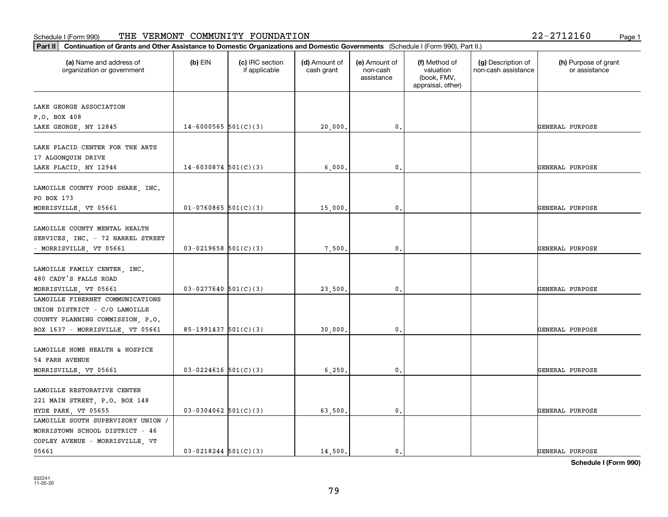# **Part III Continuation of Grants and Other Assistance to Domestic Organization of Grants and Other Assistance to Domestic Organizations** Schedule I (Form 990) Page 1 THE VERMONT COMMUNITY FOUNDATION 22-2712160

| Continuation of Grants and Other Assistance to Domestic Organizations and Domestic Governments (Schedule I (Form 990), Part II.)<br>Part II |                          |                                  |                             |                                         |                                                                |                                           |                                       |
|---------------------------------------------------------------------------------------------------------------------------------------------|--------------------------|----------------------------------|-----------------------------|-----------------------------------------|----------------------------------------------------------------|-------------------------------------------|---------------------------------------|
| (a) Name and address of<br>organization or government                                                                                       | $(b)$ EIN                | (c) IRC section<br>if applicable | (d) Amount of<br>cash grant | (e) Amount of<br>non-cash<br>assistance | (f) Method of<br>valuation<br>(book, FMV,<br>appraisal, other) | (g) Description of<br>non-cash assistance | (h) Purpose of grant<br>or assistance |
| LAKE GEORGE ASSOCIATION                                                                                                                     |                          |                                  |                             |                                         |                                                                |                                           |                                       |
| P.O. BOX 408                                                                                                                                |                          |                                  |                             |                                         |                                                                |                                           |                                       |
| LAKE GEORGE, NY 12845                                                                                                                       | $14 - 6000565$ 501(C)(3) |                                  | 20,000.                     | 0.                                      |                                                                |                                           | GENERAL PURPOSE                       |
| LAKE PLACID CENTER FOR THE ARTS<br>17 ALGONQUIN DRIVE                                                                                       |                          |                                  |                             |                                         |                                                                |                                           |                                       |
| LAKE PLACID, NY 12946                                                                                                                       | $14 - 6030874$ 501(C)(3) |                                  | 6,000.                      | $\mathbf 0$ .                           |                                                                |                                           | GENERAL PURPOSE                       |
| LAMOILLE COUNTY FOOD SHARE, INC.<br>PO BOX 173                                                                                              |                          |                                  |                             |                                         |                                                                |                                           |                                       |
| MORRISVILLE, VT 05661                                                                                                                       | $01-0760865$ 501(C)(3)   |                                  | 15,000                      | $\mathbf{0}$                            |                                                                |                                           | <b>GENERAL PURPOSE</b>                |
| LAMOILLE COUNTY MENTAL HEALTH<br>SERVICES, INC. - 72 HARREL STREET<br>- MORRISVILLE, VT 05661                                               | $03-0219658$ $501(C)(3)$ |                                  | 7,500.                      | 0.                                      |                                                                |                                           | GENERAL PURPOSE                       |
| LAMOILLE FAMILY CENTER, INC.<br>480 CADY'S FALLS ROAD                                                                                       |                          |                                  |                             | $\mathfrak{o}$ .                        |                                                                |                                           | <b>GENERAL PURPOSE</b>                |
| MORRISVILLE, VT 05661<br>LAMOILLE FIBERNET COMMUNICATIONS                                                                                   | $03-0277640$ 501(C)(3)   |                                  | 23,500                      |                                         |                                                                |                                           |                                       |
| UNION DISTRICT - C/O LAMOILLE<br>COUNTY PLANNING COMMISSION, P.O.                                                                           |                          |                                  |                             | $\mathbf{0}$                            |                                                                |                                           |                                       |
| BOX 1637 - MORRISVILLE, VT 05661                                                                                                            | $85-1991437$ $501(C)(3)$ |                                  | 30,000                      |                                         |                                                                |                                           | <b>GENERAL PURPOSE</b>                |
| LAMOILLE HOME HEALTH & HOSPICE<br>54 FARR AVENUE                                                                                            |                          |                                  |                             |                                         |                                                                |                                           |                                       |
| MORRISVILLE, VT 05661                                                                                                                       | $03 - 0224616$ 501(C)(3) |                                  | 6,250.                      | 0.                                      |                                                                |                                           | GENERAL PURPOSE                       |
| LAMOILLE RESTORATIVE CENTER<br>221 MAIN STREET, P.O. BOX 148<br>HYDE PARK, VT 05655                                                         | $03-0304062$ 501(C)(3)   |                                  | 63,500.                     | $\mathbf{0}$ .                          |                                                                |                                           | GENERAL PURPOSE                       |
| LAMOILLE SOUTH SUPERVISORY UNION /<br>MORRISTOWN SCHOOL DISTRICT - 46<br>COPLEY AVENUE - MORRISVILLE, VT<br>05661                           | $03 - 0218244$ 501(C)(3) |                                  | 14,500.                     | $\mathbf{0}$                            |                                                                |                                           | GENERAL PURPOSE                       |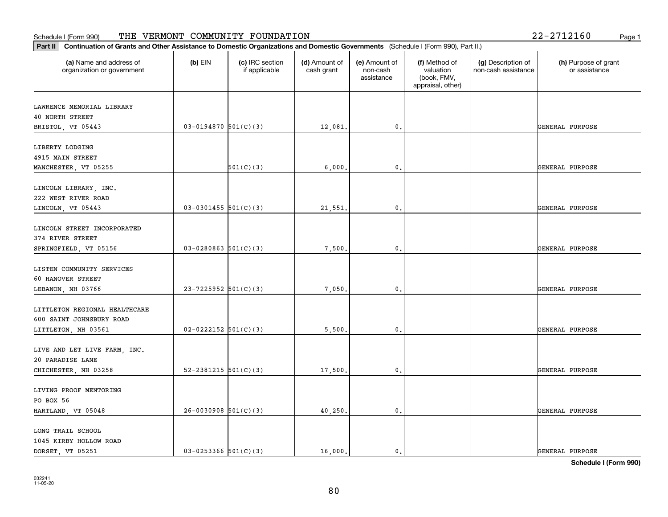| Part II   Continuation of Grants and Other Assistance to Domestic Organizations and Domestic Governments (Schedule I (Form 990), Part II.) |                            |                                  |                             |                                         |                                                                |                                           |                                       |
|--------------------------------------------------------------------------------------------------------------------------------------------|----------------------------|----------------------------------|-----------------------------|-----------------------------------------|----------------------------------------------------------------|-------------------------------------------|---------------------------------------|
| (a) Name and address of<br>organization or government                                                                                      | $(b)$ EIN                  | (c) IRC section<br>if applicable | (d) Amount of<br>cash grant | (e) Amount of<br>non-cash<br>assistance | (f) Method of<br>valuation<br>(book, FMV,<br>appraisal, other) | (g) Description of<br>non-cash assistance | (h) Purpose of grant<br>or assistance |
| LAWRENCE MEMORIAL LIBRARY                                                                                                                  |                            |                                  |                             |                                         |                                                                |                                           |                                       |
| <b>40 NORTH STREET</b>                                                                                                                     |                            |                                  |                             |                                         |                                                                |                                           |                                       |
| BRISTOL, VT 05443                                                                                                                          | $03-0194870$ 501(C)(3)     |                                  | 12,081.                     | 0.                                      |                                                                |                                           | GENERAL PURPOSE                       |
|                                                                                                                                            |                            |                                  |                             |                                         |                                                                |                                           |                                       |
| LIBERTY LODGING                                                                                                                            |                            |                                  |                             |                                         |                                                                |                                           |                                       |
| 4915 MAIN STREET                                                                                                                           |                            |                                  |                             |                                         |                                                                |                                           |                                       |
| MANCHESTER, VT 05255                                                                                                                       |                            | 501(C)(3)                        | 6,000                       | 0.                                      |                                                                |                                           | GENERAL PURPOSE                       |
| LINCOLN LIBRARY, INC.                                                                                                                      |                            |                                  |                             |                                         |                                                                |                                           |                                       |
| 222 WEST RIVER ROAD                                                                                                                        |                            |                                  |                             |                                         |                                                                |                                           |                                       |
| LINCOLN, VT 05443                                                                                                                          | $03-0301455$ 501(C)(3)     |                                  | 21,551.                     | $\mathbf{0}$ .                          |                                                                |                                           | GENERAL PURPOSE                       |
|                                                                                                                                            |                            |                                  |                             |                                         |                                                                |                                           |                                       |
| LINCOLN STREET INCORPORATED                                                                                                                |                            |                                  |                             |                                         |                                                                |                                           |                                       |
| 374 RIVER STREET                                                                                                                           |                            |                                  |                             |                                         |                                                                |                                           |                                       |
| SPRINGFIELD, VT 05156                                                                                                                      | $03 - 0280863$ 501(C)(3)   |                                  | 7,500.                      | 0.                                      |                                                                |                                           | GENERAL PURPOSE                       |
|                                                                                                                                            |                            |                                  |                             |                                         |                                                                |                                           |                                       |
| LISTEN COMMUNITY SERVICES                                                                                                                  |                            |                                  |                             |                                         |                                                                |                                           |                                       |
| 60 HANOVER STREET                                                                                                                          | $23 - 7225952$ 501(C)(3)   |                                  |                             |                                         |                                                                |                                           | GENERAL PURPOSE                       |
| LEBANON, NH 03766                                                                                                                          |                            |                                  | 7,050.                      | $\mathbf 0$ .                           |                                                                |                                           |                                       |
| LITTLETON REGIONAL HEALTHCARE                                                                                                              |                            |                                  |                             |                                         |                                                                |                                           |                                       |
| 600 SAINT JOHNSBURY ROAD                                                                                                                   |                            |                                  |                             |                                         |                                                                |                                           |                                       |
| LITTLETON, NH 03561                                                                                                                        | $02 - 0222152$ $501(C)(3)$ |                                  | 5,500.                      | 0.                                      |                                                                |                                           | GENERAL PURPOSE                       |
|                                                                                                                                            |                            |                                  |                             |                                         |                                                                |                                           |                                       |
| LIVE AND LET LIVE FARM, INC.                                                                                                               |                            |                                  |                             |                                         |                                                                |                                           |                                       |
| 20 PARADISE LANE                                                                                                                           |                            |                                  |                             |                                         |                                                                |                                           |                                       |
| CHICHESTER, NH 03258                                                                                                                       | 52-2381215 $501(C)(3)$     |                                  | 17,500,                     | $\mathbf{0}$ .                          |                                                                |                                           | GENERAL PURPOSE                       |
| LIVING PROOF MENTORING                                                                                                                     |                            |                                  |                             |                                         |                                                                |                                           |                                       |
| PO BOX 56                                                                                                                                  |                            |                                  |                             |                                         |                                                                |                                           |                                       |
| HARTLAND, VT 05048                                                                                                                         | $26 - 0030908$ 501(C)(3)   |                                  | 40,250.                     | $\mathfrak o$ .                         |                                                                |                                           | GENERAL PURPOSE                       |
|                                                                                                                                            |                            |                                  |                             |                                         |                                                                |                                           |                                       |
| LONG TRAIL SCHOOL                                                                                                                          |                            |                                  |                             |                                         |                                                                |                                           |                                       |
| 1045 KIRBY HOLLOW ROAD                                                                                                                     |                            |                                  |                             |                                         |                                                                |                                           |                                       |
| DORSET, VT 05251                                                                                                                           | $03 - 0253366$ $501(C)(3)$ |                                  | 16,000.                     | $\mathbf{0}$ .                          |                                                                |                                           | GENERAL PURPOSE                       |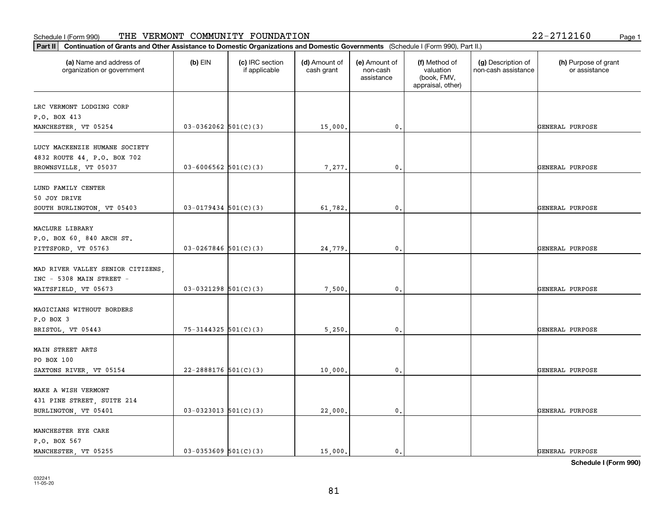| (a) Name and address of<br>organization or government | $(b)$ EIN                  | (c) IRC section<br>if applicable | (d) Amount of<br>cash grant | (e) Amount of<br>non-cash<br>assistance | (f) Method of<br>valuation<br>(book, FMV,<br>appraisal, other) | (g) Description of<br>non-cash assistance | (h) Purpose of grant<br>or assistance |
|-------------------------------------------------------|----------------------------|----------------------------------|-----------------------------|-----------------------------------------|----------------------------------------------------------------|-------------------------------------------|---------------------------------------|
| LRC VERMONT LODGING CORP                              |                            |                                  |                             |                                         |                                                                |                                           |                                       |
| P.O. BOX 413                                          |                            |                                  |                             |                                         |                                                                |                                           |                                       |
| MANCHESTER, VT 05254                                  | $03-0362062$ $501(C)(3)$   |                                  | 15,000.                     | 0.                                      |                                                                |                                           | GENERAL PURPOSE                       |
| LUCY MACKENZIE HUMANE SOCIETY                         |                            |                                  |                             |                                         |                                                                |                                           |                                       |
| 4832 ROUTE 44, P.O. BOX 702                           |                            |                                  |                             |                                         |                                                                |                                           |                                       |
| BROWNSVILLE, VT 05037                                 | $03 - 6006562$ 501(C)(3)   |                                  | 7,277.                      | 0.                                      |                                                                |                                           | GENERAL PURPOSE                       |
|                                                       |                            |                                  |                             |                                         |                                                                |                                           |                                       |
| LUND FAMILY CENTER                                    |                            |                                  |                             |                                         |                                                                |                                           |                                       |
| 50 JOY DRIVE                                          |                            |                                  |                             |                                         |                                                                |                                           |                                       |
| SOUTH BURLINGTON, VT 05403                            | $03 - 0179434$ 501(C)(3)   |                                  | 61,782.                     | $\mathbf{0}$ .                          |                                                                |                                           | GENERAL PURPOSE                       |
| MACLURE LIBRARY                                       |                            |                                  |                             |                                         |                                                                |                                           |                                       |
| P.O. BOX 60, 840 ARCH ST.                             |                            |                                  |                             |                                         |                                                                |                                           |                                       |
| PITTSFORD, VT 05763                                   | $03 - 0267846$ 501(C)(3)   |                                  | 24,779.                     | 0.                                      |                                                                |                                           | GENERAL PURPOSE                       |
|                                                       |                            |                                  |                             |                                         |                                                                |                                           |                                       |
| MAD RIVER VALLEY SENIOR CITIZENS,                     |                            |                                  |                             |                                         |                                                                |                                           |                                       |
| INC - 5308 MAIN STREET -                              |                            |                                  |                             |                                         |                                                                |                                           |                                       |
| WAITSFIELD, VT 05673                                  | $03-0321298$ 501(C)(3)     |                                  | 7,500.                      | 0.                                      |                                                                |                                           | GENERAL PURPOSE                       |
|                                                       |                            |                                  |                             |                                         |                                                                |                                           |                                       |
| MAGICIANS WITHOUT BORDERS<br>P.O BOX 3                |                            |                                  |                             |                                         |                                                                |                                           |                                       |
| BRISTOL, VT 05443                                     | $75 - 3144325$ $501(C)(3)$ |                                  | 5,250.                      | 0.                                      |                                                                |                                           | GENERAL PURPOSE                       |
|                                                       |                            |                                  |                             |                                         |                                                                |                                           |                                       |
| MAIN STREET ARTS                                      |                            |                                  |                             |                                         |                                                                |                                           |                                       |
| PO BOX 100                                            |                            |                                  |                             |                                         |                                                                |                                           |                                       |
| SAXTONS RIVER, VT 05154                               | $22 - 2888176$ 501(C)(3)   |                                  | 10,000,                     | 0.                                      |                                                                |                                           | GENERAL PURPOSE                       |
|                                                       |                            |                                  |                             |                                         |                                                                |                                           |                                       |
| MAKE A WISH VERMONT                                   |                            |                                  |                             |                                         |                                                                |                                           |                                       |
| 431 PINE STREET, SUITE 214                            |                            |                                  |                             |                                         |                                                                |                                           |                                       |
| BURLINGTON, VT 05401                                  | $03-0323013$ 501(C)(3)     |                                  | 22,000.                     | $\mathfrak o$ .                         |                                                                |                                           | GENERAL PURPOSE                       |
| MANCHESTER EYE CARE                                   |                            |                                  |                             |                                         |                                                                |                                           |                                       |
| P.O. BOX 567                                          |                            |                                  |                             |                                         |                                                                |                                           |                                       |
| MANCHESTER, VT 05255                                  | $03-0353609$ $501(C)(3)$   |                                  | 15,000.                     | 0.                                      |                                                                |                                           | GENERAL PURPOSE                       |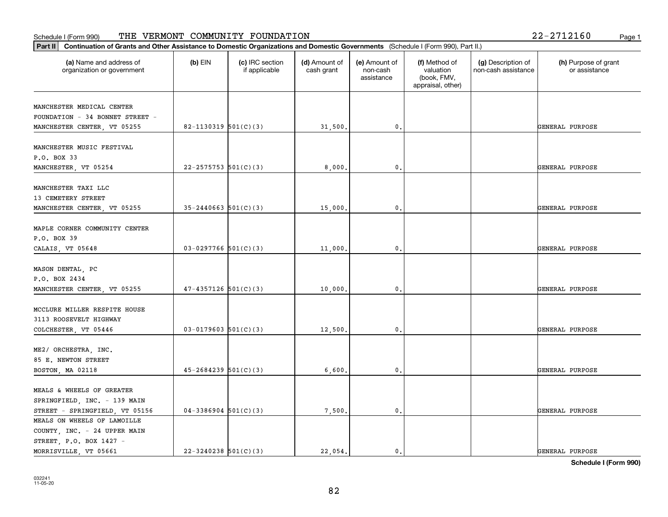| Part II   Continuation of Grants and Other Assistance to Domestic Organizations and Domestic Governments (Schedule I (Form 990), Part II.) |                          |                                  |                             |                                         |                                                                |                                           |                                       |
|--------------------------------------------------------------------------------------------------------------------------------------------|--------------------------|----------------------------------|-----------------------------|-----------------------------------------|----------------------------------------------------------------|-------------------------------------------|---------------------------------------|
| (a) Name and address of<br>organization or government                                                                                      | $(b)$ EIN                | (c) IRC section<br>if applicable | (d) Amount of<br>cash grant | (e) Amount of<br>non-cash<br>assistance | (f) Method of<br>valuation<br>(book, FMV,<br>appraisal, other) | (g) Description of<br>non-cash assistance | (h) Purpose of grant<br>or assistance |
| MANCHESTER MEDICAL CENTER                                                                                                                  |                          |                                  |                             |                                         |                                                                |                                           |                                       |
| FOUNDATION - 34 BONNET STREET -                                                                                                            |                          |                                  |                             |                                         |                                                                |                                           |                                       |
| MANCHESTER CENTER, VT 05255                                                                                                                | $82 - 1130319$ 501(C)(3) |                                  | 31,500.                     | 0.                                      |                                                                |                                           | GENERAL PURPOSE                       |
|                                                                                                                                            |                          |                                  |                             |                                         |                                                                |                                           |                                       |
| MANCHESTER MUSIC FESTIVAL                                                                                                                  |                          |                                  |                             |                                         |                                                                |                                           |                                       |
| P.O. BOX 33                                                                                                                                |                          |                                  |                             |                                         |                                                                |                                           |                                       |
| MANCHESTER, VT 05254                                                                                                                       | $22 - 2575753$ 501(C)(3) |                                  | 8,000,                      | 0.                                      |                                                                |                                           | GENERAL PURPOSE                       |
|                                                                                                                                            |                          |                                  |                             |                                         |                                                                |                                           |                                       |
| MANCHESTER TAXI LLC                                                                                                                        |                          |                                  |                             |                                         |                                                                |                                           |                                       |
| 13 CEMETERY STREET                                                                                                                         |                          |                                  |                             |                                         |                                                                |                                           |                                       |
| MANCHESTER CENTER, VT 05255                                                                                                                | $35 - 2440663$ 501(C)(3) |                                  | 15,000.                     | 0.                                      |                                                                |                                           | GENERAL PURPOSE                       |
|                                                                                                                                            |                          |                                  |                             |                                         |                                                                |                                           |                                       |
| MAPLE CORNER COMMUNITY CENTER                                                                                                              |                          |                                  |                             |                                         |                                                                |                                           |                                       |
| P.O. BOX 39                                                                                                                                |                          |                                  |                             |                                         |                                                                |                                           |                                       |
| CALAIS, VT 05648                                                                                                                           | $03-0297766$ 501(C)(3)   |                                  | 11,000.                     | 0.                                      |                                                                |                                           | GENERAL PURPOSE                       |
|                                                                                                                                            |                          |                                  |                             |                                         |                                                                |                                           |                                       |
| MASON DENTAL, PC                                                                                                                           |                          |                                  |                             |                                         |                                                                |                                           |                                       |
| P.O. BOX 2434                                                                                                                              |                          |                                  |                             |                                         |                                                                |                                           |                                       |
| MANCHESTER CENTER, VT 05255                                                                                                                | $47 - 4357126$ 501(C)(3) |                                  | 10,000.                     | 0.                                      |                                                                |                                           | GENERAL PURPOSE                       |
|                                                                                                                                            |                          |                                  |                             |                                         |                                                                |                                           |                                       |
| MCCLURE MILLER RESPITE HOUSE<br>3113 ROOSEVELT HIGHWAY                                                                                     |                          |                                  |                             |                                         |                                                                |                                           |                                       |
|                                                                                                                                            | $03 - 0179603$ 501(C)(3) |                                  |                             | 0.                                      |                                                                |                                           |                                       |
| COLCHESTER, VT 05446                                                                                                                       |                          |                                  | 12,500.                     |                                         |                                                                |                                           | GENERAL PURPOSE                       |
| ME2/ ORCHESTRA, INC.                                                                                                                       |                          |                                  |                             |                                         |                                                                |                                           |                                       |
| 85 E. NEWTON STREET                                                                                                                        |                          |                                  |                             |                                         |                                                                |                                           |                                       |
| BOSTON, MA 02118                                                                                                                           | $45 - 2684239$ 501(C)(3) |                                  | 6,600,                      | 0.                                      |                                                                |                                           | GENERAL PURPOSE                       |
|                                                                                                                                            |                          |                                  |                             |                                         |                                                                |                                           |                                       |
| MEALS & WHEELS OF GREATER                                                                                                                  |                          |                                  |                             |                                         |                                                                |                                           |                                       |
| SPRINGFIELD, INC. - 139 MAIN                                                                                                               |                          |                                  |                             |                                         |                                                                |                                           |                                       |
| STREET - SPRINGFIELD, VT 05156                                                                                                             | $04-3386904$ 501(C)(3)   |                                  | 7,500.                      | $\mathfrak o$ .                         |                                                                |                                           | GENERAL PURPOSE                       |
| MEALS ON WHEELS OF LAMOILLE                                                                                                                |                          |                                  |                             |                                         |                                                                |                                           |                                       |
| COUNTY, INC. - 24 UPPER MAIN                                                                                                               |                          |                                  |                             |                                         |                                                                |                                           |                                       |
| STREET, P.O. BOX 1427 -                                                                                                                    |                          |                                  |                             |                                         |                                                                |                                           |                                       |
| MORRISVILLE, VT 05661                                                                                                                      | $22 - 3240238$ 501(C)(3) |                                  | 22.054.                     | $\mathfrak{o}$ .                        |                                                                |                                           | GENERAL PURPOSE                       |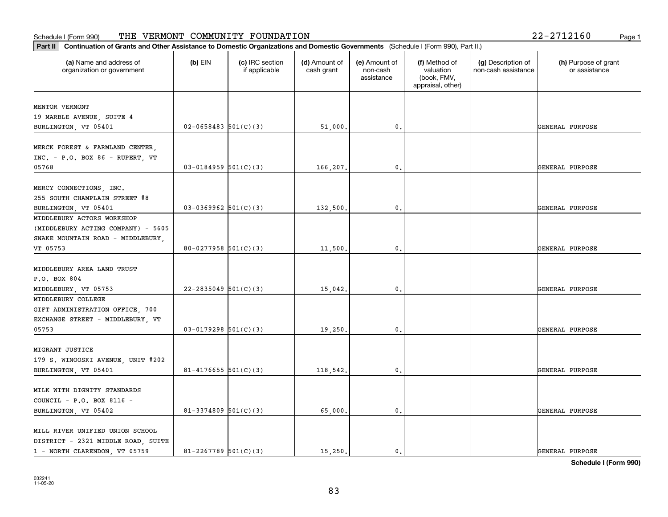| (a) Name and address of<br>organization or government                                                  | $(b)$ EIN                  | (c) IRC section<br>if applicable | (d) Amount of<br>cash grant | (e) Amount of<br>non-cash<br>assistance | (f) Method of<br>valuation<br>(book, FMV,<br>appraisal, other) | (g) Description of<br>non-cash assistance | (h) Purpose of grant<br>or assistance |
|--------------------------------------------------------------------------------------------------------|----------------------------|----------------------------------|-----------------------------|-----------------------------------------|----------------------------------------------------------------|-------------------------------------------|---------------------------------------|
| MENTOR VERMONT                                                                                         |                            |                                  |                             |                                         |                                                                |                                           |                                       |
| 19 MARBLE AVENUE, SUITE 4                                                                              |                            |                                  |                             |                                         |                                                                |                                           |                                       |
| BURLINGTON, VT 05401                                                                                   | $02 - 0658483$ 501(C)(3)   |                                  | 51,000.                     | $\mathbf 0$ .                           |                                                                |                                           | GENERAL PURPOSE                       |
| MERCK FOREST & FARMLAND CENTER,<br>INC. - P.O. BOX 86 - RUPERT, VT                                     |                            |                                  |                             |                                         |                                                                |                                           |                                       |
| 05768                                                                                                  | $03 - 0184959$ $501(C)(3)$ |                                  | 166,207.                    | 0.                                      |                                                                |                                           | GENERAL PURPOSE                       |
| MERCY CONNECTIONS, INC.<br>255 SOUTH CHAMPLAIN STREET #8                                               |                            |                                  |                             |                                         |                                                                |                                           |                                       |
| BURLINGTON, VT 05401<br>MIDDLEBURY ACTORS WORKSHOP                                                     | $03-0369962$ 501(C)(3)     |                                  | 132,500.                    | $\mathfrak{o}$ .                        |                                                                |                                           | GENERAL PURPOSE                       |
| (MIDDLEBURY ACTING COMPANY) - 5605<br>SNAKE MOUNTAIN ROAD - MIDDLEBURY,                                |                            |                                  |                             |                                         |                                                                |                                           |                                       |
| VT 05753                                                                                               | 80-0277958 $501(C)(3)$     |                                  | 11,500.                     | 0.                                      |                                                                |                                           | GENERAL PURPOSE                       |
| MIDDLEBURY AREA LAND TRUST<br>P.O. BOX 804                                                             |                            |                                  |                             |                                         |                                                                |                                           |                                       |
| MIDDLEBURY, VT 05753                                                                                   | $22 - 2835049$ 501(C)(3)   |                                  | 15,042.                     | $\mathbf{0}$                            |                                                                |                                           | GENERAL PURPOSE                       |
| MIDDLEBURY COLLEGE<br>GIFT ADMINISTRATION OFFICE, 700<br>EXCHANGE STREET - MIDDLEBURY, VT              |                            |                                  |                             |                                         |                                                                |                                           |                                       |
| 05753                                                                                                  | $03-0179298$ 501(C)(3)     |                                  | 19,250.                     | 0.                                      |                                                                |                                           | GENERAL PURPOSE                       |
| MIGRANT JUSTICE<br>179 S. WINOOSKI AVENUE, UNIT #202                                                   |                            |                                  |                             |                                         |                                                                |                                           |                                       |
| BURLINGTON, VT 05401                                                                                   | $81 - 4176655$ 501(C)(3)   |                                  | 118,542.                    | $\mathbf{0}$ .                          |                                                                |                                           | GENERAL PURPOSE                       |
| MILK WITH DIGNITY STANDARDS<br>COUNCIL - P.O. BOX 8116 -                                               |                            |                                  |                             |                                         |                                                                |                                           |                                       |
| BURLINGTON, VT 05402                                                                                   | $81 - 3374809$ 501(C)(3)   |                                  | 65,000.                     | $\mathfrak{o}$ .                        |                                                                |                                           | GENERAL PURPOSE                       |
| MILL RIVER UNIFIED UNION SCHOOL<br>DISTRICT - 2321 MIDDLE ROAD, SUITE<br>1 - NORTH CLARENDON, VT 05759 | $81 - 2267789$ 501(C)(3)   |                                  | 15,250.                     | $\mathbf{0}$ .                          |                                                                |                                           | GENERAL PURPOSE                       |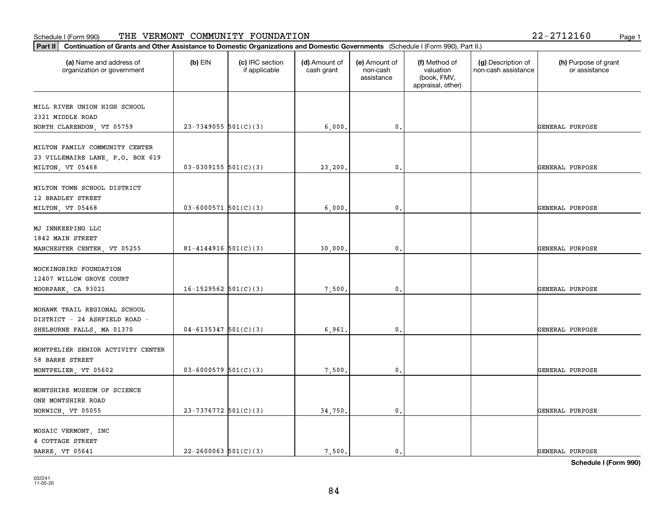| Continuation of Grants and Other Assistance to Domestic Organizations and Domestic Governments (Schedule I (Form 990), Part II.)<br>Part II |                          |                                  |                             |                                         |                                                                |                                           |                                       |
|---------------------------------------------------------------------------------------------------------------------------------------------|--------------------------|----------------------------------|-----------------------------|-----------------------------------------|----------------------------------------------------------------|-------------------------------------------|---------------------------------------|
| (a) Name and address of<br>organization or government                                                                                       | $(b)$ EIN                | (c) IRC section<br>if applicable | (d) Amount of<br>cash grant | (e) Amount of<br>non-cash<br>assistance | (f) Method of<br>valuation<br>(book, FMV,<br>appraisal, other) | (g) Description of<br>non-cash assistance | (h) Purpose of grant<br>or assistance |
| MILL RIVER UNION HIGH SCHOOL<br>2321 MIDDLE ROAD<br>NORTH CLARENDON, VT 05759                                                               | $23 - 7349055$ 501(C)(3) |                                  | 6,000.                      | 0.                                      |                                                                |                                           | GENERAL PURPOSE                       |
| MILTON FAMILY COMMUNITY CENTER<br>23 VILLEMAIRE LANE, P.O. BOX 619<br>MILTON, VT 05468                                                      | $03-0309155$ $501(C)(3)$ |                                  | 23,200.                     | 0.                                      |                                                                |                                           | GENERAL PURPOSE                       |
| MILTON TOWN SCHOOL DISTRICT<br>12 BRADLEY STREET<br>MILTON, VT 05468                                                                        | $03 - 6000571$ 501(C)(3) |                                  | 6,000                       | 0.                                      |                                                                |                                           | GENERAL PURPOSE                       |
| MJ INNKEEPING LLC<br>1842 MAIN STREET<br>MANCHESTER CENTER, VT 05255                                                                        | $81 - 4144916$ 501(C)(3) |                                  | 30,000.                     | 0.                                      |                                                                |                                           | GENERAL PURPOSE                       |
| MOCKINGBIRD FOUNDATION<br>12407 WILLOW GROVE COURT<br>MOORPARK, CA 93021                                                                    | $16-1529562$ $501(C)(3)$ |                                  | 7,500.                      | 0.                                      |                                                                |                                           | GENERAL PURPOSE                       |
| MOHAWK TRAIL REGIONAL SCHOOL<br>DISTRICT - 24 ASHFIELD ROAD -<br>SHELBURNE FALLS, MA 01370                                                  | $04 - 6135347$ 501(C)(3) |                                  | 6,961.                      | 0.                                      |                                                                |                                           | GENERAL PURPOSE                       |
| MONTPELIER SENIOR ACTIVITY CENTER<br>58 BARRE STREET<br>MONTPELIER, VT 05602                                                                | $03 - 6000579$ 501(C)(3) |                                  | 7,500.                      | 0.                                      |                                                                |                                           | GENERAL PURPOSE                       |
| MONTSHIRE MUSEUM OF SCIENCE<br>ONE MONTSHIRE ROAD<br>NORWICH, VT 05055                                                                      | 23-7376772 $501(C)(3)$   |                                  | 34,750.                     | 0.                                      |                                                                |                                           | GENERAL PURPOSE                       |
| MOSAIC VERMONT, INC<br>4 COTTAGE STREET<br><b>BARRE</b> VT 05641                                                                            | $22 - 2600063$ 501(C)(3) |                                  | 7.500.                      | $\mathfrak{o}$ .                        |                                                                |                                           | <b>GENERAL PURPOSE</b>                |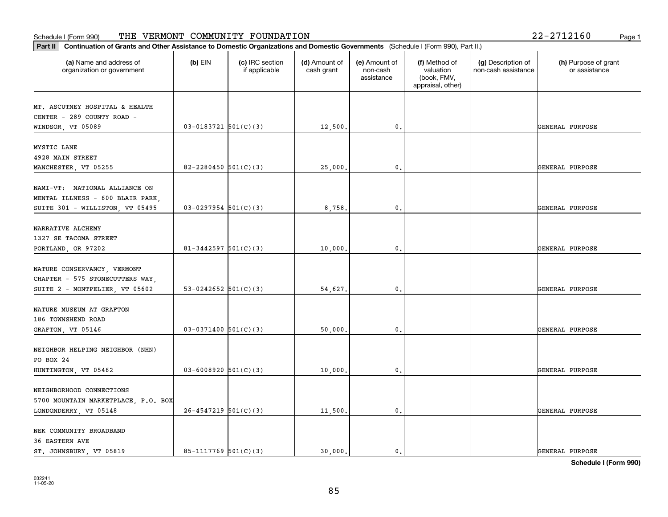| (a) Name and address of<br>organization or government | $(b)$ EIN                  | (c) IRC section<br>if applicable | (d) Amount of<br>cash grant | (e) Amount of<br>non-cash<br>assistance | (f) Method of<br>valuation<br>(book, FMV,<br>appraisal, other) | (g) Description of<br>non-cash assistance | (h) Purpose of grant<br>or assistance |
|-------------------------------------------------------|----------------------------|----------------------------------|-----------------------------|-----------------------------------------|----------------------------------------------------------------|-------------------------------------------|---------------------------------------|
| MT. ASCUTNEY HOSPITAL & HEALTH                        |                            |                                  |                             |                                         |                                                                |                                           |                                       |
| CENTER - 289 COUNTY ROAD -                            |                            |                                  |                             |                                         |                                                                |                                           |                                       |
| WINDSOR, VT 05089                                     | $03-0183721$ $501(C)(3)$   |                                  | 12,500.                     | 0.                                      |                                                                |                                           | GENERAL PURPOSE                       |
|                                                       |                            |                                  |                             |                                         |                                                                |                                           |                                       |
| MYSTIC LANE                                           |                            |                                  |                             |                                         |                                                                |                                           |                                       |
| 4928 MAIN STREET                                      |                            |                                  |                             |                                         |                                                                |                                           |                                       |
| MANCHESTER, VT 05255                                  | 82-2280450 $501(C)(3)$     |                                  | 25,000                      | 0.                                      |                                                                |                                           | GENERAL PURPOSE                       |
|                                                       |                            |                                  |                             |                                         |                                                                |                                           |                                       |
| NAMI-VT: NATIONAL ALLIANCE ON                         |                            |                                  |                             |                                         |                                                                |                                           |                                       |
| MENTAL ILLNESS - 600 BLAIR PARK,                      | $03-0297954$ 501(C)(3)     |                                  | 8,758                       | $\mathbf{0}$ .                          |                                                                |                                           | GENERAL PURPOSE                       |
| SUITE 301 - WILLISTON, VT 05495                       |                            |                                  |                             |                                         |                                                                |                                           |                                       |
| NARRATIVE ALCHEMY                                     |                            |                                  |                             |                                         |                                                                |                                           |                                       |
| 1327 SE TACOMA STREET                                 |                            |                                  |                             |                                         |                                                                |                                           |                                       |
| PORTLAND, OR 97202                                    | 81-3442597 $501(C)(3)$     |                                  | 10,000.                     | 0.                                      |                                                                |                                           | GENERAL PURPOSE                       |
|                                                       |                            |                                  |                             |                                         |                                                                |                                           |                                       |
| NATURE CONSERVANCY, VERMONT                           |                            |                                  |                             |                                         |                                                                |                                           |                                       |
| CHAPTER - 575 STONECUTTERS WAY,                       |                            |                                  |                             |                                         |                                                                |                                           |                                       |
| SUITE 2 - MONTPELIER, VT 05602                        | 53-0242652 $501(C)(3)$     |                                  | 54,627.                     | 0.                                      |                                                                |                                           | GENERAL PURPOSE                       |
|                                                       |                            |                                  |                             |                                         |                                                                |                                           |                                       |
| NATURE MUSEUM AT GRAFTON<br>186 TOWNSHEND ROAD        |                            |                                  |                             |                                         |                                                                |                                           |                                       |
| GRAFTON, VT 05146                                     | $03-0371400$ 501(C)(3)     |                                  | 50,000.                     | $\mathbf{0}$ .                          |                                                                |                                           | GENERAL PURPOSE                       |
|                                                       |                            |                                  |                             |                                         |                                                                |                                           |                                       |
| NEIGHBOR HELPING NEIGHBOR (NHN)                       |                            |                                  |                             |                                         |                                                                |                                           |                                       |
| PO BOX 24                                             |                            |                                  |                             |                                         |                                                                |                                           |                                       |
| HUNTINGTON, VT 05462                                  | $03 - 6008920$ 501(C)(3)   |                                  | 10,000,                     | $\mathfrak{o}$ .                        |                                                                |                                           | GENERAL PURPOSE                       |
|                                                       |                            |                                  |                             |                                         |                                                                |                                           |                                       |
| NEIGHBORHOOD CONNECTIONS                              |                            |                                  |                             |                                         |                                                                |                                           |                                       |
| 5700 MOUNTAIN MARKETPLACE, P.O. BOX                   |                            |                                  |                             |                                         |                                                                |                                           |                                       |
| LONDONDERRY, VT 05148                                 | $26 - 4547219$ 501(C)(3)   |                                  | 11,500.                     | $\mathfrak o$ .                         |                                                                |                                           | GENERAL PURPOSE                       |
| NEK COMMUNITY BROADBAND                               |                            |                                  |                             |                                         |                                                                |                                           |                                       |
| 36 EASTERN AVE                                        |                            |                                  |                             |                                         |                                                                |                                           |                                       |
| ST. JOHNSBURY VT 05819                                | $85 - 1117769$ $501(C)(3)$ |                                  | 30.000.                     | $\mathbf{0}$ .                          |                                                                |                                           | GENERAL PURPOSE                       |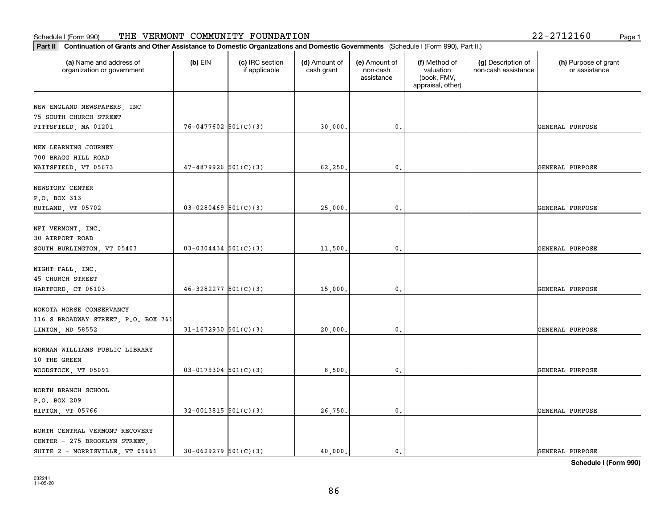# **Part III Continuation of Grants and Other Assistance to Domestic Organization of Grants and Other Assistance to Domestic Organization** Schedule I (Form 990) Page 1 THE VERMONT COMMUNITY FOUNDATION 22-2712160

| Continuation of Grants and Other Assistance to Domestic Organizations and Domestic Governments (Schedule I (Form 990), Part II.)<br> Part II |                          |                                  |                             |                                         |                                                                |                                           |                                       |
|----------------------------------------------------------------------------------------------------------------------------------------------|--------------------------|----------------------------------|-----------------------------|-----------------------------------------|----------------------------------------------------------------|-------------------------------------------|---------------------------------------|
| (a) Name and address of<br>organization or government                                                                                        | $(b)$ EIN                | (c) IRC section<br>if applicable | (d) Amount of<br>cash grant | (e) Amount of<br>non-cash<br>assistance | (f) Method of<br>valuation<br>(book, FMV,<br>appraisal, other) | (g) Description of<br>non-cash assistance | (h) Purpose of grant<br>or assistance |
| NEW ENGLAND NEWSPAPERS, INC<br>75 SOUTH CHURCH STREET<br>PITTSFIELD, MA 01201                                                                | $76 - 0477602$ 501(C)(3) |                                  | 30,000.                     | 0.                                      |                                                                |                                           | GENERAL PURPOSE                       |
| NEW LEARNING JOURNEY<br>700 BRAGG HILL ROAD<br>WAITSFIELD, VT 05673                                                                          | $47 - 4879926$ 501(C)(3) |                                  | 62,250.                     | 0.                                      |                                                                |                                           | GENERAL PURPOSE                       |
| NEWSTORY CENTER<br>P.O. BOX 313<br>RUTLAND, VT 05702                                                                                         | $03-0280469$ 501(C)(3)   |                                  | 25,000.                     | 0.                                      |                                                                |                                           | GENERAL PURPOSE                       |
| NFI VERMONT, INC.<br>30 AIRPORT ROAD<br>SOUTH BURLINGTON, VT 05403                                                                           | $03-0304434$ 501(C)(3)   |                                  | 11,500.                     | 0.                                      |                                                                |                                           | GENERAL PURPOSE                       |
| NIGHT FALL, INC.<br><b>45 CHURCH STREET</b><br>HARTFORD, CT 06103                                                                            | $46-3282277$ $501(C)(3)$ |                                  | 15,000.                     | 0.                                      |                                                                |                                           | GENERAL PURPOSE                       |
| NOKOTA HORSE CONSERVANCY<br>116 S BROADWAY STREET, P.O. BOX 761<br>LINTON, ND 58552                                                          | $31-1672930$ 501(C)(3)   |                                  | 20,000.                     | 0.                                      |                                                                |                                           | GENERAL PURPOSE                       |
| NORMAN WILLIAMS PUBLIC LIBRARY<br>10 THE GREEN<br>WOODSTOCK, VT 05091                                                                        | $03 - 0179304$ 501(C)(3) |                                  | 8,500.                      | 0.                                      |                                                                |                                           | GENERAL PURPOSE                       |
| NORTH BRANCH SCHOOL<br>P.O. BOX 209<br>RIPTON, VT 05766                                                                                      | $32-0013815$ 501(C)(3)   |                                  | 26,750.                     | 0.                                      |                                                                |                                           | GENERAL PURPOSE                       |
| NORTH CENTRAL VERMONT RECOVERY<br>CENTER - 275 BROOKLYN STREET,<br>SUITE 2 - MORRISVILLE, VT 05661                                           | $30 - 0629279$ 501(C)(3) |                                  | 40,000.                     | $\mathbf{0}$ .                          |                                                                |                                           | GENERAL PURPOSE                       |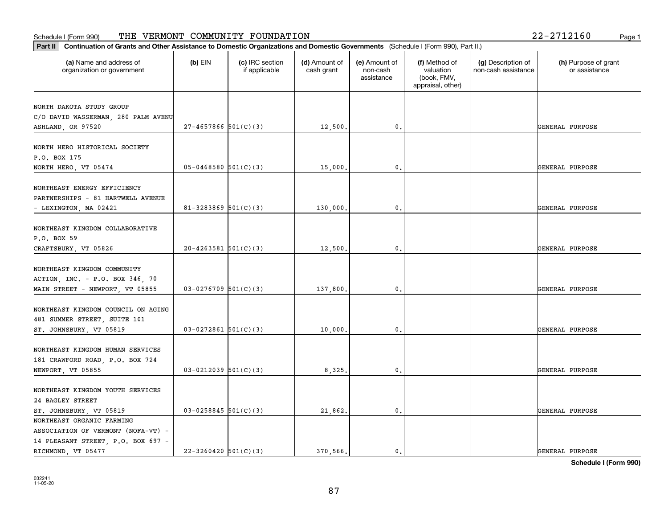#### **Part III Continuation of Grants and Other Assistance to Domestic Organization of Grants and Other Assistance to Domestic Organizations** Schedule I (Form 990) Page 1 THE VERMONT COMMUNITY FOUNDATION 22-2712160

| Continuation of Grants and Other Assistance to Domestic Organizations and Domestic Governments (Schedule I (Form 990), Part II.)<br>Part II |                          |                                  |                             |                                         |                                                                |                                           |                                       |
|---------------------------------------------------------------------------------------------------------------------------------------------|--------------------------|----------------------------------|-----------------------------|-----------------------------------------|----------------------------------------------------------------|-------------------------------------------|---------------------------------------|
| (a) Name and address of<br>organization or government                                                                                       | $(b)$ EIN                | (c) IRC section<br>if applicable | (d) Amount of<br>cash grant | (e) Amount of<br>non-cash<br>assistance | (f) Method of<br>valuation<br>(book, FMV,<br>appraisal, other) | (g) Description of<br>non-cash assistance | (h) Purpose of grant<br>or assistance |
| NORTH DAKOTA STUDY GROUP<br>C/O DAVID WASSERMAN, 280 PALM AVENU<br>ASHLAND, OR 97520                                                        | $27 - 4657866$ 501(C)(3) |                                  | 12,500.                     | 0.                                      |                                                                |                                           | GENERAL PURPOSE                       |
| NORTH HERO HISTORICAL SOCIETY<br>P.O. BOX 175<br>NORTH HERO, VT 05474                                                                       | $05 - 0468580$ 501(C)(3) |                                  | 15,000.                     | 0.                                      |                                                                |                                           | GENERAL PURPOSE                       |
| NORTHEAST ENERGY EFFICIENCY<br>PARTNERSHIPS - 81 HARTWELL AVENUE<br>- LEXINGTON, MA 02421                                                   | 81-3283869 $501(C)(3)$   |                                  | 130,000,                    | 0.                                      |                                                                |                                           | GENERAL PURPOSE                       |
| NORTHEAST KINGDOM COLLABORATIVE<br>P.O. BOX 59<br>CRAFTSBURY, VT 05826                                                                      | $20-4263581$ 501(C)(3)   |                                  | 12,500.                     | 0.                                      |                                                                |                                           | GENERAL PURPOSE                       |
| NORTHEAST KINGDOM COMMUNITY<br>ACTION, INC. - P.O. BOX 346, 70<br>MAIN STREET - NEWPORT, VT 05855                                           | $03-0276709$ 501(C)(3)   |                                  | 137,800.                    | 0.                                      |                                                                |                                           | GENERAL PURPOSE                       |
| NORTHEAST KINGDOM COUNCIL ON AGING<br>481 SUMMER STREET, SUITE 101<br>ST. JOHNSBURY, VT 05819                                               | $03 - 0272861$ 501(C)(3) |                                  | 10,000.                     | 0.                                      |                                                                |                                           | GENERAL PURPOSE                       |
| NORTHEAST KINGDOM HUMAN SERVICES<br>181 CRAWFORD ROAD, P.O. BOX 724<br>NEWPORT, VT 05855                                                    | $03 - 0212039$ 501(C)(3) |                                  | 8,325.                      | 0.                                      |                                                                |                                           | GENERAL PURPOSE                       |
| NORTHEAST KINGDOM YOUTH SERVICES<br>24 BAGLEY STREET<br>ST. JOHNSBURY, VT 05819                                                             | $03 - 0258845$ 501(C)(3) |                                  | 21,862.                     | 0.                                      |                                                                |                                           | GENERAL PURPOSE                       |
| NORTHEAST ORGANIC FARMING<br>ASSOCIATION OF VERMONT (NOFA-VT) -<br>14 PLEASANT STREET, P.O. BOX 697 -<br>RICHMOND, VT 05477                 | $22 - 3260420$ 501(C)(3) |                                  | 370.566.                    | $\mathfrak{o}$ .                        |                                                                |                                           | GENERAL PURPOSE                       |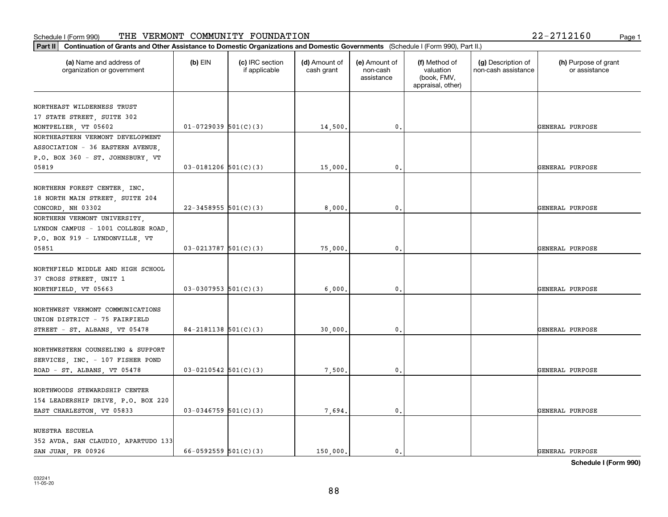| Part II   Continuation of Grants and Other Assistance to Domestic Organizations and Domestic Governments (Schedule I (Form 990), Part II.) |                            |                                  |                             |                                         |                                                                |                                           |                                       |  |  |
|--------------------------------------------------------------------------------------------------------------------------------------------|----------------------------|----------------------------------|-----------------------------|-----------------------------------------|----------------------------------------------------------------|-------------------------------------------|---------------------------------------|--|--|
| (a) Name and address of<br>organization or government                                                                                      | $(b)$ EIN                  | (c) IRC section<br>if applicable | (d) Amount of<br>cash grant | (e) Amount of<br>non-cash<br>assistance | (f) Method of<br>valuation<br>(book, FMV,<br>appraisal, other) | (g) Description of<br>non-cash assistance | (h) Purpose of grant<br>or assistance |  |  |
| NORTHEAST WILDERNESS TRUST                                                                                                                 |                            |                                  |                             |                                         |                                                                |                                           |                                       |  |  |
| 17 STATE STREET, SUITE 302                                                                                                                 |                            |                                  |                             |                                         |                                                                |                                           |                                       |  |  |
| MONTPELIER, VT 05602                                                                                                                       | $01-0729039$ 501(C)(3)     |                                  | 14,500.                     | $^{\circ}$ .                            |                                                                |                                           | GENERAL PURPOSE                       |  |  |
| NORTHEASTERN VERMONT DEVELOPMENT                                                                                                           |                            |                                  |                             |                                         |                                                                |                                           |                                       |  |  |
| ASSOCIATION - 36 EASTERN AVENUE.                                                                                                           |                            |                                  |                             |                                         |                                                                |                                           |                                       |  |  |
| P.O. BOX 360 - ST. JOHNSBURY, VT                                                                                                           |                            |                                  |                             |                                         |                                                                |                                           |                                       |  |  |
| 05819                                                                                                                                      | $03-0181206$ 501(C)(3)     |                                  | 15,000.                     | 0.                                      |                                                                |                                           | GENERAL PURPOSE                       |  |  |
|                                                                                                                                            |                            |                                  |                             |                                         |                                                                |                                           |                                       |  |  |
| NORTHERN FOREST CENTER, INC.                                                                                                               |                            |                                  |                             |                                         |                                                                |                                           |                                       |  |  |
| 18 NORTH MAIN STREET, SUITE 204                                                                                                            |                            |                                  |                             |                                         |                                                                |                                           |                                       |  |  |
| CONCORD, NH 03302                                                                                                                          | $22 - 3458955$ 501(C)(3)   |                                  | 8,000                       | $\mathfrak{o}$ .                        |                                                                |                                           | GENERAL PURPOSE                       |  |  |
| NORTHERN VERMONT UNIVERSITY,                                                                                                               |                            |                                  |                             |                                         |                                                                |                                           |                                       |  |  |
| LYNDON CAMPUS - 1001 COLLEGE ROAD,                                                                                                         |                            |                                  |                             |                                         |                                                                |                                           |                                       |  |  |
| P.O. BOX 919 - LYNDONVILLE, VT                                                                                                             |                            |                                  |                             |                                         |                                                                |                                           |                                       |  |  |
| 05851                                                                                                                                      | $03-0213787$ $501(C)(3)$   |                                  | 75,000.                     | $\mathbf 0$ .                           |                                                                |                                           | GENERAL PURPOSE                       |  |  |
|                                                                                                                                            |                            |                                  |                             |                                         |                                                                |                                           |                                       |  |  |
| NORTHFIELD MIDDLE AND HIGH SCHOOL                                                                                                          |                            |                                  |                             |                                         |                                                                |                                           |                                       |  |  |
| 37 CROSS STREET, UNIT 1                                                                                                                    |                            |                                  |                             |                                         |                                                                |                                           |                                       |  |  |
| NORTHFIELD, VT 05663                                                                                                                       | $03-0307953$ $501(C)(3)$   |                                  | 6,000                       | 0.                                      |                                                                |                                           | GENERAL PURPOSE                       |  |  |
|                                                                                                                                            |                            |                                  |                             |                                         |                                                                |                                           |                                       |  |  |
| NORTHWEST VERMONT COMMUNICATIONS                                                                                                           |                            |                                  |                             |                                         |                                                                |                                           |                                       |  |  |
| UNION DISTRICT - 75 FAIRFIELD                                                                                                              |                            |                                  |                             |                                         |                                                                |                                           |                                       |  |  |
| STREET - ST. ALBANS, VT 05478                                                                                                              | $84 - 2181138$ 501(C)(3)   |                                  | 30,000.                     | $\mathfrak{o}$ .                        |                                                                |                                           | GENERAL PURPOSE                       |  |  |
| NORTHWESTERN COUNSELING & SUPPORT                                                                                                          |                            |                                  |                             |                                         |                                                                |                                           |                                       |  |  |
| SERVICES, INC. - 107 FISHER POND                                                                                                           |                            |                                  |                             |                                         |                                                                |                                           |                                       |  |  |
| ROAD - ST. ALBANS, VT 05478                                                                                                                | $03 - 0210542$ 501(C)(3)   |                                  | 7,500.                      | $\mathfrak{o}$ .                        |                                                                |                                           | GENERAL PURPOSE                       |  |  |
|                                                                                                                                            |                            |                                  |                             |                                         |                                                                |                                           |                                       |  |  |
| NORTHWOODS STEWARDSHIP CENTER                                                                                                              |                            |                                  |                             |                                         |                                                                |                                           |                                       |  |  |
| 154 LEADERSHIP DRIVE, P.O. BOX 220                                                                                                         |                            |                                  |                             |                                         |                                                                |                                           |                                       |  |  |
| EAST CHARLESTON, VT 05833                                                                                                                  | $03-0346759$ 501(C)(3)     |                                  | 7,694.                      | 0.                                      |                                                                |                                           | <b>GENERAL PURPOSE</b>                |  |  |
|                                                                                                                                            |                            |                                  |                             |                                         |                                                                |                                           |                                       |  |  |
| NUESTRA ESCUELA                                                                                                                            |                            |                                  |                             |                                         |                                                                |                                           |                                       |  |  |
| 352 AVDA. SAN CLAUDIO, APARTUDO 133                                                                                                        |                            |                                  |                             |                                         |                                                                |                                           |                                       |  |  |
| SAN JUAN, PR 00926                                                                                                                         | $66 - 0592559$ $501(C)(3)$ |                                  | 150,000.                    | $\mathbf{0}$ .                          |                                                                |                                           | GENERAL PURPOSE                       |  |  |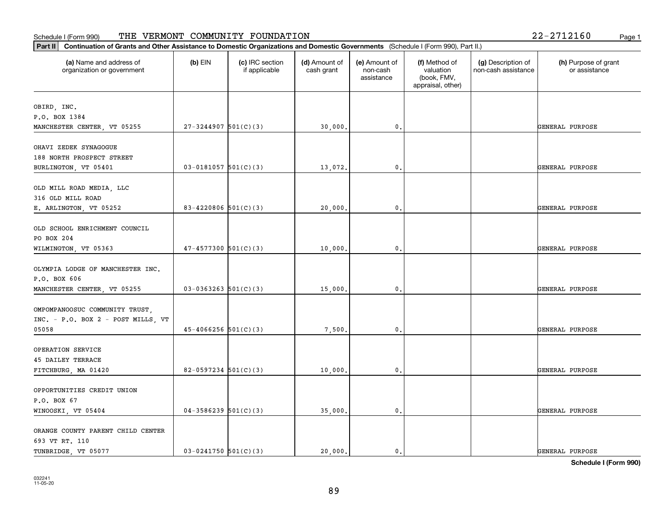| (a) Name and address of<br>organization or government | $(b)$ EIN                  | (c) IRC section<br>if applicable | (d) Amount of<br>cash grant | (e) Amount of<br>non-cash<br>assistance | (f) Method of<br>valuation<br>(book, FMV, | (g) Description of<br>non-cash assistance | (h) Purpose of grant<br>or assistance |
|-------------------------------------------------------|----------------------------|----------------------------------|-----------------------------|-----------------------------------------|-------------------------------------------|-------------------------------------------|---------------------------------------|
|                                                       |                            |                                  |                             |                                         | appraisal, other)                         |                                           |                                       |
| OBIRD, INC.                                           |                            |                                  |                             |                                         |                                           |                                           |                                       |
| P.O. BOX 1384                                         |                            |                                  |                             |                                         |                                           |                                           |                                       |
| MANCHESTER CENTER, VT 05255                           | $27 - 3244907$ 501(C)(3)   |                                  | 30,000.                     | 0.                                      |                                           |                                           | GENERAL PURPOSE                       |
| OHAVI ZEDEK SYNAGOGUE                                 |                            |                                  |                             |                                         |                                           |                                           |                                       |
| 188 NORTH PROSPECT STREET                             |                            |                                  |                             |                                         |                                           |                                           |                                       |
| BURLINGTON, VT 05401                                  | $03 - 0181057$ 501(C)(3)   |                                  | 13,072.                     | 0.                                      |                                           |                                           | GENERAL PURPOSE                       |
| OLD MILL ROAD MEDIA, LLC                              |                            |                                  |                             |                                         |                                           |                                           |                                       |
| 316 OLD MILL ROAD                                     |                            |                                  |                             |                                         |                                           |                                           |                                       |
| E. ARLINGTON, VT 05252                                | $83 - 4220806$ 501(C)(3)   |                                  | 20,000.                     | 0.                                      |                                           |                                           | GENERAL PURPOSE                       |
|                                                       |                            |                                  |                             |                                         |                                           |                                           |                                       |
| OLD SCHOOL ENRICHMENT COUNCIL                         |                            |                                  |                             |                                         |                                           |                                           |                                       |
| PO BOX 204                                            | $47 - 4577300$ 501(C)(3)   |                                  |                             | 0.                                      |                                           |                                           | GENERAL PURPOSE                       |
| WILMINGTON, VT 05363                                  |                            |                                  | 10,000.                     |                                         |                                           |                                           |                                       |
| OLYMPIA LODGE OF MANCHESTER INC.                      |                            |                                  |                             |                                         |                                           |                                           |                                       |
| P.O. BOX 606                                          |                            |                                  |                             |                                         |                                           |                                           |                                       |
| MANCHESTER CENTER, VT 05255                           | $03-0363263$ $501(C)(3)$   |                                  | 15,000.                     | 0.                                      |                                           |                                           | GENERAL PURPOSE                       |
| OMPOMPANOOSUC COMMUNITY TRUST,                        |                            |                                  |                             |                                         |                                           |                                           |                                       |
| INC. - P.O. BOX 2 - POST MILLS, VT                    |                            |                                  |                             |                                         |                                           |                                           |                                       |
| 05058                                                 | $45 - 4066256$ $501(C)(3)$ |                                  | 7,500.                      | 0.                                      |                                           |                                           | GENERAL PURPOSE                       |
|                                                       |                            |                                  |                             |                                         |                                           |                                           |                                       |
| OPERATION SERVICE                                     |                            |                                  |                             |                                         |                                           |                                           |                                       |
| <b>45 DAILEY TERRACE</b>                              |                            |                                  |                             |                                         |                                           |                                           |                                       |
| FITCHBURG, MA 01420                                   | $82 - 0597234$ 501(C)(3)   |                                  | 10,000,                     | $\mathbf{0}$ .                          |                                           |                                           | GENERAL PURPOSE                       |
| OPPORTUNITIES CREDIT UNION                            |                            |                                  |                             |                                         |                                           |                                           |                                       |
| P.O. BOX 67                                           |                            |                                  |                             |                                         |                                           |                                           |                                       |
| WINOOSKI, VT 05404                                    | $04-3586239$ 501(C)(3)     |                                  | 35,000.                     | $\mathbf 0$ .                           |                                           |                                           | GENERAL PURPOSE                       |
| ORANGE COUNTY PARENT CHILD CENTER                     |                            |                                  |                             |                                         |                                           |                                           |                                       |
| 693 VT RT. 110                                        |                            |                                  |                             |                                         |                                           |                                           |                                       |
| TUNBRIDGE, VT 05077                                   | $03 - 0241750$ 501(C)(3)   |                                  | 20,000.                     | $\mathbf{0}$ .                          |                                           |                                           | GENERAL PURPOSE                       |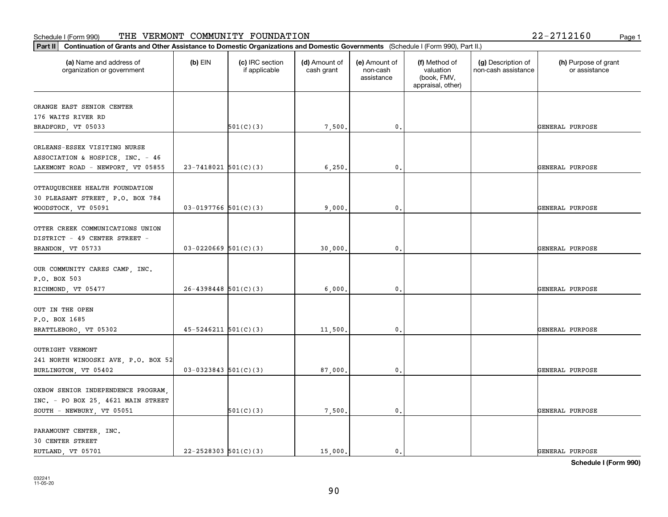| Part II   Continuation of Grants and Other Assistance to Domestic Organizations and Domestic Governments (Schedule I (Form 990), Part II.) |                            |                                  |                             |                                         |                                                                |                                           |                                       |
|--------------------------------------------------------------------------------------------------------------------------------------------|----------------------------|----------------------------------|-----------------------------|-----------------------------------------|----------------------------------------------------------------|-------------------------------------------|---------------------------------------|
| (a) Name and address of<br>organization or government                                                                                      | $(b)$ EIN                  | (c) IRC section<br>if applicable | (d) Amount of<br>cash grant | (e) Amount of<br>non-cash<br>assistance | (f) Method of<br>valuation<br>(book, FMV,<br>appraisal, other) | (g) Description of<br>non-cash assistance | (h) Purpose of grant<br>or assistance |
| ORANGE EAST SENIOR CENTER                                                                                                                  |                            |                                  |                             |                                         |                                                                |                                           |                                       |
| 176 WAITS RIVER RD                                                                                                                         |                            |                                  |                             |                                         |                                                                |                                           |                                       |
| BRADFORD, VT 05033                                                                                                                         |                            | 501(C)(3)                        | 7,500.                      | $\mathfrak o$ .                         |                                                                |                                           | GENERAL PURPOSE                       |
| ORLEANS-ESSEX VISITING NURSE                                                                                                               |                            |                                  |                             |                                         |                                                                |                                           |                                       |
| ASSOCIATION & HOSPICE, INC. - 46                                                                                                           |                            |                                  |                             |                                         |                                                                |                                           |                                       |
| LAKEMONT ROAD - NEWPORT, VT 05855                                                                                                          | $23 - 7418021$ 501(C)(3)   |                                  | 6, 250.                     | $\mathfrak{o}$ .                        |                                                                |                                           | GENERAL PURPOSE                       |
|                                                                                                                                            |                            |                                  |                             |                                         |                                                                |                                           |                                       |
| OTTAUQUECHEE HEALTH FOUNDATION                                                                                                             |                            |                                  |                             |                                         |                                                                |                                           |                                       |
| 30 PLEASANT STREET, P.O. BOX 784                                                                                                           |                            |                                  |                             |                                         |                                                                |                                           |                                       |
| WOODSTOCK, VT 05091                                                                                                                        | $03-0197766$ 501(C)(3)     |                                  | 9,000.                      | $\mathfrak{o}$ .                        |                                                                |                                           | GENERAL PURPOSE                       |
|                                                                                                                                            |                            |                                  |                             |                                         |                                                                |                                           |                                       |
| OTTER CREEK COMMUNICATIONS UNION                                                                                                           |                            |                                  |                             |                                         |                                                                |                                           |                                       |
| DISTRICT - 49 CENTER STREET -<br>BRANDON, VT 05733                                                                                         | $03-0220669$ 501(C)(3)     |                                  | 30,000.                     | 0.                                      |                                                                |                                           | GENERAL PURPOSE                       |
|                                                                                                                                            |                            |                                  |                             |                                         |                                                                |                                           |                                       |
| OUR COMMUNITY CARES CAMP, INC.                                                                                                             |                            |                                  |                             |                                         |                                                                |                                           |                                       |
| P.O. BOX 503                                                                                                                               |                            |                                  |                             |                                         |                                                                |                                           |                                       |
| RICHMOND, VT 05477                                                                                                                         | $26 - 4398448$ 501(C)(3)   |                                  | 6,000.                      | $\mathbf{0}$                            |                                                                |                                           | GENERAL PURPOSE                       |
|                                                                                                                                            |                            |                                  |                             |                                         |                                                                |                                           |                                       |
| OUT IN THE OPEN                                                                                                                            |                            |                                  |                             |                                         |                                                                |                                           |                                       |
| P.O. BOX 1685                                                                                                                              |                            |                                  |                             |                                         |                                                                |                                           |                                       |
| BRATTLEBORO, VT 05302                                                                                                                      | $45 - 5246211$ $501(C)(3)$ |                                  | 11,500.                     | $\mathfrak o$ .                         |                                                                |                                           | GENERAL PURPOSE                       |
|                                                                                                                                            |                            |                                  |                             |                                         |                                                                |                                           |                                       |
| OUTRIGHT VERMONT                                                                                                                           |                            |                                  |                             |                                         |                                                                |                                           |                                       |
| 241 NORTH WINOOSKI AVE, P.O. BOX 52<br>BURLINGTON, VT 05402                                                                                | $03-0323843$ 501(C)(3)     |                                  |                             | $\mathbf{0}$ .                          |                                                                |                                           | GENERAL PURPOSE                       |
|                                                                                                                                            |                            |                                  | 87,000,                     |                                         |                                                                |                                           |                                       |
| OXBOW SENIOR INDEPENDENCE PROGRAM,                                                                                                         |                            |                                  |                             |                                         |                                                                |                                           |                                       |
| INC. - PO BOX 25, 4621 MAIN STREET                                                                                                         |                            |                                  |                             |                                         |                                                                |                                           |                                       |
| SOUTH - NEWBURY, VT 05051                                                                                                                  |                            | 501(C)(3)                        | 7,500.                      | $\mathbf 0$ .                           |                                                                |                                           | GENERAL PURPOSE                       |
|                                                                                                                                            |                            |                                  |                             |                                         |                                                                |                                           |                                       |
| PARAMOUNT CENTER, INC.                                                                                                                     |                            |                                  |                             |                                         |                                                                |                                           |                                       |
| 30 CENTER STREET                                                                                                                           |                            |                                  |                             |                                         |                                                                |                                           |                                       |
| RUTLAND, VT 05701                                                                                                                          | $22 - 2528303$ 501(C)(3)   |                                  | 15,000.                     | $\mathfrak{o}$ .                        |                                                                |                                           | GENERAL PURPOSE                       |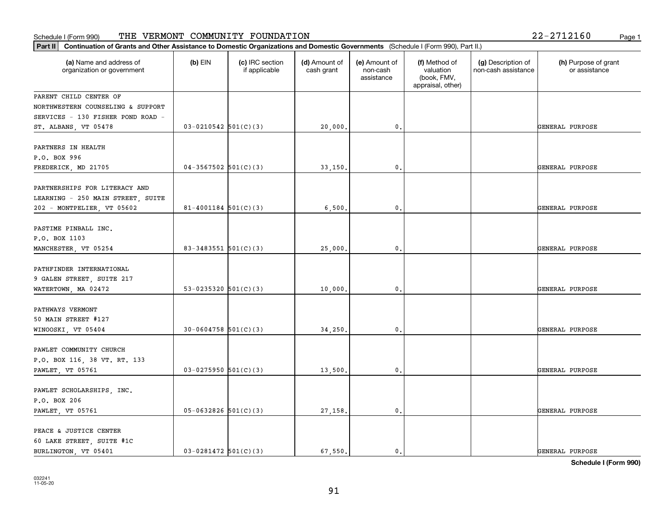| 2-2712160 | Page 1 |
|-----------|--------|
|-----------|--------|

| Part II   Continuation of Grants and Other Assistance to Domestic Organizations and Domestic Governments (Schedule I (Form 990), Part II.) |                          |                                  |                             |                                         |                                                                |                                           |                                       |
|--------------------------------------------------------------------------------------------------------------------------------------------|--------------------------|----------------------------------|-----------------------------|-----------------------------------------|----------------------------------------------------------------|-------------------------------------------|---------------------------------------|
| (a) Name and address of<br>organization or government                                                                                      | $(b)$ EIN                | (c) IRC section<br>if applicable | (d) Amount of<br>cash grant | (e) Amount of<br>non-cash<br>assistance | (f) Method of<br>valuation<br>(book, FMV,<br>appraisal, other) | (g) Description of<br>non-cash assistance | (h) Purpose of grant<br>or assistance |
| PARENT CHILD CENTER OF                                                                                                                     |                          |                                  |                             |                                         |                                                                |                                           |                                       |
| NORTHWESTERN COUNSELING & SUPPORT                                                                                                          |                          |                                  |                             |                                         |                                                                |                                           |                                       |
| SERVICES - 130 FISHER POND ROAD -                                                                                                          |                          |                                  |                             |                                         |                                                                |                                           |                                       |
| ST. ALBANS, VT 05478                                                                                                                       | $03 - 0210542$ 501(C)(3) |                                  | 20,000.                     | 0.                                      |                                                                |                                           | GENERAL PURPOSE                       |
| PARTNERS IN HEALTH<br>P.O. BOX 996                                                                                                         |                          |                                  |                             |                                         |                                                                |                                           |                                       |
| FREDERICK, MD 21705                                                                                                                        | $04-3567502$ $501(C)(3)$ |                                  | 33,150.                     | 0.                                      |                                                                |                                           | GENERAL PURPOSE                       |
| PARTNERSHIPS FOR LITERACY AND<br>LEARNING - 250 MAIN STREET, SUITE                                                                         | $81 - 4001184$ 501(C)(3) |                                  | 6,500.                      | $\mathbf{0}$ .                          |                                                                |                                           | GENERAL PURPOSE                       |
| 202 - MONTPELIER, VT 05602                                                                                                                 |                          |                                  |                             |                                         |                                                                |                                           |                                       |
| PASTIME PINBALL INC.<br>P.O. BOX 1103                                                                                                      |                          |                                  |                             |                                         |                                                                |                                           |                                       |
| MANCHESTER, VT 05254                                                                                                                       | 83-3483551 $501(C)(3)$   |                                  | 25,000.                     | $\mathbf{0}$ .                          |                                                                |                                           | GENERAL PURPOSE                       |
| PATHFINDER INTERNATIONAL<br>9 GALEN STREET, SUITE 217                                                                                      |                          |                                  |                             |                                         |                                                                |                                           |                                       |
| WATERTOWN, MA 02472                                                                                                                        | 53-0235320 $501(C)(3)$   |                                  | 10,000.                     | $\mathbf 0$ .                           |                                                                |                                           | GENERAL PURPOSE                       |
| PATHWAYS VERMONT<br>50 MAIN STREET #127                                                                                                    |                          |                                  |                             |                                         |                                                                |                                           |                                       |
| WINOOSKI, VT 05404                                                                                                                         | $30-0604758$ 501(C)(3)   |                                  | 34,250.                     | 0.                                      |                                                                |                                           | GENERAL PURPOSE                       |
| PAWLET COMMUNITY CHURCH<br>P.O. BOX 116, 38 VT. RT. 133                                                                                    |                          |                                  |                             |                                         |                                                                |                                           |                                       |
| <b>PAWLET, VT 05761</b>                                                                                                                    | $03-0275950$ 501(C)(3)   |                                  | 13,500.                     | $\mathfrak{o}$ .                        |                                                                |                                           | GENERAL PURPOSE                       |
| PAWLET SCHOLARSHIPS, INC.                                                                                                                  |                          |                                  |                             |                                         |                                                                |                                           |                                       |
| P.O. BOX 206<br>PAWLET, VT 05761                                                                                                           | $05 - 0632826$ 501(C)(3) |                                  | 27,158.                     | $\mathbf{0}$ .                          |                                                                |                                           | GENERAL PURPOSE                       |
|                                                                                                                                            |                          |                                  |                             |                                         |                                                                |                                           |                                       |
| PEACE & JUSTICE CENTER                                                                                                                     |                          |                                  |                             |                                         |                                                                |                                           |                                       |
| 60 LAKE STREET, SUITE #1C<br>BURLINGTON, VT 05401                                                                                          | $03-0281472$ 501(C)(3)   |                                  | 67.550.                     | $\mathbf{0}$ .                          |                                                                |                                           | GENERAL PURPOSE                       |
|                                                                                                                                            |                          |                                  |                             |                                         |                                                                |                                           |                                       |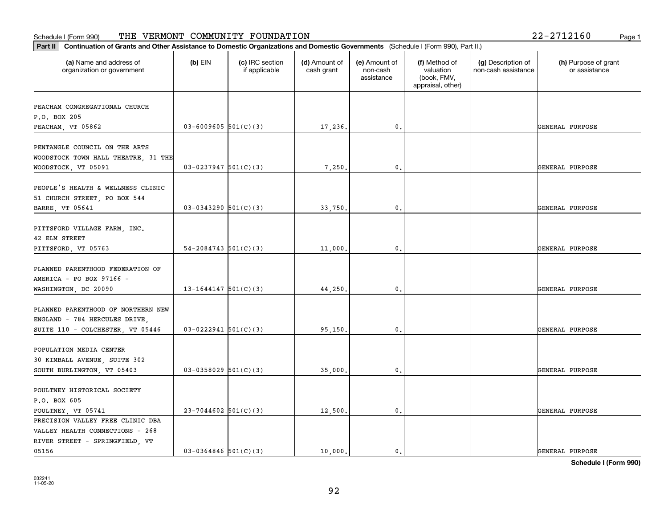#### **Part III Continuation of Grants and Other Assistance to Domestic Organization of Grants and Other Assistance to Domestic Organizations** Schedule I (Form 990) Page 1 THE VERMONT COMMUNITY FOUNDATION 22-2712160

| Continuation of Grants and Other Assistance to Domestic Organizations and Domestic Governments (Schedule I (Form 990), Part II.)<br>Part II |                            |                                  |                             |                                         |                                                                |                                           |                                       |
|---------------------------------------------------------------------------------------------------------------------------------------------|----------------------------|----------------------------------|-----------------------------|-----------------------------------------|----------------------------------------------------------------|-------------------------------------------|---------------------------------------|
| (a) Name and address of<br>organization or government                                                                                       | $(b)$ EIN                  | (c) IRC section<br>if applicable | (d) Amount of<br>cash grant | (e) Amount of<br>non-cash<br>assistance | (f) Method of<br>valuation<br>(book, FMV,<br>appraisal, other) | (g) Description of<br>non-cash assistance | (h) Purpose of grant<br>or assistance |
| PEACHAM CONGREGATIONAL CHURCH<br>P.O. BOX 205                                                                                               |                            |                                  |                             |                                         |                                                                |                                           |                                       |
| PEACHAM, VT 05862                                                                                                                           | $03 - 6009605$ 501(C)(3)   |                                  | 17,236.                     | 0.                                      |                                                                |                                           | GENERAL PURPOSE                       |
| PENTANGLE COUNCIL ON THE ARTS<br>WOODSTOCK TOWN HALL THEATRE, 31 THE<br>WOODSTOCK, VT 05091                                                 | $03-0237947$ 501(C)(3)     |                                  | 7,250.                      | 0.                                      |                                                                |                                           | GENERAL PURPOSE                       |
| PEOPLE'S HEALTH & WELLNESS CLINIC<br>51 CHURCH STREET, PO BOX 544<br><b>BARRE, VT 05641</b>                                                 | $03-0343290$ 501(C)(3)     |                                  | 33,750,                     | 0.                                      |                                                                |                                           | GENERAL PURPOSE                       |
| PITTSFORD VILLAGE FARM, INC.<br>42 ELM STREET<br>PITTSFORD, VT 05763                                                                        | $54 - 2084743$ $501(C)(3)$ |                                  | 11,000.                     | 0.                                      |                                                                |                                           | GENERAL PURPOSE                       |
| PLANNED PARENTHOOD FEDERATION OF<br>AMERICA - PO BOX 97166 -<br>WASHINGTON, DC 20090                                                        | $13 - 1644147$ 501(C)(3)   |                                  | 44,250.                     | 0.                                      |                                                                |                                           | GENERAL PURPOSE                       |
| PLANNED PARENTHOOD OF NORTHERN NEW<br>ENGLAND - 784 HERCULES DRIVE,<br>SUITE 110 - COLCHESTER, VT 05446                                     | $03 - 0222941$ 501(C)(3)   |                                  | 95,150.                     | 0.                                      |                                                                |                                           | GENERAL PURPOSE                       |
| POPULATION MEDIA CENTER<br>30 KIMBALL AVENUE, SUITE 302<br>SOUTH BURLINGTON, VT 05403                                                       | $03-0358029$ $501(C)(3)$   |                                  | 35,000.                     | 0.                                      |                                                                |                                           | GENERAL PURPOSE                       |
| POULTNEY HISTORICAL SOCIETY<br>P.O. BOX 605<br>POULTNEY, VT 05741                                                                           | $23 - 7044602$ 501(C)(3)   |                                  | 12,500.                     | 0.                                      |                                                                |                                           | GENERAL PURPOSE                       |
| PRECISION VALLEY FREE CLINIC DBA<br>VALLEY HEALTH CONNECTIONS - 268<br>RIVER STREET - SPRINGFIELD, VT<br>05156                              | $03 - 0364846$ 501(C)(3)   |                                  | 10,000.                     | $\mathfrak{o}$ .                        |                                                                |                                           | <b>GENERAL PURPOSE</b>                |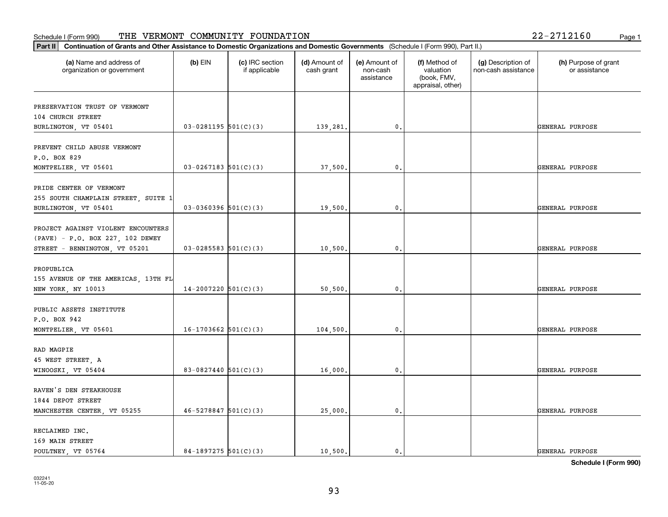| (a) Name and address of<br>$(b)$ EIN<br>(c) IRC section<br>organization or government<br>if applicable<br>$03-0281195$ 501(C)(3)<br>$03 - 0267183$ 501(C)(3)<br>$03-0360396$ 501(C)(3) | (d) Amount of<br>cash grant | (e) Amount of<br>non-cash | (f) Method of                                 | (g) Description of  |                                       |
|----------------------------------------------------------------------------------------------------------------------------------------------------------------------------------------|-----------------------------|---------------------------|-----------------------------------------------|---------------------|---------------------------------------|
| PRESERVATION TRUST OF VERMONT                                                                                                                                                          |                             | assistance                | valuation<br>(book, FMV,<br>appraisal, other) | non-cash assistance | (h) Purpose of grant<br>or assistance |
| 104 CHURCH STREET<br>BURLINGTON, VT 05401                                                                                                                                              |                             |                           |                                               |                     |                                       |
|                                                                                                                                                                                        |                             |                           |                                               |                     |                                       |
|                                                                                                                                                                                        | 139,281.                    | 0.                        |                                               |                     | GENERAL PURPOSE                       |
| PREVENT CHILD ABUSE VERMONT<br>P.O. BOX 829<br>MONTPELIER, VT 05601<br>PRIDE CENTER OF VERMONT<br>255 SOUTH CHAMPLAIN STREET, SUITE 1<br>BURLINGTON, VT 05401                          |                             |                           |                                               |                     |                                       |
|                                                                                                                                                                                        |                             |                           |                                               |                     |                                       |
|                                                                                                                                                                                        |                             |                           |                                               |                     |                                       |
|                                                                                                                                                                                        | 37,500                      | 0.                        |                                               |                     | GENERAL PURPOSE                       |
|                                                                                                                                                                                        |                             |                           |                                               |                     |                                       |
|                                                                                                                                                                                        |                             |                           |                                               |                     |                                       |
|                                                                                                                                                                                        |                             |                           |                                               |                     |                                       |
|                                                                                                                                                                                        | 19,500.                     | $\mathbf{0}$ .            |                                               |                     | GENERAL PURPOSE                       |
| PROJECT AGAINST VIOLENT ENCOUNTERS                                                                                                                                                     |                             |                           |                                               |                     |                                       |
|                                                                                                                                                                                        |                             |                           |                                               |                     |                                       |
| (PAVE) - P.O. BOX 227, 102 DEWEY                                                                                                                                                       |                             | 0.                        |                                               |                     | GENERAL PURPOSE                       |
| $03 - 0285583$ 501(C)(3)<br>STREET - BENNINGTON, VT 05201                                                                                                                              | 10,500.                     |                           |                                               |                     |                                       |
| PROPUBLICA                                                                                                                                                                             |                             |                           |                                               |                     |                                       |
| 155 AVENUE OF THE AMERICAS, 13TH FL                                                                                                                                                    |                             |                           |                                               |                     |                                       |
| $14-2007220$ 501(C)(3)<br>NEW YORK, NY 10013                                                                                                                                           | 50,500                      | 0.                        |                                               |                     | GENERAL PURPOSE                       |
|                                                                                                                                                                                        |                             |                           |                                               |                     |                                       |
| PUBLIC ASSETS INSTITUTE                                                                                                                                                                |                             |                           |                                               |                     |                                       |
| P.O. BOX 942                                                                                                                                                                           |                             |                           |                                               |                     |                                       |
| $16-1703662$ $501(C)(3)$<br>MONTPELIER, VT 05601                                                                                                                                       | 104,500                     | 0.                        |                                               |                     | GENERAL PURPOSE                       |
|                                                                                                                                                                                        |                             |                           |                                               |                     |                                       |
| RAD MAGPIE                                                                                                                                                                             |                             |                           |                                               |                     |                                       |
| 45 WEST STREET, A                                                                                                                                                                      |                             |                           |                                               |                     |                                       |
| 83-0827440 $501(C)(3)$<br>WINOOSKI, VT 05404                                                                                                                                           | 16,000                      | $\mathfrak{o}$ .          |                                               |                     | GENERAL PURPOSE                       |
|                                                                                                                                                                                        |                             |                           |                                               |                     |                                       |
| RAVEN'S DEN STEAKHOUSE                                                                                                                                                                 |                             |                           |                                               |                     |                                       |
| 1844 DEPOT STREET                                                                                                                                                                      |                             |                           |                                               |                     |                                       |
| $46 - 5278847$ 501(C)(3)<br>MANCHESTER CENTER, VT 05255                                                                                                                                | 25,000.                     | $\mathbf{0}$ .            |                                               |                     | GENERAL PURPOSE                       |
| RECLAIMED INC.                                                                                                                                                                         |                             |                           |                                               |                     |                                       |
| 169 MAIN STREET                                                                                                                                                                        |                             |                           |                                               |                     |                                       |
| 84-1897275 $501(C)(3)$<br>POULTNEY VT 05764                                                                                                                                            | 10.500.                     | $\mathbf{0}$ .            |                                               |                     | GENERAL PURPOSE                       |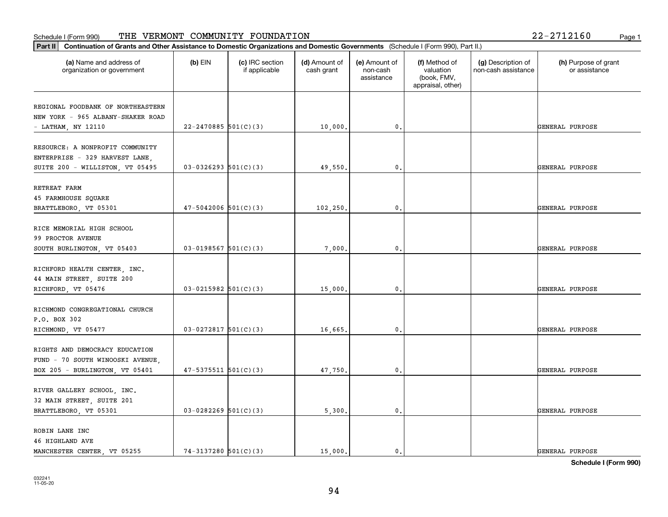| Part II <br>Continuation of Grants and Other Assistance to Domestic Organizations and Domestic Governments (Schedule I (Form 990), Part II.) |                            |                                  |                             |                                         |                                                                |                                           |                                       |
|----------------------------------------------------------------------------------------------------------------------------------------------|----------------------------|----------------------------------|-----------------------------|-----------------------------------------|----------------------------------------------------------------|-------------------------------------------|---------------------------------------|
| (a) Name and address of<br>organization or government                                                                                        | (b) $EIN$                  | (c) IRC section<br>if applicable | (d) Amount of<br>cash grant | (e) Amount of<br>non-cash<br>assistance | (f) Method of<br>valuation<br>(book, FMV,<br>appraisal, other) | (g) Description of<br>non-cash assistance | (h) Purpose of grant<br>or assistance |
| REGIONAL FOODBANK OF NORTHEASTERN<br>NEW YORK - 965 ALBANY-SHAKER ROAD<br>- LATHAM, NY 12110                                                 | $22 - 2470885$ 501(C)(3)   |                                  | 10,000.                     | $^{\rm 0}$ .                            |                                                                |                                           | GENERAL PURPOSE                       |
| RESOURCE: A NONPROFIT COMMUNITY<br>ENTERPRISE - 329 HARVEST LANE,<br>SUITE 200 - WILLISTON, VT 05495                                         | $03-0326293$ $501(C)(3)$   |                                  | 49,550.                     | 0.                                      |                                                                |                                           | GENERAL PURPOSE                       |
| RETREAT FARM<br>45 FARMHOUSE SQUARE<br>BRATTLEBORO, VT 05301                                                                                 | $47 - 5042006$ $501(C)(3)$ |                                  | 102,250.                    | 0.                                      |                                                                |                                           | GENERAL PURPOSE                       |
| RICE MEMORIAL HIGH SCHOOL<br>99 PROCTOR AVENUE<br>SOUTH BURLINGTON, VT 05403                                                                 | $03-0198567$ $501(C)(3)$   |                                  | 7,000.                      | 0.                                      |                                                                |                                           | GENERAL PURPOSE                       |
| RICHFORD HEALTH CENTER, INC.<br>44 MAIN STREET, SUITE 200<br>RICHFORD, VT 05476                                                              | $03 - 0215982$ 501(C)(3)   |                                  | 15,000.                     | 0.                                      |                                                                |                                           | GENERAL PURPOSE                       |
| RICHMOND CONGREGATIONAL CHURCH<br>P.O. BOX 302<br>RICHMOND, VT 05477                                                                         | $03-0272817$ 501(C)(3)     |                                  | 16,665.                     | 0.                                      |                                                                |                                           | GENERAL PURPOSE                       |
| RIGHTS AND DEMOCRACY EDUCATION<br>FUND - 70 SOUTH WINOOSKI AVENUE,<br>BOX 205 - BURLINGTON, VT 05401                                         | $47 - 5375511$ $501(C)(3)$ |                                  | 47,750.                     | $^{\rm 0}$ .                            |                                                                |                                           | GENERAL PURPOSE                       |
| RIVER GALLERY SCHOOL, INC.<br>32 MAIN STREET, SUITE 201<br>BRATTLEBORO, VT 05301                                                             | $03-0282269$ 501(C)(3)     |                                  | 5,300.                      | 0.                                      |                                                                |                                           | GENERAL PURPOSE                       |
| ROBIN LANE INC<br>46 HIGHLAND AVE<br>MANCHESTER CENTER, VT 05255                                                                             | $74-3137280$ 501(C)(3)     |                                  | 15,000.                     | 0.                                      |                                                                |                                           | GENERAL PURPOSE                       |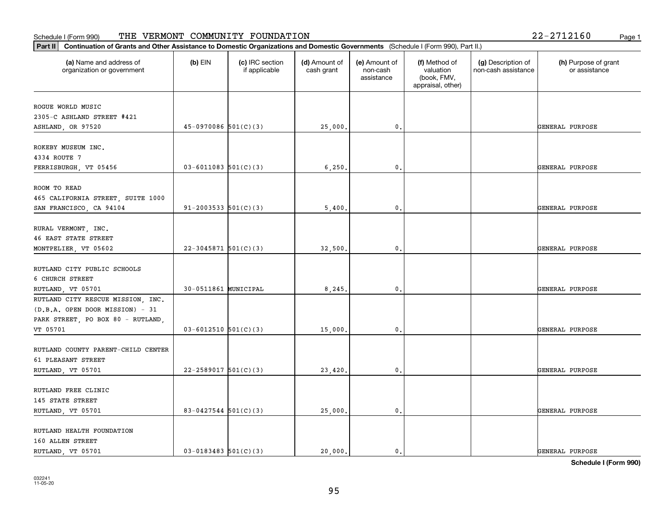| Continuation of Grants and Other Assistance to Domestic Organizations and Domestic Governments (Schedule I (Form 990), Part II.)<br>$ $ Part II |                            |                                  |                             |                                         |                                                                |                                           |                                       |
|-------------------------------------------------------------------------------------------------------------------------------------------------|----------------------------|----------------------------------|-----------------------------|-----------------------------------------|----------------------------------------------------------------|-------------------------------------------|---------------------------------------|
| (a) Name and address of<br>organization or government                                                                                           | $(b)$ EIN                  | (c) IRC section<br>if applicable | (d) Amount of<br>cash grant | (e) Amount of<br>non-cash<br>assistance | (f) Method of<br>valuation<br>(book, FMV,<br>appraisal, other) | (g) Description of<br>non-cash assistance | (h) Purpose of grant<br>or assistance |
| ROGUE WORLD MUSIC                                                                                                                               |                            |                                  |                             |                                         |                                                                |                                           |                                       |
| 2305-C ASHLAND STREET #421                                                                                                                      |                            |                                  |                             |                                         |                                                                |                                           |                                       |
| ASHLAND, OR 97520                                                                                                                               | $45-0970086$ $501(C)(3)$   |                                  | 25,000.                     | 0.                                      |                                                                |                                           | GENERAL PURPOSE                       |
|                                                                                                                                                 |                            |                                  |                             |                                         |                                                                |                                           |                                       |
| ROKEBY MUSEUM INC.                                                                                                                              |                            |                                  |                             |                                         |                                                                |                                           |                                       |
| 4334 ROUTE 7                                                                                                                                    |                            |                                  |                             |                                         |                                                                |                                           |                                       |
| FERRISBURGH, VT 05456                                                                                                                           | $03 - 6011083$ 501(C)(3)   |                                  | 6,250.                      | 0.                                      |                                                                |                                           | GENERAL PURPOSE                       |
| ROOM TO READ                                                                                                                                    |                            |                                  |                             |                                         |                                                                |                                           |                                       |
| 465 CALIFORNIA STREET, SUITE 1000                                                                                                               |                            |                                  |                             |                                         |                                                                |                                           |                                       |
| SAN FRANCISCO, CA 94104                                                                                                                         | $91 - 2003533$ $501(C)(3)$ |                                  | 5,400                       | $\mathbf{0}$                            |                                                                |                                           | GENERAL PURPOSE                       |
|                                                                                                                                                 |                            |                                  |                             |                                         |                                                                |                                           |                                       |
| RURAL VERMONT, INC.                                                                                                                             |                            |                                  |                             |                                         |                                                                |                                           |                                       |
| 46 EAST STATE STREET                                                                                                                            |                            |                                  |                             |                                         |                                                                |                                           |                                       |
| MONTPELIER, VT 05602                                                                                                                            | $22 - 3045871$ 501(C)(3)   |                                  | 32,500                      | 0.                                      |                                                                |                                           | GENERAL PURPOSE                       |
|                                                                                                                                                 |                            |                                  |                             |                                         |                                                                |                                           |                                       |
| RUTLAND CITY PUBLIC SCHOOLS                                                                                                                     |                            |                                  |                             |                                         |                                                                |                                           |                                       |
| 6 CHURCH STREET                                                                                                                                 |                            |                                  |                             |                                         |                                                                |                                           |                                       |
| RUTLAND, VT 05701                                                                                                                               | 30-0511861 MUNICIPAL       |                                  | 8,245                       | 0.                                      |                                                                |                                           | GENERAL PURPOSE                       |
| RUTLAND CITY RESCUE MISSION, INC.                                                                                                               |                            |                                  |                             |                                         |                                                                |                                           |                                       |
| (D.B.A. OPEN DOOR MISSION) - 31                                                                                                                 |                            |                                  |                             |                                         |                                                                |                                           |                                       |
| PARK STREET, PO BOX 80 - RUTLAND,                                                                                                               |                            |                                  |                             |                                         |                                                                |                                           |                                       |
| VT 05701                                                                                                                                        | $03 - 6012510$ $501(C)(3)$ |                                  | 15,000                      | 0.                                      |                                                                |                                           | GENERAL PURPOSE                       |
|                                                                                                                                                 |                            |                                  |                             |                                         |                                                                |                                           |                                       |
| RUTLAND COUNTY PARENT-CHILD CENTER                                                                                                              |                            |                                  |                             |                                         |                                                                |                                           |                                       |
| 61 PLEASANT STREET                                                                                                                              |                            |                                  |                             |                                         |                                                                |                                           |                                       |
| RUTLAND, VT 05701                                                                                                                               | $22 - 2589017$ 501(C)(3)   |                                  | 23,420                      | 0.                                      |                                                                |                                           | GENERAL PURPOSE                       |
| RUTLAND FREE CLINIC                                                                                                                             |                            |                                  |                             |                                         |                                                                |                                           |                                       |
| 145 STATE STREET                                                                                                                                |                            |                                  |                             |                                         |                                                                |                                           |                                       |
| RUTLAND, VT 05701                                                                                                                               | $83 - 0427544$ 501(C)(3)   |                                  | 25,000.                     | 0.                                      |                                                                |                                           | GENERAL PURPOSE                       |
|                                                                                                                                                 |                            |                                  |                             |                                         |                                                                |                                           |                                       |
| RUTLAND HEALTH FOUNDATION                                                                                                                       |                            |                                  |                             |                                         |                                                                |                                           |                                       |
| 160 ALLEN STREET                                                                                                                                |                            |                                  |                             |                                         |                                                                |                                           |                                       |
| RUTLAND, VT 05701                                                                                                                               | $03 - 0183483$ $501(C)(3)$ |                                  | 20,000.                     | $\mathfrak{o}$ .                        |                                                                |                                           | GENERAL PURPOSE                       |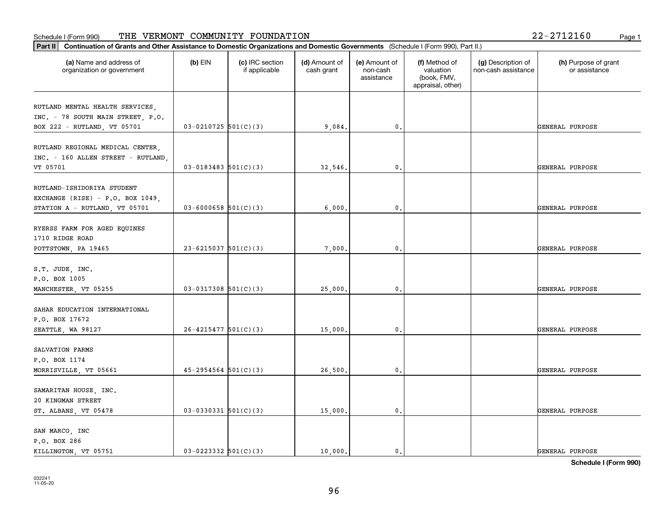| Part II   Continuation of Grants and Other Assistance to Domestic Organizations and Domestic Governments (Schedule I (Form 990), Part II.) |                            |                                  |                             |                                         |                                                                |                                           |                                       |
|--------------------------------------------------------------------------------------------------------------------------------------------|----------------------------|----------------------------------|-----------------------------|-----------------------------------------|----------------------------------------------------------------|-------------------------------------------|---------------------------------------|
| (a) Name and address of<br>organization or government                                                                                      | $(b)$ EIN                  | (c) IRC section<br>if applicable | (d) Amount of<br>cash grant | (e) Amount of<br>non-cash<br>assistance | (f) Method of<br>valuation<br>(book, FMV,<br>appraisal, other) | (g) Description of<br>non-cash assistance | (h) Purpose of grant<br>or assistance |
| RUTLAND MENTAL HEALTH SERVICES,                                                                                                            |                            |                                  |                             |                                         |                                                                |                                           |                                       |
| INC. - 78 SOUTH MAIN STREET, P.O.                                                                                                          |                            |                                  |                             |                                         |                                                                |                                           |                                       |
| BOX 222 - RUTLAND, VT 05701                                                                                                                | $03-0210725$ 501(C)(3)     |                                  | 9,084.                      | 0.                                      |                                                                |                                           | GENERAL PURPOSE                       |
| RUTLAND REGIONAL MEDICAL CENTER,<br>INC. - 160 ALLEN STREET - RUTLAND,                                                                     |                            |                                  |                             |                                         |                                                                |                                           |                                       |
| VT 05701                                                                                                                                   | $03 - 0183483$ $501(C)(3)$ |                                  | 32,546.                     | 0.                                      |                                                                |                                           | GENERAL PURPOSE                       |
| RUTLAND-ISHIDORIYA STUDENT<br>EXCHANGE (RISE) - P.O. BOX 1049,                                                                             |                            |                                  |                             |                                         |                                                                |                                           |                                       |
| STATION A - RUTLAND, VT 05701                                                                                                              | $03 - 6000658$ 501(C)(3)   |                                  | 6,000                       | $\mathbf{0}$ .                          |                                                                |                                           | GENERAL PURPOSE                       |
| RYERSS FARM FOR AGED EQUINES<br>1710 RIDGE ROAD                                                                                            |                            |                                  |                             |                                         |                                                                |                                           |                                       |
| POTTSTOWN, PA 19465                                                                                                                        | $23 - 6215037$ 501(C)(3)   |                                  | 7,000.                      | $\mathbf{0}$ .                          |                                                                |                                           | GENERAL PURPOSE                       |
| S.T. JUDE, INC.<br>P.O. BOX 1005                                                                                                           |                            |                                  |                             |                                         |                                                                |                                           |                                       |
| MANCHESTER, VT 05255                                                                                                                       | $03-0317308$ 501(C)(3)     |                                  | 25,000.                     | 0.                                      |                                                                |                                           | GENERAL PURPOSE                       |
| SAHAR EDUCATION INTERNATIONAL<br>P.O. BOX 17672                                                                                            |                            |                                  |                             |                                         |                                                                |                                           |                                       |
| SEATTLE, WA 98127                                                                                                                          | $26 - 4215477$ 501(C)(3)   |                                  | 15,000.                     | $\mathbf{0}$ .                          |                                                                |                                           | GENERAL PURPOSE                       |
| SALVATION FARMS<br>P.O. BOX 1174                                                                                                           |                            |                                  |                             |                                         |                                                                |                                           |                                       |
| MORRISVILLE, VT 05661                                                                                                                      | $45 - 2954564$ $501(C)(3)$ |                                  | 26,500.                     | $\mathfrak o$ .                         |                                                                |                                           | GENERAL PURPOSE                       |
| SAMARITAN HOUSE, INC.<br>20 KINGMAN STREET                                                                                                 |                            |                                  |                             |                                         |                                                                |                                           |                                       |
| ST. ALBANS, VT 05478                                                                                                                       | $03-0330331$ 501(C)(3)     |                                  | 15,000.                     | $\mathfrak o$ .                         |                                                                |                                           | GENERAL PURPOSE                       |
| SAN MARCO, INC<br>P.O. BOX 286                                                                                                             |                            |                                  |                             |                                         |                                                                |                                           |                                       |
| KILLINGTON, VT 05751                                                                                                                       | $03 - 0223332$ $501(C)(3)$ |                                  | 10,000.                     | $\mathbf{0}$ .                          |                                                                |                                           | GENERAL PURPOSE                       |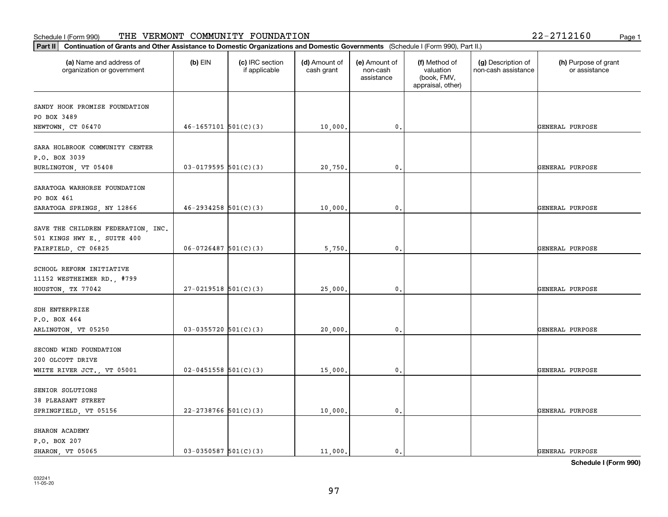# **Part III Continuation of Grants and Other Assistance to Domestic Organization of Grants and Other Assistance to Domestic Organizations** Schedule I (Form 990) Page 1 THE VERMONT COMMUNITY FOUNDATION 22-2712160

| Part II                                                                                  | Continuation of Grants and Other Assistance to Domestic Organizations and Domestic Governments (Schedule I (Form 990), Part II.) |                                  |                             |                                         |                                                                |                                           |                                       |  |  |
|------------------------------------------------------------------------------------------|----------------------------------------------------------------------------------------------------------------------------------|----------------------------------|-----------------------------|-----------------------------------------|----------------------------------------------------------------|-------------------------------------------|---------------------------------------|--|--|
| (a) Name and address of<br>organization or government                                    | $(b)$ EIN                                                                                                                        | (c) IRC section<br>if applicable | (d) Amount of<br>cash grant | (e) Amount of<br>non-cash<br>assistance | (f) Method of<br>valuation<br>(book, FMV,<br>appraisal, other) | (g) Description of<br>non-cash assistance | (h) Purpose of grant<br>or assistance |  |  |
| SANDY HOOK PROMISE FOUNDATION<br>PO BOX 3489<br>NEWTOWN, CT 06470                        | $46 - 1657101$ $501(C)(3)$                                                                                                       |                                  | 10,000.                     | 0.                                      |                                                                |                                           | GENERAL PURPOSE                       |  |  |
| SARA HOLBROOK COMMUNITY CENTER<br>P.O. BOX 3039<br>BURLINGTON, VT 05408                  | $03-0179595$ 501(C)(3)                                                                                                           |                                  | 20,750.                     | 0.                                      |                                                                |                                           | GENERAL PURPOSE                       |  |  |
| SARATOGA WARHORSE FOUNDATION<br>PO BOX 461<br>SARATOGA SPRINGS, NY 12866                 | $46 - 2934258$ $501(C)(3)$                                                                                                       |                                  | 10,000.                     | $\mathbf 0$ .                           |                                                                |                                           | GENERAL PURPOSE                       |  |  |
| SAVE THE CHILDREN FEDERATION, INC.<br>501 KINGS HWY E., SUITE 400<br>FAIRFIELD, CT 06825 | $06 - 0726487$ 501(C)(3)                                                                                                         |                                  | 5,750.                      | 0.                                      |                                                                |                                           | GENERAL PURPOSE                       |  |  |
| SCHOOL REFORM INITIATIVE<br>11152 WESTHEIMER RD., #799<br>HOUSTON, TX 77042              | $27-0219518$ 501(C)(3)                                                                                                           |                                  | 25,000.                     | 0.                                      |                                                                |                                           | GENERAL PURPOSE                       |  |  |
| SDH ENTERPRIZE<br>P.O. BOX 464<br>ARLINGTON, VT 05250                                    | $03-0355720$ 501(C)(3)                                                                                                           |                                  | 20,000.                     | 0.                                      |                                                                |                                           | GENERAL PURPOSE                       |  |  |
| SECOND WIND FOUNDATION<br>200 OLCOTT DRIVE<br>WHITE RIVER JCT., VT 05001                 | $02 - 0451558$ $501(C)(3)$                                                                                                       |                                  | 15,000.                     | 0.                                      |                                                                |                                           | GENERAL PURPOSE                       |  |  |
| SENIOR SOLUTIONS<br>38 PLEASANT STREET<br>SPRINGFIELD, VT 05156                          | $22 - 2738766$ 501(C)(3)                                                                                                         |                                  | 10,000.                     | 0.                                      |                                                                |                                           | GENERAL PURPOSE                       |  |  |
| SHARON ACADEMY<br>P.O. BOX 207<br>SHARON, VT 05065                                       | $03-0350587$ $501(C)(3)$                                                                                                         |                                  | 11,000.                     | 0.                                      |                                                                |                                           | GENERAL PURPOSE                       |  |  |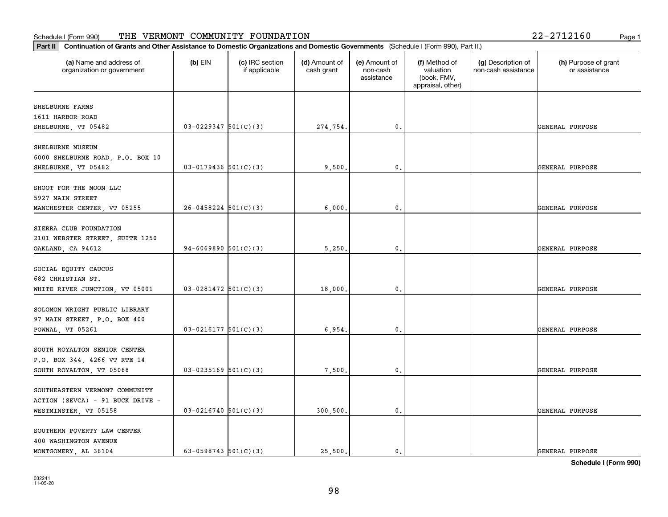| Part II   Continuation of Grants and Other Assistance to Domestic Organizations and Domestic Governments (Schedule I (Form 990), Part II.) |                            |                                  |                             |                                         |                                                                |                                           |                                       |
|--------------------------------------------------------------------------------------------------------------------------------------------|----------------------------|----------------------------------|-----------------------------|-----------------------------------------|----------------------------------------------------------------|-------------------------------------------|---------------------------------------|
| (a) Name and address of<br>organization or government                                                                                      | $(b)$ EIN                  | (c) IRC section<br>if applicable | (d) Amount of<br>cash grant | (e) Amount of<br>non-cash<br>assistance | (f) Method of<br>valuation<br>(book, FMV,<br>appraisal, other) | (g) Description of<br>non-cash assistance | (h) Purpose of grant<br>or assistance |
| SHELBURNE FARMS                                                                                                                            |                            |                                  |                             |                                         |                                                                |                                           |                                       |
| 1611 HARBOR ROAD                                                                                                                           |                            |                                  |                             |                                         |                                                                |                                           |                                       |
| SHELBURNE, VT 05482                                                                                                                        | $03 - 0229347$ 501(C)(3)   |                                  | 274,754.                    | 0.                                      |                                                                |                                           | GENERAL PURPOSE                       |
| SHELBURNE MUSEUM                                                                                                                           |                            |                                  |                             |                                         |                                                                |                                           |                                       |
| 6000 SHELBURNE ROAD, P.O. BOX 10                                                                                                           |                            |                                  |                             |                                         |                                                                |                                           |                                       |
| SHELBURNE, VT 05482                                                                                                                        | $03 - 0179436$ 501(C)(3)   |                                  | 9,500,                      | 0.                                      |                                                                |                                           | GENERAL PURPOSE                       |
|                                                                                                                                            |                            |                                  |                             |                                         |                                                                |                                           |                                       |
| SHOOT FOR THE MOON LLC                                                                                                                     |                            |                                  |                             |                                         |                                                                |                                           |                                       |
| 5927 MAIN STREET                                                                                                                           |                            |                                  |                             |                                         |                                                                |                                           |                                       |
| MANCHESTER CENTER, VT 05255                                                                                                                | $26 - 0458224$ 501(C)(3)   |                                  | 6,000,                      | 0.                                      |                                                                |                                           | GENERAL PURPOSE                       |
| SIERRA CLUB FOUNDATION                                                                                                                     |                            |                                  |                             |                                         |                                                                |                                           |                                       |
| 2101 WEBSTER STREET, SUITE 1250                                                                                                            |                            |                                  |                             |                                         |                                                                |                                           |                                       |
| OAKLAND, CA 94612                                                                                                                          | 94-6069890 $501(C)(3)$     |                                  | 5,250.                      | 0.                                      |                                                                |                                           | GENERAL PURPOSE                       |
|                                                                                                                                            |                            |                                  |                             |                                         |                                                                |                                           |                                       |
| SOCIAL EQUITY CAUCUS                                                                                                                       |                            |                                  |                             |                                         |                                                                |                                           |                                       |
| 682 CHRISTIAN ST.                                                                                                                          |                            |                                  |                             |                                         |                                                                |                                           |                                       |
| WHITE RIVER JUNCTION, VT 05001                                                                                                             | $03-0281472$ 501(C)(3)     |                                  | 18,000.                     | 0.                                      |                                                                |                                           | GENERAL PURPOSE                       |
|                                                                                                                                            |                            |                                  |                             |                                         |                                                                |                                           |                                       |
| SOLOMON WRIGHT PUBLIC LIBRARY                                                                                                              |                            |                                  |                             |                                         |                                                                |                                           |                                       |
| 97 MAIN STREET, P.O. BOX 400                                                                                                               |                            |                                  |                             |                                         |                                                                |                                           |                                       |
| POWNAL, VT 05261                                                                                                                           | $03 - 0216177$ $501(C)(3)$ |                                  | 6,954.                      | 0.                                      |                                                                |                                           | GENERAL PURPOSE                       |
| SOUTH ROYALTON SENIOR CENTER                                                                                                               |                            |                                  |                             |                                         |                                                                |                                           |                                       |
| P.O. BOX 344, 4266 VT RTE 14                                                                                                               |                            |                                  |                             |                                         |                                                                |                                           |                                       |
| SOUTH ROYALTON, VT 05068                                                                                                                   | $03 - 0235169$ 501(C)(3)   |                                  | 7,500.                      | 0.                                      |                                                                |                                           | GENERAL PURPOSE                       |
|                                                                                                                                            |                            |                                  |                             |                                         |                                                                |                                           |                                       |
| SOUTHEASTERN VERMONT COMMUNITY                                                                                                             |                            |                                  |                             |                                         |                                                                |                                           |                                       |
| ACTION (SEVCA) - 91 BUCK DRIVE -                                                                                                           |                            |                                  |                             |                                         |                                                                |                                           |                                       |
| WESTMINSTER, VT 05158                                                                                                                      | $03 - 0216740$ 501(C)(3)   |                                  | 300, 500.                   | 0.                                      |                                                                |                                           | GENERAL PURPOSE                       |
|                                                                                                                                            |                            |                                  |                             |                                         |                                                                |                                           |                                       |
| SOUTHERN POVERTY LAW CENTER                                                                                                                |                            |                                  |                             |                                         |                                                                |                                           |                                       |
| 400 WASHINGTON AVENUE                                                                                                                      |                            |                                  |                             |                                         |                                                                |                                           |                                       |
| MONTGOMERY, AL 36104                                                                                                                       | 63-0598743 $501(C)(3)$     |                                  | 25.500.                     | $\mathbf{0}$ .                          |                                                                |                                           | GENERAL PURPOSE                       |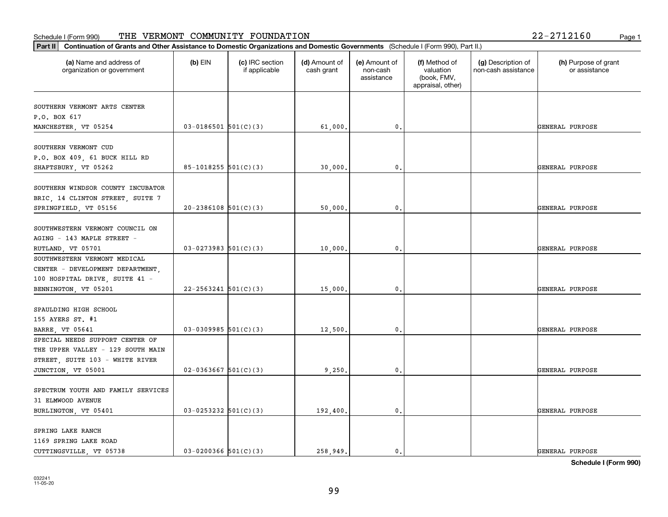# **Part II Continuation of Grants and Other Assistance to Domestic Organization of Grants and Other Assistance to Domestic Organizations** Schedule I (Form 990) Page 1 THE VERMONT COMMUNITY FOUNDATION 22-2712160

| $ $ Part II                                                                                                                   | Continuation of Grants and Other Assistance to Domestic Organizations and Domestic Governments (Schedule I (Form 990), Part II.) |                                  |                             |                                         |                                                                |                                           |                                       |  |  |
|-------------------------------------------------------------------------------------------------------------------------------|----------------------------------------------------------------------------------------------------------------------------------|----------------------------------|-----------------------------|-----------------------------------------|----------------------------------------------------------------|-------------------------------------------|---------------------------------------|--|--|
| (a) Name and address of<br>organization or government                                                                         | $(b)$ EIN                                                                                                                        | (c) IRC section<br>if applicable | (d) Amount of<br>cash grant | (e) Amount of<br>non-cash<br>assistance | (f) Method of<br>valuation<br>(book, FMV,<br>appraisal, other) | (g) Description of<br>non-cash assistance | (h) Purpose of grant<br>or assistance |  |  |
| SOUTHERN VERMONT ARTS CENTER<br>P.O. BOX 617                                                                                  |                                                                                                                                  |                                  |                             |                                         |                                                                |                                           |                                       |  |  |
| MANCHESTER, VT 05254                                                                                                          | $03 - 0186501$ $501(C)(3)$                                                                                                       |                                  | 61,000                      | 0.                                      |                                                                |                                           | GENERAL PURPOSE                       |  |  |
| SOUTHERN VERMONT CUD<br>P.O. BOX 409, 61 BUCK HILL RD<br>SHAFTSBURY, VT 05262                                                 | 85-1018255 $501(C)(3)$                                                                                                           |                                  | 30,000.                     | 0.                                      |                                                                |                                           | GENERAL PURPOSE                       |  |  |
| SOUTHERN WINDSOR COUNTY INCUBATOR<br>BRIC, 14 CLINTON STREET, SUITE 7<br>SPRINGFIELD, VT 05156                                | $20-2386108$ 501(C)(3)                                                                                                           |                                  | 50,000                      | 0.                                      |                                                                |                                           | GENERAL PURPOSE                       |  |  |
| SOUTHWESTERN VERMONT COUNCIL ON<br>AGING - 143 MAPLE STREET -<br>RUTLAND, VT 05701                                            | $03 - 0273983$ $501(C)(3)$                                                                                                       |                                  | 10,000                      | 0.                                      |                                                                |                                           | GENERAL PURPOSE                       |  |  |
| SOUTHWESTERN VERMONT MEDICAL<br>CENTER - DEVELOPMENT DEPARTMENT,<br>100 HOSPITAL DRIVE, SUITE 41 -<br>BENNINGTON, VT 05201    | $22 - 2563241$ 501(C)(3)                                                                                                         |                                  | 15,000.                     | 0.                                      |                                                                |                                           | GENERAL PURPOSE                       |  |  |
| SPAULDING HIGH SCHOOL<br>155 AYERS ST. #1<br>BARRE, VT 05641                                                                  | $03-0309985$ 501(C)(3)                                                                                                           |                                  | 12,500                      | 0.                                      |                                                                |                                           | GENERAL PURPOSE                       |  |  |
| SPECIAL NEEDS SUPPORT CENTER OF<br>THE UPPER VALLEY - 129 SOUTH MAIN<br>STREET, SUITE 103 - WHITE RIVER<br>JUNCTION, VT 05001 | $02 - 0363667$ $501(C)(3)$                                                                                                       |                                  | 9,250.                      | 0.                                      |                                                                |                                           | GENERAL PURPOSE                       |  |  |
| SPECTRUM YOUTH AND FAMILY SERVICES<br>31 ELMWOOD AVENUE<br>BURLINGTON, VT 05401                                               | $03 - 0253232$ 501(C)(3)                                                                                                         |                                  | 192,400.                    | 0.                                      |                                                                |                                           | GENERAL PURPOSE                       |  |  |
| SPRING LAKE RANCH<br>1169 SPRING LAKE ROAD<br>CUTTINGSVILLE, VT 05738                                                         | $03-0200366$ $501(C)(3)$                                                                                                         |                                  | 258.949.                    | $\mathfrak{o}$ .                        |                                                                |                                           | GENERAL PURPOSE                       |  |  |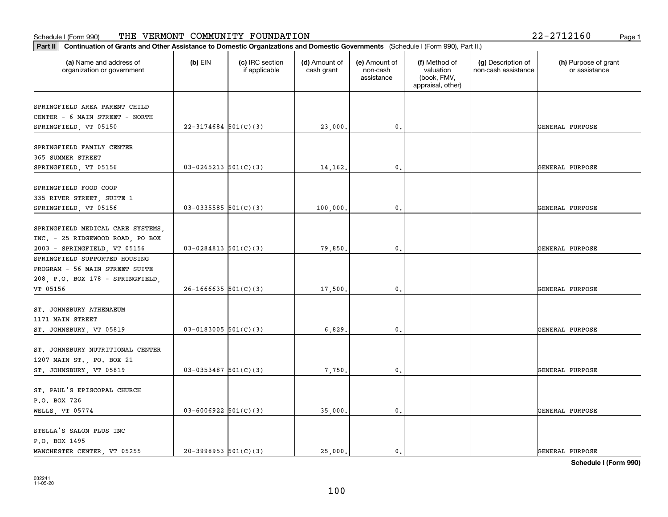|  |  | 22-2712160 |  | Page |
|--|--|------------|--|------|
|--|--|------------|--|------|

| (a) Name and address of<br>organization or government | $(b)$ EIN                  | (c) IRC section<br>if applicable | (d) Amount of<br>cash grant | (e) Amount of<br>non-cash<br>assistance | (f) Method of<br>valuation<br>(book, FMV,<br>appraisal, other) | (g) Description of<br>non-cash assistance | (h) Purpose of grant<br>or assistance |
|-------------------------------------------------------|----------------------------|----------------------------------|-----------------------------|-----------------------------------------|----------------------------------------------------------------|-------------------------------------------|---------------------------------------|
| SPRINGFIELD AREA PARENT CHILD                         |                            |                                  |                             |                                         |                                                                |                                           |                                       |
| CENTER - 6 MAIN STREET - NORTH                        |                            |                                  |                             |                                         |                                                                |                                           |                                       |
| SPRINGFIELD, VT 05150                                 | $22 - 3174684$ 501(C)(3)   |                                  | 23,000.                     | 0.                                      |                                                                |                                           | GENERAL PURPOSE                       |
| SPRINGFIELD FAMILY CENTER                             |                            |                                  |                             |                                         |                                                                |                                           |                                       |
| 365 SUMMER STREET                                     |                            |                                  |                             |                                         |                                                                |                                           |                                       |
| SPRINGFIELD, VT 05156                                 | $03 - 0265213$ $501(C)(3)$ |                                  | 14,162.                     | $\mathbf{0}$ .                          |                                                                |                                           | GENERAL PURPOSE                       |
|                                                       |                            |                                  |                             |                                         |                                                                |                                           |                                       |
| SPRINGFIELD FOOD COOP                                 |                            |                                  |                             |                                         |                                                                |                                           |                                       |
| 335 RIVER STREET, SUITE 1                             |                            |                                  |                             |                                         |                                                                |                                           |                                       |
| SPRINGFIELD, VT 05156                                 | $03 - 0335585$ 501(C)(3)   |                                  | 100,000.                    | $\mathbf{0}$ .                          |                                                                |                                           | GENERAL PURPOSE                       |
| SPRINGFIELD MEDICAL CARE SYSTEMS,                     |                            |                                  |                             |                                         |                                                                |                                           |                                       |
| INC. - 25 RIDGEWOOD ROAD, PO BOX                      |                            |                                  |                             |                                         |                                                                |                                           |                                       |
| 2003 - SPRINGFIELD, VT 05156                          | $03 - 0284813$ 501(C)(3)   |                                  | 79,850.                     | $\mathbf{0}$ .                          |                                                                |                                           | GENERAL PURPOSE                       |
| SPRINGFIELD SUPPORTED HOUSING                         |                            |                                  |                             |                                         |                                                                |                                           |                                       |
| PROGRAM - 56 MAIN STREET SUITE                        |                            |                                  |                             |                                         |                                                                |                                           |                                       |
| 208, P.O. BOX 178 - SPRINGFIELD,                      |                            |                                  |                             |                                         |                                                                |                                           |                                       |
| VT 05156                                              | $26 - 1666635$ 501(C)(3)   |                                  | 17,500.                     | $\mathbf{0}$                            |                                                                |                                           | GENERAL PURPOSE                       |
|                                                       |                            |                                  |                             |                                         |                                                                |                                           |                                       |
| ST. JOHNSBURY ATHENAEUM                               |                            |                                  |                             |                                         |                                                                |                                           |                                       |
| 1171 MAIN STREET                                      |                            |                                  |                             |                                         |                                                                |                                           |                                       |
| ST. JOHNSBURY, VT 05819                               | $03-0183005$ 501(C)(3)     |                                  | 6,829.                      | 0.                                      |                                                                |                                           | GENERAL PURPOSE                       |
|                                                       |                            |                                  |                             |                                         |                                                                |                                           |                                       |
| ST. JOHNSBURY NUTRITIONAL CENTER                      |                            |                                  |                             |                                         |                                                                |                                           |                                       |
| 1207 MAIN ST., PO. BOX 21                             |                            |                                  |                             |                                         |                                                                |                                           |                                       |
| ST. JOHNSBURY, VT 05819                               | $03 - 0353487$ 501(C)(3)   |                                  | 7,750.                      | $\mathbf{0}$ .                          |                                                                |                                           | GENERAL PURPOSE                       |
| ST. PAUL'S EPISCOPAL CHURCH                           |                            |                                  |                             |                                         |                                                                |                                           |                                       |
| P.O. BOX 726                                          |                            |                                  |                             |                                         |                                                                |                                           |                                       |
| WELLS, VT 05774                                       | $03 - 6006922$ 501(C)(3)   |                                  | 35,000.                     | $\mathbf{0}$ .                          |                                                                |                                           | GENERAL PURPOSE                       |
|                                                       |                            |                                  |                             |                                         |                                                                |                                           |                                       |
| STELLA'S SALON PLUS INC                               |                            |                                  |                             |                                         |                                                                |                                           |                                       |
| P.O. BOX 1495                                         |                            |                                  |                             |                                         |                                                                |                                           |                                       |
| MANCHESTER CENTER, VT 05255                           | $20-3998953$ $501(C)(3)$   |                                  | 25,000.                     | 0.                                      |                                                                |                                           | GENERAL PURPOSE                       |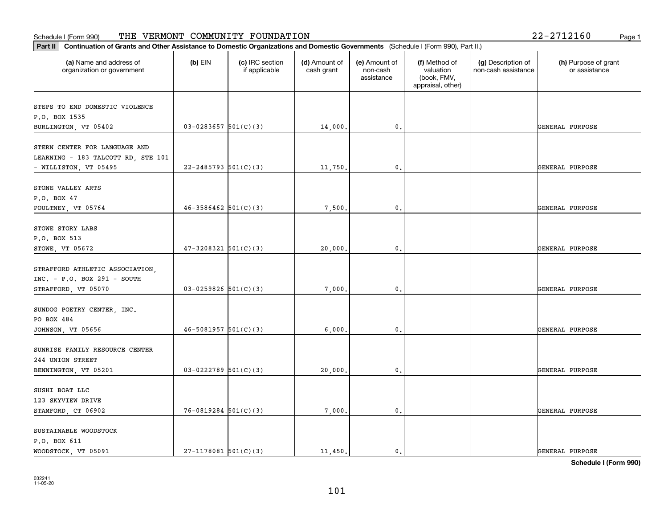| 2-2712160 |  | Page 1 |
|-----------|--|--------|
|           |  |        |

| Part II   Continuation of Grants and Other Assistance to Domestic Organizations and Domestic Governments (Schedule I (Form 990), Part II.) |                            |                                  |                             |                                         |                                                                |                                           |                                       |
|--------------------------------------------------------------------------------------------------------------------------------------------|----------------------------|----------------------------------|-----------------------------|-----------------------------------------|----------------------------------------------------------------|-------------------------------------------|---------------------------------------|
| (a) Name and address of<br>organization or government                                                                                      | $(b)$ EIN                  | (c) IRC section<br>if applicable | (d) Amount of<br>cash grant | (e) Amount of<br>non-cash<br>assistance | (f) Method of<br>valuation<br>(book, FMV,<br>appraisal, other) | (g) Description of<br>non-cash assistance | (h) Purpose of grant<br>or assistance |
|                                                                                                                                            |                            |                                  |                             |                                         |                                                                |                                           |                                       |
| STEPS TO END DOMESTIC VIOLENCE<br>P.O. BOX 1535                                                                                            |                            |                                  |                             |                                         |                                                                |                                           |                                       |
| BURLINGTON, VT 05402                                                                                                                       | $03-0283657$ $501(C)(3)$   |                                  | 14,000.                     | 0.                                      |                                                                |                                           | GENERAL PURPOSE                       |
|                                                                                                                                            |                            |                                  |                             |                                         |                                                                |                                           |                                       |
| STERN CENTER FOR LANGUAGE AND                                                                                                              |                            |                                  |                             |                                         |                                                                |                                           |                                       |
| LEARNING - 183 TALCOTT RD, STE 101                                                                                                         |                            |                                  |                             |                                         |                                                                |                                           |                                       |
| - WILLISTON, VT 05495                                                                                                                      | $22 - 2485793$ 501(C)(3)   |                                  | 11,750.                     | 0.                                      |                                                                |                                           | GENERAL PURPOSE                       |
|                                                                                                                                            |                            |                                  |                             |                                         |                                                                |                                           |                                       |
| STONE VALLEY ARTS<br>P.O. BOX 47                                                                                                           |                            |                                  |                             |                                         |                                                                |                                           |                                       |
| POULTNEY, VT 05764                                                                                                                         | $46 - 3586462$ 501(C)(3)   |                                  | 7,500.                      | $\mathbf{0}$ .                          |                                                                |                                           | GENERAL PURPOSE                       |
|                                                                                                                                            |                            |                                  |                             |                                         |                                                                |                                           |                                       |
| STOWE STORY LABS                                                                                                                           |                            |                                  |                             |                                         |                                                                |                                           |                                       |
| P.O. BOX 513                                                                                                                               |                            |                                  |                             |                                         |                                                                |                                           |                                       |
| STOWE, VT 05672                                                                                                                            | $47 - 3208321$ $501(C)(3)$ |                                  | 20,000.                     | 0.                                      |                                                                |                                           | GENERAL PURPOSE                       |
|                                                                                                                                            |                            |                                  |                             |                                         |                                                                |                                           |                                       |
| STRAFFORD ATHLETIC ASSOCIATION,                                                                                                            |                            |                                  |                             |                                         |                                                                |                                           |                                       |
| $INC. - P.O. BOX 291 - SOUTH$                                                                                                              |                            |                                  |                             |                                         |                                                                |                                           |                                       |
| STRAFFORD, VT 05070                                                                                                                        | $03-0259826$ 501(C)(3)     |                                  | 7,000.                      | 0.                                      |                                                                |                                           | GENERAL PURPOSE                       |
| SUNDOG POETRY CENTER, INC.                                                                                                                 |                            |                                  |                             |                                         |                                                                |                                           |                                       |
| PO BOX 484                                                                                                                                 |                            |                                  |                             |                                         |                                                                |                                           |                                       |
| JOHNSON, VT 05656                                                                                                                          | $46 - 5081957$ $501(C)(3)$ |                                  | 6,000,                      | $\mathbf{0}$ .                          |                                                                |                                           | GENERAL PURPOSE                       |
|                                                                                                                                            |                            |                                  |                             |                                         |                                                                |                                           |                                       |
| SUNRISE FAMILY RESOURCE CENTER                                                                                                             |                            |                                  |                             |                                         |                                                                |                                           |                                       |
| 244 UNION STREET                                                                                                                           |                            |                                  |                             |                                         |                                                                |                                           |                                       |
| BENNINGTON, VT 05201                                                                                                                       | $03-0222789$ 501(C)(3)     |                                  | 20,000.                     | $\mathfrak{o}$ .                        |                                                                |                                           | GENERAL PURPOSE                       |
|                                                                                                                                            |                            |                                  |                             |                                         |                                                                |                                           |                                       |
| SUSHI BOAT LLC<br>123 SKYVIEW DRIVE                                                                                                        |                            |                                  |                             |                                         |                                                                |                                           |                                       |
| STAMFORD, CT 06902                                                                                                                         | $76 - 0819284$ 501(C)(3)   |                                  | 7,000.                      | $\mathfrak o$ .                         |                                                                |                                           | GENERAL PURPOSE                       |
|                                                                                                                                            |                            |                                  |                             |                                         |                                                                |                                           |                                       |
| SUSTAINABLE WOODSTOCK                                                                                                                      |                            |                                  |                             |                                         |                                                                |                                           |                                       |
| P.O. BOX 611                                                                                                                               |                            |                                  |                             |                                         |                                                                |                                           |                                       |
| WOODSTOCK, VT 05091                                                                                                                        | $27-1178081$ 501(C)(3)     |                                  | 11,450.                     | $\mathbf{0}$ .                          |                                                                |                                           | GENERAL PURPOSE                       |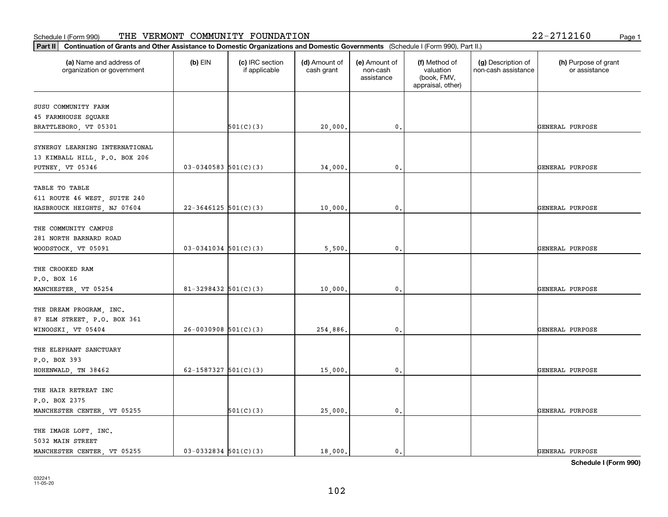#### **Part III Continuation of Grants and Other Assistance to Domestic Organization of Grants and Other Assistance to Domestic** Schedule I (Form 990) Page 1 THE VERMONT COMMUNITY FOUNDATION 22-2712160

|  | 22-2712160 |  |  | Page |
|--|------------|--|--|------|
|--|------------|--|--|------|

| Continuation of Grants and Other Assistance to Domestic Organizations and Domestic Governments (Schedule I (Form 990), Part II.)<br>Part II |                          |                                  |                             |                                         |                                                                |                                           |                                       |
|---------------------------------------------------------------------------------------------------------------------------------------------|--------------------------|----------------------------------|-----------------------------|-----------------------------------------|----------------------------------------------------------------|-------------------------------------------|---------------------------------------|
| (a) Name and address of<br>organization or government                                                                                       | $(b)$ EIN                | (c) IRC section<br>if applicable | (d) Amount of<br>cash grant | (e) Amount of<br>non-cash<br>assistance | (f) Method of<br>valuation<br>(book, FMV,<br>appraisal, other) | (g) Description of<br>non-cash assistance | (h) Purpose of grant<br>or assistance |
| SUSU COMMUNITY FARM                                                                                                                         |                          |                                  |                             |                                         |                                                                |                                           |                                       |
| 45 FARMHOUSE SQUARE                                                                                                                         |                          |                                  |                             |                                         |                                                                |                                           |                                       |
| BRATTLEBORO, VT 05301                                                                                                                       |                          | 501(C)(3)                        | 20,000.                     | 0.                                      |                                                                |                                           | GENERAL PURPOSE                       |
| SYNERGY LEARNING INTERNATIONAL                                                                                                              |                          |                                  |                             |                                         |                                                                |                                           |                                       |
| 13 KIMBALL HILL, P.O. BOX 206                                                                                                               |                          |                                  |                             |                                         |                                                                |                                           |                                       |
| PUTNEY, VT 05346                                                                                                                            | $03-0340583$ 501(C)(3)   |                                  | 34,000.                     | $\mathbf{0}$ .                          |                                                                |                                           | GENERAL PURPOSE                       |
|                                                                                                                                             |                          |                                  |                             |                                         |                                                                |                                           |                                       |
| TABLE TO TABLE                                                                                                                              |                          |                                  |                             |                                         |                                                                |                                           |                                       |
| 611 ROUTE 46 WEST, SUITE 240                                                                                                                |                          |                                  |                             |                                         |                                                                |                                           |                                       |
| HASBROUCK HEIGHTS, NJ 07604                                                                                                                 | $22-3646125$ 501(C)(3)   |                                  | 10,000.                     | $\mathbf 0$ .                           |                                                                |                                           | GENERAL PURPOSE                       |
| THE COMMUNITY CAMPUS                                                                                                                        |                          |                                  |                             |                                         |                                                                |                                           |                                       |
| 281 NORTH BARNARD ROAD                                                                                                                      |                          |                                  |                             |                                         |                                                                |                                           |                                       |
| WOODSTOCK, VT 05091                                                                                                                         | $03-0341034$ 501(C)(3)   |                                  | 5,500.                      | 0.                                      |                                                                |                                           | GENERAL PURPOSE                       |
|                                                                                                                                             |                          |                                  |                             |                                         |                                                                |                                           |                                       |
| THE CROOKED RAM                                                                                                                             |                          |                                  |                             |                                         |                                                                |                                           |                                       |
| P.O. BOX 16                                                                                                                                 |                          |                                  |                             |                                         |                                                                |                                           |                                       |
| MANCHESTER, VT 05254                                                                                                                        | $81 - 3298432$ 501(C)(3) |                                  | 10,000.                     | $\mathbf{0}$ .                          |                                                                |                                           | GENERAL PURPOSE                       |
|                                                                                                                                             |                          |                                  |                             |                                         |                                                                |                                           |                                       |
| THE DREAM PROGRAM, INC.                                                                                                                     |                          |                                  |                             |                                         |                                                                |                                           |                                       |
| 87 ELM STREET, P.O. BOX 361                                                                                                                 |                          |                                  |                             |                                         |                                                                |                                           |                                       |
| WINOOSKI, VT 05404                                                                                                                          | $26-0030908$ 501(C)(3)   |                                  | 254,886.                    | 0.                                      |                                                                |                                           | GENERAL PURPOSE                       |
|                                                                                                                                             |                          |                                  |                             |                                         |                                                                |                                           |                                       |
| THE ELEPHANT SANCTUARY                                                                                                                      |                          |                                  |                             |                                         |                                                                |                                           |                                       |
| P.O. BOX 393                                                                                                                                |                          |                                  |                             |                                         |                                                                |                                           |                                       |
| HOHENWALD, TN 38462                                                                                                                         | 62-1587327 $501(C)(3)$   |                                  | 15,000.                     | 0.                                      |                                                                |                                           | GENERAL PURPOSE                       |
| THE HAIR RETREAT INC                                                                                                                        |                          |                                  |                             |                                         |                                                                |                                           |                                       |
| P.O. BOX 2375                                                                                                                               |                          |                                  |                             |                                         |                                                                |                                           |                                       |
| MANCHESTER CENTER, VT 05255                                                                                                                 |                          | 501(C)(3)                        | 25,000.                     | $\mathfrak o$ .                         |                                                                |                                           | GENERAL PURPOSE                       |
|                                                                                                                                             |                          |                                  |                             |                                         |                                                                |                                           |                                       |
| THE IMAGE LOFT, INC.                                                                                                                        |                          |                                  |                             |                                         |                                                                |                                           |                                       |
| 5032 MAIN STREET                                                                                                                            |                          |                                  |                             |                                         |                                                                |                                           |                                       |
| MANCHESTER CENTER, VT 05255                                                                                                                 | $03-0332834$ 501(C)(3)   |                                  | 18,000.                     | $\mathfrak{o}$ .                        |                                                                |                                           | GENERAL PURPOSE                       |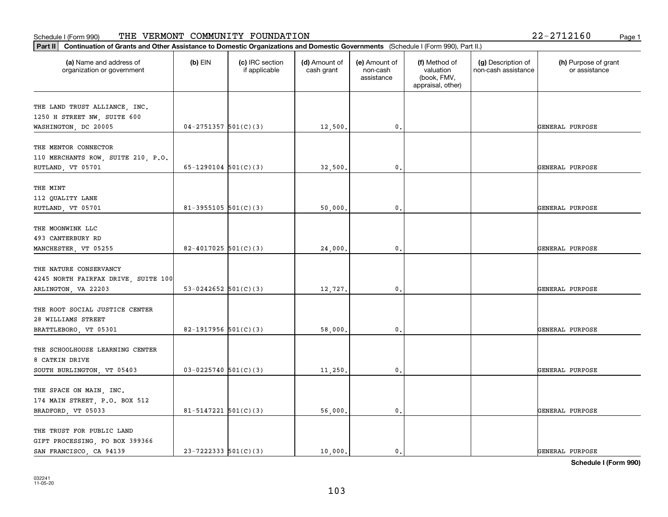| (a) Name and address of<br>organization or government | $(b)$ EIN                  | (c) IRC section<br>if applicable | (d) Amount of<br>cash grant | (e) Amount of<br>non-cash<br>assistance | (f) Method of<br>valuation<br>(book, FMV,<br>appraisal, other) | (g) Description of<br>non-cash assistance | (h) Purpose of grant<br>or assistance |
|-------------------------------------------------------|----------------------------|----------------------------------|-----------------------------|-----------------------------------------|----------------------------------------------------------------|-------------------------------------------|---------------------------------------|
| THE LAND TRUST ALLIANCE, INC.                         |                            |                                  |                             |                                         |                                                                |                                           |                                       |
| 1250 H STREET NW, SUITE 600                           |                            |                                  |                             |                                         |                                                                |                                           |                                       |
| WASHINGTON, DC 20005                                  | $04 - 2751357$ $501(C)(3)$ |                                  | 12,500.                     | 0.                                      |                                                                |                                           | GENERAL PURPOSE                       |
|                                                       |                            |                                  |                             |                                         |                                                                |                                           |                                       |
| THE MENTOR CONNECTOR                                  |                            |                                  |                             |                                         |                                                                |                                           |                                       |
| 110 MERCHANTS ROW, SUITE 210, P.O.                    |                            |                                  |                             |                                         |                                                                |                                           |                                       |
| RUTLAND, VT 05701                                     | 65-1290104 $501(C)(3)$     |                                  | 32,500.                     | 0.                                      |                                                                |                                           | GENERAL PURPOSE                       |
|                                                       |                            |                                  |                             |                                         |                                                                |                                           |                                       |
| THE MINT<br>112 QUALITY LANE                          |                            |                                  |                             |                                         |                                                                |                                           |                                       |
| RUTLAND, VT 05701                                     | 81-3955105 $501(C)(3)$     |                                  | 50,000.                     | 0.                                      |                                                                |                                           | GENERAL PURPOSE                       |
|                                                       |                            |                                  |                             |                                         |                                                                |                                           |                                       |
| THE MOONWINK LLC                                      |                            |                                  |                             |                                         |                                                                |                                           |                                       |
| 493 CANTERBURY RD                                     |                            |                                  |                             |                                         |                                                                |                                           |                                       |
| MANCHESTER, VT 05255                                  | 82-4017025 $501(C)(3)$     |                                  | 24,000.                     | 0.                                      |                                                                |                                           | GENERAL PURPOSE                       |
|                                                       |                            |                                  |                             |                                         |                                                                |                                           |                                       |
| THE NATURE CONSERVANCY                                |                            |                                  |                             |                                         |                                                                |                                           |                                       |
| 4245 NORTH FAIRFAX DRIVE, SUITE 100                   |                            |                                  |                             |                                         |                                                                |                                           |                                       |
| ARLINGTON, VA 22203                                   | 53-0242652 $501(C)(3)$     |                                  | 12,727.                     | $\mathbf{0}$                            |                                                                |                                           | GENERAL PURPOSE                       |
|                                                       |                            |                                  |                             |                                         |                                                                |                                           |                                       |
| THE ROOT SOCIAL JUSTICE CENTER                        |                            |                                  |                             |                                         |                                                                |                                           |                                       |
| 28 WILLIAMS STREET                                    |                            |                                  |                             |                                         |                                                                |                                           |                                       |
| BRATTLEBORO, VT 05301                                 | 82-1917956 $501(C)(3)$     |                                  | 58,000.                     | 0.                                      |                                                                |                                           | GENERAL PURPOSE                       |
| THE SCHOOLHOUSE LEARNING CENTER                       |                            |                                  |                             |                                         |                                                                |                                           |                                       |
| 8 CATKIN DRIVE                                        |                            |                                  |                             |                                         |                                                                |                                           |                                       |
|                                                       | $03 - 0225740$ 501(C)(3)   |                                  |                             | 0.                                      |                                                                |                                           | GENERAL PURPOSE                       |
| SOUTH BURLINGTON, VT 05403                            |                            |                                  | 11,250.                     |                                         |                                                                |                                           |                                       |
| THE SPACE ON MAIN, INC.                               |                            |                                  |                             |                                         |                                                                |                                           |                                       |
| 174 MAIN STREET, P.O. BOX 512                         |                            |                                  |                             |                                         |                                                                |                                           |                                       |
| BRADFORD, VT 05033                                    | $81 - 5147221$ $501(C)(3)$ |                                  | 56,000.                     | $\mathbf{0}$ .                          |                                                                |                                           | GENERAL PURPOSE                       |
|                                                       |                            |                                  |                             |                                         |                                                                |                                           |                                       |
| THE TRUST FOR PUBLIC LAND                             |                            |                                  |                             |                                         |                                                                |                                           |                                       |
| GIFT PROCESSING, PO BOX 399366                        |                            |                                  |                             |                                         |                                                                |                                           |                                       |
| SAN FRANCISCO, CA 94139                               | $23 - 7222333$ $501(C)(3)$ |                                  | 10,000.                     | 0.                                      |                                                                |                                           | GENERAL PURPOSE                       |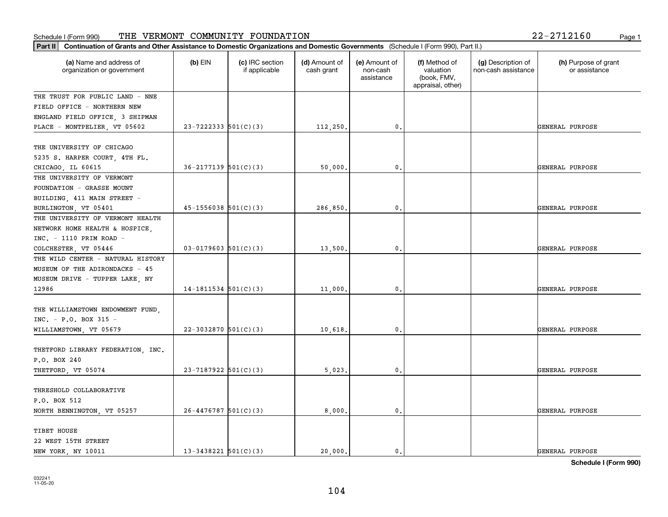| $2 - 2712160$ |  | Page |
|---------------|--|------|
|               |  |      |

| Part II   Continuation of Grants and Other Assistance to Domestic Organizations and Domestic Governments (Schedule I (Form 990), Part II.) |                            |                                  |                             |                                         |                                                                |                                           |                                       |
|--------------------------------------------------------------------------------------------------------------------------------------------|----------------------------|----------------------------------|-----------------------------|-----------------------------------------|----------------------------------------------------------------|-------------------------------------------|---------------------------------------|
| (a) Name and address of<br>organization or government                                                                                      | $(b)$ EIN                  | (c) IRC section<br>if applicable | (d) Amount of<br>cash grant | (e) Amount of<br>non-cash<br>assistance | (f) Method of<br>valuation<br>(book, FMV,<br>appraisal, other) | (g) Description of<br>non-cash assistance | (h) Purpose of grant<br>or assistance |
| THE TRUST FOR PUBLIC LAND - NNE                                                                                                            |                            |                                  |                             |                                         |                                                                |                                           |                                       |
| FIELD OFFICE - NORTHERN NEW                                                                                                                |                            |                                  |                             |                                         |                                                                |                                           |                                       |
| ENGLAND FIELD OFFICE, 3 SHIPMAN                                                                                                            |                            |                                  |                             |                                         |                                                                |                                           |                                       |
| PLACE - MONTPELIER, VT 05602                                                                                                               | $23 - 7222333$ 501(C)(3)   |                                  | 112,250.                    | 0.                                      |                                                                |                                           | GENERAL PURPOSE                       |
| THE UNIVERSITY OF CHICAGO                                                                                                                  |                            |                                  |                             |                                         |                                                                |                                           |                                       |
| 5235 S. HARPER COURT, 4TH FL.                                                                                                              |                            |                                  |                             |                                         |                                                                |                                           |                                       |
| CHICAGO, IL 60615                                                                                                                          | $36 - 2177139$ $501(C)(3)$ |                                  | 50,000                      | 0.                                      |                                                                |                                           | GENERAL PURPOSE                       |
| THE UNIVERSITY OF VERMONT                                                                                                                  |                            |                                  |                             |                                         |                                                                |                                           |                                       |
| FOUNDATION - GRASSE MOUNT                                                                                                                  |                            |                                  |                             |                                         |                                                                |                                           |                                       |
| BUILDING, 411 MAIN STREET -                                                                                                                |                            |                                  |                             |                                         |                                                                |                                           |                                       |
| BURLINGTON, VT 05401                                                                                                                       | $45 - 1556038$ $501(C)(3)$ |                                  | 286,850.                    | $\mathbf{0}$ .                          |                                                                |                                           | GENERAL PURPOSE                       |
| THE UNIVERSITY OF VERMONT HEALTH                                                                                                           |                            |                                  |                             |                                         |                                                                |                                           |                                       |
| NETWORK HOME HEALTH & HOSPICE,                                                                                                             |                            |                                  |                             |                                         |                                                                |                                           |                                       |
| $INC. - 1110 PRIM ROAD -$                                                                                                                  |                            |                                  |                             |                                         |                                                                |                                           |                                       |
| COLCHESTER, VT 05446                                                                                                                       | $03 - 0179603$ 501(C)(3)   |                                  | 13,500.                     | 0.                                      |                                                                |                                           | GENERAL PURPOSE                       |
| THE WILD CENTER - NATURAL HISTORY                                                                                                          |                            |                                  |                             |                                         |                                                                |                                           |                                       |
| MUSEUM OF THE ADIRONDACKS - 45                                                                                                             |                            |                                  |                             |                                         |                                                                |                                           |                                       |
| MUSEUM DRIVE - TUPPER LAKE, NY                                                                                                             |                            |                                  |                             |                                         |                                                                |                                           |                                       |
| 12986                                                                                                                                      | 14-1811534 $501(C)(3)$     |                                  | 11,000.                     | 0.                                      |                                                                |                                           | GENERAL PURPOSE                       |
|                                                                                                                                            |                            |                                  |                             |                                         |                                                                |                                           |                                       |
| THE WILLIAMSTOWN ENDOWMENT FUND.<br>INC. - P.O. BOX 315 -                                                                                  |                            |                                  |                             |                                         |                                                                |                                           |                                       |
| WILLIAMSTOWN, VT 05679                                                                                                                     | 22-3032870 $501(C)(3)$     |                                  | 10,618.                     | 0.                                      |                                                                |                                           | GENERAL PURPOSE                       |
|                                                                                                                                            |                            |                                  |                             |                                         |                                                                |                                           |                                       |
| THETFORD LIBRARY FEDERATION, INC.                                                                                                          |                            |                                  |                             |                                         |                                                                |                                           |                                       |
| P.O. BOX 240                                                                                                                               |                            |                                  |                             |                                         |                                                                |                                           |                                       |
| THETFORD, VT 05074                                                                                                                         | $23 - 7187922$ 501(C)(3)   |                                  | 5,023,                      | $\mathbf{0}$ .                          |                                                                |                                           | GENERAL PURPOSE                       |
|                                                                                                                                            |                            |                                  |                             |                                         |                                                                |                                           |                                       |
| THRESHOLD COLLABORATIVE                                                                                                                    |                            |                                  |                             |                                         |                                                                |                                           |                                       |
| P.O. BOX 512                                                                                                                               |                            |                                  |                             |                                         |                                                                |                                           |                                       |
| NORTH BENNINGTON, VT 05257                                                                                                                 | $26 - 4476787$ 501(C)(3)   |                                  | 8,000.                      | $\mathbf{0}$ .                          |                                                                |                                           | GENERAL PURPOSE                       |
|                                                                                                                                            |                            |                                  |                             |                                         |                                                                |                                           |                                       |
| TIBET HOUSE                                                                                                                                |                            |                                  |                             |                                         |                                                                |                                           |                                       |
| 22 WEST 15TH STREET                                                                                                                        |                            |                                  |                             |                                         |                                                                |                                           |                                       |
| NEW YORK, NY 10011                                                                                                                         | $13 - 3438221$ 501(C)(3)   |                                  | 20,000.                     | $\mathbf{0}$ .                          |                                                                |                                           | GENERAL PURPOSE                       |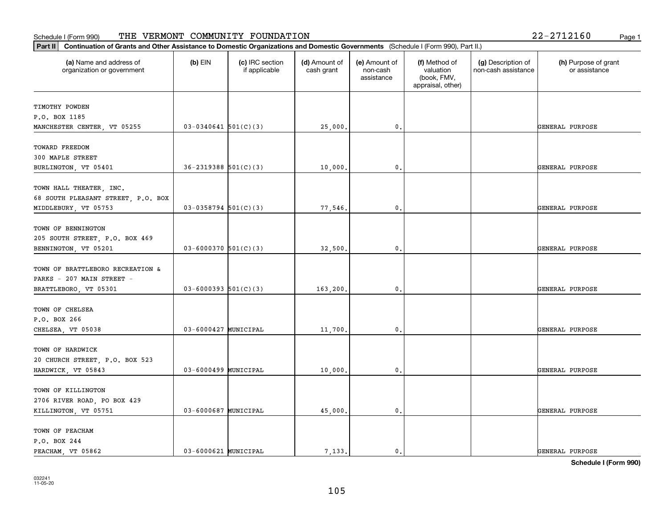| (a) Name and address of<br>organization or government | $(b)$ EIN                  | (c) IRC section<br>if applicable | (d) Amount of<br>cash grant | (e) Amount of<br>non-cash<br>assistance | (f) Method of<br>valuation<br>(book, FMV,<br>appraisal, other) | (g) Description of<br>non-cash assistance | (h) Purpose of grant<br>or assistance |
|-------------------------------------------------------|----------------------------|----------------------------------|-----------------------------|-----------------------------------------|----------------------------------------------------------------|-------------------------------------------|---------------------------------------|
| TIMOTHY POWDEN                                        |                            |                                  |                             |                                         |                                                                |                                           |                                       |
| P.O. BOX 1185                                         |                            |                                  |                             |                                         |                                                                |                                           |                                       |
| MANCHESTER CENTER, VT 05255                           | $03-0340641$ 501(C)(3)     |                                  | 25,000.                     | 0.                                      |                                                                |                                           | GENERAL PURPOSE                       |
| TOWARD FREEDOM                                        |                            |                                  |                             |                                         |                                                                |                                           |                                       |
| 300 MAPLE STREET                                      |                            |                                  |                             |                                         |                                                                |                                           |                                       |
| BURLINGTON, VT 05401                                  | $36 - 2319388$ $501(C)(3)$ |                                  | 10,000.                     | 0.                                      |                                                                |                                           | GENERAL PURPOSE                       |
|                                                       |                            |                                  |                             |                                         |                                                                |                                           |                                       |
| TOWN HALL THEATER, INC.                               |                            |                                  |                             |                                         |                                                                |                                           |                                       |
| 68 SOUTH PLEASANT STREET, P.O. BOX                    |                            |                                  |                             |                                         |                                                                |                                           |                                       |
| MIDDLEBURY, VT 05753                                  | $03-0358794$ 501(C)(3)     |                                  | 77,546.                     | 0.                                      |                                                                |                                           | GENERAL PURPOSE                       |
|                                                       |                            |                                  |                             |                                         |                                                                |                                           |                                       |
| TOWN OF BENNINGTON                                    |                            |                                  |                             |                                         |                                                                |                                           |                                       |
| 205 SOUTH STREET, P.O. BOX 469                        |                            |                                  |                             |                                         |                                                                |                                           |                                       |
| BENNINGTON, VT 05201                                  | $03 - 6000370$ 501(C)(3)   |                                  | 32,500.                     | 0.                                      |                                                                |                                           | GENERAL PURPOSE                       |
|                                                       |                            |                                  |                             |                                         |                                                                |                                           |                                       |
| TOWN OF BRATTLEBORO RECREATION &                      |                            |                                  |                             |                                         |                                                                |                                           |                                       |
| PARKS - 207 MAIN STREET -                             |                            |                                  |                             |                                         |                                                                |                                           |                                       |
| BRATTLEBORO, VT 05301                                 | $03 - 6000393$ $501(C)(3)$ |                                  | 163,200.                    | $\mathbf{0}$                            |                                                                |                                           | GENERAL PURPOSE                       |
|                                                       |                            |                                  |                             |                                         |                                                                |                                           |                                       |
| TOWN OF CHELSEA<br>P.O. BOX 266                       |                            |                                  |                             |                                         |                                                                |                                           |                                       |
| CHELSEA, VT 05038                                     | 03-6000427 MUNICIPAL       |                                  | 11,700.                     | 0.                                      |                                                                |                                           | GENERAL PURPOSE                       |
|                                                       |                            |                                  |                             |                                         |                                                                |                                           |                                       |
| TOWN OF HARDWICK                                      |                            |                                  |                             |                                         |                                                                |                                           |                                       |
| 20 CHURCH STREET, P.O. BOX 523                        |                            |                                  |                             |                                         |                                                                |                                           |                                       |
| HARDWICK, VT 05843                                    | 03-6000499 MUNICIPAL       |                                  | 10,000.                     | 0.                                      |                                                                |                                           | GENERAL PURPOSE                       |
|                                                       |                            |                                  |                             |                                         |                                                                |                                           |                                       |
| TOWN OF KILLINGTON                                    |                            |                                  |                             |                                         |                                                                |                                           |                                       |
| 2706 RIVER ROAD, PO BOX 429                           |                            |                                  |                             |                                         |                                                                |                                           |                                       |
| KILLINGTON, VT 05751                                  | 03-6000687 MUNICIPAL       |                                  | 45,000.                     | $\mathbf{0}$ .                          |                                                                |                                           | GENERAL PURPOSE                       |
|                                                       |                            |                                  |                             |                                         |                                                                |                                           |                                       |
| TOWN OF PEACHAM                                       |                            |                                  |                             |                                         |                                                                |                                           |                                       |
| P.O. BOX 244                                          |                            |                                  |                             |                                         |                                                                |                                           |                                       |
| PEACHAM, VT 05862                                     | 03-6000621 MUNICIPAL       |                                  | 7.133.                      | $\mathbf{0}$ .                          |                                                                |                                           | GENERAL PURPOSE                       |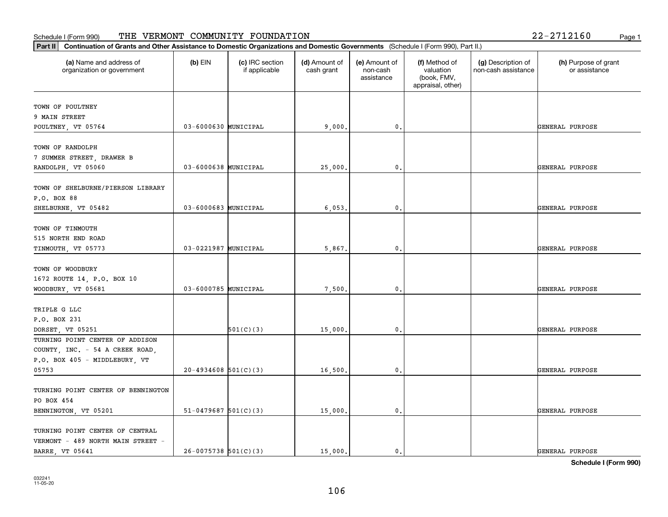| (a) Name and address of<br>organization or government | $(b)$ EIN                | (c) IRC section<br>if applicable | (d) Amount of<br>cash grant | (e) Amount of<br>non-cash<br>assistance | (f) Method of<br>valuation<br>(book, FMV,<br>appraisal, other) | (g) Description of<br>non-cash assistance | (h) Purpose of grant<br>or assistance |
|-------------------------------------------------------|--------------------------|----------------------------------|-----------------------------|-----------------------------------------|----------------------------------------------------------------|-------------------------------------------|---------------------------------------|
| TOWN OF POULTNEY                                      |                          |                                  |                             |                                         |                                                                |                                           |                                       |
| 9 MAIN STREET                                         |                          |                                  |                             |                                         |                                                                |                                           |                                       |
| POULTNEY, VT 05764                                    | 03-6000630 MUNICIPAL     |                                  | 9,000.                      | $\mathbf{0}$ .                          |                                                                |                                           | GENERAL PURPOSE                       |
| TOWN OF RANDOLPH                                      |                          |                                  |                             |                                         |                                                                |                                           |                                       |
| 7 SUMMER STREET, DRAWER B                             |                          |                                  |                             |                                         |                                                                |                                           |                                       |
| RANDOLPH, VT 05060                                    | 03-6000638 MUNICIPAL     |                                  | 25,000.                     | 0.                                      |                                                                |                                           | GENERAL PURPOSE                       |
|                                                       |                          |                                  |                             |                                         |                                                                |                                           |                                       |
| TOWN OF SHELBURNE/PIERSON LIBRARY                     |                          |                                  |                             |                                         |                                                                |                                           |                                       |
| P.O. BOX 88                                           |                          |                                  |                             |                                         |                                                                |                                           |                                       |
| SHELBURNE, VT 05482                                   | 03-6000683 MUNICIPAL     |                                  | 6,053.                      | 0.                                      |                                                                |                                           | GENERAL PURPOSE                       |
| TOWN OF TINMOUTH                                      |                          |                                  |                             |                                         |                                                                |                                           |                                       |
| 515 NORTH END ROAD                                    |                          |                                  |                             |                                         |                                                                |                                           |                                       |
| TINMOUTH, VT 05773                                    | 03-0221987 MUNICIPAL     |                                  | 5,867.                      | $\mathbf 0$ .                           |                                                                |                                           | GENERAL PURPOSE                       |
|                                                       |                          |                                  |                             |                                         |                                                                |                                           |                                       |
| TOWN OF WOODBURY                                      |                          |                                  |                             |                                         |                                                                |                                           |                                       |
| 1672 ROUTE 14, P.O. BOX 10                            |                          |                                  |                             |                                         |                                                                |                                           |                                       |
| WOODBURY, VT 05681                                    | 03-6000785 MUNICIPAL     |                                  | 7,500.                      | 0.                                      |                                                                |                                           | GENERAL PURPOSE                       |
|                                                       |                          |                                  |                             |                                         |                                                                |                                           |                                       |
| TRIPLE G LLC                                          |                          |                                  |                             |                                         |                                                                |                                           |                                       |
| P.O. BOX 231                                          |                          |                                  |                             |                                         |                                                                |                                           |                                       |
| DORSET, VT 05251                                      |                          | 501(C)(3)                        | 15,000.                     | $\mathbf 0$ .                           |                                                                |                                           | GENERAL PURPOSE                       |
| TURNING POINT CENTER OF ADDISON                       |                          |                                  |                             |                                         |                                                                |                                           |                                       |
| COUNTY, INC. - 54 A CREEK ROAD,                       |                          |                                  |                             |                                         |                                                                |                                           |                                       |
| P.O. BOX 405 - MIDDLEBURY, VT                         |                          |                                  |                             |                                         |                                                                |                                           |                                       |
| 05753                                                 | $20-4934608$ 501(C)(3)   |                                  | 16,500.                     | 0.                                      |                                                                |                                           | GENERAL PURPOSE                       |
| TURNING POINT CENTER OF BENNINGTON                    |                          |                                  |                             |                                         |                                                                |                                           |                                       |
| PO BOX 454                                            |                          |                                  |                             |                                         |                                                                |                                           |                                       |
| BENNINGTON, VT 05201                                  | $51-0479687$ $501(C)(3)$ |                                  | 15,000.                     | $\mathbf 0$ .                           |                                                                |                                           | GENERAL PURPOSE                       |
|                                                       |                          |                                  |                             |                                         |                                                                |                                           |                                       |
| TURNING POINT CENTER OF CENTRAL                       |                          |                                  |                             |                                         |                                                                |                                           |                                       |
| VERMONT - 489 NORTH MAIN STREET -                     |                          |                                  |                             |                                         |                                                                |                                           |                                       |
| <b>BARRE, VT 05641</b>                                | $26-0075738$ 501(C)(3)   |                                  | 15,000.                     | 0.                                      |                                                                |                                           | GENERAL PURPOSE                       |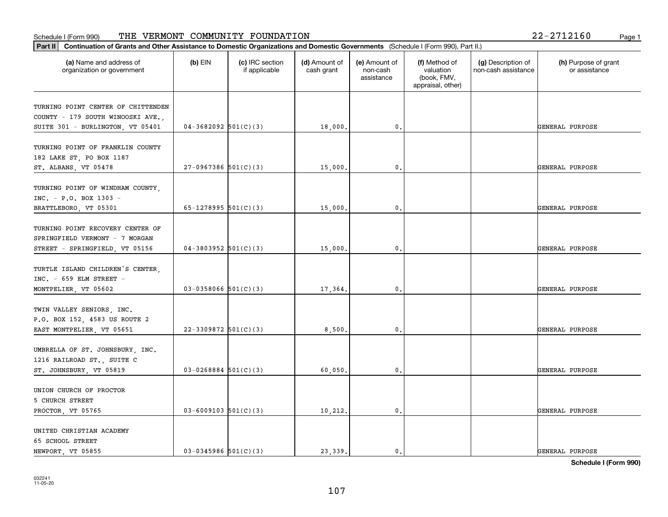| $2 - 2712160$ |  | Page |
|---------------|--|------|
|               |  |      |

| Part II<br>Continuation of Grants and Other Assistance to Domestic Organizations and Domestic Governments (Schedule I (Form 990), Part II.) |                          |                                  |                             |                                         |                                                                |                                           |                                       |
|---------------------------------------------------------------------------------------------------------------------------------------------|--------------------------|----------------------------------|-----------------------------|-----------------------------------------|----------------------------------------------------------------|-------------------------------------------|---------------------------------------|
| (a) Name and address of<br>organization or government                                                                                       | $(b)$ EIN                | (c) IRC section<br>if applicable | (d) Amount of<br>cash grant | (e) Amount of<br>non-cash<br>assistance | (f) Method of<br>valuation<br>(book, FMV,<br>appraisal, other) | (g) Description of<br>non-cash assistance | (h) Purpose of grant<br>or assistance |
| TURNING POINT CENTER OF CHITTENDEN<br>COUNTY - 179 SOUTH WINOOSKI AVE.,<br>SUITE 301 - BURLINGTON, VT 05401                                 | $04-3682092$ 501(C)(3)   |                                  | 18,000.                     | $\mathbf 0$ .                           |                                                                |                                           | GENERAL PURPOSE                       |
| TURNING POINT OF FRANKLIN COUNTY<br>182 LAKE ST, PO BOX 1187<br>ST. ALBANS, VT 05478                                                        | $27-0967386$ 501(C)(3)   |                                  | 15,000.                     | $\mathbf{0}$ .                          |                                                                |                                           | GENERAL PURPOSE                       |
| TURNING POINT OF WINDHAM COUNTY,<br>INC. - P.O. BOX 1303 -<br>BRATTLEBORO, VT 05301                                                         | 65-1278995 $501(C)(3)$   |                                  | 15,000                      | 0                                       |                                                                |                                           | GENERAL PURPOSE                       |
| TURNING POINT RECOVERY CENTER OF<br>SPRINGFIELD VERMONT - 7 MORGAN<br>STREET - SPRINGFIELD, VT 05156                                        | $04-3803952$ 501(C)(3)   |                                  | 15,000.                     | $\mathfrak o$ .                         |                                                                |                                           | GENERAL PURPOSE                       |
| TURTLE ISLAND CHILDREN'S CENTER,<br>INC. - 659 ELM STREET -<br>MONTPELIER, VT 05602                                                         | $03 - 0358066$ 501(C)(3) |                                  | 17,364.                     | $\mathbf{0}$ .                          |                                                                |                                           | GENERAL PURPOSE                       |
| TWIN VALLEY SENIORS, INC.<br>P.O. BOX 152, 4583 US ROUTE 2<br>EAST MONTPELIER, VT 05651                                                     | $22 - 3309872$ 501(C)(3) |                                  | 8,500                       | 0                                       |                                                                |                                           | GENERAL PURPOSE                       |
| UMBRELLA OF ST. JOHNSBURY, INC.<br>1216 RAILROAD ST., SUITE C<br>ST. JOHNSBURY, VT 05819                                                    | $03 - 0268884$ 501(C)(3) |                                  | 60,050                      | $\mathfrak o$ .                         |                                                                |                                           | GENERAL PURPOSE                       |
| UNION CHURCH OF PROCTOR<br>5 CHURCH STREET<br>PROCTOR, VT 05765                                                                             | $03 - 6009103$ 501(C)(3) |                                  | 10,212.                     | $\mathbf{0}$ .                          |                                                                |                                           | GENERAL PURPOSE                       |
| UNITED CHRISTIAN ACADEMY<br>65 SCHOOL STREET<br>NEWPORT, VT 05855                                                                           | $03-0345986$ 501(C)(3)   |                                  | 23.339.                     | $\mathfrak{o}$ .                        |                                                                |                                           | GENERAL PURPOSE                       |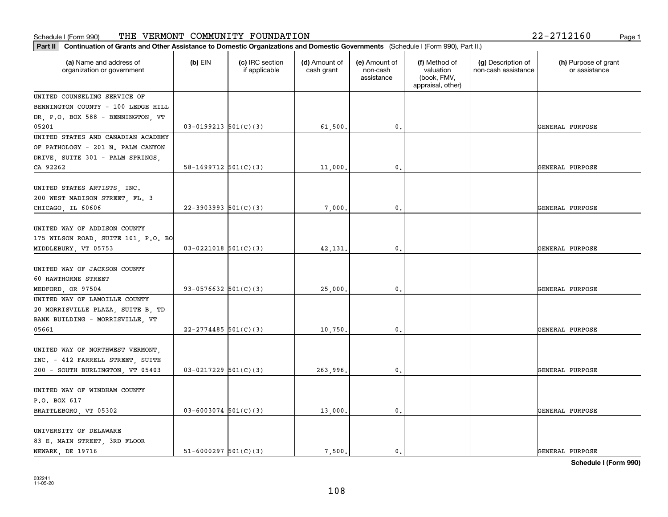| Part II   Continuation of Grants and Other Assistance to Domestic Organizations and Domestic Governments (Schedule I (Form 990), Part II.) |                            |                                  |                             |                                         |                                                                |                                           |                                       |
|--------------------------------------------------------------------------------------------------------------------------------------------|----------------------------|----------------------------------|-----------------------------|-----------------------------------------|----------------------------------------------------------------|-------------------------------------------|---------------------------------------|
| (a) Name and address of<br>organization or government                                                                                      | $(b)$ EIN                  | (c) IRC section<br>if applicable | (d) Amount of<br>cash grant | (e) Amount of<br>non-cash<br>assistance | (f) Method of<br>valuation<br>(book, FMV,<br>appraisal, other) | (g) Description of<br>non-cash assistance | (h) Purpose of grant<br>or assistance |
| UNITED COUNSELING SERVICE OF                                                                                                               |                            |                                  |                             |                                         |                                                                |                                           |                                       |
| BENNINGTON COUNTY - 100 LEDGE HILL                                                                                                         |                            |                                  |                             |                                         |                                                                |                                           |                                       |
| DR, P.O. BOX 588 - BENNINGTON, VT                                                                                                          |                            |                                  |                             |                                         |                                                                |                                           |                                       |
| 05201                                                                                                                                      | $03-0199213$ $501(C)(3)$   |                                  | 61,500.                     | 0.                                      |                                                                |                                           | GENERAL PURPOSE                       |
| UNITED STATES AND CANADIAN ACADEMY                                                                                                         |                            |                                  |                             |                                         |                                                                |                                           |                                       |
| OF PATHOLOGY - 201 N. PALM CANYON                                                                                                          |                            |                                  |                             |                                         |                                                                |                                           |                                       |
| DRIVE, SUITE 301 - PALM SPRINGS,                                                                                                           |                            |                                  |                             |                                         |                                                                |                                           |                                       |
| CA 92262                                                                                                                                   | $58-1699712$ $501(C)(3)$   |                                  | 11,000,                     | 0.                                      |                                                                |                                           | GENERAL PURPOSE                       |
| UNITED STATES ARTISTS, INC.<br>200 WEST MADISON STREET, FL. 3                                                                              |                            |                                  |                             |                                         |                                                                |                                           |                                       |
| CHICAGO, IL 60606                                                                                                                          | $22 - 3903993$ $501(C)(3)$ |                                  | 7,000.                      | $\mathbf{0}$ .                          |                                                                |                                           | GENERAL PURPOSE                       |
| UNITED WAY OF ADDISON COUNTY<br>175 WILSON ROAD, SUITE 101, P.O. BO<br>MIDDLEBURY, VT 05753                                                | $03-0221018$ 501(C)(3)     |                                  | 42,131.                     | 0.                                      |                                                                |                                           | GENERAL PURPOSE                       |
|                                                                                                                                            |                            |                                  |                             |                                         |                                                                |                                           |                                       |
| UNITED WAY OF JACKSON COUNTY                                                                                                               |                            |                                  |                             |                                         |                                                                |                                           |                                       |
| 60 HAWTHORNE STREET                                                                                                                        |                            |                                  |                             |                                         |                                                                |                                           |                                       |
| MEDFORD, OR 97504                                                                                                                          | 93-0576632 $501(C)(3)$     |                                  | 25,000.                     | 0.                                      |                                                                |                                           | GENERAL PURPOSE                       |
| UNITED WAY OF LAMOILLE COUNTY                                                                                                              |                            |                                  |                             |                                         |                                                                |                                           |                                       |
| 20 MORRISVILLE PLAZA, SUITE B, TD                                                                                                          |                            |                                  |                             |                                         |                                                                |                                           |                                       |
| BANK BUILDING - MORRISVILLE, VT                                                                                                            |                            |                                  |                             |                                         |                                                                |                                           |                                       |
| 05661                                                                                                                                      | $22 - 2774485$ 501(C)(3)   |                                  | 10,750.                     | 0.                                      |                                                                |                                           | GENERAL PURPOSE                       |
| UNITED WAY OF NORTHWEST VERMONT,<br>INC. - 412 FARRELL STREET, SUITE                                                                       |                            |                                  |                             |                                         |                                                                |                                           |                                       |
| 200 - SOUTH BURLINGTON, VT 05403                                                                                                           | $03-0217229$ 501(C)(3)     |                                  | 263,996.                    | $\mathbf{0}$ .                          |                                                                |                                           | GENERAL PURPOSE                       |
|                                                                                                                                            |                            |                                  |                             |                                         |                                                                |                                           |                                       |
| UNITED WAY OF WINDHAM COUNTY                                                                                                               |                            |                                  |                             |                                         |                                                                |                                           |                                       |
| P.O. BOX 617                                                                                                                               |                            |                                  |                             |                                         |                                                                |                                           |                                       |
| BRATTLEBORO, VT 05302                                                                                                                      | $03 - 6003074$ 501(C)(3)   |                                  | 13,000.                     | $\mathbf{0}$ .                          |                                                                |                                           | GENERAL PURPOSE                       |
| UNIVERSITY OF DELAWARE<br>83 E. MAIN STREET, 3RD FLOOR                                                                                     |                            |                                  |                             |                                         |                                                                |                                           |                                       |
| NEWARK, DE 19716                                                                                                                           | $51 - 6000297$ $501(C)(3)$ |                                  | 7.500.                      | $\mathbf{0}$ .                          |                                                                |                                           | GENERAL PURPOSE                       |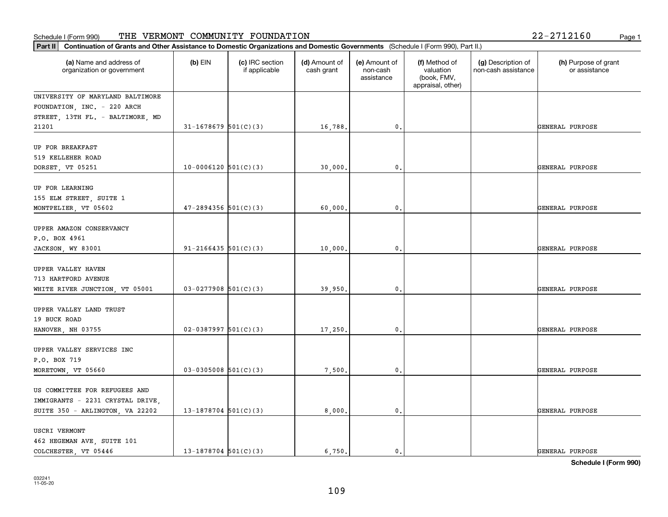| Part II   Continuation of Grants and Other Assistance to Domestic Organizations and Domestic Governments (Schedule I (Form 990), Part II.) |                            |                                  |                             |                                         |                                                                |                                           |                                       |
|--------------------------------------------------------------------------------------------------------------------------------------------|----------------------------|----------------------------------|-----------------------------|-----------------------------------------|----------------------------------------------------------------|-------------------------------------------|---------------------------------------|
| (a) Name and address of<br>organization or government                                                                                      | $(b)$ EIN                  | (c) IRC section<br>if applicable | (d) Amount of<br>cash grant | (e) Amount of<br>non-cash<br>assistance | (f) Method of<br>valuation<br>(book, FMV,<br>appraisal, other) | (g) Description of<br>non-cash assistance | (h) Purpose of grant<br>or assistance |
| UNIVERSITY OF MARYLAND BALTIMORE                                                                                                           |                            |                                  |                             |                                         |                                                                |                                           |                                       |
| FOUNDATION, INC. - 220 ARCH                                                                                                                |                            |                                  |                             |                                         |                                                                |                                           |                                       |
| STREET, 13TH FL. - BALTIMORE, MD                                                                                                           |                            |                                  |                             |                                         |                                                                |                                           |                                       |
| 21201                                                                                                                                      | $31 - 1678679$ $501(C)(3)$ |                                  | 16,788.                     | 0.                                      |                                                                |                                           | GENERAL PURPOSE                       |
| UP FOR BREAKFAST                                                                                                                           |                            |                                  |                             |                                         |                                                                |                                           |                                       |
| 519 KELLEHER ROAD                                                                                                                          |                            |                                  |                             |                                         |                                                                |                                           |                                       |
| DORSET, VT 05251                                                                                                                           | $10-0006120$ $501(C)(3)$   |                                  | 30,000                      | 0.                                      |                                                                |                                           | GENERAL PURPOSE                       |
|                                                                                                                                            |                            |                                  |                             |                                         |                                                                |                                           |                                       |
| UP FOR LEARNING                                                                                                                            |                            |                                  |                             |                                         |                                                                |                                           |                                       |
| 155 ELM STREET, SUITE 1                                                                                                                    |                            |                                  |                             |                                         |                                                                |                                           |                                       |
| MONTPELIER, VT 05602                                                                                                                       | $47 - 2894356$ 501(C)(3)   |                                  | 60,000,                     | $\mathbf{0}$ .                          |                                                                |                                           | GENERAL PURPOSE                       |
| UPPER AMAZON CONSERVANCY                                                                                                                   |                            |                                  |                             |                                         |                                                                |                                           |                                       |
| P.O. BOX 4961                                                                                                                              |                            |                                  |                             |                                         |                                                                |                                           |                                       |
| JACKSON, WY 83001                                                                                                                          | $91 - 2166435$ 501(C)(3)   |                                  | 10,000.                     | 0.                                      |                                                                |                                           | GENERAL PURPOSE                       |
|                                                                                                                                            |                            |                                  |                             |                                         |                                                                |                                           |                                       |
| UPPER VALLEY HAVEN                                                                                                                         |                            |                                  |                             |                                         |                                                                |                                           |                                       |
| 713 HARTFORD AVENUE                                                                                                                        |                            |                                  |                             |                                         |                                                                |                                           |                                       |
| WHITE RIVER JUNCTION, VT 05001                                                                                                             | $03-0277908$ 501(C)(3)     |                                  | 39,950.                     | 0.                                      |                                                                |                                           | GENERAL PURPOSE                       |
|                                                                                                                                            |                            |                                  |                             |                                         |                                                                |                                           |                                       |
| UPPER VALLEY LAND TRUST                                                                                                                    |                            |                                  |                             |                                         |                                                                |                                           |                                       |
| 19 BUCK ROAD                                                                                                                               | $02-0387997$ 501(C)(3)     |                                  | 17,250.                     | $\mathbf{0}$ .                          |                                                                |                                           | GENERAL PURPOSE                       |
| HANOVER, NH 03755                                                                                                                          |                            |                                  |                             |                                         |                                                                |                                           |                                       |
| UPPER VALLEY SERVICES INC                                                                                                                  |                            |                                  |                             |                                         |                                                                |                                           |                                       |
| P.O. BOX 719                                                                                                                               |                            |                                  |                             |                                         |                                                                |                                           |                                       |
| MORETOWN, VT 05660                                                                                                                         | $03-0305008$ 501(C)(3)     |                                  | 7,500.                      | $\mathfrak o$ .                         |                                                                |                                           | GENERAL PURPOSE                       |
|                                                                                                                                            |                            |                                  |                             |                                         |                                                                |                                           |                                       |
| US COMMITTEE FOR REFUGEES AND                                                                                                              |                            |                                  |                             |                                         |                                                                |                                           |                                       |
| IMMIGRANTS - 2231 CRYSTAL DRIVE,                                                                                                           |                            |                                  |                             |                                         |                                                                |                                           |                                       |
| SUITE 350 - ARLINGTON, VA 22202                                                                                                            | $13-1878704$ 501(C)(3)     |                                  | 8,000.                      | $\mathfrak o$ .                         |                                                                |                                           | GENERAL PURPOSE                       |
| USCRI VERMONT                                                                                                                              |                            |                                  |                             |                                         |                                                                |                                           |                                       |
|                                                                                                                                            |                            |                                  |                             |                                         |                                                                |                                           |                                       |
| 462 HEGEMAN AVE, SUITE 101<br>COLCHESTER, VT 05446                                                                                         | $13 - 1878704$ 501(C)(3)   |                                  | 6,750.                      | $\mathbf{0}$ .                          |                                                                |                                           | GENERAL PURPOSE                       |
|                                                                                                                                            |                            |                                  |                             |                                         |                                                                |                                           |                                       |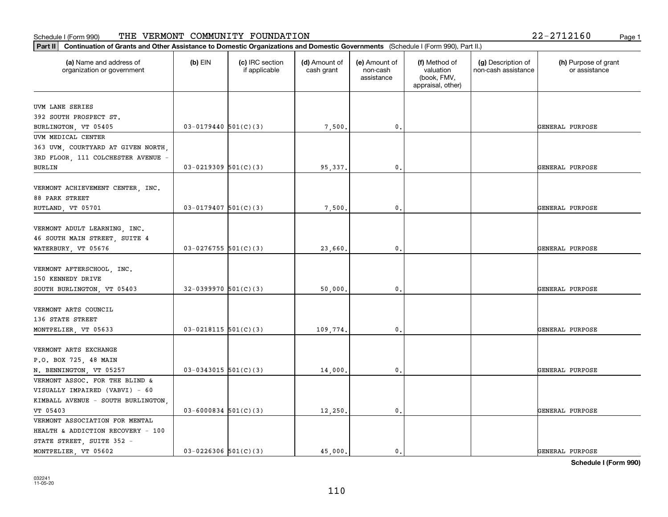| (a) Name and address of<br>organization or government | $(b)$ EIN                | (c) IRC section<br>if applicable | (d) Amount of<br>cash grant | (e) Amount of<br>non-cash<br>assistance | (f) Method of<br>valuation<br>(book, FMV,<br>appraisal, other) | (g) Description of<br>non-cash assistance | (h) Purpose of grant<br>or assistance |
|-------------------------------------------------------|--------------------------|----------------------------------|-----------------------------|-----------------------------------------|----------------------------------------------------------------|-------------------------------------------|---------------------------------------|
| UVM LANE SERIES                                       |                          |                                  |                             |                                         |                                                                |                                           |                                       |
| 392 SOUTH PROSPECT ST.                                |                          |                                  |                             |                                         |                                                                |                                           |                                       |
| BURLINGTON, VT 05405                                  | $03 - 0179440$ 501(C)(3) |                                  | 7,500.                      | 0.                                      |                                                                |                                           | GENERAL PURPOSE                       |
| UVM MEDICAL CENTER                                    |                          |                                  |                             |                                         |                                                                |                                           |                                       |
| 363 UVM, COURTYARD AT GIVEN NORTH,                    |                          |                                  |                             |                                         |                                                                |                                           |                                       |
| 3RD FLOOR, 111 COLCHESTER AVENUE -                    |                          |                                  |                             |                                         |                                                                |                                           |                                       |
| <b>BURLIN</b>                                         | $03-0219309$ 501(C)(3)   |                                  | 95,337.                     | 0.                                      |                                                                |                                           | GENERAL PURPOSE                       |
|                                                       |                          |                                  |                             |                                         |                                                                |                                           |                                       |
| VERMONT ACHIEVEMENT CENTER, INC.                      |                          |                                  |                             |                                         |                                                                |                                           |                                       |
| 88 PARK STREET                                        |                          |                                  |                             |                                         |                                                                |                                           |                                       |
| RUTLAND, VT 05701                                     | $03 - 0179407$ 501(C)(3) |                                  | 7,500.                      | 0.                                      |                                                                |                                           | GENERAL PURPOSE                       |
|                                                       |                          |                                  |                             |                                         |                                                                |                                           |                                       |
| VERMONT ADULT LEARNING, INC.                          |                          |                                  |                             |                                         |                                                                |                                           |                                       |
| 46 SOUTH MAIN STREET, SUITE 4                         |                          |                                  |                             |                                         |                                                                |                                           |                                       |
| WATERBURY, VT 05676                                   | $03-0276755$ 501(C)(3)   |                                  | 23,660.                     | 0.                                      |                                                                |                                           | GENERAL PURPOSE                       |
| VERMONT AFTERSCHOOL, INC.                             |                          |                                  |                             |                                         |                                                                |                                           |                                       |
| 150 KENNEDY DRIVE                                     |                          |                                  |                             |                                         |                                                                |                                           |                                       |
| SOUTH BURLINGTON, VT 05403                            | $32-0399970$ 501(C)(3)   |                                  | 50,000.                     | 0.                                      |                                                                |                                           | GENERAL PURPOSE                       |
|                                                       |                          |                                  |                             |                                         |                                                                |                                           |                                       |
| VERMONT ARTS COUNCIL                                  |                          |                                  |                             |                                         |                                                                |                                           |                                       |
| 136 STATE STREET                                      |                          |                                  |                             |                                         |                                                                |                                           |                                       |
| MONTPELIER, VT 05633                                  | $03-0218115$ $501(C)(3)$ |                                  | 109,774.                    | 0.                                      |                                                                |                                           | GENERAL PURPOSE                       |
|                                                       |                          |                                  |                             |                                         |                                                                |                                           |                                       |
| VERMONT ARTS EXCHANGE                                 |                          |                                  |                             |                                         |                                                                |                                           |                                       |
| P.O. BOX 725, 48 MAIN                                 |                          |                                  |                             |                                         |                                                                |                                           |                                       |
| N. BENNINGTON, VT 05257                               | $03-0343015$ 501(C)(3)   |                                  | 14,000.                     | 0.                                      |                                                                |                                           | GENERAL PURPOSE                       |
| VERMONT ASSOC. FOR THE BLIND &                        |                          |                                  |                             |                                         |                                                                |                                           |                                       |
| VISUALLY IMPAIRED (VABVI) - 60                        |                          |                                  |                             |                                         |                                                                |                                           |                                       |
| KIMBALL AVENUE - SOUTH BURLINGTON,                    |                          |                                  |                             |                                         |                                                                |                                           |                                       |
| VT 05403                                              | $03 - 6000834$ 501(C)(3) |                                  | 12,250.                     | $\mathbf{0}$ .                          |                                                                |                                           | GENERAL PURPOSE                       |
| VERMONT ASSOCIATION FOR MENTAL                        |                          |                                  |                             |                                         |                                                                |                                           |                                       |
| HEALTH & ADDICTION RECOVERY - 100                     |                          |                                  |                             |                                         |                                                                |                                           |                                       |
| STATE STREET, SUITE 352 -                             |                          |                                  |                             |                                         |                                                                |                                           |                                       |
| MONTPELIER, VT 05602                                  | $03 - 0226306$ 501(C)(3) |                                  | 45.000.                     | 0.                                      |                                                                |                                           | GENERAL PURPOSE                       |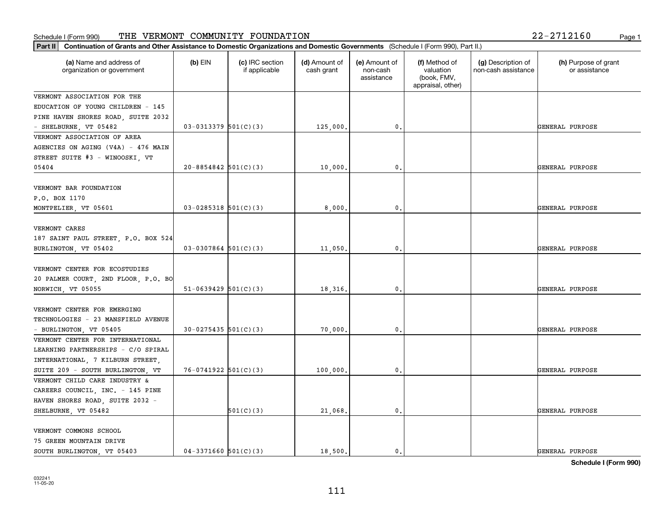#### **Part II Continuation of Grants and Other Assistance to Domestic Organization of Grants and Other Assistance to Domestic Organizations** Schedule I (Form 990) Page 1 THE VERMONT COMMUNITY FOUNDATION 22-2712160

| $2 - 2712160$ |  |    |
|---------------|--|----|
|               |  | Pа |

| Continuation of Grants and Other Assistance to Domestic Organizations and Domestic Governments (Schedule I (Form 990), Part II.)<br>Part II |                            |                                  |                             |                                         |                                                                |                                           |                                       |
|---------------------------------------------------------------------------------------------------------------------------------------------|----------------------------|----------------------------------|-----------------------------|-----------------------------------------|----------------------------------------------------------------|-------------------------------------------|---------------------------------------|
| (a) Name and address of<br>organization or government                                                                                       | $(b)$ EIN                  | (c) IRC section<br>if applicable | (d) Amount of<br>cash grant | (e) Amount of<br>non-cash<br>assistance | (f) Method of<br>valuation<br>(book, FMV,<br>appraisal, other) | (g) Description of<br>non-cash assistance | (h) Purpose of grant<br>or assistance |
| VERMONT ASSOCIATION FOR THE                                                                                                                 |                            |                                  |                             |                                         |                                                                |                                           |                                       |
| EDUCATION OF YOUNG CHILDREN - 145                                                                                                           |                            |                                  |                             |                                         |                                                                |                                           |                                       |
| PINE HAVEN SHORES ROAD, SUITE 2032                                                                                                          |                            |                                  |                             |                                         |                                                                |                                           |                                       |
| - SHELBURNE, VT 05482                                                                                                                       | $03-0313379$ $501(C)(3)$   |                                  | 125,000                     | 0.                                      |                                                                |                                           | GENERAL PURPOSE                       |
| VERMONT ASSOCIATION OF AREA                                                                                                                 |                            |                                  |                             |                                         |                                                                |                                           |                                       |
| AGENCIES ON AGING (V4A) - 476 MAIN                                                                                                          |                            |                                  |                             |                                         |                                                                |                                           |                                       |
| STREET SUITE #3 - WINOOSKI, VT                                                                                                              |                            |                                  |                             |                                         |                                                                |                                           |                                       |
| 05404                                                                                                                                       | $20 - 8854842$ 501(C)(3)   |                                  | 10,000.                     | 0.                                      |                                                                |                                           | GENERAL PURPOSE                       |
| VERMONT BAR FOUNDATION<br>P.O. BOX 1170                                                                                                     |                            |                                  |                             |                                         |                                                                |                                           |                                       |
| MONTPELIER, VT 05601                                                                                                                        | $03 - 0285318$ $501(C)(3)$ |                                  | 8,000                       | $\mathbf{0}$                            |                                                                |                                           | GENERAL PURPOSE                       |
| VERMONT CARES<br>187 SAINT PAUL STREET, P.O. BOX 524<br>BURLINGTON, VT 05402                                                                | $03-0307864$ 501(C)(3)     |                                  | $11,050$ ,                  | 0.                                      |                                                                |                                           | GENERAL PURPOSE                       |
| VERMONT CENTER FOR ECOSTUDIES<br>20 PALMER COURT, 2ND FLOOR, P.O. BO<br>NORWICH, VT 05055                                                   | $51-0639429$ $501(C)(3)$   |                                  | 18,316.                     | 0.                                      |                                                                |                                           | GENERAL PURPOSE                       |
| VERMONT CENTER FOR EMERGING<br>TECHNOLOGIES - 23 MANSFIELD AVENUE<br>- BURLINGTON, VT 05405                                                 | $30-0275435$ $501(C)(3)$   |                                  | 70,000                      | 0.                                      |                                                                |                                           | GENERAL PURPOSE                       |
| VERMONT CENTER FOR INTERNATIONAL<br>LEARNING PARTNERSHIPS - C/O SPIRAL<br>INTERNATIONAL, 7 KILBURN STREET,                                  |                            |                                  |                             |                                         |                                                                |                                           |                                       |
| SUITE 209 - SOUTH BURLINGTON, VT<br>VERMONT CHILD CARE INDUSTRY &                                                                           | $76-0741922$ $501(C)(3)$   |                                  | 100,000                     | 0.                                      |                                                                |                                           | GENERAL PURPOSE                       |
| CAREERS COUNCIL, INC. - 145 PINE                                                                                                            |                            |                                  |                             |                                         |                                                                |                                           |                                       |
| HAVEN SHORES ROAD, SUITE 2032 -<br>SHELBURNE, VT 05482                                                                                      |                            | 501(C)(3)                        | 21,068.                     | 0.                                      |                                                                |                                           | GENERAL PURPOSE                       |
|                                                                                                                                             |                            |                                  |                             |                                         |                                                                |                                           |                                       |
| VERMONT COMMONS SCHOOL<br>75 GREEN MOUNTAIN DRIVE<br>SOUTH BURLINGTON, VT 05403                                                             | $04-3371660$ $501(C)(3)$   |                                  | 18,500.                     | $\mathfrak{o}$ .                        |                                                                |                                           | GENERAL PURPOSE                       |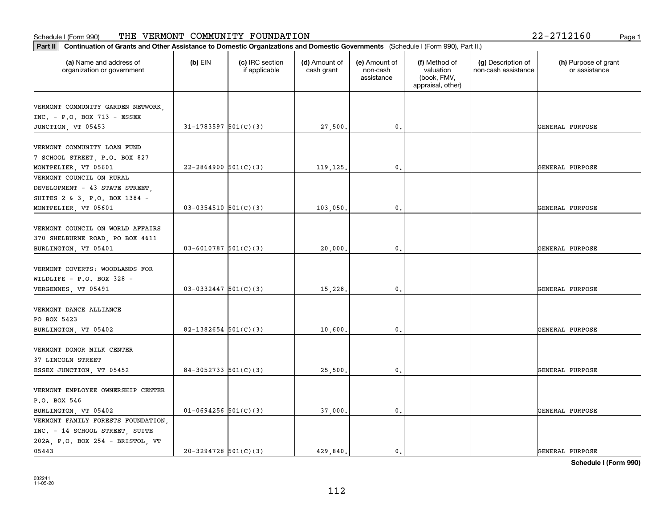|  | 22-2712160 |  |  | Page |
|--|------------|--|--|------|
|--|------------|--|--|------|

| (a) Name and address of<br>organization or government | $(b)$ EIN                  | (c) IRC section<br>if applicable | (d) Amount of<br>cash grant | (e) Amount of<br>non-cash<br>assistance | (f) Method of<br>valuation<br>(book, FMV,<br>appraisal, other) | (g) Description of<br>non-cash assistance | (h) Purpose of grant<br>or assistance |
|-------------------------------------------------------|----------------------------|----------------------------------|-----------------------------|-----------------------------------------|----------------------------------------------------------------|-------------------------------------------|---------------------------------------|
| VERMONT COMMUNITY GARDEN NETWORK,                     |                            |                                  |                             |                                         |                                                                |                                           |                                       |
| $INC. - P.O. BOX 713 - ESSEX$                         |                            |                                  |                             |                                         |                                                                |                                           |                                       |
| JUNCTION, VT 05453                                    | $31 - 1783597$ $501(C)(3)$ |                                  | 27,500.                     | 0.                                      |                                                                |                                           | GENERAL PURPOSE                       |
|                                                       |                            |                                  |                             |                                         |                                                                |                                           |                                       |
| VERMONT COMMUNITY LOAN FUND                           |                            |                                  |                             |                                         |                                                                |                                           |                                       |
| 7 SCHOOL STREET, P.O. BOX 827                         |                            |                                  |                             |                                         |                                                                |                                           |                                       |
| MONTPELIER, VT 05601                                  | $22 - 2864900$ 501(C)(3)   |                                  | 119,125.                    | $\mathbf{0}$ .                          |                                                                |                                           | GENERAL PURPOSE                       |
| VERMONT COUNCIL ON RURAL                              |                            |                                  |                             |                                         |                                                                |                                           |                                       |
| DEVELOPMENT - 43 STATE STREET,                        |                            |                                  |                             |                                         |                                                                |                                           |                                       |
| SUITES 2 & 3, P.O. BOX 1384 -                         |                            |                                  |                             |                                         |                                                                |                                           |                                       |
| MONTPELIER, VT 05601                                  | $03 - 0354510$ 501(C)(3)   |                                  | 103,050.                    | $\mathbf{0}$ .                          |                                                                |                                           | GENERAL PURPOSE                       |
|                                                       |                            |                                  |                             |                                         |                                                                |                                           |                                       |
| VERMONT COUNCIL ON WORLD AFFAIRS                      |                            |                                  |                             |                                         |                                                                |                                           |                                       |
| 370 SHELBURNE ROAD, PO BOX 4611                       |                            |                                  |                             |                                         |                                                                |                                           |                                       |
| BURLINGTON, VT 05401                                  | $03 - 6010787$ 501(C)(3)   |                                  | 20,000.                     | $\mathbf{0}$ .                          |                                                                |                                           | GENERAL PURPOSE                       |
| VERMONT COVERTS: WOODLANDS FOR                        |                            |                                  |                             |                                         |                                                                |                                           |                                       |
| WILDLIFE - P.O. BOX 328 -                             |                            |                                  |                             |                                         |                                                                |                                           |                                       |
| VERGENNES, VT 05491                                   | $03-0332447$ 501(C)(3)     |                                  | 15,228.                     | $\mathbf{0}$                            |                                                                |                                           | GENERAL PURPOSE                       |
|                                                       |                            |                                  |                             |                                         |                                                                |                                           |                                       |
| VERMONT DANCE ALLIANCE                                |                            |                                  |                             |                                         |                                                                |                                           |                                       |
| PO BOX 5423                                           |                            |                                  |                             |                                         |                                                                |                                           |                                       |
| BURLINGTON, VT 05402                                  | 82-1382654 $501(C)(3)$     |                                  | 10,600.                     | 0.                                      |                                                                |                                           | GENERAL PURPOSE                       |
|                                                       |                            |                                  |                             |                                         |                                                                |                                           |                                       |
| VERMONT DONOR MILK CENTER                             |                            |                                  |                             |                                         |                                                                |                                           |                                       |
| 37 LINCOLN STREET                                     |                            |                                  |                             |                                         |                                                                |                                           |                                       |
| ESSEX JUNCTION, VT 05452                              | $84-3052733$ 501(C)(3)     |                                  | 25,500.                     | $\mathbf{0}$ .                          |                                                                |                                           | GENERAL PURPOSE                       |
|                                                       |                            |                                  |                             |                                         |                                                                |                                           |                                       |
| VERMONT EMPLOYEE OWNERSHIP CENTER                     |                            |                                  |                             |                                         |                                                                |                                           |                                       |
| P.O. BOX 546                                          |                            |                                  |                             |                                         |                                                                |                                           |                                       |
| BURLINGTON, VT 05402                                  | $01-0694256$ 501(C)(3)     |                                  | 37,000.                     | $\mathbf{0}$ .                          |                                                                |                                           | GENERAL PURPOSE                       |
| VERMONT FAMILY FORESTS FOUNDATION,                    |                            |                                  |                             |                                         |                                                                |                                           |                                       |
| INC. - 14 SCHOOL STREET, SUITE                        |                            |                                  |                             |                                         |                                                                |                                           |                                       |
| 202A, P.O. BOX 254 - BRISTOL, VT                      |                            |                                  |                             |                                         |                                                                |                                           |                                       |
| 05443                                                 | $20-3294728$ $501(C)(3)$   |                                  | 429,840.                    | $\mathbf{0}$                            |                                                                |                                           | GENERAL PURPOSE                       |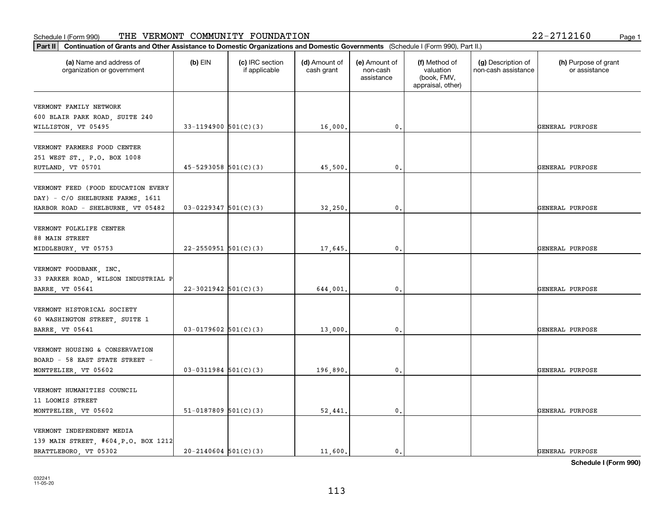| (a) Name and address of<br>organization or government | $(b)$ EIN                  | (c) IRC section<br>if applicable | (d) Amount of<br>cash grant | (e) Amount of<br>non-cash<br>assistance | (f) Method of<br>valuation<br>(book, FMV,<br>appraisal, other) | (g) Description of<br>non-cash assistance | (h) Purpose of grant<br>or assistance |
|-------------------------------------------------------|----------------------------|----------------------------------|-----------------------------|-----------------------------------------|----------------------------------------------------------------|-------------------------------------------|---------------------------------------|
| VERMONT FAMILY NETWORK                                |                            |                                  |                             |                                         |                                                                |                                           |                                       |
| 600 BLAIR PARK ROAD, SUITE 240                        |                            |                                  |                             |                                         |                                                                |                                           |                                       |
| WILLISTON, VT 05495                                   | 33-1194900 $501(C)(3)$     |                                  | 16,000.                     | $^{\circ}$ .                            |                                                                |                                           | GENERAL PURPOSE                       |
|                                                       |                            |                                  |                             |                                         |                                                                |                                           |                                       |
| VERMONT FARMERS FOOD CENTER                           |                            |                                  |                             |                                         |                                                                |                                           |                                       |
| 251 WEST ST., P.O. BOX 1008                           |                            |                                  |                             |                                         |                                                                |                                           |                                       |
| RUTLAND, VT 05701                                     | $45 - 5293058$ $501(C)(3)$ |                                  | 45,500                      | 0.                                      |                                                                |                                           | GENERAL PURPOSE                       |
| VERMONT FEED (FOOD EDUCATION EVERY                    |                            |                                  |                             |                                         |                                                                |                                           |                                       |
| DAY) - C/O SHELBURNE FARMS, 1611                      |                            |                                  |                             |                                         |                                                                |                                           |                                       |
| HARBOR ROAD - SHELBURNE, VT 05482                     | $03 - 0229347$ 501(C)(3)   |                                  | 32,250.                     | $\mathfrak{o}$ .                        |                                                                |                                           | GENERAL PURPOSE                       |
|                                                       |                            |                                  |                             |                                         |                                                                |                                           |                                       |
| VERMONT FOLKLIFE CENTER                               |                            |                                  |                             |                                         |                                                                |                                           |                                       |
| 88 MAIN STREET                                        |                            |                                  |                             |                                         |                                                                |                                           |                                       |
| MIDDLEBURY, VT 05753                                  | $22 - 2550951$ 501(C)(3)   |                                  | 17,645.                     | 0.                                      |                                                                |                                           | GENERAL PURPOSE                       |
|                                                       |                            |                                  |                             |                                         |                                                                |                                           |                                       |
| VERMONT FOODBANK, INC.                                |                            |                                  |                             |                                         |                                                                |                                           |                                       |
| 33 PARKER ROAD, WILSON INDUSTRIAL P                   |                            |                                  |                             |                                         |                                                                |                                           |                                       |
| <b>BARRE, VT 05641</b>                                | $22-3021942$ 501(C)(3)     |                                  | 644,001                     | $\mathbf{0}$                            |                                                                |                                           | GENERAL PURPOSE                       |
|                                                       |                            |                                  |                             |                                         |                                                                |                                           |                                       |
| VERMONT HISTORICAL SOCIETY                            |                            |                                  |                             |                                         |                                                                |                                           |                                       |
| 60 WASHINGTON STREET, SUITE 1                         | $03-0179602$ 501(C)(3)     |                                  | 13,000.                     | 0.                                      |                                                                |                                           | GENERAL PURPOSE                       |
| BARRE, VT 05641                                       |                            |                                  |                             |                                         |                                                                |                                           |                                       |
| VERMONT HOUSING & CONSERVATION                        |                            |                                  |                             |                                         |                                                                |                                           |                                       |
| BOARD - 58 EAST STATE STREET -                        |                            |                                  |                             |                                         |                                                                |                                           |                                       |
| MONTPELIER, VT 05602                                  | $03-0311984$ 501(C)(3)     |                                  | 196,890.                    | $^{\rm 0}$ .                            |                                                                |                                           | GENERAL PURPOSE                       |
|                                                       |                            |                                  |                             |                                         |                                                                |                                           |                                       |
| VERMONT HUMANITIES COUNCIL                            |                            |                                  |                             |                                         |                                                                |                                           |                                       |
| 11 LOOMIS STREET                                      |                            |                                  |                             |                                         |                                                                |                                           |                                       |
| MONTPELIER, VT 05602                                  | $51-0187809$ 501(C)(3)     |                                  | 52,441.                     | $\mathfrak{o}$ .                        |                                                                |                                           | GENERAL PURPOSE                       |
|                                                       |                            |                                  |                             |                                         |                                                                |                                           |                                       |
| VERMONT INDEPENDENT MEDIA                             |                            |                                  |                             |                                         |                                                                |                                           |                                       |
| 139 MAIN STREET, #604, P.O. BOX 1212                  |                            |                                  |                             |                                         |                                                                |                                           |                                       |
| BRATTLEBORO, VT 05302                                 | $20-2140604$ $501(C)(3)$   |                                  | 11,600.                     | $\mathbf{0}$ .                          |                                                                |                                           | GENERAL PURPOSE                       |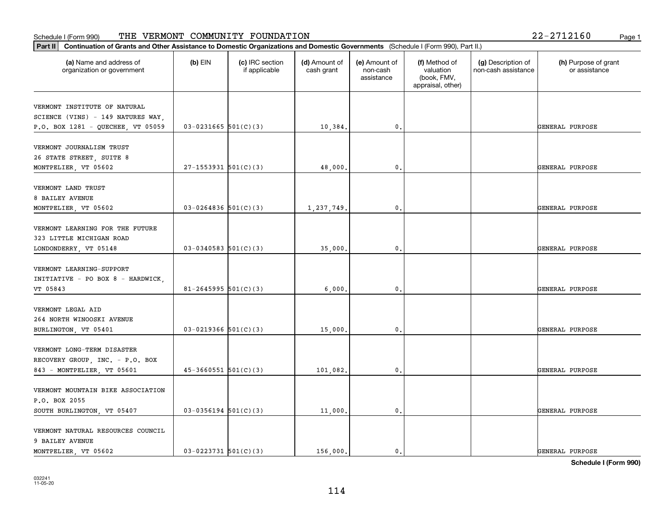| Part II   Continuation of Grants and Other Assistance to Domestic Organizations and Domestic Governments (Schedule I (Form 990), Part II.) |                            |                                  |                             |                                         |                                                                |                                           |                                       |
|--------------------------------------------------------------------------------------------------------------------------------------------|----------------------------|----------------------------------|-----------------------------|-----------------------------------------|----------------------------------------------------------------|-------------------------------------------|---------------------------------------|
| (a) Name and address of<br>organization or government                                                                                      | $(b)$ EIN                  | (c) IRC section<br>if applicable | (d) Amount of<br>cash grant | (e) Amount of<br>non-cash<br>assistance | (f) Method of<br>valuation<br>(book, FMV,<br>appraisal, other) | (g) Description of<br>non-cash assistance | (h) Purpose of grant<br>or assistance |
| VERMONT INSTITUTE OF NATURAL                                                                                                               |                            |                                  |                             |                                         |                                                                |                                           |                                       |
| SCIENCE (VINS) - 149 NATURES WAY,                                                                                                          |                            |                                  |                             |                                         |                                                                |                                           |                                       |
| P.O. BOX 1281 - QUECHEE, VT 05059                                                                                                          | $03 - 0231665$ 501(C)(3)   |                                  | 10,384.                     | 0.                                      |                                                                |                                           | GENERAL PURPOSE                       |
|                                                                                                                                            |                            |                                  |                             |                                         |                                                                |                                           |                                       |
| VERMONT JOURNALISM TRUST                                                                                                                   |                            |                                  |                             |                                         |                                                                |                                           |                                       |
| 26 STATE STREET, SUITE 8                                                                                                                   |                            |                                  |                             |                                         |                                                                |                                           |                                       |
| MONTPELIER, VT 05602                                                                                                                       | $27-1553931$ $501(C)(3)$   |                                  | 48,000.                     | 0.                                      |                                                                |                                           | GENERAL PURPOSE                       |
| VERMONT LAND TRUST                                                                                                                         |                            |                                  |                             |                                         |                                                                |                                           |                                       |
| 8 BAILEY AVENUE                                                                                                                            |                            |                                  |                             |                                         |                                                                |                                           |                                       |
| MONTPELIER, VT 05602                                                                                                                       | $03 - 0264836$ 501(C)(3)   |                                  | 1,237,749.                  | 0.                                      |                                                                |                                           | GENERAL PURPOSE                       |
|                                                                                                                                            |                            |                                  |                             |                                         |                                                                |                                           |                                       |
| VERMONT LEARNING FOR THE FUTURE                                                                                                            |                            |                                  |                             |                                         |                                                                |                                           |                                       |
| 323 LITTLE MICHIGAN ROAD                                                                                                                   |                            |                                  |                             |                                         |                                                                |                                           |                                       |
| LONDONDERRY, VT 05148                                                                                                                      | $03-0340583$ 501(C)(3)     |                                  | 35,000.                     | 0.                                      |                                                                |                                           | GENERAL PURPOSE                       |
|                                                                                                                                            |                            |                                  |                             |                                         |                                                                |                                           |                                       |
| VERMONT LEARNING-SUPPORT                                                                                                                   |                            |                                  |                             |                                         |                                                                |                                           |                                       |
| INITIATIVE - PO BOX 8 - HARDWICK,<br>VT 05843                                                                                              | $81 - 2645995$ 501(C)(3)   |                                  | 6,000                       | 0.                                      |                                                                |                                           | GENERAL PURPOSE                       |
|                                                                                                                                            |                            |                                  |                             |                                         |                                                                |                                           |                                       |
| VERMONT LEGAL AID                                                                                                                          |                            |                                  |                             |                                         |                                                                |                                           |                                       |
| 264 NORTH WINOOSKI AVENUE                                                                                                                  |                            |                                  |                             |                                         |                                                                |                                           |                                       |
| BURLINGTON, VT 05401                                                                                                                       | $03 - 0219366$ $501(C)(3)$ |                                  | 15,000.                     | 0.                                      |                                                                |                                           | GENERAL PURPOSE                       |
|                                                                                                                                            |                            |                                  |                             |                                         |                                                                |                                           |                                       |
| VERMONT LONG-TERM DISASTER                                                                                                                 |                            |                                  |                             |                                         |                                                                |                                           |                                       |
| RECOVERY GROUP, INC. - P.O. BOX                                                                                                            |                            |                                  |                             |                                         |                                                                |                                           |                                       |
| 843 - MONTPELIER, VT 05601                                                                                                                 | $45-3660551$ $501(C)(3)$   |                                  | 101,082.                    | 0.                                      |                                                                |                                           | GENERAL PURPOSE                       |
| VERMONT MOUNTAIN BIKE ASSOCIATION                                                                                                          |                            |                                  |                             |                                         |                                                                |                                           |                                       |
| P.O. BOX 2055                                                                                                                              |                            |                                  |                             |                                         |                                                                |                                           |                                       |
|                                                                                                                                            | $03-0356194$ 501(C)(3)     |                                  | 11,000.                     | $\mathbf{0}$ .                          |                                                                |                                           | GENERAL PURPOSE                       |
| SOUTH BURLINGTON, VT 05407                                                                                                                 |                            |                                  |                             |                                         |                                                                |                                           |                                       |
| VERMONT NATURAL RESOURCES COUNCIL                                                                                                          |                            |                                  |                             |                                         |                                                                |                                           |                                       |
| 9 BAILEY AVENUE                                                                                                                            |                            |                                  |                             |                                         |                                                                |                                           |                                       |
| MONTPELIER, VT 05602                                                                                                                       | $03 - 0223731$ 501(C)(3)   |                                  | 156,000.                    | $\mathbf{0}$ .                          |                                                                |                                           | GENERAL PURPOSE                       |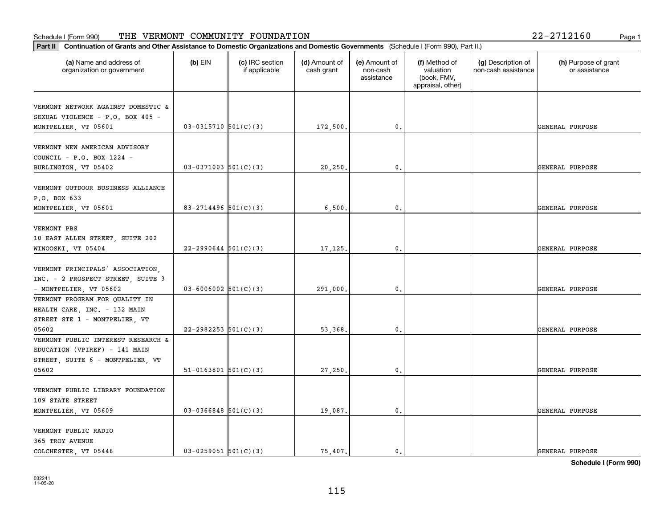| Part II   Continuation of Grants and Other Assistance to Domestic Organizations and Domestic Governments (Schedule I (Form 990), Part II.) |                          |                                  |                             |                                         |                                                                |                                           |                                       |
|--------------------------------------------------------------------------------------------------------------------------------------------|--------------------------|----------------------------------|-----------------------------|-----------------------------------------|----------------------------------------------------------------|-------------------------------------------|---------------------------------------|
| (a) Name and address of<br>organization or government                                                                                      | $(b)$ EIN                | (c) IRC section<br>if applicable | (d) Amount of<br>cash grant | (e) Amount of<br>non-cash<br>assistance | (f) Method of<br>valuation<br>(book, FMV,<br>appraisal, other) | (g) Description of<br>non-cash assistance | (h) Purpose of grant<br>or assistance |
| VERMONT NETWORK AGAINST DOMESTIC &                                                                                                         |                          |                                  |                             |                                         |                                                                |                                           |                                       |
| SEXUAL VIOLENCE - P.O. BOX 405 -                                                                                                           |                          |                                  |                             |                                         |                                                                |                                           |                                       |
| MONTPELIER, VT 05601                                                                                                                       | $03-0315710$ 501(C)(3)   |                                  | 172,500.                    | 0.                                      |                                                                |                                           | GENERAL PURPOSE                       |
|                                                                                                                                            |                          |                                  |                             |                                         |                                                                |                                           |                                       |
| VERMONT NEW AMERICAN ADVISORY                                                                                                              |                          |                                  |                             |                                         |                                                                |                                           |                                       |
| COUNCIL - P.O. BOX 1224 -                                                                                                                  |                          |                                  |                             |                                         |                                                                |                                           |                                       |
| BURLINGTON, VT 05402                                                                                                                       | $03-0371003$ 501(C)(3)   |                                  | 20, 250.                    | 0.                                      |                                                                |                                           | GENERAL PURPOSE                       |
|                                                                                                                                            |                          |                                  |                             |                                         |                                                                |                                           |                                       |
| VERMONT OUTDOOR BUSINESS ALLIANCE                                                                                                          |                          |                                  |                             |                                         |                                                                |                                           |                                       |
| P.O. BOX 633                                                                                                                               |                          |                                  |                             |                                         |                                                                |                                           |                                       |
| MONTPELIER, VT 05601                                                                                                                       | 83-2714496 501(C)(3)     |                                  | 6,500                       | $\mathbf{0}$ .                          |                                                                |                                           | GENERAL PURPOSE                       |
|                                                                                                                                            |                          |                                  |                             |                                         |                                                                |                                           |                                       |
| VERMONT PBS                                                                                                                                |                          |                                  |                             |                                         |                                                                |                                           |                                       |
| 10 EAST ALLEN STREET, SUITE 202                                                                                                            |                          |                                  |                             |                                         |                                                                |                                           |                                       |
| WINOOSKI, VT 05404                                                                                                                         | $22 - 2990644$ 501(C)(3) |                                  | 17,125.                     | $\mathbf{0}$ .                          |                                                                |                                           | GENERAL PURPOSE                       |
|                                                                                                                                            |                          |                                  |                             |                                         |                                                                |                                           |                                       |
| VERMONT PRINCIPALS' ASSOCIATION.                                                                                                           |                          |                                  |                             |                                         |                                                                |                                           |                                       |
| INC. - 2 PROSPECT STREET, SUITE 3                                                                                                          |                          |                                  |                             |                                         |                                                                |                                           |                                       |
| - MONTPELIER, VT 05602                                                                                                                     | $03 - 6006002$ 501(C)(3) |                                  | 291,000.                    | 0.                                      |                                                                |                                           | GENERAL PURPOSE                       |
| VERMONT PROGRAM FOR QUALITY IN                                                                                                             |                          |                                  |                             |                                         |                                                                |                                           |                                       |
| HEALTH CARE, INC. - 132 MAIN                                                                                                               |                          |                                  |                             |                                         |                                                                |                                           |                                       |
| STREET STE 1 - MONTPELIER, VT                                                                                                              |                          |                                  |                             |                                         |                                                                |                                           |                                       |
| 05602                                                                                                                                      | 22-2982253 $501(C)(3)$   |                                  | 53,368.                     | $\mathbf{0}$ .                          |                                                                |                                           | GENERAL PURPOSE                       |
| VERMONT PUBLIC INTEREST RESEARCH &                                                                                                         |                          |                                  |                             |                                         |                                                                |                                           |                                       |
| EDUCATION (VPIREF) - 141 MAIN                                                                                                              |                          |                                  |                             |                                         |                                                                |                                           |                                       |
| STREET, SUITE 6 - MONTPELIER, VT                                                                                                           |                          |                                  |                             |                                         |                                                                |                                           |                                       |
| 05602                                                                                                                                      | $51-0163801$ $501(C)(3)$ |                                  | 27,250.                     | $\mathfrak{o}$ .                        |                                                                |                                           | GENERAL PURPOSE                       |
|                                                                                                                                            |                          |                                  |                             |                                         |                                                                |                                           |                                       |
| VERMONT PUBLIC LIBRARY FOUNDATION                                                                                                          |                          |                                  |                             |                                         |                                                                |                                           |                                       |
| 109 STATE STREET                                                                                                                           |                          |                                  |                             |                                         |                                                                |                                           |                                       |
| MONTPELIER, VT 05609                                                                                                                       | $03-0366848$ 501(C)(3)   |                                  | 19,087.                     | $\mathfrak o$ .                         |                                                                |                                           | GENERAL PURPOSE                       |
|                                                                                                                                            |                          |                                  |                             |                                         |                                                                |                                           |                                       |
| VERMONT PUBLIC RADIO                                                                                                                       |                          |                                  |                             |                                         |                                                                |                                           |                                       |
| 365 TROY AVENUE                                                                                                                            |                          |                                  |                             |                                         |                                                                |                                           |                                       |
| COLCHESTER, VT 05446                                                                                                                       | $03 - 0259051$ 501(C)(3) |                                  | 75.407.                     | $\mathbf{0}$ .                          |                                                                |                                           | GENERAL PURPOSE                       |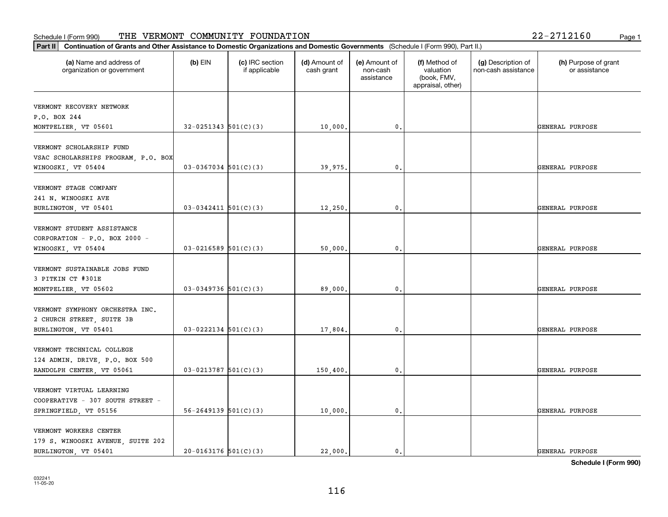| Part II   Continuation of Grants and Other Assistance to Domestic Organizations and Domestic Governments (Schedule I (Form 990), Part II.) |                            |                                  |                             |                                         |                                                                |                                           |                                       |
|--------------------------------------------------------------------------------------------------------------------------------------------|----------------------------|----------------------------------|-----------------------------|-----------------------------------------|----------------------------------------------------------------|-------------------------------------------|---------------------------------------|
| (a) Name and address of<br>organization or government                                                                                      | $(b)$ EIN                  | (c) IRC section<br>if applicable | (d) Amount of<br>cash grant | (e) Amount of<br>non-cash<br>assistance | (f) Method of<br>valuation<br>(book, FMV,<br>appraisal, other) | (g) Description of<br>non-cash assistance | (h) Purpose of grant<br>or assistance |
| VERMONT RECOVERY NETWORK                                                                                                                   |                            |                                  |                             |                                         |                                                                |                                           |                                       |
| P.O. BOX 244                                                                                                                               |                            |                                  |                             |                                         |                                                                |                                           |                                       |
| MONTPELIER, VT 05601                                                                                                                       | $32-0251343$ $501(C)(3)$   |                                  | 10,000.                     | $\mathbf{0}$ .                          |                                                                |                                           | GENERAL PURPOSE                       |
| VERMONT SCHOLARSHIP FUND                                                                                                                   |                            |                                  |                             |                                         |                                                                |                                           |                                       |
| VSAC SCHOLARSHIPS PROGRAM, P.O. BOX                                                                                                        |                            |                                  |                             |                                         |                                                                |                                           |                                       |
| WINOOSKI, VT 05404                                                                                                                         | $03-0367034$ 501(C)(3)     |                                  | 39,975.                     | 0.                                      |                                                                |                                           | GENERAL PURPOSE                       |
|                                                                                                                                            |                            |                                  |                             |                                         |                                                                |                                           |                                       |
| VERMONT STAGE COMPANY                                                                                                                      |                            |                                  |                             |                                         |                                                                |                                           |                                       |
| 241 N. WINOOSKI AVE                                                                                                                        |                            |                                  |                             |                                         |                                                                |                                           |                                       |
| BURLINGTON, VT 05401                                                                                                                       | $03 - 0342411$ 501(C)(3)   |                                  | 12,250.                     | 0.                                      |                                                                |                                           | GENERAL PURPOSE                       |
|                                                                                                                                            |                            |                                  |                             |                                         |                                                                |                                           |                                       |
| VERMONT STUDENT ASSISTANCE                                                                                                                 |                            |                                  |                             |                                         |                                                                |                                           |                                       |
| CORPORATION - P.O. BOX 2000 -                                                                                                              |                            |                                  |                             |                                         |                                                                |                                           |                                       |
| WINOOSKI, VT 05404                                                                                                                         | $03-0216589$ 501(C)(3)     |                                  | 50,000.                     | $\mathbf 0$ .                           |                                                                |                                           | GENERAL PURPOSE                       |
| VERMONT SUSTAINABLE JOBS FUND                                                                                                              |                            |                                  |                             |                                         |                                                                |                                           |                                       |
| 3 PITKIN CT #301E                                                                                                                          |                            |                                  |                             |                                         |                                                                |                                           |                                       |
| MONTPELIER, VT 05602                                                                                                                       | $03-0349736$ 501(C)(3)     |                                  | 89,000,                     | 0.                                      |                                                                |                                           | GENERAL PURPOSE                       |
|                                                                                                                                            |                            |                                  |                             |                                         |                                                                |                                           |                                       |
| VERMONT SYMPHONY ORCHESTRA INC.                                                                                                            |                            |                                  |                             |                                         |                                                                |                                           |                                       |
| 2 CHURCH STREET, SUITE 3B                                                                                                                  |                            |                                  |                             |                                         |                                                                |                                           |                                       |
| BURLINGTON, VT 05401                                                                                                                       | $03 - 0222134$ 501(C)(3)   |                                  | 17,804.                     | 0.                                      |                                                                |                                           | GENERAL PURPOSE                       |
|                                                                                                                                            |                            |                                  |                             |                                         |                                                                |                                           |                                       |
| VERMONT TECHNICAL COLLEGE                                                                                                                  |                            |                                  |                             |                                         |                                                                |                                           |                                       |
| 124 ADMIN. DRIVE, P.O. BOX 500                                                                                                             |                            |                                  |                             |                                         |                                                                |                                           |                                       |
| RANDOLPH CENTER, VT 05061                                                                                                                  | $03-0213787$ 501(C)(3)     |                                  | 150, 400.                   | 0.                                      |                                                                |                                           | GENERAL PURPOSE                       |
| VERMONT VIRTUAL LEARNING                                                                                                                   |                            |                                  |                             |                                         |                                                                |                                           |                                       |
| COOPERATIVE - 307 SOUTH STREET -                                                                                                           |                            |                                  |                             |                                         |                                                                |                                           |                                       |
| SPRINGFIELD, VT 05156                                                                                                                      | $56 - 2649139$ $501(C)(3)$ |                                  | 10,000.                     | $\mathbf 0$ .                           |                                                                |                                           | GENERAL PURPOSE                       |
|                                                                                                                                            |                            |                                  |                             |                                         |                                                                |                                           |                                       |
| VERMONT WORKERS CENTER                                                                                                                     |                            |                                  |                             |                                         |                                                                |                                           |                                       |
| 179 S. WINOOSKI AVENUE, SUITE 202                                                                                                          |                            |                                  |                             |                                         |                                                                |                                           |                                       |
| BURLINGTON, VT 05401                                                                                                                       | $20-0163176$ 501(C)(3)     |                                  | 22,000.                     | $\mathbf{0}$ .                          |                                                                |                                           | GENERAL PURPOSE                       |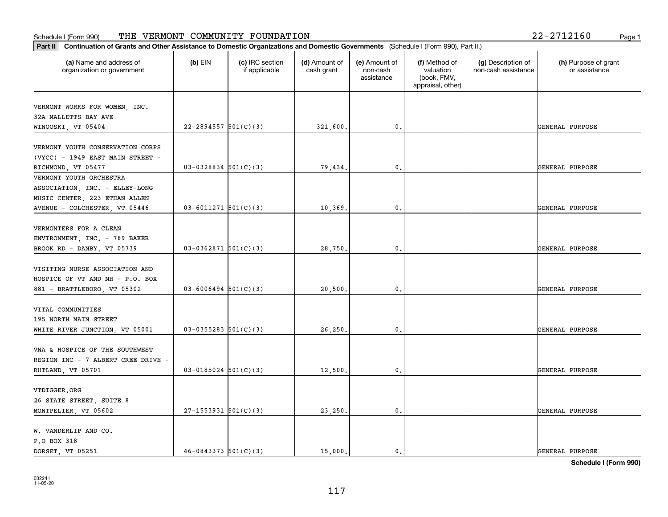| (a) Name and address of<br>organization or government             | $(b)$ EIN                  | (c) IRC section<br>if applicable | (d) Amount of<br>cash grant | (e) Amount of<br>non-cash<br>assistance | (f) Method of<br>valuation<br>(book, FMV,<br>appraisal, other) | (g) Description of<br>non-cash assistance | (h) Purpose of grant<br>or assistance |
|-------------------------------------------------------------------|----------------------------|----------------------------------|-----------------------------|-----------------------------------------|----------------------------------------------------------------|-------------------------------------------|---------------------------------------|
| VERMONT WORKS FOR WOMEN, INC.                                     |                            |                                  |                             |                                         |                                                                |                                           |                                       |
| 32A MALLETTS BAY AVE                                              |                            |                                  |                             |                                         |                                                                |                                           |                                       |
| WINOOSKI, VT 05404                                                | $22 - 2894557$ 501(C)(3)   |                                  | 321,600.                    | 0.                                      |                                                                |                                           | GENERAL PURPOSE                       |
| VERMONT YOUTH CONSERVATION CORPS                                  |                            |                                  |                             |                                         |                                                                |                                           |                                       |
| $(VYCC)$ - 1949 EAST MAIN STREET -                                |                            |                                  |                             |                                         |                                                                |                                           |                                       |
| RICHMOND, VT 05477                                                | $03-0328834$ 501(C)(3)     |                                  | 79,434.                     | $\mathbf{0}$ .                          |                                                                |                                           | GENERAL PURPOSE                       |
| VERMONT YOUTH ORCHESTRA                                           |                            |                                  |                             |                                         |                                                                |                                           |                                       |
| ASSOCIATION, INC. - ELLEY-LONG                                    |                            |                                  |                             |                                         |                                                                |                                           |                                       |
| MUSIC CENTER, 223 ETHAN ALLEN                                     |                            |                                  |                             |                                         |                                                                |                                           |                                       |
| AVENUE - COLCHESTER, VT 05446                                     | $03 - 6011271$ $501(C)(3)$ |                                  | 10, 369.                    | $\mathbf{0}$ .                          |                                                                |                                           | GENERAL PURPOSE                       |
|                                                                   |                            |                                  |                             |                                         |                                                                |                                           |                                       |
| VERMONTERS FOR A CLEAN                                            |                            |                                  |                             |                                         |                                                                |                                           |                                       |
| ENVIRONMENT, INC. - 789 BAKER                                     |                            |                                  |                             |                                         |                                                                |                                           |                                       |
| BROOK RD - DANBY, VT 05739                                        | $03-0362871$ 501(C)(3)     |                                  | 28,750.                     | $\mathbf{0}$ .                          |                                                                |                                           | GENERAL PURPOSE                       |
|                                                                   |                            |                                  |                             |                                         |                                                                |                                           |                                       |
| VISITING NURSE ASSOCIATION AND<br>HOSPICE OF VT AND NH - P.O. BOX |                            |                                  |                             |                                         |                                                                |                                           |                                       |
| 881 - BRATTLEBORO, VT 05302                                       | $03 - 6006494$ 501(C)(3)   |                                  | 20,500.                     | $\mathbf{0}$                            |                                                                |                                           | GENERAL PURPOSE                       |
|                                                                   |                            |                                  |                             |                                         |                                                                |                                           |                                       |
| VITAL COMMUNITIES                                                 |                            |                                  |                             |                                         |                                                                |                                           |                                       |
| 195 NORTH MAIN STREET                                             |                            |                                  |                             |                                         |                                                                |                                           |                                       |
| WHITE RIVER JUNCTION, VT 05001                                    | $03 - 0355283$ 501(C)(3)   |                                  | 26,250.                     | 0.                                      |                                                                |                                           | GENERAL PURPOSE                       |
|                                                                   |                            |                                  |                             |                                         |                                                                |                                           |                                       |
| VNA & HOSPICE OF THE SOUTHWEST                                    |                            |                                  |                             |                                         |                                                                |                                           |                                       |
| REGION INC - 7 ALBERT CREE DRIVE -                                |                            |                                  |                             |                                         |                                                                |                                           |                                       |
| RUTLAND, VT 05701                                                 | $03 - 0185024$ 501(C)(3)   |                                  | 12,500.                     | $\mathfrak{o}$ .                        |                                                                |                                           | GENERAL PURPOSE                       |
|                                                                   |                            |                                  |                             |                                         |                                                                |                                           |                                       |
| VTDIGGER.ORG<br>26 STATE STREET, SUITE 8                          |                            |                                  |                             |                                         |                                                                |                                           |                                       |
| MONTPELIER, VT 05602                                              | $27-1553931$ 501(C)(3)     |                                  | 23,250.                     | $\mathbf{0}$ .                          |                                                                |                                           | GENERAL PURPOSE                       |
|                                                                   |                            |                                  |                             |                                         |                                                                |                                           |                                       |
| W. VANDERLIP AND CO.                                              |                            |                                  |                             |                                         |                                                                |                                           |                                       |
| P.O BOX 318                                                       |                            |                                  |                             |                                         |                                                                |                                           |                                       |
| DORSET, VT 05251                                                  | $46 - 0843373$ $501(C)(3)$ |                                  | 15,000.                     | 0.                                      |                                                                |                                           | GENERAL PURPOSE                       |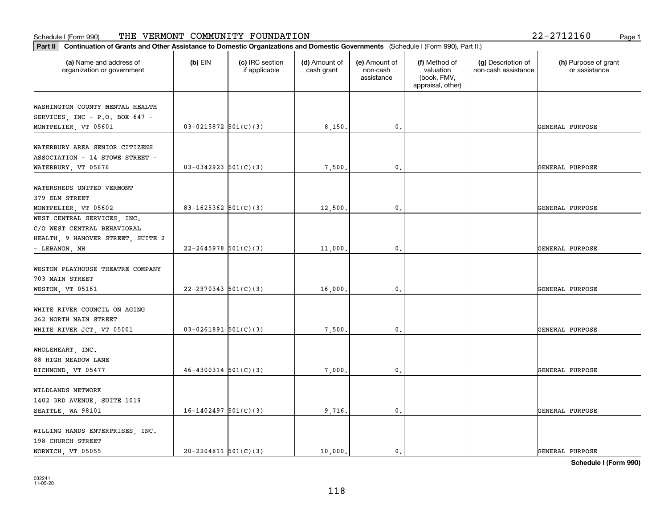#### Schedule I (Form 990) 'I'HE' VERMON'I' COMMUNITY F'OUNDA'I'ION 2Z-Z7IZI6U Page 1 THE VERMONT COMMUNITY FOUNDATION 22-2712160

| 22-2712160 | Page 1 |
|------------|--------|
|------------|--------|

| (a) Name and address of<br>organization or government                                    | $(b)$ EIN                | (c) IRC section<br>if applicable | (d) Amount of<br>cash grant | (e) Amount of<br>non-cash<br>assistance | (f) Method of<br>valuation<br>(book, FMV,<br>appraisal, other) | (g) Description of<br>non-cash assistance | (h) Purpose of grant<br>or assistance |
|------------------------------------------------------------------------------------------|--------------------------|----------------------------------|-----------------------------|-----------------------------------------|----------------------------------------------------------------|-------------------------------------------|---------------------------------------|
| WASHINGTON COUNTY MENTAL HEALTH<br>SERVICES, INC - P.O. BOX 647 -                        |                          |                                  |                             |                                         |                                                                |                                           |                                       |
| MONTPELIER, VT 05601                                                                     | $03 - 0215872$ 501(C)(3) |                                  | 8,150.                      | $\mathfrak{o}$ .                        |                                                                |                                           | GENERAL PURPOSE                       |
| WATERBURY AREA SENIOR CITIZENS<br>ASSOCIATION - 14 STOWE STREET -<br>WATERBURY, VT 05676 | $03-0342923$ $501(C)(3)$ |                                  | 7,500.                      | $\mathfrak{o}$ .                        |                                                                |                                           | GENERAL PURPOSE                       |
|                                                                                          |                          |                                  |                             |                                         |                                                                |                                           |                                       |
| WATERSHEDS UNITED VERMONT<br>379 ELM STREET                                              |                          |                                  |                             |                                         |                                                                |                                           |                                       |
| MONTPELIER, VT 05602<br>WEST CENTRAL SERVICES, INC.                                      | 83-1625362 $501(C)(3)$   |                                  | 12,500.                     | $\mathbf{0}$ .                          |                                                                |                                           | GENERAL PURPOSE                       |
| C/O WEST CENTRAL BEHAVIORAL<br>HEALTH, 9 HANOVER STREET, SUITE 2                         |                          |                                  |                             |                                         |                                                                |                                           |                                       |
| - LEBANON, NH                                                                            | $22 - 2645978$ 501(C)(3) |                                  | 11,000.                     | 0.                                      |                                                                |                                           | GENERAL PURPOSE                       |
| WESTON PLAYHOUSE THEATRE COMPANY<br>703 MAIN STREET                                      |                          |                                  |                             |                                         |                                                                |                                           |                                       |
| WESTON, VT 05161                                                                         | $22 - 2970343$ 501(C)(3) |                                  | 16,000.                     | $\mathbf{0}$                            |                                                                |                                           | GENERAL PURPOSE                       |
| WHITE RIVER COUNCIL ON AGING<br>262 NORTH MAIN STREET                                    |                          |                                  |                             |                                         |                                                                |                                           |                                       |
| WHITE RIVER JCT, VT 05001                                                                | $03-0261891$ 501(C)(3)   |                                  | 7,500.                      | $\mathfrak{o}$ .                        |                                                                |                                           | GENERAL PURPOSE                       |
| WHOLEHEART, INC.<br>88 HIGH MEADOW LANE                                                  |                          |                                  |                             |                                         |                                                                |                                           |                                       |
| RICHMOND, VT 05477                                                                       | $46 - 4300314$ 501(C)(3) |                                  | 7,000,                      | $\mathfrak{o}$ .                        |                                                                |                                           | GENERAL PURPOSE                       |
| WILDLANDS NETWORK                                                                        |                          |                                  |                             |                                         |                                                                |                                           |                                       |
| 1402 3RD AVENUE, SUITE 1019<br>SEATTLE, WA 98101                                         | $16-1402497$ 501(C)(3)   |                                  | 9,716.                      | $\mathfrak o$ .                         |                                                                |                                           | GENERAL PURPOSE                       |
| WILLING HANDS ENTERPRISES, INC.<br>198 CHURCH STREET                                     |                          |                                  |                             |                                         |                                                                |                                           |                                       |
| NORWICH VT 05055                                                                         | $20 - 2204811$ 501(C)(3) |                                  | 10,000.                     | $\mathfrak{o}$ .                        |                                                                |                                           | GENERAL PURPOSE                       |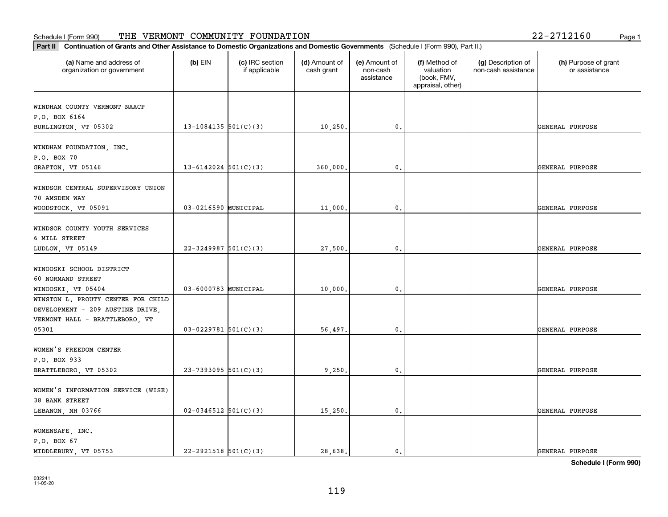| Part II   Continuation of Grants and Other Assistance to Domestic Organizations and Domestic Governments (Schedule I (Form 990), Part II.) |                          |                                  |                             |                                         |                                                                |                                           |                                       |
|--------------------------------------------------------------------------------------------------------------------------------------------|--------------------------|----------------------------------|-----------------------------|-----------------------------------------|----------------------------------------------------------------|-------------------------------------------|---------------------------------------|
| (a) Name and address of<br>organization or government                                                                                      | $(b)$ EIN                | (c) IRC section<br>if applicable | (d) Amount of<br>cash grant | (e) Amount of<br>non-cash<br>assistance | (f) Method of<br>valuation<br>(book, FMV,<br>appraisal, other) | (g) Description of<br>non-cash assistance | (h) Purpose of grant<br>or assistance |
| WINDHAM COUNTY VERMONT NAACP                                                                                                               |                          |                                  |                             |                                         |                                                                |                                           |                                       |
| P.O. BOX 6164                                                                                                                              |                          |                                  |                             |                                         |                                                                |                                           |                                       |
| BURLINGTON, VT 05302                                                                                                                       | 13-1084135 $501(C)(3)$   |                                  | 10,250.                     | 0.                                      |                                                                |                                           | GENERAL PURPOSE                       |
|                                                                                                                                            |                          |                                  |                             |                                         |                                                                |                                           |                                       |
| WINDHAM FOUNDATION, INC.                                                                                                                   |                          |                                  |                             |                                         |                                                                |                                           |                                       |
| P.O. BOX 70                                                                                                                                |                          |                                  |                             |                                         |                                                                |                                           |                                       |
| GRAFTON, VT 05146                                                                                                                          | $13 - 6142024$ 501(C)(3) |                                  | 360,000                     | 0.                                      |                                                                |                                           | GENERAL PURPOSE                       |
| WINDSOR CENTRAL SUPERVISORY UNION                                                                                                          |                          |                                  |                             |                                         |                                                                |                                           |                                       |
| 70 AMSDEN WAY                                                                                                                              |                          |                                  |                             |                                         |                                                                |                                           |                                       |
|                                                                                                                                            | 03-0216590 MUNICIPAL     |                                  |                             | $\mathbf{0}$ .                          |                                                                |                                           | GENERAL PURPOSE                       |
| WOODSTOCK, VT 05091                                                                                                                        |                          |                                  | 11,000.                     |                                         |                                                                |                                           |                                       |
| WINDSOR COUNTY YOUTH SERVICES                                                                                                              |                          |                                  |                             |                                         |                                                                |                                           |                                       |
| 6 MILL STREET                                                                                                                              |                          |                                  |                             |                                         |                                                                |                                           |                                       |
| LUDLOW, VT 05149                                                                                                                           | $22 - 3249987$ 501(C)(3) |                                  | 27,500.                     | 0.                                      |                                                                |                                           | GENERAL PURPOSE                       |
|                                                                                                                                            |                          |                                  |                             |                                         |                                                                |                                           |                                       |
| WINOOSKI SCHOOL DISTRICT                                                                                                                   |                          |                                  |                             |                                         |                                                                |                                           |                                       |
| 60 NORMAND STREET                                                                                                                          |                          |                                  |                             |                                         |                                                                |                                           |                                       |
| WINOOSKI, VT 05404                                                                                                                         | 03-6000783 MUNICIPAL     |                                  | 10,000                      | 0.                                      |                                                                |                                           | GENERAL PURPOSE                       |
| WINSTON L. PROUTY CENTER FOR CHILD                                                                                                         |                          |                                  |                             |                                         |                                                                |                                           |                                       |
| DEVELOPMENT - 209 AUSTINE DRIVE,                                                                                                           |                          |                                  |                             |                                         |                                                                |                                           |                                       |
| VERMONT HALL - BRATTLEBORO, VT                                                                                                             |                          |                                  |                             |                                         |                                                                |                                           |                                       |
| 05301                                                                                                                                      | $03 - 0229781$ 501(C)(3) |                                  | 56,497.                     | 0.                                      |                                                                |                                           | GENERAL PURPOSE                       |
|                                                                                                                                            |                          |                                  |                             |                                         |                                                                |                                           |                                       |
| WOMEN'S FREEDOM CENTER                                                                                                                     |                          |                                  |                             |                                         |                                                                |                                           |                                       |
| P.O. BOX 933                                                                                                                               |                          |                                  |                             |                                         |                                                                |                                           |                                       |
| BRATTLEBORO, VT 05302                                                                                                                      | $23 - 7393095$ 501(C)(3) |                                  | 9,250                       | $\mathfrak{o}$ .                        |                                                                |                                           | GENERAL PURPOSE                       |
|                                                                                                                                            |                          |                                  |                             |                                         |                                                                |                                           |                                       |
| WOMEN'S INFORMATION SERVICE (WISE)                                                                                                         |                          |                                  |                             |                                         |                                                                |                                           |                                       |
| 38 BANK STREET                                                                                                                             |                          |                                  |                             |                                         |                                                                |                                           |                                       |
| LEBANON, NH 03766                                                                                                                          | $02 - 0346512$ 501(C)(3) |                                  | 15,250.                     | $\mathbf{0}$ .                          |                                                                |                                           | GENERAL PURPOSE                       |
|                                                                                                                                            |                          |                                  |                             |                                         |                                                                |                                           |                                       |
| WOMENSAFE, INC.                                                                                                                            |                          |                                  |                             |                                         |                                                                |                                           |                                       |
| P.O. BOX 67                                                                                                                                |                          |                                  |                             |                                         |                                                                |                                           |                                       |
| MIDDLEBURY, VT 05753                                                                                                                       | $22 - 2921518$ 501(C)(3) |                                  | 28,638.                     | $\mathbf{0}$ .                          |                                                                |                                           | GENERAL PURPOSE                       |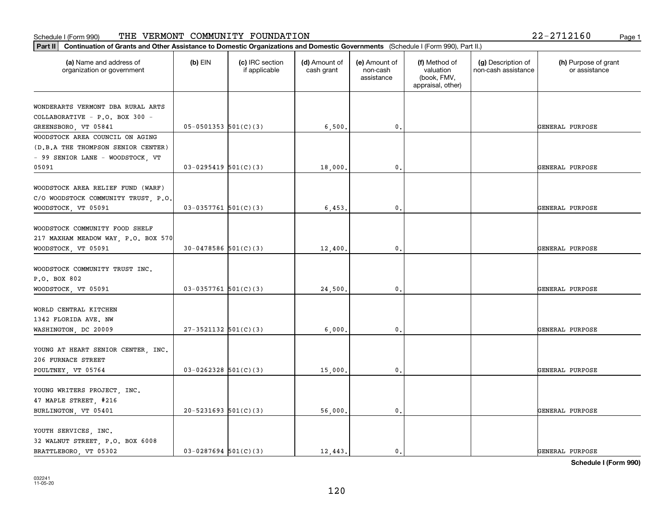|  | 22-2712160 |  |  | Page |
|--|------------|--|--|------|
|--|------------|--|--|------|

| (a) Name and address of<br>organization or government | $(b)$ EIN                  | (c) IRC section<br>if applicable | (d) Amount of<br>cash grant | (e) Amount of<br>non-cash<br>assistance | (f) Method of<br>valuation<br>(book, FMV,<br>appraisal, other) | (g) Description of<br>non-cash assistance | (h) Purpose of grant<br>or assistance |
|-------------------------------------------------------|----------------------------|----------------------------------|-----------------------------|-----------------------------------------|----------------------------------------------------------------|-------------------------------------------|---------------------------------------|
| WONDERARTS VERMONT DBA RURAL ARTS                     |                            |                                  |                             |                                         |                                                                |                                           |                                       |
| COLLABORATIVE - P.O. BOX 300 -                        |                            |                                  |                             |                                         |                                                                |                                           |                                       |
| GREENSBORO, VT 05841                                  | $05-0501353$ $501(C)(3)$   |                                  | 6,500.                      | 0.                                      |                                                                |                                           | GENERAL PURPOSE                       |
| WOODSTOCK AREA COUNCIL ON AGING                       |                            |                                  |                             |                                         |                                                                |                                           |                                       |
| (D.B.A THE THOMPSON SENIOR CENTER)                    |                            |                                  |                             |                                         |                                                                |                                           |                                       |
| - 99 SENIOR LANE - WOODSTOCK, VT                      |                            |                                  |                             |                                         |                                                                |                                           |                                       |
| 05091                                                 | $03-0295419$ $501(C)(3)$   |                                  | 18,000                      | 0.                                      |                                                                |                                           | GENERAL PURPOSE                       |
| WOODSTOCK AREA RELIEF FUND (WARF)                     |                            |                                  |                             |                                         |                                                                |                                           |                                       |
| C/O WOODSTOCK COMMUNITY TRUST, P.O.                   |                            |                                  |                             |                                         |                                                                |                                           |                                       |
| WOODSTOCK, VT 05091                                   | $03-0357761$ 501(C)(3)     |                                  | 6,453                       | $\mathfrak{o}$ .                        |                                                                |                                           | GENERAL PURPOSE                       |
|                                                       |                            |                                  |                             |                                         |                                                                |                                           |                                       |
| WOODSTOCK COMMUNITY FOOD SHELF                        |                            |                                  |                             |                                         |                                                                |                                           |                                       |
| 217 MAXHAM MEADOW WAY, P.O. BOX 570                   |                            |                                  |                             |                                         |                                                                |                                           |                                       |
| WOODSTOCK, VT 05091                                   | $30-0478586$ $501(C)(3)$   |                                  | 12,400.                     | 0.                                      |                                                                |                                           | GENERAL PURPOSE                       |
|                                                       |                            |                                  |                             |                                         |                                                                |                                           |                                       |
| WOODSTOCK COMMUNITY TRUST INC.                        |                            |                                  |                             |                                         |                                                                |                                           |                                       |
| P.O. BOX 802                                          |                            |                                  |                             |                                         |                                                                |                                           |                                       |
| WOODSTOCK, VT 05091                                   | $03-0357761$ 501(C)(3)     |                                  | 24,500                      | $\mathbf{0}$                            |                                                                |                                           | GENERAL PURPOSE                       |
| WORLD CENTRAL KITCHEN                                 |                            |                                  |                             |                                         |                                                                |                                           |                                       |
| 1342 FLORIDA AVE. NW                                  |                            |                                  |                             |                                         |                                                                |                                           |                                       |
| WASHINGTON, DC 20009                                  | $27-3521132$ $501(C)(3)$   |                                  | 6,000,                      | 0.                                      |                                                                |                                           | GENERAL PURPOSE                       |
|                                                       |                            |                                  |                             |                                         |                                                                |                                           |                                       |
| YOUNG AT HEART SENIOR CENTER, INC.                    |                            |                                  |                             |                                         |                                                                |                                           |                                       |
| 206 FURNACE STREET                                    |                            |                                  |                             |                                         |                                                                |                                           |                                       |
| POULTNEY, VT 05764                                    | $03-0262328$ 501(C)(3)     |                                  | 15,000.                     | $^{\rm 0}$ .                            |                                                                |                                           | GENERAL PURPOSE                       |
|                                                       |                            |                                  |                             |                                         |                                                                |                                           |                                       |
| YOUNG WRITERS PROJECT, INC.                           |                            |                                  |                             |                                         |                                                                |                                           |                                       |
| 47 MAPLE STREET, #216<br>BURLINGTON, VT 05401         | $20 - 5231693$ $501(C)(3)$ |                                  | 56,000.                     | $\mathfrak{o}$ .                        |                                                                |                                           | GENERAL PURPOSE                       |
|                                                       |                            |                                  |                             |                                         |                                                                |                                           |                                       |
| YOUTH SERVICES, INC.                                  |                            |                                  |                             |                                         |                                                                |                                           |                                       |
| 32 WALNUT STREET, P.O. BOX 6008                       |                            |                                  |                             |                                         |                                                                |                                           |                                       |
| BRATTLEBORO, VT 05302                                 | $03 - 0287694$ 501(C)(3)   |                                  | 12, 443.                    | $\mathbf{0}$ .                          |                                                                |                                           | GENERAL PURPOSE                       |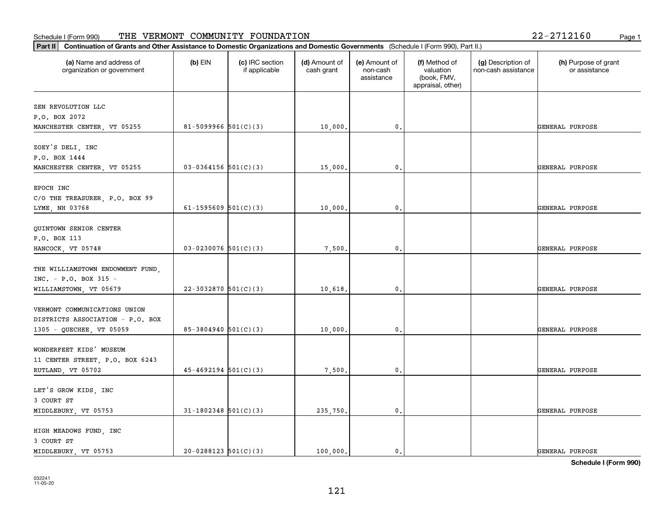#### **Part III Continuation of Grants and Other Assistance to Domestic Organization of Grants and Other Assistance to Domestic Organizations** Schedule I (Form 990) Page 1 THE VERMONT COMMUNITY FOUNDATION 22-2712160

| Continuation of Grants and Other Assistance to Domestic Organizations and Domestic Governments (Schedule I (Form 990), Part II.)<br>Part II |                            |                                  |                             |                                         |                                                                |                                           |                                       |  |
|---------------------------------------------------------------------------------------------------------------------------------------------|----------------------------|----------------------------------|-----------------------------|-----------------------------------------|----------------------------------------------------------------|-------------------------------------------|---------------------------------------|--|
| (a) Name and address of<br>organization or government                                                                                       | $(b)$ EIN                  | (c) IRC section<br>if applicable | (d) Amount of<br>cash grant | (e) Amount of<br>non-cash<br>assistance | (f) Method of<br>valuation<br>(book, FMV,<br>appraisal, other) | (g) Description of<br>non-cash assistance | (h) Purpose of grant<br>or assistance |  |
| ZEN REVOLUTION LLC<br>P.O. BOX 2072<br>MANCHESTER CENTER, VT 05255                                                                          | 81-5099966 $501(C)(3)$     |                                  | 10,000.                     | 0.                                      |                                                                |                                           | GENERAL PURPOSE                       |  |
| ZOEY'S DELI, INC<br>P.O. BOX 1444<br>MANCHESTER CENTER, VT 05255                                                                            | $03-0364156$ 501(C)(3)     |                                  | 15,000.                     | $\mathfrak{o}$ .                        |                                                                |                                           | <b>GENERAL PURPOSE</b>                |  |
| EPOCH INC<br>C/O THE TREASURER, P.O. BOX 99<br>LYME, NH 03768                                                                               | 61-1595609 $501(C)(3)$     |                                  | 10,000                      | $\mathbf{0}$                            |                                                                |                                           | <b>GENERAL PURPOSE</b>                |  |
| QUINTOWN SENIOR CENTER<br>P.O. BOX 113<br>HANCOCK, VT 05748                                                                                 | $03 - 0230076$ 501(C)(3)   |                                  | 7,500.                      | 0.                                      |                                                                |                                           | GENERAL PURPOSE                       |  |
| THE WILLIAMSTOWN ENDOWMENT FUND.<br>INC. - P.O. BOX 315 -<br>WILLIAMSTOWN, VT 05679                                                         | $22-3032870$ 501(C)(3)     |                                  | 10,618.                     | $\mathfrak{o}$ .                        |                                                                |                                           | <b>GENERAL PURPOSE</b>                |  |
| VERMONT COMMUNICATIONS UNION<br>DISTRICTS ASSOCIATION - P.O. BOX<br>1305 - QUECHEE, VT 05059                                                | 85-3804940 501(C)(3)       |                                  | 10,000                      | $\mathbf{0}$                            |                                                                |                                           | <b>GENERAL PURPOSE</b>                |  |
| WONDERFEET KIDS' MUSEUM<br>11 CENTER STREET, P.O. BOX 6243<br>RUTLAND, VT 05702                                                             | $45 - 4692194$ $501(C)(3)$ |                                  | 7,500.                      | 0.                                      |                                                                |                                           | GENERAL PURPOSE                       |  |
| LET'S GROW KIDS, INC<br>3 COURT ST<br>MIDDLEBURY, VT 05753                                                                                  | $31-1802348$ 501(C)(3)     |                                  | 235,750.                    | $\mathbf{0}$ .                          |                                                                |                                           | GENERAL PURPOSE                       |  |
| HIGH MEADOWS FUND, INC<br>3 COURT ST<br>MIDDLEBURY, VT 05753                                                                                | $20-0288123$ $501(C)(3)$   |                                  | 100.000.                    | $\mathbf{0}$                            |                                                                |                                           | GENERAL PURPOSE                       |  |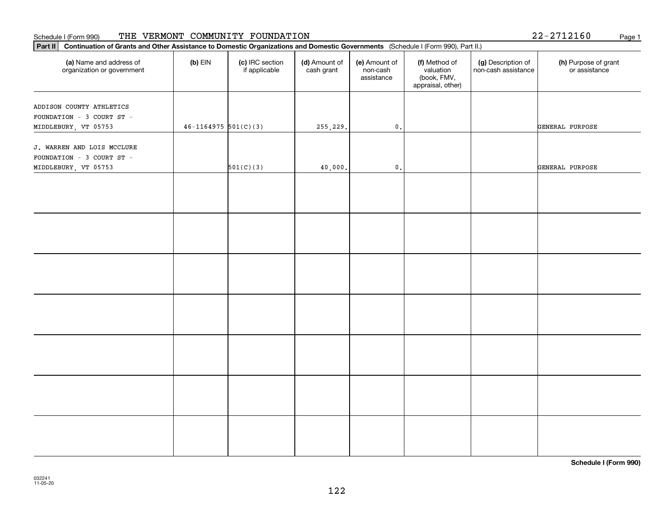#### Schedule I (Form 990) THE VERMONT COMMUNITY FOUNDATION 2 2-2 7 1 2 1 6 0 Page 1

| 22-2712160 | Page 1 |  |  |  |  |  |
|------------|--------|--|--|--|--|--|
|------------|--------|--|--|--|--|--|

| Continuation of Grants and Other Assistance to Domestic Organizations and Domestic Governments (Schedule I (Form 990), Part II.)<br>Part II |                          |                                  |                             |                                         |                                                                |                                           |                                       |  |  |
|---------------------------------------------------------------------------------------------------------------------------------------------|--------------------------|----------------------------------|-----------------------------|-----------------------------------------|----------------------------------------------------------------|-------------------------------------------|---------------------------------------|--|--|
| (a) Name and address of<br>organization or government                                                                                       | $(b)$ EIN                | (c) IRC section<br>if applicable | (d) Amount of<br>cash grant | (e) Amount of<br>non-cash<br>assistance | (f) Method of<br>valuation<br>(book, FMV,<br>appraisal, other) | (g) Description of<br>non-cash assistance | (h) Purpose of grant<br>or assistance |  |  |
| ADDISON COUNTY ATHLETICS<br>FOUNDATION - 3 COURT ST -<br>MIDDLEBURY, VT 05753                                                               | $46 - 1164975$ 501(C)(3) |                                  | 255,229.                    | $\mathfrak o$ .                         |                                                                |                                           | GENERAL PURPOSE                       |  |  |
| J. WARREN AND LOIS MCCLURE<br>FOUNDATION - 3 COURT ST -<br>MIDDLEBURY, VT 05753                                                             |                          | 501(C)(3)                        | 40,000.                     | $\mathfrak o$ .                         |                                                                |                                           | GENERAL PURPOSE                       |  |  |
|                                                                                                                                             |                          |                                  |                             |                                         |                                                                |                                           |                                       |  |  |
|                                                                                                                                             |                          |                                  |                             |                                         |                                                                |                                           |                                       |  |  |
|                                                                                                                                             |                          |                                  |                             |                                         |                                                                |                                           |                                       |  |  |
|                                                                                                                                             |                          |                                  |                             |                                         |                                                                |                                           |                                       |  |  |
|                                                                                                                                             |                          |                                  |                             |                                         |                                                                |                                           |                                       |  |  |
|                                                                                                                                             |                          |                                  |                             |                                         |                                                                |                                           |                                       |  |  |
|                                                                                                                                             |                          |                                  |                             |                                         |                                                                |                                           |                                       |  |  |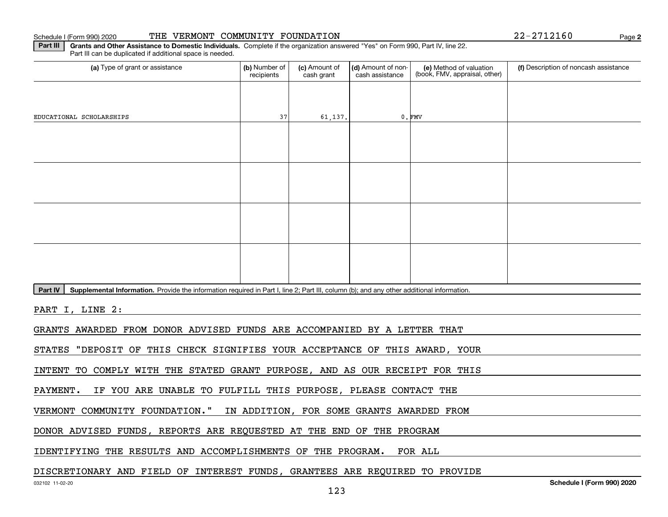#### Schedule I (Form 990) 2020 **THE VERMONT COMMUNITY FOUNDATION** Page

**2**

**Part III** | Grants and Other Assistance to Domestic Individuals. Complete if the organization answered "Yes" on Form 990, Part IV, line 22. Part III can be duplicated if additional space is needed.

| (a) Type of grant or assistance                                                                                                                      | (b) Number of<br>(c) Amount of<br>(d) Amount of non-<br>(e) Method of valuation<br>(f) Description of noncash assistance<br>(book, FMV, appraisal, other)<br>recipients<br>cash grant<br>cash assistance |         |                                           |          |  |  |  |  |  |  |  |
|------------------------------------------------------------------------------------------------------------------------------------------------------|----------------------------------------------------------------------------------------------------------------------------------------------------------------------------------------------------------|---------|-------------------------------------------|----------|--|--|--|--|--|--|--|
|                                                                                                                                                      |                                                                                                                                                                                                          |         |                                           |          |  |  |  |  |  |  |  |
| EDUCATIONAL SCHOLARSHIPS                                                                                                                             | 37                                                                                                                                                                                                       | 61,137. |                                           | $0.$ FMV |  |  |  |  |  |  |  |
|                                                                                                                                                      |                                                                                                                                                                                                          |         |                                           |          |  |  |  |  |  |  |  |
|                                                                                                                                                      |                                                                                                                                                                                                          |         |                                           |          |  |  |  |  |  |  |  |
|                                                                                                                                                      |                                                                                                                                                                                                          |         |                                           |          |  |  |  |  |  |  |  |
|                                                                                                                                                      |                                                                                                                                                                                                          |         |                                           |          |  |  |  |  |  |  |  |
|                                                                                                                                                      |                                                                                                                                                                                                          |         |                                           |          |  |  |  |  |  |  |  |
|                                                                                                                                                      |                                                                                                                                                                                                          |         |                                           |          |  |  |  |  |  |  |  |
|                                                                                                                                                      |                                                                                                                                                                                                          |         |                                           |          |  |  |  |  |  |  |  |
|                                                                                                                                                      |                                                                                                                                                                                                          |         |                                           |          |  |  |  |  |  |  |  |
| Part IV<br>Supplemental Information. Provide the information required in Part I, line 2; Part III, column (b); and any other additional information. |                                                                                                                                                                                                          |         |                                           |          |  |  |  |  |  |  |  |
| PART I, LINE 2:                                                                                                                                      |                                                                                                                                                                                                          |         |                                           |          |  |  |  |  |  |  |  |
| GRANTS AWARDED FROM DONOR ADVISED FUNDS ARE ACCOMPANIED BY A LETTER THAT                                                                             |                                                                                                                                                                                                          |         |                                           |          |  |  |  |  |  |  |  |
| STATES "DEPOSIT OF THIS CHECK SIGNIFIES YOUR ACCEPTANCE OF THIS AWARD, YOUR                                                                          |                                                                                                                                                                                                          |         |                                           |          |  |  |  |  |  |  |  |
| INTENT TO COMPLY WITH THE STATED GRANT PURPOSE, AND AS OUR RECEIPT FOR THIS                                                                          |                                                                                                                                                                                                          |         |                                           |          |  |  |  |  |  |  |  |
| IF YOU ARE UNABLE TO FULFILL THIS PURPOSE, PLEASE CONTACT THE<br>PAYMENT.                                                                            |                                                                                                                                                                                                          |         |                                           |          |  |  |  |  |  |  |  |
| VERMONT COMMUNITY FOUNDATION."                                                                                                                       |                                                                                                                                                                                                          |         | IN ADDITION, FOR SOME GRANTS AWARDED FROM |          |  |  |  |  |  |  |  |
| DONOR ADVISED FUNDS, REPORTS ARE REQUESTED AT THE END OF THE PROGRAM                                                                                 |                                                                                                                                                                                                          |         |                                           |          |  |  |  |  |  |  |  |
| IDENTIFYING THE RESULTS AND ACCOMPLISHMENTS OF THE PROGRAM.<br>FOR ALL                                                                               |                                                                                                                                                                                                          |         |                                           |          |  |  |  |  |  |  |  |
| סתודורים מאג המסדוורים משפחים משתמשים מתווח משפחים המסדר המשפחים המאג המסדרים משפחים                                                                 |                                                                                                                                                                                                          |         |                                           |          |  |  |  |  |  |  |  |

## DISCRETIONARY AND FIELD OF INTEREST FUNDS, GRANTEES ARE REQUIRED TO PROVIDE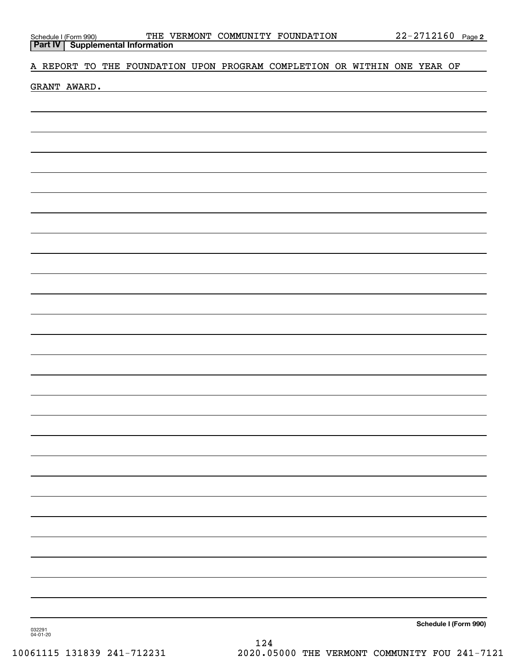# A REPORT TO THE FOUNDATION UPON PROGRAM COMPLETION OR WITHIN ONE YEAR OF

GRANT AWARD.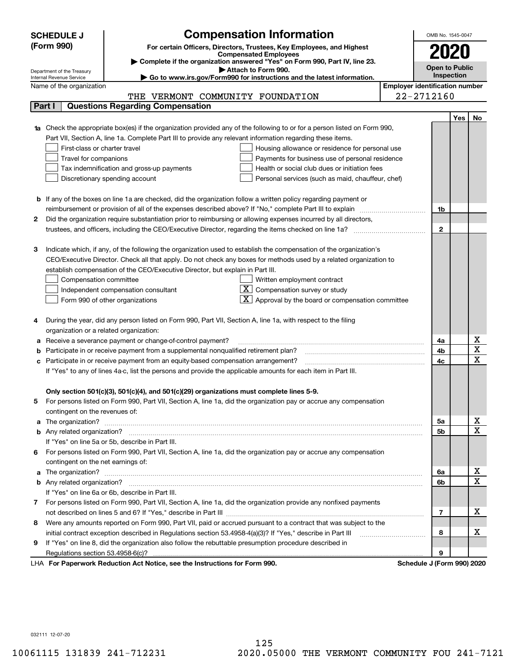|        | <b>Compensation Information</b><br><b>SCHEDULE J</b><br>OMB No. 1545-0047                                                        |                       |            |                         |  |  |
|--------|----------------------------------------------------------------------------------------------------------------------------------|-----------------------|------------|-------------------------|--|--|
|        | (Form 990)<br>For certain Officers, Directors, Trustees, Key Employees, and Highest                                              |                       | 2020       |                         |  |  |
|        | <b>Compensated Employees</b>                                                                                                     |                       |            |                         |  |  |
|        | Complete if the organization answered "Yes" on Form 990, Part IV, line 23.<br>Attach to Form 990.                                | <b>Open to Public</b> |            |                         |  |  |
|        | Department of the Treasury<br>Go to www.irs.gov/Form990 for instructions and the latest information.<br>Internal Revenue Service |                       | Inspection |                         |  |  |
|        | <b>Employer identification number</b><br>Name of the organization                                                                |                       |            |                         |  |  |
|        | THE VERMONT COMMUNITY FOUNDATION                                                                                                 | 22-2712160            |            |                         |  |  |
| Part I | <b>Questions Regarding Compensation</b>                                                                                          |                       |            |                         |  |  |
|        |                                                                                                                                  |                       | <b>Yes</b> | No                      |  |  |
|        | <b>1a</b> Check the appropriate box(es) if the organization provided any of the following to or for a person listed on Form 990, |                       |            |                         |  |  |
|        | Part VII, Section A, line 1a. Complete Part III to provide any relevant information regarding these items.                       |                       |            |                         |  |  |
|        | First-class or charter travel<br>Housing allowance or residence for personal use                                                 |                       |            |                         |  |  |
|        | Travel for companions<br>Payments for business use of personal residence                                                         |                       |            |                         |  |  |
|        | Tax indemnification and gross-up payments<br>Health or social club dues or initiation fees                                       |                       |            |                         |  |  |
|        | Discretionary spending account<br>Personal services (such as maid, chauffeur, chef)                                              |                       |            |                         |  |  |
|        |                                                                                                                                  |                       |            |                         |  |  |
|        | <b>b</b> If any of the boxes on line 1a are checked, did the organization follow a written policy regarding payment or           |                       |            |                         |  |  |
|        | reimbursement or provision of all of the expenses described above? If "No," complete Part III to explain                         | 1b                    |            |                         |  |  |
| 2      | Did the organization require substantiation prior to reimbursing or allowing expenses incurred by all directors,                 |                       |            |                         |  |  |
|        |                                                                                                                                  | $\mathbf{2}$          |            |                         |  |  |
|        |                                                                                                                                  |                       |            |                         |  |  |
| з      | Indicate which, if any, of the following the organization used to establish the compensation of the organization's               |                       |            |                         |  |  |
|        | CEO/Executive Director. Check all that apply. Do not check any boxes for methods used by a related organization to               |                       |            |                         |  |  |
|        | establish compensation of the CEO/Executive Director, but explain in Part III.                                                   |                       |            |                         |  |  |
|        | Compensation committee<br>Written employment contract                                                                            |                       |            |                         |  |  |
|        | $X$ Compensation survey or study<br>Independent compensation consultant                                                          |                       |            |                         |  |  |
|        | $\lfloor x \rfloor$ Approval by the board or compensation committee<br>Form 990 of other organizations                           |                       |            |                         |  |  |
|        |                                                                                                                                  |                       |            |                         |  |  |
|        | During the year, did any person listed on Form 990, Part VII, Section A, line 1a, with respect to the filing                     |                       |            |                         |  |  |
|        | organization or a related organization:                                                                                          |                       |            |                         |  |  |
| а      | Receive a severance payment or change-of-control payment?                                                                        | 4a                    |            | х                       |  |  |
| b      | Participate in or receive payment from a supplemental nonqualified retirement plan?                                              | 4b                    |            | $\overline{\mathbf{x}}$ |  |  |
| с      | Participate in or receive payment from an equity-based compensation arrangement?                                                 | 4c                    |            | $\overline{\mathbf{x}}$ |  |  |
|        | If "Yes" to any of lines 4a-c, list the persons and provide the applicable amounts for each item in Part III.                    |                       |            |                         |  |  |
|        |                                                                                                                                  |                       |            |                         |  |  |
|        | Only section 501(c)(3), 501(c)(4), and 501(c)(29) organizations must complete lines 5-9.                                         |                       |            |                         |  |  |
|        | For persons listed on Form 990, Part VII, Section A, line 1a, did the organization pay or accrue any compensation                |                       |            |                         |  |  |
|        | contingent on the revenues of:                                                                                                   |                       |            |                         |  |  |
| a      |                                                                                                                                  | 5а                    |            | x                       |  |  |
|        |                                                                                                                                  | 5b                    |            | $\overline{\mathbf{x}}$ |  |  |
|        | If "Yes" on line 5a or 5b, describe in Part III.                                                                                 |                       |            |                         |  |  |
| 6.     | For persons listed on Form 990, Part VII, Section A, line 1a, did the organization pay or accrue any compensation                |                       |            |                         |  |  |
|        | contingent on the net earnings of:                                                                                               |                       |            |                         |  |  |
| a      |                                                                                                                                  | 6a                    |            | х                       |  |  |
|        |                                                                                                                                  | 6b                    |            | $\overline{\mathbf{x}}$ |  |  |
|        | If "Yes" on line 6a or 6b, describe in Part III.                                                                                 |                       |            |                         |  |  |
|        | 7 For persons listed on Form 990, Part VII, Section A, line 1a, did the organization provide any nonfixed payments               |                       |            |                         |  |  |
|        |                                                                                                                                  | 7                     |            | х                       |  |  |
| 8      | Were any amounts reported on Form 990, Part VII, paid or accrued pursuant to a contract that was subject to the                  |                       |            |                         |  |  |
|        | initial contract exception described in Regulations section 53.4958-4(a)(3)? If "Yes," describe in Part III                      | 8                     |            | х                       |  |  |
| 9      | If "Yes" on line 8, did the organization also follow the rebuttable presumption procedure described in                           |                       |            |                         |  |  |
|        |                                                                                                                                  | 9                     |            |                         |  |  |
|        | wwayk Deduction Act Notice, ass the Instructions for Form 000<br>Cabadule I (Faunt 000) 0000                                     |                       |            |                         |  |  |

LHA For Paperwork Reduction Act Notice, see the Instructions for Form 990. Schedule J (Form 990) 2020

032111 12-07-20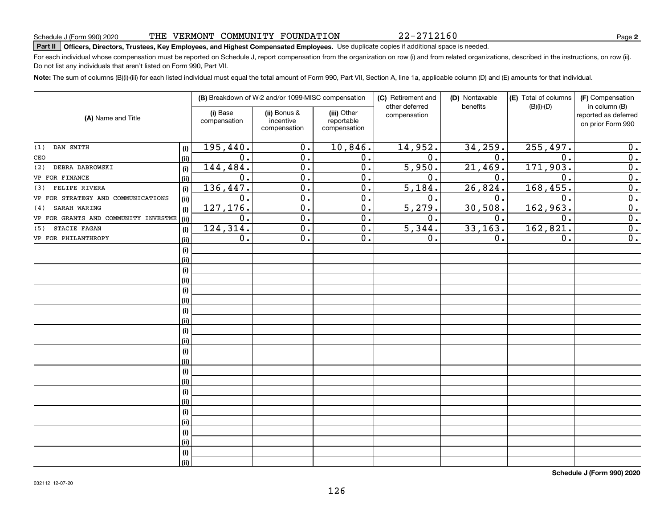032112 12-07-20

**Schedule J (Form 990) 2020**

# THE VERMONT COMMUNITY FOUNDATION

# **Part II Officers, Directors, Trustees, Key Employees, and Highest Compensated Employees.**  Schedule J (Form 990) 2020 Page Use duplicate copies if additional space is needed.

For each individual whose compensation must be reported on Schedule J, report compensation from the organization on row (i) and from related organizations, described in the instructions, on row (ii). Do not list any individuals that aren't listed on Form 990, Part VII.

**Note:**  The sum of columns (B)(i)-(iii) for each listed individual must equal the total amount of Form 990, Part VII, Section A, line 1a, applicable column (D) and (E) amounts for that individual.

|                                      |             |                          | (B) Breakdown of W-2 and/or 1099-MISC compensation |                                           | (C) Retirement and<br>other deferred | (D) Nontaxable<br>benefits | (E) Total of columns | (F) Compensation                                           |
|--------------------------------------|-------------|--------------------------|----------------------------------------------------|-------------------------------------------|--------------------------------------|----------------------------|----------------------|------------------------------------------------------------|
| (A) Name and Title                   |             | (i) Base<br>compensation | (ii) Bonus &<br>incentive<br>compensation          | (iii) Other<br>reportable<br>compensation | compensation                         |                            | $(B)(i)$ - $(D)$     | in column (B)<br>reported as deferred<br>on prior Form 990 |
| DAN SMITH<br>(1)                     | (i)         | 195,440.                 | $\overline{0}$ .                                   | 10,846.                                   | 14,952.                              | 34, 259.                   | 255,497.             | 0.                                                         |
| CEO                                  | (ii)        | 0.                       | $\overline{0}$ .                                   | $\overline{0}$ .                          | $\overline{0}$ .                     | 0.                         | $\overline{0}$ .     | $\overline{0}$ .                                           |
| DEBRA DABROWSKI<br>(2)               | (i)         | 144,484.                 | $\overline{0}$                                     | $\overline{0}$ .                          | 5,950.                               | 21,469.                    | 171,903.             | $\overline{0}$ .                                           |
| VP FOR FINANCE                       | (ii)        | 0.                       | $\overline{0}$                                     | $\overline{0}$ .                          | 0.                                   | $\mathbf 0$ .              | 0.                   | $\overline{0}$ .                                           |
| (3) FELIPE RIVERA                    | (i)         | 136,447.                 | $\overline{0}$                                     | $\overline{0}$ .                          | 5,184.                               | 26,824.                    | 168,455.             | $\overline{0}$ .                                           |
| VP FOR STRATEGY AND COMMUNICATIONS   | (ii)        | $\overline{0}$ .         | $\overline{0}$                                     | $\overline{0}$ .                          | 0.                                   | 0.                         | 0.                   | $\overline{0}$ .                                           |
| SARAH WARING<br>(4)                  | (i)         | 127, 176.                | $\overline{0}$ .                                   | $\overline{0}$ .                          | 5,279.                               | 30,508.                    | 162,963.             | $\overline{0}$ .                                           |
| VP FOR GRANTS AND COMMUNITY INVESTME | (ii)        | 0.                       | $\overline{0}$ .                                   | $\overline{0}$ .                          | 0.                                   | 0.                         | 0.                   | $\overline{0}$ .                                           |
| STACIE FAGAN<br>(5)                  | (i)         | 124, 314.                | $\overline{0}$ .                                   | $\overline{0}$ .                          | $\overline{5,344}$ .                 | 33, 163.                   | 162,821.             | $\overline{0}$ .                                           |
| VP FOR PHILANTHROPY                  | (ii)        | 0.                       | $\overline{0}$ .                                   | $\overline{0}$ .                          | 0.                                   | 0.                         | 0.                   | $\overline{0}$ .                                           |
|                                      | (i)         |                          |                                                    |                                           |                                      |                            |                      |                                                            |
|                                      | (ii)        |                          |                                                    |                                           |                                      |                            |                      |                                                            |
|                                      | (i)         |                          |                                                    |                                           |                                      |                            |                      |                                                            |
|                                      | (ii)        |                          |                                                    |                                           |                                      |                            |                      |                                                            |
|                                      | (i)         |                          |                                                    |                                           |                                      |                            |                      |                                                            |
|                                      | (ii)        |                          |                                                    |                                           |                                      |                            |                      |                                                            |
|                                      | (i)         |                          |                                                    |                                           |                                      |                            |                      |                                                            |
|                                      | (ii)        |                          |                                                    |                                           |                                      |                            |                      |                                                            |
|                                      | (i)         |                          |                                                    |                                           |                                      |                            |                      |                                                            |
|                                      | (ii)        |                          |                                                    |                                           |                                      |                            |                      |                                                            |
|                                      | (i)         |                          |                                                    |                                           |                                      |                            |                      |                                                            |
|                                      | (ii)        |                          |                                                    |                                           |                                      |                            |                      |                                                            |
|                                      | (i)         |                          |                                                    |                                           |                                      |                            |                      |                                                            |
|                                      | (ii)        |                          |                                                    |                                           |                                      |                            |                      |                                                            |
|                                      | (i)         |                          |                                                    |                                           |                                      |                            |                      |                                                            |
|                                      | (ii)        |                          |                                                    |                                           |                                      |                            |                      |                                                            |
|                                      | (i)         |                          |                                                    |                                           |                                      |                            |                      |                                                            |
|                                      | (ii)        |                          |                                                    |                                           |                                      |                            |                      |                                                            |
|                                      | (i)<br>(ii) |                          |                                                    |                                           |                                      |                            |                      |                                                            |
|                                      | (i)         |                          |                                                    |                                           |                                      |                            |                      |                                                            |
|                                      | (ii)        |                          |                                                    |                                           |                                      |                            |                      |                                                            |
|                                      |             |                          |                                                    |                                           |                                      |                            |                      |                                                            |

126

**2**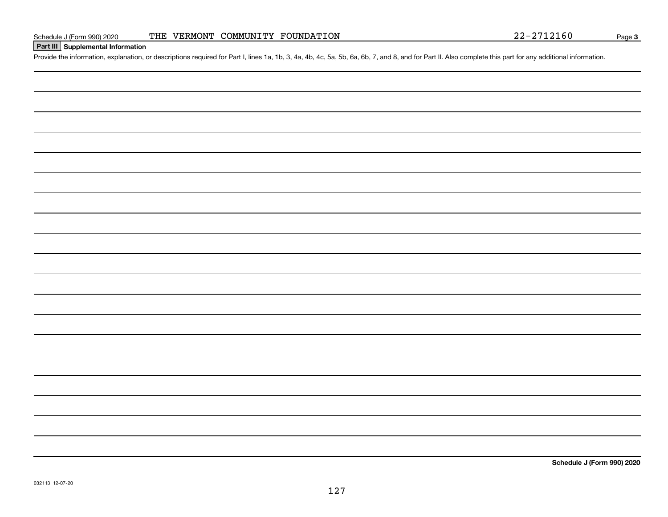## **Part III Supplemental Information**

Schedule J (Form 990) 2020 THE VERMONT COMMUNITY FOUNDATION 22-2712160<br>Part III Supplemental Information<br>Provide the information, explanation, or descriptions required for Part I, lines 1a, 1b, 3, 4a, 4b, 4c, 5a, 5b, 6a, 6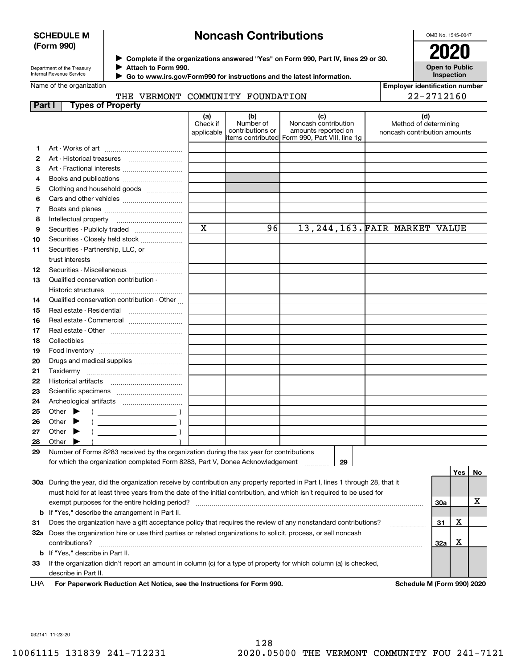### **SCHEDULE M (Form 990)**

# **Noncash Contributions**

OMB No. 1545-0047

**Open to Public Inspection**

| Department of the Treasury |
|----------------------------|
| Internal Revenue Service   |

**Complete if the organizations answered "Yes" on Form 990, Part IV, lines 29 or 30.** <sup>J</sup>**2020 Attach to Form 990.** J

 **Go to www.irs.gov/Form990 for instructions and the latest information.** J

# Name of the organization

THE VERMONT COMMUNITY FOUNDATION

**Employer identification number** 22-2712160

| Part I |       |                             | <b>Types of Property</b>                                                                                                       |                               |                                                                                        |                                                    |    |                                                       |                            |     |    |
|--------|-------|-----------------------------|--------------------------------------------------------------------------------------------------------------------------------|-------------------------------|----------------------------------------------------------------------------------------|----------------------------------------------------|----|-------------------------------------------------------|----------------------------|-----|----|
|        |       |                             |                                                                                                                                | (a)<br>Check if<br>applicable | (b)<br>Number of<br>contributions or<br>items contributed Form 990, Part VIII, line 1g | (c)<br>Noncash contribution<br>amounts reported on |    | Method of determining<br>noncash contribution amounts | (d)                        |     |    |
| 1.     |       |                             |                                                                                                                                |                               |                                                                                        |                                                    |    |                                                       |                            |     |    |
| 2      |       |                             |                                                                                                                                |                               |                                                                                        |                                                    |    |                                                       |                            |     |    |
| З      |       |                             | Art - Fractional interests                                                                                                     |                               |                                                                                        |                                                    |    |                                                       |                            |     |    |
| 4      |       |                             | Books and publications                                                                                                         |                               |                                                                                        |                                                    |    |                                                       |                            |     |    |
| 5      |       |                             | Clothing and household goods                                                                                                   |                               |                                                                                        |                                                    |    |                                                       |                            |     |    |
| 6      |       |                             |                                                                                                                                |                               |                                                                                        |                                                    |    |                                                       |                            |     |    |
| 7      |       |                             |                                                                                                                                |                               |                                                                                        |                                                    |    |                                                       |                            |     |    |
|        |       |                             |                                                                                                                                |                               |                                                                                        |                                                    |    |                                                       |                            |     |    |
| 8      |       | Intellectual property       |                                                                                                                                | $\mathbf x$                   | 96                                                                                     |                                                    |    | 13, 244, 163. FAIR MARKET VALUE                       |                            |     |    |
| 9      |       |                             | Securities - Publicly traded                                                                                                   |                               |                                                                                        |                                                    |    |                                                       |                            |     |    |
| 10     |       |                             | Securities - Closely held stock                                                                                                |                               |                                                                                        |                                                    |    |                                                       |                            |     |    |
| 11     |       |                             | Securities - Partnership, LLC, or                                                                                              |                               |                                                                                        |                                                    |    |                                                       |                            |     |    |
|        |       | trust interests             |                                                                                                                                |                               |                                                                                        |                                                    |    |                                                       |                            |     |    |
| 12     |       |                             | Securities - Miscellaneous                                                                                                     |                               |                                                                                        |                                                    |    |                                                       |                            |     |    |
| 13     |       |                             | Qualified conservation contribution -                                                                                          |                               |                                                                                        |                                                    |    |                                                       |                            |     |    |
|        |       | Historic structures         |                                                                                                                                |                               |                                                                                        |                                                    |    |                                                       |                            |     |    |
| 14     |       |                             | Qualified conservation contribution - Other                                                                                    |                               |                                                                                        |                                                    |    |                                                       |                            |     |    |
| 15     |       |                             | Real estate - Residential                                                                                                      |                               |                                                                                        |                                                    |    |                                                       |                            |     |    |
| 16     |       |                             | Real estate - Commercial                                                                                                       |                               |                                                                                        |                                                    |    |                                                       |                            |     |    |
| 17     |       |                             |                                                                                                                                |                               |                                                                                        |                                                    |    |                                                       |                            |     |    |
| 18     |       |                             |                                                                                                                                |                               |                                                                                        |                                                    |    |                                                       |                            |     |    |
| 19     |       |                             |                                                                                                                                |                               |                                                                                        |                                                    |    |                                                       |                            |     |    |
| 20     |       |                             | Drugs and medical supplies                                                                                                     |                               |                                                                                        |                                                    |    |                                                       |                            |     |    |
| 21     |       |                             |                                                                                                                                |                               |                                                                                        |                                                    |    |                                                       |                            |     |    |
| 22     |       |                             |                                                                                                                                |                               |                                                                                        |                                                    |    |                                                       |                            |     |    |
| 23     |       |                             |                                                                                                                                |                               |                                                                                        |                                                    |    |                                                       |                            |     |    |
| 24     |       |                             |                                                                                                                                |                               |                                                                                        |                                                    |    |                                                       |                            |     |    |
| 25     |       | Other $\blacktriangleright$ |                                                                                                                                |                               |                                                                                        |                                                    |    |                                                       |                            |     |    |
| 26     | Other |                             |                                                                                                                                |                               |                                                                                        |                                                    |    |                                                       |                            |     |    |
| 27     | Other |                             |                                                                                                                                |                               |                                                                                        |                                                    |    |                                                       |                            |     |    |
| 28     | Other |                             |                                                                                                                                |                               |                                                                                        |                                                    |    |                                                       |                            |     |    |
| 29     |       |                             | Number of Forms 8283 received by the organization during the tax year for contributions                                        |                               |                                                                                        |                                                    |    |                                                       |                            |     |    |
|        |       |                             | for which the organization completed Form 8283, Part V, Donee Acknowledgement                                                  |                               |                                                                                        |                                                    | 29 |                                                       |                            |     |    |
|        |       |                             |                                                                                                                                |                               |                                                                                        |                                                    |    |                                                       |                            | Yes | No |
|        |       |                             | 30a During the year, did the organization receive by contribution any property reported in Part I, lines 1 through 28, that it |                               |                                                                                        |                                                    |    |                                                       |                            |     |    |
|        |       |                             | must hold for at least three years from the date of the initial contribution, and which isn't required to be used for          |                               |                                                                                        |                                                    |    |                                                       |                            |     |    |
|        |       |                             | exempt purposes for the entire holding period?                                                                                 |                               |                                                                                        |                                                    |    |                                                       | <b>30a</b>                 |     | х  |
|        |       |                             | <b>b</b> If "Yes," describe the arrangement in Part II.                                                                        |                               |                                                                                        |                                                    |    |                                                       |                            |     |    |
| 31     |       |                             | Does the organization have a gift acceptance policy that requires the review of any nonstandard contributions?                 |                               |                                                                                        |                                                    |    |                                                       | 31                         | x   |    |
|        |       |                             | 32a Does the organization hire or use third parties or related organizations to solicit, process, or sell noncash              |                               |                                                                                        |                                                    |    |                                                       |                            |     |    |
|        |       | contributions?              |                                                                                                                                |                               |                                                                                        |                                                    |    |                                                       | <b>32a</b>                 | х   |    |
|        |       |                             | <b>b</b> If "Yes," describe in Part II.                                                                                        |                               |                                                                                        |                                                    |    |                                                       |                            |     |    |
| 33     |       |                             | If the organization didn't report an amount in column (c) for a type of property for which column (a) is checked,              |                               |                                                                                        |                                                    |    |                                                       |                            |     |    |
|        |       | describe in Part II.        |                                                                                                                                |                               |                                                                                        |                                                    |    |                                                       |                            |     |    |
| LHA    |       |                             | For Paperwork Reduction Act Notice, see the Instructions for Form 990.                                                         |                               |                                                                                        |                                                    |    |                                                       | Schedule M (Form 990) 2020 |     |    |
|        |       |                             |                                                                                                                                |                               |                                                                                        |                                                    |    |                                                       |                            |     |    |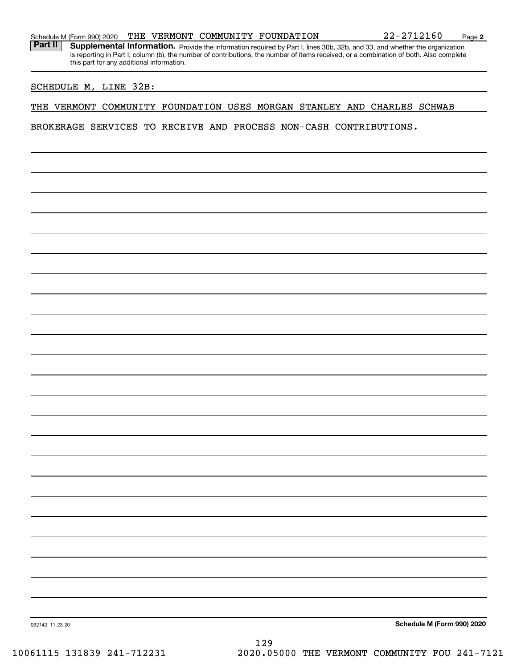Part II | Supplemental Information. Provide the information required by Part I, lines 30b, 32b, and 33, and whether the organization is reporting in Part I, column (b), the number of contributions, the number of items received, or a combination of both. Also complete this part for any additional information.

#### SCHEDULE M, LINE 32B:

### THE VERMONT COMMUNITY FOUNDATION USES MORGAN STANLEY AND CHARLES SCHWAB

BROKERAGE SERVICES TO RECEIVE AND PROCESS NON-CASH CONTRIBUTIONS.

**Schedule M (Form 990) 2020**

032142 11-23-20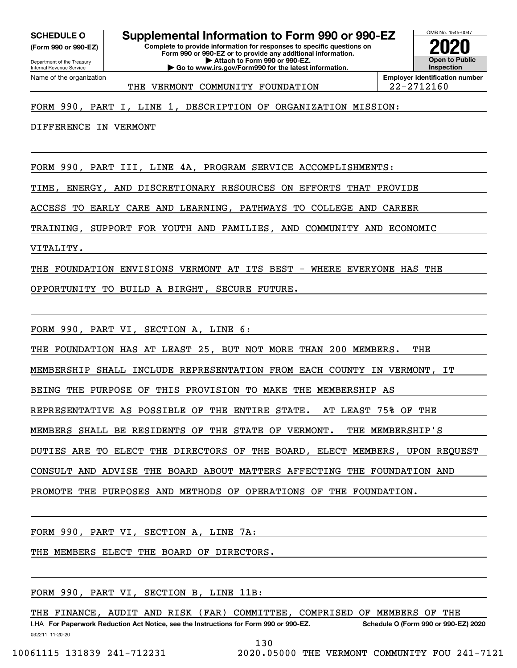**SCHEDULE O Supplemental Information to Form 990 or 990-EZ**

**(Form 990 or 990-EZ)**

**Complete to provide information for responses to specific questions on Form 990 or 990-EZ or to provide any additional information.**

**| Attach to Form 990 or 990-EZ. | Go to www.irs.gov/Form990 for the latest information.**

**Open to Public InspectionEmployer identification number 2020**

OMB No. 1545-0047

Department of the Treasury Internal Revenue Service Name of the organization

THE VERMONT COMMUNITY FOUNDATION | 22-2712160

# FORM 990, PART I, LINE 1, DESCRIPTION OF ORGANIZATION MISSION:

DIFFERENCE IN VERMONT

FORM 990, PART III, LINE 4A, PROGRAM SERVICE ACCOMPLISHMENTS:

TIME, ENERGY, AND DISCRETIONARY RESOURCES ON EFFORTS THAT PROVIDE

ACCESS TO EARLY CARE AND LEARNING, PATHWAYS TO COLLEGE AND CAREER

TRAINING, SUPPORT FOR YOUTH AND FAMILIES, AND COMMUNITY AND ECONOMIC

VITALITY.

THE FOUNDATION ENVISIONS VERMONT AT ITS BEST - WHERE EVERYONE HAS THE

OPPORTUNITY TO BUILD A BIRGHT, SECURE FUTURE.

FORM 990, PART VI, SECTION A, LINE 6:

THE FOUNDATION HAS AT LEAST 25, BUT NOT MORE THAN 200 MEMBERS. THE

MEMBERSHIP SHALL INCLUDE REPRESENTATION FROM EACH COUNTY IN VERMONT, IT

BEING THE PURPOSE OF THIS PROVISION TO MAKE THE MEMBERSHIP AS

REPRESENTATIVE AS POSSIBLE OF THE ENTIRE STATE. AT LEAST 75% OF THE

MEMBERS SHALL BE RESIDENTS OF THE STATE OF VERMONT. THE MEMBERSHIP'S

DUTIES ARE TO ELECT THE DIRECTORS OF THE BOARD, ELECT MEMBERS, UPON REQUEST

CONSULT AND ADVISE THE BOARD ABOUT MATTERS AFFECTING THE FOUNDATION AND

PROMOTE THE PURPOSES AND METHODS OF OPERATIONS OF THE FOUNDATION.

FORM 990, PART VI, SECTION A, LINE 7A:

THE MEMBERS ELECT THE BOARD OF DIRECTORS.

FORM 990, PART VI, SECTION B, LINE 11B:

THE FINANCE, AUDIT AND RISK (FAR) COMMITTEE, COMPRISED OF MEMBERS OF THE

032211 11-20-20 LHA For Paperwork Reduction Act Notice, see the Instructions for Form 990 or 990-EZ. Schedule O (Form 990 or 990-EZ) 2020

130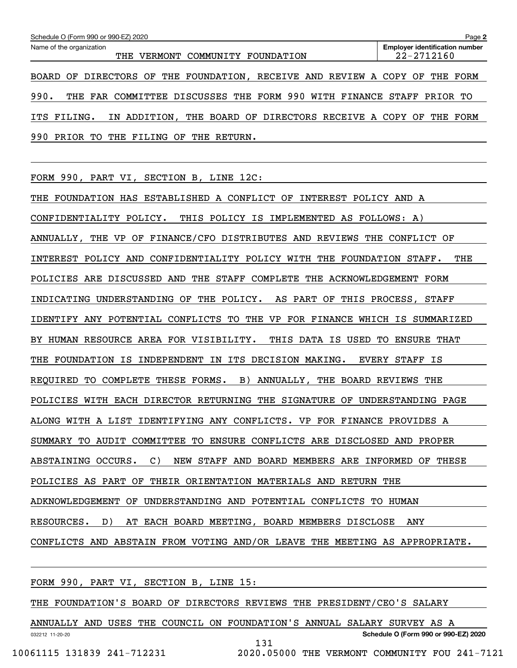| Schedule O (Form 990 or 990-EZ) 2020                                                 | Page 2                                                  |
|--------------------------------------------------------------------------------------|---------------------------------------------------------|
| Name of the organization<br>COMMUNITY<br>THE<br>FOUNDATION<br>VERMONT                | <b>Employer identification number</b><br>$22 - 2712160$ |
| BOARD OF DIRECTORS OF THE FOUNDATION, RECEIVE AND REVIEW A COPY OF THE FORM          |                                                         |
| 990.<br>THE FAR COMMITTEE DISCUSSES THE FORM 990 WITH FINANCE STAFF PRIOR TO         |                                                         |
| THE BOARD OF DIRECTORS RECEIVE A COPY OF THE FORM<br>ADDITION,<br>ITS FILING.<br>IN. |                                                         |
| 990<br>PRTOR<br>FILING<br>ጥറ<br>THE<br>ΟF<br>THE RETURN.                             |                                                         |

FORM 990, PART VI, SECTION B, LINE 12C:

THE FOUNDATION HAS ESTABLISHED A CONFLICT OF INTEREST POLICY AND A CONFIDENTIALITY POLICY. THIS POLICY IS IMPLEMENTED AS FOLLOWS: A) ANNUALLY, THE VP OF FINANCE/CFO DISTRIBUTES AND REVIEWS THE CONFLICT OF INTEREST POLICY AND CONFIDENTIALITY POLICY WITH THE FOUNDATION STAFF. THE POLICIES ARE DISCUSSED AND THE STAFF COMPLETE THE ACKNOWLEDGEMENT FORM INDICATING UNDERSTANDING OF THE POLICY. AS PART OF THIS PROCESS, STAFF IDENTIFY ANY POTENTIAL CONFLICTS TO THE VP FOR FINANCE WHICH IS SUMMARIZED BY HUMAN RESOURCE AREA FOR VISIBILITY. THIS DATA IS USED TO ENSURE THAT THE FOUNDATION IS INDEPENDENT IN ITS DECISION MAKING. EVERY STAFF IS REQUIRED TO COMPLETE THESE FORMS. B) ANNUALLY, THE BOARD REVIEWS THE POLICIES WITH EACH DIRECTOR RETURNING THE SIGNATURE OF UNDERSTANDING PAGE ALONG WITH A LIST IDENTIFYING ANY CONFLICTS. VP FOR FINANCE PROVIDES A SUMMARY TO AUDIT COMMITTEE TO ENSURE CONFLICTS ARE DISCLOSED AND PROPER ABSTAINING OCCURS. C) NEW STAFF AND BOARD MEMBERS ARE INFORMED OF THESE POLICIES AS PART OF THEIR ORIENTATION MATERIALS AND RETURN THE ADKNOWLEDGEMENT OF UNDERSTANDING AND POTENTIAL CONFLICTS TO HUMAN RESOURCES. D) AT EACH BOARD MEETING, BOARD MEMBERS DISCLOSE ANY CONFLICTS AND ABSTAIN FROM VOTING AND/OR LEAVE THE MEETING AS APPROPRIATE.

FORM 990, PART VI, SECTION B, LINE 15:

THE FOUNDATION'S BOARD OF DIRECTORS REVIEWS THE PRESIDENT/CEO'S SALARY

032212 11-20-20 **Schedule O (Form 990 or 990-EZ) 2020** ANNUALLY AND USES THE COUNCIL ON FOUNDATION'S ANNUAL SALARY SURVEY AS A 131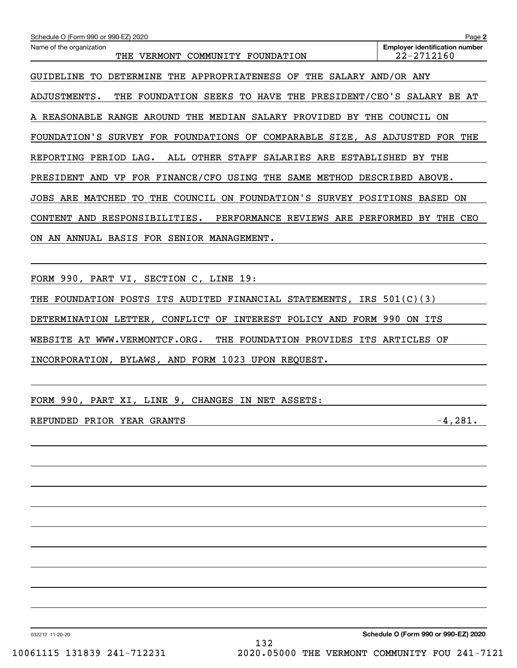| Schedule O (Form 990 or 990-EZ) 2020                                            | Page 2                                              |
|---------------------------------------------------------------------------------|-----------------------------------------------------|
| Name of the organization<br>THE VERMONT COMMUNITY FOUNDATION                    | <b>Employer identification number</b><br>22-2712160 |
| GUIDELINE TO<br>DETERMINE THE APPROPRIATENESS OF THE SALARY AND/OR ANY          |                                                     |
| THE FOUNDATION SEEKS TO HAVE THE PRESIDENT/CEO'S SALARY BE AT<br>ADJUSTMENTS.   |                                                     |
| A REASONABLE RANGE AROUND THE MEDIAN SALARY PROVIDED BY THE COUNCIL ON          |                                                     |
| FOUNDATION'S SURVEY FOR FOUNDATIONS OF COMPARABLE SIZE, AS ADJUSTED FOR THE     |                                                     |
| ALL OTHER STAFF<br>REPORTING PERIOD LAG.<br>SALARIES ARE ESTABLISHED            | BY<br>THE                                           |
| PRESIDENT AND VP FOR FINANCE/CFO USING THE SAME METHOD DESCRIBED ABOVE.         |                                                     |
| THE COUNCIL ON FOUNDATION'S SURVEY POSITIONS BASED ON<br>JOBS ARE MATCHED<br>TO |                                                     |
| CONTENT AND RESPONSIBILITIES.<br>PERFORMANCE REVIEWS ARE PERFORMED BY THE CEO   |                                                     |
| AN ANNUAL BASIS FOR SENIOR MANAGEMENT.<br>ON.                                   |                                                     |
|                                                                                 |                                                     |
| FORM 990, PART VI, SECTION C, LINE 19:                                          |                                                     |
| FOUNDATION POSTS<br>ITS AUDITED FINANCIAL STATEMENTS, IRS $501(C)(3)$<br>THE    |                                                     |
| CONFLICT OF INTEREST POLICY AND FORM 990<br>DETERMINATION LETTER,               | ON ITS                                              |
| WEBSITE AT WWW.VERMONTCF.ORG.<br>THE FOUNDATION PROVIDES ITS ARTICLES OF        |                                                     |
| INCORPORATION, BYLAWS, AND FORM 1023 UPON REQUEST.                              |                                                     |

FORM 990, PART XI, LINE 9, CHANGES IN NET ASSETS:

# REFUNDED PRIOR YEAR GRANTS -4,281.

032212 11-20-20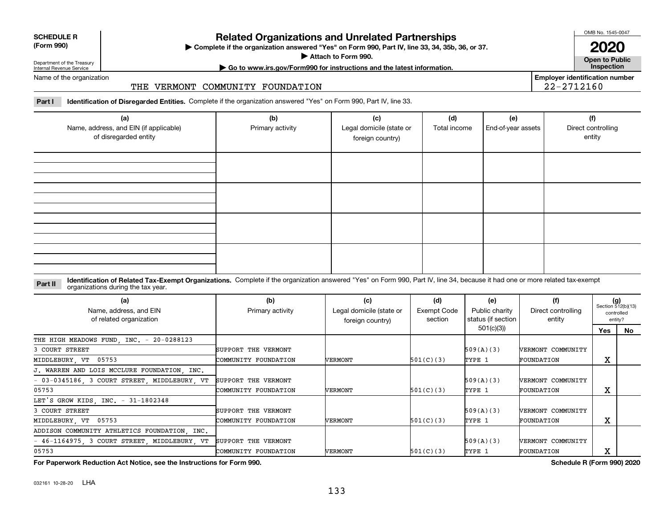| <b>SCHEDULE R</b>                          |  |
|--------------------------------------------|--|
| $\mathbf{r}$ , $\mathbf{r}$ , $\mathbf{r}$ |  |

#### **(Form 990)**

# **Related Organizations and Unrelated Partnerships**

**Complete if the organization answered "Yes" on Form 990, Part IV, line 33, 34, 35b, 36, or 37.** |

**Attach to Form 990.**  |

OMB No. 1545-0047

**Open to Public 2020**

**Employer identification number**

22-2712160

Department of the Treasury Internal Revenue Service

# **| Go to www.irs.gov/Form990 for instructions and the latest information. Inspection**

Name of the organization

### THE VERMONT COMMUNITY FOUNDATION

**Part I Identification of Disregarded Entities.**  Complete if the organization answered "Yes" on Form 990, Part IV, line 33.

| (a)<br>Name, address, and EIN (if applicable)<br>of disregarded entity | (b)<br>Primary activity | (c)<br>Legal domicile (state or<br>foreign country) | (d)<br>Total income | (e)<br>End-of-year assets | (f)<br>Direct controlling<br>entity |
|------------------------------------------------------------------------|-------------------------|-----------------------------------------------------|---------------------|---------------------------|-------------------------------------|
|                                                                        |                         |                                                     |                     |                           |                                     |
|                                                                        |                         |                                                     |                     |                           |                                     |
|                                                                        |                         |                                                     |                     |                           |                                     |
|                                                                        |                         |                                                     |                     |                           |                                     |

#### **Identification of Related Tax-Exempt Organizations.** Complete if the organization answered "Yes" on Form 990, Part IV, line 34, because it had one or more related tax-exempt **Part II** organizations during the tax year.

| (a)<br>Name, address, and EIN<br>of related organization | (b)<br>Primary activity | (c)<br>Legal domicile (state or<br>foreign country) | (d)<br>Exempt Code<br>section | (e)<br>Public charity<br>status (if section | (f)<br>Direct controlling<br>entity | $(g)$<br>Section 512(b)(13) | controlled<br>entity? |
|----------------------------------------------------------|-------------------------|-----------------------------------------------------|-------------------------------|---------------------------------------------|-------------------------------------|-----------------------------|-----------------------|
|                                                          |                         |                                                     |                               | 501(c)(3))                                  |                                     | Yes                         | No.                   |
| THE HIGH MEADOWS FUND, INC. - 20-0288123                 |                         |                                                     |                               |                                             |                                     |                             |                       |
| 3 COURT STREET                                           | SUPPORT THE VERMONT     |                                                     |                               | 509(A)(3)                                   | <b>VERMONT COMMUNITY</b>            |                             |                       |
| MIDDLEBURY, VT 05753                                     | COMMUNITY FOUNDATION    | VERMONT                                             | 501(C)(3)                     | TYPE 1                                      | FOUNDATION                          | х                           |                       |
| J. WARREN AND LOIS MCCLURE FOUNDATION, INC.              |                         |                                                     |                               |                                             |                                     |                             |                       |
| - 03-0345186 3 COURT STREET MIDDLEBURY VT                | SUPPORT THE VERMONT     |                                                     |                               | 509(A)(3)                                   | <b>VERMONT COMMUNITY</b>            |                             |                       |
| 05753                                                    | COMMUNITY FOUNDATION    | VERMONT                                             | 501(C)(3)                     | TYPE 1                                      | FOUNDATION                          | х                           |                       |
| LET'S GROW KIDS, INC. - 31-1802348                       |                         |                                                     |                               |                                             |                                     |                             |                       |
| 3 COURT STREET                                           | SUPPORT THE VERMONT     |                                                     |                               | 509(A)(3)                                   | <b>VERMONT COMMUNITY</b>            |                             |                       |
| MIDDLEBURY, VT 05753                                     | COMMUNITY FOUNDATION    | VERMONT                                             | 501(C)(3)                     | TYPE 1                                      | FOUNDATION                          | Χ                           |                       |
| ADDISON COMMUNITY ATHLETICS FOUNDATION, INC.             |                         |                                                     |                               |                                             |                                     |                             |                       |
| - 46-1164975, 3 COURT STREET, MIDDLEBURY, VT             | SUPPORT THE VERMONT     |                                                     |                               | 509(A)(3)                                   | <b>VERMONT COMMUNITY</b>            |                             |                       |
| 05753                                                    | COMMUNITY FOUNDATION    | VERMONT                                             | 501(C)(3)                     | TYPE 1                                      | FOUNDATION                          | х                           |                       |

**For Paperwork Reduction Act Notice, see the Instructions for Form 990. Schedule R (Form 990) 2020**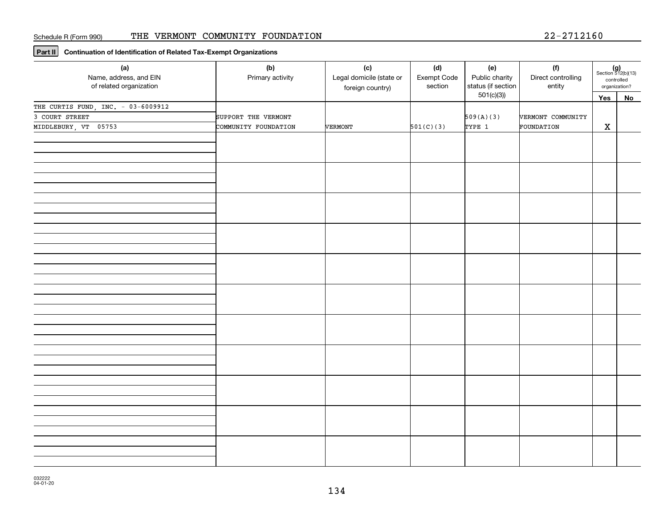**Part II Continuation of Identification of Related Tax-Exempt Organizations**

| (a)<br>Name, address, and EIN<br>of related organization | (b)<br>Primary activity | (c)<br>Legal domicile (state or<br>foreign country) | (d)<br>Exempt Code<br>section | (e)<br>Public charity<br>status (if section<br>501(c)(3) | (f)<br>Direct controlling<br>entity | $(g)$<br>Section 512(b)(13)<br>controlled<br>organization? |    |
|----------------------------------------------------------|-------------------------|-----------------------------------------------------|-------------------------------|----------------------------------------------------------|-------------------------------------|------------------------------------------------------------|----|
| THE CURTIS FUND, INC. - 03-6009912                       |                         |                                                     |                               |                                                          |                                     | Yes                                                        | No |
| 3 COURT STREET                                           | SUPPORT THE VERMONT     |                                                     |                               | 509(A)(3)                                                | VERMONT COMMUNITY                   |                                                            |    |
| MIDDLEBURY, VT 05753                                     | COMMUNITY FOUNDATION    | VERMONT                                             | 501(C)(3)                     | TYPE 1                                                   | FOUNDATION                          | $\mathbf X$                                                |    |
|                                                          |                         |                                                     |                               |                                                          |                                     |                                                            |    |
|                                                          |                         |                                                     |                               |                                                          |                                     |                                                            |    |
|                                                          |                         |                                                     |                               |                                                          |                                     |                                                            |    |
|                                                          |                         |                                                     |                               |                                                          |                                     |                                                            |    |
|                                                          |                         |                                                     |                               |                                                          |                                     |                                                            |    |
|                                                          |                         |                                                     |                               |                                                          |                                     |                                                            |    |
|                                                          |                         |                                                     |                               |                                                          |                                     |                                                            |    |
|                                                          |                         |                                                     |                               |                                                          |                                     |                                                            |    |
|                                                          |                         |                                                     |                               |                                                          |                                     |                                                            |    |
|                                                          |                         |                                                     |                               |                                                          |                                     |                                                            |    |
|                                                          |                         |                                                     |                               |                                                          |                                     |                                                            |    |
|                                                          |                         |                                                     |                               |                                                          |                                     |                                                            |    |
|                                                          |                         |                                                     |                               |                                                          |                                     |                                                            |    |
|                                                          |                         |                                                     |                               |                                                          |                                     |                                                            |    |
|                                                          |                         |                                                     |                               |                                                          |                                     |                                                            |    |
|                                                          |                         |                                                     |                               |                                                          |                                     |                                                            |    |
|                                                          |                         |                                                     |                               |                                                          |                                     |                                                            |    |
|                                                          |                         |                                                     |                               |                                                          |                                     |                                                            |    |
|                                                          |                         |                                                     |                               |                                                          |                                     |                                                            |    |
|                                                          |                         |                                                     |                               |                                                          |                                     |                                                            |    |
|                                                          |                         |                                                     |                               |                                                          |                                     |                                                            |    |
|                                                          |                         |                                                     |                               |                                                          |                                     |                                                            |    |
|                                                          |                         |                                                     |                               |                                                          |                                     |                                                            |    |
|                                                          |                         |                                                     |                               |                                                          |                                     |                                                            |    |
|                                                          |                         |                                                     |                               |                                                          |                                     |                                                            |    |
|                                                          |                         |                                                     |                               |                                                          |                                     |                                                            |    |
|                                                          |                         |                                                     |                               |                                                          |                                     |                                                            |    |
|                                                          |                         |                                                     |                               |                                                          |                                     |                                                            |    |
|                                                          |                         |                                                     |                               |                                                          |                                     |                                                            |    |
|                                                          |                         |                                                     |                               |                                                          |                                     |                                                            |    |
|                                                          |                         |                                                     |                               |                                                          |                                     |                                                            |    |
|                                                          |                         |                                                     |                               |                                                          |                                     |                                                            |    |
|                                                          |                         |                                                     |                               |                                                          |                                     |                                                            |    |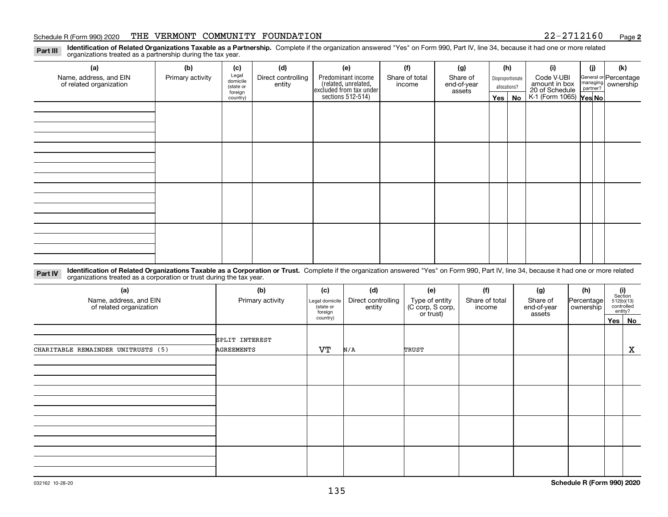#### Schedule R (Form 990) 2020 THE VERMONT COMMUNITY FOUNDATION 2 2-2 7 1 2 1 6 0 <sub>Page</sub>

**2**

**Identification of Related Organizations Taxable as a Partnership.** Complete if the organization answered "Yes" on Form 990, Part IV, line 34, because it had one or more related **Part III** organizations treated as a partnership during the tax year.

| (a)                                               | (b)              | (c)                  | (d)                          | (e)                                                                 | (f)                      | (g)                     |              | (h)              | (i)                                      | (j) | (k)                                                     |  |
|---------------------------------------------------|------------------|----------------------|------------------------------|---------------------------------------------------------------------|--------------------------|-------------------------|--------------|------------------|------------------------------------------|-----|---------------------------------------------------------|--|
| Name, address, and EIN<br>of related organization | Primary activity | Legal<br>domicile    | Direct controlling<br>entity | Predominant income                                                  | Share of total<br>income | Share of<br>end-of-year |              | Disproportionate | Code V-UBI<br>amount in box              |     | General or Percentage<br>managing ownership<br>partner? |  |
|                                                   |                  | (state or<br>foreign |                              | related, unrelated,<br>excluded from tax under<br>sections 512-514) |                          | assets                  | allocations? |                  |                                          |     |                                                         |  |
|                                                   |                  | country)             |                              |                                                                     |                          |                         | Yes $ $      | No               | 20 of Schedule<br>K-1 (Form 1065) Yes No |     |                                                         |  |
|                                                   |                  |                      |                              |                                                                     |                          |                         |              |                  |                                          |     |                                                         |  |
|                                                   |                  |                      |                              |                                                                     |                          |                         |              |                  |                                          |     |                                                         |  |
|                                                   |                  |                      |                              |                                                                     |                          |                         |              |                  |                                          |     |                                                         |  |
|                                                   |                  |                      |                              |                                                                     |                          |                         |              |                  |                                          |     |                                                         |  |
|                                                   |                  |                      |                              |                                                                     |                          |                         |              |                  |                                          |     |                                                         |  |
|                                                   |                  |                      |                              |                                                                     |                          |                         |              |                  |                                          |     |                                                         |  |
|                                                   |                  |                      |                              |                                                                     |                          |                         |              |                  |                                          |     |                                                         |  |
|                                                   |                  |                      |                              |                                                                     |                          |                         |              |                  |                                          |     |                                                         |  |
|                                                   |                  |                      |                              |                                                                     |                          |                         |              |                  |                                          |     |                                                         |  |
|                                                   |                  |                      |                              |                                                                     |                          |                         |              |                  |                                          |     |                                                         |  |
|                                                   |                  |                      |                              |                                                                     |                          |                         |              |                  |                                          |     |                                                         |  |
|                                                   |                  |                      |                              |                                                                     |                          |                         |              |                  |                                          |     |                                                         |  |
|                                                   |                  |                      |                              |                                                                     |                          |                         |              |                  |                                          |     |                                                         |  |
|                                                   |                  |                      |                              |                                                                     |                          |                         |              |                  |                                          |     |                                                         |  |
|                                                   |                  |                      |                              |                                                                     |                          |                         |              |                  |                                          |     |                                                         |  |
|                                                   |                  |                      |                              |                                                                     |                          |                         |              |                  |                                          |     |                                                         |  |
|                                                   |                  |                      |                              |                                                                     |                          |                         |              |                  |                                          |     |                                                         |  |

**Identification of Related Organizations Taxable as a Corporation or Trust.** Complete if the organization answered "Yes" on Form 990, Part IV, line 34, because it had one or more related **Part IV** organizations treated as a corporation or trust during the tax year.

| (a)<br>Name, address, and EIN<br>of related organization | (b)<br>Primary activity             | (c)<br>Legal domicile<br>(state or<br>foreign | (d)<br>Direct controlling<br>entity | (e)<br>Type of entity<br>(C corp, S corp,<br>or trust) | (f)<br>Share of total<br>income | (g)<br>Share of<br>end-of-year<br>assets | (h)<br>Percentage<br>ownership |        | $\begin{array}{c} \textbf{(i)}\\ \text{Section}\\ 512 \text{(b)} \text{(13)}\\ \text{controlled}\end{array}$<br>entity? |
|----------------------------------------------------------|-------------------------------------|-----------------------------------------------|-------------------------------------|--------------------------------------------------------|---------------------------------|------------------------------------------|--------------------------------|--------|-------------------------------------------------------------------------------------------------------------------------|
|                                                          |                                     | country)                                      |                                     |                                                        |                                 |                                          |                                | Yes No |                                                                                                                         |
| CHARITABLE REMAINDER UNITRUSTS (5)                       | SPLIT INTEREST<br><b>AGREEMENTS</b> | VT                                            | N/A                                 | TRUST                                                  |                                 |                                          |                                |        | X                                                                                                                       |
|                                                          |                                     |                                               |                                     |                                                        |                                 |                                          |                                |        |                                                                                                                         |
|                                                          |                                     |                                               |                                     |                                                        |                                 |                                          |                                |        |                                                                                                                         |
|                                                          |                                     |                                               |                                     |                                                        |                                 |                                          |                                |        |                                                                                                                         |
|                                                          |                                     |                                               |                                     |                                                        |                                 |                                          |                                |        |                                                                                                                         |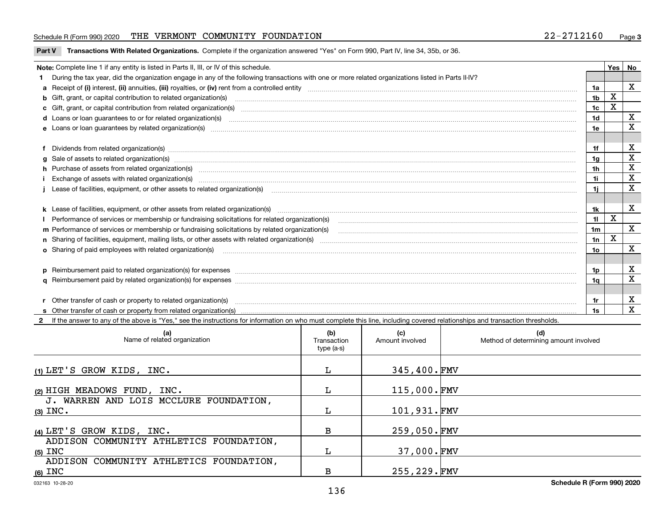#### Schedule R (Form 990) 2020 THE VERMONT COMMUNITY FOUNDATION 2 2-2 7 1 2 1 6 0 <sub>Page</sub>

**Part V** T**ransactions With Related Organizations.** Complete if the organization answered "Yes" on Form 990, Part IV, line 34, 35b, or 36.

| Note: Complete line 1 if any entity is listed in Parts II, III, or IV of this schedule. |                                                                                                                                                                                                                                |                |   |             |  |  |
|-----------------------------------------------------------------------------------------|--------------------------------------------------------------------------------------------------------------------------------------------------------------------------------------------------------------------------------|----------------|---|-------------|--|--|
|                                                                                         | 1 During the tax year, did the organization engage in any of the following transactions with one or more related organizations listed in Parts II-IV?                                                                          |                |   |             |  |  |
|                                                                                         |                                                                                                                                                                                                                                | 1a             |   | $\mathbf X$ |  |  |
|                                                                                         | b Gift, grant, or capital contribution to related organization(s) material contracts and contribution to related organization(s)                                                                                               | 1 <sub>b</sub> | X |             |  |  |
|                                                                                         | c Gift, grant, or capital contribution from related organization(s) material content and contribution from related organization(s) material content and content and contribution from related organization(s) material content | 1c             | x |             |  |  |
|                                                                                         | d Loans or loan guarantees to or for related organization(s) committion contracts are constructed as a contract or contract or contract or contract or contract or contract or contract or contract or contract or contract or | 1 <sub>d</sub> |   | х           |  |  |
|                                                                                         |                                                                                                                                                                                                                                | 1e             |   | $\mathbf X$ |  |  |
|                                                                                         |                                                                                                                                                                                                                                |                |   |             |  |  |
|                                                                                         | f Dividends from related organization(s) manufactured and contract and contract of the contract of the contract of the contract of the contract of the contract of the contract of the contract of the contract of the contrac | 1f             |   | х           |  |  |
|                                                                                         | g Sale of assets to related organization(s) www.assettion.com/www.assettion.com/www.assettion.com/www.assettion.com/www.assettion.com/www.assettion.com/www.assettion.com/www.assettion.com/www.assettion.com/www.assettion.co | 1g             |   | х           |  |  |
|                                                                                         | h Purchase of assets from related organization(s) www.assettion.com/www.assettion.com/www.assettion.com/www.assettion.com/www.assettion.com/www.assettion.com/www.assettion.com/www.assettion.com/www.assettion.com/www.assett | 1h             |   | X           |  |  |
|                                                                                         | Exchange of assets with related organization(s) www.array.com/www.array.com/www.array.com/www.array.com/www.array.com/www.array.com/www.array.com/www.array.com/www.array.com/www.array.com/www.array.com/www.array.com/www.ar | 1i.            |   | X           |  |  |
|                                                                                         |                                                                                                                                                                                                                                | 11             |   | х           |  |  |
|                                                                                         |                                                                                                                                                                                                                                |                |   |             |  |  |
|                                                                                         |                                                                                                                                                                                                                                | 1k             |   | х           |  |  |
|                                                                                         |                                                                                                                                                                                                                                | 11             | X |             |  |  |
|                                                                                         | m Performance of services or membership or fundraising solicitations by related organization(s)                                                                                                                                | 1 <sub>m</sub> |   | X           |  |  |
|                                                                                         |                                                                                                                                                                                                                                | 1n             | X |             |  |  |
|                                                                                         | <b>o</b> Sharing of paid employees with related organization(s)                                                                                                                                                                | 10             |   | х           |  |  |
|                                                                                         |                                                                                                                                                                                                                                |                |   |             |  |  |
|                                                                                         | p Reimbursement paid to related organization(s) for expenses [11111] [12] manufacture manufacture manufacture manufacture manufacture manufacture manufacture manufacture manufacture manufacture manufacture manufacture manu | 1p.            |   | х           |  |  |
|                                                                                         |                                                                                                                                                                                                                                | 1q             |   | $\mathbf x$ |  |  |
|                                                                                         |                                                                                                                                                                                                                                |                |   |             |  |  |
|                                                                                         | r Other transfer of cash or property to related organization(s)                                                                                                                                                                | 1r             |   | х           |  |  |
|                                                                                         |                                                                                                                                                                                                                                | 1s             |   | X           |  |  |
|                                                                                         | 2 If the answer to any of the above is "Yes," see the instructions for information on who must complete this line, including covered relationships and transaction thresholds.                                                 |                |   |             |  |  |

| (a)<br>Name of related organization                  | (b)<br>Transaction<br>type (a-s) | (c)<br>Amount involved | (d)<br>Method of determining amount involved |
|------------------------------------------------------|----------------------------------|------------------------|----------------------------------------------|
| (1) LET'S GROW KIDS, INC.                            | L                                | 345,400.FMV            |                                              |
| (2) HIGH MEADOWS FUND, INC.                          | L                                | 115,000.FMV            |                                              |
| J. WARREN AND LOIS MCCLURE FOUNDATION,<br>$(3)$ INC. |                                  | 101,931.FMV            |                                              |
| (4) LET'S GROW KIDS, INC.                            | в                                | 259,050.FMV            |                                              |
| ADDISON COMMUNITY ATHLETICS FOUNDATION,              |                                  |                        |                                              |
| $(5)$ INC<br>ADDISON COMMUNITY ATHLETICS FOUNDATION, |                                  | 37,000.FMV             |                                              |
| $(6)$ INC                                            | в                                | 255, 229. FMV          |                                              |

 $\overline{\phantom{a}}$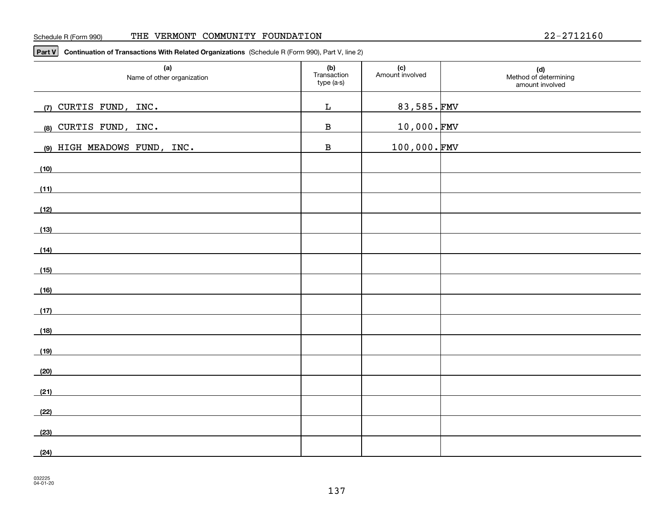**Part V Continuation of Transactions With Related Organizations**  (Schedule R (Form 990), Part V, line 2)

| (a)<br>Name of other organization                                                                                             | (b)<br>Transaction<br>type (a-s) | (c)<br>Amount involved | (d)<br>Method of determining<br>amount involved |
|-------------------------------------------------------------------------------------------------------------------------------|----------------------------------|------------------------|-------------------------------------------------|
| (7) CURTIS FUND, INC.                                                                                                         | $\mathbf L$                      | 83,585.FMV             |                                                 |
| (8) CURTIS FUND, INC.                                                                                                         | $\, {\bf B}$                     | <u>10,000.FMV</u>      |                                                 |
| (9) HIGH MEADOWS FUND, INC.                                                                                                   | $\, {\bf B}$                     | $100,000.\,$ FMV       |                                                 |
| (10)                                                                                                                          |                                  |                        |                                                 |
| (11)<br><u> 1989 - Johann Stein, mars an deutscher Stein und der Stein und der Stein und der Stein und der Stein und der</u>  |                                  |                        |                                                 |
| (12)<br><u> 1980 - Jan Samuel Barbara, martin de la propincia de la propincia de la propincia de la propincia de la propi</u> |                                  |                        |                                                 |
| (13)<br><u> 1980 - Andrea Andrew Maria (h. 1980).</u>                                                                         |                                  |                        |                                                 |
| (14)<br><u> 1989 - Johann Barbara, markazi bashkar a shekara ta 1989 - André a shekara ta 1989 - André a shekara ta 198</u>   |                                  |                        |                                                 |
| (15)                                                                                                                          |                                  |                        |                                                 |
| (16)<br><u> 1980 - Andrea Andrew Maria (h. 1980).</u>                                                                         |                                  |                        |                                                 |
| (17)                                                                                                                          |                                  |                        |                                                 |
| (18)<br><u> 1989 - Andrea Andrew Maria (h. 1989).</u>                                                                         |                                  |                        |                                                 |
| (19)                                                                                                                          |                                  |                        |                                                 |
| (20)                                                                                                                          |                                  |                        |                                                 |
| (21)                                                                                                                          |                                  |                        |                                                 |
| (22)                                                                                                                          |                                  |                        |                                                 |
| (23)                                                                                                                          |                                  |                        |                                                 |
| (24)                                                                                                                          |                                  |                        |                                                 |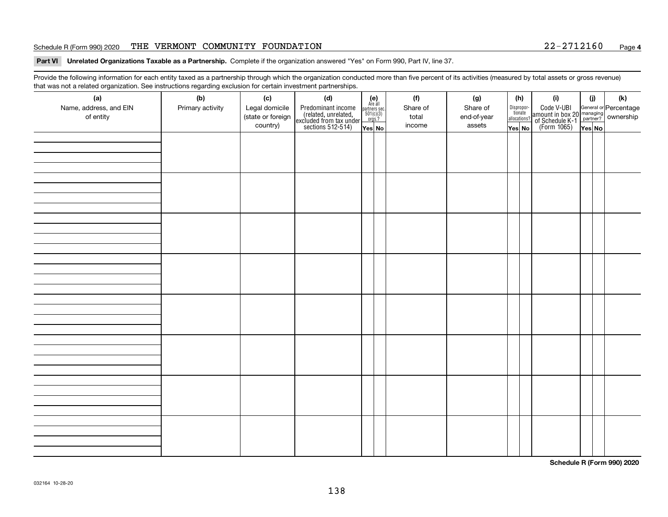#### Schedule R (Form 990) 2020 THE VERMONT COMMUNITY FOUNDATION 2 2-2 7 1 2 1 6 0 <sub>Page</sub>

#### **Part VI Unrelated Organizations Taxable as a Partnership. Complete if the organization answered "Yes" on Form 990, Part IV, line 37.**

Provide the following information for each entity taxed as a partnership through which the organization conducted more than five percent of its activities (measured by total assets or gross revenue) that was not a related organization. See instructions regarding exclusion for certain investment partnerships.

| (a)<br>Name, address, and EIN<br>of entity | $\tilde{}$<br>(b)<br>Primary activity | (c)<br>Legal domicile<br>(state or foreign<br>country) | (d)<br>Predominant income<br>(related, unrelated,<br>excluded from tax under<br>sections 512-514) | $(e)$<br>Are all<br>$\begin{array}{c}\n\text{partners} \sec.\n\\ \n501(c)(3)\n\\ \n0rgs.?\n\end{array}$<br>Yes No | (f)<br>Share of<br>total<br>income | (g)<br>Share of<br>end-of-year<br>assets | (h)<br>Dispropor-<br>tionate<br>allocations?<br>Yes No | (i)<br>Code V-UBI<br>amount in box 20 managing<br>of Schedule K-1<br>(Form 1065)<br>$\overline{Yes}$ No | (i)<br>Yes No | (k) |
|--------------------------------------------|---------------------------------------|--------------------------------------------------------|---------------------------------------------------------------------------------------------------|-------------------------------------------------------------------------------------------------------------------|------------------------------------|------------------------------------------|--------------------------------------------------------|---------------------------------------------------------------------------------------------------------|---------------|-----|
|                                            |                                       |                                                        |                                                                                                   |                                                                                                                   |                                    |                                          |                                                        |                                                                                                         |               |     |
|                                            |                                       |                                                        |                                                                                                   |                                                                                                                   |                                    |                                          |                                                        |                                                                                                         |               |     |
|                                            |                                       |                                                        |                                                                                                   |                                                                                                                   |                                    |                                          |                                                        |                                                                                                         |               |     |
|                                            |                                       |                                                        |                                                                                                   |                                                                                                                   |                                    |                                          |                                                        |                                                                                                         |               |     |
|                                            |                                       |                                                        |                                                                                                   |                                                                                                                   |                                    |                                          |                                                        |                                                                                                         |               |     |
|                                            |                                       |                                                        |                                                                                                   |                                                                                                                   |                                    |                                          |                                                        |                                                                                                         |               |     |
|                                            |                                       |                                                        |                                                                                                   |                                                                                                                   |                                    |                                          |                                                        |                                                                                                         |               |     |
|                                            |                                       |                                                        |                                                                                                   |                                                                                                                   |                                    |                                          |                                                        |                                                                                                         |               |     |